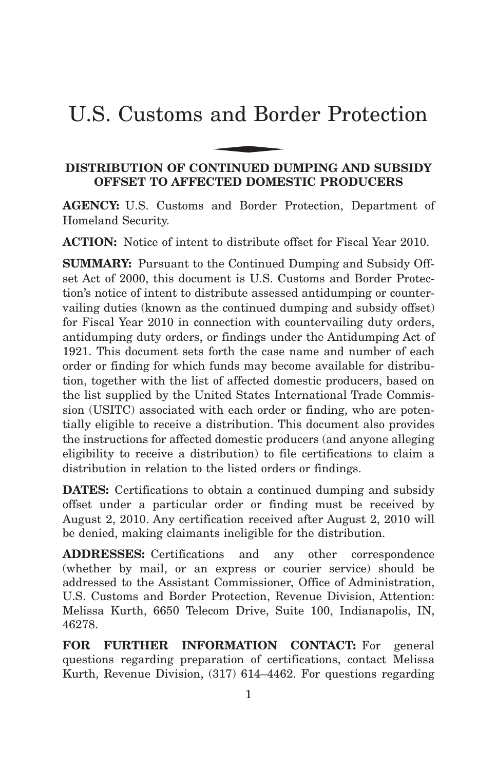# U.S. Customs and Border Protection and Bor

# **DISTRIBUTION OF CONTINUED DUMPING AND SUBSIDY OFFSET TO AFFECTED DOMESTIC PRODUCERS**

**AGENCY:** U.S. Customs and Border Protection, Department of Homeland Security.

**ACTION:** Notice of intent to distribute offset for Fiscal Year 2010.

**SUMMARY:** Pursuant to the Continued Dumping and Subsidy Offset Act of 2000, this document is U.S. Customs and Border Protection's notice of intent to distribute assessed antidumping or countervailing duties (known as the continued dumping and subsidy offset) for Fiscal Year 2010 in connection with countervailing duty orders, antidumping duty orders, or findings under the Antidumping Act of 1921. This document sets forth the case name and number of each order or finding for which funds may become available for distribution, together with the list of affected domestic producers, based on the list supplied by the United States International Trade Commission (USITC) associated with each order or finding, who are potentially eligible to receive a distribution. This document also provides the instructions for affected domestic producers (and anyone alleging eligibility to receive a distribution) to file certifications to claim a distribution in relation to the listed orders or findings.

**DATES:** Certifications to obtain a continued dumping and subsidy offset under a particular order or finding must be received by August 2, 2010. Any certification received after August 2, 2010 will be denied, making claimants ineligible for the distribution.

**ADDRESSES:** Certifications and any other correspondence (whether by mail, or an express or courier service) should be addressed to the Assistant Commissioner, Office of Administration, U.S. Customs and Border Protection, Revenue Division, Attention: Melissa Kurth, 6650 Telecom Drive, Suite 100, Indianapolis, IN, 46278.

**FOR FURTHER INFORMATION CONTACT:** For general questions regarding preparation of certifications, contact Melissa Kurth, Revenue Division, (317) 614–4462. For questions regarding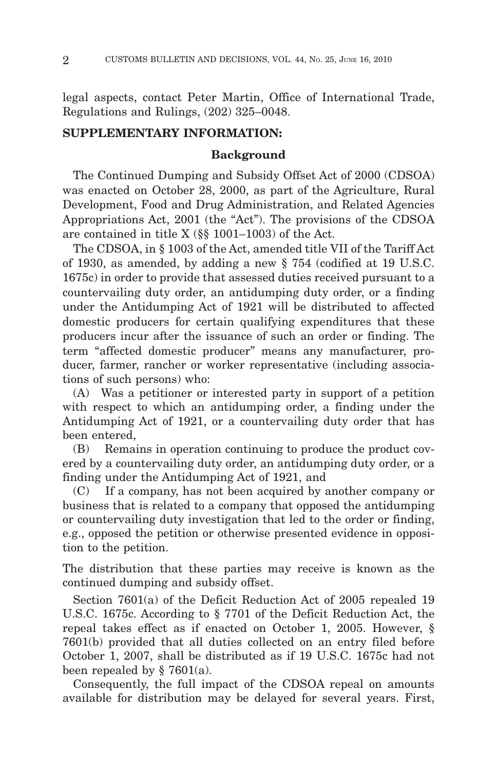legal aspects, contact Peter Martin, Office of International Trade, Regulations and Rulings, (202) 325–0048.

## **SUPPLEMENTARY INFORMATION:**

## **Background**

The Continued Dumping and Subsidy Offset Act of 2000 (CDSOA) was enacted on October 28, 2000, as part of the Agriculture, Rural Development, Food and Drug Administration, and Related Agencies Appropriations Act, 2001 (the "Act"). The provisions of the CDSOA are contained in title X (§§ 1001–1003) of the Act.

The CDSOA, in § 1003 of the Act, amended title VII of the Tariff Act of 1930, as amended, by adding a new § 754 (codified at 19 U.S.C. 1675c) in order to provide that assessed duties received pursuant to a countervailing duty order, an antidumping duty order, or a finding under the Antidumping Act of 1921 will be distributed to affected domestic producers for certain qualifying expenditures that these producers incur after the issuance of such an order or finding. The term "affected domestic producer" means any manufacturer, producer, farmer, rancher or worker representative (including associations of such persons) who:

(A) Was a petitioner or interested party in support of a petition with respect to which an antidumping order, a finding under the Antidumping Act of 1921, or a countervailing duty order that has been entered,

(B) Remains in operation continuing to produce the product covered by a countervailing duty order, an antidumping duty order, or a finding under the Antidumping Act of 1921, and

(C) If a company, has not been acquired by another company or business that is related to a company that opposed the antidumping or countervailing duty investigation that led to the order or finding, e.g., opposed the petition or otherwise presented evidence in opposition to the petition.

The distribution that these parties may receive is known as the continued dumping and subsidy offset.

Section 7601(a) of the Deficit Reduction Act of 2005 repealed 19 U.S.C. 1675c. According to § 7701 of the Deficit Reduction Act, the repeal takes effect as if enacted on October 1, 2005. However, § 7601(b) provided that all duties collected on an entry filed before October 1, 2007, shall be distributed as if 19 U.S.C. 1675c had not been repealed by  $\S$  7601(a).

Consequently, the full impact of the CDSOA repeal on amounts available for distribution may be delayed for several years. First,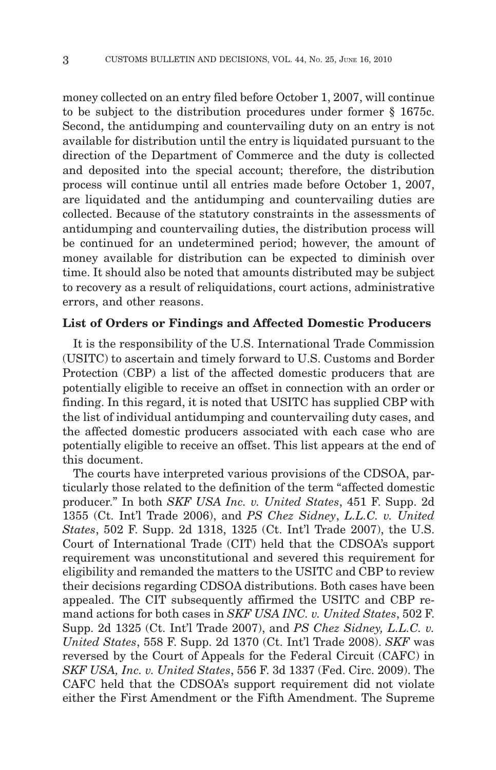money collected on an entry filed before October 1, 2007, will continue to be subject to the distribution procedures under former § 1675c. Second, the antidumping and countervailing duty on an entry is not available for distribution until the entry is liquidated pursuant to the direction of the Department of Commerce and the duty is collected and deposited into the special account; therefore, the distribution process will continue until all entries made before October 1, 2007, are liquidated and the antidumping and countervailing duties are collected. Because of the statutory constraints in the assessments of antidumping and countervailing duties, the distribution process will be continued for an undetermined period; however, the amount of money available for distribution can be expected to diminish over time. It should also be noted that amounts distributed may be subject to recovery as a result of reliquidations, court actions, administrative errors, and other reasons.

#### **List of Orders or Findings and Affected Domestic Producers**

It is the responsibility of the U.S. International Trade Commission (USITC) to ascertain and timely forward to U.S. Customs and Border Protection (CBP) a list of the affected domestic producers that are potentially eligible to receive an offset in connection with an order or finding. In this regard, it is noted that USITC has supplied CBP with the list of individual antidumping and countervailing duty cases, and the affected domestic producers associated with each case who are potentially eligible to receive an offset. This list appears at the end of this document.

The courts have interpreted various provisions of the CDSOA, particularly those related to the definition of the term "affected domestic producer." In both *SKF USA Inc. v. United States*, 451 F. Supp. 2d 1355 (Ct. Int'l Trade 2006), and *PS Chez Sidney*, *L.L.C. v. United States*, 502 F. Supp. 2d 1318, 1325 (Ct. Int'l Trade 2007), the U.S. Court of International Trade (CIT) held that the CDSOA's support requirement was unconstitutional and severed this requirement for eligibility and remanded the matters to the USITC and CBP to review their decisions regarding CDSOA distributions. Both cases have been appealed. The CIT subsequently affirmed the USITC and CBP remand actions for both cases in *SKF USA INC. v. United States*, 502 F. Supp. 2d 1325 (Ct. Int'l Trade 2007), and *PS Chez Sidney, L.L.C. v. United States*, 558 F. Supp. 2d 1370 (Ct. Int'l Trade 2008). *SKF* was reversed by the Court of Appeals for the Federal Circuit (CAFC) in *SKF USA, Inc. v. United States*, 556 F. 3d 1337 (Fed. Circ. 2009). The CAFC held that the CDSOA's support requirement did not violate either the First Amendment or the Fifth Amendment. The Supreme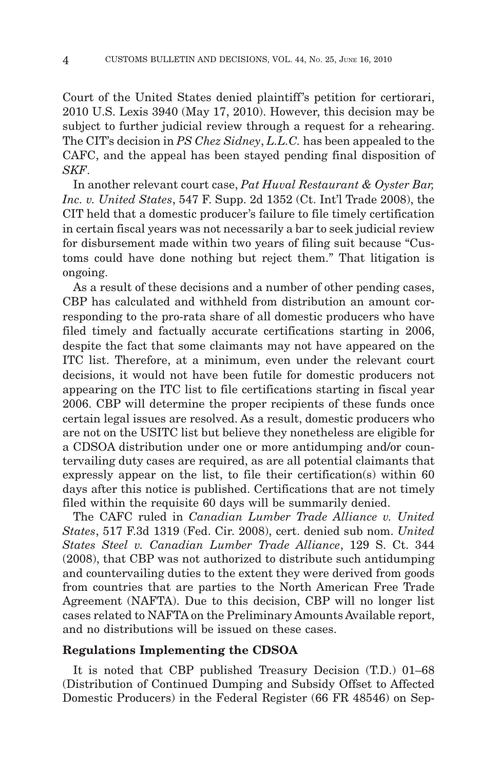Court of the United States denied plaintiff's petition for certiorari, 2010 U.S. Lexis 3940 (May 17, 2010). However, this decision may be subject to further judicial review through a request for a rehearing. The CIT's decision in *PS Chez Sidney*, *L.L.C.* has been appealed to the CAFC, and the appeal has been stayed pending final disposition of *SKF*.

In another relevant court case, *Pat Huval Restaurant & Oyster Bar, Inc. v. United States*, 547 F. Supp. 2d 1352 (Ct. Int'l Trade 2008), the CIT held that a domestic producer's failure to file timely certification in certain fiscal years was not necessarily a bar to seek judicial review for disbursement made within two years of filing suit because "Customs could have done nothing but reject them." That litigation is ongoing.

As a result of these decisions and a number of other pending cases, CBP has calculated and withheld from distribution an amount corresponding to the pro-rata share of all domestic producers who have filed timely and factually accurate certifications starting in 2006, despite the fact that some claimants may not have appeared on the ITC list. Therefore, at a minimum, even under the relevant court decisions, it would not have been futile for domestic producers not appearing on the ITC list to file certifications starting in fiscal year 2006. CBP will determine the proper recipients of these funds once certain legal issues are resolved. As a result, domestic producers who are not on the USITC list but believe they nonetheless are eligible for a CDSOA distribution under one or more antidumping and/or countervailing duty cases are required, as are all potential claimants that expressly appear on the list, to file their certification(s) within 60 days after this notice is published. Certifications that are not timely filed within the requisite 60 days will be summarily denied.

The CAFC ruled in *Canadian Lumber Trade Alliance v. United States*, 517 F.3d 1319 (Fed. Cir. 2008), cert. denied sub nom. *United States Steel v. Canadian Lumber Trade Alliance*, 129 S. Ct. 344 (2008), that CBP was not authorized to distribute such antidumping and countervailing duties to the extent they were derived from goods from countries that are parties to the North American Free Trade Agreement (NAFTA). Due to this decision, CBP will no longer list cases related to NAFTA on the Preliminary Amounts Available report, and no distributions will be issued on these cases.

#### **Regulations Implementing the CDSOA**

It is noted that CBP published Treasury Decision (T.D.) 01–68 (Distribution of Continued Dumping and Subsidy Offset to Affected Domestic Producers) in the Federal Register (66 FR 48546) on Sep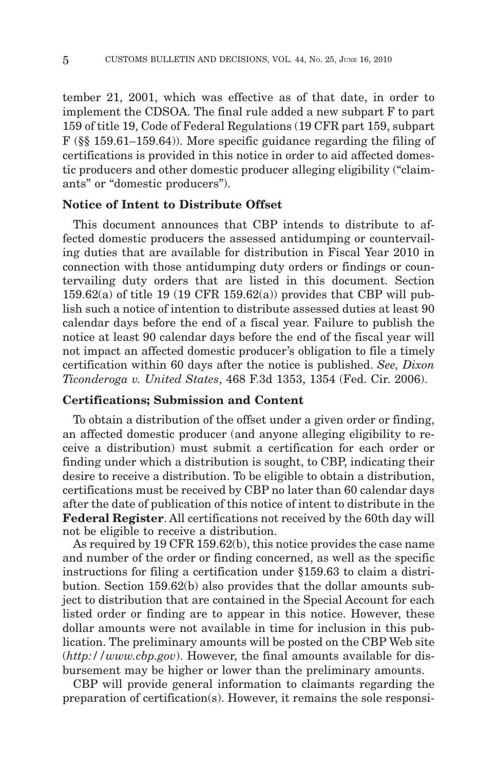tember 21, 2001, which was effective as of that date, in order to implement the CDSOA. The final rule added a new subpart F to part 159 of title 19, Code of Federal Regulations (19 CFR part 159, subpart F (§§ 159.61–159.64)). More specific guidance regarding the filing of certifications is provided in this notice in order to aid affected domestic producers and other domestic producer alleging eligibility ("claimants" or "domestic producers").

# **Notice of Intent to Distribute Offset**

This document announces that CBP intends to distribute to affected domestic producers the assessed antidumping or countervailing duties that are available for distribution in Fiscal Year 2010 in connection with those antidumping duty orders or findings or countervailing duty orders that are listed in this document. Section 159.62(a) of title 19 (19 CFR 159.62(a)) provides that CBP will publish such a notice of intention to distribute assessed duties at least 90 calendar days before the end of a fiscal year. Failure to publish the notice at least 90 calendar days before the end of the fiscal year will not impact an affected domestic producer's obligation to file a timely certification within 60 days after the notice is published. *See, Dixon Ticonderoga v. United States*, 468 F.3d 1353, 1354 (Fed. Cir. 2006).

## **Certifications; Submission and Content**

To obtain a distribution of the offset under a given order or finding, an affected domestic producer (and anyone alleging eligibility to receive a distribution) must submit a certification for each order or finding under which a distribution is sought, to CBP, indicating their desire to receive a distribution. To be eligible to obtain a distribution, certifications must be received by CBP no later than 60 calendar days after the date of publication of this notice of intent to distribute in the **Federal Register**. All certifications not received by the 60th day will not be eligible to receive a distribution.

As required by 19 CFR 159.62(b), this notice provides the case name and number of the order or finding concerned, as well as the specific instructions for filing a certification under §159.63 to claim a distribution. Section 159.62(b) also provides that the dollar amounts subject to distribution that are contained in the Special Account for each listed order or finding are to appear in this notice. However, these dollar amounts were not available in time for inclusion in this publication. The preliminary amounts will be posted on the CBP Web site (*http://www.cbp.gov*). However, the final amounts available for disbursement may be higher or lower than the preliminary amounts.

CBP will provide general information to claimants regarding the preparation of certification(s). However, it remains the sole responsi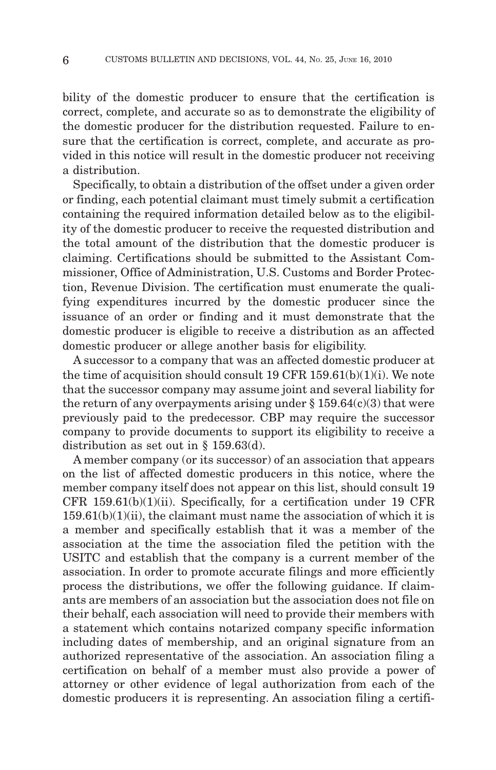bility of the domestic producer to ensure that the certification is correct, complete, and accurate so as to demonstrate the eligibility of the domestic producer for the distribution requested. Failure to ensure that the certification is correct, complete, and accurate as provided in this notice will result in the domestic producer not receiving a distribution.

Specifically, to obtain a distribution of the offset under a given order or finding, each potential claimant must timely submit a certification containing the required information detailed below as to the eligibility of the domestic producer to receive the requested distribution and the total amount of the distribution that the domestic producer is claiming. Certifications should be submitted to the Assistant Commissioner, Office of Administration, U.S. Customs and Border Protection, Revenue Division. The certification must enumerate the qualifying expenditures incurred by the domestic producer since the issuance of an order or finding and it must demonstrate that the domestic producer is eligible to receive a distribution as an affected domestic producer or allege another basis for eligibility.

A successor to a company that was an affected domestic producer at the time of acquisition should consult 19 CFR  $159.61(b)(1)(i)$ . We note that the successor company may assume joint and several liability for the return of any overpayments arising under  $\S 159.64(c)(3)$  that were previously paid to the predecessor. CBP may require the successor company to provide documents to support its eligibility to receive a distribution as set out in § 159.63(d).

A member company (or its successor) of an association that appears on the list of affected domestic producers in this notice, where the member company itself does not appear on this list, should consult 19 CFR  $159.61(b)(1)(ii)$ . Specifically, for a certification under 19 CFR  $159.61(b)(1)(ii)$ , the claimant must name the association of which it is a member and specifically establish that it was a member of the association at the time the association filed the petition with the USITC and establish that the company is a current member of the association. In order to promote accurate filings and more efficiently process the distributions, we offer the following guidance. If claimants are members of an association but the association does not file on their behalf, each association will need to provide their members with a statement which contains notarized company specific information including dates of membership, and an original signature from an authorized representative of the association. An association filing a certification on behalf of a member must also provide a power of attorney or other evidence of legal authorization from each of the domestic producers it is representing. An association filing a certifi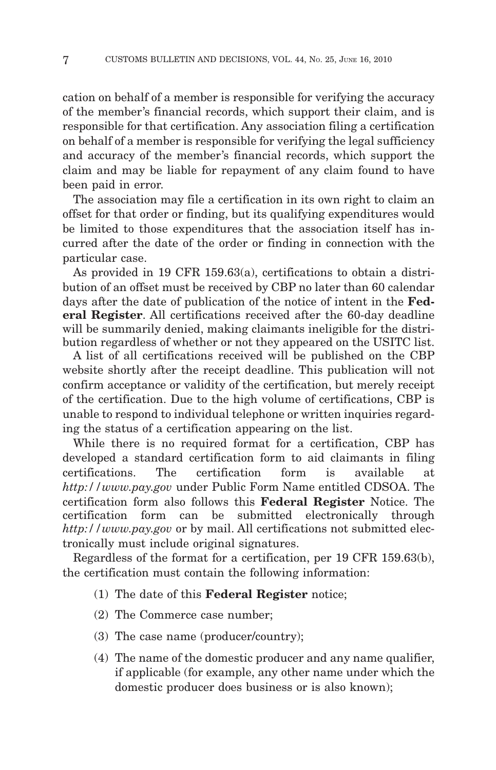cation on behalf of a member is responsible for verifying the accuracy of the member's financial records, which support their claim, and is responsible for that certification. Any association filing a certification on behalf of a member is responsible for verifying the legal sufficiency and accuracy of the member's financial records, which support the claim and may be liable for repayment of any claim found to have been paid in error.

The association may file a certification in its own right to claim an offset for that order or finding, but its qualifying expenditures would be limited to those expenditures that the association itself has incurred after the date of the order or finding in connection with the particular case.

As provided in 19 CFR 159.63(a), certifications to obtain a distribution of an offset must be received by CBP no later than 60 calendar days after the date of publication of the notice of intent in the **Federal Register**. All certifications received after the 60-day deadline will be summarily denied, making claimants ineligible for the distribution regardless of whether or not they appeared on the USITC list.

A list of all certifications received will be published on the CBP website shortly after the receipt deadline. This publication will not confirm acceptance or validity of the certification, but merely receipt of the certification. Due to the high volume of certifications, CBP is unable to respond to individual telephone or written inquiries regarding the status of a certification appearing on the list.

While there is no required format for a certification, CBP has developed a standard certification form to aid claimants in filing certifications. The certification form is available at *http://www.pay.gov* under Public Form Name entitled CDSOA. The certification form also follows this **Federal Register** Notice. The certification form can be submitted electronically through *http://www.pay.gov* or by mail. All certifications not submitted electronically must include original signatures.

Regardless of the format for a certification, per 19 CFR 159.63(b), the certification must contain the following information:

- (1) The date of this **Federal Register** notice;
- (2) The Commerce case number;
- (3) The case name (producer/country);
- (4) The name of the domestic producer and any name qualifier, if applicable (for example, any other name under which the domestic producer does business or is also known);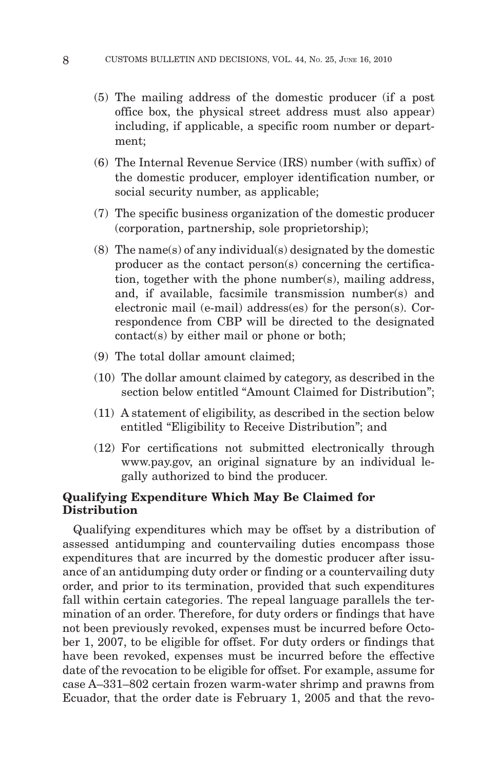- (5) The mailing address of the domestic producer (if a post office box, the physical street address must also appear) including, if applicable, a specific room number or department;
- (6) The Internal Revenue Service (IRS) number (with suffix) of the domestic producer, employer identification number, or social security number, as applicable;
- (7) The specific business organization of the domestic producer (corporation, partnership, sole proprietorship);
- (8) The name(s) of any individual(s) designated by the domestic producer as the contact person(s) concerning the certification, together with the phone number(s), mailing address, and, if available, facsimile transmission number(s) and electronic mail (e-mail) address(es) for the person(s). Correspondence from CBP will be directed to the designated contact(s) by either mail or phone or both;
- (9) The total dollar amount claimed;
- (10) The dollar amount claimed by category, as described in the section below entitled "Amount Claimed for Distribution";
- (11) A statement of eligibility, as described in the section below entitled "Eligibility to Receive Distribution"; and
- (12) For certifications not submitted electronically through www.pay.gov, an original signature by an individual legally authorized to bind the producer.

# **Qualifying Expenditure Which May Be Claimed for Distribution**

Qualifying expenditures which may be offset by a distribution of assessed antidumping and countervailing duties encompass those expenditures that are incurred by the domestic producer after issuance of an antidumping duty order or finding or a countervailing duty order, and prior to its termination, provided that such expenditures fall within certain categories. The repeal language parallels the termination of an order. Therefore, for duty orders or findings that have not been previously revoked, expenses must be incurred before October 1, 2007, to be eligible for offset. For duty orders or findings that have been revoked, expenses must be incurred before the effective date of the revocation to be eligible for offset. For example, assume for case A–331–802 certain frozen warm-water shrimp and prawns from Ecuador, that the order date is February 1, 2005 and that the revo-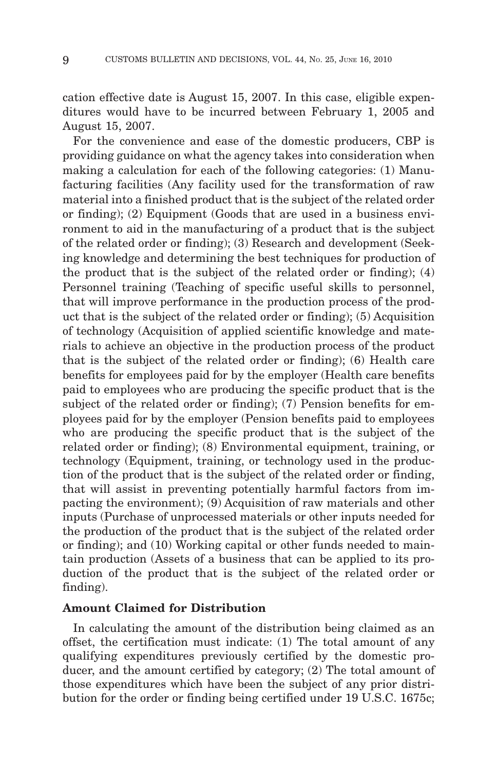cation effective date is August 15, 2007. In this case, eligible expenditures would have to be incurred between February 1, 2005 and August 15, 2007.

For the convenience and ease of the domestic producers, CBP is providing guidance on what the agency takes into consideration when making a calculation for each of the following categories: (1) Manufacturing facilities (Any facility used for the transformation of raw material into a finished product that is the subject of the related order or finding); (2) Equipment (Goods that are used in a business environment to aid in the manufacturing of a product that is the subject of the related order or finding); (3) Research and development (Seeking knowledge and determining the best techniques for production of the product that is the subject of the related order or finding); (4) Personnel training (Teaching of specific useful skills to personnel, that will improve performance in the production process of the product that is the subject of the related order or finding); (5) Acquisition of technology (Acquisition of applied scientific knowledge and materials to achieve an objective in the production process of the product that is the subject of the related order or finding); (6) Health care benefits for employees paid for by the employer (Health care benefits paid to employees who are producing the specific product that is the subject of the related order or finding); (7) Pension benefits for employees paid for by the employer (Pension benefits paid to employees who are producing the specific product that is the subject of the related order or finding); (8) Environmental equipment, training, or technology (Equipment, training, or technology used in the production of the product that is the subject of the related order or finding, that will assist in preventing potentially harmful factors from impacting the environment); (9) Acquisition of raw materials and other inputs (Purchase of unprocessed materials or other inputs needed for the production of the product that is the subject of the related order or finding); and (10) Working capital or other funds needed to maintain production (Assets of a business that can be applied to its production of the product that is the subject of the related order or finding).

#### **Amount Claimed for Distribution**

In calculating the amount of the distribution being claimed as an offset, the certification must indicate: (1) The total amount of any qualifying expenditures previously certified by the domestic producer, and the amount certified by category; (2) The total amount of those expenditures which have been the subject of any prior distribution for the order or finding being certified under 19 U.S.C. 1675c;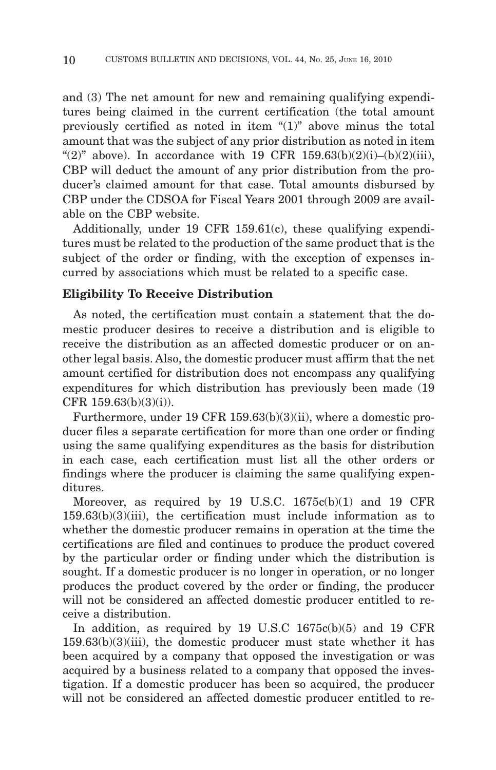and (3) The net amount for new and remaining qualifying expenditures being claimed in the current certification (the total amount previously certified as noted in item "(1)" above minus the total amount that was the subject of any prior distribution as noted in item "(2)" above). In accordance with 19 CFR  $159.63(b)(2)(i)–(b)(2)(iii)$ , CBP will deduct the amount of any prior distribution from the producer's claimed amount for that case. Total amounts disbursed by CBP under the CDSOA for Fiscal Years 2001 through 2009 are available on the CBP website.

Additionally, under 19 CFR 159.61(c), these qualifying expenditures must be related to the production of the same product that is the subject of the order or finding, with the exception of expenses incurred by associations which must be related to a specific case.

## **Eligibility To Receive Distribution**

As noted, the certification must contain a statement that the domestic producer desires to receive a distribution and is eligible to receive the distribution as an affected domestic producer or on another legal basis. Also, the domestic producer must affirm that the net amount certified for distribution does not encompass any qualifying expenditures for which distribution has previously been made (19 CFR 159.63(b)(3)(i)).

Furthermore, under 19 CFR 159.63(b)(3)(ii), where a domestic producer files a separate certification for more than one order or finding using the same qualifying expenditures as the basis for distribution in each case, each certification must list all the other orders or findings where the producer is claiming the same qualifying expenditures.

Moreover, as required by 19 U.S.C. 1675c(b)(1) and 19 CFR 159.63(b)(3)(iii), the certification must include information as to whether the domestic producer remains in operation at the time the certifications are filed and continues to produce the product covered by the particular order or finding under which the distribution is sought. If a domestic producer is no longer in operation, or no longer produces the product covered by the order or finding, the producer will not be considered an affected domestic producer entitled to receive a distribution.

In addition, as required by 19 U.S.C 1675c(b)(5) and 19 CFR  $159.63(b)(3)(iii)$ , the domestic producer must state whether it has been acquired by a company that opposed the investigation or was acquired by a business related to a company that opposed the investigation. If a domestic producer has been so acquired, the producer will not be considered an affected domestic producer entitled to re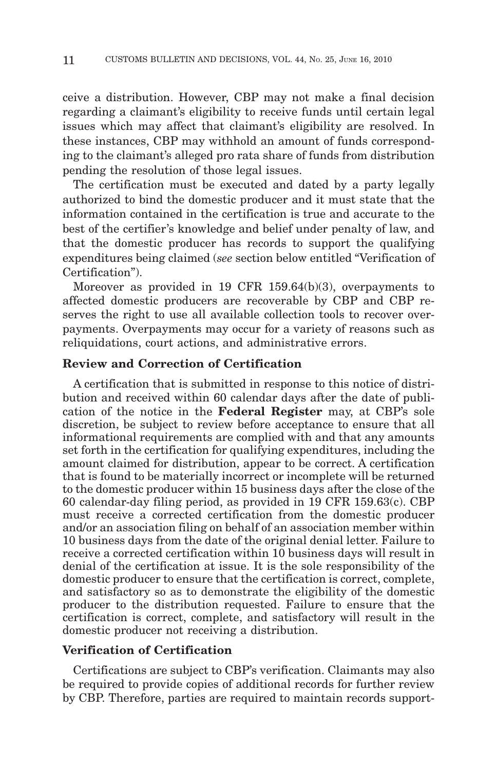ceive a distribution. However, CBP may not make a final decision regarding a claimant's eligibility to receive funds until certain legal issues which may affect that claimant's eligibility are resolved. In these instances, CBP may withhold an amount of funds corresponding to the claimant's alleged pro rata share of funds from distribution pending the resolution of those legal issues.

The certification must be executed and dated by a party legally authorized to bind the domestic producer and it must state that the information contained in the certification is true and accurate to the best of the certifier's knowledge and belief under penalty of law, and that the domestic producer has records to support the qualifying expenditures being claimed (*see* section below entitled "Verification of Certification").

Moreover as provided in 19 CFR 159.64(b)(3), overpayments to affected domestic producers are recoverable by CBP and CBP reserves the right to use all available collection tools to recover overpayments. Overpayments may occur for a variety of reasons such as reliquidations, court actions, and administrative errors.

# **Review and Correction of Certification**

A certification that is submitted in response to this notice of distribution and received within 60 calendar days after the date of publication of the notice in the **Federal Register** may, at CBP's sole discretion, be subject to review before acceptance to ensure that all informational requirements are complied with and that any amounts set forth in the certification for qualifying expenditures, including the amount claimed for distribution, appear to be correct. A certification that is found to be materially incorrect or incomplete will be returned to the domestic producer within 15 business days after the close of the 60 calendar-day filing period, as provided in 19 CFR 159.63(c). CBP must receive a corrected certification from the domestic producer and/or an association filing on behalf of an association member within 10 business days from the date of the original denial letter. Failure to receive a corrected certification within 10 business days will result in denial of the certification at issue. It is the sole responsibility of the domestic producer to ensure that the certification is correct, complete, and satisfactory so as to demonstrate the eligibility of the domestic producer to the distribution requested. Failure to ensure that the certification is correct, complete, and satisfactory will result in the domestic producer not receiving a distribution.

# **Verification of Certification**

Certifications are subject to CBP's verification. Claimants may also be required to provide copies of additional records for further review by CBP. Therefore, parties are required to maintain records support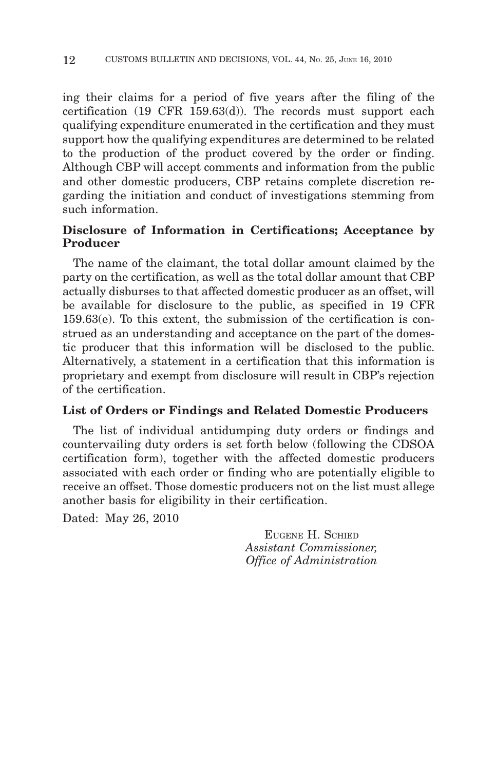ing their claims for a period of five years after the filing of the certification (19 CFR 159.63(d)). The records must support each qualifying expenditure enumerated in the certification and they must support how the qualifying expenditures are determined to be related to the production of the product covered by the order or finding. Although CBP will accept comments and information from the public and other domestic producers, CBP retains complete discretion regarding the initiation and conduct of investigations stemming from such information.

# **Disclosure of Information in Certifications; Acceptance by Producer**

The name of the claimant, the total dollar amount claimed by the party on the certification, as well as the total dollar amount that CBP actually disburses to that affected domestic producer as an offset, will be available for disclosure to the public, as specified in 19 CFR 159.63(e). To this extent, the submission of the certification is construed as an understanding and acceptance on the part of the domestic producer that this information will be disclosed to the public. Alternatively, a statement in a certification that this information is proprietary and exempt from disclosure will result in CBP's rejection of the certification.

# **List of Orders or Findings and Related Domestic Producers**

The list of individual antidumping duty orders or findings and countervailing duty orders is set forth below (following the CDSOA certification form), together with the affected domestic producers associated with each order or finding who are potentially eligible to receive an offset. Those domestic producers not on the list must allege another basis for eligibility in their certification.

Dated: May 26, 2010

EUGENE H. SCHIED *Assistant Commissioner, Office of Administration*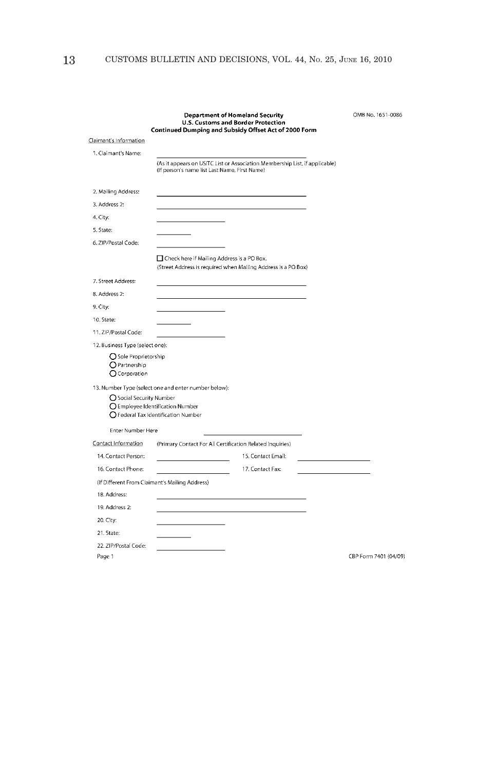|                                                             | <b>Department of Homeland Security</b><br>U.S. Customs and Border Protection<br>Continued Dumping and Subsidy Offset Act of 2000 Form |                    | OMB No. 1651-0086     |
|-------------------------------------------------------------|---------------------------------------------------------------------------------------------------------------------------------------|--------------------|-----------------------|
| Claimant's Information                                      |                                                                                                                                       |                    |                       |
| 1. Claimant's Name:                                         |                                                                                                                                       |                    |                       |
|                                                             | (As it appears on USITC List or Association Membership List, if applicable)<br>(If person's name list Last Name, First Name)          |                    |                       |
| 2. Mailing Address:                                         |                                                                                                                                       |                    |                       |
| 3. Address 2:                                               |                                                                                                                                       |                    |                       |
| 4. City:                                                    |                                                                                                                                       |                    |                       |
| 5. State:                                                   |                                                                                                                                       |                    |                       |
| 6. ZIP/Postal Code:                                         |                                                                                                                                       |                    |                       |
|                                                             | □ Check here if Mailing Address is a PO Box.<br>(Street Address is required when Mailing Address is a PO Box)                         |                    |                       |
| 7. Street Address:                                          |                                                                                                                                       |                    |                       |
| 8. Address 2:                                               |                                                                                                                                       |                    |                       |
| 9. City:                                                    |                                                                                                                                       |                    |                       |
| 10. State:                                                  |                                                                                                                                       |                    |                       |
| 11. ZIP/Postal Code:                                        |                                                                                                                                       |                    |                       |
| 12. Business Type (select one):                             |                                                                                                                                       |                    |                       |
| ○ Sole Proprietorship<br>$Q$ Partnership<br>$O$ Corporation |                                                                                                                                       |                    |                       |
| ○ Social Security Number                                    | 13. Number Type (select one and enter number below):<br>O Employee Identification Number<br>○ Federal Tax Identification Number       |                    |                       |
| Enter Number Here                                           |                                                                                                                                       |                    |                       |
| Contact Information                                         | (Primary Contact For All Certification Related Inquiries)                                                                             |                    |                       |
| 14. Contact Person:                                         |                                                                                                                                       | 15. Contact Email: |                       |
| 16. Contact Phone:                                          | the control of the control of the control                                                                                             | 17. Contact Fax:   |                       |
|                                                             | (If Different From Claimant's Mailing Address)                                                                                        |                    |                       |
| 18. Address:                                                |                                                                                                                                       |                    |                       |
| 19. Address 2:                                              |                                                                                                                                       |                    |                       |
| 20. City:                                                   |                                                                                                                                       |                    |                       |
| 21. State:                                                  |                                                                                                                                       |                    |                       |
| 22. ZIP/Postal Code:                                        |                                                                                                                                       |                    |                       |
| Page 1                                                      |                                                                                                                                       |                    | CBP Form 7401 (04/09) |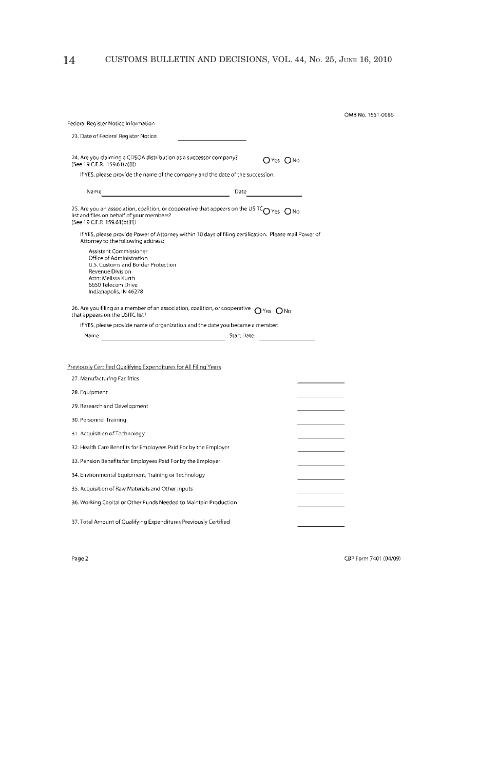| Federal Register Notice Information                                                                                                                                                                                                    | OMB No. 1651-0086 |
|----------------------------------------------------------------------------------------------------------------------------------------------------------------------------------------------------------------------------------------|-------------------|
| 23. Date of Federal Register Notice:                                                                                                                                                                                                   |                   |
|                                                                                                                                                                                                                                        |                   |
| 24. Are you claiming a CDSOA distribution as a successor company?<br>(See 19 C.F.R. 159.61(b)(i))                                                                                                                                      | OYes ONo          |
| If YES, please provide the name of the company and the date of the succession:                                                                                                                                                         |                   |
| Name with a state of the contract of the contract of the contract of the contract of the contract of the contract of the contract of the contract of the contract of the contract of the contract of the contract of the contr<br>Date |                   |
| 25. Are you an association, coalition, or cooperative that appears on the USITC $_{\text{O}}$ Yes $_{\text{O}}$ No<br>list and files on behalf of your members?<br>(See 19 C.F.R 159.61(b)(ii))                                        |                   |
| If YES, please provide Power of Attorney within 10 days of filing certification. Please mail Power of<br>Attorney to the following address:                                                                                            |                   |
| Assistant Commissioner<br>Office of Administration<br>U.S. Customs and Border Protection<br>Revenue Division<br>Attn: Melissa Kurth<br>6650 Telecom Drive<br>Indianapolis, IN 46278                                                    |                   |
| 26. Are you filing as a member of an association, coalition, or cooperative $\bigcirc$ Yes $\bigcirc$ No<br>that appears on the USITC list?                                                                                            |                   |
| If YES, please provide name of organization and the date you became a member:                                                                                                                                                          |                   |
|                                                                                                                                                                                                                                        |                   |
|                                                                                                                                                                                                                                        |                   |
| Previously Certified Qualifying Expenditures for All Filing Years                                                                                                                                                                      |                   |
| 27. Manufacturing Facilities                                                                                                                                                                                                           |                   |
| 28. Equipment                                                                                                                                                                                                                          |                   |
| 29. Research and Development                                                                                                                                                                                                           |                   |
| 30. Personnel Training                                                                                                                                                                                                                 |                   |
| 31. Acquisition of Technology                                                                                                                                                                                                          |                   |
| 32. Health Care Benefits for Employees Paid For by the Employer                                                                                                                                                                        |                   |
| 33. Pension Benefits for Employees Paid For by the Employer                                                                                                                                                                            |                   |
| 34. Environmental Equipment, Training or Technology                                                                                                                                                                                    |                   |
| 35. Acquisition of Raw Materials and Other Inputs                                                                                                                                                                                      |                   |
| 36. Working Capital or Other Funds Needed to Maintain Production                                                                                                                                                                       |                   |
| 37. Total Amount of Qualifying Expenditures Previously Certified                                                                                                                                                                       |                   |

Page 2

CBP Form 7401 (04/09)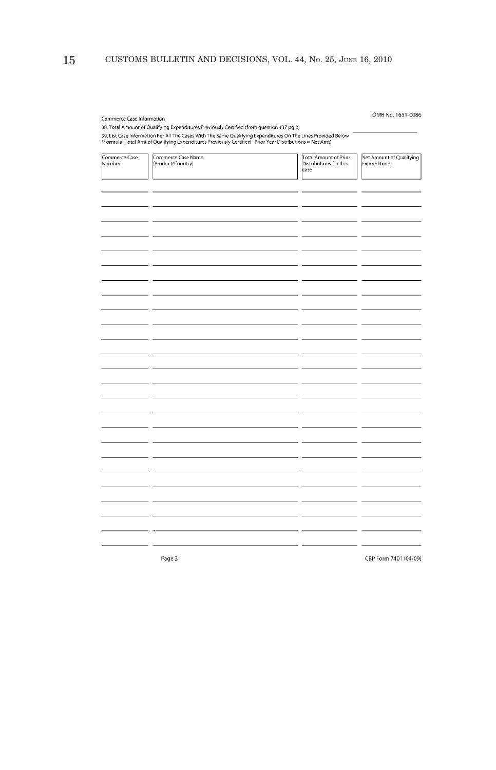# 15 CUSTOMS BULLETIN AND DECISIONS, VOL. 44, No. 25, JUNE 16, 2010

| Commerce Case Information | 38. Total Amount of Qualifying Expenditures Previously Certified (from question #37 pg 2)<br>39. List Case Information For All The Cases With The Same Qualifying Expenditures On The Lines Provided Below<br>*Formula (Total Amt of Qualifying Expenditures Previously Certified - Prior Year Distributions = Net Amt) |                                                         | OMB No. 1651-0086                        |
|---------------------------|-------------------------------------------------------------------------------------------------------------------------------------------------------------------------------------------------------------------------------------------------------------------------------------------------------------------------|---------------------------------------------------------|------------------------------------------|
| Commerce Case<br>Number   | Commerce Case Name<br>(Product/Country)                                                                                                                                                                                                                                                                                 | Total Amount of Prior<br>Distributions for this<br>case | Net Amount of Qualifying<br>Expenditures |
|                           |                                                                                                                                                                                                                                                                                                                         |                                                         |                                          |
|                           |                                                                                                                                                                                                                                                                                                                         |                                                         |                                          |
|                           |                                                                                                                                                                                                                                                                                                                         |                                                         |                                          |
|                           |                                                                                                                                                                                                                                                                                                                         |                                                         |                                          |
|                           |                                                                                                                                                                                                                                                                                                                         |                                                         |                                          |
|                           |                                                                                                                                                                                                                                                                                                                         |                                                         |                                          |
|                           |                                                                                                                                                                                                                                                                                                                         |                                                         |                                          |
|                           |                                                                                                                                                                                                                                                                                                                         |                                                         |                                          |
|                           |                                                                                                                                                                                                                                                                                                                         |                                                         |                                          |
|                           |                                                                                                                                                                                                                                                                                                                         |                                                         |                                          |
|                           |                                                                                                                                                                                                                                                                                                                         |                                                         |                                          |
|                           | Page 3                                                                                                                                                                                                                                                                                                                  |                                                         | CBP Form 7401 (04/09)                    |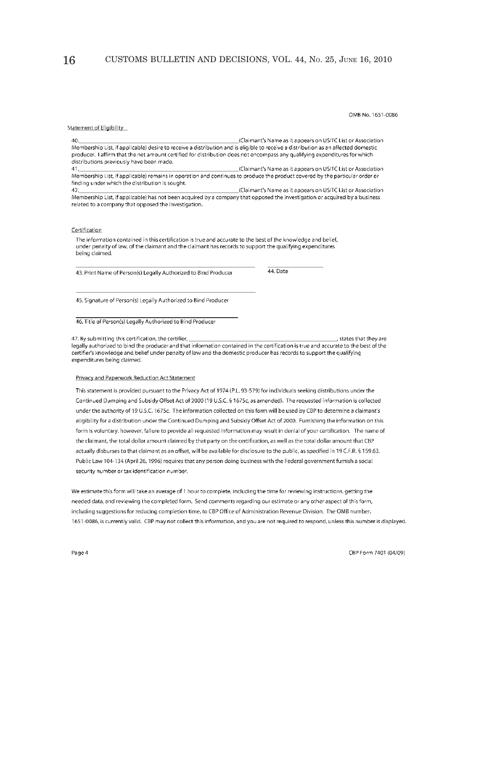OMB No. 1651-0086

#### Statement of Eligibility

 $\overline{40}$ 

(Claimant's Name as it appears on USITC List or Association Membership List, if applicable) desire to receive a distribution and is eligible to receive a distribution as an affected domestic producer. I affirm that the net amount certified for distribution does not encompass any qualifying expenditures for which distributions previously have been made.

(Claimant's Name as it appears on USITC List or Association  $\overline{A}$ Membership List, if applicable) remains in operation and continues to produce the product covered by the particular order or finding under which the distribution is sought.

(Claimant's Name as it appears on USITC List or Association 42 Membership List, if applicable) has not been acquired by a company that opposed the investigation or acquired by a business related to a company that opposed the investigation.

#### Certification

The information contained in this certification is true and accurate to the best of the knowledge and belief, under penalty of law, of the claimant and the claimant has records to support the qualifying expenditures being claimed.

43. Print Name of Person(s) Legally Authorized to Bind Producer

44. Date

45. Signature of Person(s) Legally Authorized to Bind Producer

46. Title of Person(s) Legally Authorized to Bind Producer

states that they are 47. By submitting this certification, the certifier, legally authorized to bind the producer and that information contained in the certification is true and accurate to the best of the certification is true and accurate to the best of the certifier's knowledge and belief und expenditures being claimed.

#### Privacy and Paperwork Reduction Act Statement

This statement is provided pursuant to the Privacy Act of 1974 (P.L. 93-579) for individuals seeking distributions under the Continued Dumping and Subsidy Offset Act of 2000 (19 U.S.C. § 1675c, as amended). The requested information is collected under the authority of 19 U.S.C. 1675c. The information collected on this form will be used by CBP to determine a claimant's eligibility for a distribution under the Continued Dumping and Subsidy Offset Act of 2000. Furnishing the information on this form is voluntary, however, failure to provide all requested information may result in denial of your certification. The name of the claimant, the total dollar amount claimed by that party on the certification, as well as the total dollar amount that CBP actually disburses to that claimant as an offset, will be available for disclosure to the public, as specified in 19 C.F.R. § 159.63. Public Law 104-134 (April 26, 1996) requires that any person doing business with the Federal government furnish a social security number or tax identification number.

We estimate this form will take an average of 1 hour to complete, including the time for reviewing instructions, getting the needed data, and reviewing the completed form. Send comments regarding our estimate or any other aspect of this form, including suggestions for reducing completion time, to CBP Office of Administration Revenue Division. The OMB number, 1651-0086, is currently valid. CBP may not collect this information, and you are not required to respond, unless this number is displayed.

Page 4

CBP Form 7401 (04/09)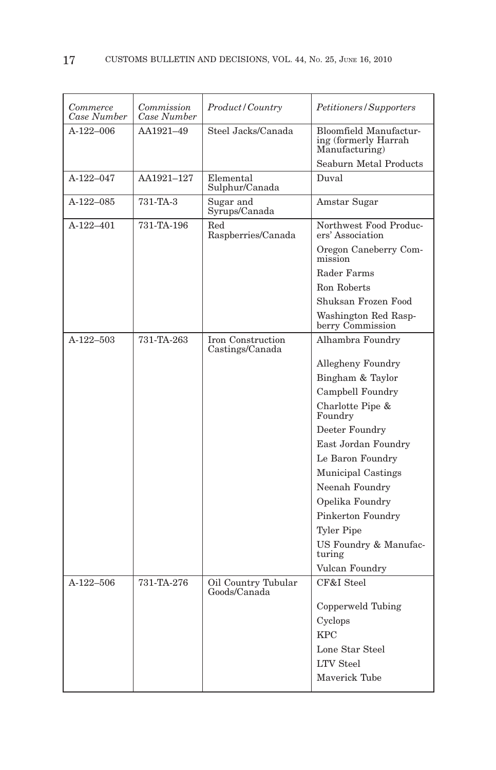| Commerce<br>Case Number | Commission<br>Case Number | Product/Country                      | Petitioners/Supporters                                           |
|-------------------------|---------------------------|--------------------------------------|------------------------------------------------------------------|
| $A-122-006$             | AA1921-49                 | Steel Jacks/Canada                   | Bloomfield Manufactur-<br>ing (formerly Harrah<br>Manufacturing) |
|                         |                           |                                      | Seaburn Metal Products                                           |
| $A-122-047$             | AA1921-127                | Elemental<br>Sulphur/Canada          | Duval                                                            |
| $A-122-085$             | 731-TA-3                  | Sugar and<br>Syrups/Canada           | Amstar Sugar                                                     |
| $A-122-401$             | 731-TA-196                | Red<br>Raspberries/Canada            | Northwest Food Produc-<br>ers' Association                       |
|                         |                           |                                      | Oregon Caneberry Com-<br>mission                                 |
|                         |                           |                                      | Rader Farms                                                      |
|                         |                           |                                      | Ron Roberts                                                      |
|                         |                           |                                      | Shuksan Frozen Food                                              |
|                         |                           |                                      | Washington Red Rasp-<br>berry Commission                         |
| $A-122-503$             | 731-TA-263                | Iron Construction<br>Castings/Canada | Alhambra Foundry                                                 |
|                         |                           |                                      | Allegheny Foundry                                                |
|                         |                           |                                      | Bingham & Taylor                                                 |
|                         |                           |                                      | Campbell Foundry                                                 |
|                         |                           |                                      | Charlotte Pipe &<br>Foundry                                      |
|                         |                           |                                      | Deeter Foundry                                                   |
|                         |                           |                                      | East Jordan Foundry                                              |
|                         |                           |                                      | Le Baron Foundry                                                 |
|                         |                           |                                      | Municipal Castings                                               |
|                         |                           |                                      | Neenah Foundry                                                   |
|                         |                           |                                      | Opelika Foundry                                                  |
|                         |                           |                                      | Pinkerton Foundry                                                |
|                         |                           |                                      | Tyler Pipe                                                       |
|                         |                           |                                      | US Foundry & Manufac-<br>turing                                  |
|                         |                           |                                      | Vulcan Foundry                                                   |
| $A-122-506$             | 731-TA-276                | Oil Country Tubular<br>Goods/Canada  | CF&I Steel                                                       |
|                         |                           |                                      | Copperweld Tubing                                                |
|                         |                           |                                      | Cyclops                                                          |
|                         |                           |                                      | <b>KPC</b>                                                       |
|                         |                           |                                      | Lone Star Steel                                                  |
|                         |                           |                                      | <b>LTV</b> Steel                                                 |
|                         |                           |                                      | Maverick Tube                                                    |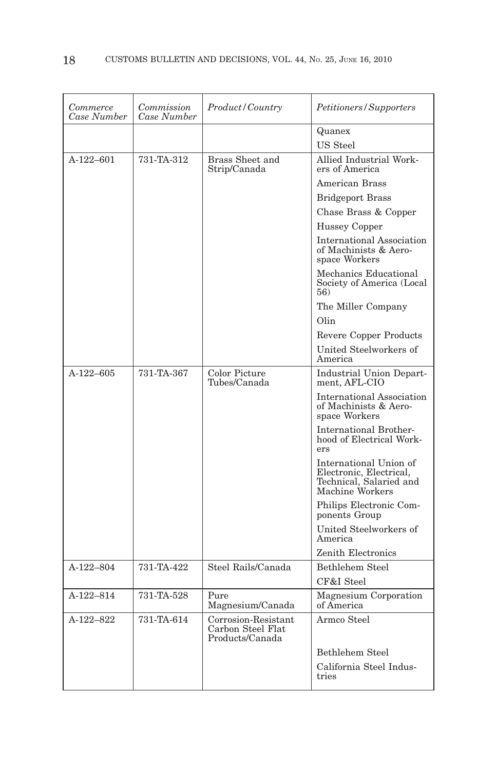| Commerce<br>Case Number | Commission<br>Case Number | Product/Country                                             | Petitioners/Supporters                                                                          |
|-------------------------|---------------------------|-------------------------------------------------------------|-------------------------------------------------------------------------------------------------|
|                         |                           |                                                             | Quanex                                                                                          |
|                         |                           |                                                             | US Steel                                                                                        |
| A-122-601               | 731-TA-312                | <b>Brass Sheet and</b><br>Strip/Canada                      | Allied Industrial Work-<br>ers of America                                                       |
|                         |                           |                                                             | <b>American Brass</b>                                                                           |
|                         |                           |                                                             | <b>Bridgeport Brass</b>                                                                         |
|                         |                           |                                                             | Chase Brass & Copper                                                                            |
|                         |                           |                                                             | <b>Hussey Copper</b>                                                                            |
|                         |                           |                                                             | <b>International Association</b><br>of Machinists & Aero-<br>space Workers                      |
|                         |                           |                                                             | Mechanics Educational<br>Society of America (Local<br>56)                                       |
|                         |                           |                                                             | The Miller Company                                                                              |
|                         |                           |                                                             | Olin                                                                                            |
|                         |                           |                                                             | <b>Revere Copper Products</b>                                                                   |
|                         |                           |                                                             | United Steelworkers of<br>America                                                               |
| A-122-605               | 731-TA-367                | Color Picture<br>Tubes/Canada                               | Industrial Union Depart-<br>ment, AFL-CIO                                                       |
|                         |                           |                                                             | International Association<br>of Machinists & Aero-<br>space Workers                             |
|                         |                           |                                                             | <b>International Brother-</b><br>hood of Electrical Work-<br>ers                                |
|                         |                           |                                                             | International Union of<br>Electronic, Electrical,<br>Technical, Salaried and<br>Machine Workers |
|                         |                           |                                                             | Philips Electronic Com-<br>ponents Group                                                        |
|                         |                           |                                                             | United Steelworkers of<br>America                                                               |
|                         |                           |                                                             | Zenith Electronics                                                                              |
| A-122-804               | 731-TA-422                | Steel Rails/Canada                                          | Bethlehem Steel                                                                                 |
|                         |                           |                                                             | CF&I Steel                                                                                      |
| A-122-814               | 731-TA-528                | Pure<br>Magnesium/Canada                                    | Magnesium Corporation<br>of America                                                             |
| A-122-822               | 731-TA-614                | Corrosion-Resistant<br>Carbon Steel Flat<br>Products/Canada | Armco Steel                                                                                     |
|                         |                           |                                                             | <b>Bethlehem Steel</b>                                                                          |
|                         |                           |                                                             | California Steel Indus-<br>tries                                                                |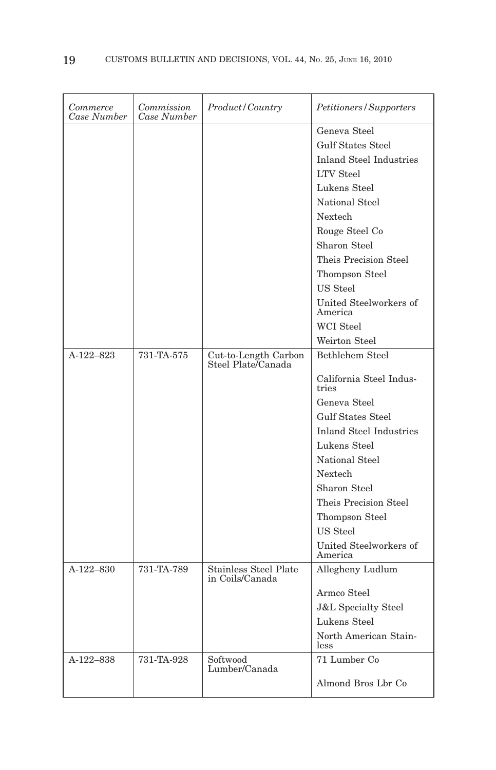| Commerce<br>Case Number | Commission<br>Case Number | Product/Country                            | <i>Petitioners/Supporters</i>     |
|-------------------------|---------------------------|--------------------------------------------|-----------------------------------|
|                         |                           |                                            | Geneva Steel                      |
|                         |                           |                                            | <b>Gulf States Steel</b>          |
|                         |                           |                                            | <b>Inland Steel Industries</b>    |
|                         |                           |                                            | <b>LTV</b> Steel                  |
|                         |                           |                                            | Lukens Steel                      |
|                         |                           |                                            | National Steel                    |
|                         |                           |                                            | Nextech                           |
|                         |                           |                                            | Rouge Steel Co                    |
|                         |                           |                                            | Sharon Steel                      |
|                         |                           |                                            | Theis Precision Steel             |
|                         |                           |                                            | Thompson Steel                    |
|                         |                           |                                            | US Steel                          |
|                         |                           |                                            | United Steelworkers of<br>America |
|                         |                           |                                            | WCI Steel                         |
|                         |                           |                                            | Weirton Steel                     |
| A-122-823               | 731-TA-575                | Cut-to-Length Carbon<br>Steel Plate/Canada | Bethlehem Steel                   |
|                         |                           |                                            | California Steel Indus-<br>tries  |
|                         |                           |                                            | Geneva Steel                      |
|                         |                           |                                            | <b>Gulf States Steel</b>          |
|                         |                           |                                            | <b>Inland Steel Industries</b>    |
|                         |                           |                                            | Lukens Steel                      |
|                         |                           |                                            | National Steel                    |
|                         |                           |                                            | Nextech                           |
|                         |                           |                                            | Sharon Steel                      |
|                         |                           |                                            | Theis Precision Steel             |
|                         |                           |                                            | Thompson Steel                    |
|                         |                           |                                            | US Steel                          |
|                         |                           |                                            | United Steelworkers of<br>America |
| $A-122-830$             | 731-TA-789                | Stainless Steel Plate<br>in Coils/Canada   | Allegheny Ludlum                  |
|                         |                           |                                            | Armco Steel                       |
|                         |                           |                                            | <b>J&amp;L</b> Specialty Steel    |
|                         |                           |                                            | Lukens Steel                      |
|                         |                           |                                            | North American Stain-<br>less     |
| A-122-838               | 731-TA-928                | Softwood<br>Lumber/Canada                  | 71 Lumber Co                      |
|                         |                           |                                            | Almond Bros Lbr Co                |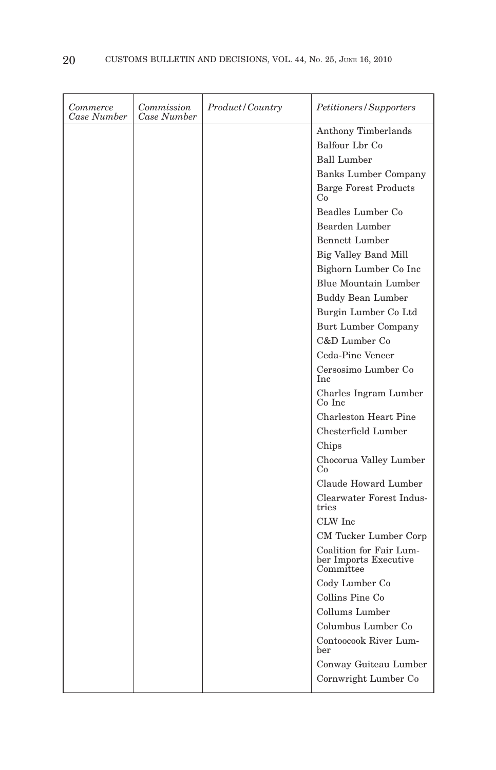| Commerce<br>Case Number | Commission<br>Case Number | <i>Product</i> / Country | <i>Petitioners/Supporters</i>                                 |
|-------------------------|---------------------------|--------------------------|---------------------------------------------------------------|
|                         |                           |                          | Anthony Timberlands                                           |
|                         |                           |                          | Balfour Lbr Co                                                |
|                         |                           |                          | <b>Ball Lumber</b>                                            |
|                         |                           |                          | <b>Banks Lumber Company</b>                                   |
|                         |                           |                          | <b>Barge Forest Products</b><br>Co                            |
|                         |                           |                          | Beadles Lumber Co                                             |
|                         |                           |                          | Bearden Lumber                                                |
|                         |                           |                          | <b>Bennett Lumber</b>                                         |
|                         |                           |                          | Big Valley Band Mill                                          |
|                         |                           |                          | Bighorn Lumber Co Inc                                         |
|                         |                           |                          | Blue Mountain Lumber                                          |
|                         |                           |                          | <b>Buddy Bean Lumber</b>                                      |
|                         |                           |                          | Burgin Lumber Co Ltd                                          |
|                         |                           |                          | Burt Lumber Company                                           |
|                         |                           |                          | C&D Lumber Co                                                 |
|                         |                           |                          | Ceda-Pine Veneer                                              |
|                         |                           |                          | Cersosimo Lumber Co<br><b>Inc</b>                             |
|                         |                           |                          | Charles Ingram Lumber<br>Co Inc                               |
|                         |                           |                          | <b>Charleston Heart Pine</b>                                  |
|                         |                           |                          | Chesterfield Lumber                                           |
|                         |                           |                          | Chips                                                         |
|                         |                           |                          | Chocorua Valley Lumber<br>Co                                  |
|                         |                           |                          | Claude Howard Lumber                                          |
|                         |                           |                          | Clearwater Forest Indus-<br>tries                             |
|                         |                           |                          | CLW Inc                                                       |
|                         |                           |                          | CM Tucker Lumber Corp                                         |
|                         |                           |                          | Coalition for Fair Lum-<br>ber Imports Executive<br>Committee |
|                         |                           |                          | Cody Lumber Co                                                |
|                         |                           |                          | Collins Pine Co                                               |
|                         |                           |                          | Collums Lumber                                                |
|                         |                           |                          | Columbus Lumber Co                                            |
|                         |                           |                          | Contoocook River Lum-<br>ber                                  |
|                         |                           |                          | Conway Guiteau Lumber                                         |
|                         |                           |                          | Cornwright Lumber Co                                          |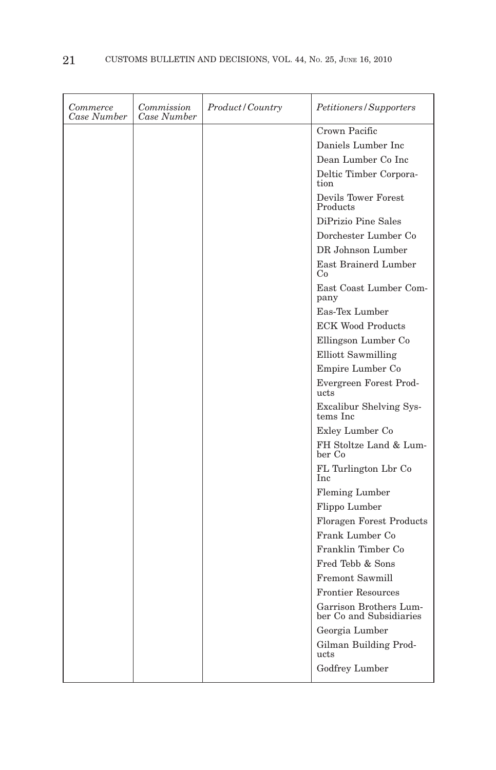| Commerce<br>Case Number | Commission<br>Case Number | Product/Country | Petitioners/Supporters                            |
|-------------------------|---------------------------|-----------------|---------------------------------------------------|
|                         |                           |                 | Crown Pacific                                     |
|                         |                           |                 | Daniels Lumber Inc.                               |
|                         |                           |                 | Dean Lumber Co Inc                                |
|                         |                           |                 | Deltic Timber Corpora-<br>tion                    |
|                         |                           |                 | Devils Tower Forest<br>Products                   |
|                         |                           |                 | DiPrizio Pine Sales                               |
|                         |                           |                 | Dorchester Lumber Co                              |
|                         |                           |                 | DR Johnson Lumber                                 |
|                         |                           |                 | East Brainerd Lumber<br>Co                        |
|                         |                           |                 | East Coast Lumber Com-<br>pany                    |
|                         |                           |                 | Eas-Tex Lumber                                    |
|                         |                           |                 | <b>ECK Wood Products</b>                          |
|                         |                           |                 | Ellingson Lumber Co                               |
|                         |                           |                 | Elliott Sawmilling                                |
|                         |                           |                 | Empire Lumber Co                                  |
|                         |                           |                 | Evergreen Forest Prod-<br>ucts                    |
|                         |                           |                 | Excalibur Shelving Sys-<br>tems Inc               |
|                         |                           |                 | Exley Lumber Co                                   |
|                         |                           |                 | FH Stoltze Land & Lum-<br>ber Co                  |
|                         |                           |                 | FL Turlington Lbr Co<br>Inc                       |
|                         |                           |                 | Fleming Lumber                                    |
|                         |                           |                 | Flippo Lumber                                     |
|                         |                           |                 | <b>Floragen Forest Products</b>                   |
|                         |                           |                 | Frank Lumber Co.                                  |
|                         |                           |                 | Franklin Timber Co                                |
|                         |                           |                 | Fred Tebb & Sons                                  |
|                         |                           |                 | <b>Fremont Sawmill</b>                            |
|                         |                           |                 | <b>Frontier Resources</b>                         |
|                         |                           |                 | Garrison Brothers Lum-<br>ber Co and Subsidiaries |
|                         |                           |                 | Georgia Lumber                                    |
|                         |                           |                 | Gilman Building Prod-<br>ucts                     |
|                         |                           |                 | Godfrey Lumber                                    |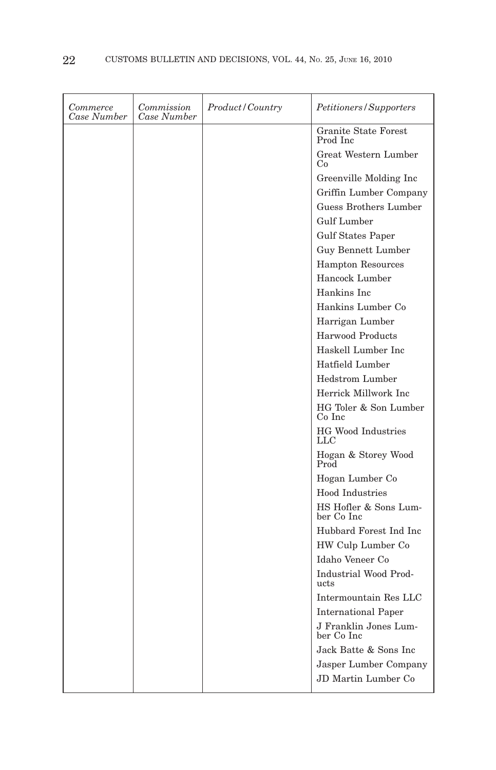| Commerce<br>Case Number | Commission<br>Case Number | <i>Product/Country</i> | Petitioners/Supporters              |
|-------------------------|---------------------------|------------------------|-------------------------------------|
|                         |                           |                        | Granite State Forest<br>Prod Inc.   |
|                         |                           |                        | Great Western Lumber<br>Co          |
|                         |                           |                        | Greenville Molding Inc              |
|                         |                           |                        | Griffin Lumber Company              |
|                         |                           |                        | Guess Brothers Lumber               |
|                         |                           |                        | <b>Gulf Lumber</b>                  |
|                         |                           |                        | <b>Gulf States Paper</b>            |
|                         |                           |                        | Guy Bennett Lumber                  |
|                         |                           |                        | <b>Hampton Resources</b>            |
|                         |                           |                        | Hancock Lumber                      |
|                         |                           |                        | Hankins Inc.                        |
|                         |                           |                        | Hankins Lumber Co                   |
|                         |                           |                        | Harrigan Lumber                     |
|                         |                           |                        | <b>Harwood Products</b>             |
|                         |                           |                        | Haskell Lumber Inc                  |
|                         |                           |                        | Hatfield Lumber                     |
|                         |                           |                        | <b>Hedstrom</b> Lumber              |
|                         |                           |                        | Herrick Millwork Inc.               |
|                         |                           |                        | HG Toler & Son Lumber<br>Co Inc     |
|                         |                           |                        | <b>HG Wood Industries</b><br>LLC    |
|                         |                           |                        | Hogan & Storey Wood<br>Prod         |
|                         |                           |                        | Hogan Lumber Co                     |
|                         |                           |                        | Hood Industries                     |
|                         |                           |                        | HS Hofler & Sons Lum-<br>ber Co Inc |
|                         |                           |                        | Hubbard Forest Ind Inc              |
|                         |                           |                        | HW Culp Lumber Co                   |
|                         |                           |                        | Idaho Veneer Co                     |
|                         |                           |                        | Industrial Wood Prod-<br>ucts       |
|                         |                           |                        | Intermountain Res LLC               |
|                         |                           |                        | <b>International Paper</b>          |
|                         |                           |                        | J Franklin Jones Lum-<br>ber Co Inc |
|                         |                           |                        | Jack Batte & Sons Inc               |
|                         |                           |                        | Jasper Lumber Company               |
|                         |                           |                        | JD Martin Lumber Co.                |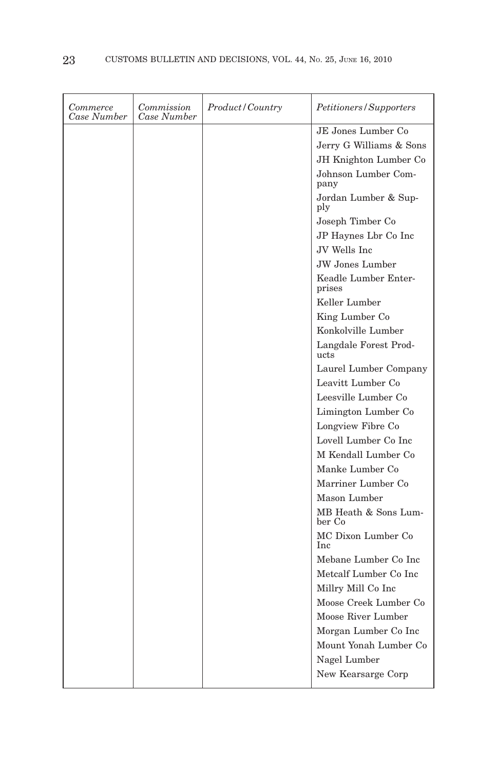| JE Jones Lumber Co.<br>Jerry G Williams & Sons<br>JH Knighton Lumber Co |
|-------------------------------------------------------------------------|
|                                                                         |
|                                                                         |
|                                                                         |
| Johnson Lumber Com-<br>pany                                             |
| Jordan Lumber & Sup-<br>ply                                             |
| Joseph Timber Co                                                        |
| JP Haynes Lbr Co Inc                                                    |
| JV Wells Inc                                                            |
| <b>JW</b> Jones Lumber                                                  |
| Keadle Lumber Enter-<br>prises                                          |
| Keller Lumber                                                           |
| King Lumber Co                                                          |
| Konkolville Lumber                                                      |
| Langdale Forest Prod-<br>ucts                                           |
| Laurel Lumber Company                                                   |
| Leavitt Lumber Co                                                       |
| Leesville Lumber Co                                                     |
| Limington Lumber Co                                                     |
| Longview Fibre Co                                                       |
| Lovell Lumber Co Inc                                                    |
| M Kendall Lumber Co                                                     |
| Manke Lumber Co                                                         |
| Marriner Lumber Co                                                      |
| Mason Lumber                                                            |
| MB Heath & Sons Lum-<br>ber Co                                          |
| MC Dixon Lumber Co<br><b>Inc</b>                                        |
| Mebane Lumber Co Inc                                                    |
| Metcalf Lumber Co Inc                                                   |
| Millry Mill Co Inc                                                      |
| Moose Creek Lumber Co                                                   |
| Moose River Lumber                                                      |
| Morgan Lumber Co Inc                                                    |
| Mount Yonah Lumber Co                                                   |
| Nagel Lumber                                                            |
| New Kearsarge Corp                                                      |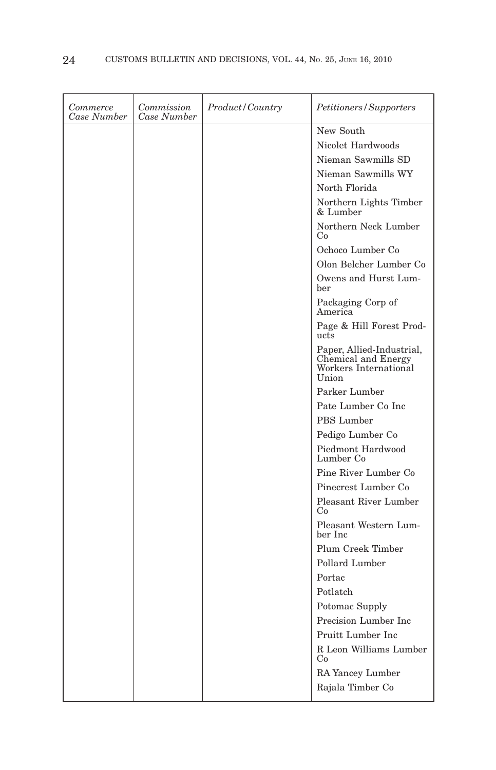| Commerce<br>Case Number | Commission<br>Case Number | <i>Product</i> / Country | <i>Petitioners/Supporters</i>                                                      |
|-------------------------|---------------------------|--------------------------|------------------------------------------------------------------------------------|
|                         |                           |                          | New South                                                                          |
|                         |                           |                          | Nicolet Hardwoods                                                                  |
|                         |                           |                          | Nieman Sawmills SD                                                                 |
|                         |                           |                          | Nieman Sawmills WY                                                                 |
|                         |                           |                          | North Florida                                                                      |
|                         |                           |                          | Northern Lights Timber<br>& Lumber                                                 |
|                         |                           |                          | Northern Neck Lumber<br>Co                                                         |
|                         |                           |                          | Ochoco Lumber Co                                                                   |
|                         |                           |                          | Olon Belcher Lumber Co                                                             |
|                         |                           |                          | Owens and Hurst Lum-<br>ber                                                        |
|                         |                           |                          | Packaging Corp of<br>America                                                       |
|                         |                           |                          | Page & Hill Forest Prod-<br>ucts                                                   |
|                         |                           |                          | Paper, Allied-Industrial,<br>Chemical and Energy<br>Workers International<br>Union |
|                         |                           |                          | Parker Lumber                                                                      |
|                         |                           |                          | Pate Lumber Co Inc                                                                 |
|                         |                           |                          | PBS Lumber                                                                         |
|                         |                           |                          | Pedigo Lumber Co                                                                   |
|                         |                           |                          | Piedmont Hardwood<br>Lumber Co                                                     |
|                         |                           |                          | Pine River Lumber Co                                                               |
|                         |                           |                          | Pinecrest Lumber Co.                                                               |
|                         |                           |                          | <b>Pleasant River Lumber</b><br>Co                                                 |
|                         |                           |                          | Pleasant Western Lum-<br>ber Inc                                                   |
|                         |                           |                          | Plum Creek Timber                                                                  |
|                         |                           |                          | Pollard Lumber                                                                     |
|                         |                           |                          | Portac                                                                             |
|                         |                           |                          | Potlatch                                                                           |
|                         |                           |                          | Potomac Supply                                                                     |
|                         |                           |                          | Precision Lumber Inc.                                                              |
|                         |                           |                          | Pruitt Lumber Inc                                                                  |
|                         |                           |                          | R Leon Williams Lumber<br>Co                                                       |
|                         |                           |                          | RA Yancey Lumber                                                                   |
|                         |                           |                          | Rajala Timber Co                                                                   |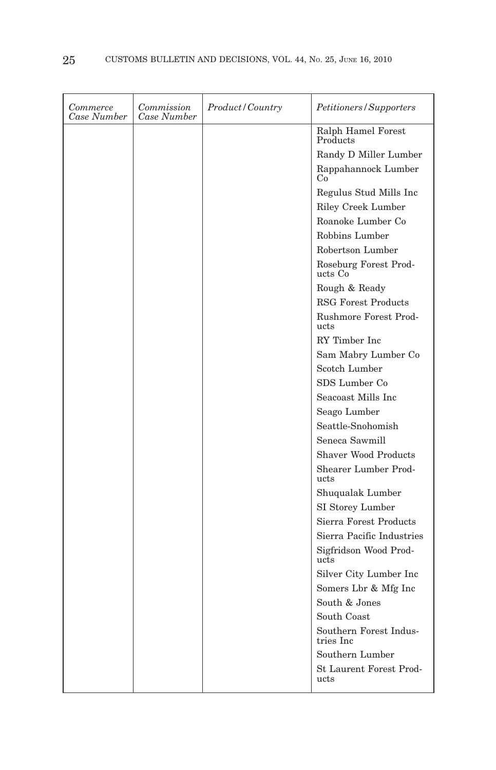| <i>Commerce</i><br>Case Number | Commission<br>Case Number | Product/Country | Petitioners/Supporters              |
|--------------------------------|---------------------------|-----------------|-------------------------------------|
|                                |                           |                 | Ralph Hamel Forest<br>Products      |
|                                |                           |                 | Randy D Miller Lumber               |
|                                |                           |                 | Rappahannock Lumber<br>Co           |
|                                |                           |                 | Regulus Stud Mills Inc              |
|                                |                           |                 | <b>Riley Creek Lumber</b>           |
|                                |                           |                 | Roanoke Lumber Co                   |
|                                |                           |                 | Robbins Lumber                      |
|                                |                           |                 | Robertson Lumber                    |
|                                |                           |                 | Roseburg Forest Prod-<br>ucts Co    |
|                                |                           |                 | Rough & Ready                       |
|                                |                           |                 | RSG Forest Products                 |
|                                |                           |                 | Rushmore Forest Prod-<br>ucts       |
|                                |                           |                 | RY Timber Inc                       |
|                                |                           |                 | Sam Mabry Lumber Co                 |
|                                |                           |                 | Scotch Lumber                       |
|                                |                           |                 | SDS Lumber Co                       |
|                                |                           |                 | Seacoast Mills Inc.                 |
|                                |                           |                 | Seago Lumber                        |
|                                |                           |                 | Seattle-Snohomish                   |
|                                |                           |                 | Seneca Sawmill                      |
|                                |                           |                 | <b>Shaver Wood Products</b>         |
|                                |                           |                 | Shearer Lumber Prod-<br>ucts        |
|                                |                           |                 | Shuqualak Lumber                    |
|                                |                           |                 | SI Storey Lumber                    |
|                                |                           |                 | Sierra Forest Products              |
|                                |                           |                 | Sierra Pacific Industries           |
|                                |                           |                 | Sigfridson Wood Prod-<br>ucts       |
|                                |                           |                 | Silver City Lumber Inc              |
|                                |                           |                 | Somers Lbr & Mfg Inc                |
|                                |                           |                 | South & Jones                       |
|                                |                           |                 | South Coast                         |
|                                |                           |                 | Southern Forest Indus-<br>tries Inc |
|                                |                           |                 | Southern Lumber                     |
|                                |                           |                 | St Laurent Forest Prod-<br>ucts     |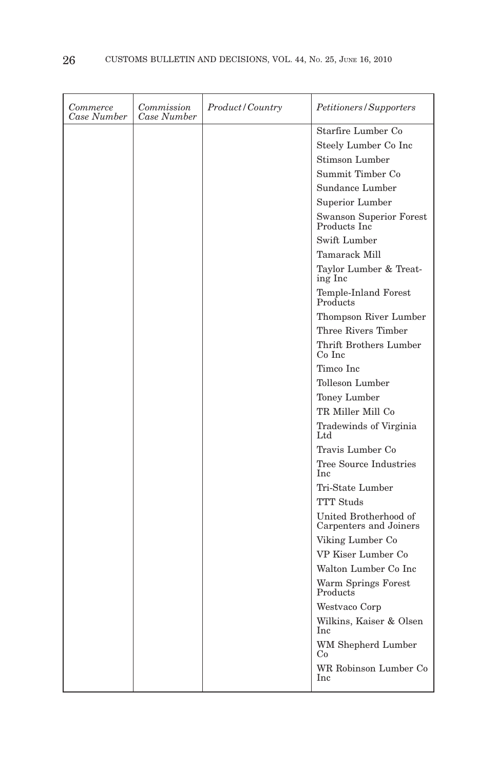| Commerce<br>Case Number | Commission<br>Case Number | <i>Product/Country</i> | <i>Petitioners/Supporters</i>                   |
|-------------------------|---------------------------|------------------------|-------------------------------------------------|
|                         |                           |                        | Starfire Lumber Co                              |
|                         |                           |                        | Steely Lumber Co Inc                            |
|                         |                           |                        | Stimson Lumber                                  |
|                         |                           |                        | Summit Timber Co                                |
|                         |                           |                        | Sundance Lumber                                 |
|                         |                           |                        | Superior Lumber                                 |
|                         |                           |                        | Swanson Superior Forest<br>Products Inc         |
|                         |                           |                        | Swift Lumber                                    |
|                         |                           |                        | Tamarack Mill                                   |
|                         |                           |                        | Taylor Lumber & Treat-<br>ing Inc               |
|                         |                           |                        | Temple-Inland Forest<br>Products                |
|                         |                           |                        | Thompson River Lumber                           |
|                         |                           |                        | Three Rivers Timber                             |
|                         |                           |                        | Thrift Brothers Lumber<br>Co Inc                |
|                         |                           |                        | Timco Inc                                       |
|                         |                           |                        | Tolleson Lumber                                 |
|                         |                           |                        | Toney Lumber                                    |
|                         |                           |                        | TR Miller Mill Co                               |
|                         |                           |                        | Tradewinds of Virginia<br>Ltd                   |
|                         |                           |                        | Travis Lumber Co                                |
|                         |                           |                        | Tree Source Industries<br>Inc                   |
|                         |                           |                        | Tri-State Lumber                                |
|                         |                           |                        | <b>TTT</b> Studs                                |
|                         |                           |                        | United Brotherhood of<br>Carpenters and Joiners |
|                         |                           |                        | Viking Lumber Co                                |
|                         |                           |                        | VP Kiser Lumber Co                              |
|                         |                           |                        | Walton Lumber Co Inc                            |
|                         |                           |                        | Warm Springs Forest<br>Products                 |
|                         |                           |                        | Westvaco Corp                                   |
|                         |                           |                        | Wilkins, Kaiser & Olsen<br>Inc                  |
|                         |                           |                        | WM Shepherd Lumber<br>Co                        |
|                         |                           |                        | WR Robinson Lumber Co<br>Inc                    |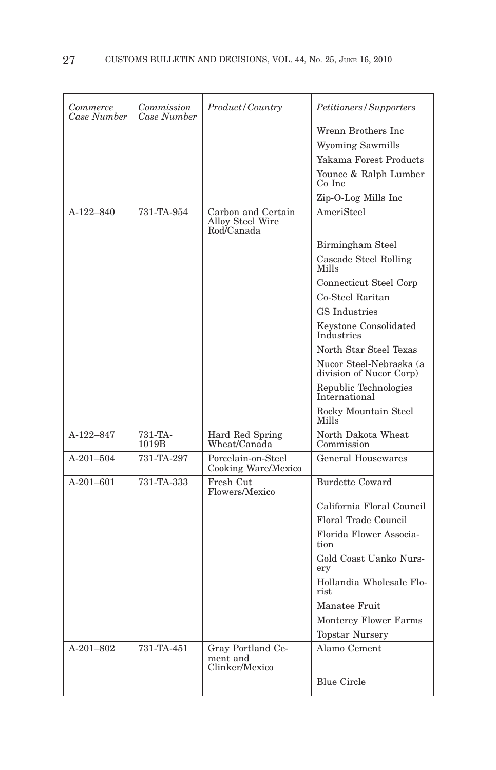| Commerce<br>Case Number | Commission<br>Case Number | Product/Country                                      | Petitioners/Supporters                             |
|-------------------------|---------------------------|------------------------------------------------------|----------------------------------------------------|
|                         |                           |                                                      | Wrenn Brothers Inc.                                |
|                         |                           |                                                      | <b>Wyoming Sawmills</b>                            |
|                         |                           |                                                      | Yakama Forest Products                             |
|                         |                           |                                                      | Younce & Ralph Lumber<br>Co Inc                    |
|                         |                           |                                                      | Zip-O-Log Mills Inc                                |
| $A-122-840$             | 731-TA-954                | Carbon and Certain<br>Alloy Steel Wire<br>Rod/Canada | AmeriSteel                                         |
|                         |                           |                                                      | Birmingham Steel                                   |
|                         |                           |                                                      | Cascade Steel Rolling<br>Mills                     |
|                         |                           |                                                      | Connecticut Steel Corp                             |
|                         |                           |                                                      | Co-Steel Raritan                                   |
|                         |                           |                                                      | <b>GS</b> Industries                               |
|                         |                           |                                                      | Keystone Consolidated<br>Industries                |
|                         |                           |                                                      | North Star Steel Texas                             |
|                         |                           |                                                      | Nucor Steel-Nebraska (a<br>division of Nucor Corp) |
|                         |                           |                                                      | Republic Technologies<br>International             |
|                         |                           |                                                      | Rocky Mountain Steel<br>Mills                      |
| A-122-847               | 731-TA-<br>1019B          | Hard Red Spring<br>Wheat/Canada                      | North Dakota Wheat<br>Commission                   |
| $A-201-504$             | 731-TA-297                | Porcelain-on-Steel<br>Cooking Ware/Mexico            | General Housewares                                 |
| A-201-601               | 731-TA-333                | Fresh Cut<br>Flowers/Mexico                          | <b>Burdette Coward</b>                             |
|                         |                           |                                                      | California Floral Council                          |
|                         |                           |                                                      | Floral Trade Council                               |
|                         |                           |                                                      | Florida Flower Associa-<br>tion                    |
|                         |                           |                                                      | Gold Coast Uanko Nurs-<br>erv                      |
|                         |                           |                                                      | Hollandia Wholesale Flo-<br>rist.                  |
|                         |                           |                                                      | Manatee Fruit                                      |
|                         |                           |                                                      | <b>Monterey Flower Farms</b>                       |
|                         |                           |                                                      | <b>Topstar Nursery</b>                             |
| $A-201-802$             | 731-TA-451                | Gray Portland Ce-<br>ment and                        | Alamo Cement                                       |
|                         |                           | Clinker/Mexico                                       |                                                    |
|                         |                           |                                                      | <b>Blue Circle</b>                                 |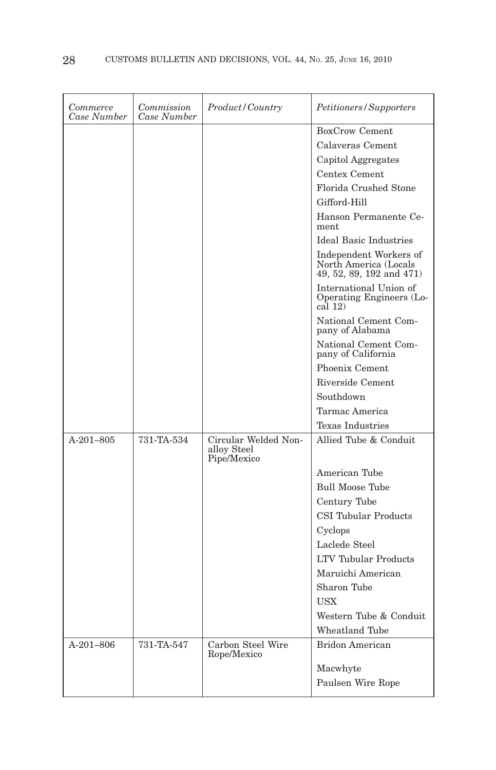| Commerce<br>Case Number | Commission<br>Case Number | Product/Country                                    | Petitioners/Supporters                                                      |
|-------------------------|---------------------------|----------------------------------------------------|-----------------------------------------------------------------------------|
|                         |                           |                                                    | <b>BoxCrow Cement</b>                                                       |
|                         |                           |                                                    | Calaveras Cement                                                            |
|                         |                           |                                                    | Capitol Aggregates                                                          |
|                         |                           |                                                    | Centex Cement                                                               |
|                         |                           |                                                    | Florida Crushed Stone                                                       |
|                         |                           |                                                    | Gifford-Hill                                                                |
|                         |                           |                                                    | Hanson Permanente Ce-<br>ment                                               |
|                         |                           |                                                    | <b>Ideal Basic Industries</b>                                               |
|                         |                           |                                                    | Independent Workers of<br>North America (Locals<br>49, 52, 89, 192 and 471) |
|                         |                           |                                                    | International Union of<br>Operating Engineers (Lo-<br>cal(12)               |
|                         |                           |                                                    | National Cement Com-<br>pany of Alabama                                     |
|                         |                           |                                                    | National Cement Com-<br>pany of California                                  |
|                         |                           |                                                    | Phoenix Cement                                                              |
|                         |                           |                                                    | Riverside Cement                                                            |
|                         |                           |                                                    | Southdown                                                                   |
|                         |                           |                                                    | Tarmac America                                                              |
|                         |                           |                                                    | Texas Industries                                                            |
| $A-201-805$             | 731-TA-534                | Circular Welded Non-<br>alloy Steel<br>Pipe/Mexico | Allied Tube & Conduit                                                       |
|                         |                           |                                                    | American Tube                                                               |
|                         |                           |                                                    | <b>Bull Moose Tube</b>                                                      |
|                         |                           |                                                    | Century Tube                                                                |
|                         |                           |                                                    | <b>CSI Tubular Products</b>                                                 |
|                         |                           |                                                    | Cyclops                                                                     |
|                         |                           |                                                    | Laclede Steel                                                               |
|                         |                           |                                                    | <b>LTV Tubular Products</b>                                                 |
|                         |                           |                                                    | Maruichi American                                                           |
|                         |                           |                                                    | Sharon Tube                                                                 |
|                         |                           |                                                    | <b>USX</b>                                                                  |
|                         |                           |                                                    | Western Tube & Conduit                                                      |
|                         |                           |                                                    | <b>Wheatland Tube</b>                                                       |
| $A-201-806$             | 731-TA-547                | Carbon Steel Wire<br>Rope/Mexico                   | <b>Bridon American</b>                                                      |
|                         |                           |                                                    | Macwhyte                                                                    |
|                         |                           |                                                    | Paulsen Wire Rope                                                           |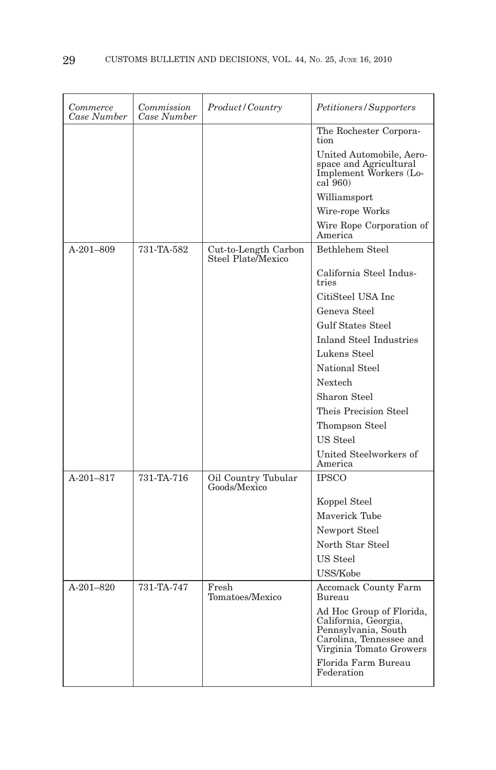| Commerce<br>Case Number | Commission<br>Case Number | Product/Country                            | Petitioners/Supporters                                                                                                        |
|-------------------------|---------------------------|--------------------------------------------|-------------------------------------------------------------------------------------------------------------------------------|
|                         |                           |                                            | The Rochester Corpora-<br>tion                                                                                                |
|                         |                           |                                            | United Automobile, Aero-<br>space and Agricultural<br>Implement Workers (Lo-<br>$cal\$ {560}                                  |
|                         |                           |                                            | Williamsport                                                                                                                  |
|                         |                           |                                            | Wire-rope Works                                                                                                               |
|                         |                           |                                            | Wire Rope Corporation of<br>America                                                                                           |
| A-201-809               | 731-TA-582                | Cut-to-Length Carbon<br>Steel Plate/Mexico | <b>Bethlehem Steel</b>                                                                                                        |
|                         |                           |                                            | California Steel Indus-<br>tries                                                                                              |
|                         |                           |                                            | CitiSteel USA Inc                                                                                                             |
|                         |                           |                                            | Geneva Steel                                                                                                                  |
|                         |                           |                                            | <b>Gulf States Steel</b>                                                                                                      |
|                         |                           |                                            | <b>Inland Steel Industries</b>                                                                                                |
|                         |                           |                                            | Lukens Steel                                                                                                                  |
|                         |                           |                                            | National Steel                                                                                                                |
|                         |                           |                                            | Nextech                                                                                                                       |
|                         |                           |                                            | Sharon Steel                                                                                                                  |
|                         |                           |                                            | Theis Precision Steel                                                                                                         |
|                         |                           |                                            | Thompson Steel                                                                                                                |
|                         |                           |                                            | US Steel                                                                                                                      |
|                         |                           |                                            | United Steelworkers of<br>America                                                                                             |
| A-201-817               | 731-TA-716                | Oil Country Tubular<br>Goods/Mexico        | <b>IPSCO</b>                                                                                                                  |
|                         |                           |                                            | Koppel Steel                                                                                                                  |
|                         |                           |                                            | Maverick Tube                                                                                                                 |
|                         |                           |                                            | Newport Steel                                                                                                                 |
|                         |                           |                                            | North Star Steel                                                                                                              |
|                         |                           |                                            | US Steel                                                                                                                      |
|                         |                           |                                            | USS/Kobe                                                                                                                      |
| A-201-820               | 731-TA-747                | Fresh<br>Tomatoes/Mexico                   | <b>Accomack County Farm</b><br>Bureau                                                                                         |
|                         |                           |                                            | Ad Hoc Group of Florida,<br>California, Georgia,<br>Pennsylvania, South<br>Carolina, Tennessee and<br>Virginia Tomato Growers |
|                         |                           |                                            | Florida Farm Bureau<br>Federation                                                                                             |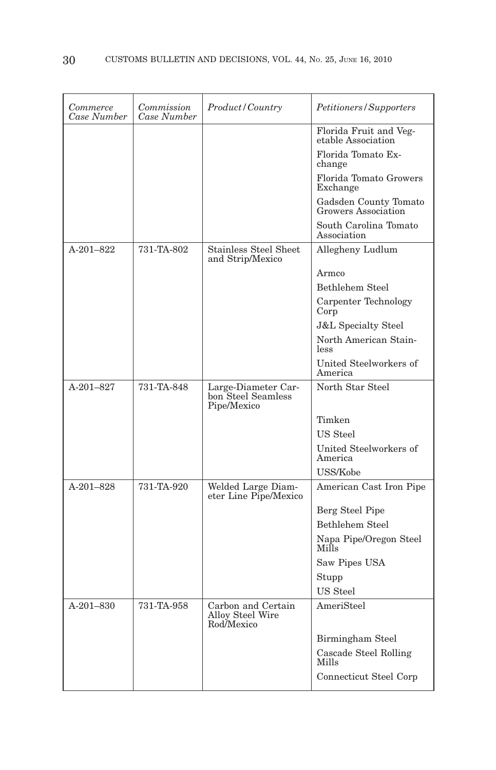| Commerce<br>Case Number | Commission<br>Case Number | Product/Country                                          | Petitioners/Supporters                       |
|-------------------------|---------------------------|----------------------------------------------------------|----------------------------------------------|
|                         |                           |                                                          | Florida Fruit and Veg-<br>etable Association |
|                         |                           |                                                          | Florida Tomato Ex-<br>change                 |
|                         |                           |                                                          | Florida Tomato Growers<br>Exchange           |
|                         |                           |                                                          | Gadsden County Tomato<br>Growers Association |
|                         |                           |                                                          | South Carolina Tomato<br>Association         |
| $A-201-822$             | 731-TA-802                | Stainless Steel Sheet<br>and Strip/Mexico                | Allegheny Ludlum                             |
|                         |                           |                                                          | Armco                                        |
|                         |                           |                                                          | Bethlehem Steel                              |
|                         |                           |                                                          | Carpenter Technology<br>Corp                 |
|                         |                           |                                                          | <b>J&amp;L</b> Specialty Steel               |
|                         |                           |                                                          | North American Stain-<br>less                |
|                         |                           |                                                          | United Steelworkers of<br>America            |
| A-201-827               | 731-TA-848                | Large-Diameter Car-<br>bon Steel Seamless<br>Pipe/Mexico | North Star Steel                             |
|                         |                           |                                                          | Timken                                       |
|                         |                           |                                                          | US Steel                                     |
|                         |                           |                                                          | United Steelworkers of<br>America            |
|                         |                           |                                                          | USS/Kobe                                     |
| A-201-828               | 731-TA-920                | Welded Large Diam-<br>eter Line Pipe/Mexico              | American Cast Iron Pipe                      |
|                         |                           |                                                          | Berg Steel Pipe                              |
|                         |                           |                                                          | <b>Bethlehem Steel</b>                       |
|                         |                           |                                                          | Napa Pipe/Oregon Steel<br>Mills              |
|                         |                           |                                                          | Saw Pipes USA                                |
|                         |                           |                                                          | Stupp                                        |
|                         |                           |                                                          | US Steel                                     |
| A-201-830               | 731-TA-958                | Carbon and Certain<br>Alloy Steel Wire<br>Rod/Mexico     | AmeriSteel                                   |
|                         |                           |                                                          | Birmingham Steel                             |
|                         |                           |                                                          | Cascade Steel Rolling<br><b>Mills</b>        |
|                         |                           |                                                          | Connecticut Steel Corp                       |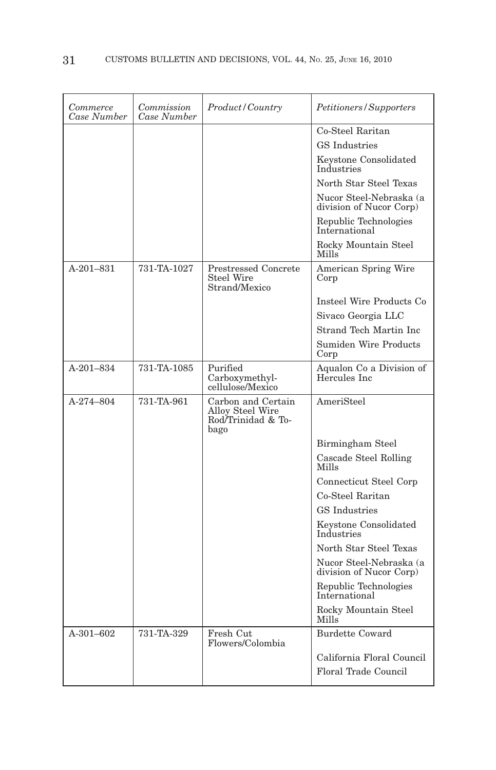| Commerce<br>Case Number | Commission<br>Case Number | Product/Country                                                      | Petitioners/Supporters                             |
|-------------------------|---------------------------|----------------------------------------------------------------------|----------------------------------------------------|
|                         |                           |                                                                      | Co-Steel Raritan                                   |
|                         |                           |                                                                      | <b>GS</b> Industries                               |
|                         |                           |                                                                      | Keystone Consolidated<br>Industries                |
|                         |                           |                                                                      | North Star Steel Texas                             |
|                         |                           |                                                                      | Nucor Steel-Nebraska (a<br>division of Nucor Corp) |
|                         |                           |                                                                      | Republic Technologies<br>International             |
|                         |                           |                                                                      | Rocky Mountain Steel<br>Mills                      |
| $A-201-831$             | 731-TA-1027               | <b>Prestressed Concrete</b><br><b>Steel Wire</b><br>Strand/Mexico    | American Spring Wire<br>Corp                       |
|                         |                           |                                                                      | Insteel Wire Products Co                           |
|                         |                           |                                                                      | Sivaco Georgia LLC                                 |
|                         |                           |                                                                      | Strand Tech Martin Inc                             |
|                         |                           |                                                                      | Sumiden Wire Products<br>Corp                      |
| $A-201-834$             | 731-TA-1085               | Purified<br>Carboxymethyl-<br>cellulose/Mexico                       | Aqualon Co a Division of<br>Hercules Inc           |
| A-274-804               | 731-TA-961                | Carbon and Certain<br>Alloy Steel Wire<br>Rod/Trinidad & To-<br>bago | AmeriSteel                                         |
|                         |                           |                                                                      | Birmingham Steel                                   |
|                         |                           |                                                                      | Cascade Steel Rolling<br>Mills                     |
|                         |                           |                                                                      | Connecticut Steel Corp                             |
|                         |                           |                                                                      | Co-Steel Raritan                                   |
|                         |                           |                                                                      | <b>GS</b> Industries                               |
|                         |                           |                                                                      | Keystone Consolidated<br>Industries                |
|                         |                           |                                                                      | North Star Steel Texas                             |
|                         |                           |                                                                      | Nucor Steel-Nebraska (a<br>division of Nucor Corp) |
|                         |                           |                                                                      | Republic Technologies<br>International             |
|                         |                           |                                                                      | Rocky Mountain Steel<br>Mills                      |
| A-301-602               | 731-TA-329                | Fresh Cut<br>Flowers/Colombia                                        | <b>Burdette Coward</b>                             |
|                         |                           |                                                                      | California Floral Council                          |
|                         |                           |                                                                      | <b>Floral Trade Council</b>                        |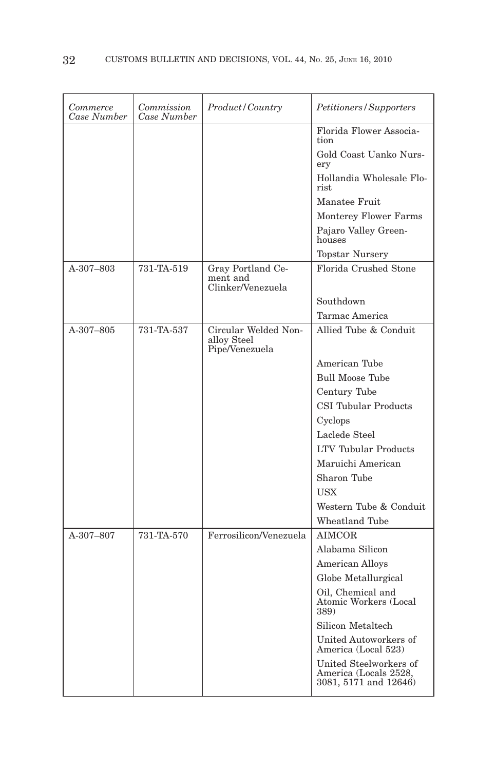| Florida Flower Associa-<br>tion<br>Gold Coast Uanko Nurs-<br>ery<br>Hollandia Wholesale Flo-<br>rist<br>Manatee Fruit<br>Monterey Flower Farms<br>Pajaro Valley Green-<br>houses<br><b>Topstar Nursery</b><br>Florida Crushed Stone<br>A-307-803<br>731-TA-519<br>Gray Portland Ce-<br>ment and<br>Clinker/Venezuela<br>Southdown<br>Tarmac America<br>Circular Welded Non-<br>Allied Tube & Conduit<br>A-307-805<br>731-TA-537<br>alloy Steel<br>Pipe/Venezuela<br>American Tube<br><b>Bull Moose Tube</b><br>Century Tube<br>CSI Tubular Products<br>Cyclops<br>Laclede Steel<br>LTV Tubular Products<br>Maruichi American<br>Sharon Tube<br><b>USX</b><br>Western Tube & Conduit<br>Wheatland Tube<br>Ferrosilicon/Venezuela<br>A-307-807<br>731-TA-570<br><b>AIMCOR</b><br>Alabama Silicon<br>American Alloys<br>Globe Metallurgical<br>Oil, Chemical and<br>Atomic Workers (Local<br>389)<br>Silicon Metaltech<br>United Autoworkers of<br>America (Local 523) | Commerce<br>Case Number | Commission<br>Case Number | Product / Country | Petitioners/Supporters |
|---------------------------------------------------------------------------------------------------------------------------------------------------------------------------------------------------------------------------------------------------------------------------------------------------------------------------------------------------------------------------------------------------------------------------------------------------------------------------------------------------------------------------------------------------------------------------------------------------------------------------------------------------------------------------------------------------------------------------------------------------------------------------------------------------------------------------------------------------------------------------------------------------------------------------------------------------------------------|-------------------------|---------------------------|-------------------|------------------------|
|                                                                                                                                                                                                                                                                                                                                                                                                                                                                                                                                                                                                                                                                                                                                                                                                                                                                                                                                                                     |                         |                           |                   |                        |
|                                                                                                                                                                                                                                                                                                                                                                                                                                                                                                                                                                                                                                                                                                                                                                                                                                                                                                                                                                     |                         |                           |                   |                        |
|                                                                                                                                                                                                                                                                                                                                                                                                                                                                                                                                                                                                                                                                                                                                                                                                                                                                                                                                                                     |                         |                           |                   |                        |
|                                                                                                                                                                                                                                                                                                                                                                                                                                                                                                                                                                                                                                                                                                                                                                                                                                                                                                                                                                     |                         |                           |                   |                        |
|                                                                                                                                                                                                                                                                                                                                                                                                                                                                                                                                                                                                                                                                                                                                                                                                                                                                                                                                                                     |                         |                           |                   |                        |
|                                                                                                                                                                                                                                                                                                                                                                                                                                                                                                                                                                                                                                                                                                                                                                                                                                                                                                                                                                     |                         |                           |                   |                        |
|                                                                                                                                                                                                                                                                                                                                                                                                                                                                                                                                                                                                                                                                                                                                                                                                                                                                                                                                                                     |                         |                           |                   |                        |
|                                                                                                                                                                                                                                                                                                                                                                                                                                                                                                                                                                                                                                                                                                                                                                                                                                                                                                                                                                     |                         |                           |                   |                        |
|                                                                                                                                                                                                                                                                                                                                                                                                                                                                                                                                                                                                                                                                                                                                                                                                                                                                                                                                                                     |                         |                           |                   |                        |
|                                                                                                                                                                                                                                                                                                                                                                                                                                                                                                                                                                                                                                                                                                                                                                                                                                                                                                                                                                     |                         |                           |                   |                        |
|                                                                                                                                                                                                                                                                                                                                                                                                                                                                                                                                                                                                                                                                                                                                                                                                                                                                                                                                                                     |                         |                           |                   |                        |
|                                                                                                                                                                                                                                                                                                                                                                                                                                                                                                                                                                                                                                                                                                                                                                                                                                                                                                                                                                     |                         |                           |                   |                        |
|                                                                                                                                                                                                                                                                                                                                                                                                                                                                                                                                                                                                                                                                                                                                                                                                                                                                                                                                                                     |                         |                           |                   |                        |
|                                                                                                                                                                                                                                                                                                                                                                                                                                                                                                                                                                                                                                                                                                                                                                                                                                                                                                                                                                     |                         |                           |                   |                        |
|                                                                                                                                                                                                                                                                                                                                                                                                                                                                                                                                                                                                                                                                                                                                                                                                                                                                                                                                                                     |                         |                           |                   |                        |
|                                                                                                                                                                                                                                                                                                                                                                                                                                                                                                                                                                                                                                                                                                                                                                                                                                                                                                                                                                     |                         |                           |                   |                        |
|                                                                                                                                                                                                                                                                                                                                                                                                                                                                                                                                                                                                                                                                                                                                                                                                                                                                                                                                                                     |                         |                           |                   |                        |
|                                                                                                                                                                                                                                                                                                                                                                                                                                                                                                                                                                                                                                                                                                                                                                                                                                                                                                                                                                     |                         |                           |                   |                        |
|                                                                                                                                                                                                                                                                                                                                                                                                                                                                                                                                                                                                                                                                                                                                                                                                                                                                                                                                                                     |                         |                           |                   |                        |
|                                                                                                                                                                                                                                                                                                                                                                                                                                                                                                                                                                                                                                                                                                                                                                                                                                                                                                                                                                     |                         |                           |                   |                        |
|                                                                                                                                                                                                                                                                                                                                                                                                                                                                                                                                                                                                                                                                                                                                                                                                                                                                                                                                                                     |                         |                           |                   |                        |
|                                                                                                                                                                                                                                                                                                                                                                                                                                                                                                                                                                                                                                                                                                                                                                                                                                                                                                                                                                     |                         |                           |                   |                        |
|                                                                                                                                                                                                                                                                                                                                                                                                                                                                                                                                                                                                                                                                                                                                                                                                                                                                                                                                                                     |                         |                           |                   |                        |
|                                                                                                                                                                                                                                                                                                                                                                                                                                                                                                                                                                                                                                                                                                                                                                                                                                                                                                                                                                     |                         |                           |                   |                        |
|                                                                                                                                                                                                                                                                                                                                                                                                                                                                                                                                                                                                                                                                                                                                                                                                                                                                                                                                                                     |                         |                           |                   |                        |
|                                                                                                                                                                                                                                                                                                                                                                                                                                                                                                                                                                                                                                                                                                                                                                                                                                                                                                                                                                     |                         |                           |                   |                        |
|                                                                                                                                                                                                                                                                                                                                                                                                                                                                                                                                                                                                                                                                                                                                                                                                                                                                                                                                                                     |                         |                           |                   |                        |
|                                                                                                                                                                                                                                                                                                                                                                                                                                                                                                                                                                                                                                                                                                                                                                                                                                                                                                                                                                     |                         |                           |                   |                        |
|                                                                                                                                                                                                                                                                                                                                                                                                                                                                                                                                                                                                                                                                                                                                                                                                                                                                                                                                                                     |                         |                           |                   |                        |
|                                                                                                                                                                                                                                                                                                                                                                                                                                                                                                                                                                                                                                                                                                                                                                                                                                                                                                                                                                     |                         |                           |                   |                        |
| United Steelworkers of<br>America (Locals 2528,<br>3081, 5171 and 12646)                                                                                                                                                                                                                                                                                                                                                                                                                                                                                                                                                                                                                                                                                                                                                                                                                                                                                            |                         |                           |                   |                        |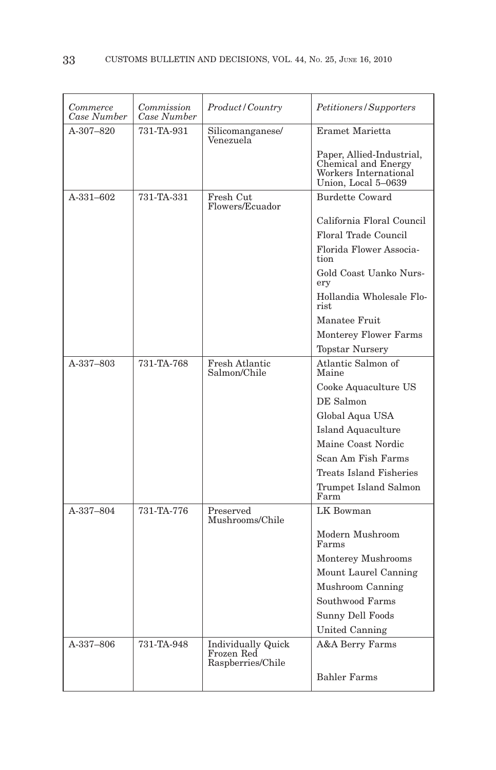| Commerce<br>Case Number | Commission<br>Case Number | Product/Country                                              | Petitioners/Supporters                                                                           |
|-------------------------|---------------------------|--------------------------------------------------------------|--------------------------------------------------------------------------------------------------|
| $A-307-820$             | 731-TA-931                | Silicomanganese/<br>Venezuela                                | Eramet Marietta                                                                                  |
|                         |                           |                                                              | Paper, Allied-Industrial,<br>Chemical and Energy<br>Workers International<br>Union, Local 5-0639 |
| A-331-602               | 731-TA-331                | Fresh Cut<br>Flowers/Ecuador                                 | <b>Burdette Coward</b>                                                                           |
|                         |                           |                                                              | California Floral Council                                                                        |
|                         |                           |                                                              | Floral Trade Council                                                                             |
|                         |                           |                                                              | Florida Flower Associa-<br>tion                                                                  |
|                         |                           |                                                              | Gold Coast Uanko Nurs-<br>ery                                                                    |
|                         |                           |                                                              | Hollandia Wholesale Flo-<br>rist.                                                                |
|                         |                           |                                                              | Manatee Fruit                                                                                    |
|                         |                           |                                                              | <b>Monterey Flower Farms</b>                                                                     |
|                         |                           |                                                              | <b>Topstar Nursery</b>                                                                           |
| A-337-803               | 731-TA-768                | Fresh Atlantic<br>Salmon/Chile                               | Atlantic Salmon of<br>Maine                                                                      |
|                         |                           |                                                              | Cooke Aquaculture US                                                                             |
|                         |                           |                                                              | DE Salmon                                                                                        |
|                         |                           |                                                              | Global Aqua USA                                                                                  |
|                         |                           |                                                              | <b>Island Aquaculture</b>                                                                        |
|                         |                           |                                                              | Maine Coast Nordic                                                                               |
|                         |                           |                                                              | Scan Am Fish Farms                                                                               |
|                         |                           |                                                              | Treats Island Fisheries                                                                          |
|                         |                           |                                                              | Trumpet Island Salmon<br>Farm                                                                    |
| A-337-804               | 731-TA-776                | Preserved<br>Mushrooms/Chile                                 | LK Bowman                                                                                        |
|                         |                           |                                                              | Modern Mushroom<br>Farms                                                                         |
|                         |                           |                                                              | Monterey Mushrooms                                                                               |
|                         |                           |                                                              | Mount Laurel Canning                                                                             |
|                         |                           |                                                              | Mushroom Canning                                                                                 |
|                         |                           |                                                              | Southwood Farms                                                                                  |
|                         |                           |                                                              | Sunny Dell Foods                                                                                 |
|                         |                           |                                                              | United Canning                                                                                   |
| A-337-806               | 731-TA-948                | <b>Individually Quick</b><br>Frozen Red<br>Raspberries/Chile | A&A Berry Farms                                                                                  |
|                         |                           |                                                              | <b>Bahler Farms</b>                                                                              |
|                         |                           |                                                              |                                                                                                  |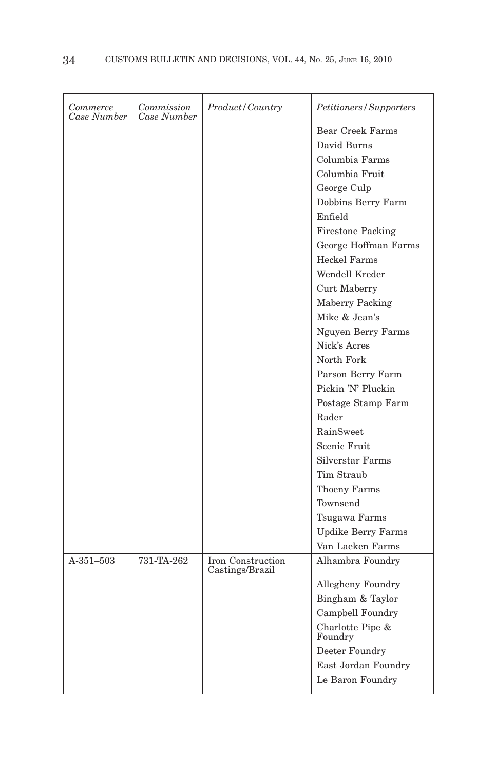| <b>Bear Creek Farms</b><br>David Burns<br>Columbia Farms<br>Columbia Fruit<br>George Culp<br>Dobbins Berry Farm<br>Enfield<br><b>Firestone Packing</b><br>George Hoffman Farms<br><b>Heckel Farms</b><br>Wendell Kreder<br>Curt Maberry<br>Maberry Packing<br>Mike & Jean's<br>Nguyen Berry Farms<br>Nick's Acres<br>North Fork<br>Parson Berry Farm<br>Pickin 'N' Pluckin<br>Postage Stamp Farm<br>Rader<br>RainSweet<br>Scenic Fruit<br>Silverstar Farms<br>Tim Straub<br><b>Thoeny Farms</b><br>Townsend<br>Tsugawa Farms<br><b>Updike Berry Farms</b><br>Van Laeken Farms<br>$A-351-503$<br>731-TA-262<br>Iron Construction<br>Alhambra Foundry<br>Castings/Brazil<br>Allegheny Foundry<br>Bingham & Taylor<br>Campbell Foundry | Commerce<br>Case Number | Commission<br>Case Number | Product/Country | Petitioners/Supporters |
|-------------------------------------------------------------------------------------------------------------------------------------------------------------------------------------------------------------------------------------------------------------------------------------------------------------------------------------------------------------------------------------------------------------------------------------------------------------------------------------------------------------------------------------------------------------------------------------------------------------------------------------------------------------------------------------------------------------------------------------|-------------------------|---------------------------|-----------------|------------------------|
|                                                                                                                                                                                                                                                                                                                                                                                                                                                                                                                                                                                                                                                                                                                                     |                         |                           |                 |                        |
|                                                                                                                                                                                                                                                                                                                                                                                                                                                                                                                                                                                                                                                                                                                                     |                         |                           |                 |                        |
|                                                                                                                                                                                                                                                                                                                                                                                                                                                                                                                                                                                                                                                                                                                                     |                         |                           |                 |                        |
|                                                                                                                                                                                                                                                                                                                                                                                                                                                                                                                                                                                                                                                                                                                                     |                         |                           |                 |                        |
|                                                                                                                                                                                                                                                                                                                                                                                                                                                                                                                                                                                                                                                                                                                                     |                         |                           |                 |                        |
|                                                                                                                                                                                                                                                                                                                                                                                                                                                                                                                                                                                                                                                                                                                                     |                         |                           |                 |                        |
|                                                                                                                                                                                                                                                                                                                                                                                                                                                                                                                                                                                                                                                                                                                                     |                         |                           |                 |                        |
|                                                                                                                                                                                                                                                                                                                                                                                                                                                                                                                                                                                                                                                                                                                                     |                         |                           |                 |                        |
|                                                                                                                                                                                                                                                                                                                                                                                                                                                                                                                                                                                                                                                                                                                                     |                         |                           |                 |                        |
|                                                                                                                                                                                                                                                                                                                                                                                                                                                                                                                                                                                                                                                                                                                                     |                         |                           |                 |                        |
|                                                                                                                                                                                                                                                                                                                                                                                                                                                                                                                                                                                                                                                                                                                                     |                         |                           |                 |                        |
|                                                                                                                                                                                                                                                                                                                                                                                                                                                                                                                                                                                                                                                                                                                                     |                         |                           |                 |                        |
|                                                                                                                                                                                                                                                                                                                                                                                                                                                                                                                                                                                                                                                                                                                                     |                         |                           |                 |                        |
|                                                                                                                                                                                                                                                                                                                                                                                                                                                                                                                                                                                                                                                                                                                                     |                         |                           |                 |                        |
|                                                                                                                                                                                                                                                                                                                                                                                                                                                                                                                                                                                                                                                                                                                                     |                         |                           |                 |                        |
|                                                                                                                                                                                                                                                                                                                                                                                                                                                                                                                                                                                                                                                                                                                                     |                         |                           |                 |                        |
|                                                                                                                                                                                                                                                                                                                                                                                                                                                                                                                                                                                                                                                                                                                                     |                         |                           |                 |                        |
|                                                                                                                                                                                                                                                                                                                                                                                                                                                                                                                                                                                                                                                                                                                                     |                         |                           |                 |                        |
|                                                                                                                                                                                                                                                                                                                                                                                                                                                                                                                                                                                                                                                                                                                                     |                         |                           |                 |                        |
|                                                                                                                                                                                                                                                                                                                                                                                                                                                                                                                                                                                                                                                                                                                                     |                         |                           |                 |                        |
|                                                                                                                                                                                                                                                                                                                                                                                                                                                                                                                                                                                                                                                                                                                                     |                         |                           |                 |                        |
|                                                                                                                                                                                                                                                                                                                                                                                                                                                                                                                                                                                                                                                                                                                                     |                         |                           |                 |                        |
|                                                                                                                                                                                                                                                                                                                                                                                                                                                                                                                                                                                                                                                                                                                                     |                         |                           |                 |                        |
|                                                                                                                                                                                                                                                                                                                                                                                                                                                                                                                                                                                                                                                                                                                                     |                         |                           |                 |                        |
|                                                                                                                                                                                                                                                                                                                                                                                                                                                                                                                                                                                                                                                                                                                                     |                         |                           |                 |                        |
|                                                                                                                                                                                                                                                                                                                                                                                                                                                                                                                                                                                                                                                                                                                                     |                         |                           |                 |                        |
|                                                                                                                                                                                                                                                                                                                                                                                                                                                                                                                                                                                                                                                                                                                                     |                         |                           |                 |                        |
|                                                                                                                                                                                                                                                                                                                                                                                                                                                                                                                                                                                                                                                                                                                                     |                         |                           |                 |                        |
|                                                                                                                                                                                                                                                                                                                                                                                                                                                                                                                                                                                                                                                                                                                                     |                         |                           |                 |                        |
|                                                                                                                                                                                                                                                                                                                                                                                                                                                                                                                                                                                                                                                                                                                                     |                         |                           |                 |                        |
|                                                                                                                                                                                                                                                                                                                                                                                                                                                                                                                                                                                                                                                                                                                                     |                         |                           |                 |                        |
|                                                                                                                                                                                                                                                                                                                                                                                                                                                                                                                                                                                                                                                                                                                                     |                         |                           |                 |                        |
|                                                                                                                                                                                                                                                                                                                                                                                                                                                                                                                                                                                                                                                                                                                                     |                         |                           |                 |                        |
|                                                                                                                                                                                                                                                                                                                                                                                                                                                                                                                                                                                                                                                                                                                                     |                         |                           |                 |                        |
| Charlotte Pipe &<br>Foundry                                                                                                                                                                                                                                                                                                                                                                                                                                                                                                                                                                                                                                                                                                         |                         |                           |                 |                        |
| Deeter Foundry                                                                                                                                                                                                                                                                                                                                                                                                                                                                                                                                                                                                                                                                                                                      |                         |                           |                 |                        |
| East Jordan Foundry                                                                                                                                                                                                                                                                                                                                                                                                                                                                                                                                                                                                                                                                                                                 |                         |                           |                 |                        |
| Le Baron Foundry                                                                                                                                                                                                                                                                                                                                                                                                                                                                                                                                                                                                                                                                                                                    |                         |                           |                 |                        |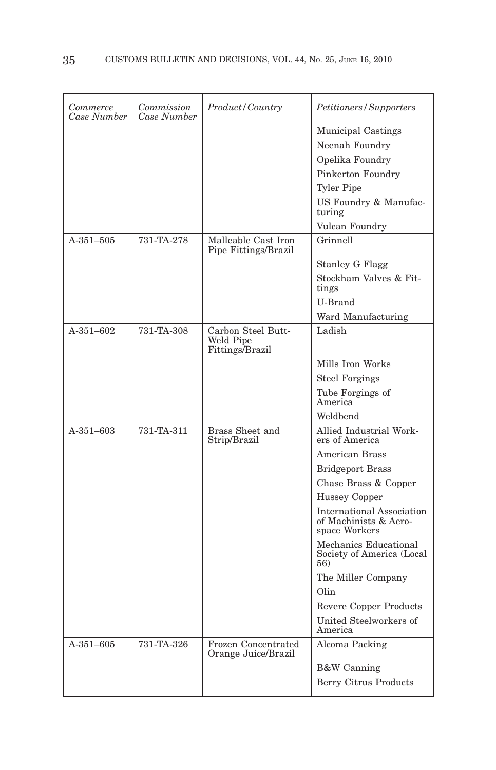| Commerce<br>Case Number | Commission<br>Case Number | Product/Country                                    | Petitioners/Supporters                                                     |
|-------------------------|---------------------------|----------------------------------------------------|----------------------------------------------------------------------------|
|                         |                           |                                                    | Municipal Castings                                                         |
|                         |                           |                                                    | Neenah Foundry                                                             |
|                         |                           |                                                    | Opelika Foundry                                                            |
|                         |                           |                                                    | Pinkerton Foundry                                                          |
|                         |                           |                                                    | <b>Tyler Pipe</b>                                                          |
|                         |                           |                                                    | US Foundry & Manufac-<br>turing                                            |
|                         |                           |                                                    | Vulcan Foundry                                                             |
| $A-351-505$             | 731-TA-278                | Malleable Cast Iron<br>Pipe Fittings/Brazil        | Grinnell                                                                   |
|                         |                           |                                                    | <b>Stanley G Flagg</b>                                                     |
|                         |                           |                                                    | Stockham Valves & Fit-<br>tings                                            |
|                         |                           |                                                    | U-Brand                                                                    |
|                         |                           |                                                    | Ward Manufacturing                                                         |
| $A-351-602$             | 731-TA-308                | Carbon Steel Butt-<br>Weld Pipe<br>Fittings/Brazil | Ladish                                                                     |
|                         |                           |                                                    | Mills Iron Works                                                           |
|                         |                           |                                                    | <b>Steel Forgings</b>                                                      |
|                         |                           |                                                    | Tube Forgings of<br>America                                                |
|                         |                           |                                                    | Weldbend                                                                   |
| $A - 351 - 603$         | 731-TA-311                | Brass Sheet and<br>Strip/Brazil                    | Allied Industrial Work-<br>ers of America                                  |
|                         |                           |                                                    | <b>American Brass</b>                                                      |
|                         |                           |                                                    | <b>Bridgeport Brass</b>                                                    |
|                         |                           |                                                    | Chase Brass & Copper                                                       |
|                         |                           |                                                    | <b>Hussey Copper</b>                                                       |
|                         |                           |                                                    | <b>International Association</b><br>of Machinists & Aero-<br>space Workers |
|                         |                           |                                                    | Mechanics Educational<br>Society of America (Local<br>56)                  |
|                         |                           |                                                    | The Miller Company                                                         |
|                         |                           |                                                    | Olin                                                                       |
|                         |                           |                                                    | <b>Revere Copper Products</b>                                              |
|                         |                           |                                                    | United Steelworkers of<br>America                                          |
| A-351-605               | 731-TA-326                | Frozen Concentrated<br>Orange Juice/Brazil         | Alcoma Packing                                                             |
|                         |                           |                                                    | <b>B&amp;W</b> Canning                                                     |
|                         |                           |                                                    | Berry Citrus Products                                                      |
|                         |                           |                                                    |                                                                            |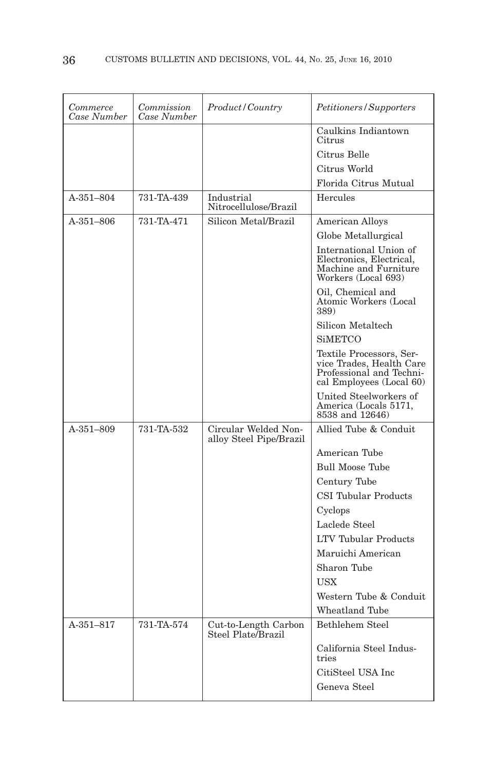| <i>Commerce</i><br>Case Number | Commission<br>Case Number | Product/Country                                 | Petitioners/Supporters                                                                                       |
|--------------------------------|---------------------------|-------------------------------------------------|--------------------------------------------------------------------------------------------------------------|
|                                |                           |                                                 | Caulkins Indiantown<br>Citrus                                                                                |
|                                |                           |                                                 | Citrus Belle                                                                                                 |
|                                |                           |                                                 | Citrus World                                                                                                 |
|                                |                           |                                                 | Florida Citrus Mutual                                                                                        |
| A-351-804                      | 731-TA-439                | Industrial<br>Nitrocellulose/Brazil             | Hercules                                                                                                     |
| $A-351-806$                    | 731-TA-471                | Silicon Metal/Brazil                            | American Alloys                                                                                              |
|                                |                           |                                                 | Globe Metallurgical                                                                                          |
|                                |                           |                                                 | International Union of<br>Electronics, Electrical,<br>Machine and Furniture<br>Workers (Local 693)           |
|                                |                           |                                                 | Oil, Chemical and<br>Atomic Workers (Local<br>389)                                                           |
|                                |                           |                                                 | Silicon Metaltech                                                                                            |
|                                |                           |                                                 | <b>SiMETCO</b>                                                                                               |
|                                |                           |                                                 | Textile Processors, Ser-<br>vice Trades, Health Care<br>Professional and Techni-<br>cal Employees (Local 60) |
|                                |                           |                                                 | United Steelworkers of<br>America (Locals 5171.<br>8538 and 12646)                                           |
| A-351-809                      | 731-TA-532                | Circular Welded Non-<br>alloy Steel Pipe/Brazil | Allied Tube & Conduit                                                                                        |
|                                |                           |                                                 | American Tube                                                                                                |
|                                |                           |                                                 | <b>Bull Moose Tube</b>                                                                                       |
|                                |                           |                                                 | Century Tube                                                                                                 |
|                                |                           |                                                 | <b>CSI Tubular Products</b>                                                                                  |
|                                |                           |                                                 | Cyclops                                                                                                      |
|                                |                           |                                                 | Laclede Steel                                                                                                |
|                                |                           |                                                 | <b>LTV Tubular Products</b>                                                                                  |
|                                |                           |                                                 | Maruichi American                                                                                            |
|                                |                           |                                                 | Sharon Tube                                                                                                  |
|                                |                           |                                                 | <b>USX</b>                                                                                                   |
|                                |                           |                                                 | Western Tube & Conduit                                                                                       |
|                                |                           |                                                 | Wheatland Tube                                                                                               |
| $A-351-817$                    | 731-TA-574                | Cut-to-Length Carbon<br>Steel Plate/Brazil      | Bethlehem Steel                                                                                              |
|                                |                           |                                                 | California Steel Indus-<br>tries                                                                             |
|                                |                           |                                                 | CitiSteel USA Inc                                                                                            |
|                                |                           |                                                 | Geneva Steel                                                                                                 |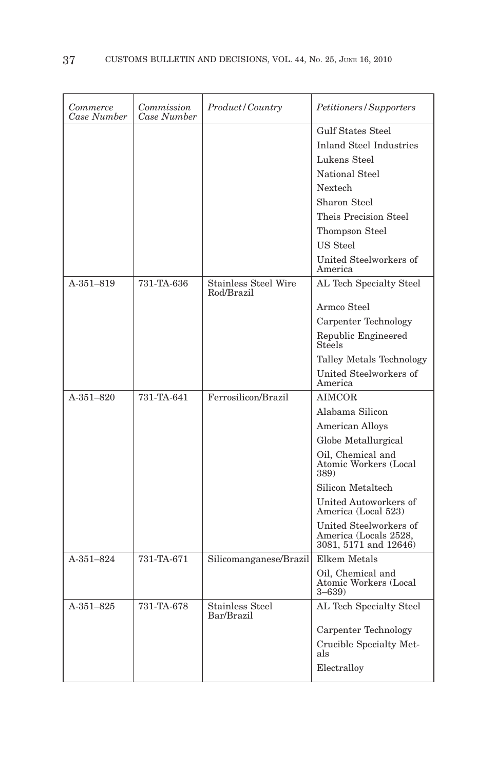| Commerce<br>Case Number | Commission<br>Case Number | Product/Country                           | Petitioners/Supporters                                                   |
|-------------------------|---------------------------|-------------------------------------------|--------------------------------------------------------------------------|
|                         |                           |                                           | Gulf States Steel                                                        |
|                         |                           |                                           | <b>Inland Steel Industries</b>                                           |
|                         |                           |                                           | Lukens Steel                                                             |
|                         |                           |                                           | National Steel                                                           |
|                         |                           |                                           | Nextech                                                                  |
|                         |                           |                                           | Sharon Steel                                                             |
|                         |                           |                                           | Theis Precision Steel                                                    |
|                         |                           |                                           | Thompson Steel                                                           |
|                         |                           |                                           | US Steel                                                                 |
|                         |                           |                                           | United Steelworkers of<br>America                                        |
| A-351-819               | 731-TA-636                | <b>Stainless Steel Wire</b><br>Rod/Brazil | AL Tech Specialty Steel                                                  |
|                         |                           |                                           | Armco Steel                                                              |
|                         |                           |                                           | Carpenter Technology                                                     |
|                         |                           |                                           | Republic Engineered<br>Steels                                            |
|                         |                           |                                           | Talley Metals Technology                                                 |
|                         |                           |                                           | United Steelworkers of<br>America                                        |
| $A - 351 - 820$         | 731-TA-641                | Ferrosilicon/Brazil                       | <b>AIMCOR</b>                                                            |
|                         |                           |                                           | Alabama Silicon                                                          |
|                         |                           |                                           | American Alloys                                                          |
|                         |                           |                                           | Globe Metallurgical                                                      |
|                         |                           |                                           | Oil, Chemical and<br>Atomic Workers (Local<br>389)                       |
|                         |                           |                                           | Silicon Metaltech                                                        |
|                         |                           |                                           | United Autoworkers of<br>America (Local 523)                             |
|                         |                           |                                           | United Steelworkers of<br>America (Locals 2528,<br>3081, 5171 and 12646) |
| $A - 351 - 824$         | 731-TA-671                | Silicomanganese/Brazil                    | Elkem Metals                                                             |
|                         |                           |                                           | Oil, Chemical and<br>Atomic Workers (Local<br>$3 - 639$                  |
| A-351-825               | 731-TA-678                | <b>Stainless Steel</b><br>Bar/Brazil      | AL Tech Specialty Steel                                                  |
|                         |                           |                                           | Carpenter Technology                                                     |
|                         |                           |                                           | Crucible Specialty Met-<br>als                                           |
|                         |                           |                                           | Electralloy                                                              |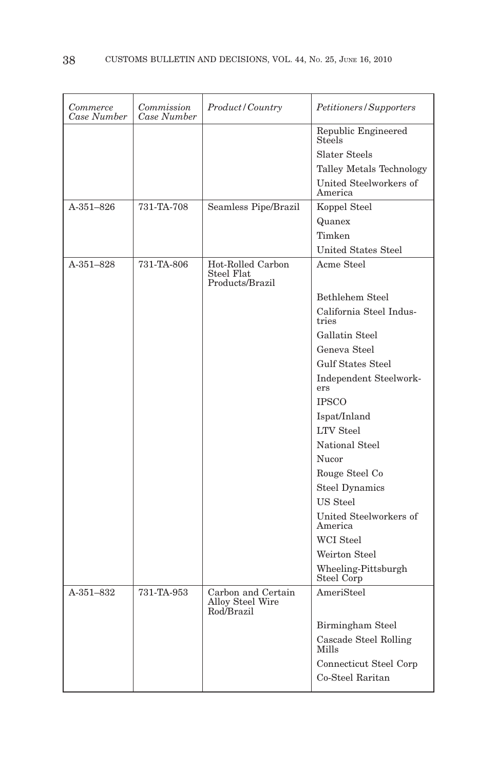| Commerce<br>Case Number | Commission<br>Case Number | Product/Country                                      | Petitioners/Supporters               |
|-------------------------|---------------------------|------------------------------------------------------|--------------------------------------|
|                         |                           |                                                      | Republic Engineered<br><b>Steels</b> |
|                         |                           |                                                      | Slater Steels                        |
|                         |                           |                                                      | Talley Metals Technology             |
|                         |                           |                                                      | United Steelworkers of<br>America    |
| A-351-826               | 731-TA-708                | Seamless Pipe/Brazil                                 | Koppel Steel                         |
|                         |                           |                                                      | Quanex                               |
|                         |                           |                                                      | Timken                               |
|                         |                           |                                                      | United States Steel                  |
| A-351-828               | 731-TA-806                | Hot-Rolled Carbon<br>Steel Flat<br>Products/Brazil   | Acme Steel                           |
|                         |                           |                                                      | Bethlehem Steel                      |
|                         |                           |                                                      | California Steel Indus-<br>tries     |
|                         |                           |                                                      | Gallatin Steel                       |
|                         |                           |                                                      | Geneva Steel                         |
|                         |                           |                                                      | <b>Gulf States Steel</b>             |
|                         |                           |                                                      | Independent Steelwork-<br>ers        |
|                         |                           |                                                      | <b>IPSCO</b>                         |
|                         |                           |                                                      | Ispat/Inland                         |
|                         |                           |                                                      | <b>LTV</b> Steel                     |
|                         |                           |                                                      | National Steel                       |
|                         |                           |                                                      | Nucor                                |
|                         |                           |                                                      | Rouge Steel Co                       |
|                         |                           |                                                      | <b>Steel Dynamics</b>                |
|                         |                           |                                                      | US Steel                             |
|                         |                           |                                                      | United Steelworkers of<br>America    |
|                         |                           |                                                      | <b>WCI</b> Steel                     |
|                         |                           |                                                      | Weirton Steel                        |
|                         |                           |                                                      | Wheeling-Pittsburgh<br>Steel Corp    |
| A-351-832               | 731-TA-953                | Carbon and Certain<br>Alloy Steel Wire<br>Rod/Brazil | AmeriSteel                           |
|                         |                           |                                                      | Birmingham Steel                     |
|                         |                           |                                                      | Cascade Steel Rolling<br>Mills       |
|                         |                           |                                                      | Connecticut Steel Corp               |
|                         |                           |                                                      | Co-Steel Raritan                     |
|                         |                           |                                                      |                                      |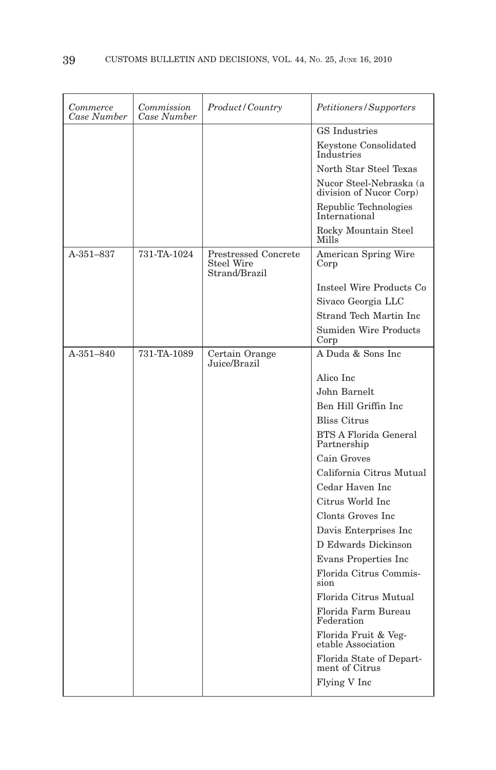| Commerce<br>Case Number | Commission<br>Case Number | Product/Country                                                   | Petitioners/Supporters                             |
|-------------------------|---------------------------|-------------------------------------------------------------------|----------------------------------------------------|
|                         |                           |                                                                   | GS Industries                                      |
|                         |                           |                                                                   | Keystone Consolidated<br>Industries                |
|                         |                           |                                                                   | North Star Steel Texas                             |
|                         |                           |                                                                   | Nucor Steel-Nebraska (a<br>division of Nucor Corp) |
|                         |                           |                                                                   | Republic Technologies<br>International             |
|                         |                           |                                                                   | Rocky Mountain Steel<br>Mills                      |
| $A - 351 - 837$         | 731-TA-1024               | <b>Prestressed Concrete</b><br><b>Steel Wire</b><br>Strand/Brazil | American Spring Wire<br>Corp                       |
|                         |                           |                                                                   | Insteel Wire Products Co                           |
|                         |                           |                                                                   | Sivaco Georgia LLC                                 |
|                         |                           |                                                                   | Strand Tech Martin Inc                             |
|                         |                           |                                                                   | <b>Sumiden Wire Products</b><br>Corp               |
| $A - 351 - 840$         | 731-TA-1089               | Certain Orange<br>Juice/Brazil                                    | A Duda & Sons Inc.                                 |
|                         |                           |                                                                   | Alico Inc                                          |
|                         |                           |                                                                   | John Barnelt                                       |
|                         |                           |                                                                   | Ben Hill Griffin Inc.                              |
|                         |                           |                                                                   | <b>Bliss Citrus</b>                                |
|                         |                           |                                                                   | <b>BTS A Florida General</b><br>Partnership        |
|                         |                           |                                                                   | Cain Groves                                        |
|                         |                           |                                                                   | California Citrus Mutual                           |
|                         |                           |                                                                   | Cedar Haven Inc.                                   |
|                         |                           |                                                                   | Citrus World Inc.                                  |
|                         |                           |                                                                   | Clonts Groves Inc.                                 |
|                         |                           |                                                                   | Davis Enterprises Inc                              |
|                         |                           |                                                                   | D Edwards Dickinson                                |
|                         |                           |                                                                   | Evans Properties Inc                               |
|                         |                           |                                                                   | Florida Citrus Commis-<br>sion                     |
|                         |                           |                                                                   | Florida Citrus Mutual                              |
|                         |                           |                                                                   | Florida Farm Bureau<br>Federation                  |
|                         |                           |                                                                   | Florida Fruit & Veg-<br>etable Association         |
|                         |                           |                                                                   | Florida State of Depart-<br>ment of Citrus         |
|                         |                           |                                                                   | Flying V Inc                                       |
|                         |                           |                                                                   |                                                    |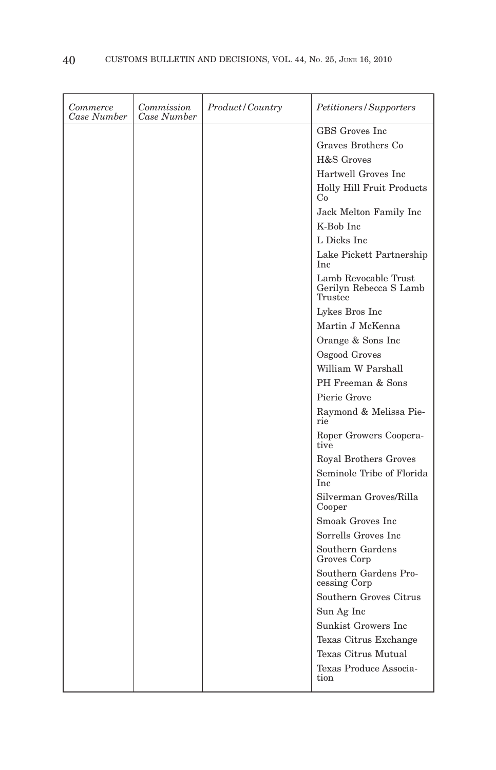| Commerce<br>Case Number | Commission<br>Case Number | Product / Country | Petitioners/Supporters                                    |
|-------------------------|---------------------------|-------------------|-----------------------------------------------------------|
|                         |                           |                   | GBS Groves Inc.                                           |
|                         |                           |                   | Graves Brothers Co                                        |
|                         |                           |                   | H&S Groves                                                |
|                         |                           |                   | Hartwell Groves Inc                                       |
|                         |                           |                   | Holly Hill Fruit Products<br>Co                           |
|                         |                           |                   | Jack Melton Family Inc                                    |
|                         |                           |                   | K-Bob Inc                                                 |
|                         |                           |                   | L Dicks Inc                                               |
|                         |                           |                   | Lake Pickett Partnership<br>Inc.                          |
|                         |                           |                   | Lamb Revocable Trust<br>Gerilyn Rebecca S Lamb<br>Trustee |
|                         |                           |                   | Lykes Bros Inc                                            |
|                         |                           |                   | Martin J McKenna                                          |
|                         |                           |                   | Orange & Sons Inc                                         |
|                         |                           |                   | Osgood Groves                                             |
|                         |                           |                   | William W Parshall                                        |
|                         |                           |                   | PH Freeman & Sons                                         |
|                         |                           |                   | Pierie Grove                                              |
|                         |                           |                   | Raymond & Melissa Pie-<br>rie                             |
|                         |                           |                   | Roper Growers Coopera-<br>tive                            |
|                         |                           |                   | Royal Brothers Groves                                     |
|                         |                           |                   | Seminole Tribe of Florida<br>Inc                          |
|                         |                           |                   | Silverman Groves/Rilla<br>Cooper                          |
|                         |                           |                   | Smoak Groves Inc.                                         |
|                         |                           |                   | Sorrells Groves Inc                                       |
|                         |                           |                   | Southern Gardens<br>Groves Corp                           |
|                         |                           |                   | Southern Gardens Pro-<br>cessing Corp                     |
|                         |                           |                   | Southern Groves Citrus                                    |
|                         |                           |                   | Sun Ag Inc                                                |
|                         |                           |                   | Sunkist Growers Inc                                       |
|                         |                           |                   | Texas Citrus Exchange                                     |
|                         |                           |                   | Texas Citrus Mutual                                       |
|                         |                           |                   | Texas Produce Associa-<br>tion                            |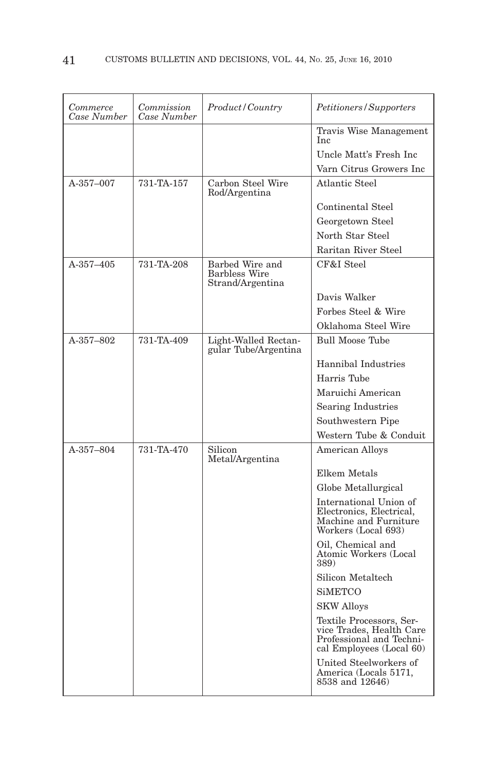| Commerce<br>Case Number | Commission<br>Case Number | <i>Product/Country</i>                                      | Petitioners/Supporters                                                                                       |
|-------------------------|---------------------------|-------------------------------------------------------------|--------------------------------------------------------------------------------------------------------------|
|                         |                           |                                                             | Travis Wise Management<br>Inc                                                                                |
|                         |                           |                                                             | Uncle Matt's Fresh Inc                                                                                       |
|                         |                           |                                                             | Varn Citrus Growers Inc                                                                                      |
| A-357-007               | 731-TA-157                | Carbon Steel Wire<br>Rod/Argentina                          | Atlantic Steel                                                                                               |
|                         |                           |                                                             | Continental Steel                                                                                            |
|                         |                           |                                                             | Georgetown Steel                                                                                             |
|                         |                           |                                                             | North Star Steel                                                                                             |
|                         |                           |                                                             | Raritan River Steel                                                                                          |
| A-357-405               | 731-TA-208                | Barbed Wire and<br><b>Barbless Wire</b><br>Strand/Argentina | CF&I Steel                                                                                                   |
|                         |                           |                                                             | Davis Walker                                                                                                 |
|                         |                           |                                                             | Forbes Steel & Wire                                                                                          |
|                         |                           |                                                             | Oklahoma Steel Wire                                                                                          |
| A-357-802               | 731-TA-409                | Light-Walled Rectan-<br>gular Tube/Argentina                | <b>Bull Moose Tube</b>                                                                                       |
|                         |                           |                                                             | Hannibal Industries                                                                                          |
|                         |                           |                                                             | Harris Tube                                                                                                  |
|                         |                           |                                                             | Maruichi American                                                                                            |
|                         |                           |                                                             | <b>Searing Industries</b>                                                                                    |
|                         |                           |                                                             | Southwestern Pipe                                                                                            |
|                         |                           |                                                             | Western Tube & Conduit                                                                                       |
| A-357-804               | 731-TA-470                | Silicon<br>Metal/Argentina                                  | <b>American Alloys</b>                                                                                       |
|                         |                           |                                                             | Elkem Metals                                                                                                 |
|                         |                           |                                                             | Globe Metallurgical                                                                                          |
|                         |                           |                                                             | International Union of<br>Electronics, Electrical,<br>Machine and Furniture<br>Workers (Local 693)           |
|                         |                           |                                                             | Oil, Chemical and<br>Atomic Workers (Local<br>389)                                                           |
|                         |                           |                                                             | Silicon Metaltech                                                                                            |
|                         |                           |                                                             | <b>SiMETCO</b>                                                                                               |
|                         |                           |                                                             | <b>SKW Alloys</b>                                                                                            |
|                         |                           |                                                             | Textile Processors, Ser-<br>vice Trades, Health Care<br>Professional and Techni-<br>cal Employees (Local 60) |
|                         |                           |                                                             | United Steelworkers of<br>America (Locals 5171,<br>8538 and 12646)                                           |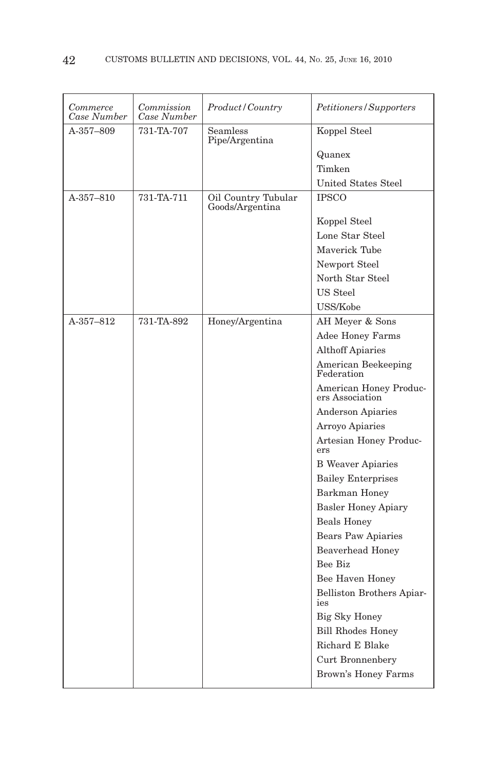| Commerce<br>Case Number | Commission<br>Case Number | Product/Country                        | Petitioners/Supporters                    |
|-------------------------|---------------------------|----------------------------------------|-------------------------------------------|
| A-357-809               | 731-TA-707                | <b>Seamless</b><br>Pipe/Argentina      | Koppel Steel                              |
|                         |                           |                                        | Quanex                                    |
|                         |                           |                                        | Timken                                    |
|                         |                           |                                        | <b>United States Steel</b>                |
| A-357-810               | 731-TA-711                | Oil Country Tubular<br>Goods/Argentina | <b>IPSCO</b>                              |
|                         |                           |                                        | Koppel Steel                              |
|                         |                           |                                        | Lone Star Steel                           |
|                         |                           |                                        | Maverick Tube                             |
|                         |                           |                                        | Newport Steel                             |
|                         |                           |                                        | North Star Steel                          |
|                         |                           |                                        | US Steel                                  |
|                         |                           |                                        | USS/Kobe                                  |
| A-357-812               | 731-TA-892                | Honey/Argentina                        | AH Meyer & Sons                           |
|                         |                           |                                        | <b>Adee Honey Farms</b>                   |
|                         |                           |                                        | <b>Althoff Apiaries</b>                   |
|                         |                           |                                        | American Beekeeping<br>Federation         |
|                         |                           |                                        | American Honey Produc-<br>ers Association |
|                         |                           |                                        | <b>Anderson Apiaries</b>                  |
|                         |                           |                                        | Arroyo Apiaries                           |
|                         |                           |                                        | Artesian Honey Produc-<br>ers             |
|                         |                           |                                        | <b>B</b> Weaver Apiaries                  |
|                         |                           |                                        | <b>Bailey Enterprises</b>                 |
|                         |                           |                                        | Barkman Honey                             |
|                         |                           |                                        | <b>Basler Honey Apiary</b>                |
|                         |                           |                                        | <b>Beals Honey</b>                        |
|                         |                           |                                        | Bears Paw Apiaries                        |
|                         |                           |                                        | <b>Beaverhead Honey</b>                   |
|                         |                           |                                        | Bee Biz                                   |
|                         |                           |                                        | Bee Haven Honey                           |
|                         |                           |                                        | Belliston Brothers Apiar-<br>ies          |
|                         |                           |                                        | Big Sky Honey                             |
|                         |                           |                                        | <b>Bill Rhodes Honey</b>                  |
|                         |                           |                                        | Richard E Blake                           |
|                         |                           |                                        | Curt Bronnenbery                          |
|                         |                           |                                        | <b>Brown's Honey Farms</b>                |
|                         |                           |                                        |                                           |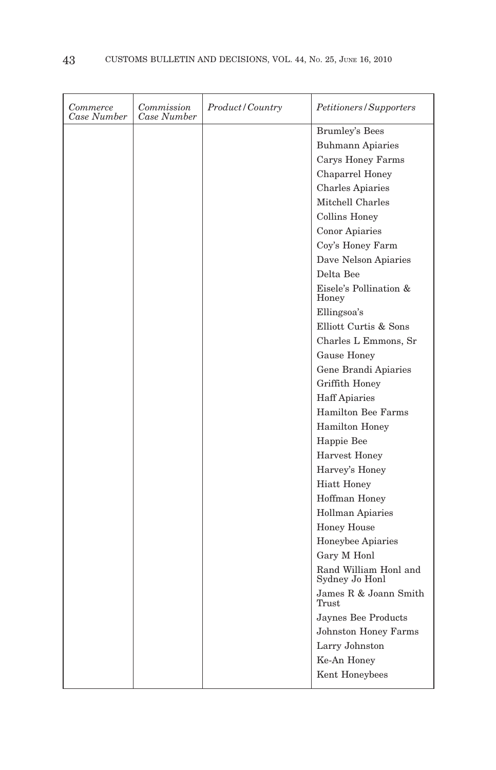| Commerce<br>Case Number | Commission<br>Case Number | Product/Country | Petitioners / Supporters                |
|-------------------------|---------------------------|-----------------|-----------------------------------------|
|                         |                           |                 | <b>Brumley's Bees</b>                   |
|                         |                           |                 | <b>Buhmann Apiaries</b>                 |
|                         |                           |                 | Carys Honey Farms                       |
|                         |                           |                 | Chaparrel Honey                         |
|                         |                           |                 | <b>Charles Apiaries</b>                 |
|                         |                           |                 | Mitchell Charles                        |
|                         |                           |                 | Collins Honey                           |
|                         |                           |                 | <b>Conor Apiaries</b>                   |
|                         |                           |                 | Coy's Honey Farm                        |
|                         |                           |                 | Dave Nelson Apiaries                    |
|                         |                           |                 | Delta Bee                               |
|                         |                           |                 | Eisele's Pollination &<br>Honey         |
|                         |                           |                 | Ellingsoa's                             |
|                         |                           |                 | Elliott Curtis & Sons                   |
|                         |                           |                 | Charles L Emmons, Sr                    |
|                         |                           |                 | Gause Honey                             |
|                         |                           |                 | Gene Brandi Apiaries                    |
|                         |                           |                 | Griffith Honey                          |
|                         |                           |                 | <b>Haff Apiaries</b>                    |
|                         |                           |                 | <b>Hamilton Bee Farms</b>               |
|                         |                           |                 | Hamilton Honey                          |
|                         |                           |                 | Happie Bee                              |
|                         |                           |                 | <b>Harvest Honey</b>                    |
|                         |                           |                 | Harvey's Honey                          |
|                         |                           |                 | <b>Hiatt Honey</b>                      |
|                         |                           |                 | Hoffman Honey                           |
|                         |                           |                 | <b>Hollman Apiaries</b>                 |
|                         |                           |                 | <b>Honey House</b>                      |
|                         |                           |                 | Honeybee Apiaries                       |
|                         |                           |                 | Gary M Honl                             |
|                         |                           |                 | Rand William Honl and<br>Sydney Jo Honl |
|                         |                           |                 | James R & Joann Smith<br>Trust          |
|                         |                           |                 | Jaynes Bee Products                     |
|                         |                           |                 | <b>Johnston Honey Farms</b>             |
|                         |                           |                 | Larry Johnston                          |
|                         |                           |                 | Ke-An Honey                             |
|                         |                           |                 | Kent Honeybees                          |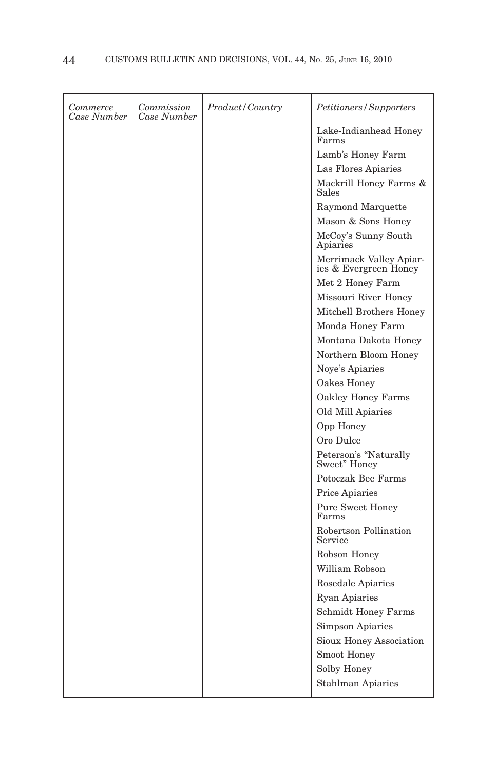| Commerce<br>Case Number | Commission<br>Case Number | Product / Country | Petitioners/Supporters                           |
|-------------------------|---------------------------|-------------------|--------------------------------------------------|
|                         |                           |                   | Lake-Indianhead Honey<br>Farms                   |
|                         |                           |                   | Lamb's Honey Farm                                |
|                         |                           |                   | Las Flores Apiaries                              |
|                         |                           |                   | Mackrill Honey Farms &<br>Sales                  |
|                         |                           |                   | Raymond Marquette                                |
|                         |                           |                   | Mason & Sons Honey                               |
|                         |                           |                   | McCoy's Sunny South<br>Apiaries                  |
|                         |                           |                   | Merrimack Valley Apiar-<br>ies & Evergreen Honey |
|                         |                           |                   | Met 2 Honey Farm                                 |
|                         |                           |                   | Missouri River Honey                             |
|                         |                           |                   | Mitchell Brothers Honey                          |
|                         |                           |                   | Monda Honey Farm                                 |
|                         |                           |                   | Montana Dakota Honey                             |
|                         |                           |                   | Northern Bloom Honey                             |
|                         |                           |                   | Noye's Apiaries                                  |
|                         |                           |                   | Oakes Honey                                      |
|                         |                           |                   | Oakley Honey Farms                               |
|                         |                           |                   | Old Mill Apiaries                                |
|                         |                           |                   | Opp Honey                                        |
|                         |                           |                   | Oro Dulce                                        |
|                         |                           |                   | Peterson's "Naturally<br>Sweet" Honey            |
|                         |                           |                   | Potoczak Bee Farms                               |
|                         |                           |                   | Price Apiaries                                   |
|                         |                           |                   | <b>Pure Sweet Honey</b><br>Farms                 |
|                         |                           |                   | Robertson Pollination<br>Service                 |
|                         |                           |                   | Robson Honey                                     |
|                         |                           |                   | William Robson                                   |
|                         |                           |                   | Rosedale Apiaries                                |
|                         |                           |                   | <b>Ryan Apiaries</b>                             |
|                         |                           |                   | <b>Schmidt Honey Farms</b>                       |
|                         |                           |                   | Simpson Apiaries                                 |
|                         |                           |                   | Sioux Honey Association                          |
|                         |                           |                   | Smoot Honey                                      |
|                         |                           |                   | Solby Honey                                      |
|                         |                           |                   | Stahlman Apiaries                                |
|                         |                           |                   |                                                  |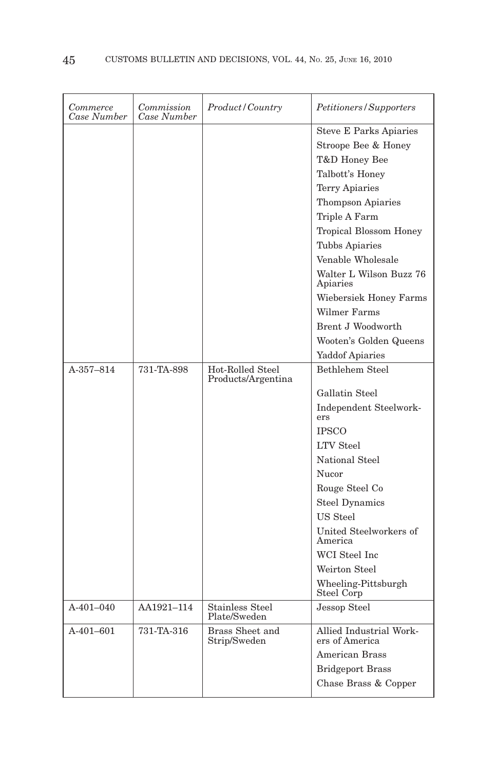| Commerce<br>Case Number | Commission<br>Case Number | Product/Country                        | Petitioners/Supporters                                                                                                                                                                                                                                                                                                                                          |
|-------------------------|---------------------------|----------------------------------------|-----------------------------------------------------------------------------------------------------------------------------------------------------------------------------------------------------------------------------------------------------------------------------------------------------------------------------------------------------------------|
|                         |                           |                                        | <b>Steve E Parks Apiaries</b><br>Stroope Bee & Honey<br>T&D Honey Bee<br>Talbott's Honey<br>Terry Apiaries<br>Thompson Apiaries<br>Triple A Farm<br><b>Tropical Blossom Honey</b><br><b>Tubbs Apiaries</b><br>Venable Wholesale<br>Walter L Wilson Buzz 76<br>Apiaries<br>Wiebersiek Honey Farms<br>Wilmer Farms<br>Brent J Woodworth<br>Wooten's Golden Queens |
| $A - 357 - 814$         | 731-TA-898                | Hot-Rolled Steel<br>Products/Argentina | <b>Yaddof Apiaries</b><br>Bethlehem Steel                                                                                                                                                                                                                                                                                                                       |
|                         |                           |                                        | Gallatin Steel                                                                                                                                                                                                                                                                                                                                                  |
|                         |                           |                                        | Independent Steelwork-<br>ers                                                                                                                                                                                                                                                                                                                                   |
|                         |                           |                                        | <b>IPSCO</b>                                                                                                                                                                                                                                                                                                                                                    |
|                         |                           |                                        | <b>LTV</b> Steel                                                                                                                                                                                                                                                                                                                                                |
|                         |                           |                                        | National Steel                                                                                                                                                                                                                                                                                                                                                  |
|                         |                           |                                        | Nucor                                                                                                                                                                                                                                                                                                                                                           |
|                         |                           |                                        | Rouge Steel Co                                                                                                                                                                                                                                                                                                                                                  |
|                         |                           |                                        | <b>Steel Dynamics</b>                                                                                                                                                                                                                                                                                                                                           |
|                         |                           |                                        | US Steel                                                                                                                                                                                                                                                                                                                                                        |
|                         |                           |                                        | United Steelworkers of<br>America                                                                                                                                                                                                                                                                                                                               |
|                         |                           |                                        | WCI Steel Inc                                                                                                                                                                                                                                                                                                                                                   |
|                         |                           |                                        | Weirton Steel                                                                                                                                                                                                                                                                                                                                                   |
|                         |                           |                                        | Wheeling-Pittsburgh<br>Steel Corp                                                                                                                                                                                                                                                                                                                               |
| A-401-040               | AA1921-114                | <b>Stainless Steel</b><br>Plate/Sweden | Jessop Steel                                                                                                                                                                                                                                                                                                                                                    |
| $A-401-601$             | 731-TA-316                | Brass Sheet and<br>Strip/Sweden        | Allied Industrial Work-<br>ers of America                                                                                                                                                                                                                                                                                                                       |
|                         |                           |                                        | <b>American Brass</b>                                                                                                                                                                                                                                                                                                                                           |
|                         |                           |                                        | <b>Bridgeport Brass</b>                                                                                                                                                                                                                                                                                                                                         |
|                         |                           |                                        | Chase Brass & Copper                                                                                                                                                                                                                                                                                                                                            |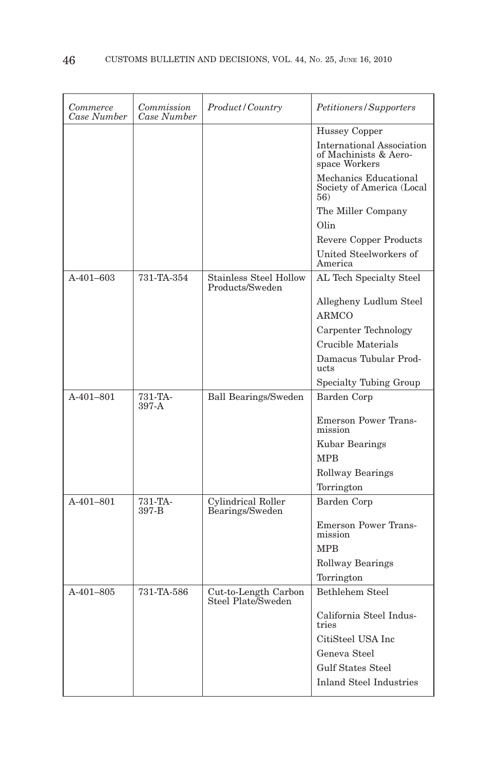| Commerce<br>Case Number | Commission<br>Case Number | Product/Country                                  | Petitioners/Supporters                                                     |
|-------------------------|---------------------------|--------------------------------------------------|----------------------------------------------------------------------------|
|                         |                           |                                                  | Hussey Copper                                                              |
|                         |                           |                                                  | <b>International Association</b><br>of Machinists & Aero-<br>space Workers |
|                         |                           |                                                  | Mechanics Educational<br>Society of America (Local<br>56)                  |
|                         |                           |                                                  | The Miller Company                                                         |
|                         |                           |                                                  | Olin                                                                       |
|                         |                           |                                                  | Revere Copper Products                                                     |
|                         |                           |                                                  | United Steelworkers of<br>America                                          |
| $A-401-603$             | 731-TA-354                | <b>Stainless Steel Hollow</b><br>Products/Sweden | AL Tech Specialty Steel                                                    |
|                         |                           |                                                  | Allegheny Ludlum Steel                                                     |
|                         |                           |                                                  | <b>ARMCO</b>                                                               |
|                         |                           |                                                  | Carpenter Technology                                                       |
|                         |                           |                                                  | Crucible Materials                                                         |
|                         |                           |                                                  | Damacus Tubular Prod-<br>ucts                                              |
|                         |                           |                                                  | Specialty Tubing Group                                                     |
| A-401-801               | 731-TA-<br>397-A          | <b>Ball Bearings/Sweden</b>                      | Barden Corp                                                                |
|                         |                           |                                                  | <b>Emerson Power Trans-</b><br>mission                                     |
|                         |                           |                                                  | Kubar Bearings                                                             |
|                         |                           |                                                  | <b>MPB</b>                                                                 |
|                         |                           |                                                  | <b>Rollway Bearings</b>                                                    |
|                         |                           |                                                  | Torrington                                                                 |
| $A-401-801$             | 731-TA-<br>397-B          | Cylindrical Roller<br>Bearings/Sweden            | Barden Corp                                                                |
|                         |                           |                                                  | <b>Emerson Power Trans-</b><br>mission                                     |
|                         |                           |                                                  | <b>MPB</b>                                                                 |
|                         |                           |                                                  | <b>Rollway Bearings</b>                                                    |
|                         |                           |                                                  | Torrington                                                                 |
| $A-401-805$             | 731-TA-586                | Cut-to-Length Carbon<br>Steel Plate/Sweden       | Bethlehem Steel                                                            |
|                         |                           |                                                  | California Steel Indus-<br>tries                                           |
|                         |                           |                                                  | CitiSteel USA Inc                                                          |
|                         |                           |                                                  | Geneva Steel                                                               |
|                         |                           |                                                  | Gulf States Steel                                                          |
|                         |                           |                                                  | <b>Inland Steel Industries</b>                                             |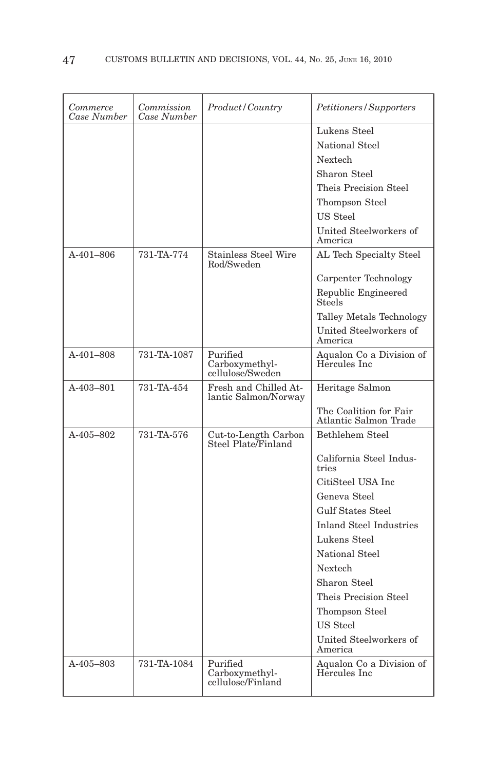| Commerce<br>Case Number | Commission<br>Case Number | Product/Country                                 | Petitioners/Supporters                          |
|-------------------------|---------------------------|-------------------------------------------------|-------------------------------------------------|
|                         |                           |                                                 | Lukens Steel                                    |
|                         |                           |                                                 | National Steel                                  |
|                         |                           |                                                 | Nextech                                         |
|                         |                           |                                                 | Sharon Steel                                    |
|                         |                           |                                                 | Theis Precision Steel                           |
|                         |                           |                                                 | Thompson Steel                                  |
|                         |                           |                                                 | US Steel                                        |
|                         |                           |                                                 | United Steelworkers of<br>America               |
| $A-401-806$             | 731-TA-774                | <b>Stainless Steel Wire</b><br>Rod/Sweden       | AL Tech Specialty Steel                         |
|                         |                           |                                                 | Carpenter Technology                            |
|                         |                           |                                                 | Republic Engineered<br><b>Steels</b>            |
|                         |                           |                                                 | Talley Metals Technology                        |
|                         |                           |                                                 | United Steelworkers of<br>America               |
| A-401-808               | 731-TA-1087               | Purified<br>Carboxymethyl-<br>cellulose/Sweden  | Aqualon Co a Division of<br>Hercules Inc        |
| A-403-801               | 731-TA-454                | Fresh and Chilled At-<br>lantic Salmon/Norway   | Heritage Salmon                                 |
|                         |                           |                                                 | The Coalition for Fair<br>Atlantic Salmon Trade |
| A-405-802               | 731-TA-576                | Cut-to-Length Carbon<br>Steel Plate/Finland     | <b>Bethlehem Steel</b>                          |
|                         |                           |                                                 | California Steel Indus-<br>tries                |
|                         |                           |                                                 | CitiSteel USA Inc                               |
|                         |                           |                                                 | Geneva Steel                                    |
|                         |                           |                                                 | <b>Gulf States Steel</b>                        |
|                         |                           |                                                 | <b>Inland Steel Industries</b>                  |
|                         |                           |                                                 | Lukens Steel                                    |
|                         |                           |                                                 | National Steel                                  |
|                         |                           |                                                 | <b>Nextech</b>                                  |
|                         |                           |                                                 | Sharon Steel                                    |
|                         |                           |                                                 | Theis Precision Steel                           |
|                         |                           |                                                 | Thompson Steel                                  |
|                         |                           |                                                 | <b>US</b> Steel                                 |
|                         |                           |                                                 | United Steelworkers of<br>America               |
| $A-405-803$             | 731-TA-1084               | Purified<br>Carboxymethyl-<br>cellulose/Finland | Aqualon Co a Division of<br>Hercules Inc.       |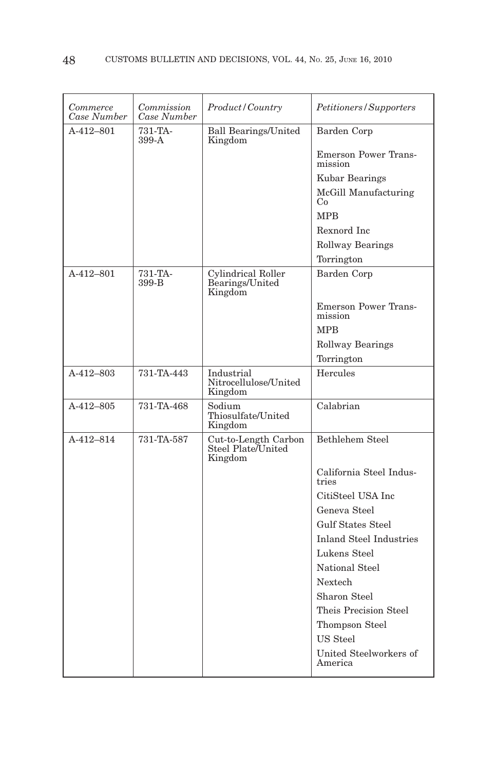| Commerce<br>Case Number | Commission<br>Case Number | <i>Product/Country</i>                                | Petitioners/Supporters                 |
|-------------------------|---------------------------|-------------------------------------------------------|----------------------------------------|
| $A-412-801$             | 731-TA-<br>399-A          | <b>Ball Bearings/United</b><br>Kingdom                | Barden Corp                            |
|                         |                           |                                                       | <b>Emerson Power Trans-</b><br>mission |
|                         |                           |                                                       | Kubar Bearings                         |
|                         |                           |                                                       | McGill Manufacturing<br>Co             |
|                         |                           |                                                       | <b>MPR</b>                             |
|                         |                           |                                                       | Rexnord Inc                            |
|                         |                           |                                                       | <b>Rollway Bearings</b>                |
|                         |                           |                                                       | Torrington                             |
| A-412-801               | 731-TA-<br>399-B          | Cylindrical Roller<br>Bearings/United<br>Kingdom      | <b>Barden Corp</b>                     |
|                         |                           |                                                       | <b>Emerson Power Trans-</b><br>mission |
|                         |                           |                                                       | <b>MPB</b>                             |
|                         |                           |                                                       | Rollway Bearings                       |
|                         |                           |                                                       | Torrington                             |
| $A-412-803$             | 731-TA-443                | Industrial<br>Nitrocellulose/United<br>Kingdom        | Hercules                               |
| $A-412-805$             | 731-TA-468                | Sodium<br>Thiosulfate/United<br>Kingdom               | Calabrian                              |
| A-412-814               | 731-TA-587                | Cut-to-Length Carbon<br>Steel Plate/United<br>Kingdom | Bethlehem Steel                        |
|                         |                           |                                                       | California Steel Indus-<br>tries       |
|                         |                           |                                                       | CitiSteel USA Inc                      |
|                         |                           |                                                       | Geneva Steel                           |
|                         |                           |                                                       | <b>Gulf States Steel</b>               |
|                         |                           |                                                       | <b>Inland Steel Industries</b>         |
|                         |                           |                                                       | Lukens Steel                           |
|                         |                           |                                                       | National Steel                         |
|                         |                           |                                                       | Nextech                                |
|                         |                           |                                                       | Sharon Steel                           |
|                         |                           |                                                       | Theis Precision Steel                  |
|                         |                           |                                                       | Thompson Steel                         |
|                         |                           |                                                       | US Steel                               |
|                         |                           |                                                       | United Steelworkers of<br>America      |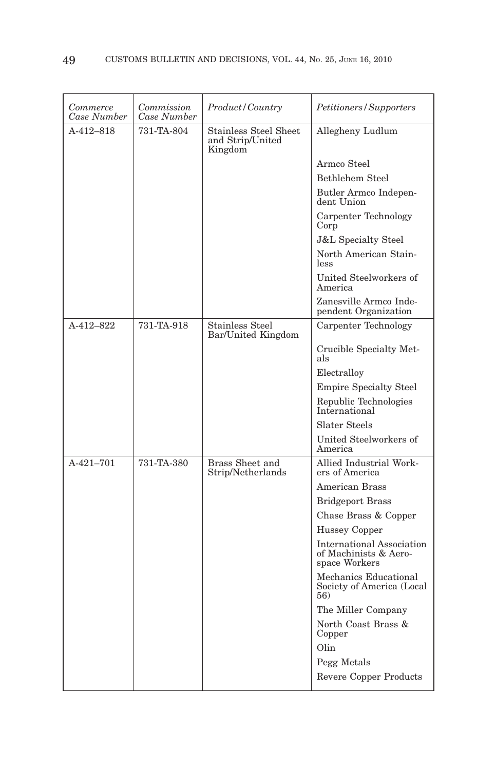| Commerce<br>Case Number | Commission<br>Case Number | <i>Product/Country</i>                                      | Petitioners/Supporters                                                     |
|-------------------------|---------------------------|-------------------------------------------------------------|----------------------------------------------------------------------------|
| A-412-818               | 731-TA-804                | <b>Stainless Steel Sheet</b><br>and Strip/United<br>Kingdom | Allegheny Ludlum                                                           |
|                         |                           |                                                             | Armco Steel                                                                |
|                         |                           |                                                             | <b>Bethlehem Steel</b>                                                     |
|                         |                           |                                                             | Butler Armco Indepen-<br>dent Union                                        |
|                         |                           |                                                             | Carpenter Technology<br>Corp                                               |
|                         |                           |                                                             | <b>J&amp;L Specialty Steel</b>                                             |
|                         |                           |                                                             | North American Stain-<br>less                                              |
|                         |                           |                                                             | United Steelworkers of<br>America                                          |
|                         |                           |                                                             | Zanesville Armco Inde-<br>pendent Organization                             |
| A-412-822               | 731-TA-918                | Stainless Steel<br>Bar/United Kingdom                       | Carpenter Technology                                                       |
|                         |                           |                                                             | Crucible Specialty Met-<br>als                                             |
|                         |                           |                                                             | Electralloy                                                                |
|                         |                           |                                                             | <b>Empire Specialty Steel</b>                                              |
|                         |                           |                                                             | Republic Technologies<br>International                                     |
|                         |                           |                                                             | Slater Steels                                                              |
|                         |                           |                                                             | United Steelworkers of<br>America                                          |
| A-421-701               | 731-TA-380                | Brass Sheet and<br>Strip/Netherlands                        | Allied Industrial Work-<br>ers of America                                  |
|                         |                           |                                                             | <b>American Brass</b>                                                      |
|                         |                           |                                                             | <b>Bridgeport Brass</b>                                                    |
|                         |                           |                                                             | Chase Brass & Copper                                                       |
|                         |                           |                                                             | Hussey Copper                                                              |
|                         |                           |                                                             | <b>International Association</b><br>of Machinists & Aero-<br>space Workers |
|                         |                           |                                                             | Mechanics Educational<br>Society of America (Local<br>56)                  |
|                         |                           |                                                             | The Miller Company                                                         |
|                         |                           |                                                             | North Coast Brass &<br>Copper                                              |
|                         |                           |                                                             | Olin                                                                       |
|                         |                           |                                                             | Pegg Metals                                                                |
|                         |                           |                                                             | Revere Copper Products                                                     |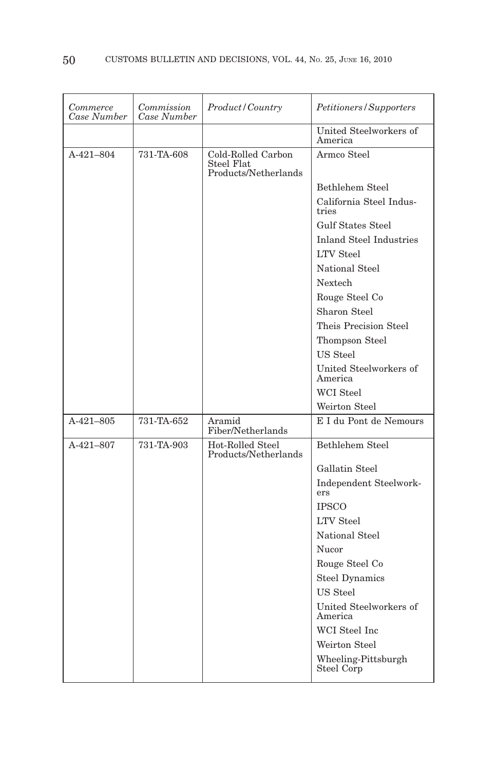| Commerce<br>Case Number | Commission<br>Case Number | Product/Country                                          | Petitioners/Supporters                      |
|-------------------------|---------------------------|----------------------------------------------------------|---------------------------------------------|
|                         |                           |                                                          | United Steelworkers of<br>America           |
| A-421-804               | 731-TA-608                | Cold-Rolled Carbon<br>Steel Flat<br>Products/Netherlands | Armco Steel                                 |
|                         |                           |                                                          | Bethlehem Steel                             |
|                         |                           |                                                          | California Steel Indus-<br>tries            |
|                         |                           |                                                          | <b>Gulf States Steel</b>                    |
|                         |                           |                                                          | Inland Steel Industries<br><b>LTV</b> Steel |
|                         |                           |                                                          | National Steel                              |
|                         |                           |                                                          | Nextech                                     |
|                         |                           |                                                          | Rouge Steel Co                              |
|                         |                           |                                                          | Sharon Steel                                |
|                         |                           |                                                          | Theis Precision Steel                       |
|                         |                           |                                                          | Thompson Steel                              |
|                         |                           |                                                          | US Steel                                    |
|                         |                           |                                                          | United Steelworkers of<br>America           |
|                         |                           |                                                          | <b>WCI</b> Steel                            |
|                         |                           |                                                          | Weirton Steel                               |
| $A-421-805$             | 731-TA-652                | Aramid<br>Fiber/Netherlands                              | E I du Pont de Nemours                      |
| A-421-807               | 731-TA-903                | Hot-Rolled Steel<br>Products/Netherlands                 | Bethlehem Steel                             |
|                         |                           |                                                          | Gallatin Steel                              |
|                         |                           |                                                          | Independent Steelwork-<br>ers               |
|                         |                           |                                                          | <b>IPSCO</b>                                |
|                         |                           |                                                          | <b>LTV</b> Steel                            |
|                         |                           |                                                          | National Steel                              |
|                         |                           |                                                          | Nucor                                       |
|                         |                           |                                                          | Rouge Steel Co                              |
|                         |                           |                                                          | <b>Steel Dynamics</b>                       |
|                         |                           |                                                          | US Steel                                    |
|                         |                           |                                                          | United Steelworkers of<br>America           |
|                         |                           |                                                          | WCI Steel Inc                               |
|                         |                           |                                                          | Weirton Steel                               |
|                         |                           |                                                          | Wheeling-Pittsburgh<br>Steel Corp           |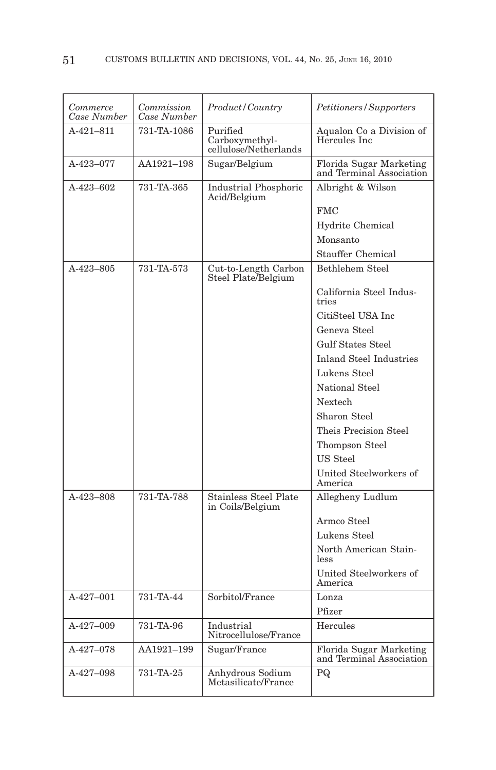| Commerce<br>Case Number | Commission<br>Case Number | Product/Country                                     | Petitioners/Supporters                              |
|-------------------------|---------------------------|-----------------------------------------------------|-----------------------------------------------------|
| $A-421-811$             | 731-TA-1086               | Purified<br>Carboxymethyl-<br>cellulose/Netherlands | Aqualon Co a Division of<br>Hercules Inc.           |
| A-423-077               | AA1921-198                | Sugar/Belgium                                       | Florida Sugar Marketing<br>and Terminal Association |
| $A-423-602$             | 731-TA-365                | <b>Industrial Phosphoric</b><br>Acid/Belgium        | Albright & Wilson                                   |
|                         |                           |                                                     | <b>FMC</b>                                          |
|                         |                           |                                                     | Hydrite Chemical                                    |
|                         |                           |                                                     | Monsanto                                            |
|                         |                           |                                                     | <b>Stauffer Chemical</b>                            |
| A-423-805               | 731-TA-573                | Cut-to-Length Carbon<br>Steel Plate/Belgium         | Bethlehem Steel                                     |
|                         |                           |                                                     | California Steel Indus-<br>tries                    |
|                         |                           |                                                     | CitiSteel USA Inc                                   |
|                         |                           |                                                     | Geneva Steel                                        |
|                         |                           |                                                     | <b>Gulf States Steel</b>                            |
|                         |                           |                                                     | <b>Inland Steel Industries</b>                      |
|                         |                           |                                                     | Lukens Steel                                        |
|                         |                           |                                                     | National Steel                                      |
|                         |                           |                                                     | Nextech                                             |
|                         |                           |                                                     | Sharon Steel                                        |
|                         |                           |                                                     | Theis Precision Steel                               |
|                         |                           |                                                     | Thompson Steel                                      |
|                         |                           |                                                     | US Steel                                            |
|                         |                           |                                                     | United Steelworkers of<br>America                   |
| A-423-808               | 731-TA-788                | <b>Stainless Steel Plate</b><br>in Coils/Belgium    | Allegheny Ludlum                                    |
|                         |                           |                                                     | Armco Steel                                         |
|                         |                           |                                                     | Lukens Steel                                        |
|                         |                           |                                                     | North American Stain-<br>less                       |
|                         |                           |                                                     | United Steelworkers of<br>America                   |
| A-427-001               | 731-TA-44                 | Sorbitol/France                                     | Lonza                                               |
|                         |                           |                                                     | Pfizer                                              |
| A-427-009               | 731-TA-96                 | Industrial<br>Nitrocellulose/France                 | Hercules                                            |
| A-427-078               | AA1921-199                | Sugar/France                                        | Florida Sugar Marketing<br>and Terminal Association |
| A-427-098               | 731-TA-25                 | Anhydrous Sodium<br>Metasilicate/France             | PQ                                                  |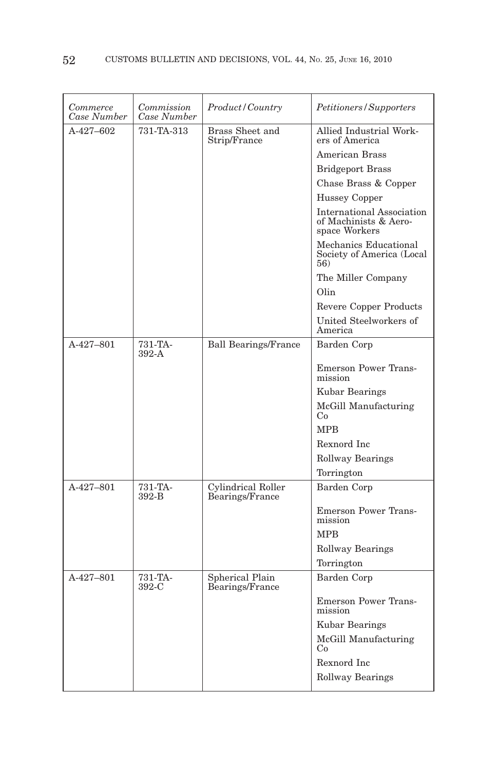| Commerce<br>Case Number | Commission<br>Case Number | Product / Country                     | <i>Petitioners/Supporters</i>                                              |
|-------------------------|---------------------------|---------------------------------------|----------------------------------------------------------------------------|
| $A-427-602$             | 731-TA-313                | Brass Sheet and<br>Strip/France       | Allied Industrial Work-<br>ers of America                                  |
|                         |                           |                                       | <b>American Brass</b>                                                      |
|                         |                           |                                       | <b>Bridgeport Brass</b>                                                    |
|                         |                           |                                       | Chase Brass & Copper                                                       |
|                         |                           |                                       | <b>Hussey Copper</b>                                                       |
|                         |                           |                                       | <b>International Association</b><br>of Machinists & Aero-<br>space Workers |
|                         |                           |                                       | Mechanics Educational<br>Society of America (Local<br>56)                  |
|                         |                           |                                       | The Miller Company                                                         |
|                         |                           |                                       | Olin                                                                       |
|                         |                           |                                       | Revere Copper Products                                                     |
|                         |                           |                                       | United Steelworkers of<br>America                                          |
| A-427-801               | 731-TA-<br>$392-A$        | <b>Ball Bearings/France</b>           | Barden Corp                                                                |
|                         |                           |                                       | Emerson Power Trans-<br>mission                                            |
|                         |                           |                                       | Kubar Bearings                                                             |
|                         |                           |                                       | McGill Manufacturing<br>Co                                                 |
|                         |                           |                                       | <b>MPB</b>                                                                 |
|                         |                           |                                       | Rexnord Inc                                                                |
|                         |                           |                                       | <b>Rollway Bearings</b>                                                    |
|                         |                           |                                       | Torrington                                                                 |
| $A-427-801$             | 731-TA-<br>392-B          | Cylindrical Roller<br>Bearings/France | Barden Corp                                                                |
|                         |                           |                                       | <b>Emerson Power Trans-</b><br>mission                                     |
|                         |                           |                                       | <b>MPB</b>                                                                 |
|                         |                           |                                       | Rollway Bearings                                                           |
|                         |                           |                                       | Torrington                                                                 |
| A-427-801               | 731-TA-<br>$392-C$        | Spherical Plain<br>Bearings/France    | Barden Corp                                                                |
|                         |                           |                                       | <b>Emerson Power Trans-</b><br>mission                                     |
|                         |                           |                                       | Kubar Bearings                                                             |
|                         |                           |                                       | McGill Manufacturing<br>Co                                                 |
|                         |                           |                                       | Rexnord Inc                                                                |
|                         |                           |                                       | Rollway Bearings                                                           |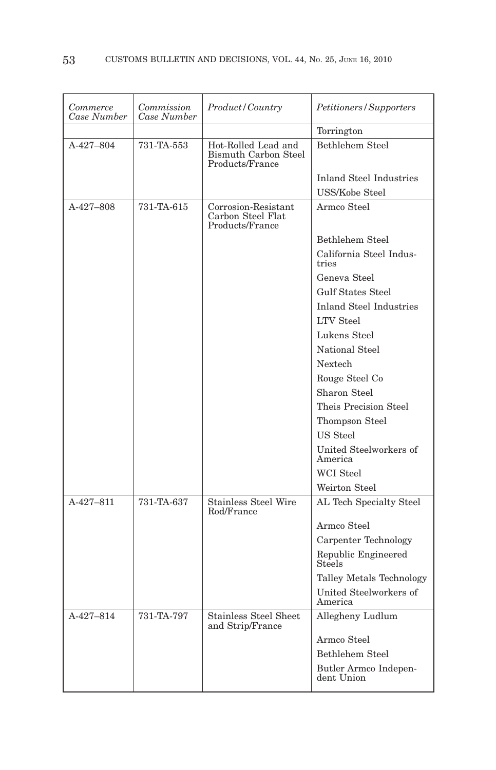| Commerce<br>Case Number | Commission<br>Case Number | Product / Country                                              | Petitioners/Supporters              |
|-------------------------|---------------------------|----------------------------------------------------------------|-------------------------------------|
|                         |                           |                                                                | Torrington                          |
| A-427-804               | 731-TA-553                | Hot-Rolled Lead and<br>Bismuth Carbon Steel<br>Products/France | Bethlehem Steel                     |
|                         |                           |                                                                | Inland Steel Industries             |
|                         |                           |                                                                | <b>USS/Kobe Steel</b>               |
| A-427-808               | 731-TA-615                | Corrosion-Resistant<br>Carbon Steel Flat<br>Products/France    | Armco Steel                         |
|                         |                           |                                                                | Bethlehem Steel                     |
|                         |                           |                                                                | California Steel Indus-<br>tries    |
|                         |                           |                                                                | Geneva Steel                        |
|                         |                           |                                                                | <b>Gulf States Steel</b>            |
|                         |                           |                                                                | <b>Inland Steel Industries</b>      |
|                         |                           |                                                                | <b>LTV</b> Steel                    |
|                         |                           |                                                                | Lukens Steel                        |
|                         |                           |                                                                | National Steel                      |
|                         |                           |                                                                | Nextech                             |
|                         |                           |                                                                | Rouge Steel Co                      |
|                         |                           |                                                                | Sharon Steel                        |
|                         |                           |                                                                | Theis Precision Steel               |
|                         |                           |                                                                | Thompson Steel                      |
|                         |                           |                                                                | US Steel                            |
|                         |                           |                                                                | United Steelworkers of<br>America   |
|                         |                           |                                                                | <b>WCI</b> Steel                    |
|                         |                           |                                                                | Weirton Steel                       |
| $A-427-811$             | 731-TA-637                | <b>Stainless Steel Wire</b><br>Rod/France                      | AL Tech Specialty Steel             |
|                         |                           |                                                                | Armco Steel                         |
|                         |                           |                                                                | Carpenter Technology                |
|                         |                           |                                                                | Republic Engineered<br>Steels       |
|                         |                           |                                                                | Talley Metals Technology            |
|                         |                           |                                                                | United Steelworkers of<br>America   |
| $A-427-814$             | 731-TA-797                | <b>Stainless Steel Sheet</b><br>and Strip/France               | Allegheny Ludlum                    |
|                         |                           |                                                                | Armco Steel                         |
|                         |                           |                                                                | Bethlehem Steel                     |
|                         |                           |                                                                | Butler Armco Indepen-<br>dent Union |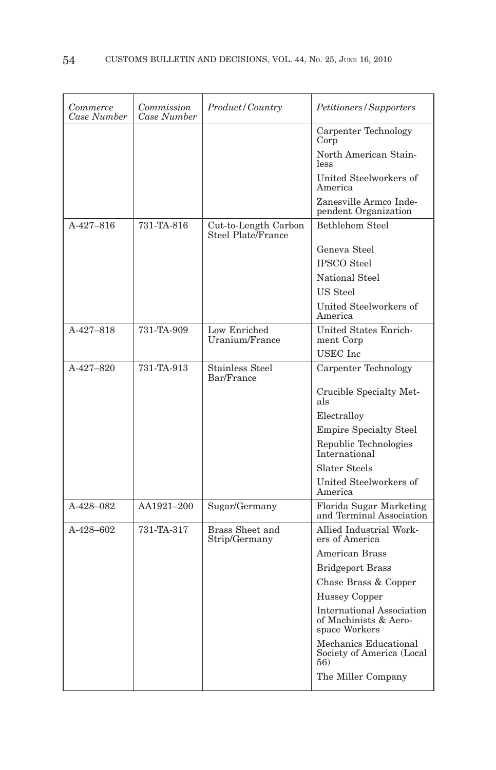| Commerce<br>Case Number | Commission<br>Case Number | Product/Country                            | Petitioners/Supporters                                                     |
|-------------------------|---------------------------|--------------------------------------------|----------------------------------------------------------------------------|
|                         |                           |                                            | Carpenter Technology<br>Corp                                               |
|                         |                           |                                            | North American Stain-<br>less                                              |
|                         |                           |                                            | United Steelworkers of<br>America                                          |
|                         |                           |                                            | Zanesville Armco Inde-<br>pendent Organization                             |
| $A-427-816$             | 731-TA-816                | Cut-to-Length Carbon<br>Steel Plate/France | <b>Bethlehem Steel</b>                                                     |
|                         |                           |                                            | Geneva Steel                                                               |
|                         |                           |                                            | <b>IPSCO</b> Steel                                                         |
|                         |                           |                                            | National Steel                                                             |
|                         |                           |                                            | US Steel                                                                   |
|                         |                           |                                            | United Steelworkers of<br>America                                          |
| A-427-818               | 731-TA-909                | Low Enriched<br>Uranium/France             | United States Enrich-<br>ment Corp                                         |
|                         |                           |                                            | <b>USEC</b> Inc                                                            |
| $A-427-820$             | 731-TA-913                | <b>Stainless Steel</b><br>Bar/France       | Carpenter Technology                                                       |
|                         |                           |                                            | Crucible Specialty Met-<br>als                                             |
|                         |                           |                                            | Electralloy                                                                |
|                         |                           |                                            | <b>Empire Specialty Steel</b>                                              |
|                         |                           |                                            | Republic Technologies<br>International                                     |
|                         |                           |                                            | <b>Slater Steels</b>                                                       |
|                         |                           |                                            | United Steelworkers of<br>America                                          |
| A-428-082               | AA1921-200                | Sugar/Germany                              | Florida Sugar Marketing<br>and Terminal Association                        |
| A-428-602               | 731-TA-317                | Brass Sheet and<br>Strip/Germany           | Allied Industrial Work-<br>ers of America                                  |
|                         |                           |                                            | American Brass                                                             |
|                         |                           |                                            | <b>Bridgeport Brass</b>                                                    |
|                         |                           |                                            | Chase Brass & Copper                                                       |
|                         |                           |                                            | <b>Hussey Copper</b>                                                       |
|                         |                           |                                            | <b>International Association</b><br>of Machinists & Aero-<br>space Workers |
|                         |                           |                                            | Mechanics Educational<br>Society of America (Local<br>56)                  |
|                         |                           |                                            | The Miller Company                                                         |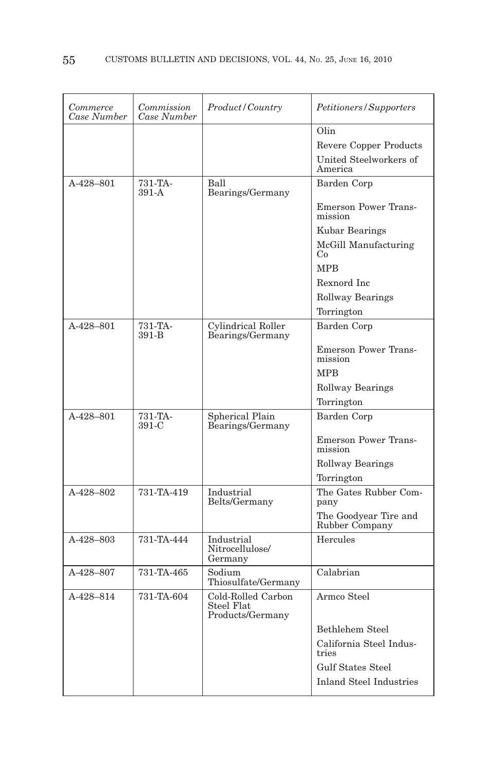| Commerce<br>Case Number | Commission<br>Case Number | Product/Country                                      | Petitioners/Supporters                  |
|-------------------------|---------------------------|------------------------------------------------------|-----------------------------------------|
|                         |                           |                                                      | Olin                                    |
|                         |                           |                                                      | Revere Copper Products                  |
|                         |                           |                                                      | United Steelworkers of<br>America       |
| A-428-801               | 731-TA-<br>$391-A$        | Ball<br>Bearings/Germany                             | Barden Corp                             |
|                         |                           |                                                      | <b>Emerson Power Trans-</b><br>mission  |
|                         |                           |                                                      | Kubar Bearings                          |
|                         |                           |                                                      | McGill Manufacturing<br>Co              |
|                         |                           |                                                      | <b>MPB</b>                              |
|                         |                           |                                                      | Rexnord Inc                             |
|                         |                           |                                                      | <b>Rollway Bearings</b>                 |
|                         |                           |                                                      | Torrington                              |
| A-428-801               | 731-TA-<br>391-B          | Cylindrical Roller<br>Bearings/Germany               | Barden Corp                             |
|                         |                           |                                                      | <b>Emerson Power Trans-</b><br>mission  |
|                         |                           |                                                      | <b>MPB</b>                              |
|                         |                           |                                                      | <b>Rollway Bearings</b>                 |
|                         |                           |                                                      | Torrington                              |
| A-428-801               | 731-TA-<br>391-C          | Spherical Plain<br>Bearings/Germany                  | Barden Corp                             |
|                         |                           |                                                      | <b>Emerson Power Trans-</b><br>mission  |
|                         |                           |                                                      | <b>Rollway Bearings</b>                 |
|                         |                           |                                                      | Torrington                              |
| A-428-802               | 731-TA-419                | Industrial<br>Belts/Germany                          | The Gates Rubber Com-<br>pany           |
|                         |                           |                                                      | The Goodyear Tire and<br>Rubber Company |
| A-428-803               | 731-TA-444                | Industrial<br>Nitrocellulose/<br>Germany             | Hercules                                |
| A-428-807               | 731-TA-465                | Sodium<br>Thiosulfate/Germany                        | Calabrian                               |
| A-428-814               | 731-TA-604                | Cold-Rolled Carbon<br>Steel Flat<br>Products/Germany | Armco Steel                             |
|                         |                           |                                                      | Bethlehem Steel                         |
|                         |                           |                                                      | California Steel Indus-<br>tries        |
|                         |                           |                                                      | Gulf States Steel                       |
|                         |                           |                                                      | <b>Inland Steel Industries</b>          |
|                         |                           |                                                      |                                         |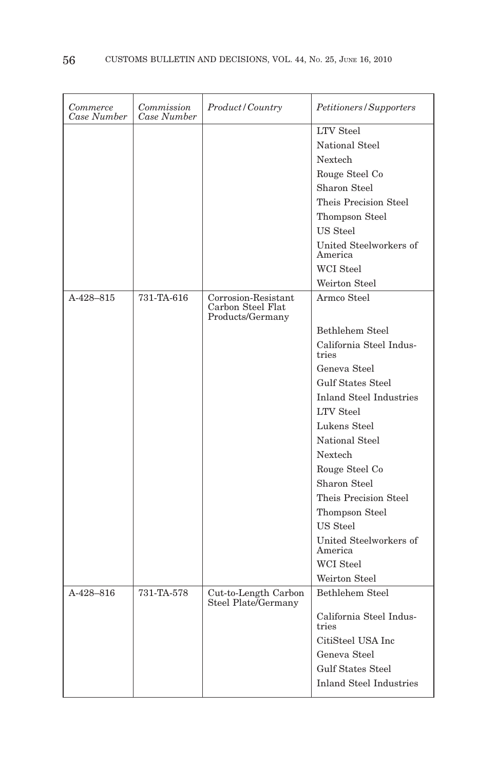| Commerce<br>Case Number | Commission<br>Case Number | <i>Product/Country</i>                                       | Petitioners/Supporters            |
|-------------------------|---------------------------|--------------------------------------------------------------|-----------------------------------|
|                         |                           |                                                              | <b>LTV</b> Steel                  |
|                         |                           |                                                              | National Steel                    |
|                         |                           |                                                              | Nextech                           |
|                         |                           |                                                              | Rouge Steel Co                    |
|                         |                           |                                                              | Sharon Steel                      |
|                         |                           |                                                              | Theis Precision Steel             |
|                         |                           |                                                              | Thompson Steel                    |
|                         |                           |                                                              | US Steel                          |
|                         |                           |                                                              | United Steelworkers of<br>America |
|                         |                           |                                                              | WCI Steel                         |
|                         |                           |                                                              | Weirton Steel                     |
| A-428-815               | 731-TA-616                | Corrosion-Resistant<br>Carbon Steel Flat<br>Products/Germany | Armco Steel                       |
|                         |                           |                                                              | Bethlehem Steel                   |
|                         |                           |                                                              | California Steel Indus-<br>tries  |
|                         |                           |                                                              | Geneva Steel                      |
|                         |                           |                                                              | <b>Gulf States Steel</b>          |
|                         |                           |                                                              | <b>Inland Steel Industries</b>    |
|                         |                           |                                                              | <b>LTV</b> Steel                  |
|                         |                           |                                                              | Lukens Steel                      |
|                         |                           |                                                              | National Steel                    |
|                         |                           |                                                              | Nextech                           |
|                         |                           |                                                              | Rouge Steel Co                    |
|                         |                           |                                                              | Sharon Steel                      |
|                         |                           |                                                              | Theis Precision Steel             |
|                         |                           |                                                              | Thompson Steel                    |
|                         |                           |                                                              | US Steel                          |
|                         |                           |                                                              | United Steelworkers of<br>America |
|                         |                           |                                                              | WCI Steel                         |
|                         |                           |                                                              | Weirton Steel                     |
| A-428-816               | 731-TA-578                | Cut-to-Length Carbon<br>Steel Plate/Germany                  | Bethlehem Steel                   |
|                         |                           |                                                              | California Steel Indus-<br>tries  |
|                         |                           |                                                              | CitiSteel USA Inc                 |
|                         |                           |                                                              | Geneva Steel                      |
|                         |                           |                                                              | <b>Gulf States Steel</b>          |
|                         |                           |                                                              | <b>Inland Steel Industries</b>    |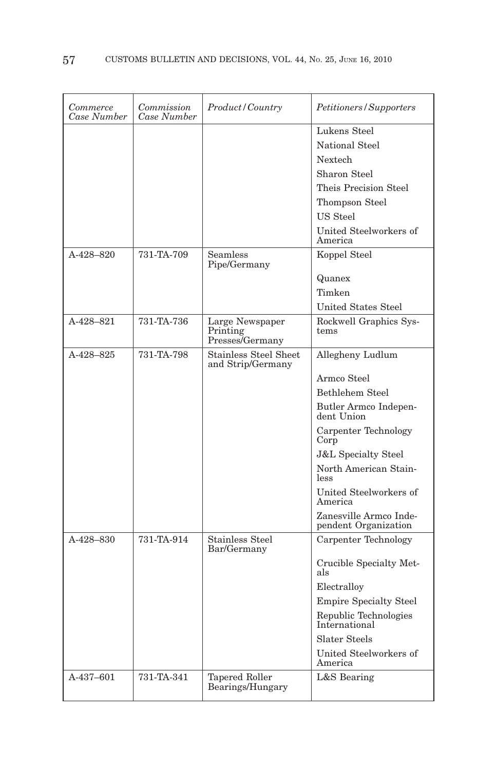| Commerce<br>Case Number | Commission<br>Case Number | Product/Country                                   | Petitioners/Supporters                         |
|-------------------------|---------------------------|---------------------------------------------------|------------------------------------------------|
|                         |                           |                                                   | Lukens Steel                                   |
|                         |                           |                                                   | National Steel                                 |
|                         |                           |                                                   | <b>Nextech</b>                                 |
|                         |                           |                                                   | Sharon Steel                                   |
|                         |                           |                                                   | Theis Precision Steel                          |
|                         |                           |                                                   | Thompson Steel                                 |
|                         |                           |                                                   | US Steel                                       |
|                         |                           |                                                   | United Steelworkers of<br>America              |
| A-428-820               | 731-TA-709                | Seamless<br>Pipe/Germany                          | Koppel Steel                                   |
|                         |                           |                                                   | Quanex                                         |
|                         |                           |                                                   | Timken                                         |
|                         |                           |                                                   | <b>United States Steel</b>                     |
| A-428-821               | 731-TA-736                | Large Newspaper                                   | Rockwell Graphics Sys-<br>tems                 |
|                         |                           | Printing<br>Presses/Germany                       |                                                |
| A-428-825               | 731-TA-798                | <b>Stainless Steel Sheet</b><br>and Strip/Germany | Allegheny Ludlum                               |
|                         |                           |                                                   | Armco Steel                                    |
|                         |                           |                                                   | <b>Bethlehem Steel</b>                         |
|                         |                           |                                                   | Butler Armco Indepen-<br>dent Union            |
|                         |                           |                                                   | Carpenter Technology<br>Corp                   |
|                         |                           |                                                   | <b>J&amp;L Specialty Steel</b>                 |
|                         |                           |                                                   | North American Stain-<br>less                  |
|                         |                           |                                                   | United Steelworkers of<br>America              |
|                         |                           |                                                   | Zanesville Armco Inde-<br>pendent Organization |
| A-428-830               | 731-TA-914                | <b>Stainless Steel</b><br>Bar/Germany             | Carpenter Technology                           |
|                         |                           |                                                   | Crucible Specialty Met-<br>als                 |
|                         |                           |                                                   | Electralloy                                    |
|                         |                           |                                                   | <b>Empire Specialty Steel</b>                  |
|                         |                           |                                                   | Republic Technologies<br>International         |
|                         |                           |                                                   | <b>Slater Steels</b>                           |
|                         |                           |                                                   | United Steelworkers of<br>America              |
| A-437-601               | 731-TA-341                | <b>Tapered Roller</b><br>Bearings/Hungary         | L&S Bearing                                    |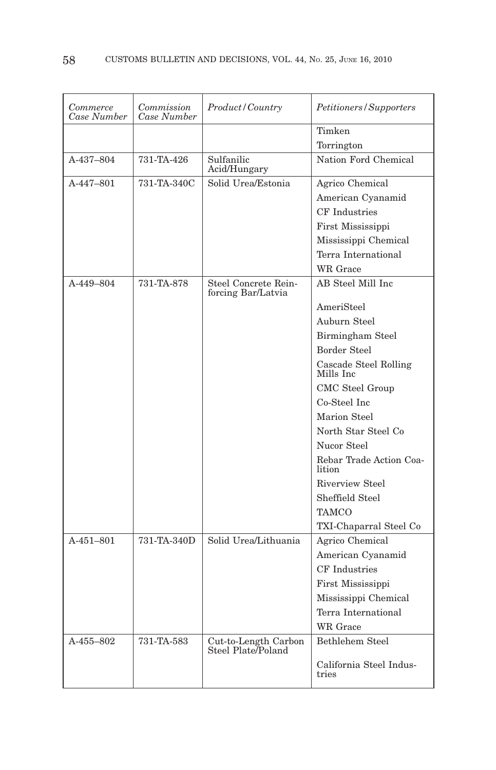| Commerce<br>Case Number | Commission<br>Case Number | Product/Country                            | Petitioners/Supporters             |
|-------------------------|---------------------------|--------------------------------------------|------------------------------------|
|                         |                           |                                            | Timken                             |
|                         |                           |                                            | Torrington                         |
| A-437-804               | 731-TA-426                | Sulfanilic<br>Acid/Hungary                 | Nation Ford Chemical               |
| A-447-801               | 731-TA-340C               | Solid Urea/Estonia                         | Agrico Chemical                    |
|                         |                           |                                            | American Cyanamid                  |
|                         |                           |                                            | CF Industries                      |
|                         |                           |                                            | First Mississippi                  |
|                         |                           |                                            | Mississippi Chemical               |
|                         |                           |                                            | Terra International                |
|                         |                           |                                            | WR Grace                           |
| A-449-804               | 731-TA-878                | Steel Concrete Rein-<br>forcing Bar/Latvia | AB Steel Mill Inc                  |
|                         |                           |                                            | AmeriSteel                         |
|                         |                           |                                            | Auburn Steel                       |
|                         |                           |                                            | Birmingham Steel                   |
|                         |                           |                                            | <b>Border Steel</b>                |
|                         |                           |                                            | Cascade Steel Rolling<br>Mills Inc |
|                         |                           |                                            | CMC Steel Group                    |
|                         |                           |                                            | Co-Steel Inc                       |
|                         |                           |                                            | Marion Steel                       |
|                         |                           |                                            | North Star Steel Co                |
|                         |                           |                                            | Nucor Steel                        |
|                         |                           |                                            | Rebar Trade Action Coa-<br>lition  |
|                         |                           |                                            | <b>Riverview Steel</b>             |
|                         |                           |                                            | Sheffield Steel                    |
|                         |                           |                                            | TAMCO                              |
|                         |                           |                                            | TXI-Chaparral Steel Co             |
| A-451-801               | 731-TA-340D               | Solid Urea/Lithuania                       | Agrico Chemical                    |
|                         |                           |                                            | American Cyanamid                  |
|                         |                           |                                            | <b>CF</b> Industries               |
|                         |                           |                                            | First Mississippi                  |
|                         |                           |                                            | Mississippi Chemical               |
|                         |                           |                                            | Terra International                |
|                         |                           |                                            | <b>WR</b> Grace                    |
| A-455-802               | 731-TA-583                | Cut-to-Length Carbon<br>Steel Plate/Poland | Bethlehem Steel                    |
|                         |                           |                                            | California Steel Indus-<br>tries   |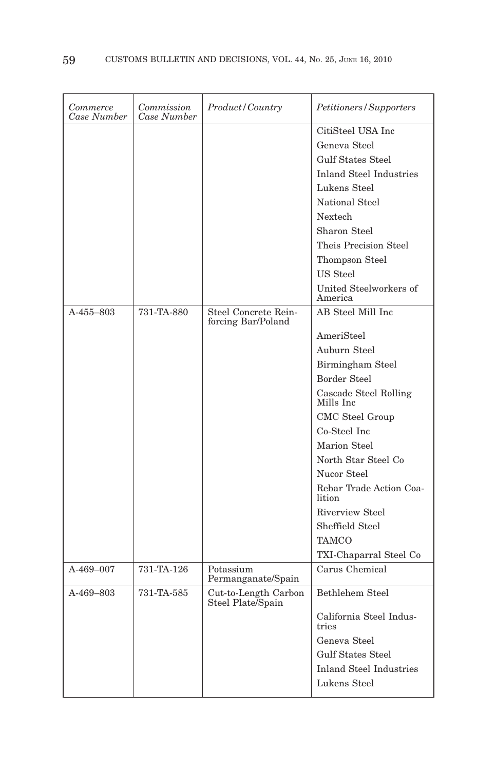| CitiSteel USA Inc                                                                          | Case Number | Commission<br>Commerce<br>Case Number | <i>Product/Country</i> | Petitioners/Supporters  |
|--------------------------------------------------------------------------------------------|-------------|---------------------------------------|------------------------|-------------------------|
|                                                                                            |             |                                       |                        |                         |
| Geneva Steel                                                                               |             |                                       |                        |                         |
| <b>Gulf States Steel</b>                                                                   |             |                                       |                        |                         |
| <b>Inland Steel Industries</b>                                                             |             |                                       |                        |                         |
| Lukens Steel                                                                               |             |                                       |                        |                         |
| National Steel                                                                             |             |                                       |                        |                         |
| <b>Nextech</b>                                                                             |             |                                       |                        |                         |
| Sharon Steel                                                                               |             |                                       |                        |                         |
| Theis Precision Steel                                                                      |             |                                       |                        |                         |
| Thompson Steel                                                                             |             |                                       |                        |                         |
| US Steel                                                                                   |             |                                       |                        |                         |
| United Steelworkers of<br>America                                                          |             |                                       |                        |                         |
| AB Steel Mill Inc<br>731-TA-880<br>Steel Concrete Rein-<br>A-455-803<br>forcing Bar/Poland |             |                                       |                        |                         |
| AmeriSteel                                                                                 |             |                                       |                        |                         |
| Auburn Steel                                                                               |             |                                       |                        |                         |
| Birmingham Steel                                                                           |             |                                       |                        |                         |
| Border Steel                                                                               |             |                                       |                        |                         |
| Cascade Steel Rolling<br>Mills Inc                                                         |             |                                       |                        |                         |
| CMC Steel Group                                                                            |             |                                       |                        |                         |
| Co-Steel Inc                                                                               |             |                                       |                        |                         |
| <b>Marion Steel</b>                                                                        |             |                                       |                        |                         |
| North Star Steel Co                                                                        |             |                                       |                        |                         |
| Nucor Steel                                                                                |             |                                       |                        |                         |
| lition                                                                                     |             |                                       |                        | Rebar Trade Action Coa- |
| Riverview Steel                                                                            |             |                                       |                        |                         |
| Sheffield Steel                                                                            |             |                                       |                        |                         |
| TAMCO                                                                                      |             |                                       |                        |                         |
| TXI-Chaparral Steel Co                                                                     |             |                                       |                        |                         |
| Carus Chemical<br>731-TA-126<br>Potassium<br>A-469-007<br>Permanganate/Spain               |             |                                       |                        |                         |
| Bethlehem Steel<br>A-469-803<br>731-TA-585<br>Cut-to-Length Carbon<br>Steel Plate/Spain    |             |                                       |                        |                         |
| California Steel Indus-<br>tries                                                           |             |                                       |                        |                         |
| Geneva Steel                                                                               |             |                                       |                        |                         |
| <b>Gulf States Steel</b>                                                                   |             |                                       |                        |                         |
| <b>Inland Steel Industries</b>                                                             |             |                                       |                        |                         |
| Lukens Steel                                                                               |             |                                       |                        |                         |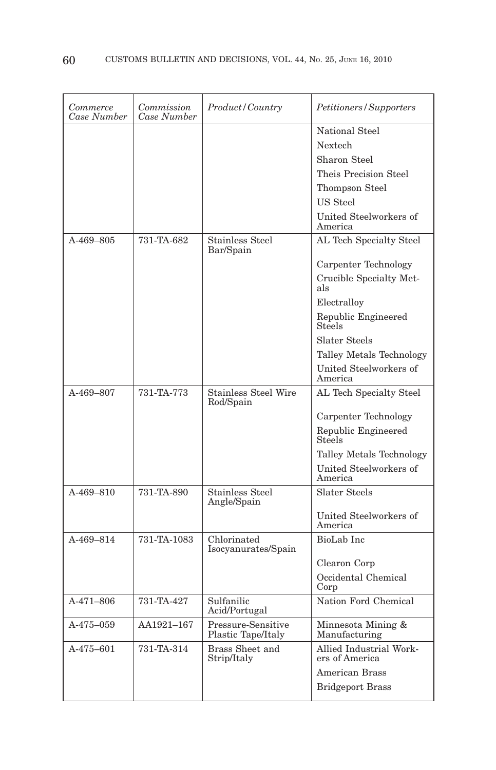| Commerce<br>Case Number | Commission<br>Case Number | <i>Product / Country</i>                 | Petitioners/Supporters                    |
|-------------------------|---------------------------|------------------------------------------|-------------------------------------------|
|                         |                           |                                          | National Steel                            |
|                         |                           |                                          | Nextech                                   |
|                         |                           |                                          | Sharon Steel                              |
|                         |                           |                                          | Theis Precision Steel                     |
|                         |                           |                                          | Thompson Steel                            |
|                         |                           |                                          | <b>US</b> Steel                           |
|                         |                           |                                          | United Steelworkers of<br>America         |
| A-469-805               | 731-TA-682                | <b>Stainless Steel</b><br>Bar/Spain      | AL Tech Specialty Steel                   |
|                         |                           |                                          | Carpenter Technology                      |
|                         |                           |                                          | Crucible Specialty Met-<br>als            |
|                         |                           |                                          | Electralloy                               |
|                         |                           |                                          | Republic Engineered<br>Steels             |
|                         |                           |                                          | <b>Slater Steels</b>                      |
|                         |                           |                                          | Talley Metals Technology                  |
|                         |                           |                                          | United Steelworkers of<br>America         |
| A-469-807               | 731-TA-773                | <b>Stainless Steel Wire</b><br>Rod/Spain | AL Tech Specialty Steel                   |
|                         |                           |                                          | Carpenter Technology                      |
|                         |                           |                                          | Republic Engineered<br>Steels             |
|                         |                           |                                          | Talley Metals Technology                  |
|                         |                           |                                          | United Steelworkers of<br>America         |
| A-469-810               | 731-TA-890                | Stainless Steel<br>Angle/Spain           | <b>Slater Steels</b>                      |
|                         |                           |                                          | United Steelworkers of<br>America         |
| $A-469-814$             | 731-TA-1083               | Chlorinated<br>Isocyanurates/Spain       | BioLab Inc                                |
|                         |                           |                                          | Clearon Corp                              |
|                         |                           |                                          | Occidental Chemical<br>Corp               |
| $A-471-806$             | 731-TA-427                | Sulfanilic<br>Acid/Portugal              | Nation Ford Chemical                      |
| A-475-059               | AA1921-167                | Pressure-Sensitive<br>Plastic Tape/Italy | Minnesota Mining &<br>Manufacturing       |
| A-475-601               | 731-TA-314                | Brass Sheet and<br>Strip/Italy           | Allied Industrial Work-<br>ers of America |
|                         |                           |                                          | American Brass                            |
|                         |                           |                                          | <b>Bridgeport Brass</b>                   |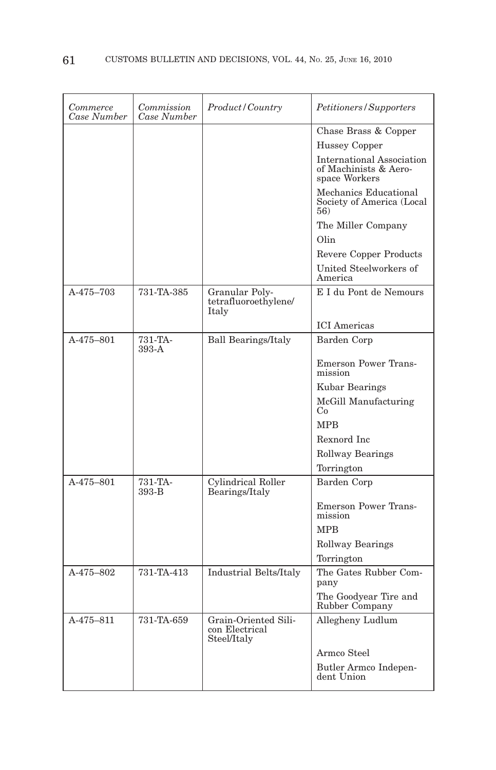| Commerce<br>Case Number | Commission<br>Case Number | Product/Country                                       | Petitioners/Supporters                                                     |
|-------------------------|---------------------------|-------------------------------------------------------|----------------------------------------------------------------------------|
|                         |                           |                                                       | Chase Brass & Copper                                                       |
|                         |                           |                                                       | <b>Hussey Copper</b>                                                       |
|                         |                           |                                                       | <b>International Association</b><br>of Machinists & Aero-<br>space Workers |
|                         |                           |                                                       | Mechanics Educational<br>Society of America (Local<br>56)                  |
|                         |                           |                                                       | The Miller Company                                                         |
|                         |                           |                                                       | Olin                                                                       |
|                         |                           |                                                       | <b>Revere Copper Products</b>                                              |
|                         |                           |                                                       | United Steelworkers of<br>America                                          |
| A-475-703               | 731-TA-385                | Granular Poly-<br>tetrafluoroethylene/<br>Italy       | E I du Pont de Nemours                                                     |
|                         |                           |                                                       | <b>ICI</b> Americas                                                        |
| A-475-801               | 731-TA-<br>$393-A$        | <b>Ball Bearings/Italy</b>                            | Barden Corp                                                                |
|                         |                           |                                                       | <b>Emerson Power Trans-</b><br>mission                                     |
|                         |                           |                                                       | Kubar Bearings                                                             |
|                         |                           |                                                       | McGill Manufacturing<br>Co                                                 |
|                         |                           |                                                       | <b>MPR</b>                                                                 |
|                         |                           |                                                       | Rexnord Inc                                                                |
|                         |                           |                                                       | <b>Rollway Bearings</b>                                                    |
|                         |                           |                                                       | Torrington                                                                 |
| A-475-801               | 731-TA-<br>393-B          | Cylindrical Roller<br>Bearings/Italy                  | Barden Corp                                                                |
|                         |                           |                                                       | <b>Emerson Power Trans-</b><br>mission                                     |
|                         |                           |                                                       | <b>MPB</b>                                                                 |
|                         |                           |                                                       | Rollway Bearings                                                           |
|                         |                           |                                                       | Torrington                                                                 |
| A-475-802               | 731-TA-413                | Industrial Belts/Italy                                | The Gates Rubber Com-<br>pany                                              |
|                         |                           |                                                       | The Goodyear Tire and<br>Rubber Company                                    |
| A-475-811               | 731-TA-659                | Grain-Oriented Sili-<br>con Electrical<br>Steel/Italy | Allegheny Ludlum                                                           |
|                         |                           |                                                       | Armco Steel                                                                |
|                         |                           |                                                       | Butler Armco Indepen-<br>dent Union                                        |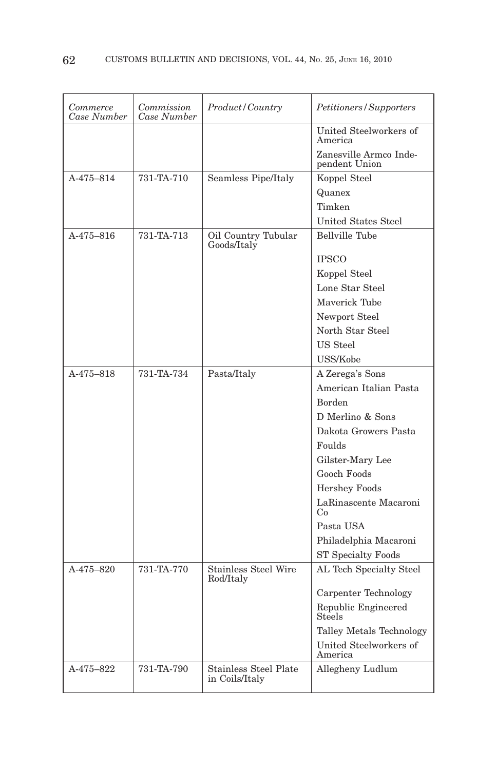| Commerce<br>Case Number | Commission<br>Case Number | Product/Country                                | Petitioners/Supporters                  |
|-------------------------|---------------------------|------------------------------------------------|-----------------------------------------|
|                         |                           |                                                | United Steelworkers of<br>America       |
|                         |                           |                                                | Zanesville Armco Inde-<br>pendent Union |
| A-475-814               | 731-TA-710                | Seamless Pipe/Italy                            | Koppel Steel                            |
|                         |                           |                                                | Quanex                                  |
|                         |                           |                                                | Timken                                  |
|                         |                           |                                                | <b>United States Steel</b>              |
| A-475-816               | 731-TA-713                | Oil Country Tubular<br>Goods/Italy             | Bellville Tube                          |
|                         |                           |                                                | <b>IPSCO</b>                            |
|                         |                           |                                                | Koppel Steel                            |
|                         |                           |                                                | Lone Star Steel                         |
|                         |                           |                                                | Maverick Tube                           |
|                         |                           |                                                | Newport Steel                           |
|                         |                           |                                                | North Star Steel                        |
|                         |                           |                                                | US Steel                                |
|                         |                           |                                                | USS/Kobe                                |
| A-475-818               | 731-TA-734                | Pasta/Italy                                    | A Zerega's Sons                         |
|                         |                           |                                                | American Italian Pasta                  |
|                         |                           |                                                | <b>Borden</b>                           |
|                         |                           |                                                | D Merlino & Sons                        |
|                         |                           |                                                | Dakota Growers Pasta                    |
|                         |                           |                                                | Foulds                                  |
|                         |                           |                                                | Gilster-Mary Lee                        |
|                         |                           |                                                | Gooch Foods                             |
|                         |                           |                                                | <b>Hershey Foods</b>                    |
|                         |                           |                                                | LaRinascente Macaroni<br>Co             |
|                         |                           |                                                | Pasta USA                               |
|                         |                           |                                                | Philadelphia Macaroni                   |
|                         |                           |                                                | <b>ST Specialty Foods</b>               |
| $A - 475 - 820$         | 731-TA-770                | <b>Stainless Steel Wire</b><br>Rod/Italy       | AL Tech Specialty Steel                 |
|                         |                           |                                                | Carpenter Technology                    |
|                         |                           |                                                | Republic Engineered<br>Steels           |
|                         |                           |                                                | Talley Metals Technology                |
|                         |                           |                                                | United Steelworkers of<br>America       |
| A-475-822               | 731-TA-790                | <b>Stainless Steel Plate</b><br>in Coils/Italy | Allegheny Ludlum                        |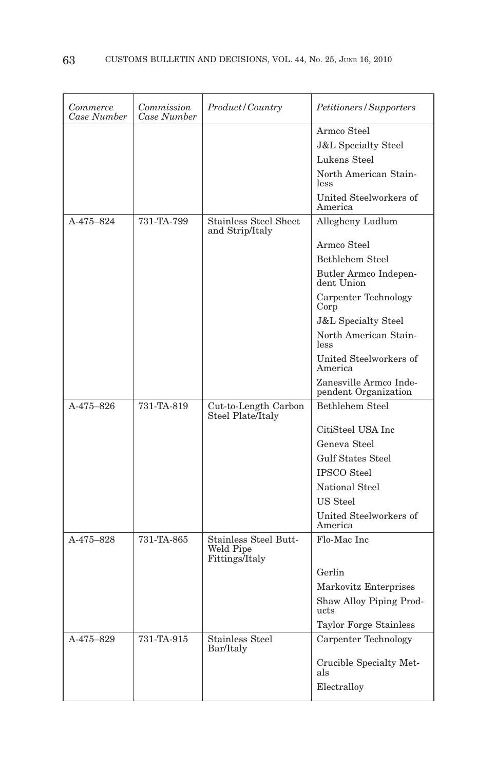| Commerce<br>Case Number | Commission<br>Case Number | Product/Country                                             | Petitioners/Supporters                         |
|-------------------------|---------------------------|-------------------------------------------------------------|------------------------------------------------|
|                         |                           |                                                             | Armco Steel                                    |
|                         |                           |                                                             | <b>J&amp;L</b> Specialty Steel                 |
|                         |                           |                                                             | Lukens Steel                                   |
|                         |                           |                                                             | North American Stain-<br>less                  |
|                         |                           |                                                             | United Steelworkers of<br>America              |
| A-475-824               | 731-TA-799                | Stainless Steel Sheet<br>and Strip/Italy                    | Allegheny Ludlum                               |
|                         |                           |                                                             | Armco Steel                                    |
|                         |                           |                                                             | <b>Bethlehem Steel</b>                         |
|                         |                           |                                                             | Butler Armco Indepen-<br>dent Union            |
|                         |                           |                                                             | Carpenter Technology<br>Corp                   |
|                         |                           |                                                             | <b>J&amp;L</b> Specialty Steel                 |
|                         |                           |                                                             | North American Stain-<br>less                  |
|                         |                           |                                                             | United Steelworkers of<br>America              |
|                         |                           |                                                             | Zanesville Armco Inde-<br>pendent Organization |
| A-475-826               | 731-TA-819                | Cut-to-Length Carbon<br>Steel Plate/Italy                   | Bethlehem Steel                                |
|                         |                           |                                                             | CitiSteel USA Inc.                             |
|                         |                           |                                                             | Geneva Steel                                   |
|                         |                           |                                                             | <b>Gulf States Steel</b>                       |
|                         |                           |                                                             | <b>IPSCO</b> Steel                             |
|                         |                           |                                                             | National Steel                                 |
|                         |                           |                                                             | US Steel                                       |
|                         |                           |                                                             | United Steelworkers of<br>America              |
| A-475-828               | 731-TA-865                | <b>Stainless Steel Butt-</b><br>Weld Pipe<br>Fittings/Italy | Flo-Mac Inc                                    |
|                         |                           |                                                             | Gerlin                                         |
|                         |                           |                                                             | Markovitz Enterprises                          |
|                         |                           |                                                             | Shaw Alloy Piping Prod-<br>ucts                |
|                         |                           |                                                             | <b>Taylor Forge Stainless</b>                  |
| A-475-829               | 731-TA-915                | <b>Stainless Steel</b><br>Bar/Italy                         | Carpenter Technology                           |
|                         |                           |                                                             | Crucible Specialty Met-<br>als                 |
|                         |                           |                                                             | Electralloy                                    |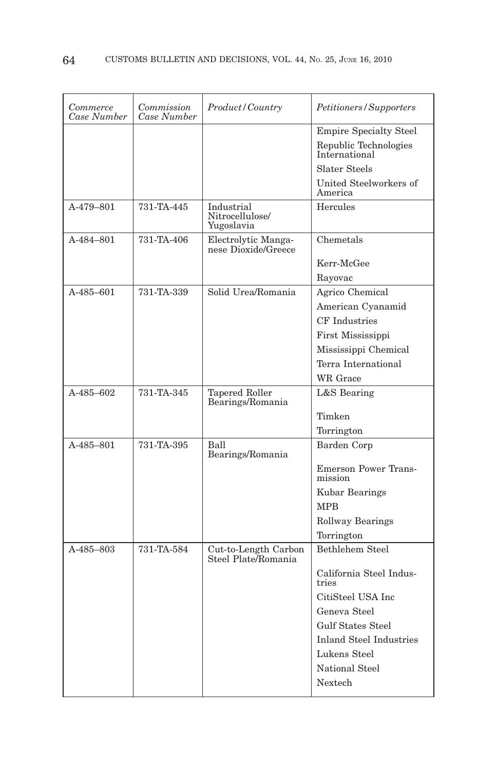| Commerce<br>Case Number | Commission<br>Case Number | Product/Country                             | Petitioners/Supporters                 |
|-------------------------|---------------------------|---------------------------------------------|----------------------------------------|
|                         |                           |                                             | <b>Empire Specialty Steel</b>          |
|                         |                           |                                             | Republic Technologies<br>International |
|                         |                           |                                             | Slater Steels                          |
|                         |                           |                                             | United Steelworkers of<br>America      |
| A-479-801               | 731-TA-445                | Industrial<br>Nitrocellulose/<br>Yugoslavia | Hercules                               |
| A-484-801               | 731-TA-406                | Electrolytic Manga-<br>nese Dioxide/Greece  | Chemetals                              |
|                         |                           |                                             | Kerr-McGee                             |
|                         |                           |                                             | Rayovac                                |
| $A - 485 - 601$         | 731-TA-339                | Solid Urea/Romania                          | Agrico Chemical                        |
|                         |                           |                                             | American Cyanamid                      |
|                         |                           |                                             | <b>CF</b> Industries                   |
|                         |                           |                                             | First Mississippi                      |
|                         |                           |                                             | Mississippi Chemical                   |
|                         |                           |                                             | Terra International                    |
|                         |                           |                                             | WR Grace                               |
| A-485-602               | 731-TA-345                | Tapered Roller<br>Bearings/Romania          | L&S Bearing                            |
|                         |                           |                                             | Timken                                 |
|                         |                           |                                             | Torrington                             |
| A-485-801               | 731-TA-395                | Ball<br>Bearings/Romania                    | Barden Corp                            |
|                         |                           |                                             | <b>Emerson Power Trans-</b><br>mission |
|                         |                           |                                             | Kubar Bearings                         |
|                         |                           |                                             | <b>MPB</b>                             |
|                         |                           |                                             | <b>Rollway Bearings</b>                |
|                         |                           |                                             | Torrington                             |
| A-485-803               | 731-TA-584                | Cut-to-Length Carbon<br>Steel Plate/Romania | Bethlehem Steel                        |
|                         |                           |                                             | California Steel Indus-<br>tries       |
|                         |                           |                                             | CitiSteel USA Inc                      |
|                         |                           |                                             | Geneva Steel                           |
|                         |                           |                                             | <b>Gulf States Steel</b>               |
|                         |                           |                                             | <b>Inland Steel Industries</b>         |
|                         |                           |                                             | Lukens Steel                           |
|                         |                           |                                             | National Steel                         |
|                         |                           |                                             | <b>Nextech</b>                         |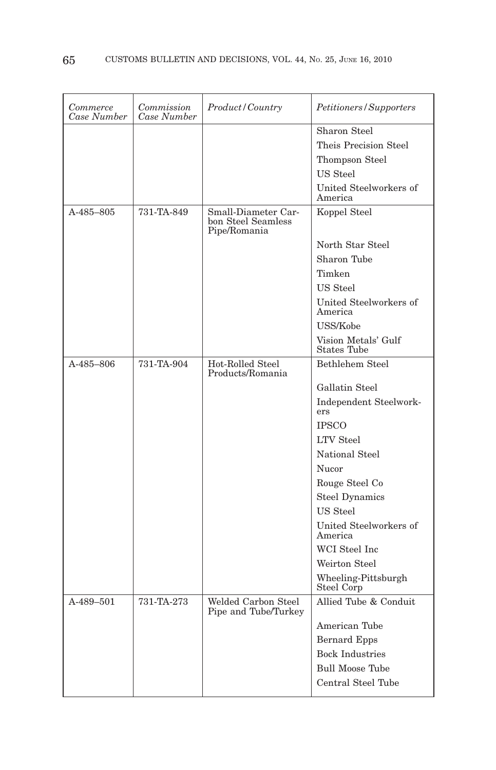| Commerce<br>Case Number | Commission<br>Case Number | Product/Country                                           | Petitioners/Supporters                    |
|-------------------------|---------------------------|-----------------------------------------------------------|-------------------------------------------|
|                         |                           |                                                           | Sharon Steel                              |
|                         |                           |                                                           | Theis Precision Steel                     |
|                         |                           |                                                           | Thompson Steel                            |
|                         |                           |                                                           | US Steel                                  |
|                         |                           |                                                           | United Steelworkers of<br>America         |
| A-485-805               | 731-TA-849                | Small-Diameter Car-<br>bon Steel Seamless<br>Pipe/Romania | Koppel Steel                              |
|                         |                           |                                                           | North Star Steel                          |
|                         |                           |                                                           | Sharon Tube                               |
|                         |                           |                                                           | Timken                                    |
|                         |                           |                                                           | US Steel                                  |
|                         |                           |                                                           | United Steelworkers of<br>America         |
|                         |                           |                                                           | USS/Kobe                                  |
|                         |                           |                                                           | Vision Metals' Gulf<br><b>States Tube</b> |
| A-485-806               | 731-TA-904                | Hot-Rolled Steel<br>Products/Romania                      | Bethlehem Steel                           |
|                         |                           |                                                           | Gallatin Steel                            |
|                         |                           |                                                           | Independent Steelwork-<br>ers             |
|                         |                           |                                                           | <b>IPSCO</b>                              |
|                         |                           |                                                           | <b>LTV</b> Steel                          |
|                         |                           |                                                           | National Steel                            |
|                         |                           |                                                           | Nucor                                     |
|                         |                           |                                                           | Rouge Steel Co                            |
|                         |                           |                                                           | <b>Steel Dynamics</b>                     |
|                         |                           |                                                           | US Steel                                  |
|                         |                           |                                                           | United Steelworkers of<br>America         |
|                         |                           |                                                           | WCI Steel Inc                             |
|                         |                           |                                                           | Weirton Steel                             |
|                         |                           |                                                           | Wheeling-Pittsburgh<br>Steel Corp         |
| A-489-501               | 731-TA-273                | Welded Carbon Steel<br>Pipe and Tube/Turkey               | Allied Tube & Conduit                     |
|                         |                           |                                                           | American Tube                             |
|                         |                           |                                                           | <b>Bernard Epps</b>                       |
|                         |                           |                                                           | <b>Bock Industries</b>                    |
|                         |                           |                                                           | <b>Bull Moose Tube</b>                    |
|                         |                           |                                                           | Central Steel Tube                        |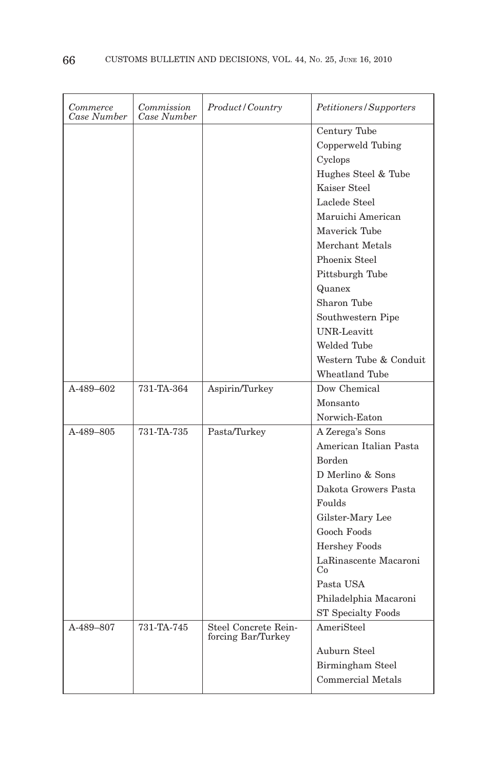| Commerce<br>Case Number | Commission<br>Case Number | Product / Country                          | Petitioners/Supporters      |
|-------------------------|---------------------------|--------------------------------------------|-----------------------------|
|                         |                           |                                            | Century Tube                |
|                         |                           |                                            | Copperweld Tubing           |
|                         |                           |                                            | Cyclops                     |
|                         |                           |                                            | Hughes Steel & Tube         |
|                         |                           |                                            | Kaiser Steel                |
|                         |                           |                                            | Laclede Steel               |
|                         |                           |                                            | Maruichi American           |
|                         |                           |                                            | Maverick Tube               |
|                         |                           |                                            | Merchant Metals             |
|                         |                           |                                            | Phoenix Steel               |
|                         |                           |                                            | Pittsburgh Tube             |
|                         |                           |                                            | Quanex                      |
|                         |                           |                                            | Sharon Tube                 |
|                         |                           |                                            | Southwestern Pipe           |
|                         |                           |                                            | <b>UNR-Leavitt</b>          |
|                         |                           |                                            | Welded Tube                 |
|                         |                           |                                            | Western Tube & Conduit      |
|                         |                           |                                            | Wheatland Tube              |
| $A-489-602$             | 731-TA-364                | Aspirin/Turkey                             | Dow Chemical                |
|                         |                           |                                            | Monsanto                    |
|                         |                           |                                            | Norwich-Eaton               |
| A-489-805               | 731-TA-735                | Pasta/Turkey                               | A Zerega's Sons             |
|                         |                           |                                            | American Italian Pasta      |
|                         |                           |                                            | <b>Borden</b>               |
|                         |                           |                                            | D Merlino & Sons            |
|                         |                           |                                            | Dakota Growers Pasta        |
|                         |                           |                                            | Foulds                      |
|                         |                           |                                            | Gilster-Mary Lee            |
|                         |                           |                                            | Gooch Foods                 |
|                         |                           |                                            | <b>Hershey Foods</b>        |
|                         |                           |                                            | LaRinascente Macaroni<br>Co |
|                         |                           |                                            | Pasta USA                   |
|                         |                           |                                            | Philadelphia Macaroni       |
|                         |                           |                                            | ST Specialty Foods          |
| A-489-807               | 731-TA-745                | Steel Concrete Rein-<br>forcing Bar/Turkey | AmeriSteel                  |
|                         |                           |                                            | Auburn Steel                |
|                         |                           |                                            | Birmingham Steel            |
|                         |                           |                                            | Commercial Metals           |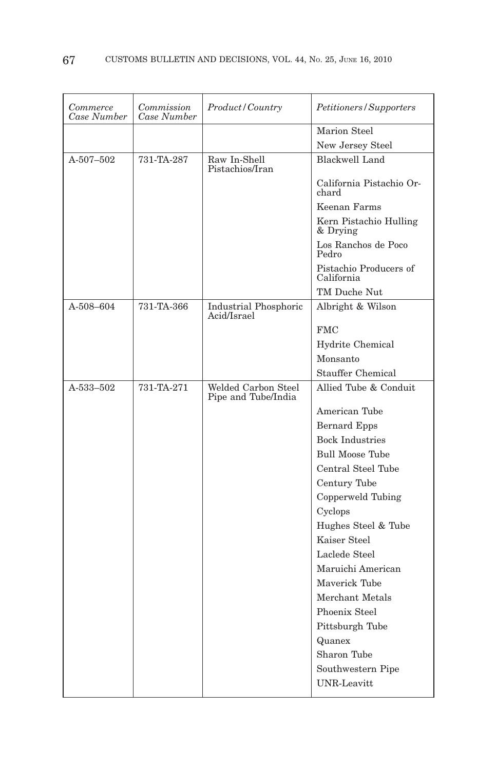| Marion Steel                                                                                   |  |
|------------------------------------------------------------------------------------------------|--|
| New Jersey Steel                                                                               |  |
| <b>Blackwell Land</b><br>$A-507-502$<br>731-TA-287<br>Raw In-Shell<br>Pistachios/Iran          |  |
| California Pistachio Or-<br>chard                                                              |  |
| Keenan Farms                                                                                   |  |
| Kern Pistachio Hulling<br>& Drying                                                             |  |
| Los Ranchos de Poco<br>Pedro                                                                   |  |
| Pistachio Producers of<br>California                                                           |  |
| TM Duche Nut                                                                                   |  |
| A-508-604<br>731-TA-366<br>Albright & Wilson<br>Industrial Phosphoric<br>Acid/Israel           |  |
| <b>FMC</b>                                                                                     |  |
| Hydrite Chemical                                                                               |  |
| Monsanto                                                                                       |  |
| Stauffer Chemical                                                                              |  |
| A-533-502<br>731-TA-271<br>Welded Carbon Steel<br>Allied Tube & Conduit<br>Pipe and Tube/India |  |
| American Tube                                                                                  |  |
| Bernard Epps                                                                                   |  |
| <b>Bock Industries</b>                                                                         |  |
| <b>Bull Moose Tube</b>                                                                         |  |
| Central Steel Tube                                                                             |  |
| Century Tube                                                                                   |  |
| Copperweld Tubing                                                                              |  |
| Cyclops                                                                                        |  |
| Hughes Steel & Tube                                                                            |  |
| Kaiser Steel                                                                                   |  |
| Laclede Steel                                                                                  |  |
| Maruichi American                                                                              |  |
| Mayerick Tube                                                                                  |  |
| Merchant Metals                                                                                |  |
| Phoenix Steel                                                                                  |  |
| Pittsburgh Tube                                                                                |  |
| Quanex                                                                                         |  |
| Sharon Tube                                                                                    |  |
| Southwestern Pipe                                                                              |  |
| <b>UNR-Leavitt</b>                                                                             |  |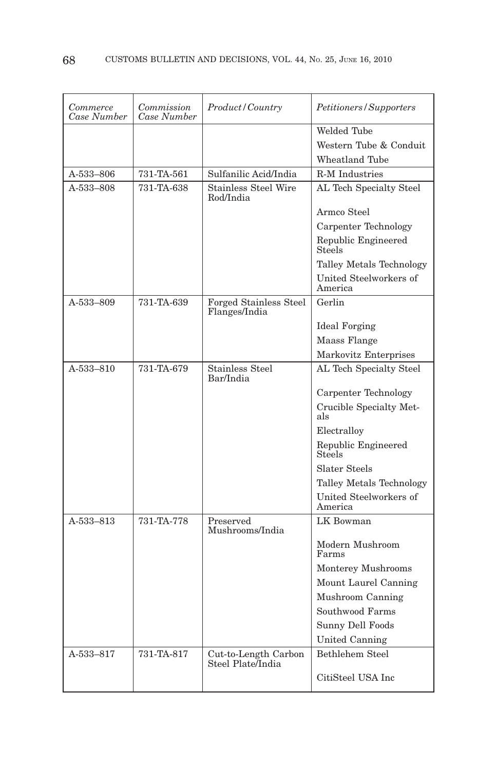| Commerce<br>Case Number | Commission<br>Case Number | Product / Country                         | Petitioners/Supporters               |
|-------------------------|---------------------------|-------------------------------------------|--------------------------------------|
|                         |                           |                                           | Welded Tube                          |
|                         |                           |                                           | Western Tube & Conduit               |
|                         |                           |                                           | Wheatland Tube                       |
| A-533-806               | 731-TA-561                | Sulfanilic Acid/India                     | <b>R-M</b> Industries                |
| A-533-808               | 731-TA-638                | <b>Stainless Steel Wire</b><br>Rod/India  | AL Tech Specialty Steel              |
|                         |                           |                                           | Armco Steel                          |
|                         |                           |                                           | Carpenter Technology                 |
|                         |                           |                                           | Republic Engineered<br>Steels        |
|                         |                           |                                           | Talley Metals Technology             |
|                         |                           |                                           | United Steelworkers of<br>America    |
| A-533-809               | 731-TA-639                | Forged Stainless Steel<br>Flanges/India   | Gerlin                               |
|                         |                           |                                           | <b>Ideal Forging</b>                 |
|                         |                           |                                           | Maass Flange                         |
|                         |                           |                                           | Markovitz Enterprises                |
| A-533-810               | 731-TA-679                | <b>Stainless Steel</b><br>Bar/India       | AL Tech Specialty Steel              |
|                         |                           |                                           | Carpenter Technology                 |
|                         |                           |                                           | Crucible Specialty Met-<br>als       |
|                         |                           |                                           | Electralloy                          |
|                         |                           |                                           | Republic Engineered<br><b>Steels</b> |
|                         |                           |                                           | Slater Steels                        |
|                         |                           |                                           | Talley Metals Technology             |
|                         |                           |                                           | United Steelworkers of<br>America    |
| A-533-813               | 731-TA-778                | Preserved<br>Mushrooms/India              | LK Bowman                            |
|                         |                           |                                           | Modern Mushroom<br>Farms             |
|                         |                           |                                           | Monterey Mushrooms                   |
|                         |                           |                                           | Mount Laurel Canning                 |
|                         |                           |                                           | Mushroom Canning                     |
|                         |                           |                                           | Southwood Farms                      |
|                         |                           |                                           | Sunny Dell Foods                     |
|                         |                           |                                           | United Canning                       |
| A-533-817               | 731-TA-817                | Cut-to-Length Carbon<br>Steel Plate/India | Bethlehem Steel                      |
|                         |                           |                                           | CitiSteel USA Inc                    |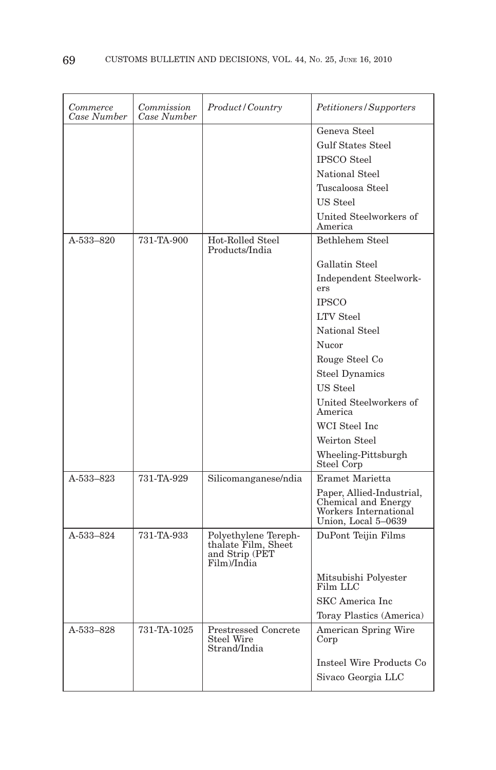| Commerce<br>Case Number | Commission<br>Case Number | Product/Country                                                              | Petitioners/Supporters                                                                           |
|-------------------------|---------------------------|------------------------------------------------------------------------------|--------------------------------------------------------------------------------------------------|
|                         |                           |                                                                              | Geneva Steel                                                                                     |
|                         |                           |                                                                              | <b>Gulf States Steel</b>                                                                         |
|                         |                           |                                                                              | <b>IPSCO</b> Steel                                                                               |
|                         |                           |                                                                              | National Steel                                                                                   |
|                         |                           |                                                                              | Tuscaloosa Steel                                                                                 |
|                         |                           |                                                                              | US Steel                                                                                         |
|                         |                           |                                                                              | United Steelworkers of<br>America                                                                |
| A-533-820               | 731-TA-900                | Hot-Rolled Steel<br>Products/India                                           | <b>Bethlehem Steel</b>                                                                           |
|                         |                           |                                                                              | Gallatin Steel                                                                                   |
|                         |                           |                                                                              | Independent Steelwork-<br>ers                                                                    |
|                         |                           |                                                                              | <b>IPSCO</b>                                                                                     |
|                         |                           |                                                                              | <b>LTV</b> Steel                                                                                 |
|                         |                           |                                                                              | National Steel                                                                                   |
|                         |                           |                                                                              | Nucor                                                                                            |
|                         |                           |                                                                              | Rouge Steel Co                                                                                   |
|                         |                           |                                                                              | <b>Steel Dynamics</b>                                                                            |
|                         |                           |                                                                              | US Steel                                                                                         |
|                         |                           |                                                                              | United Steelworkers of<br>America                                                                |
|                         |                           |                                                                              | WCI Steel Inc                                                                                    |
|                         |                           |                                                                              | Weirton Steel                                                                                    |
|                         |                           |                                                                              | Wheeling-Pittsburgh<br>Steel Corp                                                                |
| A-533-823               | 731-TA-929                | Silicomanganese/ndia                                                         | Eramet Marietta                                                                                  |
|                         |                           |                                                                              | Paper, Allied-Industrial,<br>Chemical and Energy<br>Workers International<br>Union, Local 5-0639 |
| A-533-824               | 731-TA-933                | Polyethylene Tereph-<br>thalate Film, Sheet<br>and Strip (PET<br>Film)/India | DuPont Teijin Films                                                                              |
|                         |                           |                                                                              | Mitsubishi Polyester<br>Film LLC                                                                 |
|                         |                           |                                                                              | SKC America Inc                                                                                  |
|                         |                           |                                                                              | Toray Plastics (America)                                                                         |
| A-533-828               | 731-TA-1025               | <b>Prestressed Concrete</b><br>Steel Wire<br>Strand/India                    | American Spring Wire<br>Corp                                                                     |
|                         |                           |                                                                              | Insteel Wire Products Co                                                                         |
|                         |                           |                                                                              | Sivaco Georgia LLC                                                                               |
|                         |                           |                                                                              |                                                                                                  |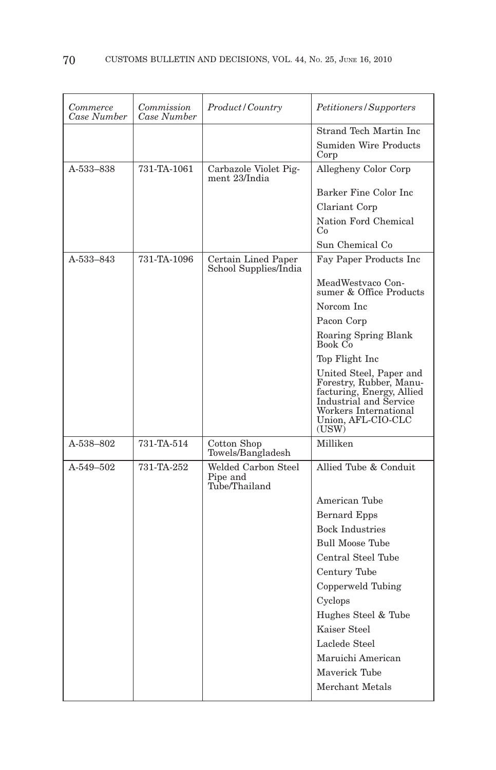| Commerce<br>Case Number | Commission<br>Case Number | Product/Country                                  | Petitioners/Supporters                                                                                                                                            |
|-------------------------|---------------------------|--------------------------------------------------|-------------------------------------------------------------------------------------------------------------------------------------------------------------------|
|                         |                           |                                                  | Strand Tech Martin Inc                                                                                                                                            |
|                         |                           |                                                  | Sumiden Wire Products<br>Corp                                                                                                                                     |
| A-533-838               | 731-TA-1061               | Carbazole Violet Pig-<br>ment 23/India           | Allegheny Color Corp                                                                                                                                              |
|                         |                           |                                                  | Barker Fine Color Inc                                                                                                                                             |
|                         |                           |                                                  | Clariant Corp                                                                                                                                                     |
|                         |                           |                                                  | Nation Ford Chemical<br>Co                                                                                                                                        |
|                         |                           |                                                  | Sun Chemical Co                                                                                                                                                   |
| A-533-843               | 731-TA-1096               | Certain Lined Paper<br>School Supplies/India     | Fay Paper Products Inc                                                                                                                                            |
|                         |                           |                                                  | MeadWestvaco Con-<br>sumer & Office Products                                                                                                                      |
|                         |                           |                                                  | Norcom Inc                                                                                                                                                        |
|                         |                           |                                                  | Pacon Corp                                                                                                                                                        |
|                         |                           |                                                  | Roaring Spring Blank<br>Book Co                                                                                                                                   |
|                         |                           |                                                  | Top Flight Inc                                                                                                                                                    |
|                         |                           |                                                  | United Steel, Paper and<br>Forestry, Rubber, Manu-<br>facturing, Energy, Allied<br>Industrial and Service<br>Workers International<br>Union, AFL-CIO-CLC<br>(USW) |
| A-538-802               | 731-TA-514                | Cotton Shop<br>Towels/Bangladesh                 | Milliken                                                                                                                                                          |
| A-549-502               | 731-TA-252                | Welded Carbon Steel<br>Pipe and<br>Tube/Thailand | Allied Tube & Conduit                                                                                                                                             |
|                         |                           |                                                  | American Tube                                                                                                                                                     |
|                         |                           |                                                  | Bernard Epps                                                                                                                                                      |
|                         |                           |                                                  | <b>Bock Industries</b>                                                                                                                                            |
|                         |                           |                                                  | <b>Bull Moose Tube</b>                                                                                                                                            |
|                         |                           |                                                  | Central Steel Tube                                                                                                                                                |
|                         |                           |                                                  | Century Tube                                                                                                                                                      |
|                         |                           |                                                  | Copperweld Tubing                                                                                                                                                 |
|                         |                           |                                                  | Cyclops                                                                                                                                                           |
|                         |                           |                                                  | Hughes Steel & Tube                                                                                                                                               |
|                         |                           |                                                  | Kaiser Steel                                                                                                                                                      |
|                         |                           |                                                  | Laclede Steel                                                                                                                                                     |
|                         |                           |                                                  | Maruichi American                                                                                                                                                 |
|                         |                           |                                                  | Maverick Tube                                                                                                                                                     |
|                         |                           |                                                  | Merchant Metals                                                                                                                                                   |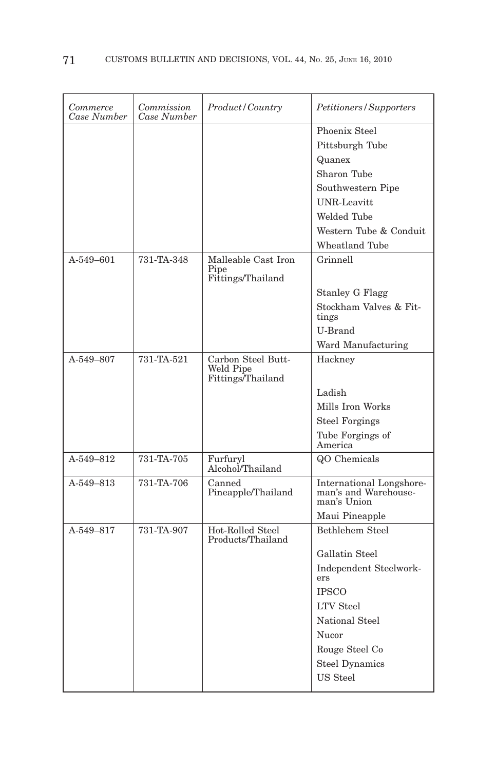| Commerce<br>Case Number | Commission<br>Case Number | Product / Country                     | Petitioners/Supporters              |
|-------------------------|---------------------------|---------------------------------------|-------------------------------------|
|                         |                           |                                       | Phoenix Steel                       |
|                         |                           |                                       | Pittsburgh Tube                     |
|                         |                           |                                       | Quanex                              |
|                         |                           |                                       | Sharon Tube                         |
|                         |                           |                                       | Southwestern Pipe                   |
|                         |                           |                                       | <b>UNR-Leavitt</b>                  |
|                         |                           |                                       | Welded Tube                         |
|                         |                           |                                       | Western Tube & Conduit              |
|                         |                           |                                       | <b>Wheatland Tube</b>               |
| A-549-601               | 731-TA-348                | Malleable Cast Iron                   | Grinnell                            |
|                         |                           | Pipe<br>Fittings/Thailand             |                                     |
|                         |                           |                                       | <b>Stanley G Flagg</b>              |
|                         |                           |                                       | Stockham Valves & Fit-              |
|                         |                           |                                       | tings                               |
|                         |                           |                                       | U-Brand                             |
|                         |                           |                                       | Ward Manufacturing                  |
| A-549-807               | 731-TA-521                | Carbon Steel Butt-<br>Weld Pipe       | Hackney                             |
|                         |                           | Fittings/Thailand                     |                                     |
|                         |                           |                                       | Ladish                              |
|                         |                           |                                       | Mills Iron Works                    |
|                         |                           |                                       | <b>Steel Forgings</b>               |
|                         |                           |                                       | Tube Forgings of                    |
| A-549-812               | 731-TA-705                |                                       | America<br>QO Chemicals             |
|                         |                           | Furfuryl<br>Alcohol/Thailand          |                                     |
| A-549-813               | 731-TA-706                | Canned                                | International Longshore-            |
|                         |                           | Pineapple/Thailand                    | man's and Warehouse-<br>man's Union |
|                         |                           |                                       | Maui Pineapple                      |
| A-549-817               | 731-TA-907                | Hot-Rolled Steel<br>Products/Thailand | Bethlehem Steel                     |
|                         |                           |                                       | Gallatin Steel                      |
|                         |                           |                                       | Independent Steelwork-              |
|                         |                           |                                       | ers                                 |
|                         |                           |                                       | <b>IPSCO</b>                        |
|                         |                           |                                       | <b>LTV Steel</b>                    |
|                         |                           |                                       | National Steel                      |
|                         |                           |                                       | Nucor                               |
|                         |                           |                                       | Rouge Steel Co                      |
|                         |                           |                                       | <b>Steel Dynamics</b>               |
|                         |                           |                                       | <b>US</b> Steel                     |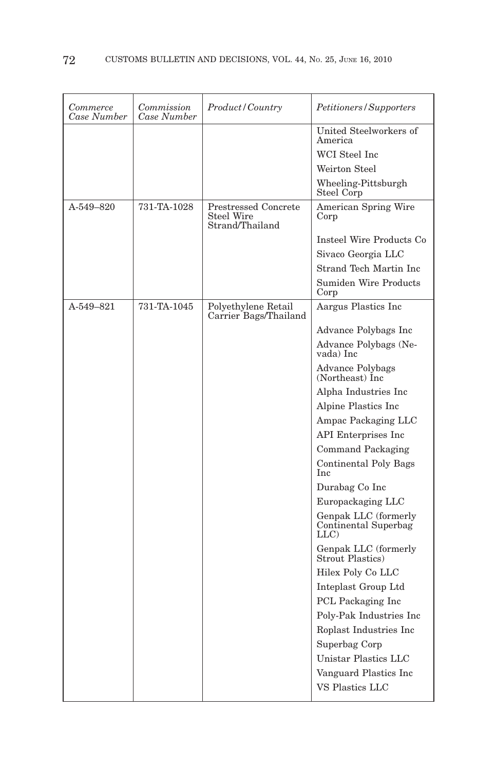| Commerce<br>Case Number | Commission<br>Case Number | <i>Product / Country</i>                                     | Petitioners/Supporters                               |
|-------------------------|---------------------------|--------------------------------------------------------------|------------------------------------------------------|
|                         |                           |                                                              | United Steelworkers of<br>America                    |
|                         |                           |                                                              | WCI Steel Inc                                        |
|                         |                           |                                                              | Weirton Steel                                        |
|                         |                           |                                                              | Wheeling-Pittsburgh<br>Steel Corp                    |
| $A - 549 - 820$         | 731-TA-1028               | <b>Prestressed Concrete</b><br>Steel Wire<br>Strand/Thailand | American Spring Wire<br>Corp                         |
|                         |                           |                                                              | Insteel Wire Products Co                             |
|                         |                           |                                                              | Sivaco Georgia LLC                                   |
|                         |                           |                                                              | Strand Tech Martin Inc                               |
|                         |                           |                                                              | <b>Sumiden Wire Products</b><br>Corp                 |
| A-549-821               | 731-TA-1045               | Polyethylene Retail<br>Carrier Bags/Thailand                 | Aargus Plastics Inc                                  |
|                         |                           |                                                              | Advance Polybags Inc                                 |
|                         |                           |                                                              | Advance Polybags (Ne-<br>vada) Inc                   |
|                         |                           |                                                              | Advance Polybags<br>(Northeast) Inc.                 |
|                         |                           |                                                              | Alpha Industries Inc                                 |
|                         |                           |                                                              | Alpine Plastics Inc                                  |
|                         |                           |                                                              | Ampac Packaging LLC                                  |
|                         |                           |                                                              | API Enterprises Inc                                  |
|                         |                           |                                                              | Command Packaging                                    |
|                         |                           |                                                              | <b>Continental Poly Bags</b><br>Inc                  |
|                         |                           |                                                              | Durabag Co Inc                                       |
|                         |                           |                                                              | Europackaging LLC                                    |
|                         |                           |                                                              | Genpak LLC (formerly<br>Continental Superbag<br>LLC) |
|                         |                           |                                                              | Genpak LLC (formerly<br>Strout Plastics)             |
|                         |                           |                                                              | Hilex Poly Co LLC                                    |
|                         |                           |                                                              | Inteplast Group Ltd                                  |
|                         |                           |                                                              | PCL Packaging Inc                                    |
|                         |                           |                                                              | Poly-Pak Industries Inc                              |
|                         |                           |                                                              | Roplast Industries Inc                               |
|                         |                           |                                                              | Superbag Corp                                        |
|                         |                           |                                                              | Unistar Plastics LLC                                 |
|                         |                           |                                                              | Vanguard Plastics Inc                                |
|                         |                           |                                                              | VS Plastics LLC                                      |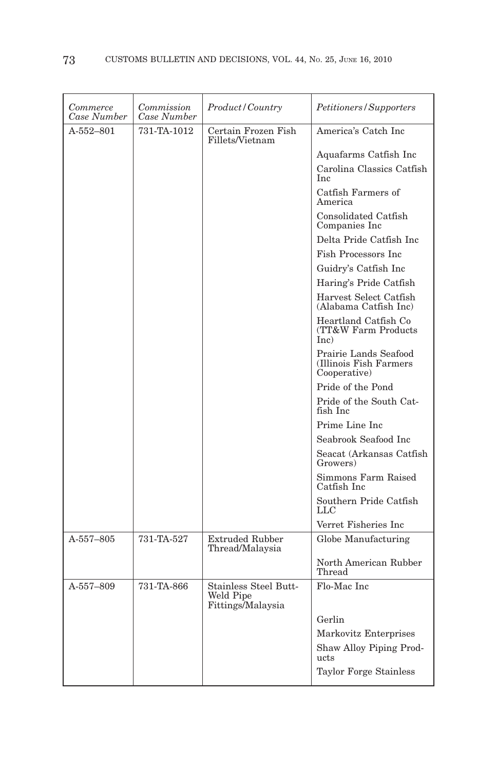| Commerce<br>Case Number | Commission<br>Case Number | <i>Product/Country</i>                                  | <i>Petitioners/Supporters</i>                                    |
|-------------------------|---------------------------|---------------------------------------------------------|------------------------------------------------------------------|
| $A-552-801$             | 731-TA-1012               | Certain Frozen Fish<br>Fillets/Vietnam                  | America's Catch Inc                                              |
|                         |                           |                                                         | Aquafarms Catfish Inc                                            |
|                         |                           |                                                         | Carolina Classics Catfish<br>Inc.                                |
|                         |                           |                                                         | Catfish Farmers of<br>America                                    |
|                         |                           |                                                         | Consolidated Catfish<br>Companies Inc.                           |
|                         |                           |                                                         | Delta Pride Catfish Inc                                          |
|                         |                           |                                                         | <b>Fish Processors Inc.</b>                                      |
|                         |                           |                                                         | Guidry's Catfish Inc                                             |
|                         |                           |                                                         | Haring's Pride Catfish                                           |
|                         |                           |                                                         | Harvest Select Catfish<br>(Alabama Catfish Inc)                  |
|                         |                           |                                                         | Heartland Catfish Co<br>(TT&W Farm Products<br>Inc)              |
|                         |                           |                                                         | Prairie Lands Seafood<br>(Illinois Fish Farmers)<br>Cooperative) |
|                         |                           |                                                         | Pride of the Pond                                                |
|                         |                           |                                                         | Pride of the South Cat-<br>fish Inc                              |
|                         |                           |                                                         | Prime Line Inc                                                   |
|                         |                           |                                                         | Seabrook Seafood Inc                                             |
|                         |                           |                                                         | Seacat (Arkansas Catfish<br>Growers)                             |
|                         |                           |                                                         | Simmons Farm Raised<br>Catfish Inc.                              |
|                         |                           |                                                         | Southern Pride Catfish<br>LLC                                    |
|                         |                           |                                                         | Verret Fisheries Inc                                             |
| A-557-805               | 731-TA-527                | <b>Extruded Rubber</b><br>Thread/Malaysia               | Globe Manufacturing                                              |
|                         |                           |                                                         | North American Rubber<br>Thread                                  |
| A-557-809               | 731-TA-866                | Stainless Steel Butt-<br>Weld Pipe<br>Fittings/Malaysia | Flo-Mac Inc                                                      |
|                         |                           |                                                         | Gerlin                                                           |
|                         |                           |                                                         | Markovitz Enterprises                                            |
|                         |                           |                                                         | Shaw Alloy Piping Prod-<br>ucts                                  |
|                         |                           |                                                         | Taylor Forge Stainless                                           |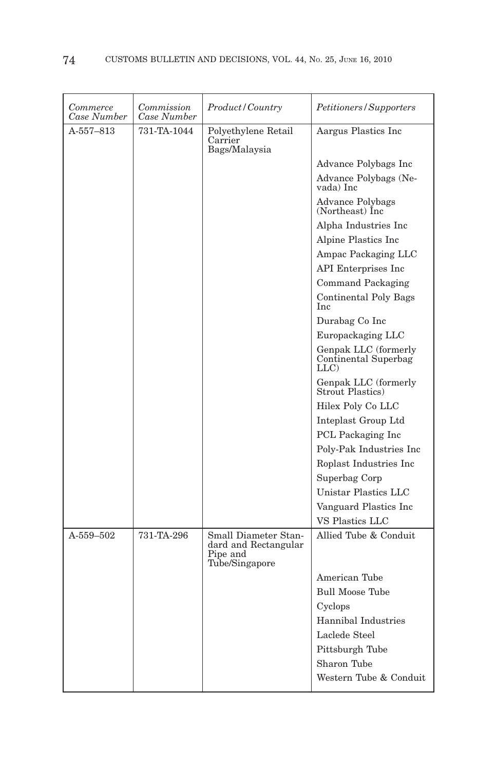| Commerce<br>Case Number | Commission<br>Case Number | Product/Country                                                            | <i>Petitioners/Supporters</i>                        |
|-------------------------|---------------------------|----------------------------------------------------------------------------|------------------------------------------------------|
| $A - 557 - 813$         | 731-TA-1044               | Polyethylene Retail<br>Carrier<br>Bags/Malaysia                            | Aargus Plastics Inc                                  |
|                         |                           |                                                                            | Advance Polybags Inc                                 |
|                         |                           |                                                                            | Advance Polybags (Ne-<br>vada) Inc                   |
|                         |                           |                                                                            | <b>Advance Polybags</b><br>(Northeast) Inc           |
|                         |                           |                                                                            | Alpha Industries Inc                                 |
|                         |                           |                                                                            | Alpine Plastics Inc                                  |
|                         |                           |                                                                            | Ampac Packaging LLC                                  |
|                         |                           |                                                                            | API Enterprises Inc                                  |
|                         |                           |                                                                            | Command Packaging                                    |
|                         |                           |                                                                            | <b>Continental Poly Bags</b><br><b>Inc</b>           |
|                         |                           |                                                                            | Durabag Co Inc                                       |
|                         |                           |                                                                            | Europackaging LLC                                    |
|                         |                           |                                                                            | Genpak LLC (formerly<br>Continental Superbag<br>LLC) |
|                         |                           |                                                                            | Genpak LLC (formerly<br><b>Strout Plastics</b> )     |
|                         |                           |                                                                            | Hilex Poly Co LLC                                    |
|                         |                           |                                                                            | Inteplast Group Ltd                                  |
|                         |                           |                                                                            | PCL Packaging Inc                                    |
|                         |                           |                                                                            | Poly-Pak Industries Inc                              |
|                         |                           |                                                                            | Roplast Industries Inc                               |
|                         |                           |                                                                            | Superbag Corp                                        |
|                         |                           |                                                                            | Unistar Plastics LLC                                 |
|                         |                           |                                                                            | Vanguard Plastics Inc                                |
|                         |                           |                                                                            | VS Plastics LLC                                      |
| $A - 559 - 502$         | 731-TA-296                | Small Diameter Stan-<br>dard and Rectangular<br>Pipe and<br>Tube/Singapore | Allied Tube & Conduit                                |
|                         |                           |                                                                            | American Tube                                        |
|                         |                           |                                                                            | <b>Bull Moose Tube</b>                               |
|                         |                           |                                                                            | Cyclops                                              |
|                         |                           |                                                                            | Hannibal Industries                                  |
|                         |                           |                                                                            | Laclede Steel                                        |
|                         |                           |                                                                            | Pittsburgh Tube                                      |
|                         |                           |                                                                            | Sharon Tube                                          |
|                         |                           |                                                                            | Western Tube & Conduit                               |
|                         |                           |                                                                            |                                                      |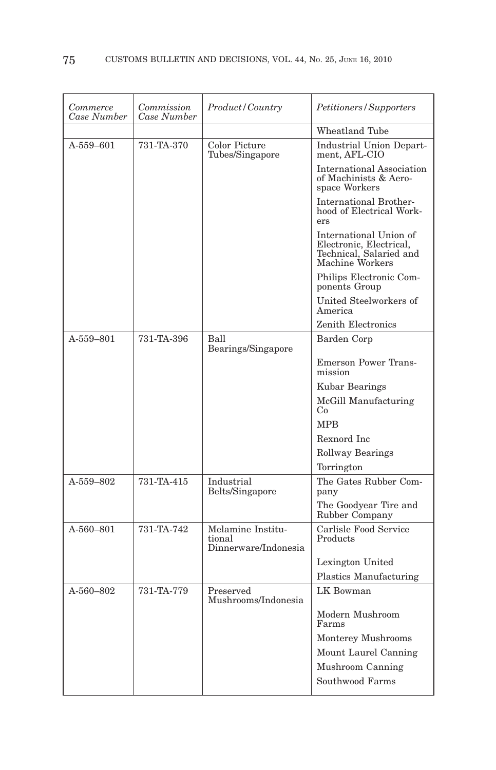| Commerce<br>Case Number | Commission<br>Case Number | Product/Country                                     | Petitioners/Supporters                                                                          |
|-------------------------|---------------------------|-----------------------------------------------------|-------------------------------------------------------------------------------------------------|
|                         |                           |                                                     | Wheatland Tube                                                                                  |
| A-559-601               | 731-TA-370                | Color Picture<br>Tubes/Singapore                    | Industrial Union Depart-<br>ment, AFL-CIO                                                       |
|                         |                           |                                                     | <b>International Association</b><br>of Machinists & Aero-<br>space Workers                      |
|                         |                           |                                                     | <b>International Brother-</b><br>hood of Electrical Work-<br>ers                                |
|                         |                           |                                                     | International Union of<br>Electronic, Electrical,<br>Technical, Salaried and<br>Machine Workers |
|                         |                           |                                                     | Philips Electronic Com-<br>ponents Group                                                        |
|                         |                           |                                                     | United Steelworkers of<br>America                                                               |
|                         |                           |                                                     | Zenith Electronics                                                                              |
| A-559-801               | 731-TA-396                | Ball<br>Bearings/Singapore                          | Barden Corp                                                                                     |
|                         |                           |                                                     | <b>Emerson Power Trans-</b><br>mission                                                          |
|                         |                           |                                                     | Kubar Bearings                                                                                  |
|                         |                           |                                                     | McGill Manufacturing<br>Co                                                                      |
|                         |                           |                                                     | <b>MPB</b>                                                                                      |
|                         |                           |                                                     | Rexnord Inc                                                                                     |
|                         |                           |                                                     | Rollway Bearings                                                                                |
|                         |                           |                                                     | Torrington                                                                                      |
| A-559-802               | 731-TA-415                | Industrial<br>Belts/Singapore                       | The Gates Rubber Com-<br>pany                                                                   |
|                         |                           |                                                     | The Goodyear Tire and<br>Rubber Company                                                         |
| $A-560-801$             | 731-TA-742                | Melamine Institu-<br>tional<br>Dinnerware/Indonesia | Carlisle Food Service<br>Products                                                               |
|                         |                           |                                                     | Lexington United                                                                                |
|                         |                           |                                                     | Plastics Manufacturing                                                                          |
| $A - 560 - 802$         | 731-TA-779                | Preserved<br>Mushrooms/Indonesia                    | LK Bowman                                                                                       |
|                         |                           |                                                     | Modern Mushroom<br>Farms                                                                        |
|                         |                           |                                                     | Monterey Mushrooms                                                                              |
|                         |                           |                                                     | Mount Laurel Canning                                                                            |
|                         |                           |                                                     | Mushroom Canning                                                                                |
|                         |                           |                                                     | Southwood Farms                                                                                 |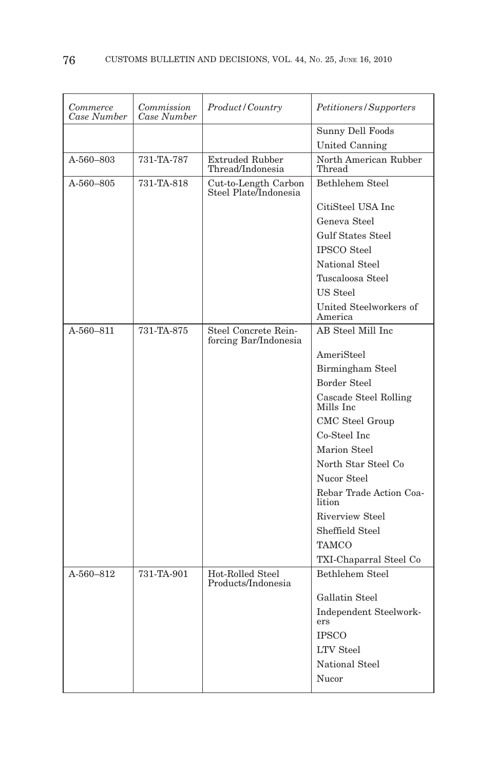| Commerce<br>Case Number | Commission<br>Case Number | Product/Country                               | <i>Petitioners/Supporters</i>      |
|-------------------------|---------------------------|-----------------------------------------------|------------------------------------|
|                         |                           |                                               | Sunny Dell Foods                   |
|                         |                           |                                               | United Canning                     |
| A-560-803               | 731-TA-787                | <b>Extruded Rubber</b><br>Thread/Indonesia    | North American Rubber<br>Thread    |
| A-560–805               | 731-TA-818                | Cut-to-Length Carbon<br>Steel Plate/Indonesia | Bethlehem Steel                    |
|                         |                           |                                               | CitiSteel USA Inc                  |
|                         |                           |                                               | Geneva Steel                       |
|                         |                           |                                               | <b>Gulf States Steel</b>           |
|                         |                           |                                               | <b>IPSCO</b> Steel                 |
|                         |                           |                                               | <b>National Steel</b>              |
|                         |                           |                                               | Tuscaloosa Steel                   |
|                         |                           |                                               | US Steel                           |
|                         |                           |                                               | United Steelworkers of<br>America  |
| A-560–811               | 731-TA-875                | Steel Concrete Rein-<br>forcing Bar/Indonesia | AB Steel Mill Inc.                 |
|                         |                           |                                               | AmeriSteel                         |
|                         |                           |                                               | Birmingham Steel                   |
|                         |                           |                                               | <b>Border Steel</b>                |
|                         |                           |                                               | Cascade Steel Rolling<br>Mills Inc |
|                         |                           |                                               | CMC Steel Group                    |
|                         |                           |                                               | Co-Steel Inc                       |
|                         |                           |                                               | Marion Steel                       |
|                         |                           |                                               | North Star Steel Co                |
|                         |                           |                                               | Nucor Steel                        |
|                         |                           |                                               | Rebar Trade Action Coa-<br>lition  |
|                         |                           |                                               | Riverview Steel                    |
|                         |                           |                                               | Sheffield Steel                    |
|                         |                           |                                               | TAMCO                              |
|                         |                           |                                               | TXI-Chaparral Steel Co             |
| A-560-812               | 731-TA-901                | Hot-Rolled Steel<br>Products/Indonesia        | Bethlehem Steel                    |
|                         |                           |                                               | Gallatin Steel                     |
|                         |                           |                                               | Independent Steelwork-<br>ers      |
|                         |                           |                                               | <b>IPSCO</b>                       |
|                         |                           |                                               | <b>LTV</b> Steel                   |
|                         |                           |                                               | National Steel                     |
|                         |                           |                                               | Nucor                              |
|                         |                           |                                               |                                    |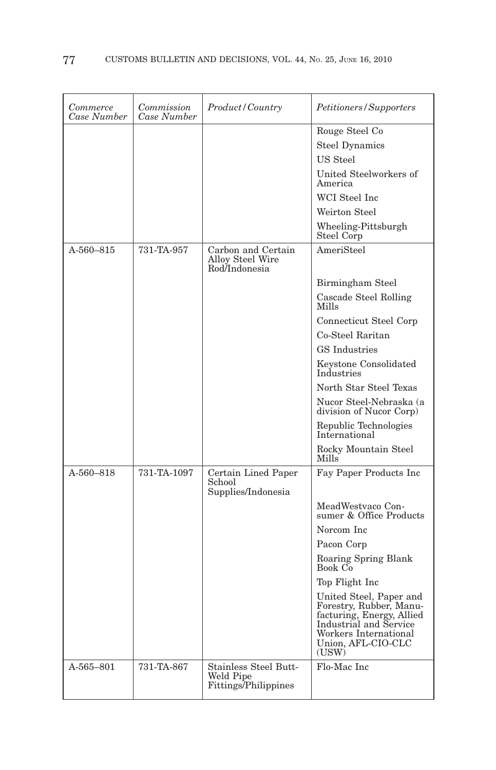| Commerce<br>Case Number | Commission<br>Case Number | Product/Country                                                | Petitioners/Supporters                                                                                                                                            |
|-------------------------|---------------------------|----------------------------------------------------------------|-------------------------------------------------------------------------------------------------------------------------------------------------------------------|
|                         |                           |                                                                | Rouge Steel Co                                                                                                                                                    |
|                         |                           |                                                                | <b>Steel Dynamics</b>                                                                                                                                             |
|                         |                           |                                                                | US Steel                                                                                                                                                          |
|                         |                           |                                                                | United Steelworkers of<br>America                                                                                                                                 |
|                         |                           |                                                                | WCI Steel Inc                                                                                                                                                     |
|                         |                           |                                                                | Weirton Steel                                                                                                                                                     |
|                         |                           |                                                                | Wheeling-Pittsburgh<br>Steel Corp                                                                                                                                 |
| A-560-815               | 731-TA-957                | Carbon and Certain<br><b>Alloy Steel Wire</b><br>Rod/Indonesia | AmeriSteel                                                                                                                                                        |
|                         |                           |                                                                | Birmingham Steel                                                                                                                                                  |
|                         |                           |                                                                | Cascade Steel Rolling<br>Mills                                                                                                                                    |
|                         |                           |                                                                | Connecticut Steel Corp                                                                                                                                            |
|                         |                           |                                                                | Co-Steel Raritan                                                                                                                                                  |
|                         |                           |                                                                | <b>GS</b> Industries                                                                                                                                              |
|                         |                           |                                                                | Keystone Consolidated<br>Industries                                                                                                                               |
|                         |                           |                                                                | North Star Steel Texas                                                                                                                                            |
|                         |                           |                                                                | Nucor Steel-Nebraska (a<br>division of Nucor Corp)                                                                                                                |
|                         |                           |                                                                | Republic Technologies<br>International                                                                                                                            |
|                         |                           |                                                                | Rocky Mountain Steel<br>Mills                                                                                                                                     |
| A-560-818               | 731-TA-1097               | Certain Lined Paper                                            | Fay Paper Products Inc                                                                                                                                            |
|                         |                           | School<br>Supplies/Indonesia                                   |                                                                                                                                                                   |
|                         |                           |                                                                | MeadWestvaco Con-<br>sumer & Office Products                                                                                                                      |
|                         |                           |                                                                | Norcom Inc                                                                                                                                                        |
|                         |                           |                                                                | Pacon Corp                                                                                                                                                        |
|                         |                           |                                                                | Roaring Spring Blank<br>Book Co                                                                                                                                   |
|                         |                           |                                                                | Top Flight Inc                                                                                                                                                    |
|                         |                           |                                                                | United Steel, Paper and<br>Forestry, Rubber, Manu-<br>facturing, Energy, Allied<br>Industrial and Service<br>Workers International<br>Union, AFL-CIO-CLC<br>(USW) |
| $A - 565 - 801$         | 731-TA-867                | Stainless Steel Butt-<br>Weld Pipe<br>Fittings/Philippines     | Flo-Mac Inc                                                                                                                                                       |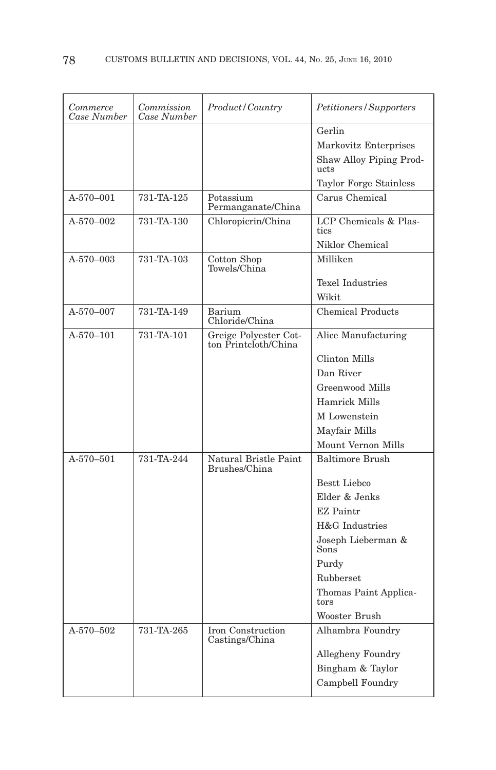| Commerce<br>Case Number | Commission<br>Case Number | Product/Country                               | Petitioners/Supporters          |
|-------------------------|---------------------------|-----------------------------------------------|---------------------------------|
|                         |                           |                                               | Gerlin                          |
|                         |                           |                                               | Markovitz Enterprises           |
|                         |                           |                                               | Shaw Alloy Piping Prod-<br>ucts |
|                         |                           |                                               | Taylor Forge Stainless          |
| $A-570-001$             | 731-TA-125                | Potassium<br>Permanganate/China               | Carus Chemical                  |
| A-570-002               | 731-TA-130                | Chloropicrin/China                            | LCP Chemicals & Plas-<br>tics   |
|                         |                           |                                               | Niklor Chemical                 |
| A-570-003               | 731-TA-103                | Cotton Shop<br>Towels/China                   | Milliken                        |
|                         |                           |                                               | <b>Texel Industries</b>         |
|                         |                           |                                               | Wikit                           |
| A-570-007               | 731-TA-149                | Barium<br>Chloride/China                      | <b>Chemical Products</b>        |
| $A-570-101$             | 731-TA-101                | Greige Polyester Cot-<br>ton Printcloth/China | Alice Manufacturing             |
|                         |                           |                                               | Clinton Mills                   |
|                         |                           |                                               | Dan River                       |
|                         |                           |                                               | Greenwood Mills                 |
|                         |                           |                                               | <b>Hamrick Mills</b>            |
|                         |                           |                                               | M Lowenstein                    |
|                         |                           |                                               | Mayfair Mills                   |
|                         |                           |                                               | Mount Vernon Mills              |
| A-570-501               | 731-TA-244                | Natural Bristle Paint<br>Brushes/China        | <b>Baltimore Brush</b>          |
|                         |                           |                                               | Bestt Liebco                    |
|                         |                           |                                               | Elder & Jenks                   |
|                         |                           |                                               | <b>EZ</b> Paintr                |
|                         |                           |                                               | H&G Industries                  |
|                         |                           |                                               | Joseph Lieberman &<br>Sons      |
|                         |                           |                                               | Purdy                           |
|                         |                           |                                               | Rubberset                       |
|                         |                           |                                               | Thomas Paint Applica-<br>tors   |
|                         |                           |                                               | Wooster Brush                   |
| A-570-502               | 731-TA-265                | Iron Construction<br>Castings/China           | Alhambra Foundry                |
|                         |                           |                                               | Allegheny Foundry               |
|                         |                           |                                               | Bingham & Taylor                |
|                         |                           |                                               | Campbell Foundry                |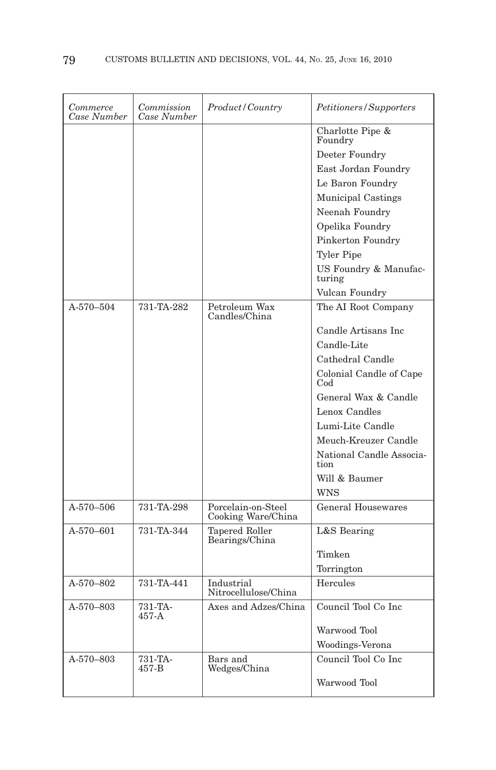| Commerce<br>Case Number | Commission<br>Case Number | Product / Country                        | Petitioners/Supporters           |
|-------------------------|---------------------------|------------------------------------------|----------------------------------|
|                         |                           |                                          | Charlotte Pipe &<br>Foundry      |
|                         |                           |                                          | Deeter Foundry                   |
|                         |                           |                                          | East Jordan Foundry              |
|                         |                           |                                          | Le Baron Foundry                 |
|                         |                           |                                          | Municipal Castings               |
|                         |                           |                                          | Neenah Foundry                   |
|                         |                           |                                          | Opelika Foundry                  |
|                         |                           |                                          | Pinkerton Foundry                |
|                         |                           |                                          | <b>Tyler Pipe</b>                |
|                         |                           |                                          | US Foundry & Manufac-<br>turing  |
|                         |                           |                                          | Vulcan Foundry                   |
| A-570-504               | 731-TA-282                | Petroleum Wax<br>Candles/China           | The AI Root Company              |
|                         |                           |                                          | Candle Artisans Inc              |
|                         |                           |                                          | Candle-Lite                      |
|                         |                           |                                          | Cathedral Candle                 |
|                         |                           |                                          | Colonial Candle of Cape<br>Cod   |
|                         |                           |                                          | General Wax & Candle             |
|                         |                           |                                          | Lenox Candles                    |
|                         |                           |                                          | Lumi-Lite Candle                 |
|                         |                           |                                          | Meuch-Kreuzer Candle             |
|                         |                           |                                          | National Candle Associa-<br>tion |
|                         |                           |                                          | Will & Baumer                    |
|                         |                           |                                          | <b>WNS</b>                       |
| A-570-506               | 731-TA-298                | Porcelain-on-Steel<br>Cooking Ware/China | <b>General Housewares</b>        |
| A-570-601               | 731-TA-344                | <b>Tapered Roller</b><br>Bearings/China  | L&S Bearing                      |
|                         |                           |                                          | Timken                           |
|                         |                           |                                          | Torrington                       |
| A-570-802               | 731-TA-441                | Industrial<br>Nitrocellulose/China       | Hercules                         |
| A-570-803               | 731-TA-<br>$457-A$        | Axes and Adzes/China                     | Council Tool Co Inc              |
|                         |                           |                                          | Warwood Tool                     |
|                         |                           |                                          | Woodings-Verona                  |
| A-570-803               | 731-TA-<br>457-B          | Bars and<br>Wedges/China                 | Council Tool Co Inc.             |
|                         |                           |                                          | Warwood Tool                     |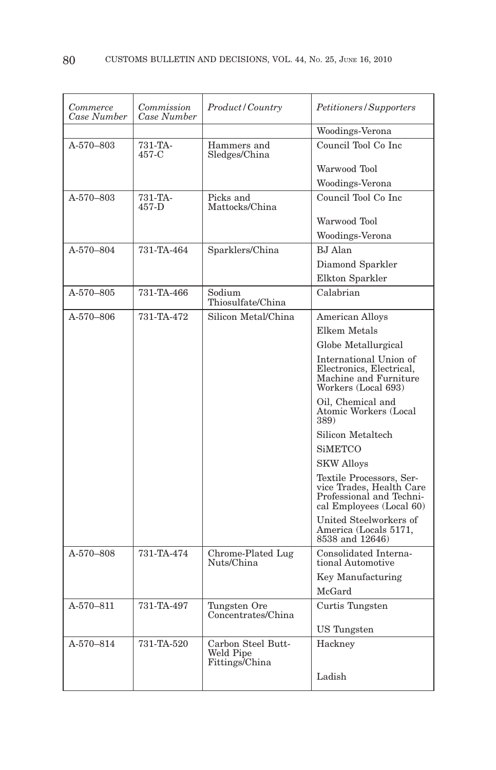| Commerce<br>Case Number | Commission<br>Case Number | Product/Country                                   | Petitioners/Supporters                                                                                       |
|-------------------------|---------------------------|---------------------------------------------------|--------------------------------------------------------------------------------------------------------------|
|                         |                           |                                                   | Woodings-Verona                                                                                              |
| A-570-803               | 731-TA-<br>457-C          | Hammers and<br>Sledges/China                      | Council Tool Co Inc.                                                                                         |
|                         |                           |                                                   | Warwood Tool                                                                                                 |
|                         |                           |                                                   | Woodings-Verona                                                                                              |
| A-570-803               | 731-TA-<br>457-D          | Picks and<br>Mattocks/China                       | Council Tool Co Inc                                                                                          |
|                         |                           |                                                   | Warwood Tool                                                                                                 |
|                         |                           |                                                   | Woodings-Verona                                                                                              |
| A-570-804               | 731-TA-464                | Sparklers/China                                   | <b>BJ</b> Alan                                                                                               |
|                         |                           |                                                   | Diamond Sparkler                                                                                             |
|                         |                           |                                                   | Elkton Sparkler                                                                                              |
| A-570-805               | 731-TA-466                | Sodium<br>Thiosulfate/China                       | Calabrian                                                                                                    |
| A-570-806               | 731-TA-472                | Silicon Metal/China                               | <b>American Alloys</b>                                                                                       |
|                         |                           |                                                   | Elkem Metals                                                                                                 |
|                         |                           |                                                   | Globe Metallurgical                                                                                          |
|                         |                           |                                                   | International Union of<br>Electronics, Electrical,<br>Machine and Furniture<br>Workers (Local 693)           |
|                         |                           |                                                   | Oil, Chemical and<br>Atomic Workers (Local<br>389)                                                           |
|                         |                           |                                                   | Silicon Metaltech                                                                                            |
|                         |                           |                                                   | <b>SiMETCO</b>                                                                                               |
|                         |                           |                                                   | <b>SKW Alloys</b>                                                                                            |
|                         |                           |                                                   | Textile Processors, Ser-<br>vice Trades, Health Care<br>Professional and Techni-<br>cal Employees (Local 60) |
|                         |                           |                                                   | United Steelworkers of<br>America (Locals 5171,<br>8538 and 12646)                                           |
| A-570-808               | 731-TA-474                | Chrome-Plated Lug<br>Nuts/China                   | Consolidated Interna-<br>tional Automotive                                                                   |
|                         |                           |                                                   | Key Manufacturing                                                                                            |
|                         |                           |                                                   | McGard                                                                                                       |
| A-570-811               | 731-TA-497                | Tungsten Ore<br>Concentrates/China                | Curtis Tungsten                                                                                              |
|                         |                           |                                                   | <b>US</b> Tungsten                                                                                           |
| A-570-814               | 731-TA-520                | Carbon Steel Butt-<br>Weld Pipe<br>Fittings/China | Hackney                                                                                                      |
|                         |                           |                                                   | Ladish                                                                                                       |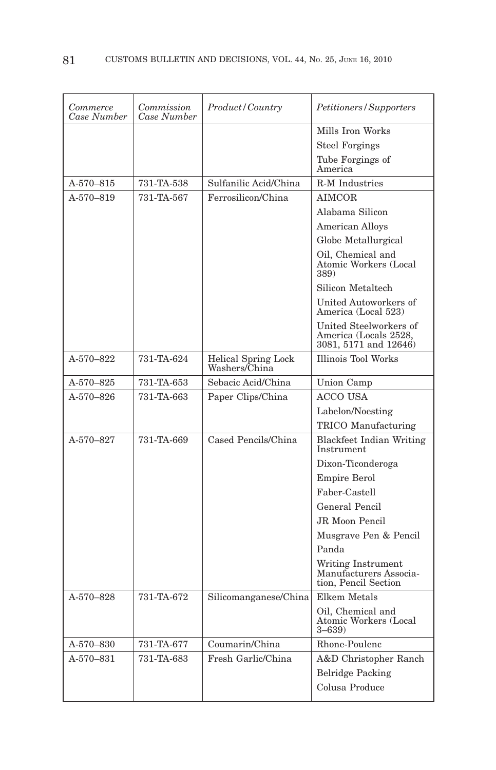| Commerce<br>Case Number | Commission<br>Case Number | Product/Country                      | Petitioners/Supporters                                                   |
|-------------------------|---------------------------|--------------------------------------|--------------------------------------------------------------------------|
|                         |                           |                                      | Mills Iron Works                                                         |
|                         |                           |                                      | <b>Steel Forgings</b>                                                    |
|                         |                           |                                      | Tube Forgings of<br>America                                              |
| A-570-815               | 731-TA-538                | Sulfanilic Acid/China                | <b>R-M</b> Industries                                                    |
| A-570-819               | 731-TA-567                | Ferrosilicon/China                   | <b>AIMCOR</b>                                                            |
|                         |                           |                                      | Alabama Silicon                                                          |
|                         |                           |                                      | American Alloys                                                          |
|                         |                           |                                      | Globe Metallurgical                                                      |
|                         |                           |                                      | Oil, Chemical and<br>Atomic Workers (Local<br>389)                       |
|                         |                           |                                      | Silicon Metaltech                                                        |
|                         |                           |                                      | United Autoworkers of<br>America (Local 523)                             |
|                         |                           |                                      | United Steelworkers of<br>America (Locals 2528,<br>3081, 5171 and 12646) |
| A-570-822               | 731-TA-624                | Helical Spring Lock<br>Washers/China | Illinois Tool Works                                                      |
| A-570-825               | 731-TA-653                | Sebacic Acid/China                   | Union Camp                                                               |
| A-570-826               | 731-TA-663                | Paper Clips/China                    | <b>ACCO USA</b>                                                          |
|                         |                           |                                      | Labelon/Noesting                                                         |
|                         |                           |                                      | TRICO Manufacturing                                                      |
| A-570-827               | 731-TA-669                | Cased Pencils/China                  | <b>Blackfeet Indian Writing</b><br>Instrument                            |
|                         |                           |                                      | Dixon-Ticonderoga                                                        |
|                         |                           |                                      | <b>Empire Berol</b>                                                      |
|                         |                           |                                      | Faber-Castell                                                            |
|                         |                           |                                      | General Pencil                                                           |
|                         |                           |                                      | JR Moon Pencil                                                           |
|                         |                           |                                      | Musgrave Pen & Pencil                                                    |
|                         |                           |                                      | Panda                                                                    |
|                         |                           |                                      | Writing Instrument<br>Manufacturers Associa-<br>tion, Pencil Section     |
| A-570-828               | 731-TA-672                | Silicomanganese/China                | Elkem Metals                                                             |
|                         |                           |                                      | Oil, Chemical and<br>Atomic Workers (Local<br>$3 - 639$                  |
| A-570-830               | 731-TA-677                | Coumarin/China                       | Rhone-Poulenc                                                            |
| A-570-831               | 731-TA-683                | Fresh Garlic/China                   | A&D Christopher Ranch                                                    |
|                         |                           |                                      | <b>Belridge Packing</b>                                                  |
|                         |                           |                                      | Colusa Produce                                                           |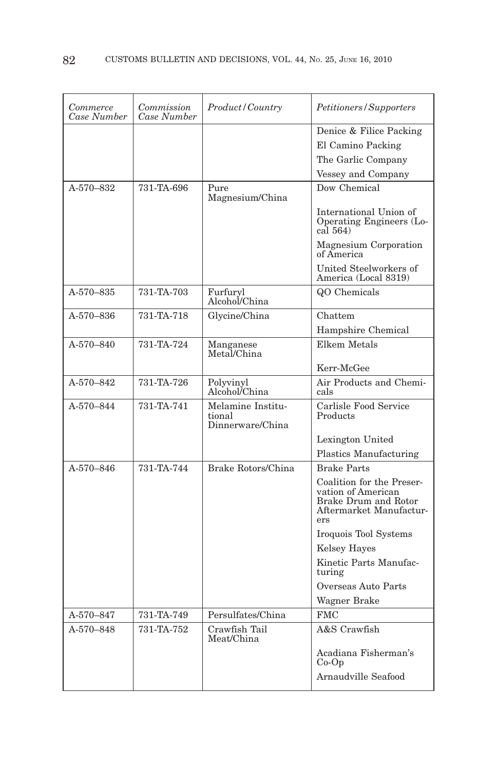| Commerce<br>Case Number | Commission<br>Case Number | Product/Country                                 | Petitioners/Supporters                                                                                    |
|-------------------------|---------------------------|-------------------------------------------------|-----------------------------------------------------------------------------------------------------------|
|                         |                           |                                                 | Denice & Filice Packing                                                                                   |
|                         |                           |                                                 | El Camino Packing                                                                                         |
|                         |                           |                                                 | The Garlic Company                                                                                        |
|                         |                           |                                                 | Vessey and Company                                                                                        |
| A-570-832               | 731-TA-696                | Pure<br>Magnesium/China                         | Dow Chemical                                                                                              |
|                         |                           |                                                 | International Union of<br>Operating Engineers (Lo-<br>cal 564)                                            |
|                         |                           |                                                 | Magnesium Corporation<br>of America                                                                       |
|                         |                           |                                                 | United Steelworkers of<br>America (Local 8319)                                                            |
| A-570-835               | 731-TA-703                | Furfuryl<br>Alcohol/China                       | QO Chemicals                                                                                              |
| A-570-836               | 731-TA-718                | Glycine/China                                   | Chattem                                                                                                   |
|                         |                           |                                                 | Hampshire Chemical                                                                                        |
| A-570-840               | 731-TA-724                | Manganese<br>Metal/China                        | Elkem Metals                                                                                              |
|                         |                           |                                                 | Kerr-McGee                                                                                                |
| A-570-842               | 731-TA-726                | Polyvinyl<br>Alcohol/China                      | Air Products and Chemi-<br>cals                                                                           |
| A-570-844               | 731-TA-741                | Melamine Institu-<br>tional<br>Dinnerware/China | Carlisle Food Service<br>Products                                                                         |
|                         |                           |                                                 | Lexington United                                                                                          |
|                         |                           |                                                 | Plastics Manufacturing                                                                                    |
| A-570-846               | 731-TA-744                | Brake Rotors/China                              | <b>Brake Parts</b>                                                                                        |
|                         |                           |                                                 | Coalition for the Preser-<br>vation of American<br>Brake Drum and Rotor<br>Aftermarket Manufactur-<br>ers |
|                         |                           |                                                 | Iroquois Tool Systems                                                                                     |
|                         |                           |                                                 | <b>Kelsey Hayes</b>                                                                                       |
|                         |                           |                                                 | Kinetic Parts Manufac-<br>turing                                                                          |
|                         |                           |                                                 | Overseas Auto Parts                                                                                       |
|                         |                           |                                                 | Wagner Brake                                                                                              |
| A-570-847               | 731-TA-749                | Persulfates/China                               | <b>FMC</b>                                                                                                |
| A-570-848               | 731-TA-752                | Crawfish Tail<br>Meat/China                     | A&S Crawfish                                                                                              |
|                         |                           |                                                 | Acadiana Fisherman's<br>$Co-Op$                                                                           |
|                         |                           |                                                 | Arnaudville Seafood                                                                                       |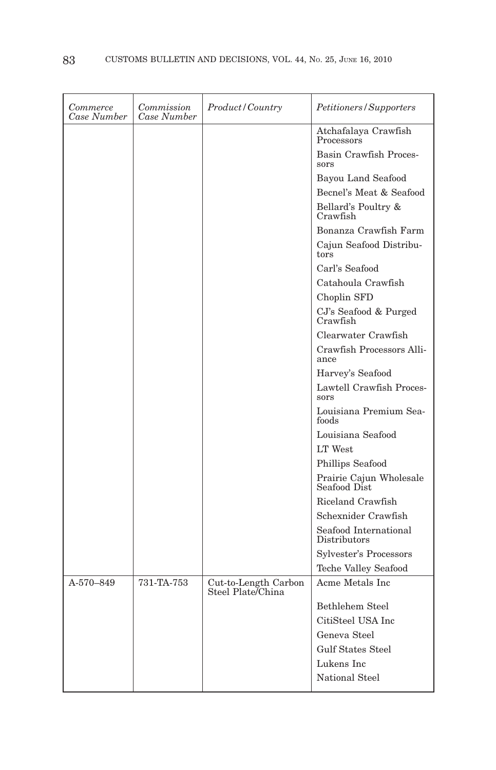| Commerce<br>Case Number | Commission<br>Case Number | Product/Country                           | Petitioners/Supporters                  |
|-------------------------|---------------------------|-------------------------------------------|-----------------------------------------|
|                         |                           |                                           | Atchafalaya Crawfish<br>Processors      |
|                         |                           |                                           | Basin Crawfish Proces-<br>sors          |
|                         |                           |                                           | Bayou Land Seafood                      |
|                         |                           |                                           | Becnel's Meat & Seafood                 |
|                         |                           |                                           | Bellard's Poultry &<br>Crawfish         |
|                         |                           |                                           | Bonanza Crawfish Farm                   |
|                         |                           |                                           | Cajun Seafood Distribu-<br>tors         |
|                         |                           |                                           | Carl's Seafood                          |
|                         |                           |                                           | Catahoula Crawfish                      |
|                         |                           |                                           | Choplin SFD                             |
|                         |                           |                                           | CJ's Seafood & Purged<br>Crawfish       |
|                         |                           |                                           | Clearwater Crawfish                     |
|                         |                           |                                           | Crawfish Processors Alli-<br>ance       |
|                         |                           |                                           | Harvey's Seafood                        |
|                         |                           |                                           | Lawtell Crawfish Proces-<br>sors        |
|                         |                           |                                           | Louisiana Premium Sea-<br>foods         |
|                         |                           |                                           | Louisiana Seafood                       |
|                         |                           |                                           | LT West                                 |
|                         |                           |                                           | Phillips Seafood                        |
|                         |                           |                                           | Prairie Cajun Wholesale<br>Seafood Dist |
|                         |                           |                                           | Riceland Crawfish                       |
|                         |                           |                                           | Schexnider Crawfish                     |
|                         |                           |                                           | Seafood International<br>Distributors   |
|                         |                           |                                           | Sylvester's Processors                  |
|                         |                           |                                           | <b>Teche Valley Seafood</b>             |
| A-570-849               | 731-TA-753                | Cut-to-Length Carbon<br>Steel Plate/China | Acme Metals Inc                         |
|                         |                           |                                           | Bethlehem Steel                         |
|                         |                           |                                           | CitiSteel USA Inc                       |
|                         |                           |                                           | Geneva Steel                            |
|                         |                           |                                           | <b>Gulf States Steel</b>                |
|                         |                           |                                           | Lukens Inc                              |
|                         |                           |                                           | <b>National Steel</b>                   |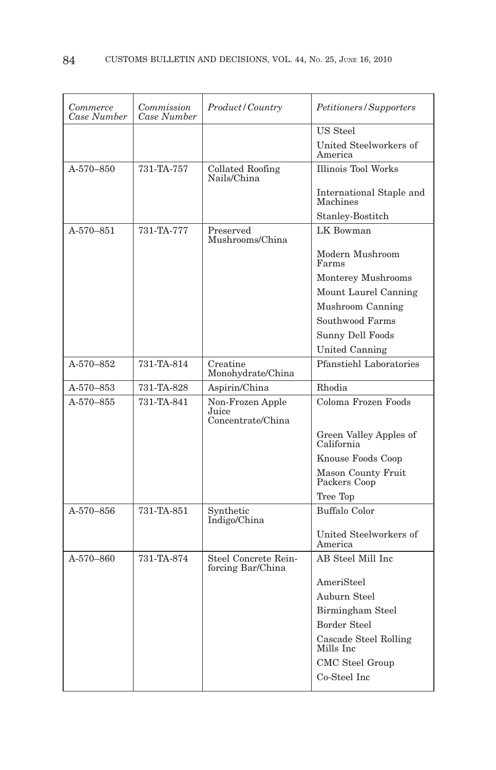| Commerce<br>Case Number | Commission<br>Case Number | Product/Country                                | Petitioners/Supporters                    |
|-------------------------|---------------------------|------------------------------------------------|-------------------------------------------|
|                         |                           |                                                | US Steel                                  |
|                         |                           |                                                | United Steelworkers of<br>America         |
| A-570-850               | 731-TA-757                | Collated Roofing<br>Nails/China                | <b>Illinois Tool Works</b>                |
|                         |                           |                                                | International Staple and<br>Machines      |
|                         |                           |                                                | Stanley-Bostitch                          |
| A-570-851               | 731-TA-777                | Preserved<br>Mushrooms/China                   | LK Bowman                                 |
|                         |                           |                                                | Modern Mushroom<br>Farms                  |
|                         |                           |                                                | Monterey Mushrooms                        |
|                         |                           |                                                | Mount Laurel Canning                      |
|                         |                           |                                                | Mushroom Canning                          |
|                         |                           |                                                | Southwood Farms                           |
|                         |                           |                                                | Sunny Dell Foods                          |
|                         |                           |                                                | United Canning                            |
| A-570-852               | 731-TA-814                | Creatine<br>Monohydrate/China                  | <b>Pfanstiehl Laboratories</b>            |
| A-570-853               | 731-TA-828                | Aspirin/China                                  | Rhodia                                    |
| $A-570-855$             | 731-TA-841                | Non-Frozen Apple<br>Juice<br>Concentrate/China | Coloma Frozen Foods                       |
|                         |                           |                                                | Green Valley Apples of<br>California      |
|                         |                           |                                                | Knouse Foods Coop                         |
|                         |                           |                                                | <b>Mason County Fruit</b><br>Packers Coop |
|                         |                           |                                                | Tree Top                                  |
| A-570-856               | 731-TA-851                | Synthetic<br>Indigo/China                      | <b>Buffalo Color</b>                      |
|                         |                           |                                                | United Steelworkers of<br>America         |
| A-570-860               | 731-TA-874                | Steel Concrete Rein-<br>forcing Bar/China      | AB Steel Mill Inc                         |
|                         |                           |                                                | AmeriSteel                                |
|                         |                           |                                                | Auburn Steel                              |
|                         |                           |                                                | Birmingham Steel                          |
|                         |                           |                                                | Border Steel                              |
|                         |                           |                                                | Cascade Steel Rolling<br>Mills Inc        |
|                         |                           |                                                | CMC Steel Group                           |
|                         |                           |                                                | Co-Steel Inc                              |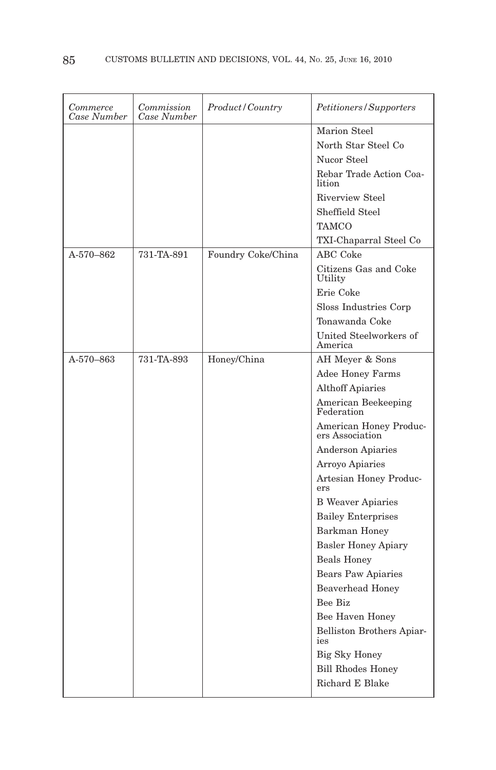| <i>Commerce</i><br>Case Number | Commission<br>Case Number | <i>Product/Country</i> | Petitioners/Supporters                    |
|--------------------------------|---------------------------|------------------------|-------------------------------------------|
|                                |                           |                        | Marion Steel                              |
|                                |                           |                        | North Star Steel Co                       |
|                                |                           |                        | Nucor Steel                               |
|                                |                           |                        | Rebar Trade Action Coa-<br>lition         |
|                                |                           |                        | <b>Riverview Steel</b>                    |
|                                |                           |                        | Sheffield Steel                           |
|                                |                           |                        | <b>TAMCO</b>                              |
|                                |                           |                        | TXI-Chaparral Steel Co                    |
| A-570-862                      | 731-TA-891                | Foundry Coke/China     | <b>ABC</b> Coke                           |
|                                |                           |                        | Citizens Gas and Coke<br>Utility          |
|                                |                           |                        | Erie Coke                                 |
|                                |                           |                        | Sloss Industries Corp                     |
|                                |                           |                        | Tonawanda Coke                            |
|                                |                           |                        | United Steelworkers of<br>America         |
| A-570-863                      | 731-TA-893                | Honey/China            | AH Meyer & Sons                           |
|                                |                           |                        | Adee Honey Farms                          |
|                                |                           |                        | <b>Althoff Apiaries</b>                   |
|                                |                           |                        | American Beekeeping<br>Federation         |
|                                |                           |                        | American Honey Produc-<br>ers Association |
|                                |                           |                        | <b>Anderson Apiaries</b>                  |
|                                |                           |                        | Arroyo Apiaries                           |
|                                |                           |                        | Artesian Honey Produc-<br>ers             |
|                                |                           |                        | <b>B</b> Weaver Apiaries                  |
|                                |                           |                        | <b>Bailey Enterprises</b>                 |
|                                |                           |                        | Barkman Honey                             |
|                                |                           |                        | <b>Basler Honey Apiary</b>                |
|                                |                           |                        | <b>Beals Honey</b>                        |
|                                |                           |                        | Bears Paw Apiaries                        |
|                                |                           |                        | Beaverhead Honey                          |
|                                |                           |                        | Bee Biz                                   |
|                                |                           |                        | Bee Haven Honey                           |
|                                |                           |                        | Belliston Brothers Apiar-<br>ies          |
|                                |                           |                        | Big Sky Honey                             |
|                                |                           |                        | <b>Bill Rhodes Honey</b>                  |
|                                |                           |                        | Richard E Blake                           |
|                                |                           |                        |                                           |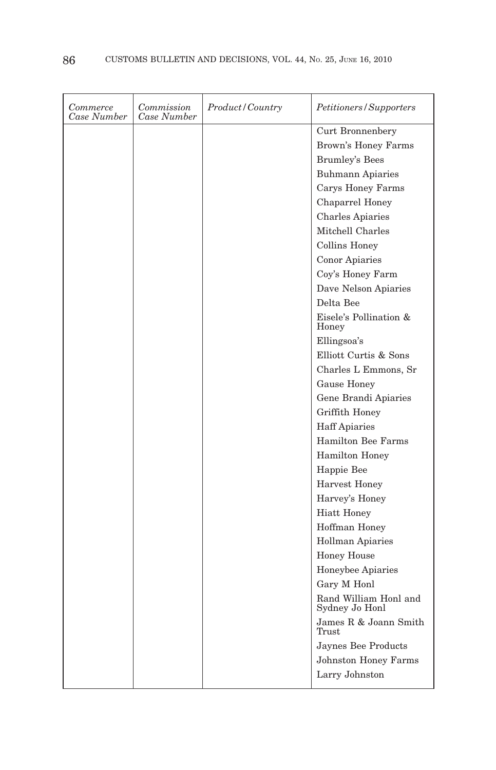| Commerce<br>Case Number | Commission<br>Case Number | Product / Country | Petitioners/Supporters                  |
|-------------------------|---------------------------|-------------------|-----------------------------------------|
|                         |                           |                   | Curt Bronnenbery                        |
|                         |                           |                   | Brown's Honey Farms                     |
|                         |                           |                   | <b>Brumley's Bees</b>                   |
|                         |                           |                   | <b>Buhmann Apiaries</b>                 |
|                         |                           |                   | Carys Honey Farms                       |
|                         |                           |                   | Chaparrel Honey                         |
|                         |                           |                   | <b>Charles Apiaries</b>                 |
|                         |                           |                   | Mitchell Charles                        |
|                         |                           |                   | Collins Honey                           |
|                         |                           |                   | Conor Apiaries                          |
|                         |                           |                   | Coy's Honey Farm                        |
|                         |                           |                   | Dave Nelson Apiaries                    |
|                         |                           |                   | Delta Bee                               |
|                         |                           |                   | Eisele's Pollination &<br>Honey         |
|                         |                           |                   | Ellingsoa's                             |
|                         |                           |                   | Elliott Curtis & Sons                   |
|                         |                           |                   | Charles L Emmons, Sr                    |
|                         |                           |                   | Gause Honey                             |
|                         |                           |                   | Gene Brandi Apiaries                    |
|                         |                           |                   | Griffith Honey                          |
|                         |                           |                   | <b>Haff Apiaries</b>                    |
|                         |                           |                   | Hamilton Bee Farms                      |
|                         |                           |                   | Hamilton Honey                          |
|                         |                           |                   | Happie Bee                              |
|                         |                           |                   | <b>Harvest Honey</b>                    |
|                         |                           |                   | Harvey's Honey                          |
|                         |                           |                   | <b>Hiatt Honey</b>                      |
|                         |                           |                   | Hoffman Honey                           |
|                         |                           |                   | <b>Hollman Apiaries</b>                 |
|                         |                           |                   | <b>Honey House</b>                      |
|                         |                           |                   | Honeybee Apiaries                       |
|                         |                           |                   | Gary M Honl                             |
|                         |                           |                   | Rand William Honl and<br>Sydney Jo Honl |
|                         |                           |                   | James R & Joann Smith<br>Trust          |
|                         |                           |                   | Jaynes Bee Products                     |
|                         |                           |                   | <b>Johnston Honey Farms</b>             |
|                         |                           |                   | Larry Johnston                          |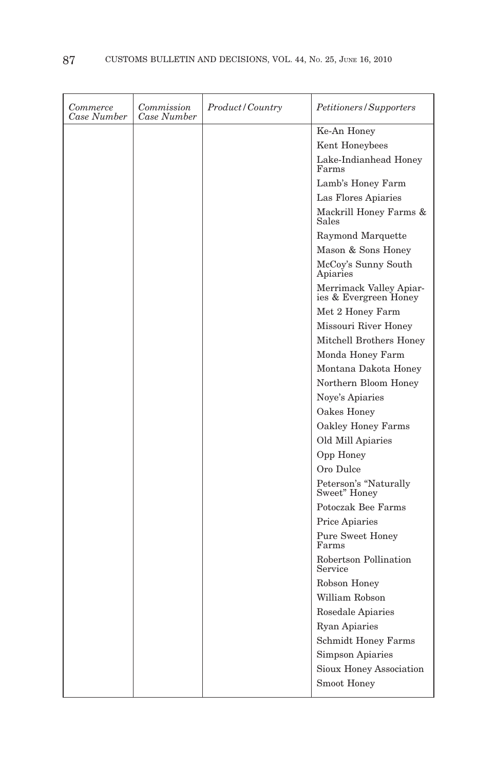| Commerce<br>Case Number | Commission<br>Case Number | <i>Product / Country</i> | Petitioners/Supporters                           |
|-------------------------|---------------------------|--------------------------|--------------------------------------------------|
|                         |                           |                          | Ke-An Honey                                      |
|                         |                           |                          | Kent Honeybees                                   |
|                         |                           |                          | Lake-Indianhead Honey<br>Farms                   |
|                         |                           |                          | Lamb's Honey Farm                                |
|                         |                           |                          | Las Flores Apiaries                              |
|                         |                           |                          | Mackrill Honey Farms &<br>Sales                  |
|                         |                           |                          | Raymond Marquette                                |
|                         |                           |                          | Mason & Sons Honey                               |
|                         |                           |                          | McCoy's Sunny South<br>Apiaries                  |
|                         |                           |                          | Merrimack Valley Apiar-<br>ies & Evergreen Honey |
|                         |                           |                          | Met 2 Honey Farm                                 |
|                         |                           |                          | Missouri River Honey                             |
|                         |                           |                          | Mitchell Brothers Honey                          |
|                         |                           |                          | Monda Honey Farm                                 |
|                         |                           |                          | Montana Dakota Honey                             |
|                         |                           |                          | Northern Bloom Honey                             |
|                         |                           |                          | Noye's Apiaries                                  |
|                         |                           |                          | Oakes Honey                                      |
|                         |                           |                          | Oakley Honey Farms                               |
|                         |                           |                          | Old Mill Apiaries                                |
|                         |                           |                          | Opp Honey                                        |
|                         |                           |                          | Oro Dulce                                        |
|                         |                           |                          | Peterson's "Naturally<br>Sweet" Honey            |
|                         |                           |                          | Potoczak Bee Farms                               |
|                         |                           |                          | Price Apiaries                                   |
|                         |                           |                          | Pure Sweet Honey<br>Farms                        |
|                         |                           |                          | Robertson Pollination<br>Service                 |
|                         |                           |                          | Robson Honey                                     |
|                         |                           |                          | William Robson                                   |
|                         |                           |                          | Rosedale Apiaries                                |
|                         |                           |                          | <b>Ryan Apiaries</b>                             |
|                         |                           |                          | <b>Schmidt Honey Farms</b>                       |
|                         |                           |                          | Simpson Apiaries                                 |
|                         |                           |                          | Sioux Honey Association                          |
|                         |                           |                          | Smoot Honey                                      |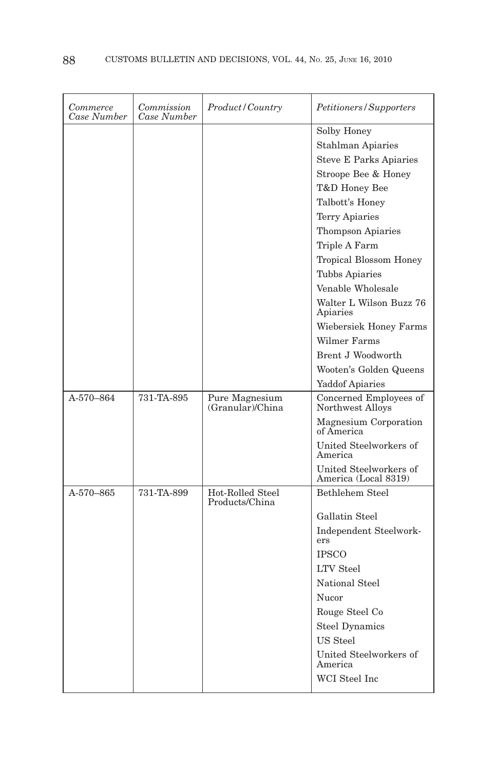| Commerce<br>Case Number | Commission<br>Case Number | Product / Country                  | Petitioners/Supporters                         |
|-------------------------|---------------------------|------------------------------------|------------------------------------------------|
|                         |                           |                                    | Solby Honey                                    |
|                         |                           |                                    | <b>Stahlman Apiaries</b>                       |
|                         |                           |                                    | <b>Steve E Parks Apiaries</b>                  |
|                         |                           |                                    | Stroope Bee & Honey                            |
|                         |                           |                                    | T&D Honey Bee                                  |
|                         |                           |                                    | Talbott's Honey                                |
|                         |                           |                                    | <b>Terry Apiaries</b>                          |
|                         |                           |                                    | <b>Thompson Apiaries</b>                       |
|                         |                           |                                    | Triple A Farm                                  |
|                         |                           |                                    | Tropical Blossom Honey                         |
|                         |                           |                                    | <b>Tubbs Apiaries</b>                          |
|                         |                           |                                    | Venable Wholesale                              |
|                         |                           |                                    | Walter L Wilson Buzz 76<br>Apiaries            |
|                         |                           |                                    | Wiebersiek Honey Farms                         |
|                         |                           |                                    | Wilmer Farms                                   |
|                         |                           |                                    | Brent J Woodworth                              |
|                         |                           |                                    | Wooten's Golden Queens                         |
|                         |                           |                                    | <b>Yaddof Apiaries</b>                         |
| A-570-864               | 731-TA-895                | Pure Magnesium<br>(Granular)/China | Concerned Employees of<br>Northwest Alloys     |
|                         |                           |                                    | Magnesium Corporation<br>of America            |
|                         |                           |                                    |                                                |
|                         |                           |                                    | United Steelworkers of<br>America              |
|                         |                           |                                    | United Steelworkers of<br>America (Local 8319) |
| A-570-865               | 731-TA-899                | Hot-Rolled Steel<br>Products/China | Bethlehem Steel                                |
|                         |                           |                                    | Gallatin Steel                                 |
|                         |                           |                                    | Independent Steelwork-<br>ers                  |
|                         |                           |                                    | <b>IPSCO</b>                                   |
|                         |                           |                                    | <b>LTV</b> Steel                               |
|                         |                           |                                    | National Steel                                 |
|                         |                           |                                    | Nucor                                          |
|                         |                           |                                    | Rouge Steel Co                                 |
|                         |                           |                                    | <b>Steel Dynamics</b>                          |
|                         |                           |                                    | US Steel                                       |
|                         |                           |                                    | United Steelworkers of<br>America              |
|                         |                           |                                    | WCI Steel Inc                                  |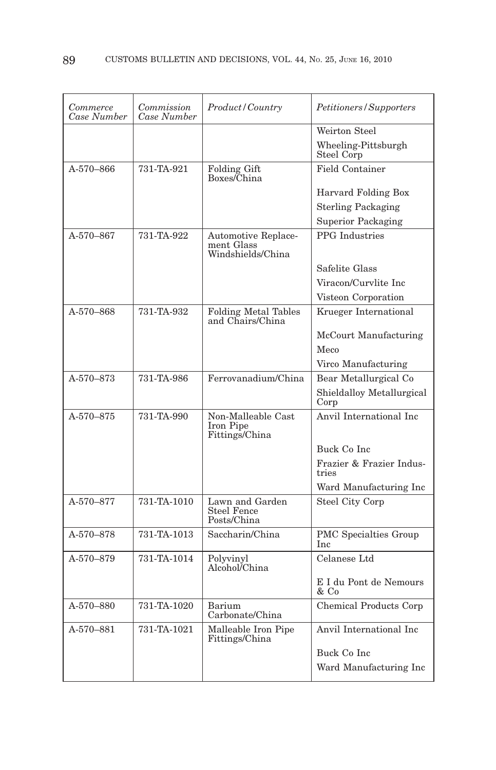| Commerce<br>Case Number | Commission<br>Case Number | Product/Country                                        | Petitioners/Supporters            |
|-------------------------|---------------------------|--------------------------------------------------------|-----------------------------------|
|                         |                           |                                                        | Weirton Steel                     |
|                         |                           |                                                        | Wheeling-Pittsburgh<br>Steel Corp |
| A-570-866               | 731-TA-921                | <b>Folding Gift</b><br>Boxes/China                     | <b>Field Container</b>            |
|                         |                           |                                                        | Harvard Folding Box               |
|                         |                           |                                                        | <b>Sterling Packaging</b>         |
|                         |                           |                                                        | <b>Superior Packaging</b>         |
| A-570-867               | 731-TA-922                | Automotive Replace-<br>ment Glass<br>Windshields/China | <b>PPG</b> Industries             |
|                         |                           |                                                        | Safelite Glass                    |
|                         |                           |                                                        | Viracon/Curvlite Inc              |
|                         |                           |                                                        | Visteon Corporation               |
| A-570-868               | 731-TA-932                | <b>Folding Metal Tables</b><br>and Chairs/China        | Krueger International             |
|                         |                           |                                                        | McCourt Manufacturing             |
|                         |                           |                                                        | Meco                              |
|                         |                           |                                                        | Virco Manufacturing               |
| A-570-873               | 731-TA-986                | Ferrovanadium/China                                    | Bear Metallurgical Co             |
|                         |                           |                                                        | Shieldalloy Metallurgical<br>Corp |
| A-570-875               | 731-TA-990                | Non-Malleable Cast<br>Iron Pipe<br>Fittings/China      | Anvil International Inc.          |
|                         |                           |                                                        | Buck Co Inc                       |
|                         |                           |                                                        | Frazier & Frazier Indus-<br>tries |
|                         |                           |                                                        | Ward Manufacturing Inc            |
| A-570-877               | 731-TA-1010               | Lawn and Garden<br><b>Steel Fence</b><br>Posts/China   | Steel City Corp                   |
| A-570-878               | 731-TA-1013               | Saccharin/China                                        | PMC Specialties Group<br>Inc      |
| A-570-879               | 731-TA-1014               | Polyvinyl<br>Alcohol <sup><i>/China</i></sup>          | Celanese Ltd                      |
|                         |                           |                                                        | E I du Pont de Nemours<br>& Co    |
| A-570-880               | 731-TA-1020               | Barium<br>Carbonate/China                              | Chemical Products Corp            |
| A-570-881               | 731-TA-1021               | Malleable Iron Pipe<br>Fittings/China                  | Anvil International Inc           |
|                         |                           |                                                        | Buck Co Inc                       |
|                         |                           |                                                        | Ward Manufacturing Inc            |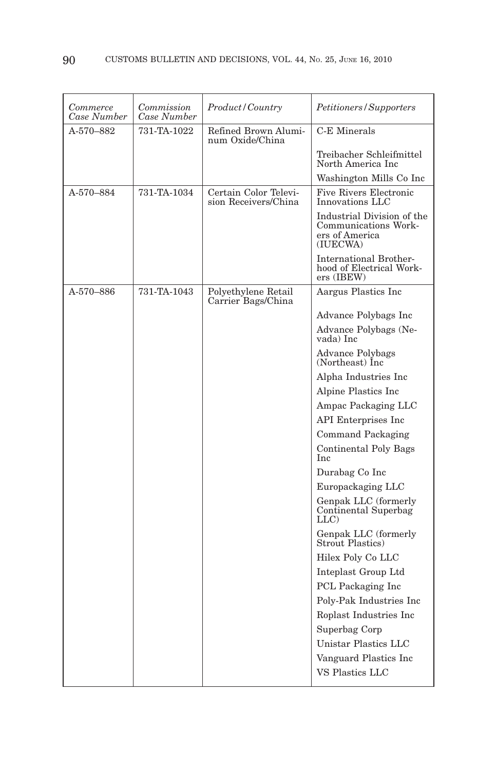| Commerce<br>Case Number | Commission<br>Case Number | Product/Country                               | Petitioners/Supporters                                                           |
|-------------------------|---------------------------|-----------------------------------------------|----------------------------------------------------------------------------------|
| A-570-882               | 731-TA-1022               | Refined Brown Alumi-<br>num Oxide/China       | C-E Minerals                                                                     |
|                         |                           |                                               | Treibacher Schleifmittel<br>North America Inc                                    |
|                         |                           |                                               | Washington Mills Co Inc                                                          |
| A-570-884               | 731-TA-1034               | Certain Color Televi-<br>sion Receivers/China | <b>Five Rivers Electronic</b><br>Innovations LLC                                 |
|                         |                           |                                               | Industrial Division of the<br>Communications Work-<br>ers of America<br>(IUECWA) |
|                         |                           |                                               | <b>International Brother-</b><br>hood of Electrical Work-<br>ers (IBEW)          |
| A-570-886               | 731-TA-1043               | Polyethylene Retail<br>Carrier Bags/China     | Aargus Plastics Inc                                                              |
|                         |                           |                                               | Advance Polybags Inc                                                             |
|                         |                           |                                               | Advance Polybags (Ne-<br>vada) Inc                                               |
|                         |                           |                                               | Advance Polybags<br>(Northeast) Inc                                              |
|                         |                           |                                               | Alpha Industries Inc                                                             |
|                         |                           |                                               | Alpine Plastics Inc                                                              |
|                         |                           |                                               | Ampac Packaging LLC                                                              |
|                         |                           |                                               | API Enterprises Inc                                                              |
|                         |                           |                                               | Command Packaging                                                                |
|                         |                           |                                               | <b>Continental Poly Bags</b><br>Inc                                              |
|                         |                           |                                               | Durabag Co Inc                                                                   |
|                         |                           |                                               | Europackaging LLC                                                                |
|                         |                           |                                               | Genpak LLC (formerly<br>Continental Superbag<br>$LLC$ )                          |
|                         |                           |                                               | Genpak LLC (formerly<br>Strout Plastics)                                         |
|                         |                           |                                               | Hilex Poly Co LLC                                                                |
|                         |                           |                                               | Inteplast Group Ltd                                                              |
|                         |                           |                                               | PCL Packaging Inc                                                                |
|                         |                           |                                               | Poly-Pak Industries Inc                                                          |
|                         |                           |                                               | Roplast Industries Inc                                                           |
|                         |                           |                                               | Superbag Corp                                                                    |
|                         |                           |                                               | Unistar Plastics LLC                                                             |
|                         |                           |                                               | Vanguard Plastics Inc                                                            |
|                         |                           |                                               | <b>VS Plastics LLC</b>                                                           |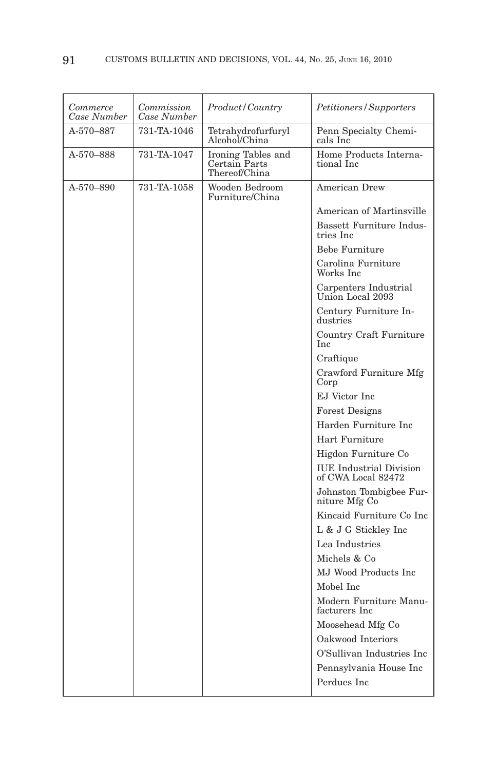| Commerce<br>Case Number | Commission<br>Case Number | <i>Product/Country</i>                            | <i>Petitioners/Supporters</i>                        |
|-------------------------|---------------------------|---------------------------------------------------|------------------------------------------------------|
| A-570–887               | 731-TA-1046               | Tetrahydrofurfuryl<br>Alcohol/China               | Penn Specialty Chemi-<br>cals Inc                    |
| A-570–888               | 731-TA-1047               | Ironing Tables and Certain Parts<br>Thereof/China | Home Products Interna-<br>tional Inc                 |
| A-570-890               | 731-TA-1058               | Wooden Bedroom<br>Furniture/China                 | <b>American Drew</b>                                 |
|                         |                           |                                                   | American of Martinsville                             |
|                         |                           |                                                   | <b>Bassett Furniture Indus-</b><br>tries Inc         |
|                         |                           |                                                   | <b>Bebe Furniture</b>                                |
|                         |                           |                                                   | Carolina Furniture<br>Works Inc                      |
|                         |                           |                                                   | Carpenters Industrial<br>Union Local 2093            |
|                         |                           |                                                   | Century Furniture In-<br>dustries                    |
|                         |                           |                                                   | Country Craft Furniture<br>Inc                       |
|                         |                           |                                                   | Craftique                                            |
|                         |                           |                                                   | Crawford Furniture Mfg<br>Corp                       |
|                         |                           |                                                   | EJ Victor Inc                                        |
|                         |                           |                                                   | <b>Forest Designs</b>                                |
|                         |                           |                                                   | Harden Furniture Inc                                 |
|                         |                           |                                                   | Hart Furniture                                       |
|                         |                           |                                                   | Higdon Furniture Co                                  |
|                         |                           |                                                   | <b>IUE</b> Industrial Division<br>of CWA Local 82472 |
|                         |                           |                                                   | Johnston Tombigbee Fur-<br>niture Mfg Co             |
|                         |                           |                                                   | Kincaid Furniture Co Inc                             |
|                         |                           |                                                   | L & J G Stickley Inc                                 |
|                         |                           |                                                   | Lea Industries                                       |
|                         |                           |                                                   | Michels & Co                                         |
|                         |                           |                                                   | MJ Wood Products Inc.                                |
|                         |                           |                                                   | Mobel Inc                                            |
|                         |                           |                                                   | Modern Furniture Manu-<br>facturers Inc              |
|                         |                           |                                                   | Moosehead Mfg Co                                     |
|                         |                           |                                                   | Oakwood Interiors                                    |
|                         |                           |                                                   | O'Sullivan Industries Inc                            |
|                         |                           |                                                   | Pennsylvania House Inc                               |
|                         |                           |                                                   | Perdues Inc                                          |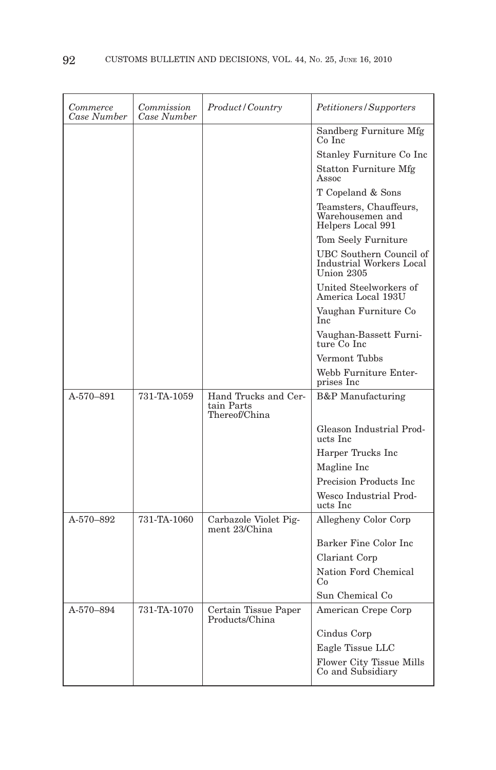| Commerce<br>Case Number | Commission<br>Case Number | Product/Country                                     | Petitioners/Supporters                                                   |
|-------------------------|---------------------------|-----------------------------------------------------|--------------------------------------------------------------------------|
|                         |                           |                                                     | Sandberg Furniture Mfg<br>Co Inc                                         |
|                         |                           |                                                     | Stanley Furniture Co Inc                                                 |
|                         |                           |                                                     | Statton Furniture Mfg<br>Assoc                                           |
|                         |                           |                                                     | T Copeland & Sons                                                        |
|                         |                           |                                                     | Teamsters, Chauffeurs,<br>Warehousemen and<br>Helpers Local 991          |
|                         |                           |                                                     | Tom Seely Furniture                                                      |
|                         |                           |                                                     | UBC Southern Council of<br><b>Industrial Workers Local</b><br>Union 2305 |
|                         |                           |                                                     | United Steelworkers of<br>America Local 193U                             |
|                         |                           |                                                     | Vaughan Furniture Co<br>Inc                                              |
|                         |                           |                                                     | Vaughan-Bassett Furni-<br>ture Co Inc                                    |
|                         |                           |                                                     | Vermont Tubbs                                                            |
|                         |                           |                                                     | Webb Furniture Enter-<br>prises Inc                                      |
| A-570-891               | 731-TA-1059               | Hand Trucks and Cer-<br>tain Parts<br>Thereof/China | <b>B&amp;P</b> Manufacturing                                             |
|                         |                           |                                                     | Gleason Industrial Prod-<br>ucts Inc                                     |
|                         |                           |                                                     | Harper Trucks Inc                                                        |
|                         |                           |                                                     | Magline Inc                                                              |
|                         |                           |                                                     | Precision Products Inc.                                                  |
|                         |                           |                                                     | Wesco Industrial Prod-<br>ucts Inc                                       |
| A-570-892               | 731-TA-1060               | Carbazole Violet Pig-<br>ment 23/China              | Allegheny Color Corp                                                     |
|                         |                           |                                                     | Barker Fine Color Inc                                                    |
|                         |                           |                                                     | Clariant Corp                                                            |
|                         |                           |                                                     | Nation Ford Chemical<br>Co                                               |
|                         |                           |                                                     | Sun Chemical Co                                                          |
| A-570-894               | 731-TA-1070               | Certain Tissue Paper<br>Products/China              | American Crepe Corp                                                      |
|                         |                           |                                                     | Cindus Corp                                                              |
|                         |                           |                                                     | Eagle Tissue LLC                                                         |
|                         |                           |                                                     | Flower City Tissue Mills<br>Co and Subsidiary                            |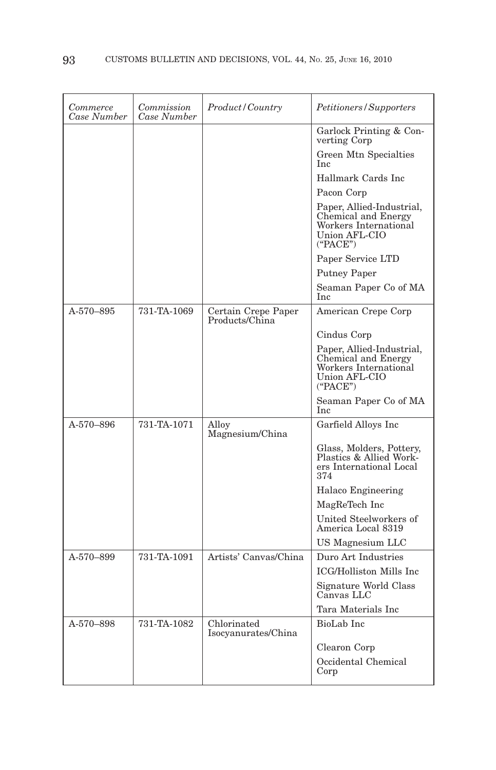| Commerce<br>Case Number | Commission<br>Case Number | Product/Country                       | Petitioners/Supporters                                                                                        |
|-------------------------|---------------------------|---------------------------------------|---------------------------------------------------------------------------------------------------------------|
|                         |                           |                                       | Garlock Printing & Con-<br>verting Corp                                                                       |
|                         |                           |                                       | Green Mtn Specialties<br>Inc                                                                                  |
|                         |                           |                                       | Hallmark Cards Inc.                                                                                           |
|                         |                           |                                       | Pacon Corp                                                                                                    |
|                         |                           |                                       | Paper, Allied-Industrial,<br>Chemical and Energy<br>Workers International<br><b>Union AFL-CIO</b><br>("PACE") |
|                         |                           |                                       | Paper Service LTD                                                                                             |
|                         |                           |                                       | <b>Putney Paper</b>                                                                                           |
|                         |                           |                                       | Seaman Paper Co of MA<br>Inc                                                                                  |
| A-570-895               | 731-TA-1069               | Certain Crepe Paper<br>Products/China | American Crepe Corp                                                                                           |
|                         |                           |                                       | Cindus Corp                                                                                                   |
|                         |                           |                                       | Paper, Allied-Industrial,<br>Chemical and Energy<br>Workers International<br><b>Union AFL-CIO</b><br>("PACE") |
|                         |                           |                                       | Seaman Paper Co of MA<br>Inc                                                                                  |
| A-570-896               | 731-TA-1071               | Alloy<br>Magnesium/China              | Garfield Alloys Inc                                                                                           |
|                         |                           |                                       | Glass, Molders, Pottery,<br>Plastics & Allied Work-<br>ers International Local<br>374                         |
|                         |                           |                                       | Halaco Engineering                                                                                            |
|                         |                           |                                       | MagReTech Inc                                                                                                 |
|                         |                           |                                       | United Steelworkers of<br>America Local 8319                                                                  |
|                         |                           |                                       | US Magnesium LLC                                                                                              |
| A-570-899               | 731-TA-1091               | Artists' Canvas/China                 | Duro Art Industries                                                                                           |
|                         |                           |                                       | ICG/Holliston Mills Inc                                                                                       |
|                         |                           |                                       | Signature World Class<br>Canvas LLC                                                                           |
|                         |                           |                                       | Tara Materials Inc                                                                                            |
| A-570-898               | 731-TA-1082               | Chlorinated<br>Isocyanurates/China    | BioLab Inc                                                                                                    |
|                         |                           |                                       | Clearon Corp                                                                                                  |
|                         |                           |                                       | Occidental Chemical<br>Corp                                                                                   |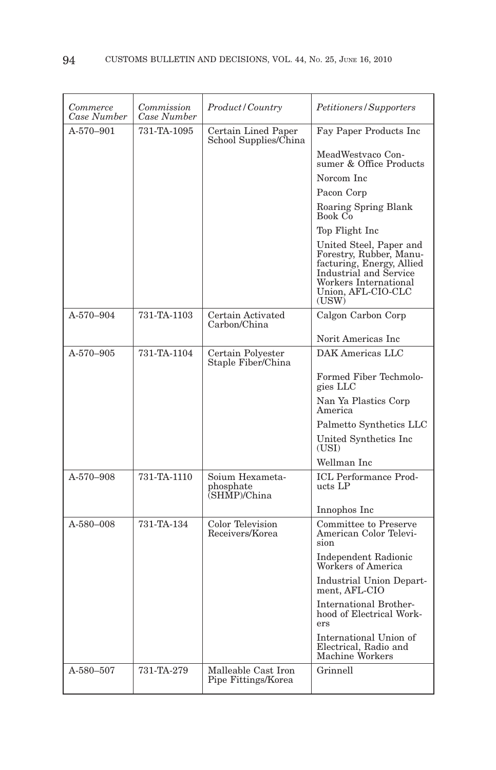| Commerce<br>Case Number | Commission<br>Case Number | Product/Country                              | Petitioners/Supporters                                                                                                                                            |
|-------------------------|---------------------------|----------------------------------------------|-------------------------------------------------------------------------------------------------------------------------------------------------------------------|
| $A-570-901$             | 731-TA-1095               | Certain Lined Paper<br>School Supplies/China | Fay Paper Products Inc                                                                                                                                            |
|                         |                           |                                              | MeadWestvaco Con-<br>sumer & Office Products                                                                                                                      |
|                         |                           |                                              | Norcom Inc.                                                                                                                                                       |
|                         |                           |                                              | Pacon Corp                                                                                                                                                        |
|                         |                           |                                              | Roaring Spring Blank<br>Book Co                                                                                                                                   |
|                         |                           |                                              | Top Flight Inc                                                                                                                                                    |
|                         |                           |                                              | United Steel, Paper and<br>Forestry, Rubber, Manu-<br>facturing, Energy, Allied<br>Industrial and Service<br>Workers International<br>Union, AFL-CIO-CLC<br>(USW) |
| A-570-904               | 731-TA-1103               | Certain Activated<br>Carbon/China            | Calgon Carbon Corp                                                                                                                                                |
|                         |                           |                                              | Norit Americas Inc                                                                                                                                                |
| A-570-905               | 731-TA-1104               | Certain Polyester<br>Staple Fiber/China      | DAK Americas LLC                                                                                                                                                  |
|                         |                           |                                              | Formed Fiber Techmolo-<br>gies LLC                                                                                                                                |
|                         |                           |                                              | Nan Ya Plastics Corp<br>America                                                                                                                                   |
|                         |                           |                                              | Palmetto Synthetics LLC                                                                                                                                           |
|                         |                           |                                              | United Synthetics Inc<br>(USI)                                                                                                                                    |
|                         |                           |                                              | Wellman Inc                                                                                                                                                       |
| A-570-908               | 731-TA-1110               | Soium Hexameta-<br>phosphate<br>(SHMP)/China | ICL Performance Prod-<br>ucts LP                                                                                                                                  |
|                         |                           |                                              | Innophos Inc                                                                                                                                                      |
| A-580-008               | 731-TA-134                | Color Television<br>Receivers/Korea          | Committee to Preserve<br>American Color Televi-<br>sion                                                                                                           |
|                         |                           |                                              | <b>Independent Radionic</b><br>Workers of America                                                                                                                 |
|                         |                           |                                              | Industrial Union Depart-<br>ment, AFL-CIO                                                                                                                         |
|                         |                           |                                              | <b>International Brother-</b><br>hood of Electrical Work-<br>ers                                                                                                  |
|                         |                           |                                              | International Union of<br>Electrical, Radio and<br>Machine Workers                                                                                                |
| A-580-507               | 731-TA-279                | Malleable Cast Iron<br>Pipe Fittings/Korea   | Grinnell                                                                                                                                                          |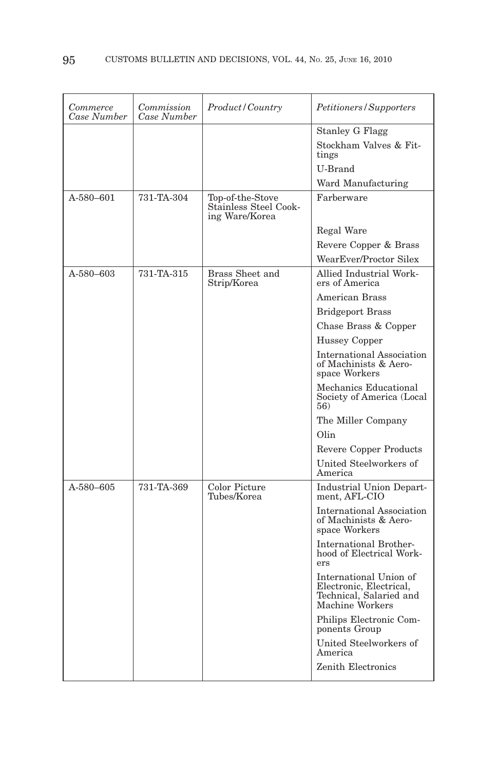| Commerce<br>Case Number | Commission<br>Case Number | Product/Country                                             | Petitioners/Supporters                                                                          |
|-------------------------|---------------------------|-------------------------------------------------------------|-------------------------------------------------------------------------------------------------|
|                         |                           |                                                             | <b>Stanley G Flagg</b>                                                                          |
|                         |                           |                                                             | Stockham Valves & Fit-<br>tings                                                                 |
|                         |                           |                                                             | U-Brand                                                                                         |
|                         |                           |                                                             | Ward Manufacturing                                                                              |
| A-580-601               | 731-TA-304                | Top-of-the-Stove<br>Stainless Steel Cook-<br>ing Ware/Korea | Farberware                                                                                      |
|                         |                           |                                                             | Regal Ware                                                                                      |
|                         |                           |                                                             | Revere Copper & Brass                                                                           |
|                         |                           |                                                             | WearEver/Proctor Silex                                                                          |
| A-580–603               | 731-TA-315                | Brass Sheet and<br>Strip/Korea                              | Allied Industrial Work-<br>ers of America                                                       |
|                         |                           |                                                             | <b>American Brass</b>                                                                           |
|                         |                           |                                                             | <b>Bridgeport Brass</b>                                                                         |
|                         |                           |                                                             | Chase Brass & Copper                                                                            |
|                         |                           |                                                             | Hussey Copper                                                                                   |
|                         |                           |                                                             | International Association<br>of Machinists & Aero-<br>space Workers                             |
|                         |                           |                                                             | Mechanics Educational<br>Society of America (Local<br>56)                                       |
|                         |                           |                                                             | The Miller Company                                                                              |
|                         |                           |                                                             | Olin                                                                                            |
|                         |                           |                                                             | Revere Copper Products                                                                          |
|                         |                           |                                                             | United Steelworkers of<br>America                                                               |
| A-580-605               | 731-TA-369                | Color Picture<br>Tubes/Korea                                | <b>Industrial Union Depart-</b><br>ment, AFL-CIO                                                |
|                         |                           |                                                             | <b>International Association</b><br>of Machinists & Aero-<br>space Workers                      |
|                         |                           |                                                             | <b>International Brother-</b><br>hood of Electrical Work-<br>ers                                |
|                         |                           |                                                             | International Union of<br>Electronic, Electrical,<br>Technical, Salaried and<br>Machine Workers |
|                         |                           |                                                             | Philips Electronic Com-<br>ponents Group                                                        |
|                         |                           |                                                             | United Steelworkers of<br>America                                                               |
|                         |                           |                                                             | Zenith Electronics                                                                              |
|                         |                           |                                                             |                                                                                                 |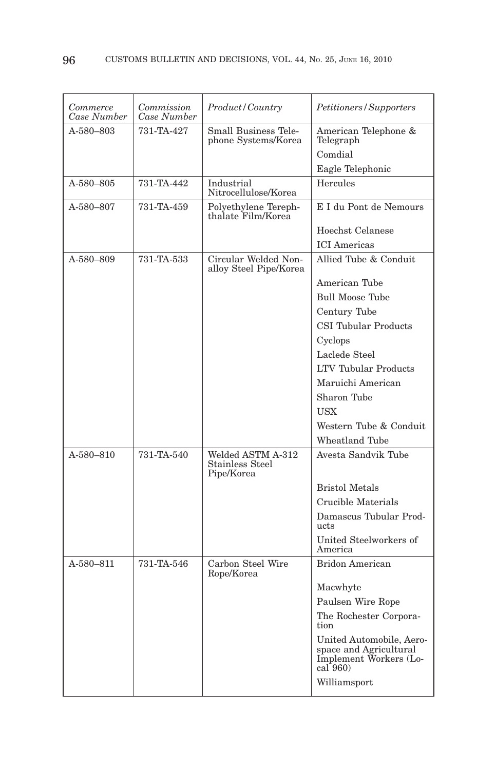| Commerce<br>Case Number | Commission<br>Case Number | Product/Country                                           | Petitioners/Supporters                                                                      |
|-------------------------|---------------------------|-----------------------------------------------------------|---------------------------------------------------------------------------------------------|
| A-580-803               | 731-TA-427                | Small Business Tele-<br>phone Systems/Korea               | American Telephone &<br>Telegraph                                                           |
|                         |                           |                                                           | Comdial                                                                                     |
|                         |                           |                                                           | Eagle Telephonic                                                                            |
| A-580-805               | 731-TA-442                | Industrial<br>Nitrocellulose/Korea                        | Hercules                                                                                    |
| A-580-807               | 731-TA-459                | Polyethylene Tereph-<br>thalate Film/Korea                | E I du Pont de Nemours                                                                      |
|                         |                           |                                                           | Hoechst Celanese                                                                            |
|                         |                           |                                                           | <b>ICI</b> Americas                                                                         |
| A-580-809               | 731-TA-533                | Circular Welded Non-<br>alloy Steel Pipe/Korea            | Allied Tube & Conduit                                                                       |
|                         |                           |                                                           | American Tube                                                                               |
|                         |                           |                                                           | <b>Bull Moose Tube</b>                                                                      |
|                         |                           |                                                           | Century Tube                                                                                |
|                         |                           |                                                           | <b>CSI Tubular Products</b>                                                                 |
|                         |                           |                                                           | Cyclops                                                                                     |
|                         |                           |                                                           | Laclede Steel                                                                               |
|                         |                           |                                                           | <b>LTV Tubular Products</b>                                                                 |
|                         |                           |                                                           | Maruichi American                                                                           |
|                         |                           |                                                           | Sharon Tube                                                                                 |
|                         |                           |                                                           | <b>USX</b>                                                                                  |
|                         |                           |                                                           | Western Tube & Conduit                                                                      |
|                         |                           |                                                           | <b>Wheatland Tube</b>                                                                       |
| A-580-810               | 731-TA-540                | Welded ASTM A-312<br><b>Stainless Steel</b><br>Pipe/Korea | Avesta Sandvik Tube                                                                         |
|                         |                           |                                                           | <b>Bristol Metals</b>                                                                       |
|                         |                           |                                                           | Crucible Materials                                                                          |
|                         |                           |                                                           | Damascus Tubular Prod-<br>ucts                                                              |
|                         |                           |                                                           | United Steelworkers of<br>America                                                           |
| A-580-811               | 731-TA-546                | Carbon Steel Wire<br>Rope/Korea                           | <b>Bridon American</b>                                                                      |
|                         |                           |                                                           | Macwhyte                                                                                    |
|                         |                           |                                                           | Paulsen Wire Rope                                                                           |
|                         |                           |                                                           | The Rochester Corpora-<br>tion                                                              |
|                         |                           |                                                           | United Automobile, Aero-<br>space and Agricultural<br>Implement Workers (Lo-<br>$cal[$ 960) |
|                         |                           |                                                           | Williamsport                                                                                |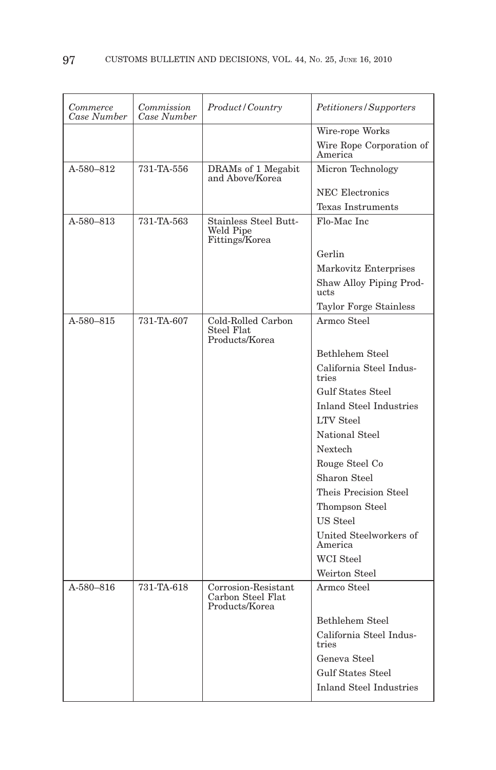| Commerce<br>Case Number | Commission<br>Case Number | <i>Product/Country</i>                                     | Petitioners/Supporters              |
|-------------------------|---------------------------|------------------------------------------------------------|-------------------------------------|
|                         |                           |                                                            | Wire-rope Works                     |
|                         |                           |                                                            | Wire Rope Corporation of<br>America |
| A-580-812               | 731-TA-556                | DRAMs of 1 Megabit<br>and Above/Korea                      | Micron Technology                   |
|                         |                           |                                                            | NEC Electronics                     |
|                         |                           |                                                            | <b>Texas Instruments</b>            |
| A-580-813               | 731-TA-563                | Stainless Steel Butt-<br>Weld Pipe<br>Fittings/Korea       | Flo-Mac Inc                         |
|                         |                           |                                                            | Gerlin                              |
|                         |                           |                                                            | Markovitz Enterprises               |
|                         |                           |                                                            | Shaw Alloy Piping Prod-<br>ucts     |
|                         |                           |                                                            | Taylor Forge Stainless              |
| A-580-815               | 731-TA-607                | Cold-Rolled Carbon<br>Steel Flat<br>Products/Korea         | Armco Steel                         |
|                         |                           |                                                            | Bethlehem Steel                     |
|                         |                           |                                                            | California Steel Indus-<br>tries    |
|                         |                           |                                                            | <b>Gulf States Steel</b>            |
|                         |                           |                                                            | <b>Inland Steel Industries</b>      |
|                         |                           |                                                            | <b>LTV</b> Steel                    |
|                         |                           |                                                            | National Steel                      |
|                         |                           |                                                            | <b>Nextech</b>                      |
|                         |                           |                                                            | Rouge Steel Co                      |
|                         |                           |                                                            | Sharon Steel                        |
|                         |                           |                                                            | Theis Precision Steel               |
|                         |                           |                                                            | Thompson Steel                      |
|                         |                           |                                                            | US Steel                            |
|                         |                           |                                                            | United Steelworkers of<br>America   |
|                         |                           |                                                            | <b>WCI</b> Steel                    |
|                         |                           |                                                            | Weirton Steel                       |
| A-580-816               | 731-TA-618                | Corrosion-Resistant<br>Carbon Steel Flat<br>Products/Korea | Armco Steel                         |
|                         |                           |                                                            | Bethlehem Steel                     |
|                         |                           |                                                            | California Steel Indus-<br>tries    |
|                         |                           |                                                            | Geneva Steel                        |
|                         |                           |                                                            | <b>Gulf States Steel</b>            |
|                         |                           |                                                            | <b>Inland Steel Industries</b>      |
|                         |                           |                                                            |                                     |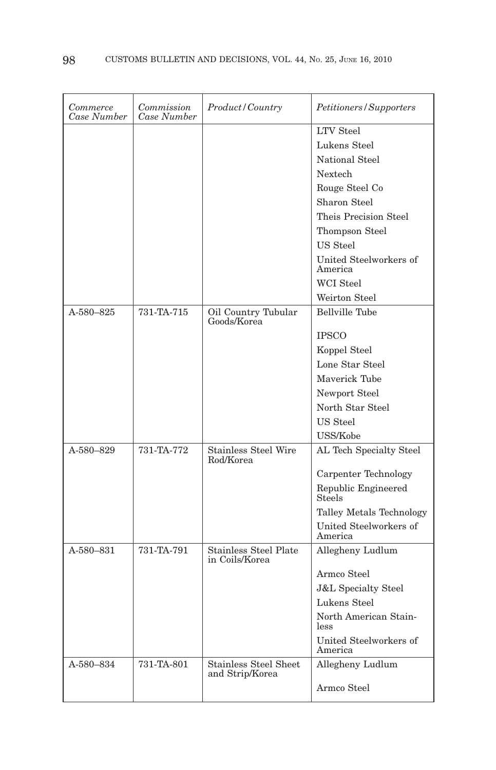| Commerce<br>Case Number | Commission<br>Case Number | Product/Country                                 | Petitioners/Supporters            |
|-------------------------|---------------------------|-------------------------------------------------|-----------------------------------|
|                         |                           |                                                 | <b>LTV</b> Steel                  |
|                         |                           |                                                 | Lukens Steel                      |
|                         |                           |                                                 | National Steel                    |
|                         |                           |                                                 | <b>Nextech</b>                    |
|                         |                           |                                                 | Rouge Steel Co                    |
|                         |                           |                                                 | Sharon Steel                      |
|                         |                           |                                                 | Theis Precision Steel             |
|                         |                           |                                                 | Thompson Steel                    |
|                         |                           |                                                 | US Steel                          |
|                         |                           |                                                 | United Steelworkers of<br>America |
|                         |                           |                                                 | WCI Steel                         |
|                         |                           |                                                 | Weirton Steel                     |
| A-580-825               | 731-TA-715                | Oil Country Tubular<br>Goods/Korea              | <b>Bellville Tube</b>             |
|                         |                           |                                                 | <b>IPSCO</b>                      |
|                         |                           |                                                 | Koppel Steel                      |
|                         |                           |                                                 | Lone Star Steel                   |
|                         |                           |                                                 | Maverick Tube                     |
|                         |                           |                                                 | Newport Steel                     |
|                         |                           |                                                 | North Star Steel                  |
|                         |                           |                                                 | <b>US Steel</b>                   |
|                         |                           |                                                 | USS/Kobe                          |
| A-580-829               | 731-TA-772                | <b>Stainless Steel Wire</b><br>Rod/Korea        | AL Tech Specialty Steel           |
|                         |                           |                                                 | Carpenter Technology              |
|                         |                           |                                                 | Republic Engineered<br>Steels     |
|                         |                           |                                                 | Talley Metals Technology          |
|                         |                           |                                                 | United Steelworkers of<br>America |
| A-580-831               | 731-TA-791                | <b>Stainless Steel Plate</b><br>in Coils/Korea  | Allegheny Ludlum                  |
|                         |                           |                                                 | Armco Steel                       |
|                         |                           |                                                 | <b>J&amp;L</b> Specialty Steel    |
|                         |                           |                                                 | Lukens Steel                      |
|                         |                           |                                                 | North American Stain-<br>less     |
|                         |                           |                                                 | United Steelworkers of<br>America |
| A-580-834               | 731-TA-801                | <b>Stainless Steel Sheet</b><br>and Strip/Korea | Allegheny Ludlum                  |
|                         |                           |                                                 | Armco Steel                       |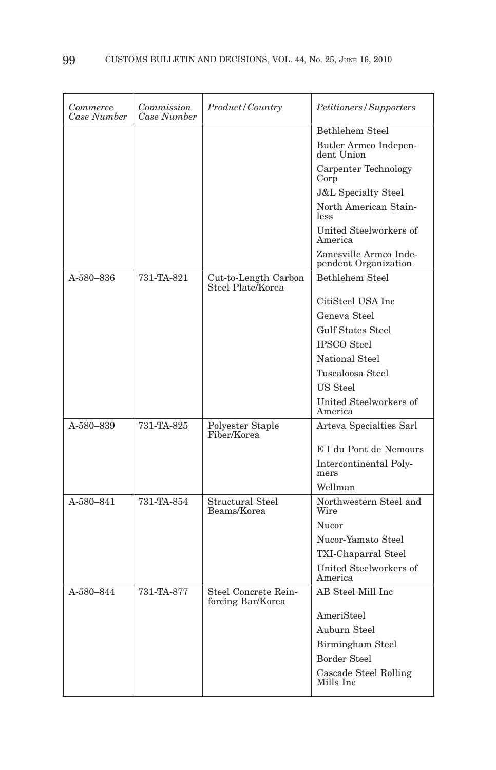| Commerce<br>Case Number | Commission<br>Case Number | Product / Country                         | Petitioners/Supporters                         |
|-------------------------|---------------------------|-------------------------------------------|------------------------------------------------|
|                         |                           |                                           | Bethlehem Steel                                |
|                         |                           |                                           | Butler Armco Indepen-<br>dent Union            |
|                         |                           |                                           | Carpenter Technology<br>Corp                   |
|                         |                           |                                           | <b>J&amp;L Specialty Steel</b>                 |
|                         |                           |                                           | North American Stain-<br><i>less</i>           |
|                         |                           |                                           | United Steelworkers of<br>America              |
|                         |                           |                                           | Zanesville Armco Inde-<br>pendent Organization |
| A-580-836               | 731-TA-821                | Cut-to-Length Carbon<br>Steel Plate/Korea | Bethlehem Steel                                |
|                         |                           |                                           | CitiSteel USA Inc.                             |
|                         |                           |                                           | Geneva Steel                                   |
|                         |                           |                                           | <b>Gulf States Steel</b>                       |
|                         |                           |                                           | <b>IPSCO</b> Steel                             |
|                         |                           |                                           | National Steel                                 |
|                         |                           |                                           | Tuscaloosa Steel                               |
|                         |                           |                                           | US Steel                                       |
|                         |                           |                                           | United Steelworkers of<br>America              |
| A-580-839               | 731-TA-825                | Polyester Staple<br>Fiber/Korea           | Arteva Specialties Sarl                        |
|                         |                           |                                           | E I du Pont de Nemours                         |
|                         |                           |                                           | Intercontinental Poly-<br>mers                 |
|                         |                           |                                           | Wellman                                        |
| A-580-841               | 731-TA-854                | Structural Steel<br>Beams/Korea           | Northwestern Steel and<br>Wire                 |
|                         |                           |                                           | Nucor                                          |
|                         |                           |                                           | Nucor-Yamato Steel                             |
|                         |                           |                                           | TXI-Chaparral Steel                            |
|                         |                           |                                           | United Steelworkers of<br>America              |
| A-580-844               | 731-TA-877                | Steel Concrete Rein-<br>forcing Bar/Korea | AB Steel Mill Inc                              |
|                         |                           |                                           | AmeriSteel                                     |
|                         |                           |                                           | Auburn Steel                                   |
|                         |                           |                                           | Birmingham Steel                               |
|                         |                           |                                           | <b>Border Steel</b>                            |
|                         |                           |                                           | Cascade Steel Rolling<br>Mills Inc             |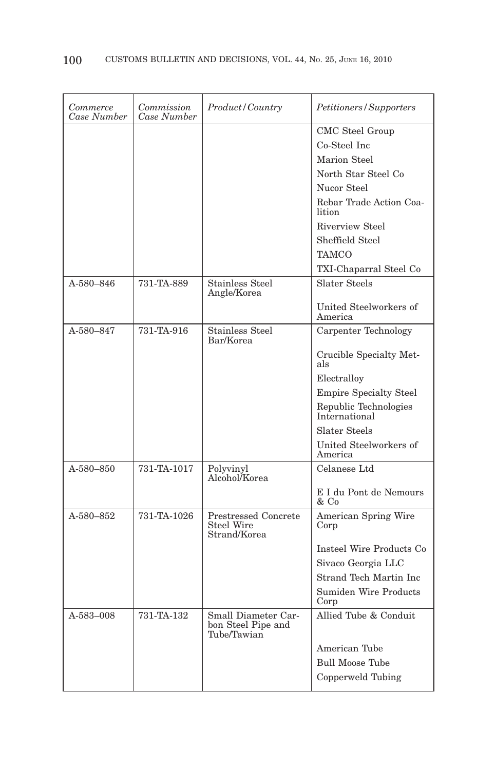| Commerce<br>Case Number | Commission<br>Case Number | Product / Country                                                | Petitioners/Supporters                 |
|-------------------------|---------------------------|------------------------------------------------------------------|----------------------------------------|
|                         |                           |                                                                  | CMC Steel Group                        |
|                         |                           |                                                                  | Co-Steel Inc                           |
|                         |                           |                                                                  | Marion Steel                           |
|                         |                           |                                                                  | North Star Steel Co                    |
|                         |                           |                                                                  | Nucor Steel                            |
|                         |                           |                                                                  | Rebar Trade Action Coa-<br>lition      |
|                         |                           |                                                                  | Riverview Steel                        |
|                         |                           |                                                                  | Sheffield Steel                        |
|                         |                           |                                                                  | <b>TAMCO</b>                           |
|                         |                           |                                                                  | TXI-Chaparral Steel Co                 |
| A-580-846               | 731-TA-889                | <b>Stainless Steel</b><br>Angle/Korea                            | Slater Steels                          |
|                         |                           |                                                                  | United Steelworkers of<br>America      |
| A-580-847               | 731-TA-916                | <b>Stainless Steel</b><br>Bar/Korea                              | Carpenter Technology                   |
|                         |                           |                                                                  | Crucible Specialty Met-<br>als         |
|                         |                           |                                                                  | Electralloy                            |
|                         |                           |                                                                  | <b>Empire Specialty Steel</b>          |
|                         |                           |                                                                  | Republic Technologies<br>International |
|                         |                           |                                                                  | Slater Steels                          |
|                         |                           |                                                                  | United Steelworkers of<br>America      |
| A-580-850               | 731-TA-1017               | Polyvinyl<br>Alcohol/Korea                                       | Celanese Ltd                           |
|                         |                           |                                                                  | E I du Pont de Nemours<br>& Co         |
| A-580-852               | 731-TA-1026               | <b>Prestressed Concrete</b><br><b>Steel Wire</b><br>Strand/Korea | American Spring Wire<br>Corp           |
|                         |                           |                                                                  | Insteel Wire Products Co               |
|                         |                           |                                                                  | Sivaco Georgia LLC                     |
|                         |                           |                                                                  | Strand Tech Martin Inc                 |
|                         |                           |                                                                  | Sumiden Wire Products<br>Corp          |
| A-583-008               | 731-TA-132                | Small Diameter Car-<br>bon Steel Pipe and<br>Tube/Tawian         | Allied Tube & Conduit                  |
|                         |                           |                                                                  | American Tube                          |
|                         |                           |                                                                  | <b>Bull Moose Tube</b>                 |
|                         |                           |                                                                  | Copperweld Tubing                      |
|                         |                           |                                                                  |                                        |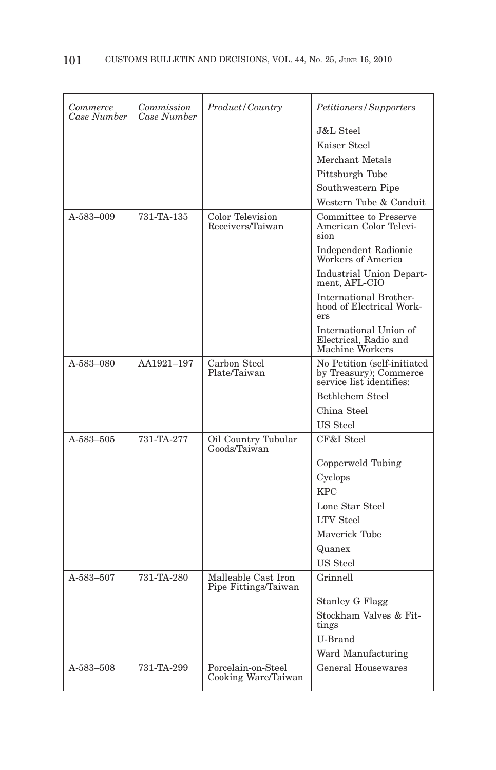| Commerce<br>Case Number | Commission<br>Case Number | Product/Country                             | Petitioners/Supporters                                                            |
|-------------------------|---------------------------|---------------------------------------------|-----------------------------------------------------------------------------------|
|                         |                           |                                             | <b>J&amp;L</b> Steel                                                              |
|                         |                           |                                             | Kaiser Steel                                                                      |
|                         |                           |                                             | Merchant Metals                                                                   |
|                         |                           |                                             | Pittsburgh Tube                                                                   |
|                         |                           |                                             | Southwestern Pipe                                                                 |
|                         |                           |                                             | Western Tube & Conduit                                                            |
| A-583-009               | 731-TA-135                | Color Television<br>Receivers/Taiwan        | Committee to Preserve<br>American Color Televi-<br>sion                           |
|                         |                           |                                             | Independent Radionic<br>Workers of America                                        |
|                         |                           |                                             | <b>Industrial Union Depart-</b><br>ment, AFL-CIO                                  |
|                         |                           |                                             | <b>International Brother-</b><br>hood of Electrical Work-<br>ers                  |
|                         |                           |                                             | International Union of<br>Electrical, Radio and<br>Machine Workers                |
| A-583-080               | AA1921-197                | Carbon Steel<br>Plate/Taiwan                | No Petition (self-initiated<br>by Treasury); Commerce<br>service list identifies: |
|                         |                           |                                             | Bethlehem Steel                                                                   |
|                         |                           |                                             | China Steel                                                                       |
|                         |                           |                                             | US Steel                                                                          |
| A-583-505               | 731-TA-277                | Oil Country Tubular<br>Goods/Taiwan         | CF&I Steel                                                                        |
|                         |                           |                                             | Copperweld Tubing                                                                 |
|                         |                           |                                             | Cyclops                                                                           |
|                         |                           |                                             | <b>KPC</b>                                                                        |
|                         |                           |                                             | Lone Star Steel                                                                   |
|                         |                           |                                             | <b>LTV</b> Steel                                                                  |
|                         |                           |                                             | Maverick Tube                                                                     |
|                         |                           |                                             | Quanex                                                                            |
|                         |                           |                                             | US Steel                                                                          |
| A-583-507               | 731-TA-280                | Malleable Cast Iron<br>Pipe Fittings/Taiwan | Grinnell                                                                          |
|                         |                           |                                             | <b>Stanley G Flagg</b>                                                            |
|                         |                           |                                             | Stockham Valves & Fit-<br>tings                                                   |
|                         |                           |                                             | U-Brand                                                                           |
|                         |                           |                                             | Ward Manufacturing                                                                |
| A-583-508               | 731-TA-299                | Porcelain-on-Steel<br>Cooking Ware/Taiwan   | General Housewares                                                                |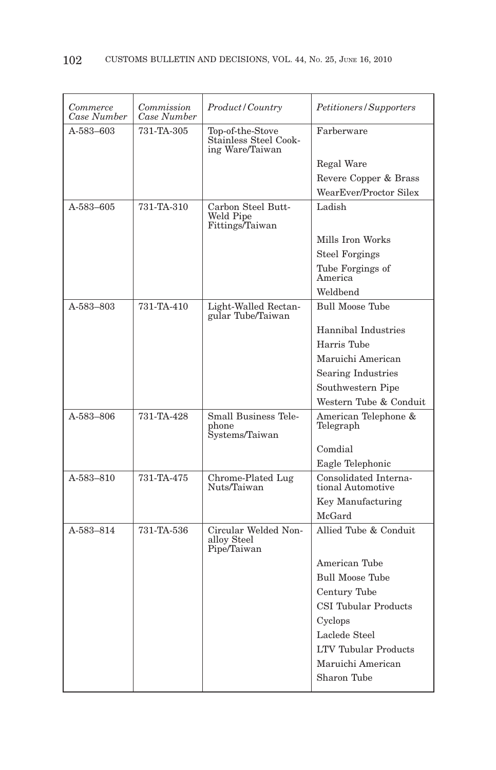| Commerce<br>Case Number | Commission<br>Case Number | <i>Product/Country</i>                                       | Petitioners/Supporters                     |
|-------------------------|---------------------------|--------------------------------------------------------------|--------------------------------------------|
| A-583-603               | 731-TA-305                | Top-of-the-Stove<br>Stainless Steel Cook-<br>ing Ware/Taiwan | Farberware                                 |
|                         |                           |                                                              | Regal Ware                                 |
|                         |                           |                                                              | Revere Copper & Brass                      |
|                         |                           |                                                              | WearEver/Proctor Silex                     |
| A-583-605               | 731-TA-310                | Carbon Steel Butt-                                           | Ladish                                     |
|                         |                           | Weld Pipe<br>Fittings/Taiwan                                 |                                            |
|                         |                           |                                                              | Mills Iron Works                           |
|                         |                           |                                                              | <b>Steel Forgings</b>                      |
|                         |                           |                                                              | Tube Forgings of<br>America                |
|                         |                           |                                                              | Weldbend                                   |
| A-583-803               | 731-TA-410                | Light-Walled Rectan-<br>gular Tube/Taiwan                    | <b>Bull Moose Tube</b>                     |
|                         |                           |                                                              | Hannibal Industries                        |
|                         |                           |                                                              | Harris Tube                                |
|                         |                           |                                                              | Maruichi American                          |
|                         |                           |                                                              | <b>Searing Industries</b>                  |
|                         |                           |                                                              | Southwestern Pipe                          |
|                         |                           |                                                              | Western Tube & Conduit                     |
| A-583-806               | 731-TA-428                | Small Business Tele-<br>phone<br>Systems/Taiwan              | American Telephone &<br>Telegraph          |
|                         |                           |                                                              | Comdial                                    |
|                         |                           |                                                              | Eagle Telephonic                           |
| A-583-810               | 731-TA-475                | Chrome-Plated Lug<br>Nuts/Taiwan                             | Consolidated Interna-<br>tional Automotive |
|                         |                           |                                                              | Key Manufacturing                          |
|                         |                           |                                                              | McGard                                     |
| A-583-814               | 731-TA-536                | Circular Welded Non-<br>alloy Steel<br>Pipe/Taiwan           | Allied Tube & Conduit                      |
|                         |                           |                                                              | American Tube                              |
|                         |                           |                                                              | <b>Bull Moose Tube</b>                     |
|                         |                           |                                                              | Century Tube                               |
|                         |                           |                                                              | <b>CSI Tubular Products</b>                |
|                         |                           |                                                              | Cyclops                                    |
|                         |                           |                                                              | Laclede Steel                              |
|                         |                           |                                                              | <b>LTV Tubular Products</b>                |
|                         |                           |                                                              | Maruichi American                          |
|                         |                           |                                                              | Sharon Tube                                |
|                         |                           |                                                              |                                            |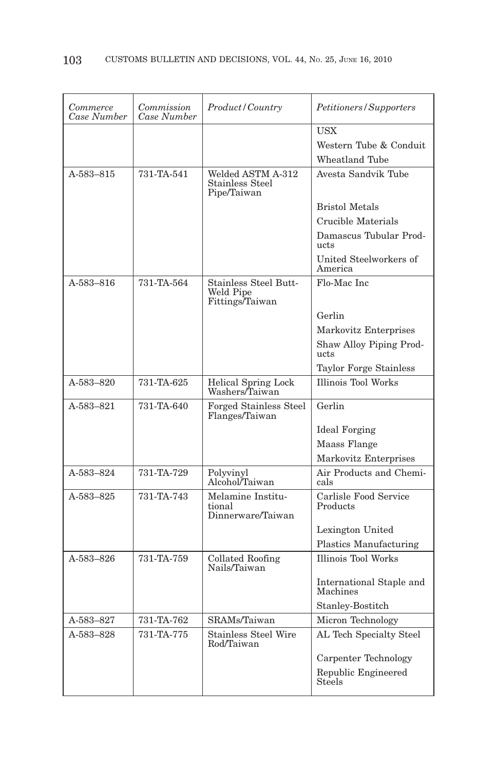| Commerce<br>Case Number | Commission<br>Case Number | Product / Country                                   | Petitioners/Supporters               |
|-------------------------|---------------------------|-----------------------------------------------------|--------------------------------------|
|                         |                           |                                                     | <b>USX</b>                           |
|                         |                           |                                                     | Western Tube & Conduit               |
|                         |                           |                                                     | Wheatland Tube                       |
| A-583-815               | 731-TA-541                | Welded ASTM A-312<br>Stainless Steel<br>Pipe/Taiwan | Avesta Sandvik Tube                  |
|                         |                           |                                                     | <b>Bristol Metals</b>                |
|                         |                           |                                                     | Crucible Materials                   |
|                         |                           |                                                     | Damascus Tubular Prod-<br>ucts       |
|                         |                           |                                                     | United Steelworkers of<br>America    |
| A-583-816               | 731-TA-564                | Stainless Steel Butt-<br>Weld Pipe                  | Flo-Mac Inc                          |
|                         |                           | Fittings/Taiwan                                     |                                      |
|                         |                           |                                                     | Gerlin                               |
|                         |                           |                                                     | Markovitz Enterprises                |
|                         |                           |                                                     | Shaw Alloy Piping Prod-<br>ucts      |
|                         |                           |                                                     | <b>Taylor Forge Stainless</b>        |
| A-583–820               | 731-TA-625                | <b>Helical Spring Lock</b><br>Washers/Taiwan        | <b>Illinois Tool Works</b>           |
| A-583-821               | 731-TA-640                | Forged Stainless Steel<br>Flanges/Taiwan            | Gerlin                               |
|                         |                           |                                                     | <b>Ideal Forging</b>                 |
|                         |                           |                                                     | Maass Flange                         |
|                         |                           |                                                     | Markovitz Enterprises                |
| A-583-824               | 731-TA-729                | Polyvinyl<br>Alcohol/Taiwan                         | Air Products and Chemi-<br>cals      |
| A-583-825               | 731-TA-743                | Melamine Institu-<br>tional<br>Dinnerware/Taiwan    | Carlisle Food Service<br>Products    |
|                         |                           |                                                     | Lexington United                     |
|                         |                           |                                                     | Plastics Manufacturing               |
| A-583-826               | 731-TA-759                | Collated Roofing<br>Nails/Taiwan                    | <b>Illinois Tool Works</b>           |
|                         |                           |                                                     | International Staple and<br>Machines |
|                         |                           |                                                     | Stanley-Bostitch                     |
| A-583-827               | 731-TA-762                | SRAMs/Taiwan                                        | Micron Technology                    |
| A-583-828               | 731-TA-775                | Stainless Steel Wire<br>Rod/Taiwan                  | AL Tech Specialty Steel              |
|                         |                           |                                                     | Carpenter Technology                 |
|                         |                           |                                                     | Republic Engineered<br>Steels        |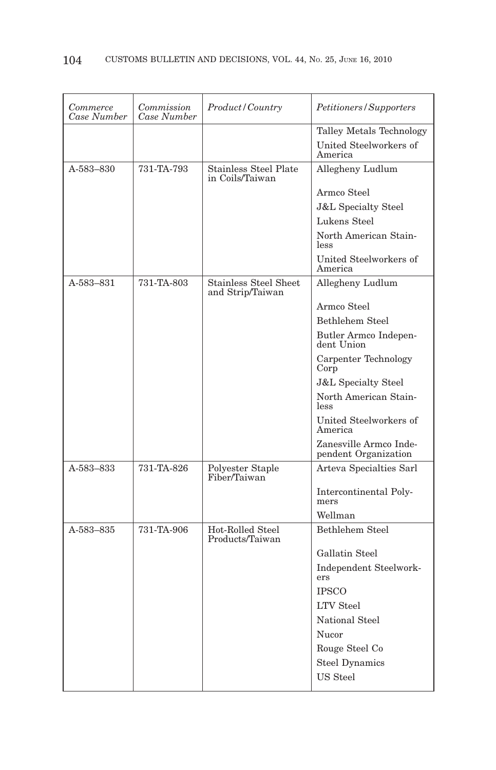| Commerce<br>Case Number | Commission<br>Case Number | <i>Product/Country</i>                           | <i>Petitioners/Supporters</i>                  |
|-------------------------|---------------------------|--------------------------------------------------|------------------------------------------------|
|                         |                           |                                                  | Talley Metals Technology                       |
|                         |                           |                                                  | United Steelworkers of<br>America              |
| A-583-830               | 731-TA-793                | <b>Stainless Steel Plate</b><br>in Coils/Taiwan  | Allegheny Ludlum                               |
|                         |                           |                                                  | Armco Steel                                    |
|                         |                           |                                                  | <b>J&amp;L</b> Specialty Steel                 |
|                         |                           |                                                  | Lukens Steel                                   |
|                         |                           |                                                  | North American Stain-<br>less                  |
|                         |                           |                                                  | United Steelworkers of<br>America              |
| A-583-831               | 731-TA-803                | <b>Stainless Steel Sheet</b><br>and Strip/Taiwan | Allegheny Ludlum                               |
|                         |                           |                                                  | Armco Steel                                    |
|                         |                           |                                                  | Bethlehem Steel                                |
|                         |                           |                                                  | Butler Armco Indepen-<br>dent Union            |
|                         |                           |                                                  | Carpenter Technology<br>Corp                   |
|                         |                           |                                                  | <b>J&amp;L Specialty Steel</b>                 |
|                         |                           |                                                  | North American Stain-<br>less                  |
|                         |                           |                                                  | United Steelworkers of<br>America              |
|                         |                           |                                                  | Zanesville Armco Inde-<br>pendent Organization |
| A-583-833               | 731-TA-826                | Polyester Staple<br>Fiber/Taiwan                 | Arteva Specialties Sarl                        |
|                         |                           |                                                  | Intercontinental Poly-<br>mers                 |
|                         |                           |                                                  | Wellman                                        |
| A-583-835               | 731-TA-906                | Hot-Rolled Steel<br>Products/Taiwan              | Bethlehem Steel                                |
|                         |                           |                                                  | Gallatin Steel                                 |
|                         |                           |                                                  | Independent Steelwork-<br>ers                  |
|                         |                           |                                                  | <b>IPSCO</b>                                   |
|                         |                           |                                                  | <b>LTV Steel</b>                               |
|                         |                           |                                                  | National Steel                                 |
|                         |                           |                                                  | Nucor                                          |
|                         |                           |                                                  | Rouge Steel Co                                 |
|                         |                           |                                                  | <b>Steel Dynamics</b>                          |
|                         |                           |                                                  | US Steel                                       |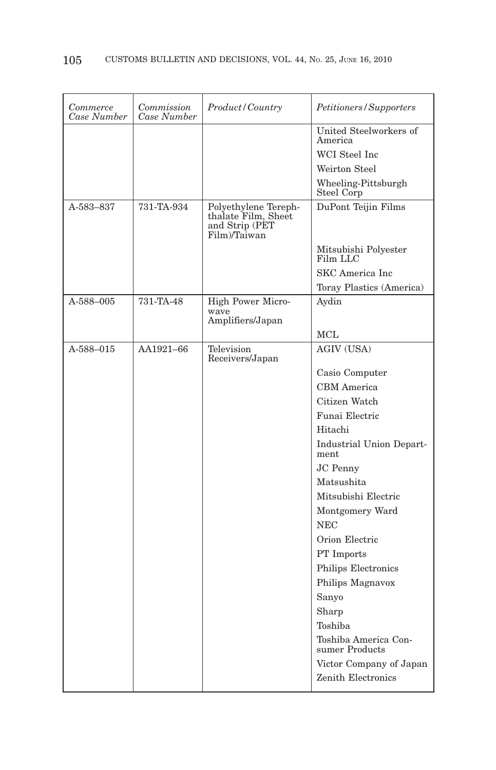| Commerce<br>Case Number | Commission<br>Case Number | Product / Country                                                             | <i>Petitioners/Supporters</i>          |
|-------------------------|---------------------------|-------------------------------------------------------------------------------|----------------------------------------|
|                         |                           |                                                                               | United Steelworkers of<br>America      |
|                         |                           |                                                                               | WCI Steel Inc.                         |
|                         |                           |                                                                               | Weirton Steel                          |
|                         |                           |                                                                               | Wheeling-Pittsburgh<br>Steel Corp      |
| A-583-837               | 731-TA-934                | Polyethylene Tereph-<br>thalate Film, Sheet<br>and Strip (PET<br>Film)/Taiwan | DuPont Teijin Films                    |
|                         |                           |                                                                               | Mitsubishi Polyester<br>Film LLC       |
|                         |                           |                                                                               | SKC America Inc                        |
|                         |                           |                                                                               | Toray Plastics (America)               |
| A-588-005               | 731-TA-48                 | High Power Micro-                                                             | Aydin                                  |
|                         |                           | wave<br>Amplifiers/Japan                                                      |                                        |
|                         |                           |                                                                               | MCL                                    |
| A-588-015               | AA1921-66                 | Television<br>Receivers/Japan                                                 | AGIV (USA)                             |
|                         |                           |                                                                               | Casio Computer                         |
|                         |                           |                                                                               | <b>CBM</b> America                     |
|                         |                           |                                                                               | Citizen Watch                          |
|                         |                           |                                                                               | Funai Electric                         |
|                         |                           |                                                                               | Hitachi                                |
|                         |                           |                                                                               | Industrial Union Depart-<br>ment       |
|                         |                           |                                                                               | JC Penny                               |
|                         |                           |                                                                               | Matsushita                             |
|                         |                           |                                                                               | Mitsubishi Electric                    |
|                         |                           |                                                                               | Montgomery Ward                        |
|                         |                           |                                                                               | <b>NEC</b>                             |
|                         |                           |                                                                               | Orion Electric                         |
|                         |                           |                                                                               | PT Imports                             |
|                         |                           |                                                                               | Philips Electronics                    |
|                         |                           |                                                                               | Philips Magnavox                       |
|                         |                           |                                                                               | Sanyo                                  |
|                         |                           |                                                                               | Sharp                                  |
|                         |                           |                                                                               | Toshiba                                |
|                         |                           |                                                                               | Toshiba America Con-<br>sumer Products |
|                         |                           |                                                                               | Victor Company of Japan                |
|                         |                           |                                                                               | Zenith Electronics                     |
|                         |                           |                                                                               |                                        |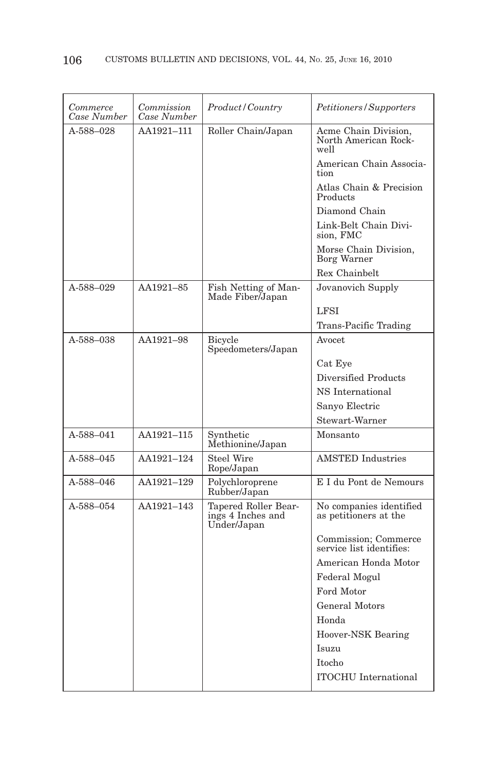| Commerce<br>Case Number | Commission<br>Case Number | <i>Product</i> / Country                                 | <i>Petitioners/Supporters</i>                        |
|-------------------------|---------------------------|----------------------------------------------------------|------------------------------------------------------|
| A-588-028               | AA1921-111                | Roller Chain/Japan                                       | Acme Chain Division,<br>North American Rock-<br>well |
|                         |                           |                                                          | American Chain Associa-<br>tion                      |
|                         |                           |                                                          | Atlas Chain & Precision<br>Products                  |
|                         |                           |                                                          | Diamond Chain                                        |
|                         |                           |                                                          | Link-Belt Chain Divi-<br>sion, FMC                   |
|                         |                           |                                                          | Morse Chain Division,<br><b>Borg Warner</b>          |
|                         |                           |                                                          | Rex Chainbelt                                        |
| A-588-029               | AA1921-85                 | Fish Netting of Man-<br>Made Fiber/Japan                 | Jovanovich Supply                                    |
|                         |                           |                                                          | <b>LFSI</b>                                          |
|                         |                           |                                                          | Trans-Pacific Trading                                |
| A-588-038               | AA1921-98                 | Bicycle<br>Speedometers/Japan                            | Avocet                                               |
|                         |                           |                                                          | Cat Eye                                              |
|                         |                           |                                                          | Diversified Products                                 |
|                         |                           |                                                          | NS International                                     |
|                         |                           |                                                          | Sanyo Electric                                       |
|                         |                           |                                                          | Stewart-Warner                                       |
| A-588-041               | AA1921-115                | Synthetic<br>Methionine/Japan                            | Monsanto                                             |
| A-588-045               | AA1921-124                | Steel Wire<br>Rope/Japan                                 | <b>AMSTED</b> Industries                             |
| A-588-046               | AA1921-129                | Polychloroprene<br>Rubber/Japan                          | E I du Pont de Nemours                               |
| A-588-054               | AA1921-143                | Tapered Roller Bear-<br>ings 4 Inches and<br>Under/Japan | No companies identified<br>as petitioners at the     |
|                         |                           |                                                          | Commission; Commerce<br>service list identifies:     |
|                         |                           |                                                          | American Honda Motor                                 |
|                         |                           |                                                          | Federal Mogul                                        |
|                         |                           |                                                          | Ford Motor                                           |
|                         |                           |                                                          | <b>General Motors</b>                                |
|                         |                           |                                                          | Honda                                                |
|                         |                           |                                                          | Hoover-NSK Bearing                                   |
|                         |                           |                                                          | Isuzu                                                |
|                         |                           |                                                          | <b>Itocho</b>                                        |
|                         |                           |                                                          | <b>ITOCHU</b> International                          |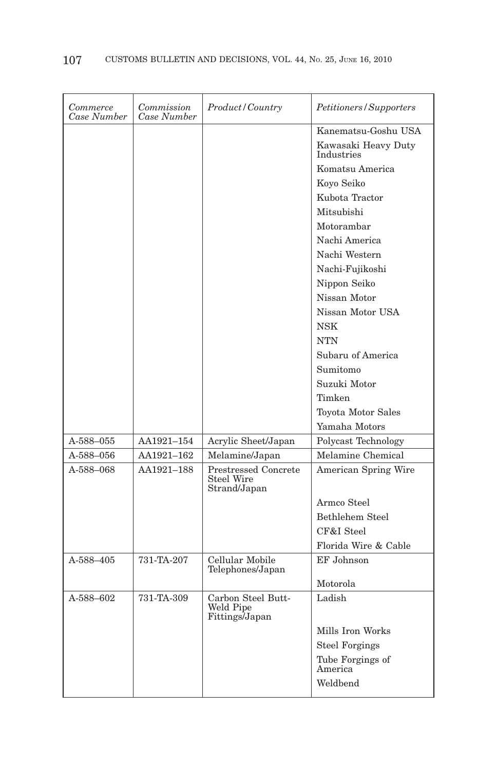| Commerce<br>Case Number | Commission<br>Case Number | Product/Country                                    | Petitioners/Supporters            |
|-------------------------|---------------------------|----------------------------------------------------|-----------------------------------|
|                         |                           |                                                    | Kanematsu-Goshu USA               |
|                         |                           |                                                    | Kawasaki Heavy Duty<br>Industries |
|                         |                           |                                                    | Komatsu America                   |
|                         |                           |                                                    | Koyo Seiko                        |
|                         |                           |                                                    | Kubota Tractor                    |
|                         |                           |                                                    | Mitsubishi                        |
|                         |                           |                                                    | Motorambar                        |
|                         |                           |                                                    | Nachi America                     |
|                         |                           |                                                    | Nachi Western                     |
|                         |                           |                                                    | Nachi-Fujikoshi                   |
|                         |                           |                                                    | Nippon Seiko                      |
|                         |                           |                                                    | Nissan Motor                      |
|                         |                           |                                                    | Nissan Motor USA                  |
|                         |                           |                                                    | <b>NSK</b>                        |
|                         |                           |                                                    | <b>NTN</b>                        |
|                         |                           |                                                    | Subaru of America                 |
|                         |                           |                                                    | Sumitomo                          |
|                         |                           |                                                    | Suzuki Motor                      |
|                         |                           |                                                    | Timken                            |
|                         |                           |                                                    | Toyota Motor Sales                |
|                         |                           |                                                    | Yamaha Motors                     |
| A-588–055               | AA1921-154                | Acrylic Sheet/Japan                                | Polycast Technology               |
| A-588–056               | AA1921-162                | Melamine/Japan                                     | Melamine Chemical                 |
| A-588-068               | AA1921-188                | Prestressed Concrete<br>Steel Wire<br>Strand/Japan | American Spring Wire              |
|                         |                           |                                                    | Armco Steel                       |
|                         |                           |                                                    | Bethlehem Steel                   |
|                         |                           |                                                    | CF&I Steel                        |
|                         |                           |                                                    | Florida Wire & Cable              |
| A-588-405               | 731-TA-207                | Cellular Mobile<br>Telephones/Japan                | EF Johnson                        |
|                         |                           |                                                    | Motorola                          |
| A-588-602               | 731-TA-309                | Carbon Steel Butt-<br>Weld Pipe<br>Fittings/Japan  | Ladish                            |
|                         |                           |                                                    | Mills Iron Works                  |
|                         |                           |                                                    | <b>Steel Forgings</b>             |
|                         |                           |                                                    | Tube Forgings of<br>America       |
|                         |                           |                                                    | Weldbend                          |
|                         |                           |                                                    |                                   |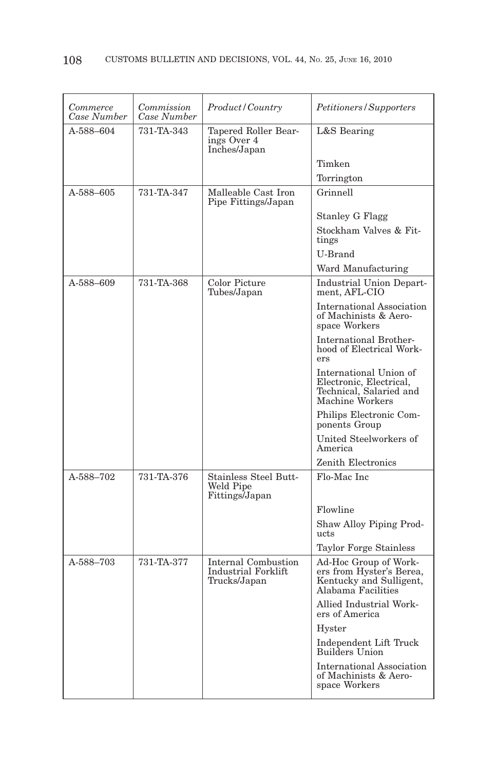| Commerce<br>Case Number | Commission<br>Case Number | Product/Country                                             | Petitioners/Supporters                                                                             |
|-------------------------|---------------------------|-------------------------------------------------------------|----------------------------------------------------------------------------------------------------|
| A-588-604               | 731-TA-343                | Tapered Roller Bear-<br>ings Over 4<br>Inches/Japan         | L&S Bearing                                                                                        |
|                         |                           |                                                             | Timken                                                                                             |
|                         |                           |                                                             | Torrington                                                                                         |
| A-588-605               | 731-TA-347                | Malleable Cast Iron<br>Pipe Fittings/Japan                  | Grinnell                                                                                           |
|                         |                           |                                                             | <b>Stanley G Flagg</b>                                                                             |
|                         |                           |                                                             | Stockham Valves & Fit-<br>tings                                                                    |
|                         |                           |                                                             | U-Brand                                                                                            |
|                         |                           |                                                             | Ward Manufacturing                                                                                 |
| A-588-609               | 731-TA-368                | Color Picture<br>Tubes/Japan                                | Industrial Union Depart-<br>ment, AFL-CIO                                                          |
|                         |                           |                                                             | <b>International Association</b><br>of Machinists & Aero-<br>space Workers                         |
|                         |                           |                                                             | <b>International Brother-</b><br>hood of Electrical Work-<br>ers                                   |
|                         |                           |                                                             | International Union of<br>Electronic, Electrical,<br>Technical, Salaried and<br>Machine Workers    |
|                         |                           |                                                             | Philips Electronic Com-<br>ponents Group                                                           |
|                         |                           |                                                             | United Steelworkers of<br>America                                                                  |
|                         |                           |                                                             | Zenith Electronics                                                                                 |
| A-588-702               | 731-TA-376                | <b>Stainless Steel Butt-</b><br>Weld Pipe<br>Fittings/Japan | Flo-Mac Inc                                                                                        |
|                         |                           |                                                             | Flowline                                                                                           |
|                         |                           |                                                             | Shaw Alloy Piping Prod-<br>ucts                                                                    |
|                         |                           |                                                             | Taylor Forge Stainless                                                                             |
| A-588-703               | 731-TA-377                | Internal Combustion<br>Industrial Forklift<br>Trucks/Japan  | Ad-Hoc Group of Work-<br>ers from Hyster's Berea,<br>Kentucky and Sulligent,<br>Alabama Facilities |
|                         |                           |                                                             | Allied Industrial Work-<br>ers of America                                                          |
|                         |                           |                                                             | Hyster                                                                                             |
|                         |                           |                                                             | Independent Lift Truck<br><b>Builders Union</b>                                                    |
|                         |                           |                                                             | International Association<br>of Machinists & Aero-<br>space Workers                                |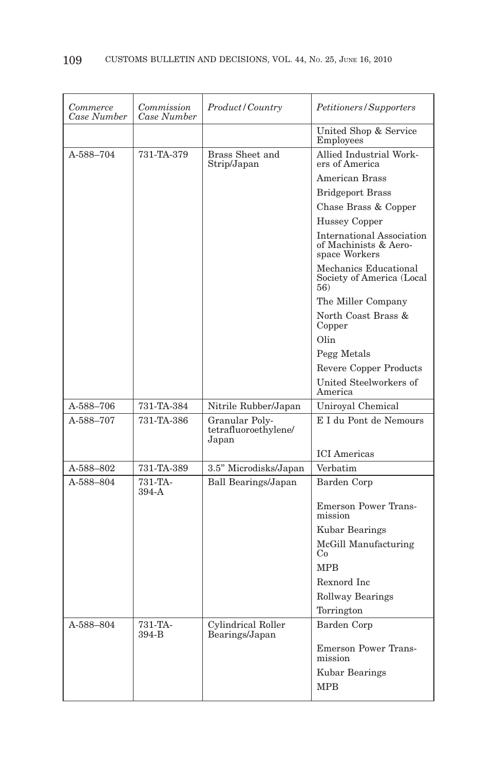| Commerce<br>Case Number | Commission<br>Case Number | Product/Country                                 | Petitioners/Supporters                                              |
|-------------------------|---------------------------|-------------------------------------------------|---------------------------------------------------------------------|
|                         |                           |                                                 | United Shop & Service<br>Employees                                  |
| A-588-704               | 731-TA-379                | Brass Sheet and<br>Strip/Japan                  | Allied Industrial Work-<br>ers of America                           |
|                         |                           |                                                 | American Brass                                                      |
|                         |                           |                                                 | <b>Bridgeport Brass</b>                                             |
|                         |                           |                                                 | Chase Brass & Copper                                                |
|                         |                           |                                                 | Hussey Copper                                                       |
|                         |                           |                                                 | International Association<br>of Machinists & Aero-<br>space Workers |
|                         |                           |                                                 | Mechanics Educational<br>Society of America (Local<br>56)           |
|                         |                           |                                                 | The Miller Company                                                  |
|                         |                           |                                                 | North Coast Brass &<br>Copper                                       |
|                         |                           |                                                 | Olin                                                                |
|                         |                           |                                                 | Pegg Metals                                                         |
|                         |                           |                                                 | Revere Copper Products                                              |
|                         |                           |                                                 | United Steelworkers of<br>America                                   |
|                         |                           |                                                 |                                                                     |
| A-588–706               | 731-TA-384                | Nitrile Rubber/Japan                            | Uniroyal Chemical                                                   |
| A-588-707               | 731-TA-386                | Granular Poly-<br>tetrafluoroethylene/<br>Japan | E I du Pont de Nemours                                              |
|                         |                           |                                                 | <b>ICI</b> Americas                                                 |
| A-588-802               | 731-TA-389                | 3.5" Microdisks/Japan                           | Verbatim                                                            |
| A-588-804               | 731-TA-<br>$394-A$        | Ball Bearings/Japan                             | Barden Corp                                                         |
|                         |                           |                                                 | <b>Emerson Power Trans-</b><br>mission                              |
|                         |                           |                                                 | Kubar Bearings                                                      |
|                         |                           |                                                 | McGill Manufacturing<br>Co                                          |
|                         |                           |                                                 | <b>MPB</b>                                                          |
|                         |                           |                                                 | Rexnord Inc                                                         |
|                         |                           |                                                 | <b>Rollway Bearings</b>                                             |
|                         |                           |                                                 | Torrington                                                          |
| A-588-804               | 731-TA-<br>394-B          | Cylindrical Roller<br>Bearings/Japan            | Barden Corp                                                         |
|                         |                           |                                                 | <b>Emerson Power Trans-</b><br>mission                              |
|                         |                           |                                                 | Kubar Bearings                                                      |
|                         |                           |                                                 | <b>MPB</b>                                                          |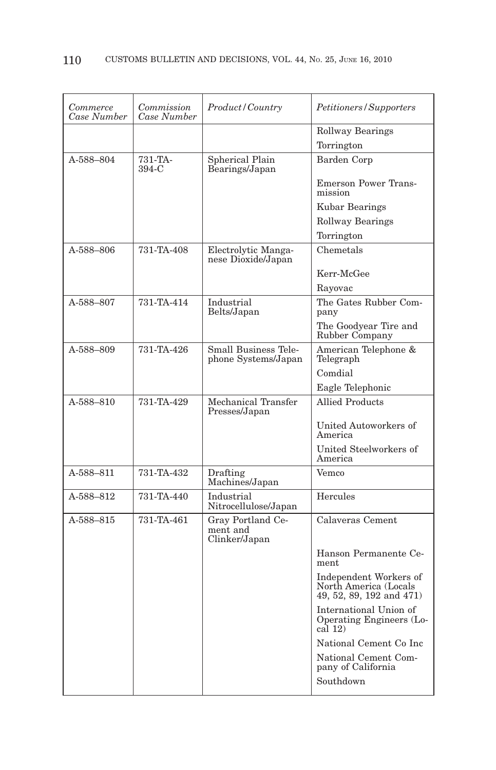| Commerce<br>Case Number | Commission<br>Case Number | Product/Country                                    | Petitioners/Supporters                                                      |
|-------------------------|---------------------------|----------------------------------------------------|-----------------------------------------------------------------------------|
|                         |                           |                                                    | <b>Rollway Bearings</b>                                                     |
|                         |                           |                                                    | Torrington                                                                  |
| A-588-804               | 731-TA-<br>$394-C$        | Spherical Plain<br>Bearings/Japan                  | Barden Corp                                                                 |
|                         |                           |                                                    | <b>Emerson Power Trans-</b><br>mission                                      |
|                         |                           |                                                    | Kubar Bearings                                                              |
|                         |                           |                                                    | Rollway Bearings                                                            |
|                         |                           |                                                    | Torrington                                                                  |
| A-588–806               | 731-TA-408                | Electrolytic Manga-<br>nese Dioxide/Japan          | Chemetals                                                                   |
|                         |                           |                                                    | Kerr-McGee                                                                  |
|                         |                           |                                                    | Rayovac                                                                     |
| A-588-807               | 731-TA-414                | Industrial<br>Belts/Japan                          | The Gates Rubber Com-<br>pany                                               |
|                         |                           |                                                    | The Goodyear Tire and<br>Rubber Company                                     |
| A-588-809               | 731-TA-426                | <b>Small Business Tele-</b><br>phone Systems/Japan | American Telephone &<br>Telegraph                                           |
|                         |                           |                                                    | Comdial                                                                     |
|                         |                           |                                                    | Eagle Telephonic                                                            |
| A-588-810               | 731-TA-429                | Mechanical Transfer<br>Presses/Japan               | <b>Allied Products</b>                                                      |
|                         |                           |                                                    | United Autoworkers of<br>America                                            |
|                         |                           |                                                    | United Steelworkers of<br>America                                           |
| A-588-811               | 731-TA-432                | Drafting<br>Machines/Japan                         | Vemco                                                                       |
| A-588-812               | 731-TA-440                | Industrial<br>Nitrocellulose/Japan                 | Hercules                                                                    |
| A-588-815               | 731-TA-461                | Gray Portland Ce-<br>ment and<br>Clinker/Japan     | Calaveras Cement                                                            |
|                         |                           |                                                    | Hanson Permanente Ce-<br>ment                                               |
|                         |                           |                                                    | Independent Workers of<br>North America (Locals<br>49, 52, 89, 192 and 471) |
|                         |                           |                                                    | International Union of<br>Operating Engineers (Lo-<br>cal(12)               |
|                         |                           |                                                    | National Cement Co Inc                                                      |
|                         |                           |                                                    | National Cement Com-<br>pany of California                                  |
|                         |                           |                                                    | Southdown                                                                   |
|                         |                           |                                                    |                                                                             |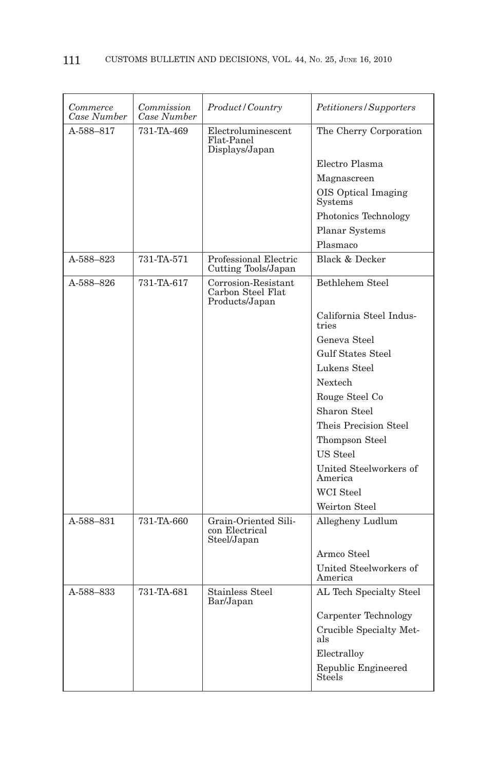| Commerce<br>Case Number | Commission<br>Case Number | Product / Country                                          | Petitioners/Supporters                |
|-------------------------|---------------------------|------------------------------------------------------------|---------------------------------------|
| A-588-817               | 731-TA-469                | Electroluminescent<br>Flat-Panel<br>Displays/Japan         | The Cherry Corporation                |
|                         |                           |                                                            | Electro Plasma                        |
|                         |                           |                                                            | Magnascreen                           |
|                         |                           |                                                            | OIS Optical Imaging<br><b>Systems</b> |
|                         |                           |                                                            | Photonics Technology                  |
|                         |                           |                                                            | Planar Systems                        |
|                         |                           |                                                            | Plasmaco                              |
| A-588-823               | 731-TA-571                | Professional Electric<br>Cutting Tools/Japan               | Black & Decker                        |
| A-588-826               | 731-TA-617                | Corrosion-Resistant<br>Carbon Steel Flat<br>Products/Japan | Bethlehem Steel                       |
|                         |                           |                                                            | California Steel Indus-<br>tries      |
|                         |                           |                                                            | Geneva Steel                          |
|                         |                           |                                                            | <b>Gulf States Steel</b>              |
|                         |                           |                                                            | Lukens Steel                          |
|                         |                           |                                                            | Nextech                               |
|                         |                           |                                                            | Rouge Steel Co                        |
|                         |                           |                                                            | Sharon Steel                          |
|                         |                           |                                                            | Theis Precision Steel                 |
|                         |                           |                                                            | Thompson Steel                        |
|                         |                           |                                                            | US Steel                              |
|                         |                           |                                                            | United Steelworkers of<br>America     |
|                         |                           |                                                            | <b>WCI</b> Steel                      |
|                         |                           |                                                            | Weirton Steel                         |
| A-588-831               | 731-TA-660                | Grain-Oriented Sili-<br>con Electrical<br>Steel/Japan      | Allegheny Ludlum                      |
|                         |                           |                                                            | Armco Steel                           |
|                         |                           |                                                            | United Steelworkers of<br>America     |
| A-588-833               | 731-TA-681                | <b>Stainless Steel</b><br>Bar/Japan                        | AL Tech Specialty Steel               |
|                         |                           |                                                            | Carpenter Technology                  |
|                         |                           |                                                            | Crucible Specialty Met-<br>als        |
|                         |                           |                                                            | Electralloy                           |
|                         |                           |                                                            | Republic Engineered<br>Steels         |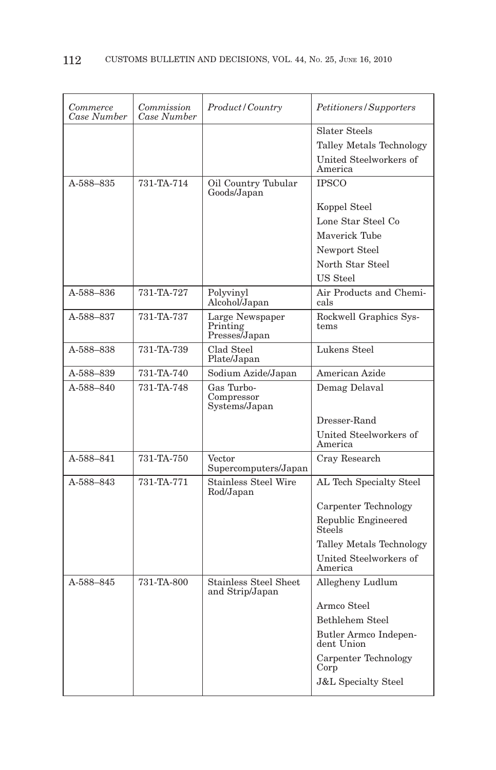| Commerce<br>Case Number | Commission<br>Case Number | Product/Country                                 | Petitioners/Supporters              |
|-------------------------|---------------------------|-------------------------------------------------|-------------------------------------|
|                         |                           |                                                 | <b>Slater Steels</b>                |
|                         |                           |                                                 | Talley Metals Technology            |
|                         |                           |                                                 | United Steelworkers of<br>America   |
| A-588-835               | 731-TA-714                | Oil Country Tubular<br>Goods/Japan              | <b>IPSCO</b>                        |
|                         |                           |                                                 | Koppel Steel                        |
|                         |                           |                                                 | Lone Star Steel Co                  |
|                         |                           |                                                 | Maverick Tube                       |
|                         |                           |                                                 | Newport Steel                       |
|                         |                           |                                                 | North Star Steel                    |
|                         |                           |                                                 | US Steel                            |
| A-588-836               | 731-TA-727                | Polyvinyl<br>Alcohol <sup><i>Japan</i></sup>    | Air Products and Chemi-<br>cals     |
| A-588-837               | 731-TA-737                | Large Newspaper<br>Printing<br>Presses/Japan    | Rockwell Graphics Sys-<br>tems      |
| A-588-838               | 731-TA-739                | Clad Steel<br>Plate/Japan                       | Lukens Steel                        |
| A-588-839               | 731-TA-740                | Sodium Azide/Japan                              | American Azide                      |
| A-588-840               | 731-TA-748                | Gas Turbo-<br>Compressor<br>Systems/Japan       | Demag Delaval                       |
|                         |                           |                                                 | Dresser-Rand                        |
|                         |                           |                                                 | United Steelworkers of<br>America   |
| A-588-841               | 731-TA-750                | Vector<br>Supercomputers/Japan                  | Cray Research                       |
| A-588-843               | 731-TA-771                | <b>Stainless Steel Wire</b><br>Rod/Japan        | AL Tech Specialty Steel             |
|                         |                           |                                                 | Carpenter Technology                |
|                         |                           |                                                 | Republic Engineered<br>Steels       |
|                         |                           |                                                 | Talley Metals Technology            |
|                         |                           |                                                 | United Steelworkers of<br>America   |
| A-588-845               | 731-TA-800                | <b>Stainless Steel Sheet</b><br>and Strip/Japan | Allegheny Ludlum                    |
|                         |                           |                                                 | Armco Steel                         |
|                         |                           |                                                 | <b>Bethlehem Steel</b>              |
|                         |                           |                                                 | Butler Armco Indepen-<br>dent Union |
|                         |                           |                                                 | Carpenter Technology<br>Corp        |
|                         |                           |                                                 | <b>J&amp;L Specialty Steel</b>      |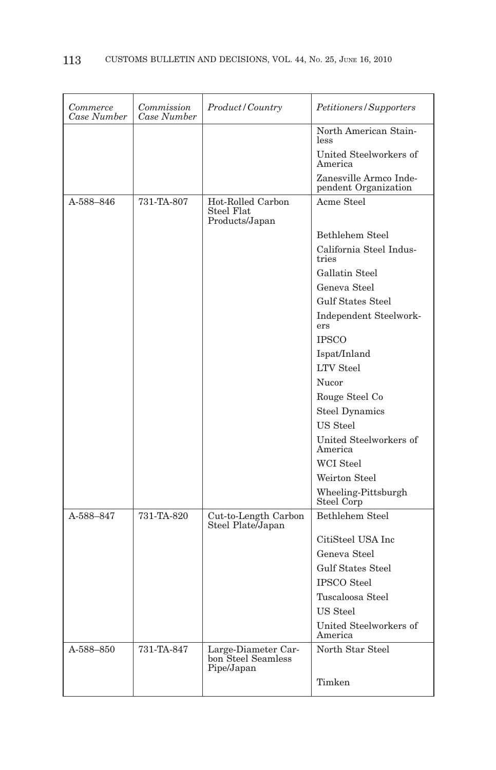| Commerce<br>Case Number | Commission<br>Case Number | Product/Country                                         | Petitioners/Supporters                         |
|-------------------------|---------------------------|---------------------------------------------------------|------------------------------------------------|
|                         |                           |                                                         | North American Stain-<br>less                  |
|                         |                           |                                                         | United Steelworkers of<br>America              |
|                         |                           |                                                         | Zanesville Armco Inde-<br>pendent Organization |
| A-588-846               | 731-TA-807                | Hot-Rolled Carbon<br>Steel Flat<br>Products/Japan       | Acme Steel                                     |
|                         |                           |                                                         | Bethlehem Steel                                |
|                         |                           |                                                         | California Steel Indus-<br>tries               |
|                         |                           |                                                         | Gallatin Steel                                 |
|                         |                           |                                                         | Geneva Steel                                   |
|                         |                           |                                                         | <b>Gulf States Steel</b>                       |
|                         |                           |                                                         | Independent Steelwork-<br>ers                  |
|                         |                           |                                                         | <b>IPSCO</b>                                   |
|                         |                           |                                                         | Ispat/Inland                                   |
|                         |                           |                                                         | <b>LTV</b> Steel                               |
|                         |                           |                                                         | Nucor                                          |
|                         |                           |                                                         | Rouge Steel Co                                 |
|                         |                           |                                                         | <b>Steel Dynamics</b>                          |
|                         |                           |                                                         | US Steel                                       |
|                         |                           |                                                         | United Steelworkers of<br>America              |
|                         |                           |                                                         | <b>WCI</b> Steel                               |
|                         |                           |                                                         | Weirton Steel                                  |
|                         |                           |                                                         | Wheeling-Pittsburgh<br>Steel Corp              |
| A-588-847               | 731-TA-820                | Cut-to-Length Carbon<br>Steel Plate/Japan               | Bethlehem Steel                                |
|                         |                           |                                                         | CitiSteel USA Inc                              |
|                         |                           |                                                         | Geneva Steel                                   |
|                         |                           |                                                         | <b>Gulf States Steel</b>                       |
|                         |                           |                                                         | <b>IPSCO</b> Steel                             |
|                         |                           |                                                         | Tuscaloosa Steel                               |
|                         |                           |                                                         | US Steel                                       |
|                         |                           |                                                         | United Steelworkers of<br>America              |
| A-588-850               | 731-TA-847                | Large-Diameter Car-<br>bon Steel Seamless<br>Pipe/Japan | North Star Steel                               |
|                         |                           |                                                         | Timken                                         |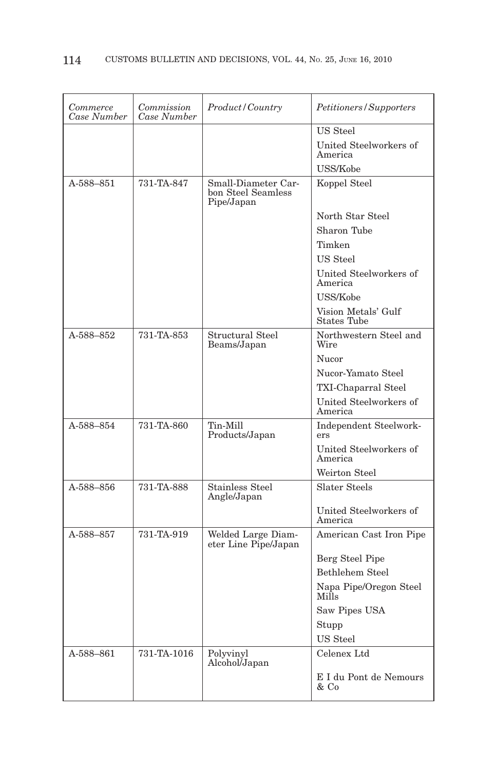| Commerce<br>Case Number | Commission<br>Case Number | Product/Country                                         | Petitioners/Supporters                    |
|-------------------------|---------------------------|---------------------------------------------------------|-------------------------------------------|
|                         |                           |                                                         | US Steel                                  |
|                         |                           |                                                         | United Steelworkers of<br>America         |
|                         |                           |                                                         | USS/Kobe                                  |
| A-588-851               | 731-TA-847                | Small-Diameter Car-<br>bon Steel Seamless<br>Pipe/Japan | Koppel Steel                              |
|                         |                           |                                                         | North Star Steel                          |
|                         |                           |                                                         | Sharon Tube                               |
|                         |                           |                                                         | Timken                                    |
|                         |                           |                                                         | <b>US</b> Steel                           |
|                         |                           |                                                         | United Steelworkers of<br>America         |
|                         |                           |                                                         | USS/Kobe                                  |
|                         |                           |                                                         | Vision Metals' Gulf<br><b>States Tube</b> |
| A-588-852               | 731-TA-853                | Structural Steel<br>Beams/Japan                         | Northwestern Steel and<br>Wire            |
|                         |                           |                                                         | Nucor                                     |
|                         |                           |                                                         | Nucor-Yamato Steel                        |
|                         |                           |                                                         | TXI-Chaparral Steel                       |
|                         |                           |                                                         | United Steelworkers of<br>America         |
| A-588-854               | 731-TA-860                | Tin-Mill<br>Products/Japan                              | Independent Steelwork-<br>ers             |
|                         |                           |                                                         | United Steelworkers of<br>America         |
|                         |                           |                                                         | Weirton Steel                             |
| A-588-856               | 731-TA-888                | <b>Stainless Steel</b><br>Angle/Japan                   | Slater Steels                             |
|                         |                           |                                                         | United Steelworkers of<br>America         |
| A-588-857               | 731-TA-919                | Welded Large Diam-<br>eter Line Pipe/Japan              | American Cast Iron Pipe                   |
|                         |                           |                                                         | Berg Steel Pipe                           |
|                         |                           |                                                         | <b>Bethlehem Steel</b>                    |
|                         |                           |                                                         | Napa Pipe/Oregon Steel<br>Mills           |
|                         |                           |                                                         | Saw Pipes USA                             |
|                         |                           |                                                         | Stupp                                     |
|                         |                           |                                                         | <b>US</b> Steel                           |
| A-588-861               | 731-TA-1016               | Polyvinyl                                               | Celenex Ltd                               |
|                         |                           | Alcohol/Japan                                           | E I du Pont de Nemours<br>& Co            |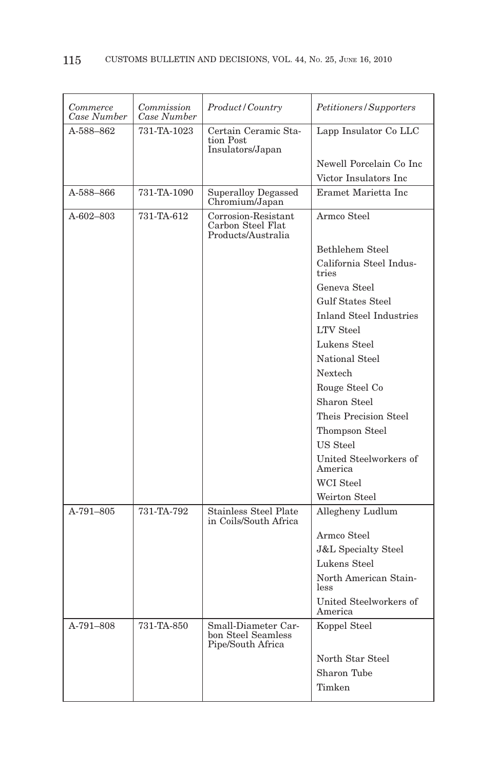| Commerce<br>Case Number | Commission<br>Case Number | Product/Country                                                | Petitioners/Supporters            |
|-------------------------|---------------------------|----------------------------------------------------------------|-----------------------------------|
| A-588-862               | 731-TA-1023               | Certain Ceramic Sta-<br>tion Post<br>Insulators/Japan          | Lapp Insulator Co LLC             |
|                         |                           |                                                                | Newell Porcelain Co Inc           |
|                         |                           |                                                                | Victor Insulators Inc             |
| A-588-866               | 731-TA-1090               | Superalloy Degassed<br>Chromium/Japan                          | Eramet Marietta Inc.              |
| A-602-803               | 731-TA-612                | Corrosion-Resistant<br>Carbon Steel Flat<br>Products/Australia | Armco Steel                       |
|                         |                           |                                                                | Bethlehem Steel                   |
|                         |                           |                                                                | California Steel Indus-<br>tries  |
|                         |                           |                                                                | Geneva Steel                      |
|                         |                           |                                                                | <b>Gulf States Steel</b>          |
|                         |                           |                                                                | <b>Inland Steel Industries</b>    |
|                         |                           |                                                                | <b>LTV</b> Steel                  |
|                         |                           |                                                                | Lukens Steel                      |
|                         |                           |                                                                | National Steel                    |
|                         |                           |                                                                | Nextech                           |
|                         |                           |                                                                | Rouge Steel Co                    |
|                         |                           |                                                                | Sharon Steel                      |
|                         |                           |                                                                | Theis Precision Steel             |
|                         |                           |                                                                | Thompson Steel                    |
|                         |                           |                                                                | US Steel                          |
|                         |                           |                                                                | United Steelworkers of<br>America |
|                         |                           |                                                                | WCI Steel                         |
|                         |                           |                                                                | Weirton Steel                     |
| $A-791-805$             | 731-TA-792                | <b>Stainless Steel Plate</b><br>in Coils/South Africa          | Allegheny Ludlum                  |
|                         |                           |                                                                | Armco Steel                       |
|                         |                           |                                                                | <b>J&amp;L Specialty Steel</b>    |
|                         |                           |                                                                | Lukens Steel                      |
|                         |                           |                                                                | North American Stain-<br>less     |
|                         |                           |                                                                | United Steelworkers of<br>America |
| A-791-808               | 731-TA-850                | Small-Diameter Car-<br>bon Steel Seamless<br>Pipe/South Africa | Koppel Steel                      |
|                         |                           |                                                                | North Star Steel                  |
|                         |                           |                                                                | Sharon Tube                       |
|                         |                           |                                                                | Timken                            |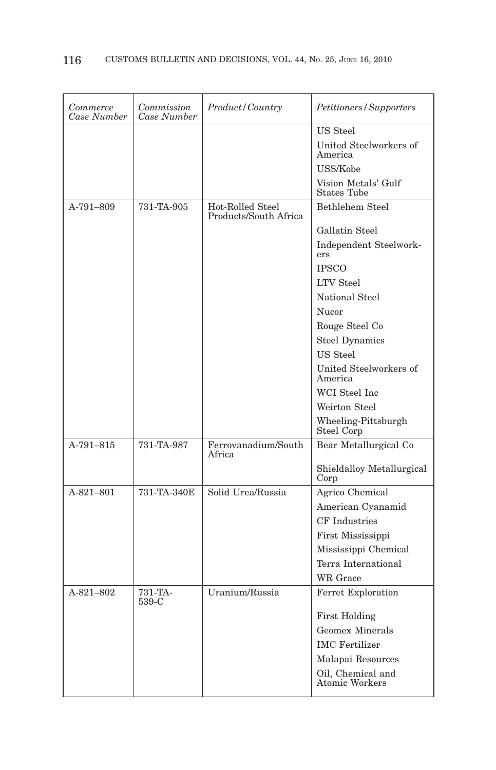| Commerce<br>Case Number | Commission<br>Case Number | Product / Country                         | Petitioners/Supporters                     |
|-------------------------|---------------------------|-------------------------------------------|--------------------------------------------|
|                         |                           |                                           | US Steel                                   |
|                         |                           |                                           | United Steelworkers of<br>America          |
|                         |                           |                                           | USS/Kobe                                   |
|                         |                           |                                           | Vision Metals' Gulf<br><b>States Tube</b>  |
| A-791-809               | 731-TA-905                | Hot-Rolled Steel<br>Products/South Africa | Bethlehem Steel                            |
|                         |                           |                                           | Gallatin Steel                             |
|                         |                           |                                           | Independent Steelwork-<br>ers              |
|                         |                           |                                           | <b>IPSCO</b>                               |
|                         |                           |                                           | <b>LTV</b> Steel                           |
|                         |                           |                                           | National Steel                             |
|                         |                           |                                           | Nucor                                      |
|                         |                           |                                           | Rouge Steel Co                             |
|                         |                           |                                           | <b>Steel Dynamics</b>                      |
|                         |                           |                                           | US Steel                                   |
|                         |                           |                                           | United Steelworkers of<br>America          |
|                         |                           |                                           | WCI Steel Inc                              |
|                         |                           |                                           | Weirton Steel                              |
|                         |                           |                                           | Wheeling-Pittsburgh<br>Steel Corp          |
| A-791-815               | 731-TA-987                | Ferrovanadium/South<br>Africa             | Bear Metallurgical Co                      |
|                         |                           |                                           | Shieldalloy Metallurgical<br>Corp          |
| $A-821-801$             | 731-TA-340E               | Solid Urea/Russia                         | Agrico Chemical                            |
|                         |                           |                                           | American Cyanamid                          |
|                         |                           |                                           | <b>CF</b> Industries                       |
|                         |                           |                                           | First Mississippi                          |
|                         |                           |                                           | Mississippi Chemical                       |
|                         |                           |                                           | Terra International                        |
|                         |                           |                                           | <b>WR</b> Grace                            |
| A-821-802               | 731-TA-<br>539-C          | Uranium/Russia                            | Ferret Exploration                         |
|                         |                           |                                           | <b>First Holding</b>                       |
|                         |                           |                                           | <b>Geomex Minerals</b>                     |
|                         |                           |                                           | <b>IMC</b> Fertilizer                      |
|                         |                           |                                           | Malapai Resources                          |
|                         |                           |                                           | Oil, Chemical and<br><b>Atomic Workers</b> |
|                         |                           |                                           |                                            |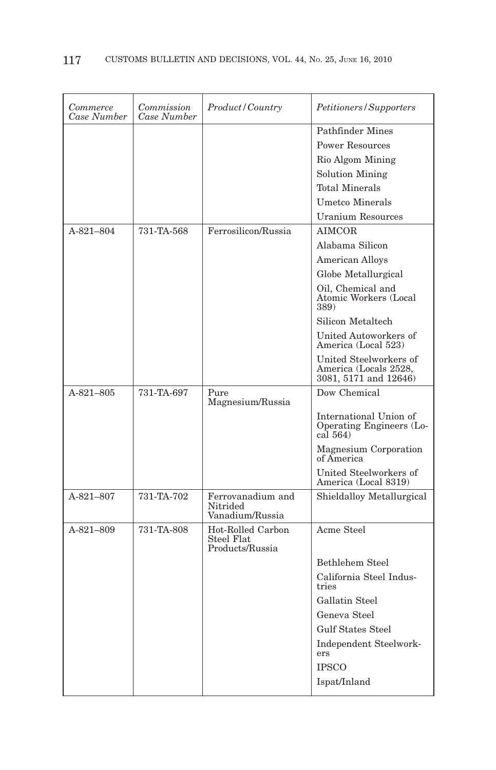| Commerce<br>Case Number | Commission<br>Case Number | Product/Country                                    | Petitioners/Supporters                                                   |
|-------------------------|---------------------------|----------------------------------------------------|--------------------------------------------------------------------------|
|                         |                           |                                                    | Pathfinder Mines                                                         |
|                         |                           |                                                    | <b>Power Resources</b>                                                   |
|                         |                           |                                                    | Rio Algom Mining                                                         |
|                         |                           |                                                    | <b>Solution Mining</b>                                                   |
|                         |                           |                                                    | <b>Total Minerals</b>                                                    |
|                         |                           |                                                    | Umetco Minerals                                                          |
|                         |                           |                                                    | <b>Uranium Resources</b>                                                 |
| A-821-804               | 731-TA-568                | Ferrosilicon/Russia                                | <b>AIMCOR</b>                                                            |
|                         |                           |                                                    | Alabama Silicon                                                          |
|                         |                           |                                                    | <b>American Alloys</b>                                                   |
|                         |                           |                                                    | Globe Metallurgical                                                      |
|                         |                           |                                                    | Oil, Chemical and<br>Atomic Workers (Local<br>389)                       |
|                         |                           |                                                    | Silicon Metaltech                                                        |
|                         |                           |                                                    | United Autoworkers of<br>America (Local 523)                             |
|                         |                           |                                                    | United Steelworkers of<br>America (Locals 2528,<br>3081, 5171 and 12646) |
| $A-821-805$             | 731-TA-697                | Pure<br>Magnesium/Russia                           | Dow Chemical                                                             |
|                         |                           |                                                    | International Union of<br>Operating Engineers (Lo-<br>cal 564)           |
|                         |                           |                                                    | Magnesium Corporation<br>of America                                      |
|                         |                           |                                                    | United Steelworkers of<br>America (Local 8319)                           |
| A-821-807               | 731-TA-702                | Ferrovanadium and<br>Nitrided<br>Vanadium/Russia   | Shieldalloy Metallurgical                                                |
| A-821-809               | 731-TA-808                | Hot-Rolled Carbon<br>Steel Flat<br>Products/Russia | Acme Steel                                                               |
|                         |                           |                                                    | Bethlehem Steel                                                          |
|                         |                           |                                                    | California Steel Indus-<br>tries                                         |
|                         |                           |                                                    | Gallatin Steel                                                           |
|                         |                           |                                                    | Geneva Steel                                                             |
|                         |                           |                                                    | <b>Gulf States Steel</b>                                                 |
|                         |                           |                                                    | Independent Steelwork-                                                   |
|                         |                           |                                                    | ers                                                                      |
|                         |                           |                                                    | <b>IPSCO</b>                                                             |
|                         |                           |                                                    | Ispat/Inland                                                             |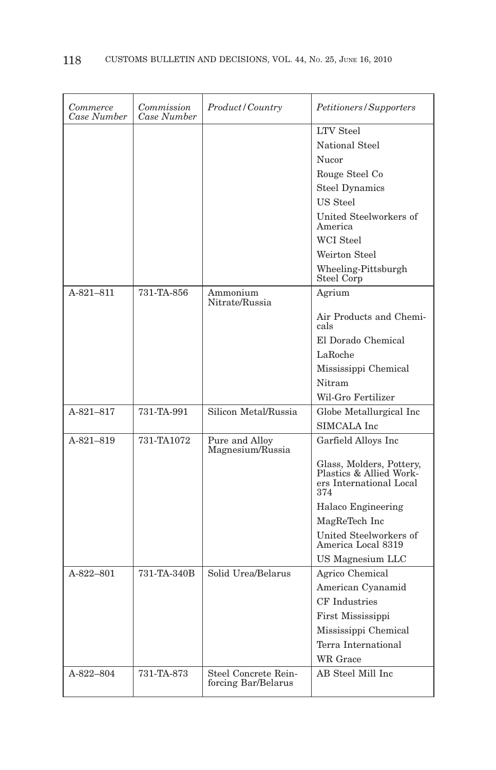| Commerce<br>Case Number | Commission<br>Case Number | Product/Country                             | Petitioners/Supporters                                                                |
|-------------------------|---------------------------|---------------------------------------------|---------------------------------------------------------------------------------------|
|                         |                           |                                             | <b>LTV</b> Steel                                                                      |
|                         |                           |                                             | National Steel                                                                        |
|                         |                           |                                             | Nucor                                                                                 |
|                         |                           |                                             | Rouge Steel Co                                                                        |
|                         |                           |                                             | <b>Steel Dynamics</b>                                                                 |
|                         |                           |                                             | US Steel                                                                              |
|                         |                           |                                             | United Steelworkers of<br>America                                                     |
|                         |                           |                                             | WCI Steel                                                                             |
|                         |                           |                                             | Weirton Steel                                                                         |
|                         |                           |                                             | Wheeling-Pittsburgh<br>Steel Corp                                                     |
| $A-821-811$             | 731-TA-856                | Ammonium<br>Nitrate/Russia                  | Agrium                                                                                |
|                         |                           |                                             | Air Products and Chemi-<br>cals                                                       |
|                         |                           |                                             | El Dorado Chemical                                                                    |
|                         |                           |                                             | LaRoche                                                                               |
|                         |                           |                                             | Mississippi Chemical                                                                  |
|                         |                           |                                             | Nitram                                                                                |
|                         |                           |                                             | Wil-Gro Fertilizer                                                                    |
| A-821-817               | 731-TA-991                | Silicon Metal/Russia                        | Globe Metallurgical Inc                                                               |
|                         |                           |                                             | SIMCALA Inc                                                                           |
| $A-821-819$             | 731-TA1072                | Pure and Alloy<br>Magnesium/Russia          | Garfield Alloys Inc                                                                   |
|                         |                           |                                             | Glass, Molders, Pottery,<br>Plastics & Allied Work-<br>ers International Local<br>374 |
|                         |                           |                                             | Halaco Engineering                                                                    |
|                         |                           |                                             | MagReTech Inc                                                                         |
|                         |                           |                                             | United Steelworkers of<br>America Local 8319                                          |
|                         |                           |                                             | US Magnesium LLC                                                                      |
| A-822-801               | 731-TA-340B               | Solid Urea/Belarus                          | Agrico Chemical                                                                       |
|                         |                           |                                             | American Cyanamid                                                                     |
|                         |                           |                                             | <b>CF</b> Industries                                                                  |
|                         |                           |                                             | First Mississippi                                                                     |
|                         |                           |                                             | Mississippi Chemical                                                                  |
|                         |                           |                                             | Terra International                                                                   |
|                         |                           |                                             | WR Grace                                                                              |
| A-822-804               | 731-TA-873                | Steel Concrete Rein-<br>forcing Bar/Belarus | AB Steel Mill Inc                                                                     |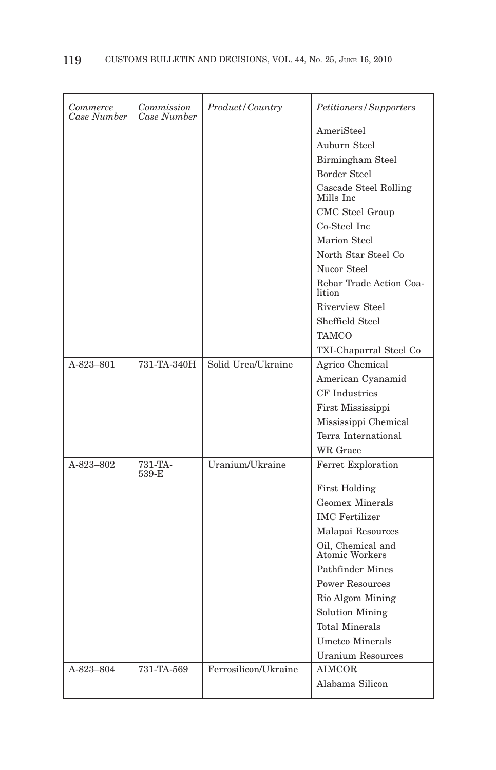| Commerce<br>Case Number | Commission<br>Case Number | Product/Country      | Petitioners/Supporters              |
|-------------------------|---------------------------|----------------------|-------------------------------------|
|                         |                           |                      | AmeriSteel                          |
|                         |                           |                      | Auburn Steel                        |
|                         |                           |                      | Birmingham Steel                    |
|                         |                           |                      | <b>Border Steel</b>                 |
|                         |                           |                      | Cascade Steel Rolling<br>Mills Inc  |
|                         |                           |                      | CMC Steel Group                     |
|                         |                           |                      | Co-Steel Inc                        |
|                         |                           |                      | Marion Steel                        |
|                         |                           |                      | North Star Steel Co                 |
|                         |                           |                      | Nucor Steel                         |
|                         |                           |                      | Rebar Trade Action Coa-<br>lition   |
|                         |                           |                      | <b>Riverview Steel</b>              |
|                         |                           |                      | Sheffield Steel                     |
|                         |                           |                      | <b>TAMCO</b>                        |
|                         |                           |                      | TXI-Chaparral Steel Co              |
| A-823-801               | 731-TA-340H               | Solid Urea/Ukraine   | Agrico Chemical                     |
|                         |                           |                      | American Cyanamid                   |
|                         |                           |                      | <b>CF</b> Industries                |
|                         |                           |                      | First Mississippi                   |
|                         |                           |                      | Mississippi Chemical                |
|                         |                           |                      | Terra International                 |
|                         |                           |                      | WR Grace                            |
| A-823-802               | 731-TA-<br>539-E          | Uranium/Ukraine      | Ferret Exploration                  |
|                         |                           |                      | <b>First Holding</b>                |
|                         |                           |                      | <b>Geomex Minerals</b>              |
|                         |                           |                      | <b>IMC</b> Fertilizer               |
|                         |                           |                      | Malapai Resources                   |
|                         |                           |                      | Oil, Chemical and<br>Atomic Workers |
|                         |                           |                      | Pathfinder Mines                    |
|                         |                           |                      | <b>Power Resources</b>              |
|                         |                           |                      | Rio Algom Mining                    |
|                         |                           |                      | <b>Solution Mining</b>              |
|                         |                           |                      | <b>Total Minerals</b>               |
|                         |                           |                      | <b>Umetco Minerals</b>              |
|                         |                           |                      | <b>Uranium Resources</b>            |
| A-823-804               | 731-TA-569                | Ferrosilicon/Ukraine | <b>AIMCOR</b>                       |
|                         |                           |                      | Alabama Silicon                     |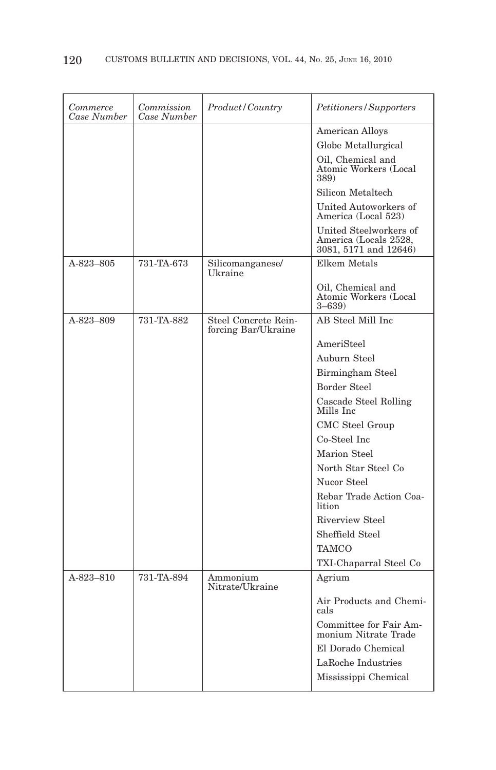| Commerce<br>Case Number | Commission<br>Case Number | Product / Country                           | Petitioners/Supporters                                                   |
|-------------------------|---------------------------|---------------------------------------------|--------------------------------------------------------------------------|
|                         |                           |                                             | <b>American Alloys</b>                                                   |
|                         |                           |                                             | Globe Metallurgical                                                      |
|                         |                           |                                             | Oil, Chemical and<br>Atomic Workers (Local<br>389)                       |
|                         |                           |                                             | Silicon Metaltech                                                        |
|                         |                           |                                             | United Autoworkers of<br>America (Local 523)                             |
|                         |                           |                                             | United Steelworkers of<br>America (Locals 2528,<br>3081, 5171 and 12646) |
| A-823-805               | 731-TA-673                | Silicomanganese/<br>Ukraine                 | Elkem Metals                                                             |
|                         |                           |                                             | Oil, Chemical and<br>Atomic Workers (Local<br>$3 - 639$                  |
| A-823-809               | 731-TA-882                | Steel Concrete Rein-<br>forcing Bar/Ukraine | AB Steel Mill Inc                                                        |
|                         |                           |                                             | AmeriSteel                                                               |
|                         |                           |                                             | Auburn Steel                                                             |
|                         |                           |                                             | Birmingham Steel                                                         |
|                         |                           |                                             | <b>Border Steel</b>                                                      |
|                         |                           |                                             | Cascade Steel Rolling<br>Mills Inc                                       |
|                         |                           |                                             | CMC Steel Group                                                          |
|                         |                           |                                             | Co-Steel Inc                                                             |
|                         |                           |                                             | Marion Steel                                                             |
|                         |                           |                                             | North Star Steel Co                                                      |
|                         |                           |                                             | Nucor Steel                                                              |
|                         |                           |                                             | Rebar Trade Action Coa-<br>lition                                        |
|                         |                           |                                             | <b>Riverview Steel</b>                                                   |
|                         |                           |                                             | Sheffield Steel                                                          |
|                         |                           |                                             | TAMCO                                                                    |
|                         |                           |                                             | TXI-Chaparral Steel Co                                                   |
| A-823-810               | 731-TA-894                | Ammonium<br>Nitrate/Ukraine                 | Agrium                                                                   |
|                         |                           |                                             | Air Products and Chemi-<br>cals                                          |
|                         |                           |                                             | Committee for Fair Am-<br>monium Nitrate Trade                           |
|                         |                           |                                             | El Dorado Chemical                                                       |
|                         |                           |                                             | LaRoche Industries                                                       |
|                         |                           |                                             | Mississippi Chemical                                                     |
|                         |                           |                                             |                                                                          |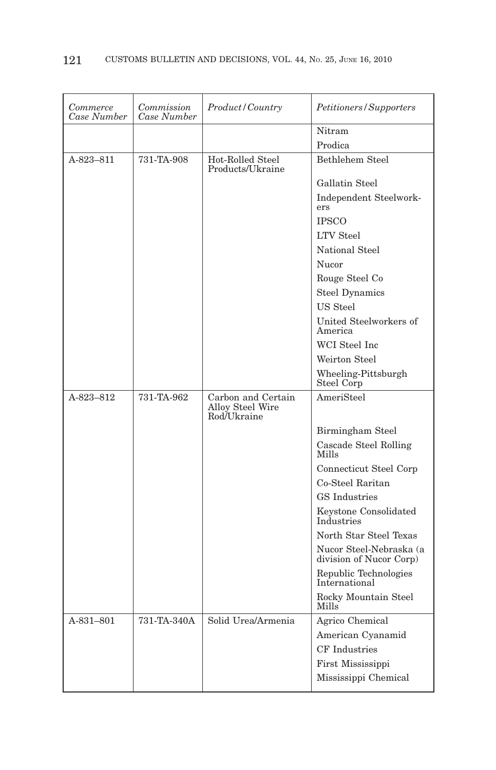| Commerce<br>Case Number | Commission<br>Case Number | <i>Product/Country</i>                                | <i>Petitioners/Supporters</i>                   |
|-------------------------|---------------------------|-------------------------------------------------------|-------------------------------------------------|
|                         |                           |                                                       | Nitram                                          |
|                         |                           |                                                       | Prodica                                         |
| A-823-811               | 731-TA-908                | Hot-Rolled Steel<br>Products/Ukraine                  | Bethlehem Steel                                 |
|                         |                           |                                                       | Gallatin Steel                                  |
|                         |                           |                                                       | Independent Steelwork-<br>ers                   |
|                         |                           |                                                       | <b>IPSCO</b>                                    |
|                         |                           |                                                       | <b>LTV</b> Steel                                |
|                         |                           |                                                       | National Steel                                  |
|                         |                           |                                                       | Nucor                                           |
|                         |                           |                                                       | Rouge Steel Co                                  |
|                         |                           |                                                       | <b>Steel Dynamics</b>                           |
|                         |                           |                                                       | US Steel                                        |
|                         |                           |                                                       | United Steelworkers of<br>America               |
|                         |                           |                                                       | WCI Steel Inc                                   |
|                         |                           |                                                       | Weirton Steel                                   |
|                         |                           |                                                       | Wheeling-Pittsburgh<br>Steel Corp               |
|                         |                           |                                                       |                                                 |
| A-823-812               | 731-TA-962                | Carbon and Certain<br>Alloy Steel Wire<br>Rod/Ukraine | AmeriSteel                                      |
|                         |                           |                                                       | Birmingham Steel                                |
|                         |                           |                                                       | Cascade Steel Rolling<br>Mills                  |
|                         |                           |                                                       | Connecticut Steel Corp                          |
|                         |                           |                                                       | Co-Steel Raritan                                |
|                         |                           |                                                       | <b>GS</b> Industries                            |
|                         |                           |                                                       | Keystone Consolidated<br>Industries             |
|                         |                           |                                                       | North Star Steel Texas                          |
|                         |                           |                                                       | Nucor Steel-Nebraska (a division of Nucor Corp) |
|                         |                           |                                                       | Republic Technologies<br>International          |
|                         |                           |                                                       | Rocky Mountain Steel<br>Mills                   |
| A-831-801               | 731-TA-340A               | Solid Urea/Armenia                                    | Agrico Chemical                                 |
|                         |                           |                                                       | American Cyanamid                               |
|                         |                           |                                                       | CF Industries                                   |
|                         |                           |                                                       | First Mississippi                               |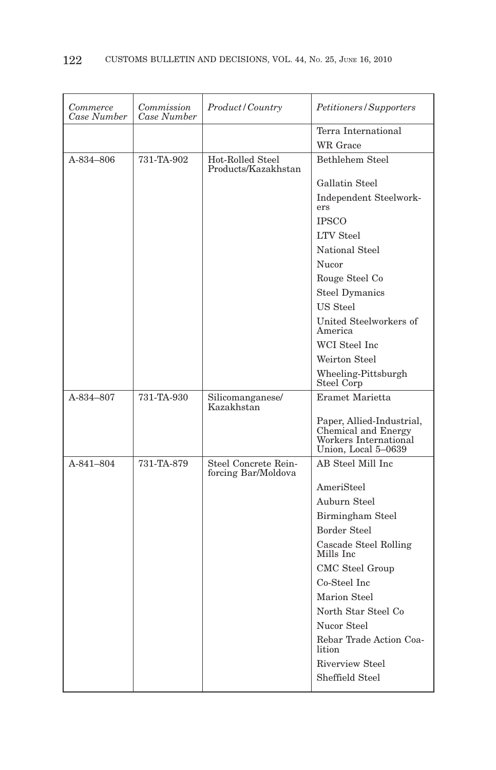| Commerce<br>Case Number | Commission<br>Case Number | Product/Country                             | Petitioners/Supporters                                                                           |
|-------------------------|---------------------------|---------------------------------------------|--------------------------------------------------------------------------------------------------|
|                         |                           |                                             | Terra International                                                                              |
|                         |                           |                                             | WR Grace                                                                                         |
| A-834-806               | 731-TA-902                | Hot-Rolled Steel<br>Products/Kazakhstan     | Bethlehem Steel                                                                                  |
|                         |                           |                                             | Gallatin Steel                                                                                   |
|                         |                           |                                             | Independent Steelwork-<br>ers                                                                    |
|                         |                           |                                             | <b>IPSCO</b>                                                                                     |
|                         |                           |                                             | <b>LTV</b> Steel                                                                                 |
|                         |                           |                                             | National Steel                                                                                   |
|                         |                           |                                             | Nucor                                                                                            |
|                         |                           |                                             | Rouge Steel Co                                                                                   |
|                         |                           |                                             | <b>Steel Dymanics</b>                                                                            |
|                         |                           |                                             | US Steel                                                                                         |
|                         |                           |                                             | United Steelworkers of<br>America                                                                |
|                         |                           |                                             | WCI Steel Inc                                                                                    |
|                         |                           |                                             | Weirton Steel                                                                                    |
|                         |                           |                                             | Wheeling-Pittsburgh<br>Steel Corp                                                                |
|                         |                           |                                             |                                                                                                  |
| A-834-807               | 731-TA-930                | Silicomanganese/<br>Kazakhstan              | Eramet Marietta                                                                                  |
|                         |                           |                                             | Paper, Allied-Industrial,<br>Chemical and Energy<br>Workers International<br>Union, Local 5-0639 |
| A-841-804               | 731-TA-879                | Steel Concrete Rein-<br>forcing Bar/Moldova | AB Steel Mill Inc                                                                                |
|                         |                           |                                             | AmeriSteel                                                                                       |
|                         |                           |                                             | Auburn Steel                                                                                     |
|                         |                           |                                             | Birmingham Steel                                                                                 |
|                         |                           |                                             | Border Steel                                                                                     |
|                         |                           |                                             | Cascade Steel Rolling<br>Mills Inc                                                               |
|                         |                           |                                             | CMC Steel Group                                                                                  |
|                         |                           |                                             | Co-Steel Inc                                                                                     |
|                         |                           |                                             | Marion Steel                                                                                     |
|                         |                           |                                             | North Star Steel Co                                                                              |
|                         |                           |                                             | Nucor Steel                                                                                      |
|                         |                           |                                             | Rebar Trade Action Coa-<br>lition                                                                |
|                         |                           |                                             | <b>Riverview Steel</b>                                                                           |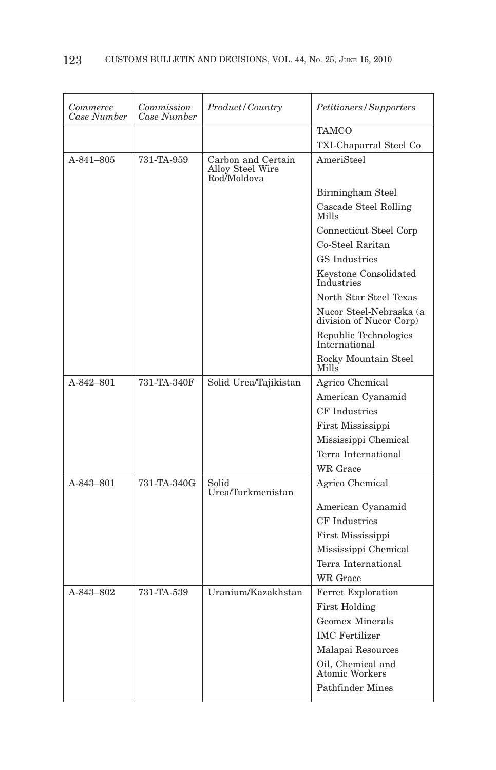| Commerce<br>Case Number | Commission<br>Case Number | Product/Country                                       | Petitioners/Supporters                             |
|-------------------------|---------------------------|-------------------------------------------------------|----------------------------------------------------|
|                         |                           |                                                       | <b>TAMCO</b>                                       |
|                         |                           |                                                       | TXI-Chaparral Steel Co                             |
| $A - 841 - 805$         | 731-TA-959                | Carbon and Certain<br>Alloy Steel Wire<br>Rod/Moldova | AmeriSteel                                         |
|                         |                           |                                                       | Birmingham Steel                                   |
|                         |                           |                                                       | Cascade Steel Rolling<br>Mills                     |
|                         |                           |                                                       | Connecticut Steel Corp                             |
|                         |                           |                                                       | Co-Steel Raritan                                   |
|                         |                           |                                                       | <b>GS</b> Industries                               |
|                         |                           |                                                       | Keystone Consolidated<br>Industries                |
|                         |                           |                                                       | North Star Steel Texas                             |
|                         |                           |                                                       | Nucor Steel-Nebraska (a<br>division of Nucor Corp) |
|                         |                           |                                                       | Republic Technologies<br>International             |
|                         |                           |                                                       | Rocky Mountain Steel<br>Mills                      |
| A-842-801               | 731-TA-340F               | Solid Urea/Tajikistan                                 | Agrico Chemical                                    |
|                         |                           |                                                       | American Cyanamid                                  |
|                         |                           |                                                       | CF Industries                                      |
|                         |                           |                                                       | First Mississippi                                  |
|                         |                           |                                                       | Mississippi Chemical                               |
|                         |                           |                                                       | Terra International                                |
|                         |                           |                                                       | WR Grace                                           |
| A-843-801               | 731-TA-340G               | Solid<br>Urea/Turkmenistan                            | Agrico Chemical                                    |
|                         |                           |                                                       | American Cyanamid                                  |
|                         |                           |                                                       | CF Industries                                      |
|                         |                           |                                                       | First Mississippi                                  |
|                         |                           |                                                       | Mississippi Chemical                               |
|                         |                           |                                                       | Terra International                                |
|                         |                           |                                                       | WR Grace                                           |
| A-843-802               | 731-TA-539                | Uranium/Kazakhstan                                    | Ferret Exploration                                 |
|                         |                           |                                                       | <b>First Holding</b>                               |
|                         |                           |                                                       | <b>Geomex Minerals</b>                             |
|                         |                           |                                                       | <b>IMC</b> Fertilizer                              |
|                         |                           |                                                       | Malapai Resources                                  |
|                         |                           |                                                       | Oil, Chemical and<br>Atomic Workers                |
|                         |                           |                                                       | Pathfinder Mines                                   |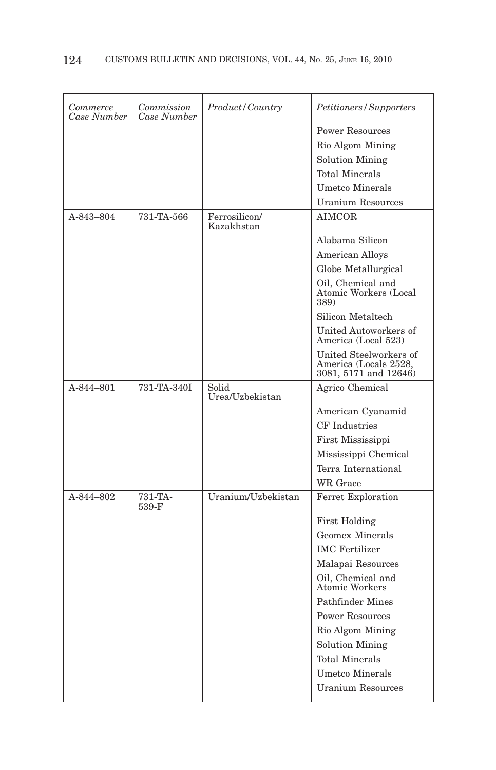| Commerce<br>Case Number | Commission<br>Case Number | Product/Country             | Petitioners/Supporters                                                   |
|-------------------------|---------------------------|-----------------------------|--------------------------------------------------------------------------|
|                         |                           |                             | <b>Power Resources</b>                                                   |
|                         |                           |                             | Rio Algom Mining                                                         |
|                         |                           |                             | <b>Solution Mining</b>                                                   |
|                         |                           |                             | <b>Total Minerals</b>                                                    |
|                         |                           |                             | <b>Umetco Minerals</b>                                                   |
|                         |                           |                             | <b>Uranium Resources</b>                                                 |
| A-843-804               | 731-TA-566                | Ferrosilicon/<br>Kazakhstan | <b>AIMCOR</b>                                                            |
|                         |                           |                             | Alabama Silicon                                                          |
|                         |                           |                             | American Alloys                                                          |
|                         |                           |                             | Globe Metallurgical                                                      |
|                         |                           |                             | Oil, Chemical and<br>Atomic Workers (Local<br>389)                       |
|                         |                           |                             | Silicon Metaltech                                                        |
|                         |                           |                             | United Autoworkers of<br>America (Local 523)                             |
|                         |                           |                             | United Steelworkers of<br>America (Locals 2528,<br>3081, 5171 and 12646) |
| A-844-801               | 731-TA-340I               | Solid<br>Urea/Uzbekistan    | Agrico Chemical                                                          |
|                         |                           |                             | American Cyanamid                                                        |
|                         |                           |                             | CF Industries                                                            |
|                         |                           |                             | First Mississippi                                                        |
|                         |                           |                             | Mississippi Chemical                                                     |
|                         |                           |                             | Terra International                                                      |
|                         |                           |                             | WR Grace                                                                 |
| A-844-802               | 731-TA-<br>539-F          | Uranium/Uzbekistan          | Ferret Exploration                                                       |
|                         |                           |                             | <b>First Holding</b>                                                     |
|                         |                           |                             | Geomex Minerals                                                          |
|                         |                           |                             | <b>IMC</b> Fertilizer                                                    |
|                         |                           |                             | Malapai Resources                                                        |
|                         |                           |                             | Oil, Chemical and<br><b>Atomic Workers</b>                               |
|                         |                           |                             | Pathfinder Mines                                                         |
|                         |                           |                             | <b>Power Resources</b>                                                   |
|                         |                           |                             | Rio Algom Mining                                                         |
|                         |                           |                             | Solution Mining                                                          |
|                         |                           |                             | <b>Total Minerals</b>                                                    |
|                         |                           |                             | <b>Umetco Minerals</b>                                                   |
|                         |                           |                             | <b>Uranium Resources</b>                                                 |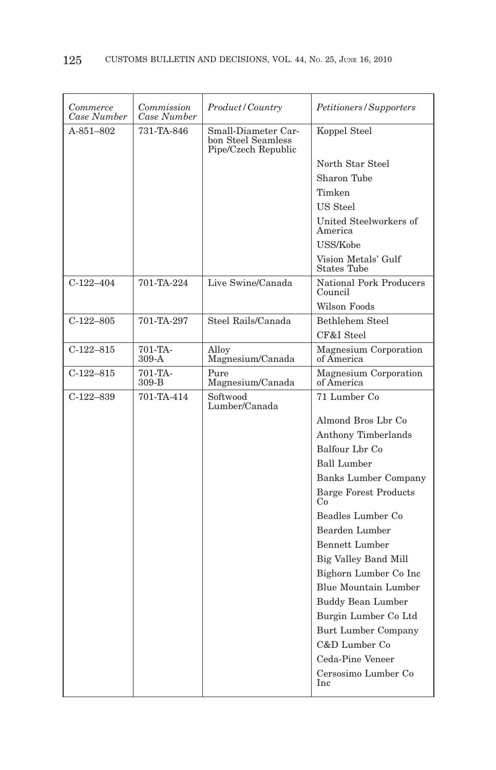| Commerce<br>Case Number | Commission<br>Case Number | Product/Country                                                  | Petitioners/Supporters                    |
|-------------------------|---------------------------|------------------------------------------------------------------|-------------------------------------------|
| $A - 851 - 802$         | 731-TA-846                | Small-Diameter Car-<br>bon Steel Seamless<br>Pipe/Czech Republic | Koppel Steel                              |
|                         |                           |                                                                  | North Star Steel                          |
|                         |                           |                                                                  | Sharon Tube                               |
|                         |                           |                                                                  | Timken                                    |
|                         |                           |                                                                  | US Steel                                  |
|                         |                           |                                                                  | United Steelworkers of<br>America         |
|                         |                           |                                                                  | USS/Kobe                                  |
|                         |                           |                                                                  | Vision Metals' Gulf<br><b>States Tube</b> |
| $C-122-404$             | 701-TA-224                | Live Swine/Canada                                                | <b>National Pork Producers</b><br>Council |
|                         |                           |                                                                  | Wilson Foods                              |
| $C-122-805$             | 701-TA-297                | Steel Rails/Canada                                               | Bethlehem Steel                           |
|                         |                           |                                                                  | CF&I Steel                                |
| $C-122-815$             | 701-TA-<br>$309-A$        | Allov<br>Magnesium/Canada                                        | Magnesium Corporation<br>of America       |
| $C-122-815$             | 701-TA-<br>309-B          | Pure<br>Magnesium/Canada                                         | Magnesium Corporation<br>of America       |
| $C-122-839$             | 701-TA-414                | Softwood<br>Lumber/Canada                                        | 71 Lumber Co                              |
|                         |                           |                                                                  | Almond Bros Lbr Co                        |
|                         |                           |                                                                  | Anthony Timberlands                       |
|                         |                           |                                                                  | Balfour Lbr Co                            |
|                         |                           |                                                                  | <b>Ball Lumber</b>                        |
|                         |                           |                                                                  | <b>Banks Lumber Company</b>               |
|                         |                           |                                                                  | <b>Barge Forest Products</b><br>Co        |
|                         |                           |                                                                  | Beadles Lumber Co                         |
|                         |                           |                                                                  | Bearden Lumber                            |
|                         |                           |                                                                  | Bennett Lumber                            |
|                         |                           |                                                                  | Big Valley Band Mill                      |
|                         |                           |                                                                  | Bighorn Lumber Co Inc                     |
|                         |                           |                                                                  | Blue Mountain Lumber                      |
|                         |                           |                                                                  | <b>Buddy Bean Lumber</b>                  |
|                         |                           |                                                                  | Burgin Lumber Co Ltd                      |
|                         |                           |                                                                  | Burt Lumber Company                       |
|                         |                           |                                                                  | C&D Lumber Co                             |
|                         |                           |                                                                  | Ceda-Pine Veneer                          |
|                         |                           |                                                                  | Cersosimo Lumber Co<br>Inc                |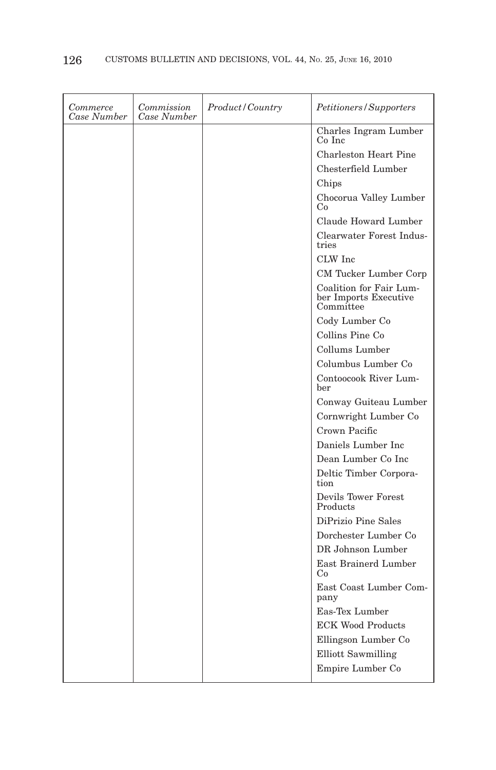| Commerce<br>Case Number | Commission<br>Case Number | Product/Country | <i>Petitioners/Supporters</i>                                 |
|-------------------------|---------------------------|-----------------|---------------------------------------------------------------|
|                         |                           |                 | Charles Ingram Lumber<br>Co Inc                               |
|                         |                           |                 | Charleston Heart Pine                                         |
|                         |                           |                 | Chesterfield Lumber                                           |
|                         |                           |                 | Chips                                                         |
|                         |                           |                 | Chocorua Valley Lumber<br>Co                                  |
|                         |                           |                 | Claude Howard Lumber                                          |
|                         |                           |                 | Clearwater Forest Indus-<br>tries                             |
|                         |                           |                 | CLW Inc                                                       |
|                         |                           |                 | CM Tucker Lumber Corp                                         |
|                         |                           |                 | Coalition for Fair Lum-<br>ber Imports Executive<br>Committee |
|                         |                           |                 | Cody Lumber Co                                                |
|                         |                           |                 | Collins Pine Co                                               |
|                         |                           |                 | Collums Lumber                                                |
|                         |                           |                 | Columbus Lumber Co                                            |
|                         |                           |                 | Contoocook River Lum-<br>ber                                  |
|                         |                           |                 | Conway Guiteau Lumber                                         |
|                         |                           |                 | Cornwright Lumber Co                                          |
|                         |                           |                 | Crown Pacific                                                 |
|                         |                           |                 | Daniels Lumber Inc                                            |
|                         |                           |                 | Dean Lumber Co Inc                                            |
|                         |                           |                 | Deltic Timber Corpora-<br>tion                                |
|                         |                           |                 | Devils Tower Forest<br>Products                               |
|                         |                           |                 | DiPrizio Pine Sales                                           |
|                         |                           |                 | Dorchester Lumber Co                                          |
|                         |                           |                 | DR Johnson Lumber                                             |
|                         |                           |                 | East Brainerd Lumber<br>Co                                    |
|                         |                           |                 | East Coast Lumber Com-<br>pany                                |
|                         |                           |                 | Eas-Tex Lumber                                                |
|                         |                           |                 | <b>ECK Wood Products</b>                                      |
|                         |                           |                 | Ellingson Lumber Co                                           |
|                         |                           |                 | Elliott Sawmilling                                            |
|                         |                           |                 | Empire Lumber Co                                              |
|                         |                           |                 |                                                               |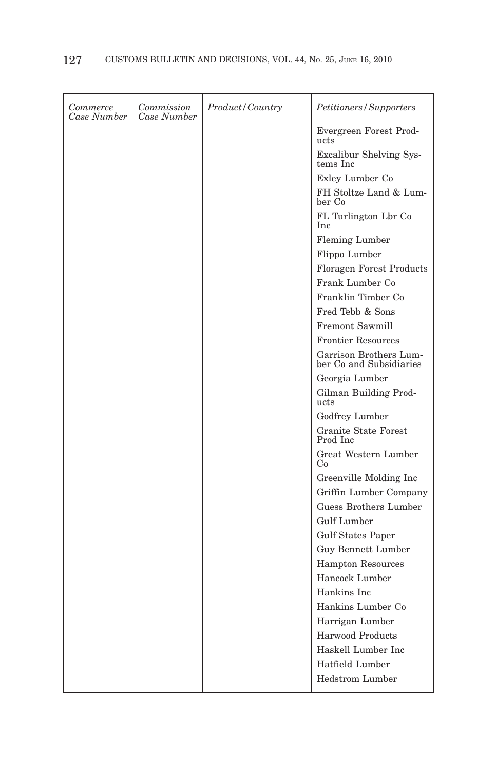| Commerce<br>Case Number | Commission<br>Case Number | Product / Country | <i>Petitioners/Supporters</i>                     |
|-------------------------|---------------------------|-------------------|---------------------------------------------------|
|                         |                           |                   | Evergreen Forest Prod-<br>ucts                    |
|                         |                           |                   | Excalibur Shelving Sys-<br>tems Inc               |
|                         |                           |                   | Exley Lumber Co                                   |
|                         |                           |                   | FH Stoltze Land & Lum-<br>ber Co                  |
|                         |                           |                   | FL Turlington Lbr Co<br>Inc                       |
|                         |                           |                   | Fleming Lumber                                    |
|                         |                           |                   | Flippo Lumber                                     |
|                         |                           |                   | <b>Floragen Forest Products</b>                   |
|                         |                           |                   | Frank Lumber Co                                   |
|                         |                           |                   | Franklin Timber Co                                |
|                         |                           |                   | Fred Tebb & Sons                                  |
|                         |                           |                   | Fremont Sawmill                                   |
|                         |                           |                   | <b>Frontier Resources</b>                         |
|                         |                           |                   | Garrison Brothers Lum-<br>ber Co and Subsidiaries |
|                         |                           |                   | Georgia Lumber                                    |
|                         |                           |                   | Gilman Building Prod-<br>ucts                     |
|                         |                           |                   | Godfrey Lumber                                    |
|                         |                           |                   | Granite State Forest<br>Prod Inc                  |
|                         |                           |                   | Great Western Lumber<br>Co                        |
|                         |                           |                   | Greenville Molding Inc                            |
|                         |                           |                   | Griffin Lumber Company                            |
|                         |                           |                   | Guess Brothers Lumber                             |
|                         |                           |                   | <b>Gulf Lumber</b>                                |
|                         |                           |                   | <b>Gulf States Paper</b>                          |
|                         |                           |                   | Guy Bennett Lumber                                |
|                         |                           |                   | <b>Hampton Resources</b>                          |
|                         |                           |                   | Hancock Lumber                                    |
|                         |                           |                   | Hankins Inc                                       |
|                         |                           |                   | Hankins Lumber Co                                 |
|                         |                           |                   | Harrigan Lumber                                   |
|                         |                           |                   | Harwood Products                                  |
|                         |                           |                   | Haskell Lumber Inc                                |
|                         |                           |                   | Hatfield Lumber                                   |
|                         |                           |                   | <b>Hedstrom Lumber</b>                            |
|                         |                           |                   |                                                   |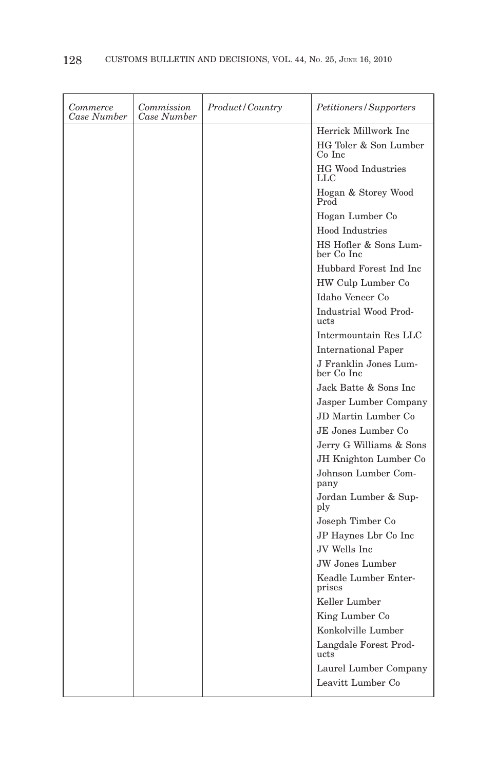| Commerce<br>Case Number | Commission<br>Case Number | Product/Country | <i>Petitioners/Supporters</i>       |
|-------------------------|---------------------------|-----------------|-------------------------------------|
|                         |                           |                 | Herrick Millwork Inc                |
|                         |                           |                 | HG Toler & Son Lumber<br>Co Inc     |
|                         |                           |                 | <b>HG Wood Industries</b><br>LLC    |
|                         |                           |                 | Hogan & Storey Wood<br>Prod         |
|                         |                           |                 | Hogan Lumber Co                     |
|                         |                           |                 | Hood Industries                     |
|                         |                           |                 | HS Hofler & Sons Lum-<br>ber Co Inc |
|                         |                           |                 | Hubbard Forest Ind Inc              |
|                         |                           |                 | HW Culp Lumber Co                   |
|                         |                           |                 | Idaho Veneer Co                     |
|                         |                           |                 | Industrial Wood Prod-<br>ucts       |
|                         |                           |                 | Intermountain Res LLC               |
|                         |                           |                 | <b>International Paper</b>          |
|                         |                           |                 | J Franklin Jones Lum-<br>ber Co Inc |
|                         |                           |                 | Jack Batte & Sons Inc               |
|                         |                           |                 | Jasper Lumber Company               |
|                         |                           |                 | JD Martin Lumber Co.                |
|                         |                           |                 | JE Jones Lumber Co                  |
|                         |                           |                 | Jerry G Williams & Sons             |
|                         |                           |                 | JH Knighton Lumber Co               |
|                         |                           |                 | Johnson Lumber Com-<br>pany         |
|                         |                           |                 | Jordan Lumber & Sup-<br>ply         |
|                         |                           |                 | Joseph Timber Co                    |
|                         |                           |                 | JP Haynes Lbr Co Inc                |
|                         |                           |                 | JV Wells Inc.                       |
|                         |                           |                 | <b>JW</b> Jones Lumber              |
|                         |                           |                 | Keadle Lumber Enter-<br>prises      |
|                         |                           |                 | Keller Lumber                       |
|                         |                           |                 | King Lumber Co                      |
|                         |                           |                 | Konkolville Lumber                  |
|                         |                           |                 | Langdale Forest Prod-<br>ucts       |
|                         |                           |                 | Laurel Lumber Company               |
|                         |                           |                 | Leavitt Lumber Co                   |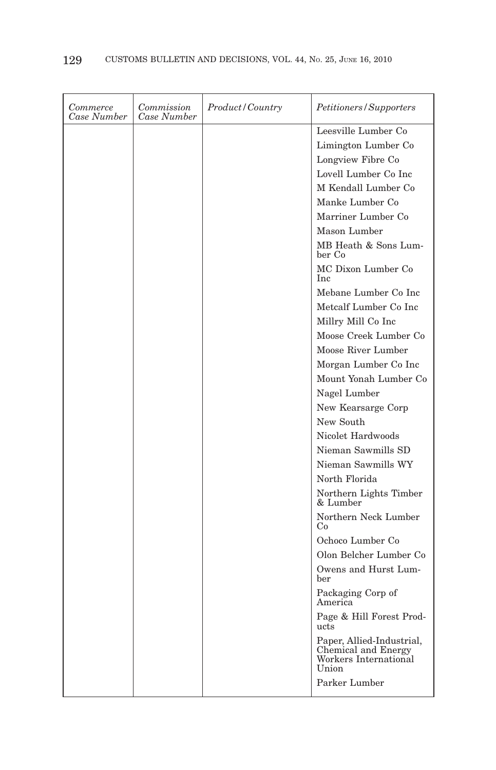| Commerce<br>Case Number | Commission<br>Case Number | Product/Country | <i>Petitioners/Supporters</i>                                                      |
|-------------------------|---------------------------|-----------------|------------------------------------------------------------------------------------|
|                         |                           |                 | Leesville Lumber Co                                                                |
|                         |                           |                 | Limington Lumber Co                                                                |
|                         |                           |                 | Longview Fibre Co                                                                  |
|                         |                           |                 | Lovell Lumber Co Inc                                                               |
|                         |                           |                 | M Kendall Lumber Co                                                                |
|                         |                           |                 | Manke Lumber Co                                                                    |
|                         |                           |                 | Marriner Lumber Co                                                                 |
|                         |                           |                 | Mason Lumber                                                                       |
|                         |                           |                 | MB Heath & Sons Lum-<br>ber Co                                                     |
|                         |                           |                 | MC Dixon Lumber Co<br>Inc.                                                         |
|                         |                           |                 | Mebane Lumber Co Inc                                                               |
|                         |                           |                 | Metcalf Lumber Co Inc                                                              |
|                         |                           |                 | Millry Mill Co Inc                                                                 |
|                         |                           |                 | Moose Creek Lumber Co                                                              |
|                         |                           |                 | Moose River Lumber                                                                 |
|                         |                           |                 | Morgan Lumber Co Inc                                                               |
|                         |                           |                 | Mount Yonah Lumber Co                                                              |
|                         |                           |                 | Nagel Lumber                                                                       |
|                         |                           |                 | New Kearsarge Corp                                                                 |
|                         |                           |                 | New South                                                                          |
|                         |                           |                 | Nicolet Hardwoods                                                                  |
|                         |                           |                 | Nieman Sawmills SD                                                                 |
|                         |                           |                 | Nieman Sawmills WY                                                                 |
|                         |                           |                 | North Florida                                                                      |
|                         |                           |                 | Northern Lights Timber<br>& Lumber                                                 |
|                         |                           |                 | Northern Neck Lumber<br>Co                                                         |
|                         |                           |                 | Ochoco Lumber Co                                                                   |
|                         |                           |                 | Olon Belcher Lumber Co                                                             |
|                         |                           |                 | Owens and Hurst Lum-<br>ber                                                        |
|                         |                           |                 | Packaging Corp of<br>America                                                       |
|                         |                           |                 | Page & Hill Forest Prod-<br>ucts                                                   |
|                         |                           |                 | Paper, Allied-Industrial,<br>Chemical and Energy<br>Workers International<br>Union |
|                         |                           |                 | Parker Lumber                                                                      |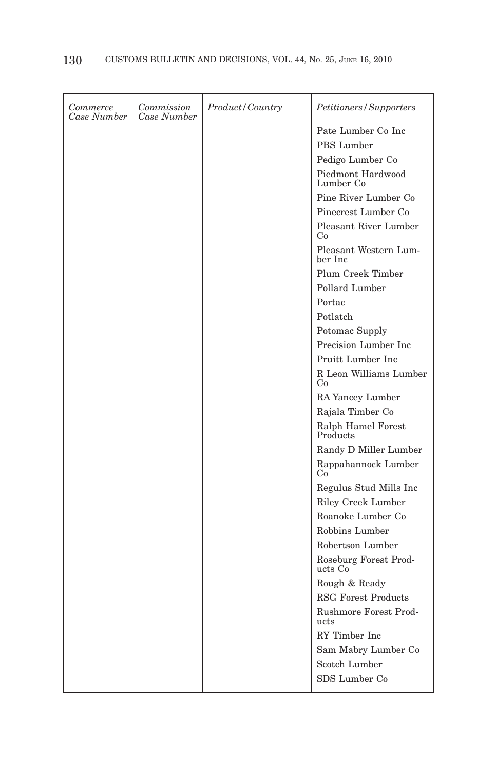| Commerce<br>Case Number | Commission<br>Case Number | Product/Country | Petitioners/Supporters           |
|-------------------------|---------------------------|-----------------|----------------------------------|
|                         |                           |                 | Pate Lumber Co Inc               |
|                         |                           |                 | PBS Lumber                       |
|                         |                           |                 | Pedigo Lumber Co                 |
|                         |                           |                 | Piedmont Hardwood<br>Lumber Co   |
|                         |                           |                 | Pine River Lumber Co             |
|                         |                           |                 | Pinecrest Lumber Co              |
|                         |                           |                 | Pleasant River Lumber<br>Co      |
|                         |                           |                 | Pleasant Western Lum-<br>ber Inc |
|                         |                           |                 | Plum Creek Timber                |
|                         |                           |                 | Pollard Lumber                   |
|                         |                           |                 | Portac                           |
|                         |                           |                 | Potlatch                         |
|                         |                           |                 | Potomac Supply                   |
|                         |                           |                 | Precision Lumber Inc.            |
|                         |                           |                 | Pruitt Lumber Inc                |
|                         |                           |                 | R Leon Williams Lumber<br>Co     |
|                         |                           |                 | RA Yancey Lumber                 |
|                         |                           |                 | Rajala Timber Co                 |
|                         |                           |                 | Ralph Hamel Forest<br>Products   |
|                         |                           |                 | Randy D Miller Lumber            |
|                         |                           |                 | Rappahannock Lumber<br>Co        |
|                         |                           |                 | Regulus Stud Mills Inc           |
|                         |                           |                 | Riley Creek Lumber               |
|                         |                           |                 | Roanoke Lumber Co                |
|                         |                           |                 | Robbins Lumber                   |
|                         |                           |                 | Robertson Lumber                 |
|                         |                           |                 | Roseburg Forest Prod-<br>ucts Co |
|                         |                           |                 | Rough & Ready                    |
|                         |                           |                 | <b>RSG Forest Products</b>       |
|                         |                           |                 | Rushmore Forest Prod-<br>ucts    |
|                         |                           |                 | RY Timber Inc                    |
|                         |                           |                 | Sam Mabry Lumber Co              |
|                         |                           |                 | Scotch Lumber                    |
|                         |                           |                 | SDS Lumber Co                    |
|                         |                           |                 |                                  |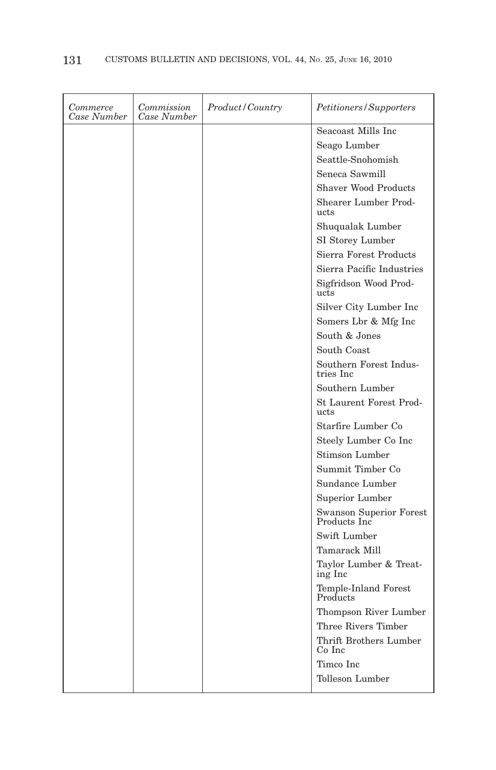| Commerce<br>Case Number | Commission<br>Case Number | <i>Product</i> / Country | <i>Petitioners/Supporters</i>                  |
|-------------------------|---------------------------|--------------------------|------------------------------------------------|
|                         |                           |                          | Seacoast Mills Inc                             |
|                         |                           |                          | Seago Lumber                                   |
|                         |                           |                          | Seattle-Snohomish                              |
|                         |                           |                          | Seneca Sawmill                                 |
|                         |                           |                          | <b>Shaver Wood Products</b>                    |
|                         |                           |                          | Shearer Lumber Prod-<br>ucts                   |
|                         |                           |                          | Shuqualak Lumber                               |
|                         |                           |                          | SI Storey Lumber                               |
|                         |                           |                          | Sierra Forest Products                         |
|                         |                           |                          | Sierra Pacific Industries                      |
|                         |                           |                          | Sigfridson Wood Prod-<br>ucts                  |
|                         |                           |                          | Silver City Lumber Inc                         |
|                         |                           |                          | Somers Lbr & Mfg Inc                           |
|                         |                           |                          | South & Jones                                  |
|                         |                           |                          | South Coast                                    |
|                         |                           |                          | Southern Forest Indus-<br>tries Inc            |
|                         |                           |                          | Southern Lumber                                |
|                         |                           |                          | <b>St Laurent Forest Prod-</b><br>ucts         |
|                         |                           |                          | Starfire Lumber Co                             |
|                         |                           |                          | Steely Lumber Co Inc                           |
|                         |                           |                          | <b>Stimson Lumber</b>                          |
|                         |                           |                          | Summit Timber Co                               |
|                         |                           |                          | Sundance Lumber                                |
|                         |                           |                          | Superior Lumber                                |
|                         |                           |                          | <b>Swanson Superior Forest</b><br>Products Inc |
|                         |                           |                          | Swift Lumber                                   |
|                         |                           |                          | Tamarack Mill                                  |
|                         |                           |                          | Taylor Lumber & Treat-<br>ing Inc              |
|                         |                           |                          | Temple-Inland Forest<br>Products               |
|                         |                           |                          | Thompson River Lumber                          |
|                         |                           |                          | Three Rivers Timber                            |
|                         |                           |                          | Thrift Brothers Lumber<br>Co Inc               |
|                         |                           |                          | Timco Inc                                      |
|                         |                           |                          | Tolleson Lumber                                |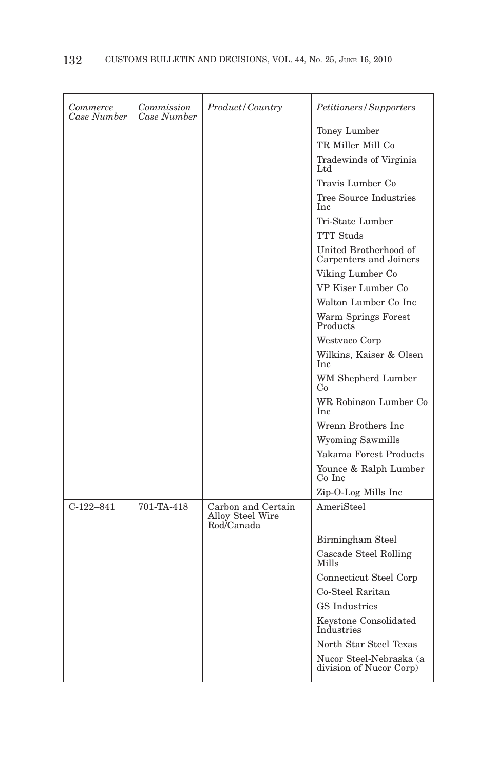| Commerce<br>Case Number | Commission<br>Case Number | <i>Product / Country</i>                             | <i>Petitioners/Supporters</i>                      |
|-------------------------|---------------------------|------------------------------------------------------|----------------------------------------------------|
|                         |                           |                                                      | Toney Lumber                                       |
|                         |                           |                                                      | TR Miller Mill Co                                  |
|                         |                           |                                                      | Tradewinds of Virginia<br>Ltd                      |
|                         |                           |                                                      | Travis Lumber Co                                   |
|                         |                           |                                                      | Tree Source Industries<br>Inc                      |
|                         |                           |                                                      | Tri-State Lumber                                   |
|                         |                           |                                                      | <b>TTT</b> Studs                                   |
|                         |                           |                                                      | United Brotherhood of<br>Carpenters and Joiners    |
|                         |                           |                                                      | Viking Lumber Co                                   |
|                         |                           |                                                      | VP Kiser Lumber Co                                 |
|                         |                           |                                                      | Walton Lumber Co Inc                               |
|                         |                           |                                                      | Warm Springs Forest<br>Products                    |
|                         |                           |                                                      | Westvaco Corp                                      |
|                         |                           |                                                      | Wilkins, Kaiser & Olsen<br>Inc                     |
|                         |                           |                                                      | WM Shepherd Lumber<br>Co                           |
|                         |                           |                                                      | WR Robinson Lumber Co<br>Inc                       |
|                         |                           |                                                      | Wrenn Brothers Inc                                 |
|                         |                           |                                                      | Wyoming Sawmills                                   |
|                         |                           |                                                      | Yakama Forest Products                             |
|                         |                           |                                                      | Younce & Ralph Lumber<br>Co Inc                    |
|                         |                           |                                                      | Zip-O-Log Mills Inc                                |
| $C-122-841$             | 701-TA-418                | Carbon and Certain<br>Alloy Steel Wire<br>Rod/Canada | AmeriSteel                                         |
|                         |                           |                                                      | Birmingham Steel                                   |
|                         |                           |                                                      | Cascade Steel Rolling<br><b>Mills</b>              |
|                         |                           |                                                      | Connecticut Steel Corp                             |
|                         |                           |                                                      | Co-Steel Raritan                                   |
|                         |                           |                                                      | <b>GS</b> Industries                               |
|                         |                           |                                                      | Keystone Consolidated<br>Industries                |
|                         |                           |                                                      | North Star Steel Texas                             |
|                         |                           |                                                      | Nucor Steel-Nebraska (a<br>division of Nucor Corp) |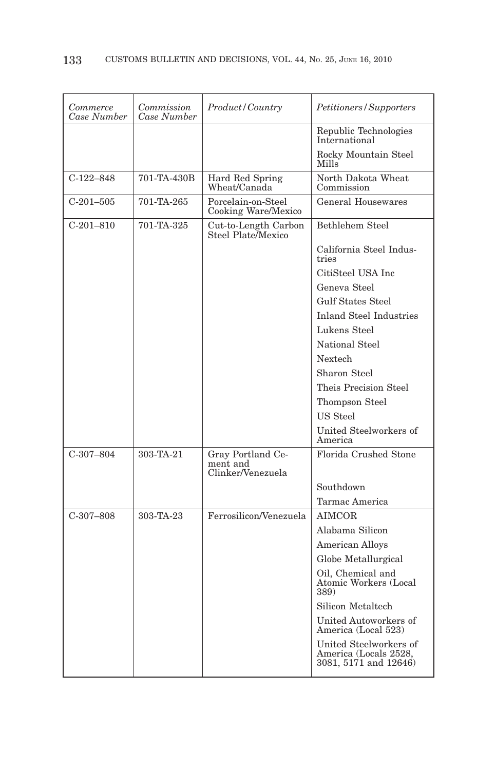| Commerce<br>Case Number | Commission<br>Case Number | Product/Country                                    | Petitioners/Supporters                                                   |
|-------------------------|---------------------------|----------------------------------------------------|--------------------------------------------------------------------------|
|                         |                           |                                                    | Republic Technologies<br>International                                   |
|                         |                           |                                                    | Rocky Mountain Steel<br>Mills                                            |
| $C-122-848$             | 701-TA-430B               | Hard Red Spring<br>Wheat/Canada                    | North Dakota Wheat<br>Commission                                         |
| $C-201-505$             | 701-TA-265                | Porcelain-on-Steel<br>Cooking Ware/Mexico          | General Housewares                                                       |
| $C-201-810$             | 701-TA-325                | Cut-to-Length Carbon<br>Steel Plate/Mexico         | Bethlehem Steel                                                          |
|                         |                           |                                                    | California Steel Indus-<br>tries                                         |
|                         |                           |                                                    | CitiSteel USA Inc                                                        |
|                         |                           |                                                    | Geneva Steel                                                             |
|                         |                           |                                                    | <b>Gulf States Steel</b>                                                 |
|                         |                           |                                                    | <b>Inland Steel Industries</b>                                           |
|                         |                           |                                                    | Lukens Steel                                                             |
|                         |                           |                                                    | National Steel                                                           |
|                         |                           |                                                    | Nextech                                                                  |
|                         |                           |                                                    | Sharon Steel                                                             |
|                         |                           |                                                    | Theis Precision Steel                                                    |
|                         |                           |                                                    | Thompson Steel                                                           |
|                         |                           |                                                    | US Steel                                                                 |
|                         |                           |                                                    | United Steelworkers of<br>America                                        |
| $C-307-804$             | 303-TA-21                 | Gray Portland Ce-<br>ment and<br>Clinker/Venezuela | Florida Crushed Stone                                                    |
|                         |                           |                                                    | Southdown                                                                |
|                         |                           |                                                    | Tarmac America                                                           |
| $C-307-808$             | 303-TA-23                 | Ferrosilicon/Venezuela                             | AIMCOR                                                                   |
|                         |                           |                                                    | Alabama Silicon                                                          |
|                         |                           |                                                    | <b>American Alloys</b>                                                   |
|                         |                           |                                                    | Globe Metallurgical                                                      |
|                         |                           |                                                    | Oil, Chemical and<br>Atomic Workers (Local<br>389)                       |
|                         |                           |                                                    | Silicon Metaltech                                                        |
|                         |                           |                                                    | United Autoworkers of<br>America (Local 523)                             |
|                         |                           |                                                    | United Steelworkers of<br>America (Locals 2528,<br>3081, 5171 and 12646) |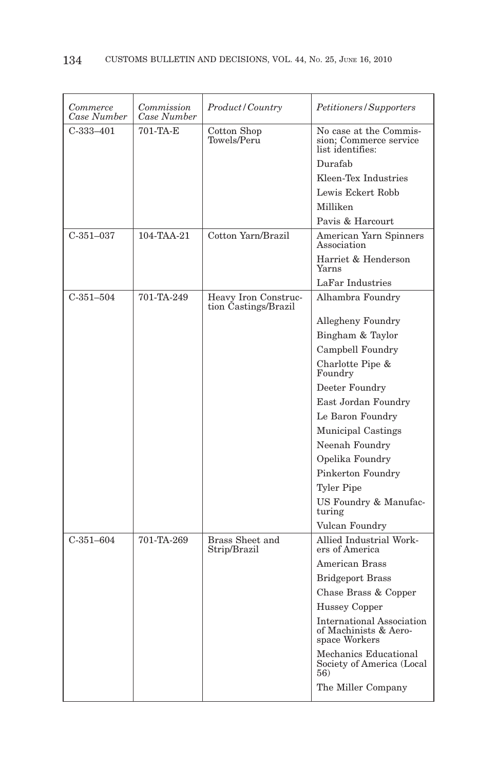| Commerce<br>Case Number | Commission<br>Case Number | Product/Country                              | Petitioners/Supporters                                                     |
|-------------------------|---------------------------|----------------------------------------------|----------------------------------------------------------------------------|
| $C-333-401$             | 701-TA-E                  | Cotton Shop<br>Towels/Peru                   | No case at the Commis-<br>sion; Commerce service<br>list identifies:       |
|                         |                           |                                              | Durafab                                                                    |
|                         |                           |                                              | Kleen-Tex Industries                                                       |
|                         |                           |                                              | Lewis Eckert Robb                                                          |
|                         |                           |                                              | Milliken                                                                   |
|                         |                           |                                              | Pavis & Harcourt                                                           |
| $C-351-037$             | 104-TAA-21                | Cotton Yarn/Brazil                           | American Yarn Spinners<br>Association                                      |
|                         |                           |                                              | Harriet & Henderson<br>Yarns                                               |
|                         |                           |                                              | LaFar Industries                                                           |
| $C-351-504$             | 701-TA-249                | Heavy Iron Construc-<br>tion Castings/Brazil | Alhambra Foundry                                                           |
|                         |                           |                                              | Allegheny Foundry                                                          |
|                         |                           |                                              | Bingham & Taylor                                                           |
|                         |                           |                                              | Campbell Foundry                                                           |
|                         |                           |                                              | Charlotte Pipe &<br>Foundry                                                |
|                         |                           |                                              | Deeter Foundry                                                             |
|                         |                           |                                              | East Jordan Foundry                                                        |
|                         |                           |                                              | Le Baron Foundry                                                           |
|                         |                           |                                              | Municipal Castings                                                         |
|                         |                           |                                              | Neenah Foundry                                                             |
|                         |                           |                                              | Opelika Foundry                                                            |
|                         |                           |                                              | Pinkerton Foundry                                                          |
|                         |                           |                                              | <b>Tyler Pipe</b>                                                          |
|                         |                           |                                              | US Foundry & Manufac-<br>turing                                            |
|                         |                           |                                              | Vulcan Foundry                                                             |
| $C-351-604$             | 701-TA-269                | Brass Sheet and<br>Strip/Brazil              | Allied Industrial Work-<br>ers of America                                  |
|                         |                           |                                              | American Brass                                                             |
|                         |                           |                                              | <b>Bridgeport Brass</b>                                                    |
|                         |                           |                                              | Chase Brass & Copper                                                       |
|                         |                           |                                              | Hussey Copper                                                              |
|                         |                           |                                              | <b>International Association</b><br>of Machinists & Aero-<br>space Workers |
|                         |                           |                                              | Mechanics Educational<br>Society of America (Local<br>56)                  |
|                         |                           |                                              | The Miller Company                                                         |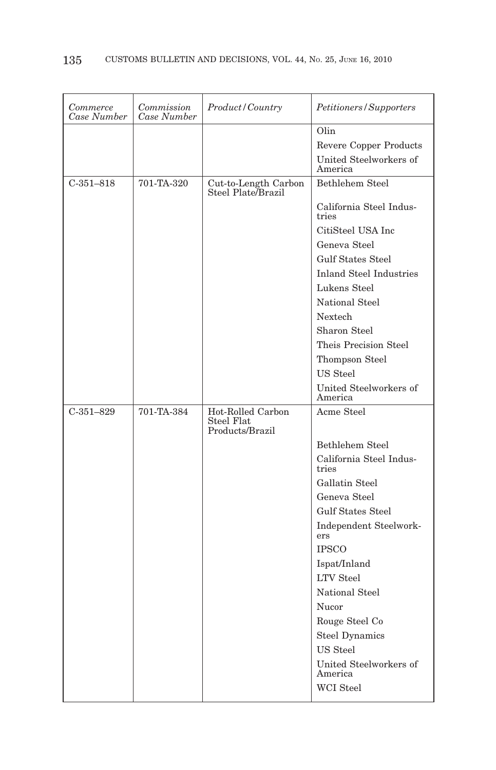| Commerce<br>Case Number | Commission<br>Case Number | Product/Country                            | Petitioners/Supporters            |
|-------------------------|---------------------------|--------------------------------------------|-----------------------------------|
|                         |                           |                                            | Olin                              |
|                         |                           |                                            | Revere Copper Products            |
|                         |                           |                                            | United Steelworkers of<br>America |
| $C-351-818$             | 701-TA-320                | Cut-to-Length Carbon<br>Steel Plate Brazil | Bethlehem Steel                   |
|                         |                           |                                            | California Steel Indus-<br>tries  |
|                         |                           |                                            | CitiSteel USA Inc                 |
|                         |                           |                                            | Geneva Steel                      |
|                         |                           |                                            | <b>Gulf States Steel</b>          |
|                         |                           |                                            | <b>Inland Steel Industries</b>    |
|                         |                           |                                            | Lukens Steel                      |
|                         |                           |                                            | National Steel                    |
|                         |                           |                                            | Nextech                           |
|                         |                           |                                            | Sharon Steel                      |
|                         |                           |                                            | Theis Precision Steel             |
|                         |                           |                                            | Thompson Steel                    |
|                         |                           |                                            | US Steel                          |
|                         |                           |                                            | United Steelworkers of<br>America |
| $C-351-829$             | 701-TA-384                | Hot-Rolled Carbon                          | Acme Steel                        |
|                         |                           | Steel Flat<br>Products/Brazil              |                                   |
|                         |                           |                                            | Bethlehem Steel                   |
|                         |                           |                                            | California Steel Indus-<br>tries  |
|                         |                           |                                            | Gallatin Steel                    |
|                         |                           |                                            | Geneva Steel                      |
|                         |                           |                                            | <b>Gulf States Steel</b>          |
|                         |                           |                                            | Independent Steelwork-<br>ers     |
|                         |                           |                                            | <b>IPSCO</b>                      |
|                         |                           |                                            | Ispat/Inland                      |
|                         |                           |                                            | <b>LTV</b> Steel                  |
|                         |                           |                                            | National Steel                    |
|                         |                           |                                            | Nucor                             |
|                         |                           |                                            | Rouge Steel Co                    |
|                         |                           |                                            | <b>Steel Dynamics</b>             |
|                         |                           |                                            | US Steel                          |
|                         |                           |                                            | United Steelworkers of<br>America |
|                         |                           |                                            | <b>WCI</b> Steel                  |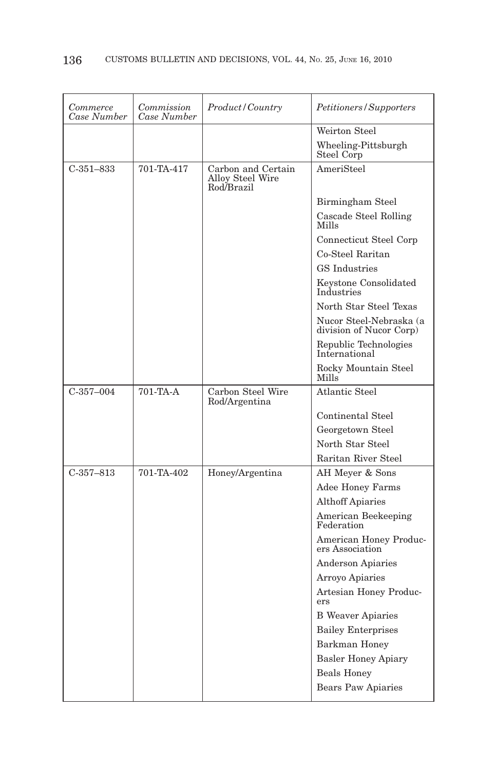| Commerce<br>Case Number | Commission<br>Case Number | Product/Country                                      | Petitioners/Supporters                             |
|-------------------------|---------------------------|------------------------------------------------------|----------------------------------------------------|
|                         |                           |                                                      | Weirton Steel                                      |
|                         |                           |                                                      | Wheeling-Pittsburgh<br>Steel Corp                  |
| $C-351-833$             | 701-TA-417                | Carbon and Certain<br>Alloy Steel Wire<br>Rod/Brazil | AmeriSteel                                         |
|                         |                           |                                                      | Birmingham Steel                                   |
|                         |                           |                                                      | Cascade Steel Rolling<br>Mills                     |
|                         |                           |                                                      | Connecticut Steel Corp                             |
|                         |                           |                                                      | Co-Steel Raritan                                   |
|                         |                           |                                                      | <b>GS</b> Industries                               |
|                         |                           |                                                      | Keystone Consolidated<br>Industries                |
|                         |                           |                                                      | North Star Steel Texas                             |
|                         |                           |                                                      | Nucor Steel-Nebraska (a<br>division of Nucor Corp) |
|                         |                           |                                                      | Republic Technologies<br>International             |
|                         |                           |                                                      | Rocky Mountain Steel<br>Mills                      |
| $C-357-004$             | 701-TA-A                  | Carbon Steel Wire<br>Rod/Argentina                   | Atlantic Steel                                     |
|                         |                           |                                                      | Continental Steel                                  |
|                         |                           |                                                      | Georgetown Steel                                   |
|                         |                           |                                                      | North Star Steel                                   |
|                         |                           |                                                      | Raritan River Steel                                |
| $C-357-813$             | 701-TA-402                | Honey/Argentina                                      | AH Meyer & Sons                                    |
|                         |                           |                                                      | <b>Adee Honey Farms</b>                            |
|                         |                           |                                                      | <b>Althoff Apiaries</b>                            |
|                         |                           |                                                      | American Beekeeping<br>Federation                  |
|                         |                           |                                                      | American Honey Produc-<br>ers Association          |
|                         |                           |                                                      | <b>Anderson Apiaries</b>                           |
|                         |                           |                                                      | Arroyo Apiaries                                    |
|                         |                           |                                                      | Artesian Honey Produc-<br>ers                      |
|                         |                           |                                                      | <b>B</b> Weaver Apiaries                           |
|                         |                           |                                                      | <b>Bailey Enterprises</b>                          |
|                         |                           |                                                      | Barkman Honey                                      |
|                         |                           |                                                      | <b>Basler Honey Apiary</b>                         |
|                         |                           |                                                      | <b>Beals Honey</b>                                 |
|                         |                           |                                                      | <b>Bears Paw Apiaries</b>                          |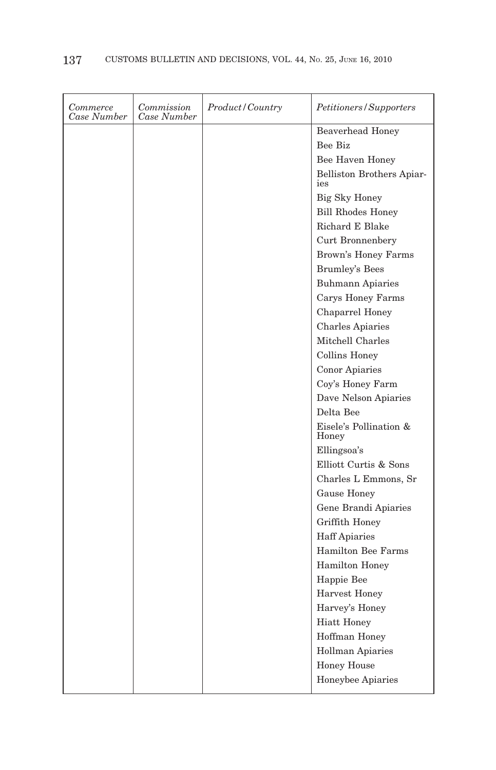| <b>Beaverhead Honey</b>          |  |
|----------------------------------|--|
| Bee Biz                          |  |
| Bee Haven Honey                  |  |
| Belliston Brothers Apiar-<br>ies |  |
| Big Sky Honey                    |  |
| <b>Bill Rhodes Honey</b>         |  |
| Richard E Blake                  |  |
| Curt Bronnenbery                 |  |
| Brown's Honey Farms              |  |
| <b>Brumley's Bees</b>            |  |
| <b>Buhmann Apiaries</b>          |  |
| Carys Honey Farms                |  |
| Chaparrel Honey                  |  |
| <b>Charles Apiaries</b>          |  |
| Mitchell Charles                 |  |
| <b>Collins Honey</b>             |  |
| Conor Apiaries                   |  |
| Coy's Honey Farm                 |  |
| Dave Nelson Apiaries             |  |
| Delta Bee                        |  |
| Eisele's Pollination &<br>Honey  |  |
| Ellingsoa's                      |  |
| Elliott Curtis & Sons            |  |
| Charles L Emmons, Sr             |  |
| Gause Honey                      |  |
| Gene Brandi Apiaries             |  |
| Griffith Honey                   |  |
| <b>Haff Apiaries</b>             |  |
| <b>Hamilton Bee Farms</b>        |  |
| Hamilton Honey                   |  |
| Happie Bee                       |  |
| <b>Harvest Honey</b>             |  |
| Harvey's Honey                   |  |
| <b>Hiatt Honey</b>               |  |
| Hoffman Honey                    |  |
| Hollman Apiaries                 |  |
| <b>Honey House</b>               |  |
| Honeybee Apiaries                |  |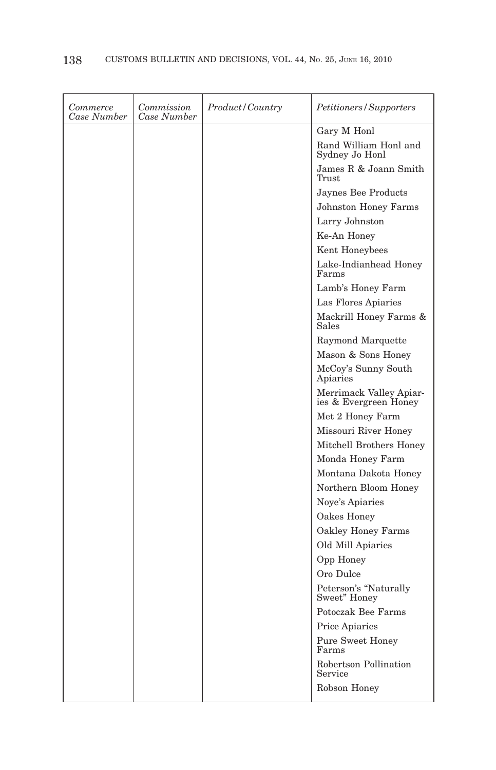| Commerce<br>Case Number | Commission<br>Case Number | Product / Country | <i>Petitioners/Supporters</i>                    |
|-------------------------|---------------------------|-------------------|--------------------------------------------------|
|                         |                           |                   | Gary M Honl                                      |
|                         |                           |                   | Rand William Honl and<br>Sydney Jo Honl          |
|                         |                           |                   | James R & Joann Smith<br>Trust                   |
|                         |                           |                   | Jaynes Bee Products                              |
|                         |                           |                   | <b>Johnston Honey Farms</b>                      |
|                         |                           |                   | Larry Johnston                                   |
|                         |                           |                   | Ke-An Honey                                      |
|                         |                           |                   | Kent Honeybees                                   |
|                         |                           |                   | Lake-Indianhead Honey<br>Farms                   |
|                         |                           |                   | Lamb's Honey Farm                                |
|                         |                           |                   | Las Flores Apiaries                              |
|                         |                           |                   | Mackrill Honey Farms &<br>Sales                  |
|                         |                           |                   | Raymond Marquette                                |
|                         |                           |                   | Mason & Sons Honey                               |
|                         |                           |                   | McCoy's Sunny South<br>Apiaries                  |
|                         |                           |                   | Merrimack Valley Apiar-<br>ies & Evergreen Honey |
|                         |                           |                   | Met 2 Honey Farm                                 |
|                         |                           |                   | Missouri River Honey                             |
|                         |                           |                   | Mitchell Brothers Honey                          |
|                         |                           |                   | Monda Honey Farm                                 |
|                         |                           |                   | Montana Dakota Honey                             |
|                         |                           |                   | Northern Bloom Honey                             |
|                         |                           |                   | Noye's Apiaries                                  |
|                         |                           |                   | Oakes Honey                                      |
|                         |                           |                   | Oakley Honey Farms                               |
|                         |                           |                   | Old Mill Apiaries                                |
|                         |                           |                   | Opp Honey                                        |
|                         |                           |                   | Oro Dulce                                        |
|                         |                           |                   | Peterson's "Naturally Sweet" Honey               |
|                         |                           |                   | Potoczak Bee Farms                               |
|                         |                           |                   | Price Apiaries                                   |
|                         |                           |                   | <b>Pure Sweet Honey</b><br>Farms                 |
|                         |                           |                   | Robertson Pollination<br>Service                 |
|                         |                           |                   | Robson Honey                                     |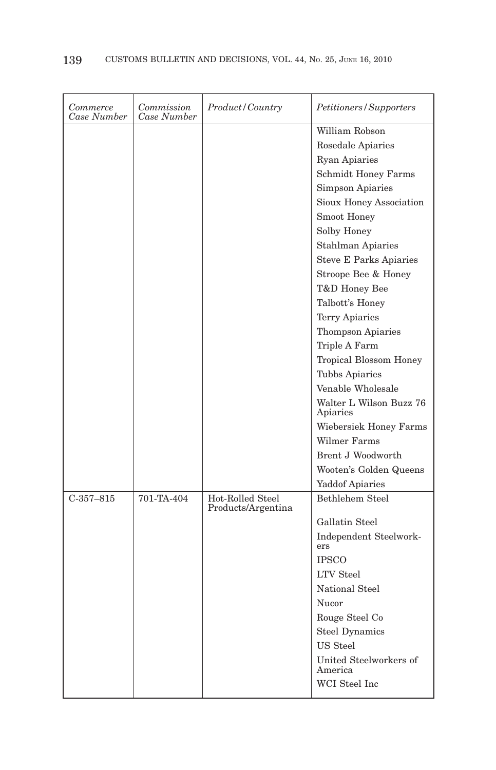| Commerce<br>Case Number | Commission<br>Case Number | Product / Country                      | Petitioners/Supporters              |
|-------------------------|---------------------------|----------------------------------------|-------------------------------------|
|                         |                           |                                        | William Robson                      |
|                         |                           |                                        | Rosedale Apiaries                   |
|                         |                           |                                        | <b>Ryan Apiaries</b>                |
|                         |                           |                                        | <b>Schmidt Honey Farms</b>          |
|                         |                           |                                        | <b>Simpson Apiaries</b>             |
|                         |                           |                                        | Sioux Honey Association             |
|                         |                           |                                        | Smoot Honey                         |
|                         |                           |                                        | Solby Honey                         |
|                         |                           |                                        | <b>Stahlman Apiaries</b>            |
|                         |                           |                                        | <b>Steve E Parks Apiaries</b>       |
|                         |                           |                                        | Stroope Bee & Honey                 |
|                         |                           |                                        | T&D Honey Bee                       |
|                         |                           |                                        | Talbott's Honey                     |
|                         |                           |                                        | <b>Terry Apiaries</b>               |
|                         |                           |                                        | <b>Thompson Apiaries</b>            |
|                         |                           |                                        | Triple A Farm                       |
|                         |                           |                                        | Tropical Blossom Honey              |
|                         |                           |                                        | Tubbs Apiaries                      |
|                         |                           |                                        | Venable Wholesale                   |
|                         |                           |                                        | Walter L Wilson Buzz 76<br>Apiaries |
|                         |                           |                                        | Wiebersiek Honey Farms              |
|                         |                           |                                        | Wilmer Farms                        |
|                         |                           |                                        | Brent J Woodworth                   |
|                         |                           |                                        | Wooten's Golden Queens              |
|                         |                           |                                        | <b>Yaddof Apiaries</b>              |
| $C-357-815$             | 701-TA-404                | Hot-Rolled Steel<br>Products/Argentina | <b>Bethlehem Steel</b>              |
|                         |                           |                                        | Gallatin Steel                      |
|                         |                           |                                        | Independent Steelwork-<br>ers       |
|                         |                           |                                        | <b>IPSCO</b>                        |
|                         |                           |                                        | <b>LTV</b> Steel                    |
|                         |                           |                                        | National Steel                      |
|                         |                           |                                        | Nucor                               |
|                         |                           |                                        | Rouge Steel Co                      |
|                         |                           |                                        | <b>Steel Dynamics</b>               |
|                         |                           |                                        | <b>US</b> Steel                     |
|                         |                           |                                        | United Steelworkers of<br>America   |
|                         |                           |                                        | WCI Steel Inc                       |
|                         |                           |                                        |                                     |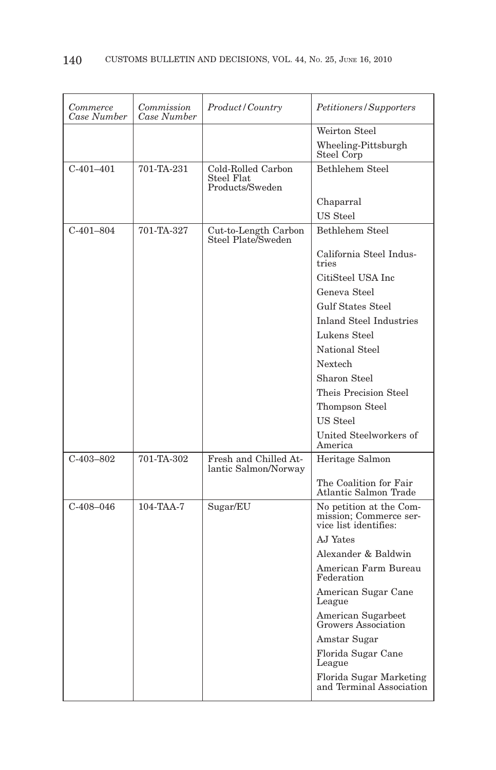| Commerce<br>Case Number | Commission<br>Case Number | Product/Country                                     | Petitioners/Supporters                                                |
|-------------------------|---------------------------|-----------------------------------------------------|-----------------------------------------------------------------------|
|                         |                           |                                                     | Weirton Steel                                                         |
|                         |                           |                                                     | Wheeling-Pittsburgh<br>Steel Corp                                     |
| $C-401-401$             | 701-TA-231                | Cold-Rolled Carbon<br>Steel Flat<br>Products/Sweden | Bethlehem Steel                                                       |
|                         |                           |                                                     | Chaparral                                                             |
|                         |                           |                                                     | US Steel                                                              |
| $C-401-804$             | 701-TA-327                | Cut-to-Length Carbon<br>Steel Plate/Sweden          | Bethlehem Steel                                                       |
|                         |                           |                                                     | California Steel Indus-<br>tries                                      |
|                         |                           |                                                     | CitiSteel USA Inc                                                     |
|                         |                           |                                                     | Geneva Steel                                                          |
|                         |                           |                                                     | <b>Gulf States Steel</b>                                              |
|                         |                           |                                                     | <b>Inland Steel Industries</b>                                        |
|                         |                           |                                                     | Lukens Steel                                                          |
|                         |                           |                                                     | National Steel                                                        |
|                         |                           |                                                     | Nextech                                                               |
|                         |                           |                                                     | Sharon Steel                                                          |
|                         |                           |                                                     | Theis Precision Steel                                                 |
|                         |                           |                                                     | Thompson Steel                                                        |
|                         |                           |                                                     | US Steel                                                              |
|                         |                           |                                                     | United Steelworkers of<br>America                                     |
| $C-403-802$             | 701-TA-302                | Fresh and Chilled At-<br>lantic Salmon/Norway       | Heritage Salmon                                                       |
|                         |                           |                                                     | The Coalition for Fair<br>Atlantic Salmon Trade                       |
| $C-408-046$             | $104-TAA-7$               | Sugar/EU                                            | No petition at the Com-<br>mission; Commerce service list identifies: |
|                         |                           |                                                     | AJ Yates                                                              |
|                         |                           |                                                     | Alexander & Baldwin                                                   |
|                         |                           |                                                     | American Farm Bureau<br>Federation                                    |
|                         |                           |                                                     | American Sugar Cane<br>League                                         |
|                         |                           |                                                     | American Sugarbeet<br>Growers Association                             |
|                         |                           |                                                     | Amstar Sugar                                                          |
|                         |                           |                                                     | Florida Sugar Cane<br>League                                          |
|                         |                           |                                                     | Florida Sugar Marketing<br>and Terminal Association                   |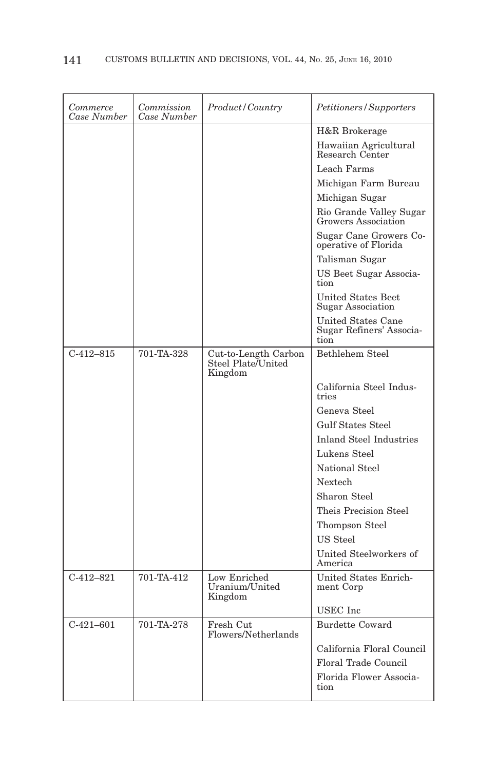| Commerce<br>Case Number | Commission<br>Case Number | Product/Country                                       | Petitioners/Supporters                                 |
|-------------------------|---------------------------|-------------------------------------------------------|--------------------------------------------------------|
|                         |                           |                                                       | H&R Brokerage                                          |
|                         |                           |                                                       | Hawaiian Agricultural<br>Research Center               |
|                         |                           |                                                       | Leach Farms                                            |
|                         |                           |                                                       | Michigan Farm Bureau                                   |
|                         |                           |                                                       | Michigan Sugar                                         |
|                         |                           |                                                       | Rio Grande Valley Sugar<br>Growers Association         |
|                         |                           |                                                       | Sugar Cane Growers Co-<br>operative of Florida         |
|                         |                           |                                                       | Talisman Sugar                                         |
|                         |                           |                                                       | US Beet Sugar Associa-<br>tion                         |
|                         |                           |                                                       | United States Beet<br>Sugar Association                |
|                         |                           |                                                       | United States Cane<br>Sugar Refiners' Associa-<br>tion |
| $C-412-815$             | 701-TA-328                | Cut-to-Length Carbon<br>Steel Plate/United<br>Kingdom | Bethlehem Steel                                        |
|                         |                           |                                                       | California Steel Indus-<br>tries                       |
|                         |                           |                                                       | Geneva Steel                                           |
|                         |                           |                                                       | <b>Gulf States Steel</b>                               |
|                         |                           |                                                       | Inland Steel Industries                                |
|                         |                           |                                                       | Lukens Steel                                           |
|                         |                           |                                                       | National Steel                                         |
|                         |                           |                                                       | Nextech                                                |
|                         |                           |                                                       | Sharon Steel                                           |
|                         |                           |                                                       | Theis Precision Steel                                  |
|                         |                           |                                                       | Thompson Steel                                         |
|                         |                           |                                                       | US Steel                                               |
|                         |                           |                                                       | United Steelworkers of<br>America                      |
| $C-412-821$             | 701-TA-412                | Low Enriched<br>Uranium/United<br>Kingdom             | United States Enrich-<br>ment Corp                     |
|                         |                           |                                                       | USEC Inc                                               |
| $C-421-601$             | 701-TA-278                | Fresh Cut<br>Flowers/Netherlands                      | Burdette Coward                                        |
|                         |                           |                                                       | California Floral Council                              |
|                         |                           |                                                       | <b>Floral Trade Council</b>                            |
|                         |                           |                                                       | Florida Flower Associa-<br>tion                        |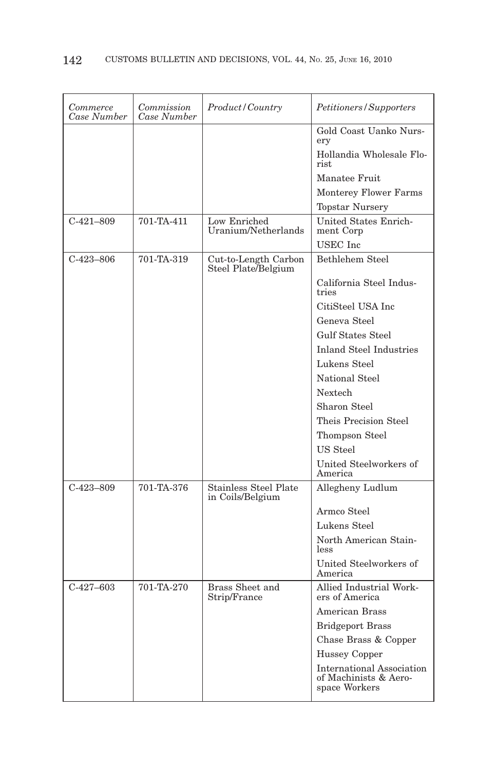| Commerce<br>Case Number | Commission<br>Case Number | Product/Country                             | Petitioners/Supporters                                                     |
|-------------------------|---------------------------|---------------------------------------------|----------------------------------------------------------------------------|
|                         |                           |                                             | Gold Coast Uanko Nurs-<br>ery                                              |
|                         |                           |                                             | Hollandia Wholesale Flo-<br>rist.                                          |
|                         |                           |                                             | Manatee Fruit                                                              |
|                         |                           |                                             | <b>Monterey Flower Farms</b>                                               |
|                         |                           |                                             | <b>Topstar Nursery</b>                                                     |
| $C-421-809$             | 701-TA-411                | Low Enriched<br>Uranium/Netherlands         | United States Enrich-<br>ment Corp                                         |
|                         |                           |                                             | <b>USEC</b> Inc                                                            |
| $C-423-806$             | 701-TA-319                | Cut-to-Length Carbon<br>Steel Plate/Belgium | Bethlehem Steel                                                            |
|                         |                           |                                             | California Steel Indus-<br>tries                                           |
|                         |                           |                                             | CitiSteel USA Inc                                                          |
|                         |                           |                                             | Geneva Steel                                                               |
|                         |                           |                                             | <b>Gulf States Steel</b>                                                   |
|                         |                           |                                             | <b>Inland Steel Industries</b>                                             |
|                         |                           |                                             | Lukens Steel                                                               |
|                         |                           |                                             | National Steel                                                             |
|                         |                           |                                             | Nextech                                                                    |
|                         |                           |                                             | Sharon Steel                                                               |
|                         |                           |                                             | Theis Precision Steel                                                      |
|                         |                           |                                             | Thompson Steel                                                             |
|                         |                           |                                             | US Steel                                                                   |
|                         |                           |                                             | United Steelworkers of<br>America                                          |
| $C-423-809$             | 701-TA-376                | Stainless Steel Plate<br>in Coils/Belgium   | Allegheny Ludlum                                                           |
|                         |                           |                                             | Armco Steel                                                                |
|                         |                           |                                             | Lukens Steel                                                               |
|                         |                           |                                             | North American Stain-<br>less                                              |
|                         |                           |                                             | United Steelworkers of<br>America                                          |
| $C-427-603$             | 701-TA-270                | <b>Brass Sheet and</b><br>Strip/France      | Allied Industrial Work-<br>ers of America                                  |
|                         |                           |                                             | <b>American Brass</b>                                                      |
|                         |                           |                                             | <b>Bridgeport Brass</b>                                                    |
|                         |                           |                                             | Chase Brass & Copper                                                       |
|                         |                           |                                             | <b>Hussey Copper</b>                                                       |
|                         |                           |                                             | <b>International Association</b><br>of Machinists & Aero-<br>space Workers |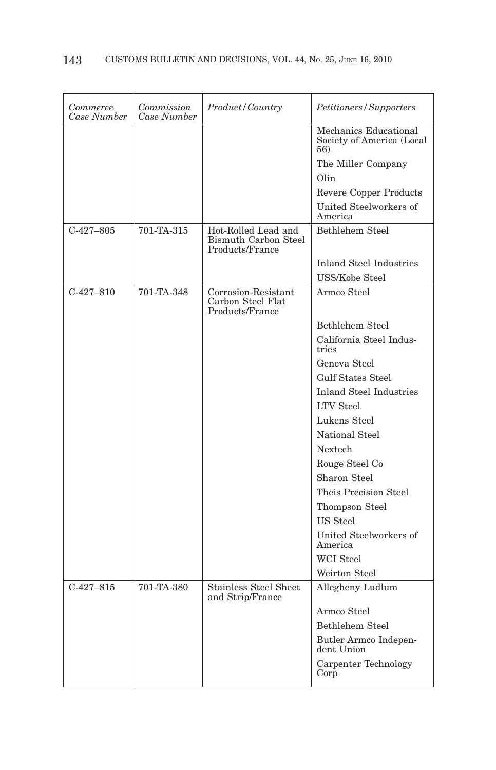| Commerce<br>Case Number | Commission<br>Case Number | Product/Country                                                       | Petitioners/Supporters                                    |
|-------------------------|---------------------------|-----------------------------------------------------------------------|-----------------------------------------------------------|
|                         |                           |                                                                       | Mechanics Educational<br>Society of America (Local<br>56) |
|                         |                           |                                                                       | The Miller Company                                        |
|                         |                           |                                                                       | Olin                                                      |
|                         |                           |                                                                       | Revere Copper Products                                    |
|                         |                           |                                                                       | United Steelworkers of<br>America                         |
| $C-427-805$             | 701-TA-315                | Hot-Rolled Lead and<br><b>Bismuth Carbon Steel</b><br>Products/France | Bethlehem Steel                                           |
|                         |                           |                                                                       | <b>Inland Steel Industries</b>                            |
|                         |                           |                                                                       | USS/Kobe Steel                                            |
| $C-427-810$             | 701-TA-348                | Corrosion-Resistant<br>Carbon Steel Flat<br>Products/France           | Armco Steel                                               |
|                         |                           |                                                                       | Bethlehem Steel                                           |
|                         |                           |                                                                       | California Steel Indus-<br>tries                          |
|                         |                           |                                                                       | Geneva Steel                                              |
|                         |                           |                                                                       | <b>Gulf States Steel</b>                                  |
|                         |                           |                                                                       | <b>Inland Steel Industries</b>                            |
|                         |                           |                                                                       | <b>LTV</b> Steel                                          |
|                         |                           |                                                                       | Lukens Steel                                              |
|                         |                           |                                                                       | National Steel                                            |
|                         |                           |                                                                       | Nextech                                                   |
|                         |                           |                                                                       | Rouge Steel Co                                            |
|                         |                           |                                                                       | Sharon Steel                                              |
|                         |                           |                                                                       | Theis Precision Steel                                     |
|                         |                           |                                                                       | Thompson Steel                                            |
|                         |                           |                                                                       | US Steel                                                  |
|                         |                           |                                                                       | United Steelworkers of<br>America                         |
|                         |                           |                                                                       | <b>WCI</b> Steel                                          |
|                         |                           |                                                                       | Weirton Steel                                             |
| $C-427-815$             | 701-TA-380                | <b>Stainless Steel Sheet</b><br>and Strip/France                      | Allegheny Ludlum                                          |
|                         |                           |                                                                       | Armco Steel                                               |
|                         |                           |                                                                       | Bethlehem Steel                                           |
|                         |                           |                                                                       | Butler Armco Indepen-<br>dent Union                       |
|                         |                           |                                                                       | Carpenter Technology<br>Corp                              |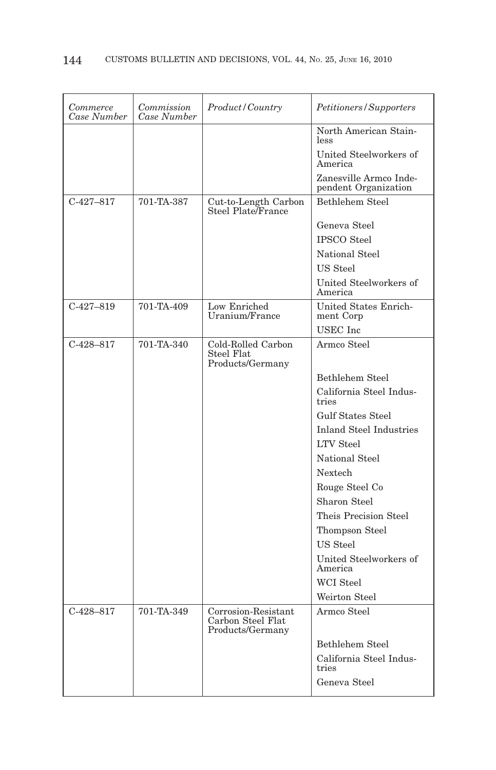| Commerce<br>Case Number | Commission<br>Case Number | Product / Country                                            | Petitioners/Supporters                         |
|-------------------------|---------------------------|--------------------------------------------------------------|------------------------------------------------|
|                         |                           |                                                              | North American Stain-<br>less                  |
|                         |                           |                                                              | United Steelworkers of<br>America              |
|                         |                           |                                                              | Zanesville Armco Inde-<br>pendent Organization |
| $C-427-817$             | 701-TA-387                | Cut-to-Length Carbon<br>Steel Plate/France                   | <b>Bethlehem Steel</b>                         |
|                         |                           |                                                              | Geneva Steel                                   |
|                         |                           |                                                              | <b>IPSCO</b> Steel                             |
|                         |                           |                                                              | National Steel                                 |
|                         |                           |                                                              | US Steel                                       |
|                         |                           |                                                              | United Steelworkers of<br>America              |
| $C-427-819$             | 701-TA-409                | Low Enriched<br>Uranium/France                               | United States Enrich-<br>ment Corp             |
|                         |                           |                                                              | <b>USEC</b> Inc                                |
| $C-428-817$             | 701-TA-340                | Cold-Rolled Carbon<br>Steel Flat<br>Products/Germany         | Armco Steel                                    |
|                         |                           |                                                              | Bethlehem Steel                                |
|                         |                           |                                                              | California Steel Indus-                        |
|                         |                           |                                                              | tries                                          |
|                         |                           |                                                              | <b>Gulf States Steel</b>                       |
|                         |                           |                                                              | <b>Inland Steel Industries</b>                 |
|                         |                           |                                                              | <b>LTV</b> Steel                               |
|                         |                           |                                                              | National Steel                                 |
|                         |                           |                                                              | Nextech                                        |
|                         |                           |                                                              | Rouge Steel Co                                 |
|                         |                           |                                                              | Sharon Steel                                   |
|                         |                           |                                                              | Theis Precision Steel                          |
|                         |                           |                                                              | Thompson Steel                                 |
|                         |                           |                                                              | US Steel                                       |
|                         |                           |                                                              | United Steelworkers of<br>America              |
|                         |                           |                                                              | WCI Steel                                      |
|                         |                           |                                                              | Weirton Steel                                  |
| $C-428-817$             | 701-TA-349                | Corrosion-Resistant<br>Carbon Steel Flat<br>Products/Germany | Armco Steel                                    |
|                         |                           |                                                              | Bethlehem Steel                                |
|                         |                           |                                                              | California Steel Indus-<br>tries               |
|                         |                           |                                                              | Geneva Steel                                   |
|                         |                           |                                                              |                                                |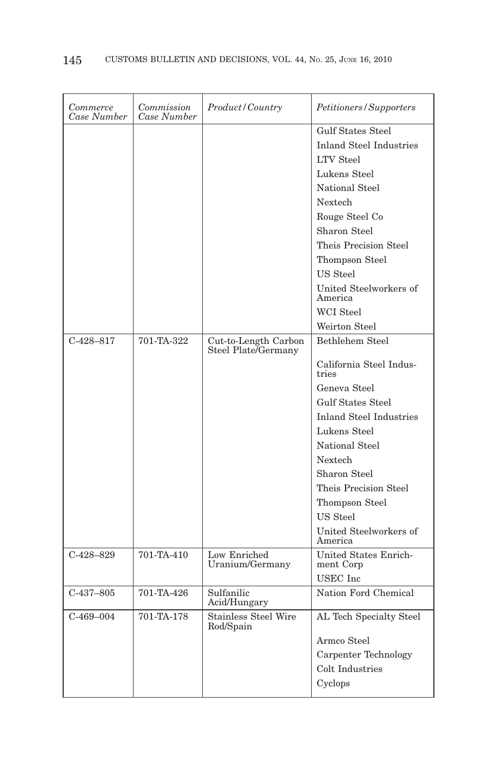| Commerce<br>Case Number | Commission<br>Case Number | <i>Product/Country</i>                      | Petitioners/Supporters                                                                                                                                                                                                                                                                            |
|-------------------------|---------------------------|---------------------------------------------|---------------------------------------------------------------------------------------------------------------------------------------------------------------------------------------------------------------------------------------------------------------------------------------------------|
|                         |                           |                                             | <b>Gulf States Steel</b><br><b>Inland Steel Industries</b><br><b>LTV</b> Steel<br>Lukens Steel<br>National Steel<br>Nextech<br>Rouge Steel Co<br>Sharon Steel<br>Theis Precision Steel<br>Thompson Steel<br>US Steel<br>United Steelworkers of<br>America<br><b>WCI</b> Steel                     |
|                         |                           |                                             | Weirton Steel                                                                                                                                                                                                                                                                                     |
| $C-428-817$             | 701-TA-322                | Cut-to-Length Carbon<br>Steel Plate/Germany | Bethlehem Steel<br>California Steel Indus-<br>tries<br>Geneva Steel<br><b>Gulf States Steel</b><br><b>Inland Steel Industries</b><br>Lukens Steel<br>National Steel<br>Nextech<br>Sharon Steel<br>Theis Precision Steel<br>Thompson Steel<br><b>US</b> Steel<br>United Steelworkers of<br>America |
| $C-428-829$             | 701-TA-410                | Low Enriched<br>Uranium/Germany             | United States Enrich-<br>ment Corp<br>USEC Inc                                                                                                                                                                                                                                                    |
| $C-437-805$             | 701-TA-426                | Sulfanilic<br>Acid/Hungary                  | Nation Ford Chemical                                                                                                                                                                                                                                                                              |
| $C-469-004$             | 701-TA-178                | <b>Stainless Steel Wire</b><br>Rod/Spain    | AL Tech Specialty Steel<br>Armco Steel<br>Carpenter Technology<br>Colt Industries<br>Cyclops                                                                                                                                                                                                      |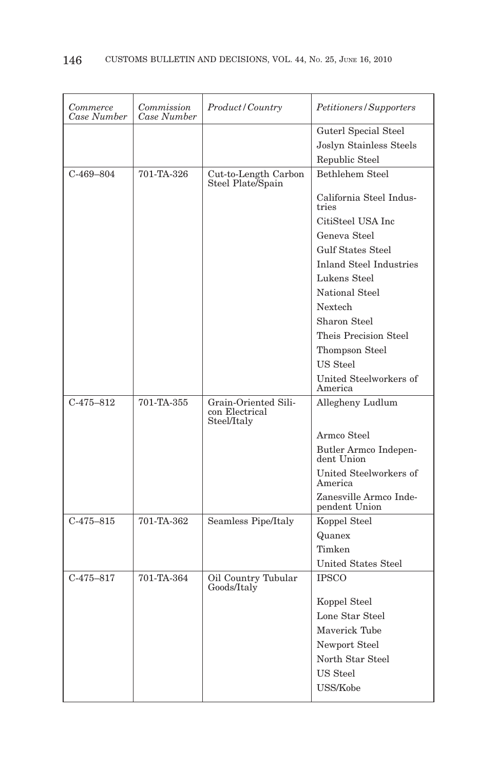| Commerce<br>Case Number | Commission<br>Case Number | Product / Country                                     | Petitioners/Supporters                  |
|-------------------------|---------------------------|-------------------------------------------------------|-----------------------------------------|
|                         |                           |                                                       | Guterl Special Steel                    |
|                         |                           |                                                       | Joslyn Stainless Steels                 |
|                         |                           |                                                       | Republic Steel                          |
| $C-469-804$             | 701-TA-326                | Cut-to-Length Carbon<br>Steel Plate/Spain             | Bethlehem Steel                         |
|                         |                           |                                                       | California Steel Indus-<br>tries        |
|                         |                           |                                                       | CitiSteel USA Inc                       |
|                         |                           |                                                       | Geneva Steel                            |
|                         |                           |                                                       | <b>Gulf States Steel</b>                |
|                         |                           |                                                       | <b>Inland Steel Industries</b>          |
|                         |                           |                                                       | Lukens Steel                            |
|                         |                           |                                                       | National Steel                          |
|                         |                           |                                                       | Nextech                                 |
|                         |                           |                                                       | Sharon Steel                            |
|                         |                           |                                                       | Theis Precision Steel                   |
|                         |                           |                                                       | Thompson Steel                          |
|                         |                           |                                                       | US Steel                                |
|                         |                           |                                                       | United Steelworkers of<br>America       |
| $C-475-812$             | 701-TA-355                | Grain-Oriented Sili-<br>con Electrical<br>Steel/Italy | Allegheny Ludlum                        |
|                         |                           |                                                       | Armco Steel                             |
|                         |                           |                                                       | Butler Armco Indepen-<br>dent Union     |
|                         |                           |                                                       | United Steelworkers of<br>America       |
|                         |                           |                                                       | Zanesville Armco Inde-<br>pendent Union |
| $C-475-815$             | 701-TA-362                | Seamless Pipe/Italy                                   | Koppel Steel                            |
|                         |                           |                                                       | Quanex                                  |
|                         |                           |                                                       | Timken                                  |
|                         |                           |                                                       | <b>United States Steel</b>              |
| $C-475-817$             | 701-TA-364                | Oil Country Tubular<br>Goods/Italy                    | <b>IPSCO</b>                            |
|                         |                           |                                                       | Koppel Steel                            |
|                         |                           |                                                       | Lone Star Steel                         |
|                         |                           |                                                       | Maverick Tube                           |
|                         |                           |                                                       | Newport Steel                           |
|                         |                           |                                                       | North Star Steel                        |
|                         |                           |                                                       | US Steel                                |
|                         |                           |                                                       | USS/Kobe                                |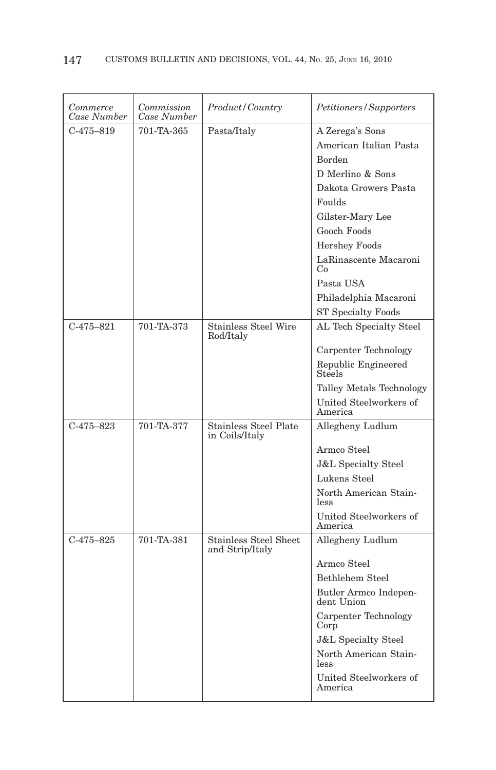| Commerce<br>Case Number | Commission<br>Case Number | Product/Country                                 | Petitioners/Supporters               |
|-------------------------|---------------------------|-------------------------------------------------|--------------------------------------|
| $C-475-819$             | 701-TA-365                | Pasta/Italy                                     | A Zerega's Sons                      |
|                         |                           |                                                 | American Italian Pasta               |
|                         |                           |                                                 | <b>Borden</b>                        |
|                         |                           |                                                 | D Merlino & Sons                     |
|                         |                           |                                                 | Dakota Growers Pasta                 |
|                         |                           |                                                 | Foulds                               |
|                         |                           |                                                 | Gilster-Mary Lee                     |
|                         |                           |                                                 | Gooch Foods                          |
|                         |                           |                                                 | <b>Hershey Foods</b>                 |
|                         |                           |                                                 | LaRinascente Macaroni<br>Co          |
|                         |                           |                                                 | Pasta USA                            |
|                         |                           |                                                 | Philadelphia Macaroni                |
|                         |                           |                                                 | <b>ST Specialty Foods</b>            |
| $C-475-821$             | 701-TA-373                | <b>Stainless Steel Wire</b><br>Rod/Italy        | AL Tech Specialty Steel              |
|                         |                           |                                                 | Carpenter Technology                 |
|                         |                           |                                                 | Republic Engineered<br><b>Steels</b> |
|                         |                           |                                                 | Talley Metals Technology             |
|                         |                           |                                                 | United Steelworkers of<br>America    |
| $C-475-823$             | 701-TA-377                | <b>Stainless Steel Plate</b><br>in Coils/Italy  | Allegheny Ludlum                     |
|                         |                           |                                                 | Armco Steel                          |
|                         |                           |                                                 | <b>J&amp;L</b> Specialty Steel       |
|                         |                           |                                                 | Lukens Steel                         |
|                         |                           |                                                 | North American Stain-<br>less        |
|                         |                           |                                                 | United Steelworkers of<br>America    |
| $C-475-825$             | 701-TA-381                | <b>Stainless Steel Sheet</b><br>and Strip/Italy | Allegheny Ludlum                     |
|                         |                           |                                                 | Armco Steel                          |
|                         |                           |                                                 | Bethlehem Steel                      |
|                         |                           |                                                 | Butler Armco Indepen-<br>dent Union  |
|                         |                           |                                                 | Carpenter Technology<br>Corp         |
|                         |                           |                                                 | <b>J&amp;L Specialty Steel</b>       |
|                         |                           |                                                 | North American Stain-<br>less        |
|                         |                           |                                                 | United Steelworkers of<br>America    |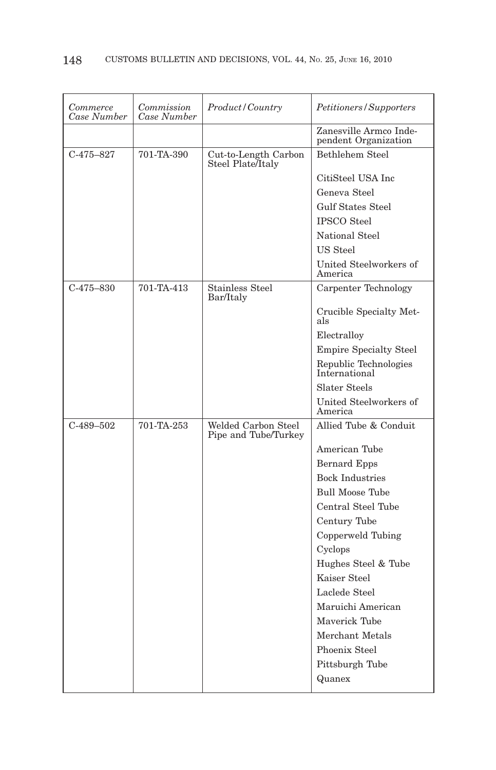| Commerce<br>Case Number | Commission<br>Case Number | Product/Country                             | Petitioners/Supporters                         |
|-------------------------|---------------------------|---------------------------------------------|------------------------------------------------|
|                         |                           |                                             | Zanesville Armco Inde-<br>pendent Organization |
| $C-475-827$             | 701-TA-390                | Cut-to-Length Carbon<br>Steel Plate/Italy   | <b>Bethlehem Steel</b>                         |
|                         |                           |                                             | CitiSteel USA Inc                              |
|                         |                           |                                             | Geneva Steel                                   |
|                         |                           |                                             | Gulf States Steel                              |
|                         |                           |                                             | <b>IPSCO</b> Steel                             |
|                         |                           |                                             | National Steel                                 |
|                         |                           |                                             | US Steel                                       |
|                         |                           |                                             | United Steelworkers of<br>America              |
| $C-475-830$             | 701-TA-413                | Stainless Steel<br>Bar/Italy                | Carpenter Technology                           |
|                         |                           |                                             | Crucible Specialty Met-<br>als                 |
|                         |                           |                                             | Electralloy                                    |
|                         |                           |                                             | <b>Empire Specialty Steel</b>                  |
|                         |                           |                                             | Republic Technologies<br>International         |
|                         |                           |                                             | Slater Steels                                  |
|                         |                           |                                             | United Steelworkers of<br>America              |
| $C-489-502$             | 701-TA-253                | Welded Carbon Steel<br>Pipe and Tube/Turkey | Allied Tube & Conduit                          |
|                         |                           |                                             | American Tube                                  |
|                         |                           |                                             | <b>Bernard Epps</b>                            |
|                         |                           |                                             | <b>Bock Industries</b>                         |
|                         |                           |                                             | <b>Bull Moose Tube</b>                         |
|                         |                           |                                             | Central Steel Tube                             |
|                         |                           |                                             | Century Tube                                   |
|                         |                           |                                             | Copperweld Tubing                              |
|                         |                           |                                             | Cyclops                                        |
|                         |                           |                                             | Hughes Steel & Tube                            |
|                         |                           |                                             | Kaiser Steel                                   |
|                         |                           |                                             | Laclede Steel                                  |
|                         |                           |                                             | Maruichi American                              |
|                         |                           |                                             | Maverick Tube                                  |
|                         |                           |                                             | Merchant Metals                                |
|                         |                           |                                             | Phoenix Steel                                  |
|                         |                           |                                             | Pittsburgh Tube                                |
|                         |                           |                                             | Quanex                                         |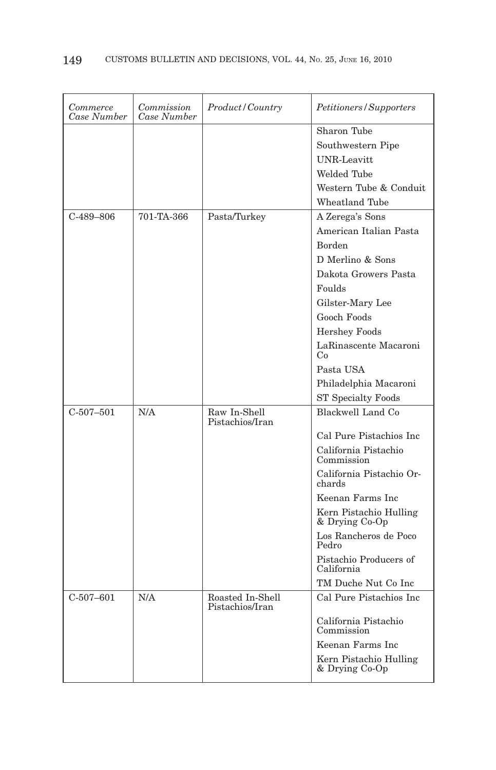| Commerce<br>Case Number | Commission<br>Case Number | Product/Country                     | Petitioners/Supporters                   |
|-------------------------|---------------------------|-------------------------------------|------------------------------------------|
|                         |                           |                                     | Sharon Tube                              |
|                         |                           |                                     | Southwestern Pipe                        |
|                         |                           |                                     | <b>UNR-Leavitt</b>                       |
|                         |                           |                                     | Welded Tube                              |
|                         |                           |                                     | Western Tube & Conduit                   |
|                         |                           |                                     | <b>Wheatland Tube</b>                    |
| $C-489-806$             | 701-TA-366                | Pasta/Turkey                        | A Zerega's Sons                          |
|                         |                           |                                     | American Italian Pasta                   |
|                         |                           |                                     | Borden                                   |
|                         |                           |                                     | D Merlino & Sons                         |
|                         |                           |                                     | Dakota Growers Pasta                     |
|                         |                           |                                     | Foulds                                   |
|                         |                           |                                     | Gilster-Mary Lee                         |
|                         |                           |                                     | Gooch Foods                              |
|                         |                           |                                     | <b>Hershey Foods</b>                     |
|                         |                           |                                     | LaRinascente Macaroni<br>Co              |
|                         |                           |                                     | Pasta USA                                |
|                         |                           |                                     | Philadelphia Macaroni                    |
|                         |                           |                                     | <b>ST Specialty Foods</b>                |
| $C-507-501$             | N/A                       | Raw In-Shell<br>Pistachios/Iran     | Blackwell Land Co.                       |
|                         |                           |                                     | Cal Pure Pistachios Inc                  |
|                         |                           |                                     | California Pistachio<br>Commission       |
|                         |                           |                                     | California Pistachio Or-<br>chards       |
|                         |                           |                                     | Keenan Farms Inc.                        |
|                         |                           |                                     | Kern Pistachio Hulling<br>& Drying Co-Op |
|                         |                           |                                     | Los Rancheros de Poco<br>Pedro           |
|                         |                           |                                     | Pistachio Producers of<br>California     |
|                         |                           |                                     | TM Duche Nut Co Inc                      |
| $C-507-601$             | N/A                       | Roasted In-Shell<br>Pistachios/Iran | Cal Pure Pistachios Inc                  |
|                         |                           |                                     | California Pistachio<br>Commission       |
|                         |                           |                                     | Keenan Farms Inc                         |
|                         |                           |                                     | Kern Pistachio Hulling<br>& Drying Co-Op |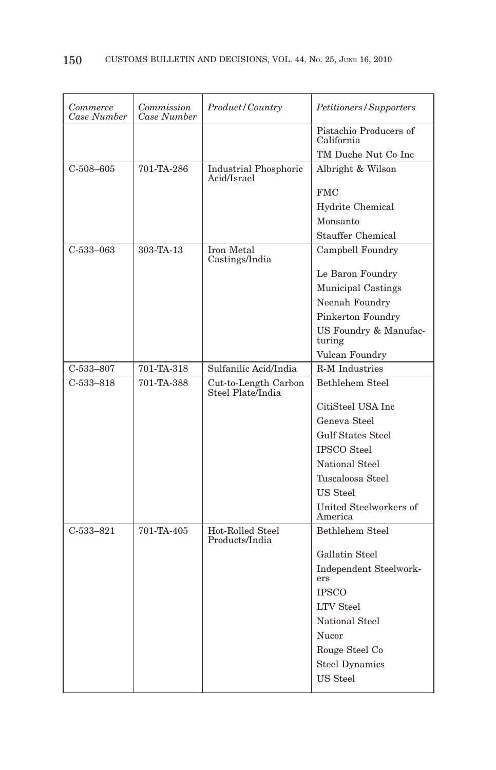| Commerce<br>Case Number | Commission<br>Case Number | Product/Country                           | Petitioners/Supporters               |
|-------------------------|---------------------------|-------------------------------------------|--------------------------------------|
|                         |                           |                                           | Pistachio Producers of<br>California |
|                         |                           |                                           | TM Duche Nut Co Inc                  |
| $C-508-605$             | 701-TA-286                | Industrial Phosphoric<br>Acid/Israel      | Albright & Wilson                    |
|                         |                           |                                           | <b>FMC</b>                           |
|                         |                           |                                           | Hydrite Chemical                     |
|                         |                           |                                           | Monsanto                             |
|                         |                           |                                           | Stauffer Chemical                    |
| $C-533-063$             | 303-TA-13                 | Iron Metal<br>Castings/India              | Campbell Foundry                     |
|                         |                           |                                           | Le Baron Foundry                     |
|                         |                           |                                           | Municipal Castings                   |
|                         |                           |                                           | Neenah Foundry                       |
|                         |                           |                                           | Pinkerton Foundry                    |
|                         |                           |                                           | US Foundry & Manufac-<br>turing      |
|                         |                           |                                           | Vulcan Foundry                       |
| $C-533-807$             | 701-TA-318                | Sulfanilic Acid/India                     | <b>R-M</b> Industries                |
| $C-533-818$             | 701-TA-388                | Cut-to-Length Carbon<br>Steel Plate India | Bethlehem Steel                      |
|                         |                           |                                           | CitiSteel USA Inc                    |
|                         |                           |                                           | Geneva Steel                         |
|                         |                           |                                           | <b>Gulf States Steel</b>             |
|                         |                           |                                           | <b>IPSCO</b> Steel                   |
|                         |                           |                                           | National Steel                       |
|                         |                           |                                           | Tuscaloosa Steel                     |
|                         |                           |                                           | US Steel                             |
|                         |                           |                                           | United Steelworkers of<br>America    |
| $C-533-821$             | 701-TA-405                | Hot-Rolled Steel<br>Products/India        | Bethlehem Steel                      |
|                         |                           |                                           | Gallatin Steel                       |
|                         |                           |                                           | Independent Steelwork-<br>ers        |
|                         |                           |                                           | <b>IPSCO</b>                         |
|                         |                           |                                           | <b>LTV</b> Steel                     |
|                         |                           |                                           | National Steel                       |
|                         |                           |                                           | Nucor                                |
|                         |                           |                                           | Rouge Steel Co                       |
|                         |                           |                                           | <b>Steel Dynamics</b>                |
|                         |                           |                                           | <b>US</b> Steel                      |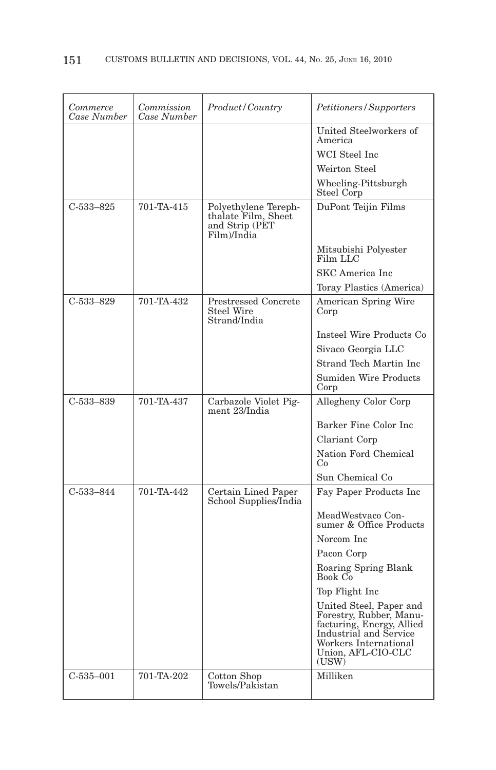| Commerce<br>Case Number | Commission<br>Case Number | Product/Country                                                              | Petitioners/Supporters                                                                                                                                            |
|-------------------------|---------------------------|------------------------------------------------------------------------------|-------------------------------------------------------------------------------------------------------------------------------------------------------------------|
|                         |                           |                                                                              | United Steelworkers of<br>America                                                                                                                                 |
|                         |                           |                                                                              | WCI Steel Inc.                                                                                                                                                    |
|                         |                           |                                                                              | Weirton Steel                                                                                                                                                     |
|                         |                           |                                                                              | Wheeling-Pittsburgh<br>Steel Corp                                                                                                                                 |
| $C-533-825$             | 701-TA-415                | Polyethylene Tereph-<br>thalate Film, Sheet<br>and Strip (PET<br>Film)/India | DuPont Teijin Films                                                                                                                                               |
|                         |                           |                                                                              | Mitsubishi Polyester<br>Film LLC                                                                                                                                  |
|                         |                           |                                                                              | <b>SKC</b> America Inc                                                                                                                                            |
|                         |                           |                                                                              | Toray Plastics (America)                                                                                                                                          |
| $C-533-829$             | 701-TA-432                | <b>Prestressed Concrete</b><br>Steel Wire<br>Strand/India                    | <b>American Spring Wire</b><br>Corp                                                                                                                               |
|                         |                           |                                                                              | Insteel Wire Products Co                                                                                                                                          |
|                         |                           |                                                                              | Sivaco Georgia LLC                                                                                                                                                |
|                         |                           |                                                                              | Strand Tech Martin Inc                                                                                                                                            |
|                         |                           |                                                                              | Sumiden Wire Products<br>Corp                                                                                                                                     |
| $C-533-839$             | 701-TA-437                | Carbazole Violet Pig-                                                        | Allegheny Color Corp                                                                                                                                              |
|                         |                           | ment 23/India                                                                |                                                                                                                                                                   |
|                         |                           |                                                                              | Barker Fine Color Inc                                                                                                                                             |
|                         |                           |                                                                              | Clariant Corp                                                                                                                                                     |
|                         |                           |                                                                              | Nation Ford Chemical<br>Co.                                                                                                                                       |
|                         |                           |                                                                              | Sun Chemical Co                                                                                                                                                   |
| $C-533-844$             | 701-TA-442                | Certain Lined Paper<br>School Supplies/India                                 | Fay Paper Products Inc                                                                                                                                            |
|                         |                           |                                                                              | MeadWestvaco Con-<br>sumer & Office Products                                                                                                                      |
|                         |                           |                                                                              | Norcom Inc                                                                                                                                                        |
|                         |                           |                                                                              | Pacon Corp                                                                                                                                                        |
|                         |                           |                                                                              | Roaring Spring Blank<br>Book Co                                                                                                                                   |
|                         |                           |                                                                              | Top Flight Inc                                                                                                                                                    |
|                         |                           |                                                                              | United Steel, Paper and<br>Forestry, Rubber, Manu-<br>facturing, Energy, Allied<br>Industrial and Service<br>Workers International<br>Union, AFL-CIO-CLC<br>(USW) |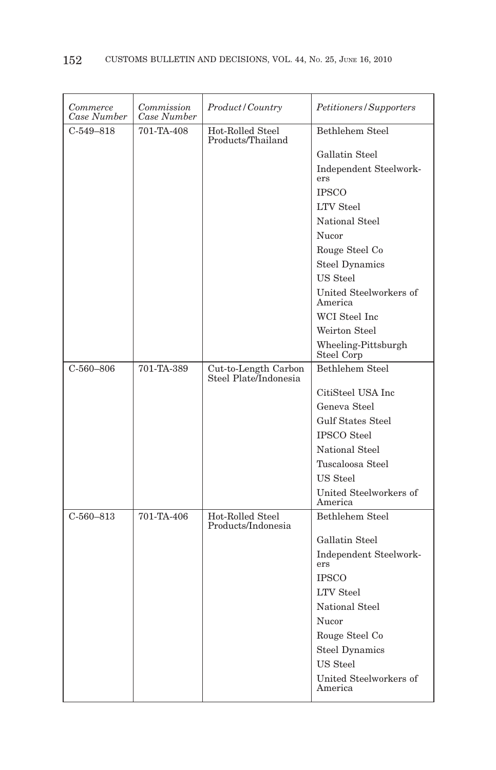| Commerce<br>Case Number | Commission<br>Case Number | Product/Country                               | Petitioners/Supporters            |
|-------------------------|---------------------------|-----------------------------------------------|-----------------------------------|
| $C-549-818$             | 701-TA-408                | Hot-Rolled Steel<br>Products/Thailand         | Bethlehem Steel                   |
|                         |                           |                                               | Gallatin Steel                    |
|                         |                           |                                               | Independent Steelwork-<br>ers     |
|                         |                           |                                               | <b>IPSCO</b>                      |
|                         |                           |                                               | <b>LTV</b> Steel                  |
|                         |                           |                                               | National Steel                    |
|                         |                           |                                               | Nucor                             |
|                         |                           |                                               | Rouge Steel Co                    |
|                         |                           |                                               | <b>Steel Dynamics</b>             |
|                         |                           |                                               | US Steel                          |
|                         |                           |                                               | United Steelworkers of<br>America |
|                         |                           |                                               | WCI Steel Inc                     |
|                         |                           |                                               | Weirton Steel                     |
|                         |                           |                                               | Wheeling-Pittsburgh<br>Steel Corp |
| $C-560-806$             | 701-TA-389                | Cut-to-Length Carbon<br>Steel Plate/Indonesia | Bethlehem Steel                   |
|                         |                           |                                               | CitiSteel USA Inc                 |
|                         |                           |                                               | Geneva Steel                      |
|                         |                           |                                               | <b>Gulf States Steel</b>          |
|                         |                           |                                               | <b>IPSCO</b> Steel                |
|                         |                           |                                               | National Steel                    |
|                         |                           |                                               | Tuscaloosa Steel                  |
|                         |                           |                                               | US Steel                          |
|                         |                           |                                               | United Steelworkers of<br>America |
| $C-560-813$             | 701-TA-406                | Hot-Rolled Steel<br>Products/Indonesia        | Bethlehem Steel                   |
|                         |                           |                                               | Gallatin Steel                    |
|                         |                           |                                               | Independent Steelwork-<br>ers     |
|                         |                           |                                               | <b>IPSCO</b>                      |
|                         |                           |                                               | <b>LTV</b> Steel                  |
|                         |                           |                                               | National Steel                    |
|                         |                           |                                               | Nucor                             |
|                         |                           |                                               | Rouge Steel Co                    |
|                         |                           |                                               | <b>Steel Dynamics</b>             |
|                         |                           |                                               | US Steel                          |
|                         |                           |                                               | United Steelworkers of<br>America |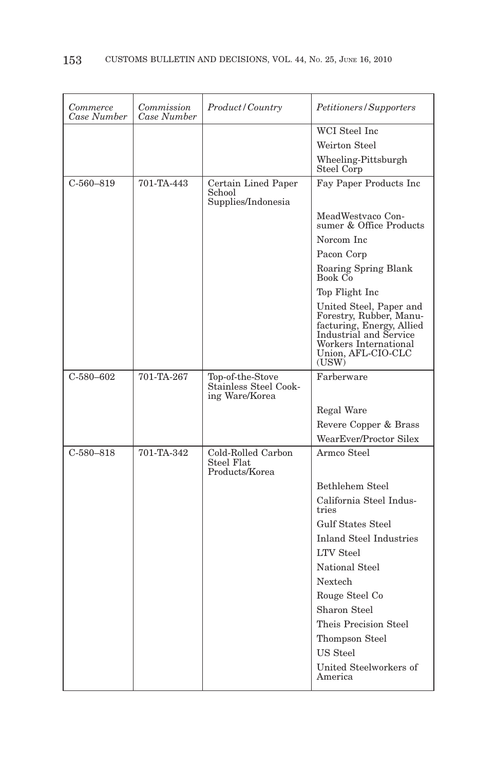| Commerce<br>Case Number | Commission<br>Case Number | <i>Product/Country</i>                             | <i>Petitioners/Supporters</i>                                                                                                                                     |
|-------------------------|---------------------------|----------------------------------------------------|-------------------------------------------------------------------------------------------------------------------------------------------------------------------|
|                         |                           |                                                    | WCI Steel Inc                                                                                                                                                     |
|                         |                           |                                                    | Weirton Steel                                                                                                                                                     |
|                         |                           |                                                    | Wheeling-Pittsburgh<br>Steel Corp                                                                                                                                 |
| $C-560-819$             | 701-TA-443                | Certain Lined Paper<br>School                      | Fay Paper Products Inc                                                                                                                                            |
|                         |                           | Supplies/Indonesia                                 |                                                                                                                                                                   |
|                         |                           |                                                    | MeadWestvaco Con-<br>sumer & Office Products                                                                                                                      |
|                         |                           |                                                    | Norcom Inc                                                                                                                                                        |
|                         |                           |                                                    | Pacon Corp                                                                                                                                                        |
|                         |                           |                                                    | Roaring Spring Blank<br>Book Co                                                                                                                                   |
|                         |                           |                                                    | Top Flight Inc                                                                                                                                                    |
|                         |                           |                                                    | United Steel, Paper and<br>Forestry, Rubber, Manu-<br>facturing, Energy, Allied<br>Industrial and Service<br>Workers International<br>Union, AFL-CIO-CLC<br>(USW) |
| $C-580-602$             | 701-TA-267                | Top-of-the-Stove                                   | Farberware                                                                                                                                                        |
|                         |                           | Stainless Steel Cook-<br>ing Ware/Korea            |                                                                                                                                                                   |
|                         |                           |                                                    | Regal Ware                                                                                                                                                        |
|                         |                           |                                                    | Revere Copper & Brass                                                                                                                                             |
|                         |                           |                                                    | WearEver/Proctor Silex                                                                                                                                            |
| $C-580-818$             | 701-TA-342                | Cold-Rolled Carbon<br>Steel Flat<br>Products/Korea | Armco Steel                                                                                                                                                       |
|                         |                           |                                                    | Bethlehem Steel                                                                                                                                                   |
|                         |                           |                                                    | California Steel Indus-<br>tries                                                                                                                                  |
|                         |                           |                                                    | Gulf States Steel                                                                                                                                                 |
|                         |                           |                                                    | <b>Inland Steel Industries</b>                                                                                                                                    |
|                         |                           |                                                    | <b>LTV</b> Steel                                                                                                                                                  |
|                         |                           |                                                    | National Steel                                                                                                                                                    |
|                         |                           |                                                    | Nextech                                                                                                                                                           |
|                         |                           |                                                    | Rouge Steel Co                                                                                                                                                    |
|                         |                           |                                                    | Sharon Steel                                                                                                                                                      |
|                         |                           |                                                    | Theis Precision Steel                                                                                                                                             |
|                         |                           |                                                    | Thompson Steel                                                                                                                                                    |
|                         |                           |                                                    | US Steel                                                                                                                                                          |
|                         |                           |                                                    | United Steelworkers of<br>America                                                                                                                                 |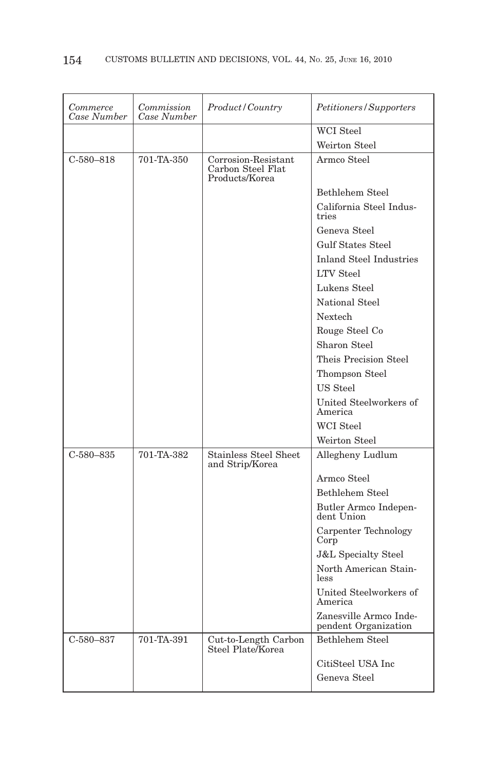| Commerce<br>Case Number | Commission<br>Case Number | Product/Country                                            | Petitioners/Supporters                         |
|-------------------------|---------------------------|------------------------------------------------------------|------------------------------------------------|
|                         |                           |                                                            | <b>WCI</b> Steel                               |
|                         |                           |                                                            | Weirton Steel                                  |
| $C-580-818$             | 701-TA-350                | Corrosion-Resistant<br>Carbon Steel Flat<br>Products/Korea | Armco Steel                                    |
|                         |                           |                                                            | <b>Bethlehem Steel</b>                         |
|                         |                           |                                                            | California Steel Indus-<br>tries               |
|                         |                           |                                                            | Geneva Steel                                   |
|                         |                           |                                                            | <b>Gulf States Steel</b>                       |
|                         |                           |                                                            | <b>Inland Steel Industries</b>                 |
|                         |                           |                                                            | <b>LTV</b> Steel                               |
|                         |                           |                                                            | Lukens Steel                                   |
|                         |                           |                                                            | National Steel                                 |
|                         |                           |                                                            | Nextech                                        |
|                         |                           |                                                            | Rouge Steel Co                                 |
|                         |                           |                                                            | Sharon Steel                                   |
|                         |                           |                                                            | Theis Precision Steel                          |
|                         |                           |                                                            | Thompson Steel                                 |
|                         |                           |                                                            | US Steel                                       |
|                         |                           |                                                            | United Steelworkers of<br>America              |
|                         |                           |                                                            | <b>WCI</b> Steel                               |
|                         |                           |                                                            | Weirton Steel                                  |
| $C-580-835$             | 701-TA-382                | <b>Stainless Steel Sheet</b><br>and Strip/Korea            | Allegheny Ludlum                               |
|                         |                           |                                                            | Armco Steel                                    |
|                         |                           |                                                            | <b>Bethlehem Steel</b>                         |
|                         |                           |                                                            | Butler Armco Indepen-<br>dent Union            |
|                         |                           |                                                            | Carpenter Technology<br>Corp                   |
|                         |                           |                                                            | <b>J&amp;L</b> Specialty Steel                 |
|                         |                           |                                                            | North American Stain-<br>less                  |
|                         |                           |                                                            | United Steelworkers of<br>America              |
|                         |                           |                                                            | Zanesville Armco Inde-<br>pendent Organization |
| $C - 580 - 837$         | 701-TA-391                | Cut-to-Length Carbon<br>Steel Plate Korea                  | <b>Bethlehem Steel</b>                         |
|                         |                           |                                                            | CitiSteel USA Inc                              |
|                         |                           |                                                            | Geneva Steel                                   |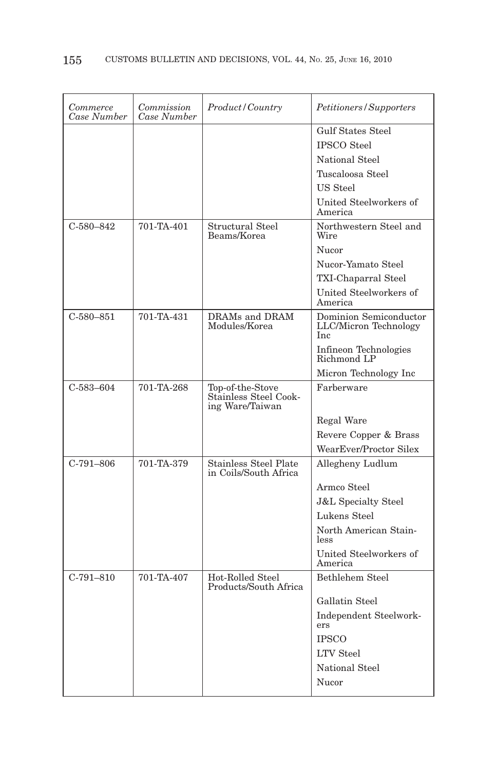| Commerce<br>Case Number | Commission<br>Case Number | Product/Country                                              | Petitioners/Supporters                                 |
|-------------------------|---------------------------|--------------------------------------------------------------|--------------------------------------------------------|
|                         |                           |                                                              | <b>Gulf States Steel</b>                               |
|                         |                           |                                                              | <b>IPSCO</b> Steel                                     |
|                         |                           |                                                              | <b>National Steel</b>                                  |
|                         |                           |                                                              | Tuscaloosa Steel                                       |
|                         |                           |                                                              | <b>US</b> Steel                                        |
|                         |                           |                                                              | United Steelworkers of<br>America                      |
| $C-580-842$             | 701-TA-401                | Structural Steel<br>Beams/Korea                              | Northwestern Steel and<br>Wire                         |
|                         |                           |                                                              | Nucor                                                  |
|                         |                           |                                                              | Nucor-Yamato Steel                                     |
|                         |                           |                                                              | TXI-Chaparral Steel                                    |
|                         |                           |                                                              | United Steelworkers of<br>America                      |
| $C - 580 - 851$         | 701-TA-431                | DRAMs and DRAM<br>Modules/Korea                              | Dominion Semiconductor<br>LLC/Micron Technology<br>Inc |
|                         |                           |                                                              | Infineon Technologies<br>Richmond LP                   |
|                         |                           |                                                              | Micron Technology Inc                                  |
| $C - 583 - 604$         | 701-TA-268                | Top-of-the-Stove<br>Stainless Steel Cook-<br>ing Ware/Taiwan | Farberware                                             |
|                         |                           |                                                              | Regal Ware                                             |
|                         |                           |                                                              | Revere Copper & Brass                                  |
|                         |                           |                                                              | WearEver/Proctor Silex                                 |
| $C-791-806$             | 701-TA-379                | <b>Stainless Steel Plate</b><br>in Coils/South Africa        | Allegheny Ludlum                                       |
|                         |                           |                                                              | Armco Steel                                            |
|                         |                           |                                                              | <b>J&amp;L Specialty Steel</b>                         |
|                         |                           |                                                              | Lukens Steel                                           |
|                         |                           |                                                              | North American Stain-<br>less                          |
|                         |                           |                                                              | United Steelworkers of<br>America                      |
| $C-791-810$             | 701-TA-407                | Hot-Rolled Steel<br>Products/South Africa                    | <b>Bethlehem Steel</b>                                 |
|                         |                           |                                                              | Gallatin Steel                                         |
|                         |                           |                                                              | Independent Steelwork-<br>ers                          |
|                         |                           |                                                              | <b>IPSCO</b>                                           |
|                         |                           |                                                              | <b>LTV</b> Steel                                       |
|                         |                           |                                                              | National Steel                                         |
|                         |                           |                                                              | Nucor                                                  |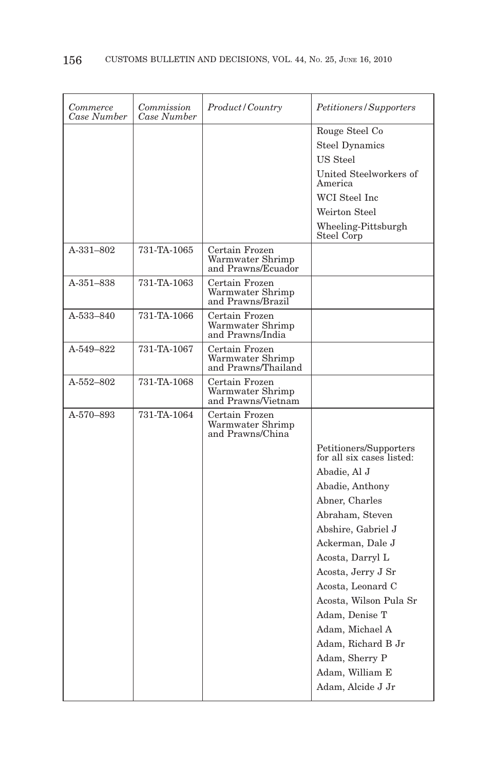| Commerce<br>Case Number | Commission<br>Case Number | Product/Country                                           | Petitioners/Supporters                              |
|-------------------------|---------------------------|-----------------------------------------------------------|-----------------------------------------------------|
|                         |                           |                                                           | Rouge Steel Co<br><b>Steel Dynamics</b><br>US Steel |
|                         |                           |                                                           | United Steelworkers of<br>America                   |
|                         |                           |                                                           | WCI Steel Inc                                       |
|                         |                           |                                                           | Weirton Steel                                       |
|                         |                           |                                                           | Wheeling-Pittsburgh<br>Steel Corp                   |
| A-331-802               | 731-TA-1065               | Certain Frozen<br>Warmwater Shrimp<br>and Prawns/Ecuador  |                                                     |
| A-351-838               | 731-TA-1063               | Certain Frozen<br>Warmwater Shrimp<br>and Prawns/Brazil   |                                                     |
| A-533-840               | 731-TA-1066               | Certain Frozen<br>Warmwater Shrimp<br>and Prawns/India    |                                                     |
| A-549-822               | 731-TA-1067               | Certain Frozen<br>Warmwater Shrimp<br>and Prawns/Thailand |                                                     |
| $A - 552 - 802$         | 731-TA-1068               | Certain Frozen<br>Warmwater Shrimp<br>and Prawns/Vietnam  |                                                     |
| A-570-893               | 731-TA-1064               | Certain Frozen<br>Warmwater Shrimp<br>and Prawns/China    |                                                     |
|                         |                           |                                                           | Petitioners/Supporters<br>for all six cases listed: |
|                         |                           |                                                           | Abadie, Al J                                        |
|                         |                           |                                                           | Abadie, Anthony                                     |
|                         |                           |                                                           | Abner, Charles                                      |
|                         |                           |                                                           | Abraham, Steven                                     |
|                         |                           |                                                           | Abshire, Gabriel J                                  |
|                         |                           |                                                           | Ackerman, Dale J                                    |
|                         |                           |                                                           | Acosta, Darryl L                                    |
|                         |                           |                                                           | Acosta, Jerry J Sr                                  |
|                         |                           |                                                           | Acosta, Leonard C<br>Acosta, Wilson Pula Sr         |
|                         |                           |                                                           | Adam, Denise T                                      |
|                         |                           |                                                           | Adam, Michael A                                     |
|                         |                           |                                                           | Adam, Richard B Jr                                  |
|                         |                           |                                                           | Adam, Sherry P                                      |
|                         |                           |                                                           | Adam, William E                                     |
|                         |                           |                                                           | Adam, Alcide J Jr                                   |
|                         |                           |                                                           |                                                     |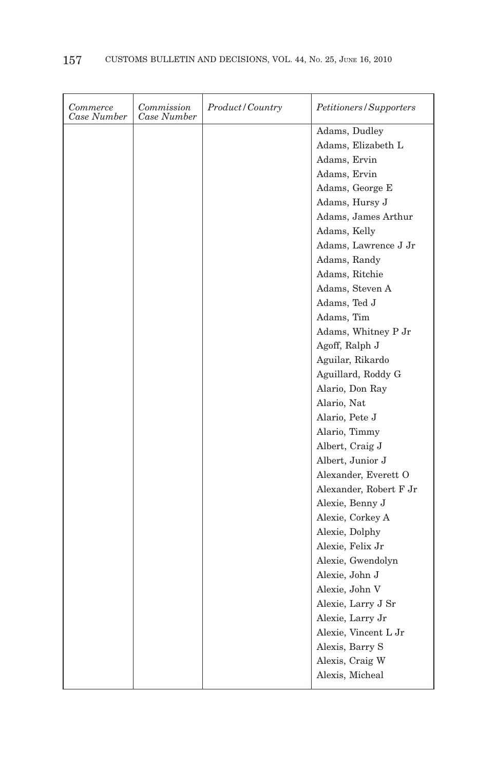| Commerce<br>Case Number | Commission<br>Case Number | Product/Country | <i>Petitioners/Supporters</i> |
|-------------------------|---------------------------|-----------------|-------------------------------|
|                         |                           |                 | Adams, Dudley                 |
|                         |                           |                 | Adams, Elizabeth L            |
|                         |                           |                 | Adams, Ervin                  |
|                         |                           |                 | Adams, Ervin                  |
|                         |                           |                 | Adams, George E               |
|                         |                           |                 | Adams, Hursy J                |
|                         |                           |                 | Adams, James Arthur           |
|                         |                           |                 | Adams, Kelly                  |
|                         |                           |                 | Adams, Lawrence J Jr          |
|                         |                           |                 | Adams, Randy                  |
|                         |                           |                 | Adams, Ritchie                |
|                         |                           |                 | Adams, Steven A               |
|                         |                           |                 | Adams, Ted J                  |
|                         |                           |                 | Adams, Tim                    |
|                         |                           |                 | Adams, Whitney P Jr           |
|                         |                           |                 | Agoff, Ralph J                |
|                         |                           |                 | Aguilar, Rikardo              |
|                         |                           |                 | Aguillard, Roddy G            |
|                         |                           |                 | Alario, Don Ray               |
|                         |                           |                 | Alario, Nat                   |
|                         |                           |                 | Alario, Pete J                |
|                         |                           |                 | Alario, Timmy                 |
|                         |                           |                 | Albert, Craig J               |
|                         |                           |                 | Albert, Junior J              |
|                         |                           |                 | Alexander, Everett O          |
|                         |                           |                 | Alexander, Robert F Jr        |
|                         |                           |                 | Alexie, Benny J               |
|                         |                           |                 | Alexie, Corkey A              |
|                         |                           |                 | Alexie, Dolphy                |
|                         |                           |                 | Alexie, Felix Jr              |
|                         |                           |                 | Alexie, Gwendolyn             |
|                         |                           |                 | Alexie, John J                |
|                         |                           |                 | Alexie, John V                |
|                         |                           |                 | Alexie, Larry J Sr            |
|                         |                           |                 | Alexie, Larry Jr              |
|                         |                           |                 | Alexie, Vincent L Jr          |
|                         |                           |                 | Alexis, Barry S               |
|                         |                           |                 | Alexis, Craig W               |
|                         |                           |                 | Alexis, Micheal               |
|                         |                           |                 |                               |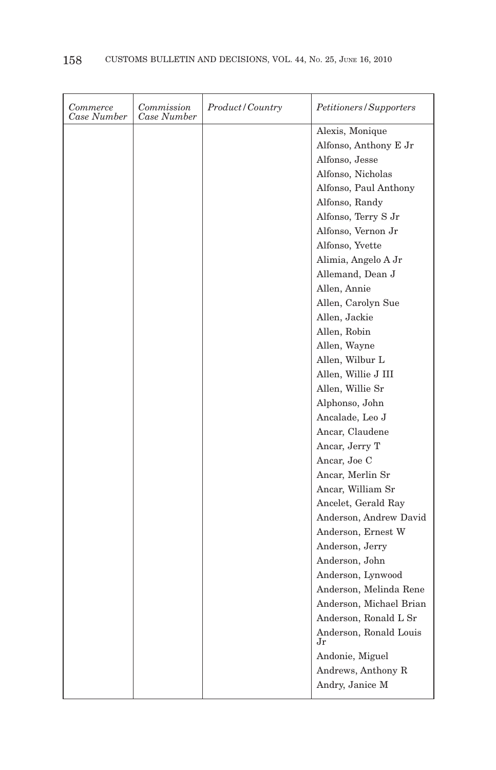| Commerce<br>Case Number | Commission<br>Case Number | Product/Country | Petitioners/Supporters       |
|-------------------------|---------------------------|-----------------|------------------------------|
|                         |                           |                 | Alexis, Monique              |
|                         |                           |                 | Alfonso, Anthony E Jr        |
|                         |                           |                 | Alfonso, Jesse               |
|                         |                           |                 | Alfonso, Nicholas            |
|                         |                           |                 | Alfonso, Paul Anthony        |
|                         |                           |                 | Alfonso, Randy               |
|                         |                           |                 | Alfonso, Terry S Jr          |
|                         |                           |                 | Alfonso, Vernon Jr           |
|                         |                           |                 | Alfonso, Yvette              |
|                         |                           |                 | Alimia, Angelo A Jr          |
|                         |                           |                 | Allemand, Dean J             |
|                         |                           |                 | Allen, Annie                 |
|                         |                           |                 | Allen, Carolyn Sue           |
|                         |                           |                 | Allen, Jackie                |
|                         |                           |                 | Allen, Robin                 |
|                         |                           |                 | Allen, Wayne                 |
|                         |                           |                 | Allen, Wilbur L              |
|                         |                           |                 | Allen, Willie J III          |
|                         |                           |                 | Allen, Willie Sr             |
|                         |                           |                 | Alphonso, John               |
|                         |                           |                 | Ancalade, Leo J              |
|                         |                           |                 | Ancar, Claudene              |
|                         |                           |                 | Ancar, Jerry T               |
|                         |                           |                 | Ancar, Joe C                 |
|                         |                           |                 | Ancar, Merlin Sr             |
|                         |                           |                 | Ancar, William Sr            |
|                         |                           |                 | Ancelet, Gerald Ray          |
|                         |                           |                 | Anderson, Andrew David       |
|                         |                           |                 | Anderson, Ernest W           |
|                         |                           |                 | Anderson, Jerry              |
|                         |                           |                 | Anderson, John               |
|                         |                           |                 | Anderson, Lynwood            |
|                         |                           |                 | Anderson, Melinda Rene       |
|                         |                           |                 | Anderson, Michael Brian      |
|                         |                           |                 | Anderson, Ronald L Sr        |
|                         |                           |                 | Anderson, Ronald Louis<br>Jr |
|                         |                           |                 | Andonie, Miguel              |
|                         |                           |                 | Andrews, Anthony R           |
|                         |                           |                 | Andry, Janice M              |
|                         |                           |                 |                              |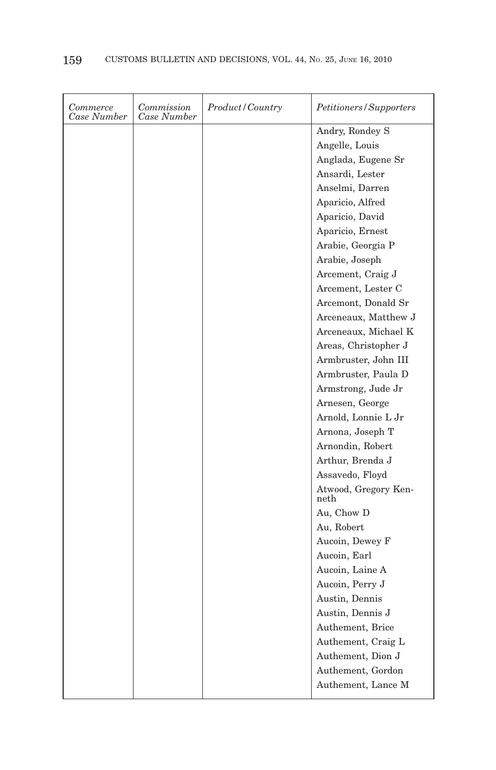| Commerce<br>Case Number | Commission<br>Case Number | Product/Country | Petitioners/Supporters       |
|-------------------------|---------------------------|-----------------|------------------------------|
|                         |                           |                 | Andry, Rondey S              |
|                         |                           |                 | Angelle, Louis               |
|                         |                           |                 | Anglada, Eugene Sr           |
|                         |                           |                 | Ansardi, Lester              |
|                         |                           |                 | Anselmi, Darren              |
|                         |                           |                 | Aparicio, Alfred             |
|                         |                           |                 | Aparicio, David              |
|                         |                           |                 | Aparicio, Ernest             |
|                         |                           |                 | Arabie, Georgia P            |
|                         |                           |                 | Arabie, Joseph               |
|                         |                           |                 | Arcement, Craig J            |
|                         |                           |                 | Arcement, Lester C           |
|                         |                           |                 | Arcemont, Donald Sr          |
|                         |                           |                 | Arceneaux, Matthew J         |
|                         |                           |                 | Arceneaux, Michael K         |
|                         |                           |                 | Areas, Christopher J         |
|                         |                           |                 | Armbruster, John III         |
|                         |                           |                 | Armbruster, Paula D          |
|                         |                           |                 | Armstrong, Jude Jr           |
|                         |                           |                 | Arnesen, George              |
|                         |                           |                 | Arnold, Lonnie L Jr          |
|                         |                           |                 | Arnona, Joseph T             |
|                         |                           |                 | Arnondin, Robert             |
|                         |                           |                 | Arthur, Brenda J             |
|                         |                           |                 | Assavedo, Floyd              |
|                         |                           |                 | Atwood, Gregory Ken-<br>neth |
|                         |                           |                 | Au, Chow D                   |
|                         |                           |                 | Au, Robert                   |
|                         |                           |                 | Aucoin, Dewey F              |
|                         |                           |                 | Aucoin, Earl                 |
|                         |                           |                 | Aucoin, Laine A              |
|                         |                           |                 | Aucoin, Perry J              |
|                         |                           |                 | Austin, Dennis               |
|                         |                           |                 | Austin, Dennis J             |
|                         |                           |                 | Authement, Brice             |
|                         |                           |                 | Authement, Craig L           |
|                         |                           |                 | Authement, Dion J            |
|                         |                           |                 | Authement, Gordon            |
|                         |                           |                 | Authement, Lance M           |
|                         |                           |                 |                              |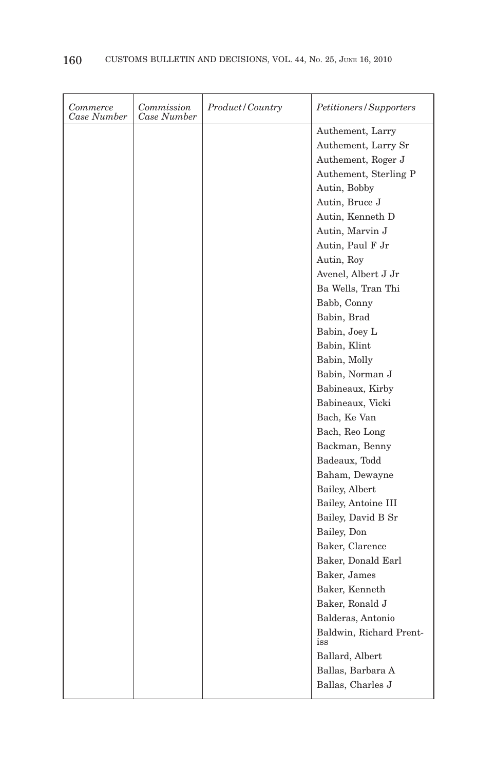| Commerce<br>Case Number | Commission<br>Case Number | Product/Country | Petitioners/Supporters  |
|-------------------------|---------------------------|-----------------|-------------------------|
|                         |                           |                 | Authement, Larry        |
|                         |                           |                 | Authement, Larry Sr     |
|                         |                           |                 | Authement, Roger J      |
|                         |                           |                 | Authement, Sterling P   |
|                         |                           |                 | Autin, Bobby            |
|                         |                           |                 | Autin, Bruce J          |
|                         |                           |                 | Autin, Kenneth D        |
|                         |                           |                 | Autin, Marvin J         |
|                         |                           |                 | Autin, Paul F Jr        |
|                         |                           |                 | Autin, Roy              |
|                         |                           |                 | Avenel, Albert J Jr     |
|                         |                           |                 | Ba Wells, Tran Thi      |
|                         |                           |                 | Babb, Conny             |
|                         |                           |                 | Babin, Brad             |
|                         |                           |                 | Babin, Joey L           |
|                         |                           |                 | Babin, Klint            |
|                         |                           |                 | Babin, Molly            |
|                         |                           |                 | Babin, Norman J         |
|                         |                           |                 | Babineaux, Kirby        |
|                         |                           |                 | Babineaux, Vicki        |
|                         |                           |                 | Bach, Ke Van            |
|                         |                           |                 | Bach, Reo Long          |
|                         |                           |                 | Backman, Benny          |
|                         |                           |                 | Badeaux, Todd           |
|                         |                           |                 | Baham, Dewayne          |
|                         |                           |                 | Bailey, Albert          |
|                         |                           |                 | Bailey, Antoine III     |
|                         |                           |                 | Bailey, David B Sr      |
|                         |                           |                 | Bailey, Don             |
|                         |                           |                 | Baker, Clarence         |
|                         |                           |                 | Baker, Donald Earl      |
|                         |                           |                 | Baker, James            |
|                         |                           |                 | Baker, Kenneth          |
|                         |                           |                 | Baker, Ronald J         |
|                         |                           |                 | Balderas, Antonio       |
|                         |                           |                 | Baldwin, Richard Prent- |
|                         |                           |                 | iss                     |
|                         |                           |                 | Ballard, Albert         |
|                         |                           |                 | Ballas, Barbara A       |
|                         |                           |                 | Ballas, Charles J       |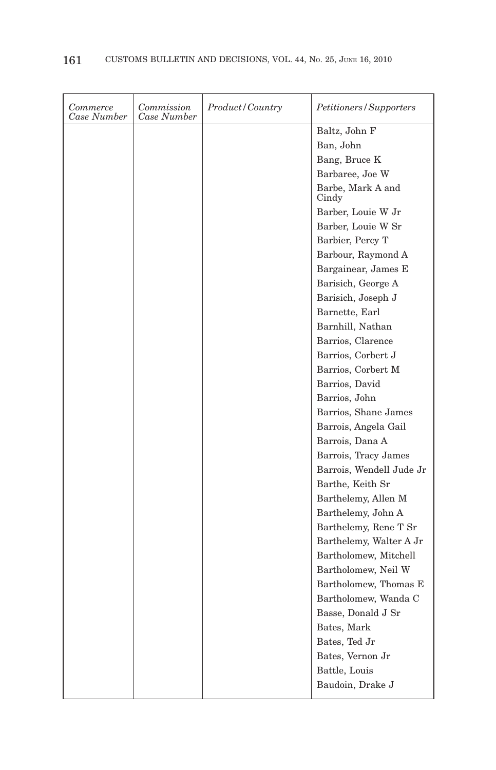| Commerce<br>Case Number | Commission<br>Case Number | Product / Country | Petitioners/Supporters     |
|-------------------------|---------------------------|-------------------|----------------------------|
|                         |                           |                   | Baltz, John F              |
|                         |                           |                   | Ban, John                  |
|                         |                           |                   | Bang, Bruce K              |
|                         |                           |                   | Barbaree, Joe W            |
|                         |                           |                   | Barbe, Mark A and<br>Cindy |
|                         |                           |                   | Barber, Louie W Jr         |
|                         |                           |                   | Barber, Louie W Sr         |
|                         |                           |                   | Barbier, Percy T           |
|                         |                           |                   | Barbour, Raymond A         |
|                         |                           |                   | Bargainear, James E        |
|                         |                           |                   | Barisich, George A         |
|                         |                           |                   | Barisich, Joseph J         |
|                         |                           |                   | Barnette, Earl             |
|                         |                           |                   | Barnhill, Nathan           |
|                         |                           |                   | Barrios, Clarence          |
|                         |                           |                   | Barrios, Corbert J         |
|                         |                           |                   | Barrios, Corbert M         |
|                         |                           |                   | Barrios, David             |
|                         |                           |                   | Barrios, John              |
|                         |                           |                   | Barrios, Shane James       |
|                         |                           |                   | Barrois, Angela Gail       |
|                         |                           |                   | Barrois, Dana A            |
|                         |                           |                   | Barrois, Tracy James       |
|                         |                           |                   | Barrois, Wendell Jude Jr   |
|                         |                           |                   | Barthe, Keith Sr           |
|                         |                           |                   | Barthelemy, Allen M        |
|                         |                           |                   | Barthelemy, John A         |
|                         |                           |                   | Barthelemy, Rene T Sr      |
|                         |                           |                   | Barthelemy, Walter A Jr    |
|                         |                           |                   | Bartholomew, Mitchell      |
|                         |                           |                   | Bartholomew, Neil W        |
|                         |                           |                   | Bartholomew, Thomas E      |
|                         |                           |                   | Bartholomew, Wanda C       |
|                         |                           |                   | Basse, Donald J Sr         |
|                         |                           |                   | Bates, Mark                |
|                         |                           |                   | Bates, Ted Jr              |
|                         |                           |                   | Bates, Vernon Jr           |
|                         |                           |                   | Battle, Louis              |
|                         |                           |                   | Baudoin, Drake J           |
|                         |                           |                   |                            |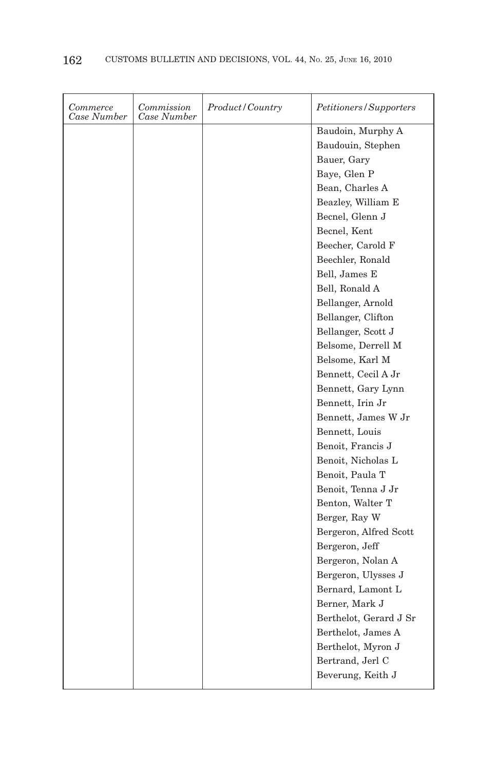| Commerce<br>Case Number | Commission<br>Case Number | Product/Country | <i>Petitioners/Supporters</i> |
|-------------------------|---------------------------|-----------------|-------------------------------|
|                         |                           |                 | Baudoin, Murphy A             |
|                         |                           |                 | Baudouin, Stephen             |
|                         |                           |                 | Bauer, Gary                   |
|                         |                           |                 | Baye, Glen P                  |
|                         |                           |                 | Bean, Charles A               |
|                         |                           |                 | Beazley, William E            |
|                         |                           |                 | Becnel, Glenn J               |
|                         |                           |                 | Becnel, Kent                  |
|                         |                           |                 | Beecher, Carold F             |
|                         |                           |                 | Beechler, Ronald              |
|                         |                           |                 | Bell, James E                 |
|                         |                           |                 | Bell, Ronald A                |
|                         |                           |                 | Bellanger, Arnold             |
|                         |                           |                 | Bellanger, Clifton            |
|                         |                           |                 | Bellanger, Scott J            |
|                         |                           |                 | Belsome, Derrell M            |
|                         |                           |                 | Belsome, Karl M               |
|                         |                           |                 | Bennett, Cecil A Jr           |
|                         |                           |                 | Bennett, Gary Lynn            |
|                         |                           |                 | Bennett, Irin Jr              |
|                         |                           |                 | Bennett, James W Jr           |
|                         |                           |                 | Bennett, Louis                |
|                         |                           |                 | Benoit, Francis J             |
|                         |                           |                 | Benoit, Nicholas L            |
|                         |                           |                 | Benoit, Paula T               |
|                         |                           |                 | Benoit, Tenna J Jr            |
|                         |                           |                 | Benton, Walter T              |
|                         |                           |                 | Berger, Ray W                 |
|                         |                           |                 | Bergeron, Alfred Scott        |
|                         |                           |                 | Bergeron, Jeff                |
|                         |                           |                 | Bergeron, Nolan A             |
|                         |                           |                 | Bergeron, Ulysses J           |
|                         |                           |                 | Bernard, Lamont L             |
|                         |                           |                 | Berner, Mark J                |
|                         |                           |                 | Berthelot, Gerard J Sr        |
|                         |                           |                 | Berthelot, James A            |
|                         |                           |                 | Berthelot, Myron J            |
|                         |                           |                 | Bertrand, Jerl C              |
|                         |                           |                 | Beverung, Keith J             |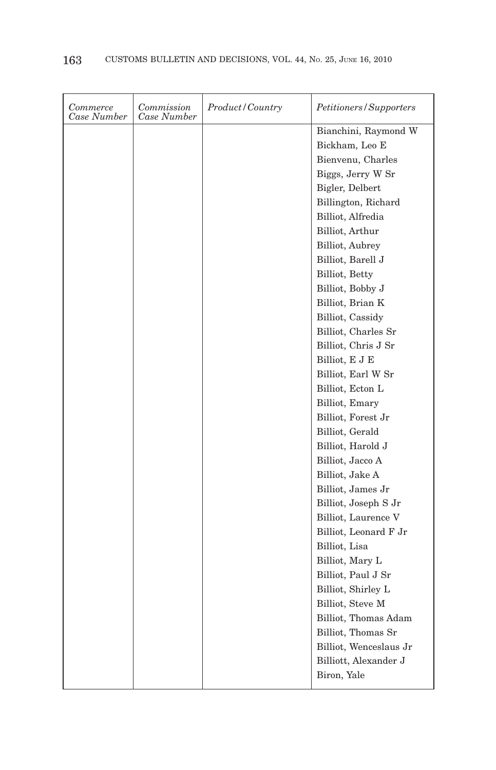| Commerce<br>Case Number | Commission<br>Case Number | Product/Country | <i>Petitioners/Supporters</i> |
|-------------------------|---------------------------|-----------------|-------------------------------|
|                         |                           |                 | Bianchini, Raymond W          |
|                         |                           |                 | Bickham, Leo E                |
|                         |                           |                 | Bienvenu, Charles             |
|                         |                           |                 | Biggs, Jerry W Sr             |
|                         |                           |                 | Bigler, Delbert               |
|                         |                           |                 | Billington, Richard           |
|                         |                           |                 | Billiot, Alfredia             |
|                         |                           |                 | Billiot, Arthur               |
|                         |                           |                 | Billiot, Aubrey               |
|                         |                           |                 | Billiot, Barell J             |
|                         |                           |                 | Billiot, Betty                |
|                         |                           |                 | Billiot, Bobby J              |
|                         |                           |                 | Billiot, Brian K              |
|                         |                           |                 | Billiot, Cassidy              |
|                         |                           |                 | Billiot, Charles Sr           |
|                         |                           |                 | Billiot, Chris J Sr           |
|                         |                           |                 | Billiot, E J E                |
|                         |                           |                 | Billiot, Earl W Sr            |
|                         |                           |                 | Billiot, Ecton L              |
|                         |                           |                 | Billiot, Emary                |
|                         |                           |                 | Billiot, Forest Jr            |
|                         |                           |                 | Billiot, Gerald               |
|                         |                           |                 | Billiot, Harold J             |
|                         |                           |                 | Billiot, Jacco A              |
|                         |                           |                 | Billiot, Jake A               |
|                         |                           |                 | Billiot, James Jr             |
|                         |                           |                 | Billiot, Joseph S Jr          |
|                         |                           |                 | Billiot, Laurence V           |
|                         |                           |                 | Billiot, Leonard F Jr         |
|                         |                           |                 | Billiot, Lisa                 |
|                         |                           |                 | Billiot, Mary L               |
|                         |                           |                 | Billiot, Paul J Sr            |
|                         |                           |                 | Billiot, Shirley L            |
|                         |                           |                 | Billiot, Steve M              |
|                         |                           |                 | Billiot, Thomas Adam          |
|                         |                           |                 | Billiot, Thomas Sr            |
|                         |                           |                 | Billiot, Wenceslaus Jr        |
|                         |                           |                 | Billiott, Alexander J         |
|                         |                           |                 | Biron, Yale                   |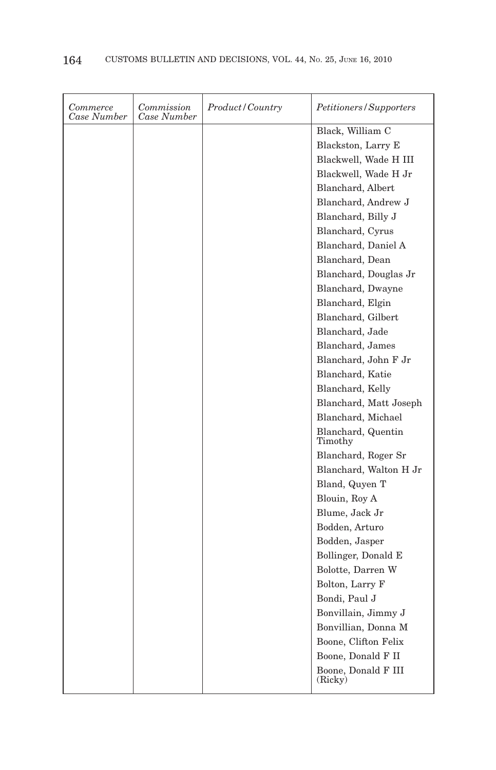| Commerce<br>Case Number | Commission<br>Case Number | Product/Country | <i>Petitioners/Supporters</i>  |
|-------------------------|---------------------------|-----------------|--------------------------------|
|                         |                           |                 | Black, William C               |
|                         |                           |                 | Blackston, Larry E             |
|                         |                           |                 | Blackwell, Wade H III          |
|                         |                           |                 | Blackwell, Wade H Jr           |
|                         |                           |                 | Blanchard, Albert              |
|                         |                           |                 | Blanchard, Andrew J            |
|                         |                           |                 | Blanchard, Billy J             |
|                         |                           |                 | Blanchard, Cyrus               |
|                         |                           |                 | Blanchard, Daniel A            |
|                         |                           |                 | Blanchard, Dean                |
|                         |                           |                 | Blanchard, Douglas Jr          |
|                         |                           |                 | Blanchard, Dwayne              |
|                         |                           |                 | Blanchard, Elgin               |
|                         |                           |                 | Blanchard, Gilbert             |
|                         |                           |                 | Blanchard, Jade                |
|                         |                           |                 | Blanchard, James               |
|                         |                           |                 | Blanchard, John F Jr           |
|                         |                           |                 | Blanchard, Katie               |
|                         |                           |                 | Blanchard, Kelly               |
|                         |                           |                 | Blanchard, Matt Joseph         |
|                         |                           |                 | Blanchard, Michael             |
|                         |                           |                 | Blanchard, Quentin<br>Timothy  |
|                         |                           |                 | Blanchard, Roger Sr            |
|                         |                           |                 | Blanchard, Walton H Jr         |
|                         |                           |                 | Bland, Quyen T                 |
|                         |                           |                 | Blouin, Roy A                  |
|                         |                           |                 | Blume, Jack Jr                 |
|                         |                           |                 | Bodden, Arturo                 |
|                         |                           |                 | Bodden, Jasper                 |
|                         |                           |                 | Bollinger, Donald E            |
|                         |                           |                 | Bolotte, Darren W              |
|                         |                           |                 | Bolton, Larry F                |
|                         |                           |                 | Bondi, Paul J                  |
|                         |                           |                 | Bonvillain, Jimmy J            |
|                         |                           |                 | Bonvillian, Donna M            |
|                         |                           |                 | Boone, Clifton Felix           |
|                         |                           |                 | Boone, Donald F II             |
|                         |                           |                 | Boone, Donald F III<br>(Ricky) |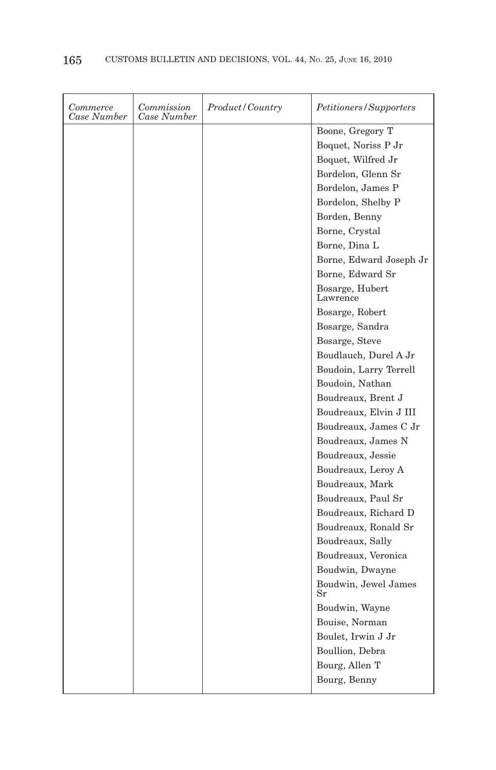| Commerce<br>Case Number | Commission<br>Case Number | Product/Country | <i>Petitioners/Supporters</i> |
|-------------------------|---------------------------|-----------------|-------------------------------|
|                         |                           |                 | Boone, Gregory T              |
|                         |                           |                 | Boquet, Noriss P Jr           |
|                         |                           |                 | Boquet, Wilfred Jr            |
|                         |                           |                 | Bordelon, Glenn Sr            |
|                         |                           |                 | Bordelon, James P             |
|                         |                           |                 | Bordelon, Shelby P            |
|                         |                           |                 | Borden, Benny                 |
|                         |                           |                 | Borne, Crystal                |
|                         |                           |                 | Borne, Dina L                 |
|                         |                           |                 | Borne, Edward Joseph Jr       |
|                         |                           |                 | Borne, Edward Sr              |
|                         |                           |                 | Bosarge, Hubert<br>Lawrence   |
|                         |                           |                 | Bosarge, Robert               |
|                         |                           |                 | Bosarge, Sandra               |
|                         |                           |                 | Bosarge, Steve                |
|                         |                           |                 | Boudlauch, Durel A Jr         |
|                         |                           |                 | Boudoin, Larry Terrell        |
|                         |                           |                 | Boudoin, Nathan               |
|                         |                           |                 | Boudreaux, Brent J            |
|                         |                           |                 | Boudreaux, Elvin J III        |
|                         |                           |                 | Boudreaux, James C Jr         |
|                         |                           |                 | Boudreaux, James N            |
|                         |                           |                 | Boudreaux, Jessie             |
|                         |                           |                 | Boudreaux, Leroy A            |
|                         |                           |                 | Boudreaux, Mark               |
|                         |                           |                 | Boudreaux, Paul Sr            |
|                         |                           |                 | Boudreaux, Richard D          |
|                         |                           |                 | Boudreaux, Ronald Sr          |
|                         |                           |                 | Boudreaux, Sally              |
|                         |                           |                 | Boudreaux, Veronica           |
|                         |                           |                 | Boudwin, Dwayne               |
|                         |                           |                 | Boudwin, Jewel James<br>Sr    |
|                         |                           |                 | Boudwin, Wayne                |
|                         |                           |                 | Bouise, Norman                |
|                         |                           |                 | Boulet, Irwin J Jr            |
|                         |                           |                 | Boullion, Debra               |
|                         |                           |                 | Bourg, Allen T                |
|                         |                           |                 | Bourg, Benny                  |
|                         |                           |                 |                               |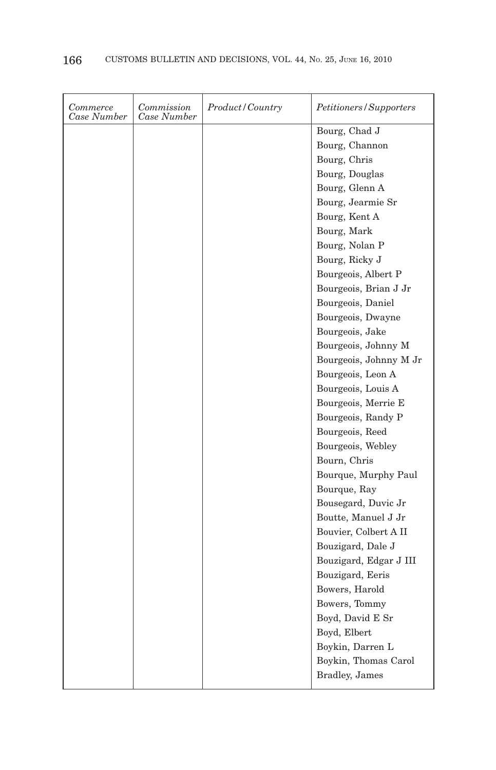| Commerce<br>Case Number | Commission<br>Case Number | Product / Country | Petitioners/Supporters |
|-------------------------|---------------------------|-------------------|------------------------|
|                         |                           |                   | Bourg, Chad J          |
|                         |                           |                   | Bourg, Channon         |
|                         |                           |                   | Bourg, Chris           |
|                         |                           |                   | Bourg, Douglas         |
|                         |                           |                   | Bourg, Glenn A         |
|                         |                           |                   | Bourg, Jearmie Sr      |
|                         |                           |                   | Bourg, Kent A          |
|                         |                           |                   | Bourg, Mark            |
|                         |                           |                   | Bourg, Nolan P         |
|                         |                           |                   | Bourg, Ricky J         |
|                         |                           |                   | Bourgeois, Albert P    |
|                         |                           |                   | Bourgeois, Brian J Jr  |
|                         |                           |                   | Bourgeois, Daniel      |
|                         |                           |                   | Bourgeois, Dwayne      |
|                         |                           |                   | Bourgeois, Jake        |
|                         |                           |                   | Bourgeois, Johnny M    |
|                         |                           |                   | Bourgeois, Johnny M Jr |
|                         |                           |                   | Bourgeois, Leon A      |
|                         |                           |                   | Bourgeois, Louis A     |
|                         |                           |                   | Bourgeois, Merrie E    |
|                         |                           |                   | Bourgeois, Randy P     |
|                         |                           |                   | Bourgeois, Reed        |
|                         |                           |                   | Bourgeois, Webley      |
|                         |                           |                   | Bourn, Chris           |
|                         |                           |                   | Bourque, Murphy Paul   |
|                         |                           |                   | Bourque, Ray           |
|                         |                           |                   | Bousegard, Duvic Jr    |
|                         |                           |                   | Boutte, Manuel J Jr    |
|                         |                           |                   | Bouvier, Colbert A II  |
|                         |                           |                   | Bouzigard, Dale J      |
|                         |                           |                   | Bouzigard, Edgar J III |
|                         |                           |                   | Bouzigard, Eeris       |
|                         |                           |                   | Bowers, Harold         |
|                         |                           |                   | Bowers, Tommy          |
|                         |                           |                   | Boyd, David E Sr       |
|                         |                           |                   | Boyd, Elbert           |
|                         |                           |                   | Boykin, Darren L       |
|                         |                           |                   | Boykin, Thomas Carol   |
|                         |                           |                   | <b>Bradley</b> , James |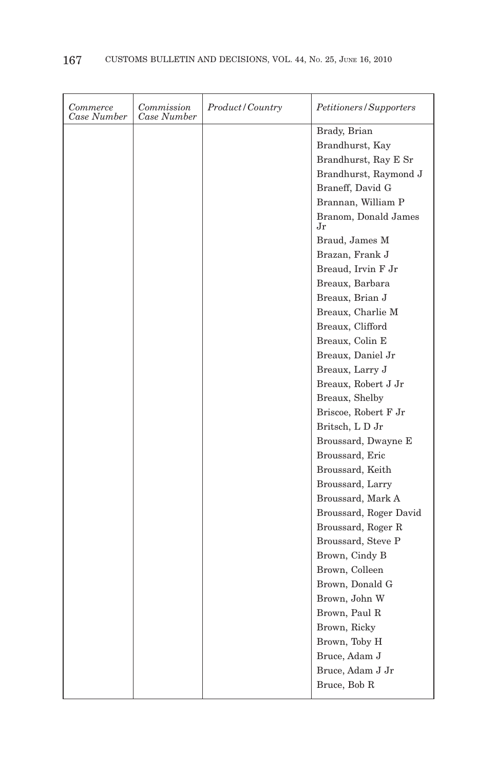| Commerce<br>Case Number | Commission<br>Case Number | Product/Country | Petitioners/Supporters     |
|-------------------------|---------------------------|-----------------|----------------------------|
|                         |                           |                 | Brady, Brian               |
|                         |                           |                 | Brandhurst, Kay            |
|                         |                           |                 | Brandhurst, Ray E Sr       |
|                         |                           |                 | Brandhurst, Raymond J      |
|                         |                           |                 | Braneff, David G           |
|                         |                           |                 | Brannan, William P         |
|                         |                           |                 | Branom, Donald James<br>Jr |
|                         |                           |                 | Braud, James M             |
|                         |                           |                 | Brazan, Frank J            |
|                         |                           |                 | Breaud, Irvin F Jr         |
|                         |                           |                 | Breaux, Barbara            |
|                         |                           |                 | Breaux, Brian J            |
|                         |                           |                 | Breaux, Charlie M          |
|                         |                           |                 | Breaux, Clifford           |
|                         |                           |                 | Breaux, Colin E            |
|                         |                           |                 | Breaux, Daniel Jr          |
|                         |                           |                 | Breaux, Larry J            |
|                         |                           |                 | Breaux, Robert J Jr        |
|                         |                           |                 | Breaux, Shelby             |
|                         |                           |                 | Briscoe, Robert F Jr       |
|                         |                           |                 | Britsch, LD Jr             |
|                         |                           |                 | Broussard, Dwayne E        |
|                         |                           |                 | Broussard, Eric            |
|                         |                           |                 | Broussard, Keith           |
|                         |                           |                 | Broussard, Larry           |
|                         |                           |                 | Broussard, Mark A          |
|                         |                           |                 | Broussard, Roger David     |
|                         |                           |                 | Broussard, Roger R         |
|                         |                           |                 | Broussard, Steve P         |
|                         |                           |                 | Brown, Cindy B             |
|                         |                           |                 | Brown, Colleen             |
|                         |                           |                 | Brown, Donald G            |
|                         |                           |                 | Brown, John W              |
|                         |                           |                 | Brown, Paul R              |
|                         |                           |                 | Brown, Ricky               |
|                         |                           |                 | Brown, Toby H              |
|                         |                           |                 | Bruce, Adam J              |
|                         |                           |                 | Bruce, Adam J Jr           |
|                         |                           |                 | Bruce, Bob R               |
|                         |                           |                 |                            |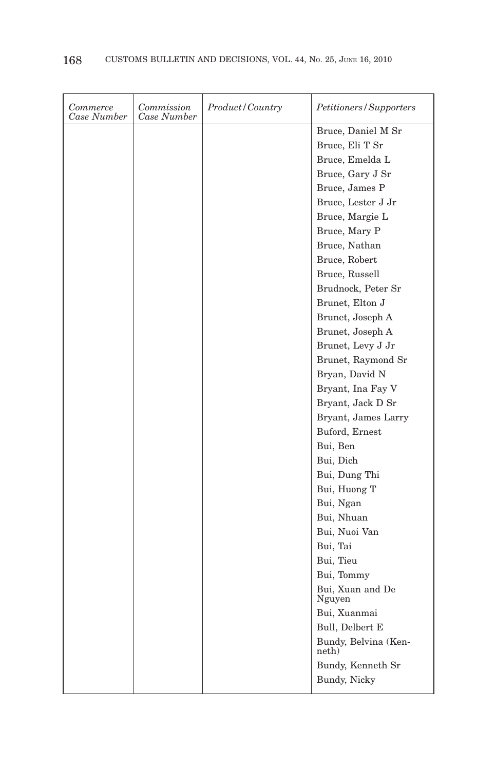| Commerce<br>Case Number | Commission<br>Case Number | Product/Country | Petitioners/Supporters        |
|-------------------------|---------------------------|-----------------|-------------------------------|
|                         |                           |                 | Bruce, Daniel M Sr            |
|                         |                           |                 | Bruce, Eli T Sr               |
|                         |                           |                 | Bruce, Emelda L               |
|                         |                           |                 | Bruce, Gary J Sr              |
|                         |                           |                 | Bruce, James P                |
|                         |                           |                 | Bruce, Lester J Jr            |
|                         |                           |                 | Bruce, Margie L               |
|                         |                           |                 | Bruce, Mary P                 |
|                         |                           |                 | Bruce, Nathan                 |
|                         |                           |                 | Bruce, Robert                 |
|                         |                           |                 | Bruce, Russell                |
|                         |                           |                 | Brudnock, Peter Sr            |
|                         |                           |                 | Brunet, Elton J               |
|                         |                           |                 | Brunet, Joseph A              |
|                         |                           |                 | Brunet, Joseph A              |
|                         |                           |                 | Brunet, Levy J Jr             |
|                         |                           |                 | Brunet, Raymond Sr            |
|                         |                           |                 | Bryan, David N                |
|                         |                           |                 | Bryant, Ina Fay V             |
|                         |                           |                 | Bryant, Jack D Sr             |
|                         |                           |                 | Bryant, James Larry           |
|                         |                           |                 | Buford, Ernest                |
|                         |                           |                 | Bui, Ben                      |
|                         |                           |                 | Bui, Dich                     |
|                         |                           |                 | Bui, Dung Thi                 |
|                         |                           |                 | Bui, Huong T                  |
|                         |                           |                 | Bui, Ngan                     |
|                         |                           |                 | Bui, Nhuan                    |
|                         |                           |                 | Bui, Nuoi Van                 |
|                         |                           |                 | Bui, Tai                      |
|                         |                           |                 | Bui, Tieu                     |
|                         |                           |                 | Bui, Tommy                    |
|                         |                           |                 | Bui, Xuan and De<br>Nguyen    |
|                         |                           |                 | Bui, Xuanmai                  |
|                         |                           |                 | Bull, Delbert E               |
|                         |                           |                 | Bundy, Belvina (Ken-<br>neth) |
|                         |                           |                 | Bundy, Kenneth Sr             |
|                         |                           |                 | Bundy, Nicky                  |
|                         |                           |                 |                               |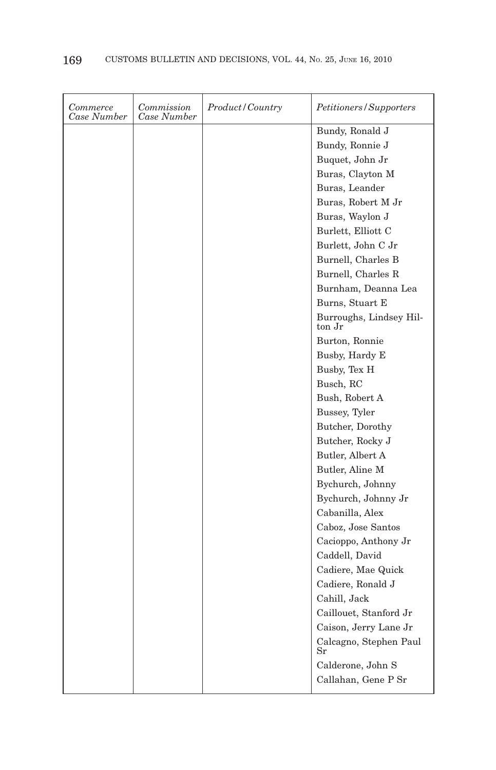| Commerce<br>Case Number | Commission<br>Case Number | Product/Country | <i>Petitioners/Supporters</i>     |
|-------------------------|---------------------------|-----------------|-----------------------------------|
|                         |                           |                 | Bundy, Ronald J                   |
|                         |                           |                 | Bundy, Ronnie J                   |
|                         |                           |                 | Buquet, John Jr                   |
|                         |                           |                 | Buras, Clayton M                  |
|                         |                           |                 | Buras, Leander                    |
|                         |                           |                 | Buras, Robert M Jr                |
|                         |                           |                 | Buras, Waylon J                   |
|                         |                           |                 | Burlett, Elliott C                |
|                         |                           |                 | Burlett, John C Jr                |
|                         |                           |                 | Burnell, Charles B                |
|                         |                           |                 | Burnell, Charles R                |
|                         |                           |                 | Burnham, Deanna Lea               |
|                         |                           |                 | Burns, Stuart E                   |
|                         |                           |                 | Burroughs, Lindsey Hil-<br>ton Jr |
|                         |                           |                 | Burton, Ronnie                    |
|                         |                           |                 | Busby, Hardy E                    |
|                         |                           |                 | Busby, Tex H                      |
|                         |                           |                 | Busch, RC                         |
|                         |                           |                 | Bush, Robert A                    |
|                         |                           |                 | Bussey, Tyler                     |
|                         |                           |                 | Butcher, Dorothy                  |
|                         |                           |                 | Butcher, Rocky J                  |
|                         |                           |                 | Butler, Albert A                  |
|                         |                           |                 | Butler, Aline M                   |
|                         |                           |                 | Bychurch, Johnny                  |
|                         |                           |                 | Bychurch, Johnny Jr               |
|                         |                           |                 | Cabanilla, Alex                   |
|                         |                           |                 | Caboz, Jose Santos                |
|                         |                           |                 | Cacioppo, Anthony Jr              |
|                         |                           |                 | Caddell, David                    |
|                         |                           |                 | Cadiere, Mae Quick                |
|                         |                           |                 | Cadiere, Ronald J                 |
|                         |                           |                 | Cahill, Jack                      |
|                         |                           |                 | Caillouet, Stanford Jr            |
|                         |                           |                 | Caison, Jerry Lane Jr             |
|                         |                           |                 | Calcagno, Stephen Paul<br>Sr      |
|                         |                           |                 | Calderone, John S                 |
|                         |                           |                 | Callahan, Gene P Sr               |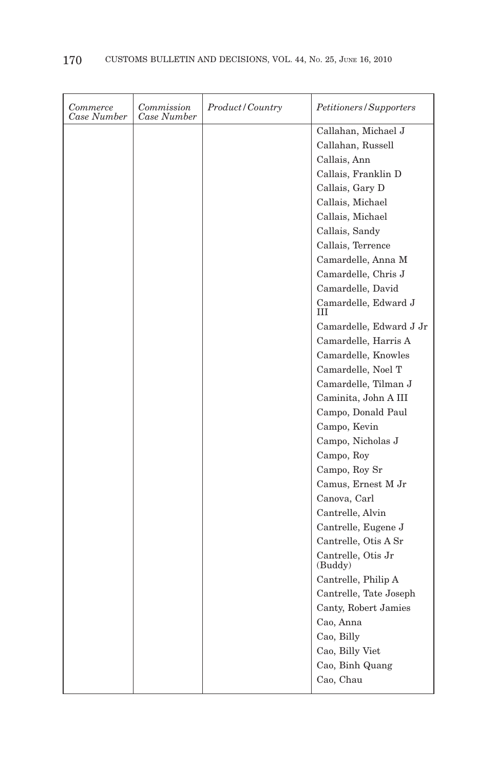| Commerce<br>Case Number | Commission<br>Case Number | Product / Country | <i>Petitioners/Supporters</i> |
|-------------------------|---------------------------|-------------------|-------------------------------|
|                         |                           |                   | Callahan, Michael J           |
|                         |                           |                   | Callahan, Russell             |
|                         |                           |                   | Callais, Ann                  |
|                         |                           |                   | Callais, Franklin D           |
|                         |                           |                   | Callais, Gary D               |
|                         |                           |                   | Callais, Michael              |
|                         |                           |                   | Callais, Michael              |
|                         |                           |                   | Callais, Sandy                |
|                         |                           |                   | Callais, Terrence             |
|                         |                           |                   | Camardelle, Anna M            |
|                         |                           |                   | Camardelle, Chris J           |
|                         |                           |                   | Camardelle, David             |
|                         |                           |                   | Camardelle, Edward J<br>Ш     |
|                         |                           |                   | Camardelle, Edward J Jr       |
|                         |                           |                   | Camardelle, Harris A          |
|                         |                           |                   | Camardelle, Knowles           |
|                         |                           |                   | Camardelle, Noel T            |
|                         |                           |                   | Camardelle, Tilman J          |
|                         |                           |                   | Caminita, John A III          |
|                         |                           |                   | Campo, Donald Paul            |
|                         |                           |                   | Campo, Kevin                  |
|                         |                           |                   | Campo, Nicholas J             |
|                         |                           |                   | Campo, Roy                    |
|                         |                           |                   | Campo, Roy Sr                 |
|                         |                           |                   | Camus, Ernest M Jr            |
|                         |                           |                   | Canova, Carl                  |
|                         |                           |                   | Cantrelle, Alvin              |
|                         |                           |                   | Cantrelle, Eugene J           |
|                         |                           |                   | Cantrelle, Otis A Sr          |
|                         |                           |                   | Cantrelle, Otis Jr<br>(Buddy) |
|                         |                           |                   | Cantrelle, Philip A           |
|                         |                           |                   | Cantrelle, Tate Joseph        |
|                         |                           |                   | Canty, Robert Jamies          |
|                         |                           |                   | Cao, Anna                     |
|                         |                           |                   | Cao, Billy                    |
|                         |                           |                   | Cao, Billy Viet               |
|                         |                           |                   | Cao, Binh Quang               |
|                         |                           |                   | Cao, Chau                     |
|                         |                           |                   |                               |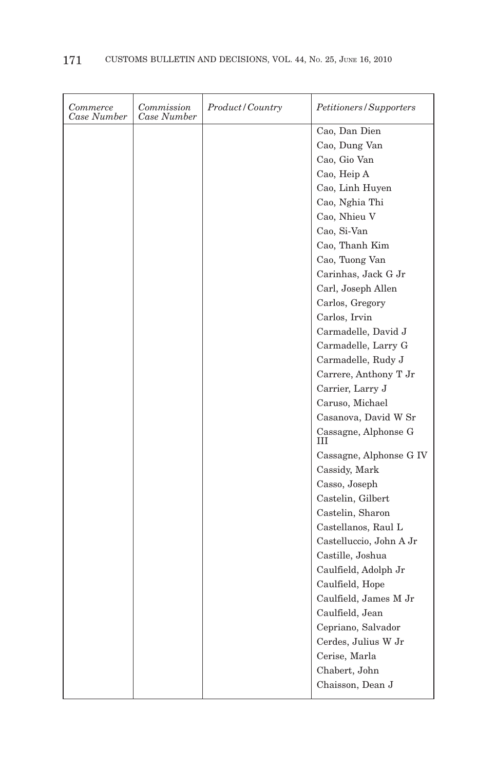| Commerce<br>Case Number | Commission<br>Case Number | Product / Country | Petitioners/Supporters    |
|-------------------------|---------------------------|-------------------|---------------------------|
|                         |                           |                   | Cao, Dan Dien             |
|                         |                           |                   | Cao, Dung Van             |
|                         |                           |                   | Cao, Gio Van              |
|                         |                           |                   | Cao, Heip A               |
|                         |                           |                   | Cao, Linh Huyen           |
|                         |                           |                   | Cao, Nghia Thi            |
|                         |                           |                   | Cao, Nhieu V              |
|                         |                           |                   | Cao, Si-Van               |
|                         |                           |                   | Cao, Thanh Kim            |
|                         |                           |                   | Cao, Tuong Van            |
|                         |                           |                   | Carinhas, Jack G Jr       |
|                         |                           |                   | Carl, Joseph Allen        |
|                         |                           |                   | Carlos, Gregory           |
|                         |                           |                   | Carlos, Irvin             |
|                         |                           |                   | Carmadelle, David J       |
|                         |                           |                   | Carmadelle, Larry G       |
|                         |                           |                   | Carmadelle, Rudy J        |
|                         |                           |                   | Carrere, Anthony T Jr     |
|                         |                           |                   | Carrier, Larry J          |
|                         |                           |                   | Caruso, Michael           |
|                         |                           |                   | Casanova, David W Sr      |
|                         |                           |                   | Cassagne, Alphonse G<br>Ш |
|                         |                           |                   | Cassagne, Alphonse G IV   |
|                         |                           |                   | Cassidy, Mark             |
|                         |                           |                   | Casso, Joseph             |
|                         |                           |                   | Castelin, Gilbert         |
|                         |                           |                   | Castelin, Sharon          |
|                         |                           |                   | Castellanos, Raul L       |
|                         |                           |                   | Castelluccio, John A Jr   |
|                         |                           |                   | Castille, Joshua          |
|                         |                           |                   | Caulfield, Adolph Jr      |
|                         |                           |                   | Caulfield, Hope           |
|                         |                           |                   | Caulfield, James M Jr     |
|                         |                           |                   | Caulfield, Jean           |
|                         |                           |                   | Cepriano, Salvador        |
|                         |                           |                   | Cerdes, Julius W Jr       |
|                         |                           |                   | Cerise, Marla             |
|                         |                           |                   | Chabert, John             |
|                         |                           |                   | Chaisson, Dean J          |
|                         |                           |                   |                           |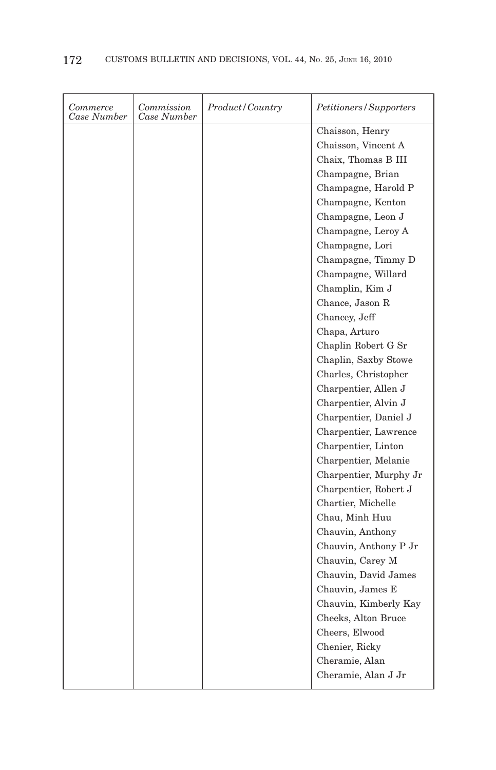| Chaisson, Henry<br>Chaisson, Vincent A<br>Chaix, Thomas B III |
|---------------------------------------------------------------|
|                                                               |
|                                                               |
|                                                               |
| Champagne, Brian                                              |
| Champagne, Harold P                                           |
| Champagne, Kenton                                             |
| Champagne, Leon J                                             |
| Champagne, Leroy A                                            |
| Champagne, Lori                                               |
| Champagne, Timmy D                                            |
| Champagne, Willard                                            |
| Champlin, Kim J                                               |
| Chance, Jason R                                               |
| Chancey, Jeff                                                 |
| Chapa, Arturo                                                 |
| Chaplin Robert G Sr                                           |
| Chaplin, Saxby Stowe                                          |
| Charles, Christopher                                          |
| Charpentier, Allen J                                          |
| Charpentier, Alvin J                                          |
| Charpentier, Daniel J                                         |
| Charpentier, Lawrence                                         |
| Charpentier, Linton                                           |
| Charpentier, Melanie                                          |
| Charpentier, Murphy Jr                                        |
| Charpentier, Robert J                                         |
| Chartier, Michelle                                            |
| Chau, Minh Huu                                                |
| Chauvin, Anthony                                              |
| Chauvin, Anthony P Jr                                         |
| Chauvin, Carey M                                              |
| Chauvin, David James                                          |
| Chauvin, James E                                              |
| Chauvin, Kimberly Kay                                         |
| Cheeks, Alton Bruce                                           |
| Cheers, Elwood                                                |
| Chenier, Ricky                                                |
| Cheramie, Alan                                                |
| Cheramie, Alan J Jr                                           |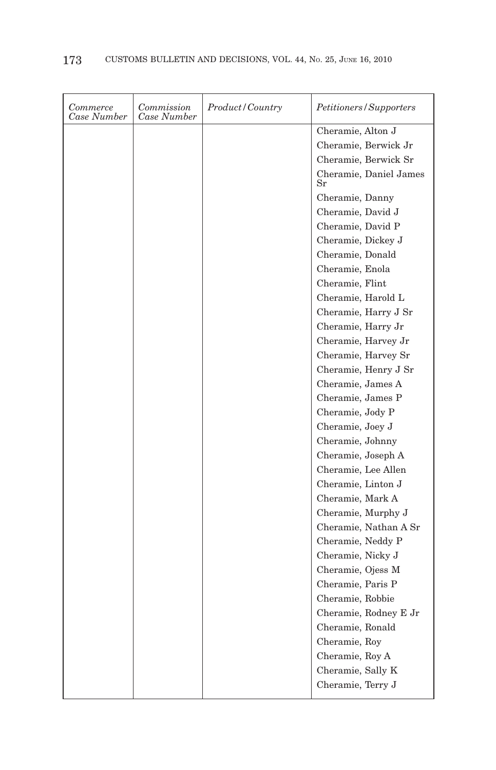| Commerce<br>Case Number | Commission<br>Case Number | Product/Country | Petitioners/Supporters                |
|-------------------------|---------------------------|-----------------|---------------------------------------|
|                         |                           |                 | Cheramie, Alton J                     |
|                         |                           |                 | Cheramie, Berwick Jr                  |
|                         |                           |                 | Cheramie, Berwick Sr                  |
|                         |                           |                 | Cheramie, Daniel James<br>$_{\rm Sr}$ |
|                         |                           |                 | Cheramie, Danny                       |
|                         |                           |                 | Cheramie, David J                     |
|                         |                           |                 | Cheramie, David P                     |
|                         |                           |                 | Cheramie, Dickey J                    |
|                         |                           |                 | Cheramie, Donald                      |
|                         |                           |                 | Cheramie, Enola                       |
|                         |                           |                 | Cheramie, Flint                       |
|                         |                           |                 | Cheramie, Harold L                    |
|                         |                           |                 | Cheramie, Harry J Sr                  |
|                         |                           |                 | Cheramie, Harry Jr                    |
|                         |                           |                 | Cheramie, Harvey Jr                   |
|                         |                           |                 | Cheramie, Harvey Sr                   |
|                         |                           |                 | Cheramie, Henry J Sr                  |
|                         |                           |                 | Cheramie, James A                     |
|                         |                           |                 | Cheramie, James P                     |
|                         |                           |                 | Cheramie, Jody P                      |
|                         |                           |                 | Cheramie, Joey J                      |
|                         |                           |                 | Cheramie, Johnny                      |
|                         |                           |                 | Cheramie, Joseph A                    |
|                         |                           |                 | Cheramie, Lee Allen                   |
|                         |                           |                 | Cheramie, Linton J                    |
|                         |                           |                 | Cheramie, Mark A                      |
|                         |                           |                 | Cheramie, Murphy J                    |
|                         |                           |                 | Cheramie, Nathan A Sr                 |
|                         |                           |                 | Cheramie, Neddy P                     |
|                         |                           |                 | Cheramie, Nicky J                     |
|                         |                           |                 | Cheramie, Ojess M                     |
|                         |                           |                 | Cheramie, Paris P                     |
|                         |                           |                 | Cheramie, Robbie                      |
|                         |                           |                 | Cheramie, Rodney E Jr                 |
|                         |                           |                 | Cheramie, Ronald                      |
|                         |                           |                 | Cheramie, Roy                         |
|                         |                           |                 | Cheramie, Roy A                       |
|                         |                           |                 | Cheramie, Sally K                     |
|                         |                           |                 | Cheramie, Terry J                     |
|                         |                           |                 |                                       |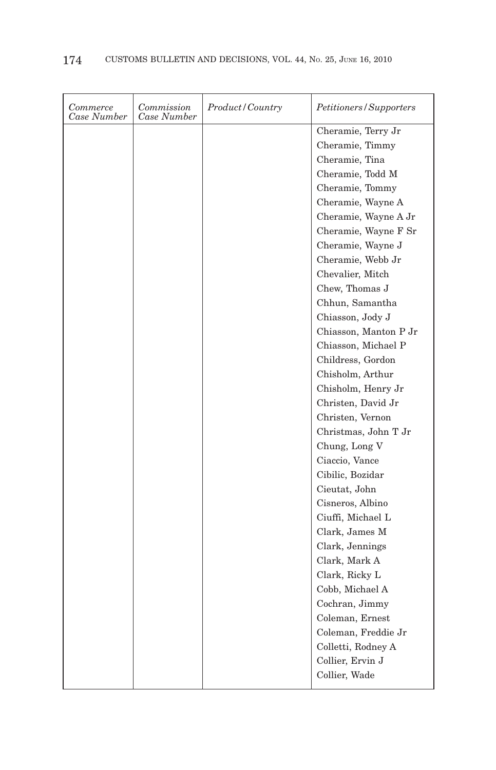| Commerce<br>Case Number | Commission<br>Case Number | Product/Country | <i>Petitioners/Supporters</i> |
|-------------------------|---------------------------|-----------------|-------------------------------|
|                         |                           |                 | Cheramie, Terry Jr            |
|                         |                           |                 | Cheramie, Timmy               |
|                         |                           |                 | Cheramie, Tina                |
|                         |                           |                 | Cheramie, Todd M              |
|                         |                           |                 | Cheramie, Tommy               |
|                         |                           |                 | Cheramie, Wayne A             |
|                         |                           |                 | Cheramie, Wayne A Jr          |
|                         |                           |                 | Cheramie, Wayne F Sr          |
|                         |                           |                 | Cheramie, Wayne J             |
|                         |                           |                 | Cheramie, Webb Jr             |
|                         |                           |                 | Chevalier, Mitch              |
|                         |                           |                 | Chew, Thomas J                |
|                         |                           |                 | Chhun, Samantha               |
|                         |                           |                 | Chiasson, Jody J              |
|                         |                           |                 | Chiasson, Manton P Jr         |
|                         |                           |                 | Chiasson, Michael P           |
|                         |                           |                 | Childress, Gordon             |
|                         |                           |                 | Chisholm, Arthur              |
|                         |                           |                 | Chisholm, Henry Jr            |
|                         |                           |                 | Christen, David Jr            |
|                         |                           |                 | Christen, Vernon              |
|                         |                           |                 | Christmas, John T Jr          |
|                         |                           |                 | Chung, Long V                 |
|                         |                           |                 | Ciaccio, Vance                |
|                         |                           |                 | Cibilic, Bozidar              |
|                         |                           |                 | Cieutat, John                 |
|                         |                           |                 | Cisneros, Albino              |
|                         |                           |                 | Ciuffi, Michael L             |
|                         |                           |                 | Clark, James M                |
|                         |                           |                 | Clark, Jennings               |
|                         |                           |                 | Clark, Mark A                 |
|                         |                           |                 | Clark, Ricky L                |
|                         |                           |                 | Cobb, Michael A               |
|                         |                           |                 | Cochran, Jimmy                |
|                         |                           |                 | Coleman, Ernest               |
|                         |                           |                 | Coleman, Freddie Jr           |
|                         |                           |                 | Colletti, Rodney A            |
|                         |                           |                 | Collier, Ervin J              |
|                         |                           |                 | Collier, Wade                 |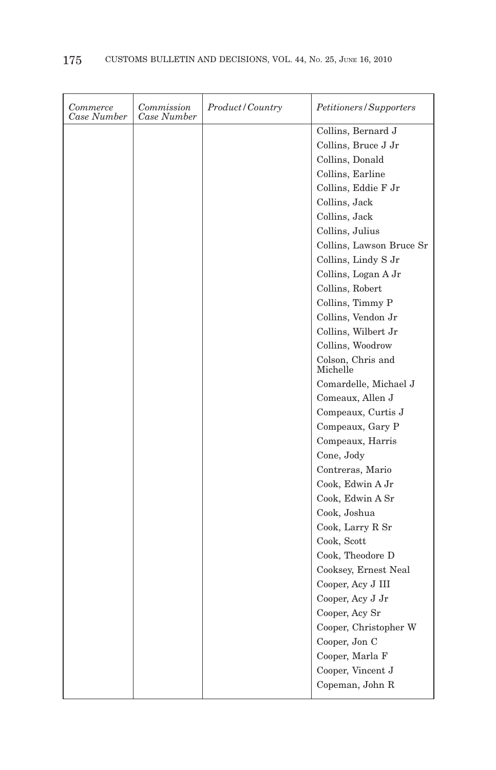| Commerce<br>Case Number | Commission<br>Case Number | Product / Country | Petitioners/Supporters        |
|-------------------------|---------------------------|-------------------|-------------------------------|
|                         |                           |                   | Collins, Bernard J            |
|                         |                           |                   | Collins, Bruce J Jr           |
|                         |                           |                   | Collins, Donald               |
|                         |                           |                   | Collins, Earline              |
|                         |                           |                   | Collins, Eddie F Jr           |
|                         |                           |                   | Collins, Jack                 |
|                         |                           |                   | Collins, Jack                 |
|                         |                           |                   | Collins, Julius               |
|                         |                           |                   | Collins, Lawson Bruce Sr      |
|                         |                           |                   | Collins, Lindy S Jr           |
|                         |                           |                   | Collins, Logan A Jr           |
|                         |                           |                   | Collins, Robert               |
|                         |                           |                   | Collins, Timmy P              |
|                         |                           |                   | Collins, Vendon Jr            |
|                         |                           |                   | Collins, Wilbert Jr           |
|                         |                           |                   | Collins, Woodrow              |
|                         |                           |                   | Colson, Chris and<br>Michelle |
|                         |                           |                   | Comardelle, Michael J         |
|                         |                           |                   | Comeaux, Allen J              |
|                         |                           |                   | Compeaux, Curtis J            |
|                         |                           |                   | Compeaux, Gary P              |
|                         |                           |                   | Compeaux, Harris              |
|                         |                           |                   | Cone, Jody                    |
|                         |                           |                   | Contreras, Mario              |
|                         |                           |                   | Cook, Edwin A Jr              |
|                         |                           |                   | Cook, Edwin A Sr              |
|                         |                           |                   | Cook, Joshua                  |
|                         |                           |                   | Cook, Larry R Sr              |
|                         |                           |                   | Cook, Scott                   |
|                         |                           |                   | Cook, Theodore D              |
|                         |                           |                   | Cooksey, Ernest Neal          |
|                         |                           |                   | Cooper, Acy J III             |
|                         |                           |                   | Cooper, Acy J Jr              |
|                         |                           |                   | Cooper, Acy Sr                |
|                         |                           |                   | Cooper, Christopher W         |
|                         |                           |                   | Cooper, Jon C                 |
|                         |                           |                   | Cooper, Marla F               |
|                         |                           |                   | Cooper, Vincent J             |
|                         |                           |                   | Copeman, John R               |
|                         |                           |                   |                               |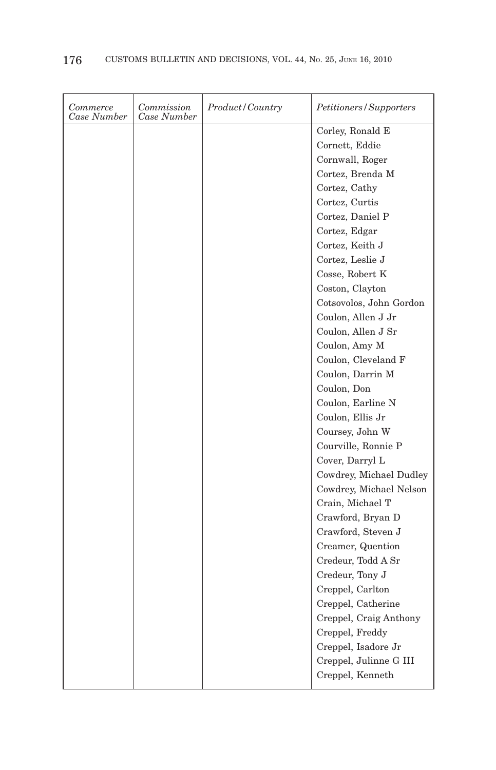| Commerce<br>Case Number | Commission<br>Case Number | Product/Country | <i>Petitioners/Supporters</i> |
|-------------------------|---------------------------|-----------------|-------------------------------|
|                         |                           |                 | Corley, Ronald E              |
|                         |                           |                 | Cornett, Eddie                |
|                         |                           |                 | Cornwall, Roger               |
|                         |                           |                 | Cortez, Brenda M              |
|                         |                           |                 | Cortez, Cathy                 |
|                         |                           |                 | Cortez, Curtis                |
|                         |                           |                 | Cortez, Daniel P              |
|                         |                           |                 | Cortez, Edgar                 |
|                         |                           |                 | Cortez, Keith J               |
|                         |                           |                 | Cortez, Leslie J              |
|                         |                           |                 | Cosse, Robert K               |
|                         |                           |                 | Coston, Clayton               |
|                         |                           |                 | Cotsovolos, John Gordon       |
|                         |                           |                 | Coulon, Allen J Jr            |
|                         |                           |                 | Coulon, Allen J Sr            |
|                         |                           |                 | Coulon, Amy M                 |
|                         |                           |                 | Coulon, Cleveland F           |
|                         |                           |                 | Coulon, Darrin M              |
|                         |                           |                 | Coulon, Don                   |
|                         |                           |                 | Coulon, Earline N             |
|                         |                           |                 | Coulon, Ellis Jr              |
|                         |                           |                 | Coursey, John W               |
|                         |                           |                 | Courville, Ronnie P           |
|                         |                           |                 | Cover, Darryl L               |
|                         |                           |                 | Cowdrey, Michael Dudley       |
|                         |                           |                 | Cowdrey, Michael Nelson       |
|                         |                           |                 | Crain, Michael T              |
|                         |                           |                 | Crawford, Bryan D             |
|                         |                           |                 | Crawford, Steven J            |
|                         |                           |                 | Creamer, Quention             |
|                         |                           |                 | Credeur, Todd A Sr            |
|                         |                           |                 | Credeur, Tony J               |
|                         |                           |                 | Creppel, Carlton              |
|                         |                           |                 | Creppel, Catherine            |
|                         |                           |                 | Creppel, Craig Anthony        |
|                         |                           |                 | Creppel, Freddy               |
|                         |                           |                 | Creppel, Isadore Jr           |
|                         |                           |                 | Creppel, Julinne G III        |
|                         |                           |                 | Creppel, Kenneth              |
|                         |                           |                 |                               |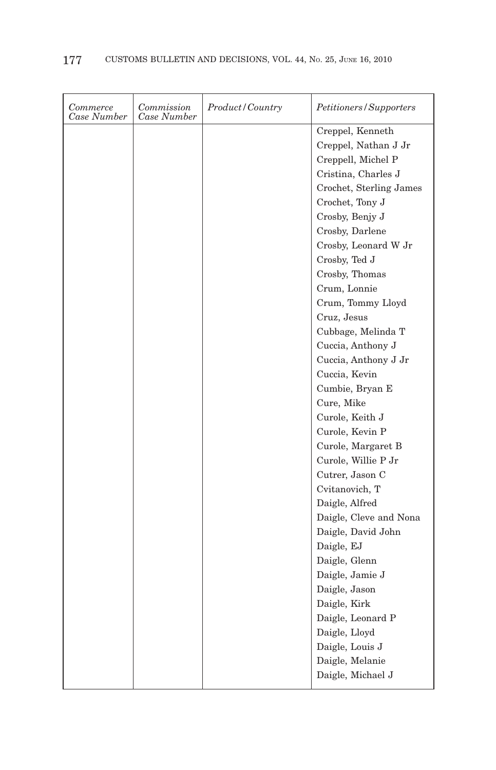| Commerce<br>Case Number | Commission<br>Case Number | Product/Country | <i>Petitioners/Supporters</i> |
|-------------------------|---------------------------|-----------------|-------------------------------|
|                         |                           |                 | Creppel, Kenneth              |
|                         |                           |                 | Creppel, Nathan J Jr          |
|                         |                           |                 | Creppell, Michel P            |
|                         |                           |                 | Cristina, Charles J           |
|                         |                           |                 | Crochet, Sterling James       |
|                         |                           |                 | Crochet, Tony J               |
|                         |                           |                 | Crosby, Benjy J               |
|                         |                           |                 | Crosby, Darlene               |
|                         |                           |                 | Crosby, Leonard W Jr          |
|                         |                           |                 | Crosby, Ted J                 |
|                         |                           |                 | Crosby, Thomas                |
|                         |                           |                 | Crum, Lonnie                  |
|                         |                           |                 | Crum, Tommy Lloyd             |
|                         |                           |                 | Cruz, Jesus                   |
|                         |                           |                 | Cubbage, Melinda T            |
|                         |                           |                 | Cuccia, Anthony J             |
|                         |                           |                 | Cuccia, Anthony J Jr          |
|                         |                           |                 | Cuccia, Kevin                 |
|                         |                           |                 | Cumbie, Bryan E               |
|                         |                           |                 | Cure, Mike                    |
|                         |                           |                 | Curole, Keith J               |
|                         |                           |                 | Curole, Kevin P               |
|                         |                           |                 | Curole, Margaret B            |
|                         |                           |                 | Curole, Willie P Jr           |
|                         |                           |                 | Cutrer, Jason C               |
|                         |                           |                 | Cvitanovich, T                |
|                         |                           |                 | Daigle, Alfred                |
|                         |                           |                 | Daigle, Cleve and Nona        |
|                         |                           |                 | Daigle, David John            |
|                         |                           |                 | Daigle, EJ                    |
|                         |                           |                 | Daigle, Glenn                 |
|                         |                           |                 | Daigle, Jamie J               |
|                         |                           |                 | Daigle, Jason                 |
|                         |                           |                 | Daigle, Kirk                  |
|                         |                           |                 | Daigle, Leonard P             |
|                         |                           |                 | Daigle, Lloyd                 |
|                         |                           |                 | Daigle, Louis J               |
|                         |                           |                 | Daigle, Melanie               |
|                         |                           |                 | Daigle, Michael J             |
|                         |                           |                 |                               |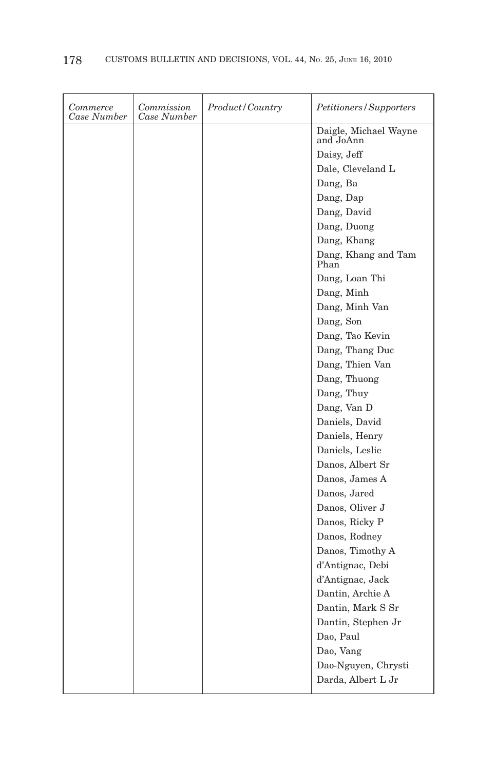| Commerce<br>Case Number | Commission<br>Case Number | Product / Country | <i>Petitioners/Supporters</i>      |
|-------------------------|---------------------------|-------------------|------------------------------------|
|                         |                           |                   | Daigle, Michael Wayne<br>and JoAnn |
|                         |                           |                   | Daisy, Jeff                        |
|                         |                           |                   | Dale, Cleveland L                  |
|                         |                           |                   | Dang, Ba                           |
|                         |                           |                   | Dang, Dap                          |
|                         |                           |                   | Dang, David                        |
|                         |                           |                   | Dang, Duong                        |
|                         |                           |                   | Dang, Khang                        |
|                         |                           |                   | Dang, Khang and Tam<br>Phan        |
|                         |                           |                   | Dang, Loan Thi                     |
|                         |                           |                   | Dang, Minh                         |
|                         |                           |                   | Dang, Minh Van                     |
|                         |                           |                   | Dang, Son                          |
|                         |                           |                   | Dang, Tao Kevin                    |
|                         |                           |                   | Dang, Thang Duc                    |
|                         |                           |                   | Dang, Thien Van                    |
|                         |                           |                   | Dang, Thuong                       |
|                         |                           |                   | Dang, Thuy                         |
|                         |                           |                   | Dang, Van D                        |
|                         |                           |                   | Daniels, David                     |
|                         |                           |                   | Daniels, Henry                     |
|                         |                           |                   | Daniels, Leslie                    |
|                         |                           |                   | Danos, Albert Sr                   |
|                         |                           |                   | Danos, James A                     |
|                         |                           |                   | Danos, Jared                       |
|                         |                           |                   | Danos, Oliver J                    |
|                         |                           |                   | Danos, Ricky P                     |
|                         |                           |                   | Danos, Rodney                      |
|                         |                           |                   | Danos, Timothy A                   |
|                         |                           |                   | d'Antignac, Debi                   |
|                         |                           |                   | d'Antignac, Jack                   |
|                         |                           |                   | Dantin, Archie A                   |
|                         |                           |                   | Dantin, Mark S Sr                  |
|                         |                           |                   | Dantin, Stephen Jr                 |
|                         |                           |                   | Dao, Paul                          |
|                         |                           |                   | Dao, Vang                          |
|                         |                           |                   | Dao-Nguyen, Chrysti                |
|                         |                           |                   | Darda, Albert L Jr                 |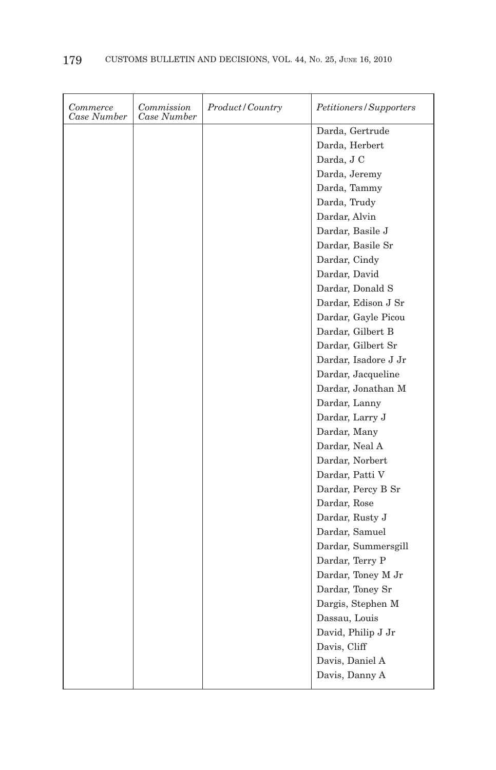| Commerce<br>Case Number | Commission<br>Case Number | Product/Country | Petitioners/Supporters |
|-------------------------|---------------------------|-----------------|------------------------|
|                         |                           |                 | Darda, Gertrude        |
|                         |                           |                 | Darda, Herbert         |
|                         |                           |                 | Darda, J C             |
|                         |                           |                 | Darda, Jeremy          |
|                         |                           |                 | Darda, Tammy           |
|                         |                           |                 | Darda, Trudy           |
|                         |                           |                 | Dardar, Alvin          |
|                         |                           |                 | Dardar, Basile J       |
|                         |                           |                 | Dardar, Basile Sr      |
|                         |                           |                 | Dardar, Cindy          |
|                         |                           |                 | Dardar, David          |
|                         |                           |                 | Dardar, Donald S       |
|                         |                           |                 | Dardar, Edison J Sr    |
|                         |                           |                 | Dardar, Gayle Picou    |
|                         |                           |                 | Dardar, Gilbert B      |
|                         |                           |                 | Dardar, Gilbert Sr     |
|                         |                           |                 | Dardar, Isadore J Jr   |
|                         |                           |                 | Dardar, Jacqueline     |
|                         |                           |                 | Dardar, Jonathan M     |
|                         |                           |                 | Dardar, Lanny          |
|                         |                           |                 | Dardar, Larry J        |
|                         |                           |                 | Dardar, Many           |
|                         |                           |                 | Dardar, Neal A         |
|                         |                           |                 | Dardar, Norbert        |
|                         |                           |                 | Dardar, Patti V        |
|                         |                           |                 | Dardar, Percy B Sr     |
|                         |                           |                 | Dardar, Rose           |
|                         |                           |                 | Dardar, Rusty J        |
|                         |                           |                 | Dardar, Samuel         |
|                         |                           |                 | Dardar, Summersgill    |
|                         |                           |                 | Dardar, Terry P        |
|                         |                           |                 | Dardar, Toney M Jr     |
|                         |                           |                 | Dardar, Toney Sr       |
|                         |                           |                 | Dargis, Stephen M      |
|                         |                           |                 | Dassau, Louis          |
|                         |                           |                 | David, Philip J Jr     |
|                         |                           |                 | Davis, Cliff           |
|                         |                           |                 | Davis, Daniel A        |
|                         |                           |                 | Davis, Danny A         |
|                         |                           |                 |                        |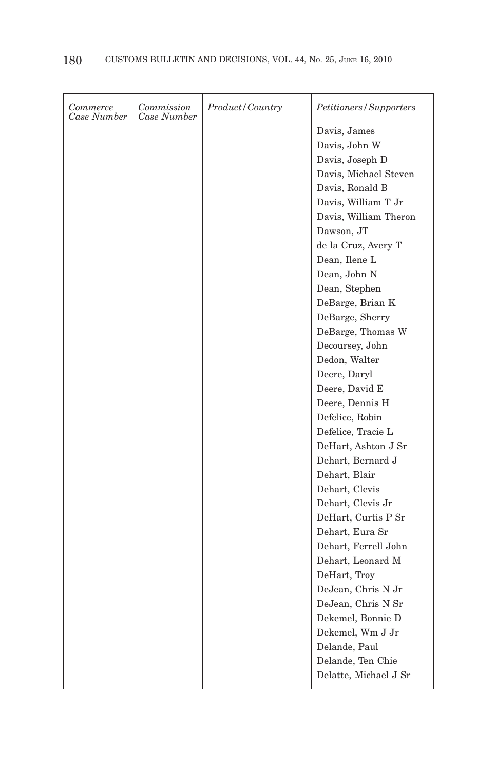| Commerce<br>Case Number | Commission<br>Case Number | Product/Country | <i>Petitioners/Supporters</i> |
|-------------------------|---------------------------|-----------------|-------------------------------|
|                         |                           |                 | Davis, James                  |
|                         |                           |                 | Davis, John W                 |
|                         |                           |                 | Davis, Joseph D               |
|                         |                           |                 | Davis, Michael Steven         |
|                         |                           |                 | Davis, Ronald B               |
|                         |                           |                 | Davis, William T Jr           |
|                         |                           |                 | Davis, William Theron         |
|                         |                           |                 | Dawson, JT                    |
|                         |                           |                 | de la Cruz, Avery T           |
|                         |                           |                 | Dean, Ilene L                 |
|                         |                           |                 | Dean, John N                  |
|                         |                           |                 | Dean, Stephen                 |
|                         |                           |                 | DeBarge, Brian K              |
|                         |                           |                 | DeBarge, Sherry               |
|                         |                           |                 | DeBarge, Thomas W             |
|                         |                           |                 | Decoursey, John               |
|                         |                           |                 | Dedon, Walter                 |
|                         |                           |                 | Deere, Daryl                  |
|                         |                           |                 | Deere, David E                |
|                         |                           |                 | Deere, Dennis H               |
|                         |                           |                 | Defelice, Robin               |
|                         |                           |                 | Defelice, Tracie L            |
|                         |                           |                 | DeHart, Ashton J Sr           |
|                         |                           |                 | Dehart, Bernard J             |
|                         |                           |                 | Dehart, Blair                 |
|                         |                           |                 | Dehart, Clevis                |
|                         |                           |                 | Dehart, Clevis Jr             |
|                         |                           |                 | DeHart, Curtis P Sr           |
|                         |                           |                 | Dehart, Eura Sr               |
|                         |                           |                 | Dehart, Ferrell John          |
|                         |                           |                 | Dehart, Leonard M             |
|                         |                           |                 | DeHart, Troy                  |
|                         |                           |                 | DeJean, Chris N Jr            |
|                         |                           |                 | DeJean, Chris N Sr            |
|                         |                           |                 | Dekemel, Bonnie D             |
|                         |                           |                 | Dekemel, Wm J Jr              |
|                         |                           |                 | Delande, Paul                 |
|                         |                           |                 | Delande, Ten Chie             |
|                         |                           |                 | Delatte, Michael J Sr         |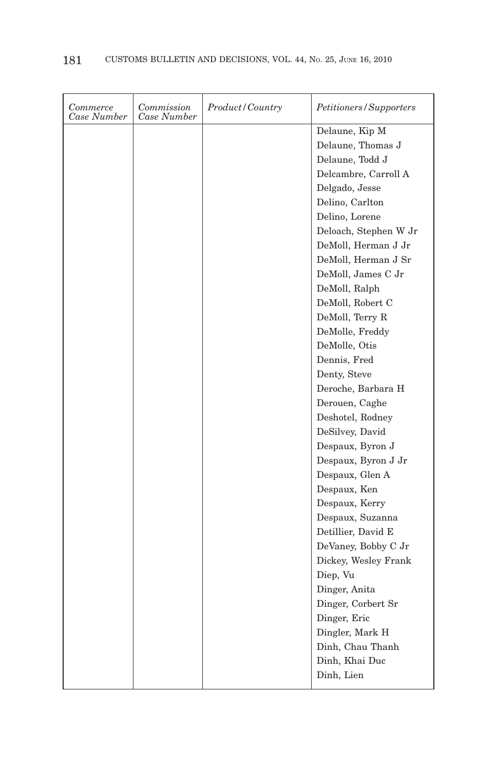| Delaune, Kip M<br>Delaune, Thomas J<br>Delaune, Todd J<br>Delcambre, Carroll A<br>Delgado, Jesse<br>Delino, Carlton<br>Delino, Lorene<br>Deloach, Stephen W Jr |
|----------------------------------------------------------------------------------------------------------------------------------------------------------------|
|                                                                                                                                                                |
|                                                                                                                                                                |
|                                                                                                                                                                |
|                                                                                                                                                                |
|                                                                                                                                                                |
|                                                                                                                                                                |
|                                                                                                                                                                |
|                                                                                                                                                                |
| DeMoll, Herman J Jr                                                                                                                                            |
| DeMoll, Herman J Sr                                                                                                                                            |
| DeMoll, James C Jr                                                                                                                                             |
| DeMoll, Ralph                                                                                                                                                  |
| DeMoll, Robert C                                                                                                                                               |
| DeMoll, Terry R                                                                                                                                                |
| DeMolle, Freddy                                                                                                                                                |
| DeMolle, Otis                                                                                                                                                  |
| Dennis, Fred                                                                                                                                                   |
| Denty, Steve                                                                                                                                                   |
| Deroche, Barbara H                                                                                                                                             |
| Derouen, Caghe                                                                                                                                                 |
| Deshotel, Rodney                                                                                                                                               |
| DeSilvey, David                                                                                                                                                |
| Despaux, Byron J                                                                                                                                               |
| Despaux, Byron J Jr                                                                                                                                            |
| Despaux, Glen A                                                                                                                                                |
| Despaux, Ken                                                                                                                                                   |
| Despaux, Kerry                                                                                                                                                 |
| Despaux, Suzanna                                                                                                                                               |
| Detillier, David E                                                                                                                                             |
| DeVaney, Bobby C Jr                                                                                                                                            |
| Dickey, Wesley Frank                                                                                                                                           |
| Diep, Vu                                                                                                                                                       |
| Dinger, Anita                                                                                                                                                  |
| Dinger, Corbert Sr                                                                                                                                             |
| Dinger, Eric                                                                                                                                                   |
| Dingler, Mark H                                                                                                                                                |
| Dinh, Chau Thanh                                                                                                                                               |
| Dinh, Khai Duc                                                                                                                                                 |
| Dinh, Lien                                                                                                                                                     |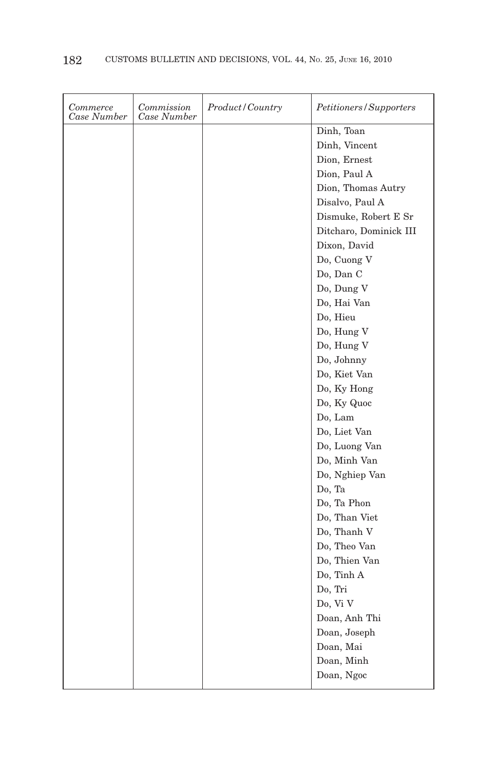| Commerce<br>Case Number | Commission<br>Case Number | <i>Product</i> / Country | Petitioners/Supporters |
|-------------------------|---------------------------|--------------------------|------------------------|
|                         |                           |                          | Dinh, Toan             |
|                         |                           |                          | Dinh, Vincent          |
|                         |                           |                          | Dion, Ernest           |
|                         |                           |                          | Dion, Paul A           |
|                         |                           |                          | Dion, Thomas Autry     |
|                         |                           |                          | Disalvo, Paul A        |
|                         |                           |                          | Dismuke, Robert E Sr   |
|                         |                           |                          | Ditcharo, Dominick III |
|                         |                           |                          | Dixon, David           |
|                         |                           |                          | Do, Cuong V            |
|                         |                           |                          | Do, Dan C              |
|                         |                           |                          | Do, Dung V             |
|                         |                           |                          | Do, Hai Van            |
|                         |                           |                          | Do, Hieu               |
|                         |                           |                          | Do, Hung V             |
|                         |                           |                          | Do, Hung V             |
|                         |                           |                          | Do, Johnny             |
|                         |                           |                          | Do, Kiet Van           |
|                         |                           |                          | Do, Ky Hong            |
|                         |                           |                          | Do, Ky Quoc            |
|                         |                           |                          | Do, Lam                |
|                         |                           |                          | Do, Liet Van           |
|                         |                           |                          | Do, Luong Van          |
|                         |                           |                          | Do, Minh Van           |
|                         |                           |                          | Do, Nghiep Van         |
|                         |                           |                          | Do, Ta                 |
|                         |                           |                          | Do, Ta Phon            |
|                         |                           |                          | Do, Than Viet          |
|                         |                           |                          | Do, Thanh V            |
|                         |                           |                          | Do, Theo Van           |
|                         |                           |                          | Do, Thien Van          |
|                         |                           |                          | Do, Tinh A             |
|                         |                           |                          | Do, Tri                |
|                         |                           |                          | Do, Vi V               |
|                         |                           |                          | Doan, Anh Thi          |
|                         |                           |                          | Doan, Joseph           |
|                         |                           |                          | Doan, Mai              |
|                         |                           |                          | Doan, Minh             |
|                         |                           |                          | Doan, Ngoc             |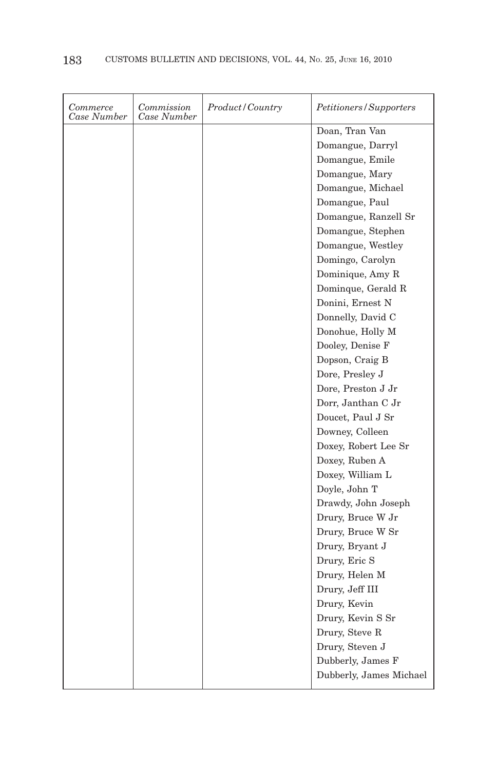| Commerce<br>Case Number | Commission<br>Case Number | Product / Country | Petitioners/Supporters  |
|-------------------------|---------------------------|-------------------|-------------------------|
|                         |                           |                   | Doan, Tran Van          |
|                         |                           |                   | Domangue, Darryl        |
|                         |                           |                   | Domangue, Emile         |
|                         |                           |                   | Domangue, Mary          |
|                         |                           |                   | Domangue, Michael       |
|                         |                           |                   | Domangue, Paul          |
|                         |                           |                   | Domangue, Ranzell Sr    |
|                         |                           |                   | Domangue, Stephen       |
|                         |                           |                   | Domangue, Westley       |
|                         |                           |                   | Domingo, Carolyn        |
|                         |                           |                   | Dominique, Amy R        |
|                         |                           |                   | Dominque, Gerald R      |
|                         |                           |                   | Donini, Ernest N        |
|                         |                           |                   | Donnelly, David C       |
|                         |                           |                   | Donohue, Holly M        |
|                         |                           |                   | Dooley, Denise F        |
|                         |                           |                   | Dopson, Craig B         |
|                         |                           |                   | Dore, Presley J         |
|                         |                           |                   | Dore, Preston J Jr      |
|                         |                           |                   | Dorr, Janthan C Jr      |
|                         |                           |                   | Doucet, Paul J Sr       |
|                         |                           |                   | Downey, Colleen         |
|                         |                           |                   | Doxey, Robert Lee Sr    |
|                         |                           |                   | Doxey, Ruben A          |
|                         |                           |                   | Doxey, William L        |
|                         |                           |                   | Doyle, John T           |
|                         |                           |                   | Drawdy, John Joseph     |
|                         |                           |                   | Drury, Bruce W Jr       |
|                         |                           |                   | Drury, Bruce W Sr       |
|                         |                           |                   | Drury, Bryant J         |
|                         |                           |                   | Drury, Eric S           |
|                         |                           |                   | Drury, Helen M          |
|                         |                           |                   | Drury, Jeff III         |
|                         |                           |                   | Drury, Kevin            |
|                         |                           |                   | Drury, Kevin S Sr       |
|                         |                           |                   | Drury, Steve R          |
|                         |                           |                   | Drury, Steven J         |
|                         |                           |                   | Dubberly, James F       |
|                         |                           |                   | Dubberly, James Michael |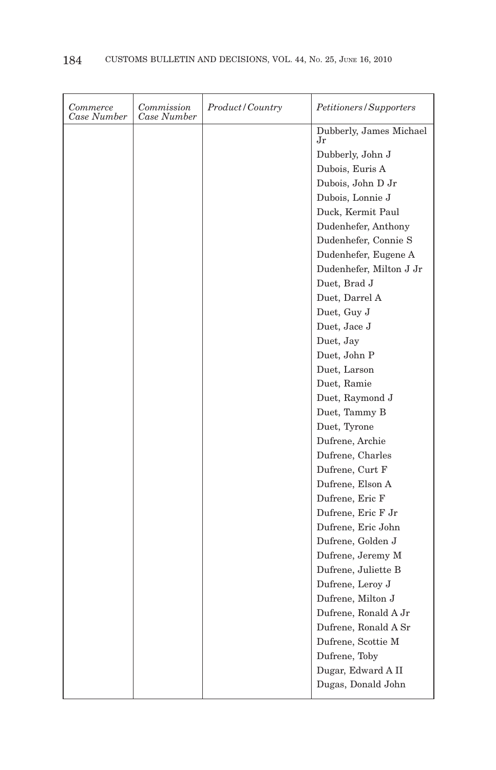| Commerce<br>Case Number | Commission<br>Case Number | Product/Country | Petitioners/Supporters        |
|-------------------------|---------------------------|-----------------|-------------------------------|
|                         |                           |                 | Dubberly, James Michael<br>Jr |
|                         |                           |                 | Dubberly, John J              |
|                         |                           |                 | Dubois, Euris A               |
|                         |                           |                 | Dubois, John D Jr             |
|                         |                           |                 | Dubois, Lonnie J              |
|                         |                           |                 | Duck, Kermit Paul             |
|                         |                           |                 | Dudenhefer, Anthony           |
|                         |                           |                 | Dudenhefer, Connie S          |
|                         |                           |                 | Dudenhefer, Eugene A          |
|                         |                           |                 | Dudenhefer, Milton J Jr       |
|                         |                           |                 | Duet, Brad J                  |
|                         |                           |                 | Duet, Darrel A                |
|                         |                           |                 | Duet, Guy J                   |
|                         |                           |                 | Duet, Jace J                  |
|                         |                           |                 | Duet, Jay                     |
|                         |                           |                 | Duet, John P                  |
|                         |                           |                 | Duet, Larson                  |
|                         |                           |                 | Duet, Ramie                   |
|                         |                           |                 | Duet, Raymond J               |
|                         |                           |                 | Duet, Tammy B                 |
|                         |                           |                 | Duet, Tyrone                  |
|                         |                           |                 | Dufrene, Archie               |
|                         |                           |                 | Dufrene, Charles              |
|                         |                           |                 | Dufrene, Curt F               |
|                         |                           |                 | Dufrene, Elson A              |
|                         |                           |                 | Dufrene, Eric F               |
|                         |                           |                 | Dufrene, Eric F Jr            |
|                         |                           |                 | Dufrene, Eric John            |
|                         |                           |                 | Dufrene, Golden J             |
|                         |                           |                 | Dufrene, Jeremy M             |
|                         |                           |                 | Dufrene, Juliette B           |
|                         |                           |                 | Dufrene, Leroy J              |
|                         |                           |                 | Dufrene, Milton J             |
|                         |                           |                 | Dufrene, Ronald A Jr          |
|                         |                           |                 | Dufrene, Ronald A Sr          |
|                         |                           |                 | Dufrene, Scottie M            |
|                         |                           |                 | Dufrene, Toby                 |
|                         |                           |                 | Dugar, Edward A II            |
|                         |                           |                 | Dugas, Donald John            |
|                         |                           |                 |                               |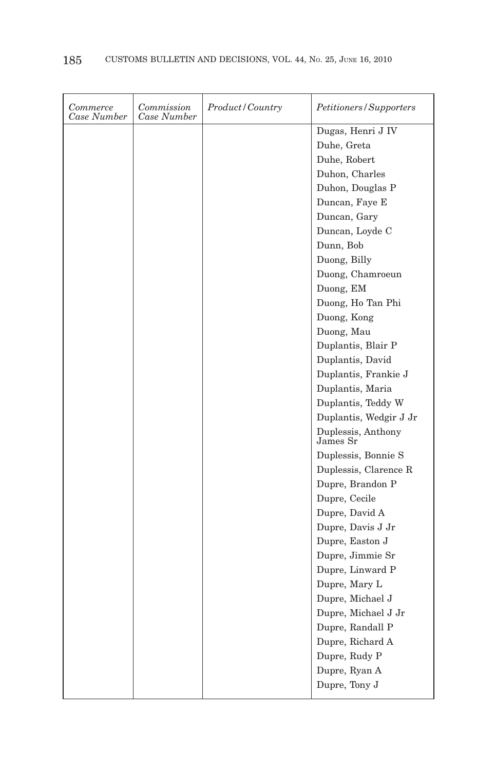| Commerce<br>Case Number | Commission<br>Case Number | Product/Country | Petitioners/Supporters         |
|-------------------------|---------------------------|-----------------|--------------------------------|
|                         |                           |                 | Dugas, Henri J IV              |
|                         |                           |                 | Duhe, Greta                    |
|                         |                           |                 | Duhe, Robert                   |
|                         |                           |                 | Duhon, Charles                 |
|                         |                           |                 | Duhon, Douglas P               |
|                         |                           |                 | Duncan, Faye E                 |
|                         |                           |                 | Duncan, Gary                   |
|                         |                           |                 | Duncan, Loyde C                |
|                         |                           |                 | Dunn, Bob                      |
|                         |                           |                 | Duong, Billy                   |
|                         |                           |                 | Duong, Chamroeun               |
|                         |                           |                 | Duong, EM                      |
|                         |                           |                 | Duong, Ho Tan Phi              |
|                         |                           |                 | Duong, Kong                    |
|                         |                           |                 | Duong, Mau                     |
|                         |                           |                 | Duplantis, Blair P             |
|                         |                           |                 | Duplantis, David               |
|                         |                           |                 | Duplantis, Frankie J           |
|                         |                           |                 | Duplantis, Maria               |
|                         |                           |                 | Duplantis, Teddy W             |
|                         |                           |                 | Duplantis, Wedgir J Jr         |
|                         |                           |                 | Duplessis, Anthony<br>James Sr |
|                         |                           |                 | Duplessis, Bonnie S            |
|                         |                           |                 | Duplessis, Clarence R          |
|                         |                           |                 | Dupre, Brandon P               |
|                         |                           |                 | Dupre, Cecile                  |
|                         |                           |                 | Dupre, David A                 |
|                         |                           |                 | Dupre, Davis J Jr              |
|                         |                           |                 | Dupre, Easton J                |
|                         |                           |                 | Dupre, Jimmie Sr               |
|                         |                           |                 | Dupre, Linward P               |
|                         |                           |                 | Dupre, Mary L                  |
|                         |                           |                 | Dupre, Michael J               |
|                         |                           |                 | Dupre, Michael J Jr            |
|                         |                           |                 | Dupre, Randall P               |
|                         |                           |                 | Dupre, Richard A               |
|                         |                           |                 | Dupre, Rudy P                  |
|                         |                           |                 | Dupre, Ryan A                  |
|                         |                           |                 | Dupre, Tony J                  |
|                         |                           |                 |                                |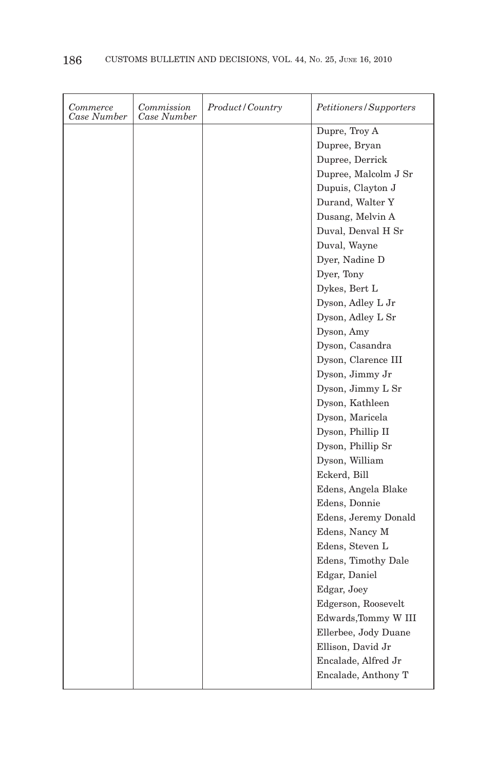| Commerce<br>Case Number | Commission<br>Case Number | Product/Country | <i>Petitioners/Supporters</i> |
|-------------------------|---------------------------|-----------------|-------------------------------|
|                         |                           |                 | Dupre, Troy A                 |
|                         |                           |                 | Dupree, Bryan                 |
|                         |                           |                 | Dupree, Derrick               |
|                         |                           |                 | Dupree, Malcolm J Sr          |
|                         |                           |                 | Dupuis, Clayton J             |
|                         |                           |                 | Durand, Walter Y              |
|                         |                           |                 | Dusang, Melvin A              |
|                         |                           |                 | Duval, Denval H Sr            |
|                         |                           |                 | Duval, Wayne                  |
|                         |                           |                 | Dyer, Nadine D                |
|                         |                           |                 | Dyer, Tony                    |
|                         |                           |                 | Dykes, Bert L                 |
|                         |                           |                 | Dyson, Adley L Jr             |
|                         |                           |                 | Dyson, Adley L Sr             |
|                         |                           |                 | Dyson, Amy                    |
|                         |                           |                 | Dyson, Casandra               |
|                         |                           |                 | Dyson, Clarence III           |
|                         |                           |                 | Dyson, Jimmy Jr               |
|                         |                           |                 | Dyson, Jimmy L Sr             |
|                         |                           |                 | Dyson, Kathleen               |
|                         |                           |                 | Dyson, Maricela               |
|                         |                           |                 | Dyson, Phillip II             |
|                         |                           |                 | Dyson, Phillip Sr             |
|                         |                           |                 | Dyson, William                |
|                         |                           |                 | Eckerd, Bill                  |
|                         |                           |                 | Edens, Angela Blake           |
|                         |                           |                 | Edens, Donnie                 |
|                         |                           |                 | Edens, Jeremy Donald          |
|                         |                           |                 | Edens, Nancy M                |
|                         |                           |                 | Edens, Steven L               |
|                         |                           |                 | Edens, Timothy Dale           |
|                         |                           |                 | Edgar, Daniel                 |
|                         |                           |                 | Edgar, Joey                   |
|                         |                           |                 | Edgerson, Roosevelt           |
|                         |                           |                 | Edwards, Tommy W III          |
|                         |                           |                 | Ellerbee, Jody Duane          |
|                         |                           |                 | Ellison, David Jr             |
|                         |                           |                 | Encalade, Alfred Jr           |
|                         |                           |                 | Encalade, Anthony T           |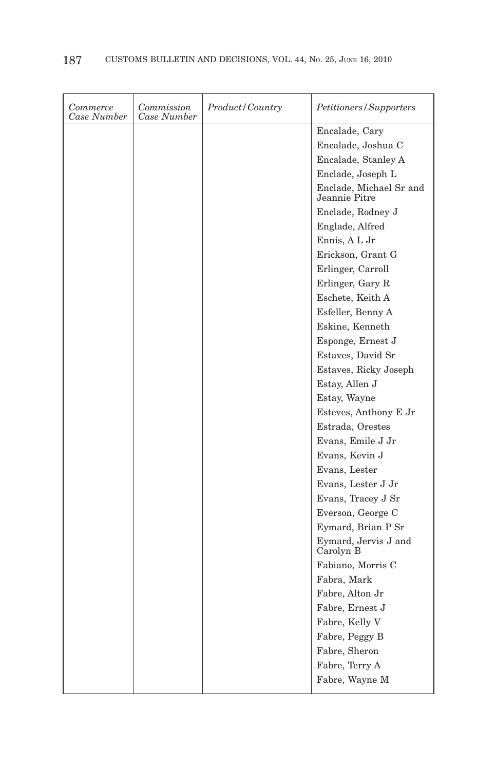| Commerce<br>Case Number | Commission<br>Case Number | <i>Product/Country</i> | Petitioners/Supporters                   |
|-------------------------|---------------------------|------------------------|------------------------------------------|
|                         |                           |                        | Encalade, Cary                           |
|                         |                           |                        | Encalade, Joshua C                       |
|                         |                           |                        | Encalade, Stanley A                      |
|                         |                           |                        | Enclade, Joseph L                        |
|                         |                           |                        | Enclade, Michael Sr and<br>Jeannie Pitre |
|                         |                           |                        | Enclade, Rodney J                        |
|                         |                           |                        | Englade, Alfred                          |
|                         |                           |                        | Ennis, A L Jr                            |
|                         |                           |                        | Erickson, Grant G                        |
|                         |                           |                        | Erlinger, Carroll                        |
|                         |                           |                        | Erlinger, Gary R                         |
|                         |                           |                        | Eschete, Keith A                         |
|                         |                           |                        | Esfeller, Benny A                        |
|                         |                           |                        | Eskine, Kenneth                          |
|                         |                           |                        | Esponge, Ernest J                        |
|                         |                           |                        | Estaves, David Sr                        |
|                         |                           |                        | Estaves, Ricky Joseph                    |
|                         |                           |                        | Estay, Allen J                           |
|                         |                           |                        | Estay, Wayne                             |
|                         |                           |                        | Esteves, Anthony E Jr                    |
|                         |                           |                        | Estrada, Orestes                         |
|                         |                           |                        | Evans, Emile J Jr                        |
|                         |                           |                        | Evans, Kevin J                           |
|                         |                           |                        | Evans, Lester                            |
|                         |                           |                        | Evans, Lester J Jr                       |
|                         |                           |                        | Evans, Tracey J Sr                       |
|                         |                           |                        | Everson, George C                        |
|                         |                           |                        | Eymard, Brian P Sr                       |
|                         |                           |                        | Eymard, Jervis J and<br>Carolyn B        |
|                         |                           |                        | Fabiano, Morris C                        |
|                         |                           |                        | Fabra, Mark                              |
|                         |                           |                        | Fabre, Alton Jr                          |
|                         |                           |                        | Fabre, Ernest J                          |
|                         |                           |                        | Fabre, Kelly V                           |
|                         |                           |                        | Fabre, Peggy B                           |
|                         |                           |                        | Fabre, Sheron                            |
|                         |                           |                        | Fabre, Terry A                           |
|                         |                           |                        | Fabre, Wayne M                           |
|                         |                           |                        |                                          |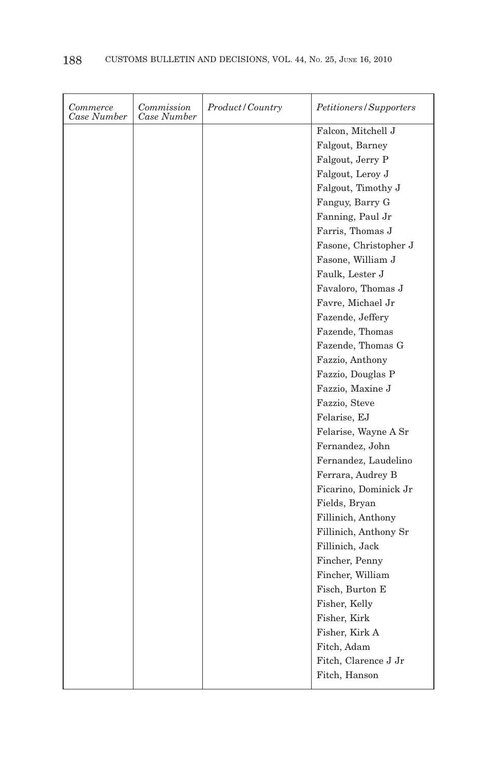| Commerce<br>Case Number | Commission<br>Case Number | Product/Country | <i>Petitioners/Supporters</i>         |
|-------------------------|---------------------------|-----------------|---------------------------------------|
|                         |                           |                 | Falcon, Mitchell J                    |
|                         |                           |                 | Falgout, Barney                       |
|                         |                           |                 | Falgout, Jerry P                      |
|                         |                           |                 | Falgout, Leroy J                      |
|                         |                           |                 | Falgout, Timothy J                    |
|                         |                           |                 | Fanguy, Barry G                       |
|                         |                           |                 | Fanning, Paul Jr                      |
|                         |                           |                 | Farris, Thomas J                      |
|                         |                           |                 | Fasone, Christopher J                 |
|                         |                           |                 | Fasone, William J                     |
|                         |                           |                 | Faulk, Lester J                       |
|                         |                           |                 | Favaloro, Thomas J                    |
|                         |                           |                 | Favre, Michael Jr                     |
|                         |                           |                 | Fazende, Jeffery                      |
|                         |                           |                 | Fazende, Thomas                       |
|                         |                           |                 | Fazende, Thomas G                     |
|                         |                           |                 |                                       |
|                         |                           |                 | Fazzio, Anthony                       |
|                         |                           |                 | Fazzio, Douglas P<br>Fazzio, Maxine J |
|                         |                           |                 |                                       |
|                         |                           |                 | Fazzio, Steve                         |
|                         |                           |                 | Felarise, EJ                          |
|                         |                           |                 | Felarise, Wayne A Sr                  |
|                         |                           |                 | Fernandez, John                       |
|                         |                           |                 | Fernandez, Laudelino                  |
|                         |                           |                 | Ferrara, Audrey B                     |
|                         |                           |                 | Ficarino, Dominick Jr                 |
|                         |                           |                 | Fields, Bryan                         |
|                         |                           |                 | Fillinich, Anthony                    |
|                         |                           |                 | Fillinich, Anthony Sr                 |
|                         |                           |                 | Fillinich, Jack                       |
|                         |                           |                 | Fincher, Penny                        |
|                         |                           |                 | Fincher, William                      |
|                         |                           |                 | Fisch, Burton E                       |
|                         |                           |                 | Fisher, Kelly                         |
|                         |                           |                 | Fisher, Kirk                          |
|                         |                           |                 | Fisher, Kirk A                        |
|                         |                           |                 | Fitch, Adam                           |
|                         |                           |                 | Fitch, Clarence J Jr                  |
|                         |                           |                 | Fitch, Hanson                         |
|                         |                           |                 |                                       |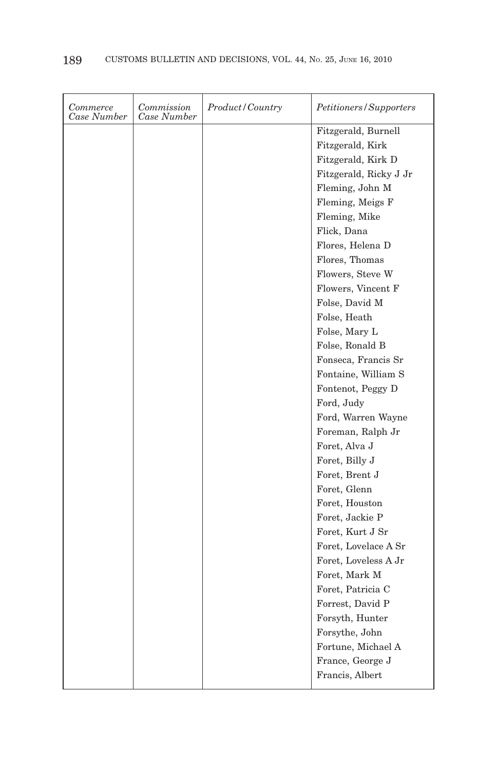| Commerce<br>Case Number | Commission<br>Case Number | Product/Country | Petitioners/Supporters |
|-------------------------|---------------------------|-----------------|------------------------|
|                         |                           |                 | Fitzgerald, Burnell    |
|                         |                           |                 | Fitzgerald, Kirk       |
|                         |                           |                 | Fitzgerald, Kirk D     |
|                         |                           |                 | Fitzgerald, Ricky J Jr |
|                         |                           |                 | Fleming, John M        |
|                         |                           |                 | Fleming, Meigs F       |
|                         |                           |                 | Fleming, Mike          |
|                         |                           |                 | Flick, Dana            |
|                         |                           |                 | Flores, Helena D       |
|                         |                           |                 | Flores, Thomas         |
|                         |                           |                 | Flowers, Steve W       |
|                         |                           |                 | Flowers, Vincent F     |
|                         |                           |                 | Folse, David M         |
|                         |                           |                 | Folse, Heath           |
|                         |                           |                 | Folse, Mary L          |
|                         |                           |                 | Folse, Ronald B        |
|                         |                           |                 | Fonseca, Francis Sr    |
|                         |                           |                 | Fontaine, William S    |
|                         |                           |                 | Fontenot, Peggy D      |
|                         |                           |                 | Ford, Judy             |
|                         |                           |                 | Ford, Warren Wayne     |
|                         |                           |                 | Foreman, Ralph Jr      |
|                         |                           |                 | Foret, Alva J          |
|                         |                           |                 | Foret, Billy J         |
|                         |                           |                 | Foret, Brent J         |
|                         |                           |                 | Foret, Glenn           |
|                         |                           |                 | Foret, Houston         |
|                         |                           |                 | Foret, Jackie P        |
|                         |                           |                 | Foret, Kurt J Sr       |
|                         |                           |                 | Foret, Lovelace A Sr   |
|                         |                           |                 | Foret, Loveless A Jr   |
|                         |                           |                 | Foret, Mark M          |
|                         |                           |                 | Foret, Patricia C      |
|                         |                           |                 | Forrest, David P       |
|                         |                           |                 | Forsyth, Hunter        |
|                         |                           |                 | Forsythe, John         |
|                         |                           |                 | Fortune, Michael A     |
|                         |                           |                 | France, George J       |
|                         |                           |                 | Francis, Albert        |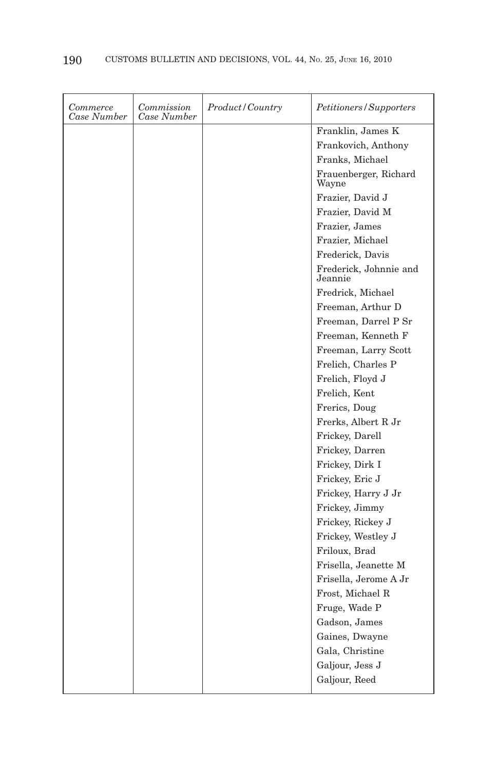| Commerce<br>Case Number | Commission<br>Case Number | Product/Country | Petitioners/Supporters            |
|-------------------------|---------------------------|-----------------|-----------------------------------|
|                         |                           |                 | Franklin, James K                 |
|                         |                           |                 | Frankovich, Anthony               |
|                         |                           |                 | Franks, Michael                   |
|                         |                           |                 | Frauenberger, Richard<br>Wayne    |
|                         |                           |                 | Frazier, David J                  |
|                         |                           |                 | Frazier, David M                  |
|                         |                           |                 | Frazier, James                    |
|                         |                           |                 | Frazier, Michael                  |
|                         |                           |                 | Frederick, Davis                  |
|                         |                           |                 | Frederick, Johnnie and<br>Jeannie |
|                         |                           |                 | Fredrick, Michael                 |
|                         |                           |                 | Freeman, Arthur D                 |
|                         |                           |                 | Freeman, Darrel P Sr              |
|                         |                           |                 | Freeman, Kenneth F                |
|                         |                           |                 | Freeman, Larry Scott              |
|                         |                           |                 | Frelich, Charles P                |
|                         |                           |                 | Frelich, Floyd J                  |
|                         |                           |                 | Frelich, Kent                     |
|                         |                           |                 | Frerics, Doug                     |
|                         |                           |                 | Frerks, Albert R Jr               |
|                         |                           |                 | Frickey, Darell                   |
|                         |                           |                 | Frickey, Darren                   |
|                         |                           |                 | Frickey, Dirk I                   |
|                         |                           |                 | Frickey, Eric J                   |
|                         |                           |                 | Frickey, Harry J Jr               |
|                         |                           |                 | Frickey, Jimmy                    |
|                         |                           |                 | Frickey, Rickey J                 |
|                         |                           |                 | Frickey, Westley J                |
|                         |                           |                 | Friloux, Brad                     |
|                         |                           |                 | Frisella, Jeanette M              |
|                         |                           |                 | Frisella, Jerome A Jr             |
|                         |                           |                 | Frost, Michael R                  |
|                         |                           |                 | Fruge, Wade P                     |
|                         |                           |                 | Gadson, James                     |
|                         |                           |                 | Gaines, Dwayne                    |
|                         |                           |                 | Gala, Christine                   |
|                         |                           |                 | Galjour, Jess J                   |
|                         |                           |                 | Galjour, Reed                     |
|                         |                           |                 |                                   |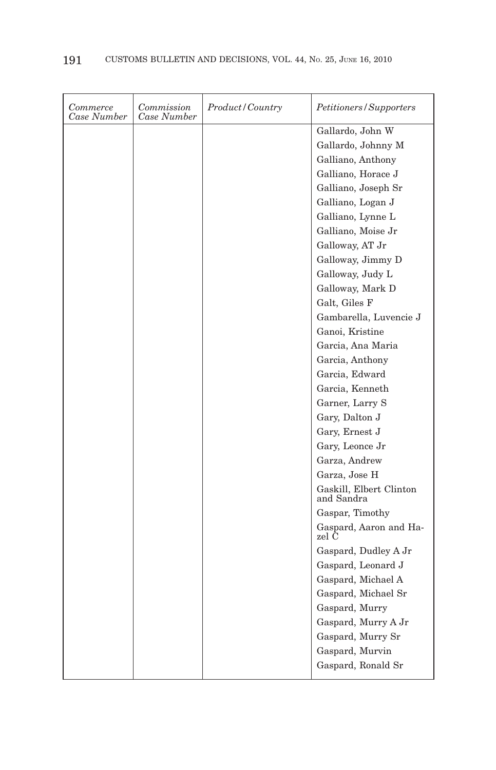| <i>Commerce</i><br>Case Number | Commission<br>Case Number | Product/Country | Petitioners/Supporters                |
|--------------------------------|---------------------------|-----------------|---------------------------------------|
|                                |                           |                 | Gallardo, John W                      |
|                                |                           |                 | Gallardo, Johnny M                    |
|                                |                           |                 | Galliano, Anthony                     |
|                                |                           |                 | Galliano, Horace J                    |
|                                |                           |                 | Galliano, Joseph Sr                   |
|                                |                           |                 | Galliano, Logan J                     |
|                                |                           |                 | Galliano, Lynne L                     |
|                                |                           |                 | Galliano, Moise Jr                    |
|                                |                           |                 | Galloway, AT Jr                       |
|                                |                           |                 | Galloway, Jimmy D                     |
|                                |                           |                 | Galloway, Judy L                      |
|                                |                           |                 | Galloway, Mark D                      |
|                                |                           |                 | Galt, Giles F                         |
|                                |                           |                 | Gambarella, Luvencie J                |
|                                |                           |                 | Ganoi, Kristine                       |
|                                |                           |                 | Garcia, Ana Maria                     |
|                                |                           |                 | Garcia, Anthony                       |
|                                |                           |                 | Garcia, Edward                        |
|                                |                           |                 | Garcia, Kenneth                       |
|                                |                           |                 | Garner, Larry S                       |
|                                |                           |                 | Gary, Dalton J                        |
|                                |                           |                 | Gary, Ernest J                        |
|                                |                           |                 | Gary, Leonce Jr                       |
|                                |                           |                 | Garza, Andrew                         |
|                                |                           |                 | Garza, Jose H                         |
|                                |                           |                 | Gaskill, Elbert Clinton<br>and Sandra |
|                                |                           |                 | Gaspar, Timothy                       |
|                                |                           |                 | Gaspard, Aaron and Ha-<br>zel C       |
|                                |                           |                 | Gaspard, Dudley A Jr                  |
|                                |                           |                 | Gaspard, Leonard J                    |
|                                |                           |                 | Gaspard, Michael A                    |
|                                |                           |                 | Gaspard, Michael Sr                   |
|                                |                           |                 | Gaspard, Murry                        |
|                                |                           |                 | Gaspard, Murry A Jr                   |
|                                |                           |                 | Gaspard, Murry Sr                     |
|                                |                           |                 | Gaspard, Murvin                       |
|                                |                           |                 | Gaspard, Ronald Sr                    |
|                                |                           |                 |                                       |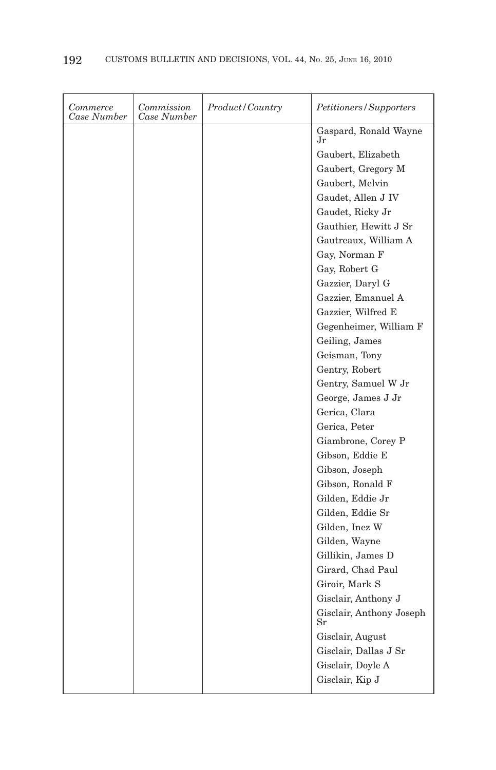| Commerce<br>Case Number | Commission<br>Case Number | Product / Country | <i>Petitioners/Supporters</i>           |
|-------------------------|---------------------------|-------------------|-----------------------------------------|
|                         |                           |                   | Gaspard, Ronald Wayne<br>Jr             |
|                         |                           |                   | Gaubert, Elizabeth                      |
|                         |                           |                   | Gaubert, Gregory M                      |
|                         |                           |                   | Gaubert, Melvin                         |
|                         |                           |                   | Gaudet, Allen J IV                      |
|                         |                           |                   | Gaudet, Ricky Jr                        |
|                         |                           |                   | Gauthier, Hewitt J Sr                   |
|                         |                           |                   | Gautreaux, William A                    |
|                         |                           |                   | Gay, Norman F                           |
|                         |                           |                   | Gay, Robert G                           |
|                         |                           |                   | Gazzier, Daryl G                        |
|                         |                           |                   | Gazzier, Emanuel A                      |
|                         |                           |                   | Gazzier, Wilfred E                      |
|                         |                           |                   | Gegenheimer, William F                  |
|                         |                           |                   | Geiling, James                          |
|                         |                           |                   | Geisman, Tony                           |
|                         |                           |                   | Gentry, Robert                          |
|                         |                           |                   | Gentry, Samuel W Jr                     |
|                         |                           |                   | George, James J Jr                      |
|                         |                           |                   | Gerica, Clara                           |
|                         |                           |                   | Gerica, Peter                           |
|                         |                           |                   | Giambrone, Corey P                      |
|                         |                           |                   | Gibson, Eddie E                         |
|                         |                           |                   | Gibson, Joseph                          |
|                         |                           |                   | Gibson, Ronald F                        |
|                         |                           |                   | Gilden, Eddie Jr                        |
|                         |                           |                   | Gilden, Eddie Sr                        |
|                         |                           |                   | Gilden, Inez W                          |
|                         |                           |                   | Gilden, Wayne                           |
|                         |                           |                   | Gillikin, James D                       |
|                         |                           |                   | Girard, Chad Paul                       |
|                         |                           |                   | Giroir, Mark S                          |
|                         |                           |                   | Gisclair, Anthony J                     |
|                         |                           |                   | Gisclair, Anthony Joseph<br>$_{\rm Sr}$ |
|                         |                           |                   | Gisclair, August                        |
|                         |                           |                   | Gisclair, Dallas J Sr                   |
|                         |                           |                   | Gisclair, Doyle A                       |
|                         |                           |                   | Gisclair, Kip J                         |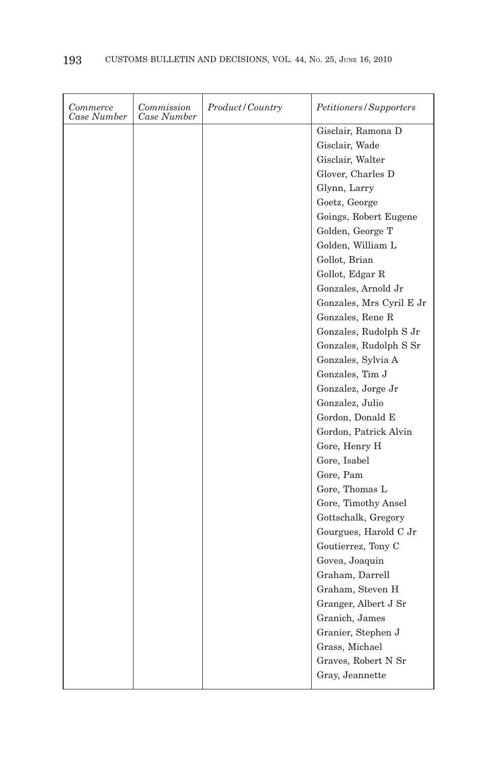| Gisclair, Ramona D<br>Gisclair, Wade<br>Gisclair, Walter<br>Glover, Charles D<br>Glynn, Larry<br>Goetz, George<br>Goings, Robert Eugene<br>Golden, George T<br>Golden, William L<br>Gollot, Brian<br>Gollot, Edgar R<br>Gonzales, Arnold Jr<br>Gonzales, Mrs Cyril E Jr<br>Gonzales, Rene R<br>Gonzales, Rudolph S Jr<br>Gonzales, Rudolph S Sr<br>Gonzales, Sylvia A<br>Gonzales, Tim J<br>Gonzalez, Jorge Jr<br>Gonzalez, Julio<br>Gordon, Donald E<br>Gordon, Patrick Alvin<br>Gore, Henry H<br>Gore, Isabel<br>Gore, Pam<br>Gore, Thomas L<br>Gore, Timothy Ansel<br>Gottschalk, Gregory<br>Gourgues, Harold C Jr<br>Goutierrez, Tony C<br>Govea, Joaquin<br>Graham, Darrell<br>Graham, Steven H | Commerce<br>Case Number | Commission<br>Case Number | Product/Country | <i>Petitioners/Supporters</i> |
|------------------------------------------------------------------------------------------------------------------------------------------------------------------------------------------------------------------------------------------------------------------------------------------------------------------------------------------------------------------------------------------------------------------------------------------------------------------------------------------------------------------------------------------------------------------------------------------------------------------------------------------------------------------------------------------------------|-------------------------|---------------------------|-----------------|-------------------------------|
|                                                                                                                                                                                                                                                                                                                                                                                                                                                                                                                                                                                                                                                                                                      |                         |                           |                 |                               |
|                                                                                                                                                                                                                                                                                                                                                                                                                                                                                                                                                                                                                                                                                                      |                         |                           |                 |                               |
|                                                                                                                                                                                                                                                                                                                                                                                                                                                                                                                                                                                                                                                                                                      |                         |                           |                 |                               |
|                                                                                                                                                                                                                                                                                                                                                                                                                                                                                                                                                                                                                                                                                                      |                         |                           |                 |                               |
|                                                                                                                                                                                                                                                                                                                                                                                                                                                                                                                                                                                                                                                                                                      |                         |                           |                 |                               |
|                                                                                                                                                                                                                                                                                                                                                                                                                                                                                                                                                                                                                                                                                                      |                         |                           |                 |                               |
|                                                                                                                                                                                                                                                                                                                                                                                                                                                                                                                                                                                                                                                                                                      |                         |                           |                 |                               |
|                                                                                                                                                                                                                                                                                                                                                                                                                                                                                                                                                                                                                                                                                                      |                         |                           |                 |                               |
|                                                                                                                                                                                                                                                                                                                                                                                                                                                                                                                                                                                                                                                                                                      |                         |                           |                 |                               |
|                                                                                                                                                                                                                                                                                                                                                                                                                                                                                                                                                                                                                                                                                                      |                         |                           |                 |                               |
|                                                                                                                                                                                                                                                                                                                                                                                                                                                                                                                                                                                                                                                                                                      |                         |                           |                 |                               |
|                                                                                                                                                                                                                                                                                                                                                                                                                                                                                                                                                                                                                                                                                                      |                         |                           |                 |                               |
|                                                                                                                                                                                                                                                                                                                                                                                                                                                                                                                                                                                                                                                                                                      |                         |                           |                 |                               |
|                                                                                                                                                                                                                                                                                                                                                                                                                                                                                                                                                                                                                                                                                                      |                         |                           |                 |                               |
|                                                                                                                                                                                                                                                                                                                                                                                                                                                                                                                                                                                                                                                                                                      |                         |                           |                 |                               |
|                                                                                                                                                                                                                                                                                                                                                                                                                                                                                                                                                                                                                                                                                                      |                         |                           |                 |                               |
|                                                                                                                                                                                                                                                                                                                                                                                                                                                                                                                                                                                                                                                                                                      |                         |                           |                 |                               |
|                                                                                                                                                                                                                                                                                                                                                                                                                                                                                                                                                                                                                                                                                                      |                         |                           |                 |                               |
|                                                                                                                                                                                                                                                                                                                                                                                                                                                                                                                                                                                                                                                                                                      |                         |                           |                 |                               |
|                                                                                                                                                                                                                                                                                                                                                                                                                                                                                                                                                                                                                                                                                                      |                         |                           |                 |                               |
|                                                                                                                                                                                                                                                                                                                                                                                                                                                                                                                                                                                                                                                                                                      |                         |                           |                 |                               |
|                                                                                                                                                                                                                                                                                                                                                                                                                                                                                                                                                                                                                                                                                                      |                         |                           |                 |                               |
|                                                                                                                                                                                                                                                                                                                                                                                                                                                                                                                                                                                                                                                                                                      |                         |                           |                 |                               |
|                                                                                                                                                                                                                                                                                                                                                                                                                                                                                                                                                                                                                                                                                                      |                         |                           |                 |                               |
|                                                                                                                                                                                                                                                                                                                                                                                                                                                                                                                                                                                                                                                                                                      |                         |                           |                 |                               |
|                                                                                                                                                                                                                                                                                                                                                                                                                                                                                                                                                                                                                                                                                                      |                         |                           |                 |                               |
|                                                                                                                                                                                                                                                                                                                                                                                                                                                                                                                                                                                                                                                                                                      |                         |                           |                 |                               |
|                                                                                                                                                                                                                                                                                                                                                                                                                                                                                                                                                                                                                                                                                                      |                         |                           |                 |                               |
|                                                                                                                                                                                                                                                                                                                                                                                                                                                                                                                                                                                                                                                                                                      |                         |                           |                 |                               |
|                                                                                                                                                                                                                                                                                                                                                                                                                                                                                                                                                                                                                                                                                                      |                         |                           |                 |                               |
|                                                                                                                                                                                                                                                                                                                                                                                                                                                                                                                                                                                                                                                                                                      |                         |                           |                 |                               |
|                                                                                                                                                                                                                                                                                                                                                                                                                                                                                                                                                                                                                                                                                                      |                         |                           |                 |                               |
|                                                                                                                                                                                                                                                                                                                                                                                                                                                                                                                                                                                                                                                                                                      |                         |                           |                 |                               |
|                                                                                                                                                                                                                                                                                                                                                                                                                                                                                                                                                                                                                                                                                                      |                         |                           |                 | Granger, Albert J Sr          |
| Granich, James                                                                                                                                                                                                                                                                                                                                                                                                                                                                                                                                                                                                                                                                                       |                         |                           |                 |                               |
| Granier, Stephen J                                                                                                                                                                                                                                                                                                                                                                                                                                                                                                                                                                                                                                                                                   |                         |                           |                 |                               |
| Grass, Michael                                                                                                                                                                                                                                                                                                                                                                                                                                                                                                                                                                                                                                                                                       |                         |                           |                 |                               |
| Graves, Robert N Sr                                                                                                                                                                                                                                                                                                                                                                                                                                                                                                                                                                                                                                                                                  |                         |                           |                 |                               |
| Gray, Jeannette                                                                                                                                                                                                                                                                                                                                                                                                                                                                                                                                                                                                                                                                                      |                         |                           |                 |                               |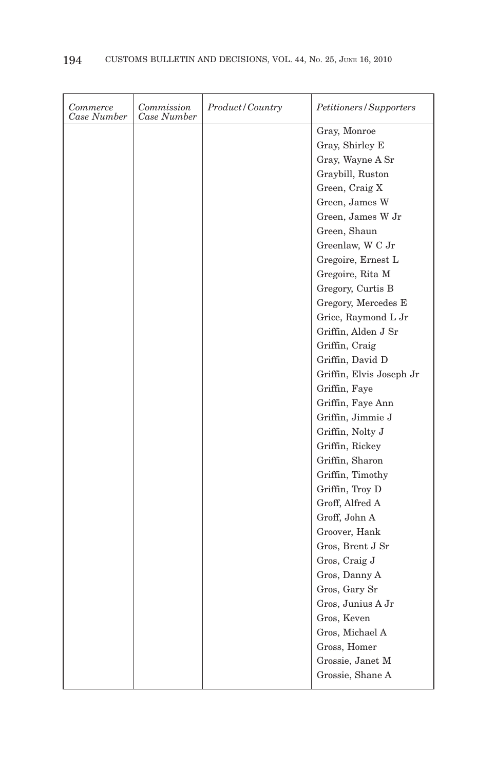| Commerce<br>Case Number | Commission<br>Case Number | Product/Country | <i>Petitioners/Supporters</i> |
|-------------------------|---------------------------|-----------------|-------------------------------|
|                         |                           |                 | Gray, Monroe                  |
|                         |                           |                 | Gray, Shirley E               |
|                         |                           |                 | Gray, Wayne A Sr              |
|                         |                           |                 | Graybill, Ruston              |
|                         |                           |                 | Green, Craig X                |
|                         |                           |                 | Green, James W                |
|                         |                           |                 | Green, James W Jr             |
|                         |                           |                 | Green, Shaun                  |
|                         |                           |                 | Greenlaw, W C Jr              |
|                         |                           |                 | Gregoire, Ernest L            |
|                         |                           |                 | Gregoire, Rita M              |
|                         |                           |                 | Gregory, Curtis B             |
|                         |                           |                 | Gregory, Mercedes E           |
|                         |                           |                 | Grice, Raymond L Jr           |
|                         |                           |                 | Griffin, Alden J Sr           |
|                         |                           |                 | Griffin, Craig                |
|                         |                           |                 | Griffin, David D              |
|                         |                           |                 | Griffin, Elvis Joseph Jr      |
|                         |                           |                 | Griffin, Faye                 |
|                         |                           |                 | Griffin, Faye Ann             |
|                         |                           |                 | Griffin, Jimmie J             |
|                         |                           |                 | Griffin, Nolty J              |
|                         |                           |                 | Griffin, Rickey               |
|                         |                           |                 | Griffin, Sharon               |
|                         |                           |                 | Griffin, Timothy              |
|                         |                           |                 | Griffin, Troy D               |
|                         |                           |                 | Groff, Alfred A               |
|                         |                           |                 | Groff, John A                 |
|                         |                           |                 | Groover, Hank                 |
|                         |                           |                 | Gros, Brent J Sr              |
|                         |                           |                 | Gros, Craig J                 |
|                         |                           |                 | Gros, Danny A                 |
|                         |                           |                 | Gros, Gary Sr                 |
|                         |                           |                 | Gros, Junius A Jr             |
|                         |                           |                 | Gros, Keven                   |
|                         |                           |                 | Gros, Michael A               |
|                         |                           |                 | Gross, Homer                  |
|                         |                           |                 | Grossie, Janet M              |
|                         |                           |                 | Grossie, Shane A              |
|                         |                           |                 |                               |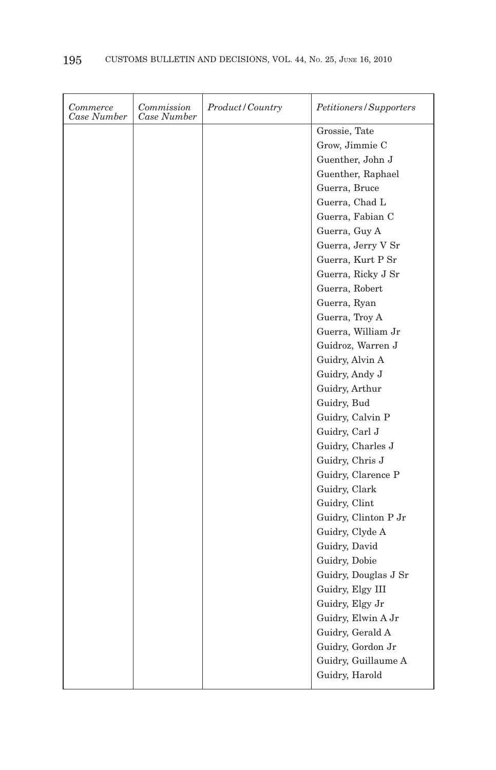| Commerce<br>Case Number | Commission<br>Case Number | Product / Country | <i>Petitioners/Supporters</i> |
|-------------------------|---------------------------|-------------------|-------------------------------|
|                         |                           |                   | Grossie, Tate                 |
|                         |                           |                   | Grow, Jimmie C                |
|                         |                           |                   | Guenther, John J              |
|                         |                           |                   | Guenther, Raphael             |
|                         |                           |                   | Guerra, Bruce                 |
|                         |                           |                   | Guerra, Chad L                |
|                         |                           |                   | Guerra, Fabian C              |
|                         |                           |                   | Guerra, Guy A                 |
|                         |                           |                   | Guerra, Jerry V Sr            |
|                         |                           |                   | Guerra, Kurt P Sr             |
|                         |                           |                   | Guerra, Ricky J Sr            |
|                         |                           |                   | Guerra, Robert                |
|                         |                           |                   | Guerra, Ryan                  |
|                         |                           |                   | Guerra, Troy A                |
|                         |                           |                   | Guerra, William Jr            |
|                         |                           |                   | Guidroz, Warren J             |
|                         |                           |                   | Guidry, Alvin A               |
|                         |                           |                   | Guidry, Andy J                |
|                         |                           |                   | Guidry, Arthur                |
|                         |                           |                   | Guidry, Bud                   |
|                         |                           |                   | Guidry, Calvin P              |
|                         |                           |                   | Guidry, Carl J                |
|                         |                           |                   | Guidry, Charles J             |
|                         |                           |                   | Guidry, Chris J               |
|                         |                           |                   | Guidry, Clarence P            |
|                         |                           |                   | Guidry, Clark                 |
|                         |                           |                   | Guidry, Clint                 |
|                         |                           |                   | Guidry, Clinton P Jr          |
|                         |                           |                   | Guidry, Clyde A               |
|                         |                           |                   | Guidry, David                 |
|                         |                           |                   | Guidry, Dobie                 |
|                         |                           |                   | Guidry, Douglas J Sr          |
|                         |                           |                   | Guidry, Elgy III              |
|                         |                           |                   | Guidry, Elgy Jr               |
|                         |                           |                   | Guidry, Elwin A Jr            |
|                         |                           |                   | Guidry, Gerald A              |
|                         |                           |                   | Guidry, Gordon Jr             |
|                         |                           |                   | Guidry, Guillaume A           |
|                         |                           |                   | Guidry, Harold                |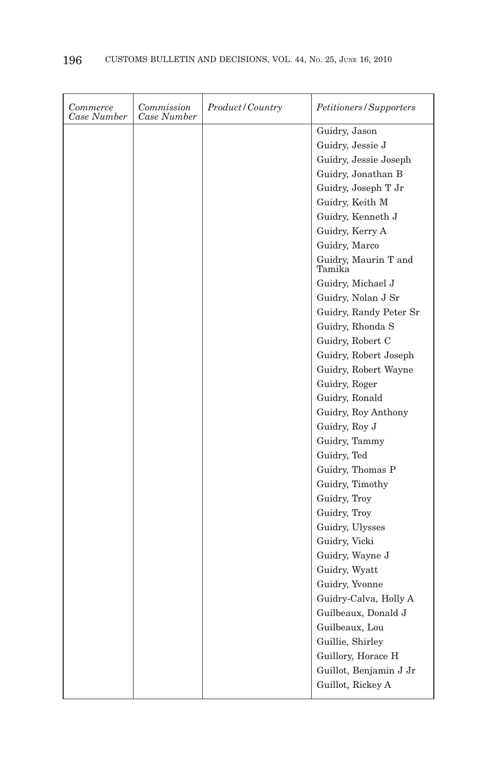| Commerce<br>Case Number | Commission<br>Case Number | Product/Country | Petitioners/Supporters         |
|-------------------------|---------------------------|-----------------|--------------------------------|
|                         |                           |                 | Guidry, Jason                  |
|                         |                           |                 | Guidry, Jessie J               |
|                         |                           |                 | Guidry, Jessie Joseph          |
|                         |                           |                 | Guidry, Jonathan B             |
|                         |                           |                 | Guidry, Joseph T Jr            |
|                         |                           |                 | Guidry, Keith M                |
|                         |                           |                 | Guidry, Kenneth J              |
|                         |                           |                 | Guidry, Kerry A                |
|                         |                           |                 | Guidry, Marco                  |
|                         |                           |                 | Guidry, Maurin T and<br>Tamika |
|                         |                           |                 | Guidry, Michael J              |
|                         |                           |                 | Guidry, Nolan J Sr             |
|                         |                           |                 | Guidry, Randy Peter Sr         |
|                         |                           |                 | Guidry, Rhonda S               |
|                         |                           |                 | Guidry, Robert C               |
|                         |                           |                 | Guidry, Robert Joseph          |
|                         |                           |                 | Guidry, Robert Wayne           |
|                         |                           |                 | Guidry, Roger                  |
|                         |                           |                 | Guidry, Ronald                 |
|                         |                           |                 | Guidry, Roy Anthony            |
|                         |                           |                 | Guidry, Roy J                  |
|                         |                           |                 | Guidry, Tammy                  |
|                         |                           |                 | Guidry, Ted                    |
|                         |                           |                 | Guidry, Thomas P               |
|                         |                           |                 | Guidry, Timothy                |
|                         |                           |                 | Guidry, Troy                   |
|                         |                           |                 | Guidry, Troy                   |
|                         |                           |                 | Guidry, Ulysses                |
|                         |                           |                 | Guidry, Vicki                  |
|                         |                           |                 | Guidry, Wayne J                |
|                         |                           |                 | Guidry, Wyatt                  |
|                         |                           |                 | Guidry, Yvonne                 |
|                         |                           |                 | Guidry-Calva, Holly A          |
|                         |                           |                 | Guilbeaux, Donald J            |
|                         |                           |                 | Guilbeaux, Lou                 |
|                         |                           |                 | Guillie, Shirley               |
|                         |                           |                 | Guillory, Horace H             |
|                         |                           |                 | Guillot, Benjamin J Jr         |
|                         |                           |                 | Guillot, Rickey A              |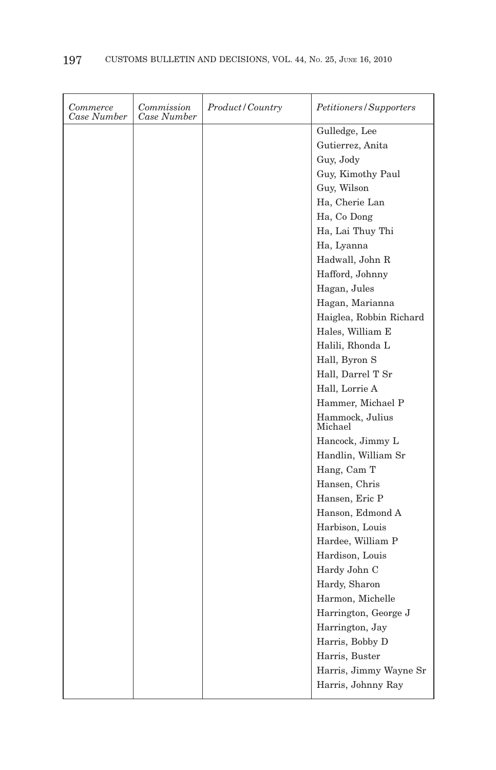| Commerce<br>Case Number | Commission<br>Case Number | Product/Country | Petitioners/Supporters     |
|-------------------------|---------------------------|-----------------|----------------------------|
|                         |                           |                 | Gulledge, Lee              |
|                         |                           |                 | Gutierrez, Anita           |
|                         |                           |                 | Guy, Jody                  |
|                         |                           |                 | Guy, Kimothy Paul          |
|                         |                           |                 | Guy, Wilson                |
|                         |                           |                 | Ha, Cherie Lan             |
|                         |                           |                 | Ha, Co Dong                |
|                         |                           |                 | Ha, Lai Thuy Thi           |
|                         |                           |                 | Ha, Lyanna                 |
|                         |                           |                 | Hadwall, John R            |
|                         |                           |                 | Hafford, Johnny            |
|                         |                           |                 | Hagan, Jules               |
|                         |                           |                 | Hagan, Marianna            |
|                         |                           |                 | Haiglea, Robbin Richard    |
|                         |                           |                 | Hales, William E           |
|                         |                           |                 | Halili, Rhonda L           |
|                         |                           |                 | Hall, Byron S              |
|                         |                           |                 | Hall, Darrel T Sr          |
|                         |                           |                 | Hall, Lorrie A             |
|                         |                           |                 | Hammer, Michael P          |
|                         |                           |                 | Hammock, Julius<br>Michael |
|                         |                           |                 | Hancock, Jimmy L           |
|                         |                           |                 | Handlin, William Sr        |
|                         |                           |                 | Hang, Cam T                |
|                         |                           |                 | Hansen, Chris              |
|                         |                           |                 | Hansen, Eric P             |
|                         |                           |                 | Hanson, Edmond A           |
|                         |                           |                 | Harbison, Louis            |
|                         |                           |                 | Hardee, William P          |
|                         |                           |                 | Hardison, Louis            |
|                         |                           |                 | Hardy John C               |
|                         |                           |                 | Hardy, Sharon              |
|                         |                           |                 | Harmon, Michelle           |
|                         |                           |                 | Harrington, George J       |
|                         |                           |                 | Harrington, Jay            |
|                         |                           |                 | Harris, Bobby D            |
|                         |                           |                 | Harris, Buster             |
|                         |                           |                 | Harris, Jimmy Wayne Sr     |
|                         |                           |                 | Harris, Johnny Ray         |
|                         |                           |                 |                            |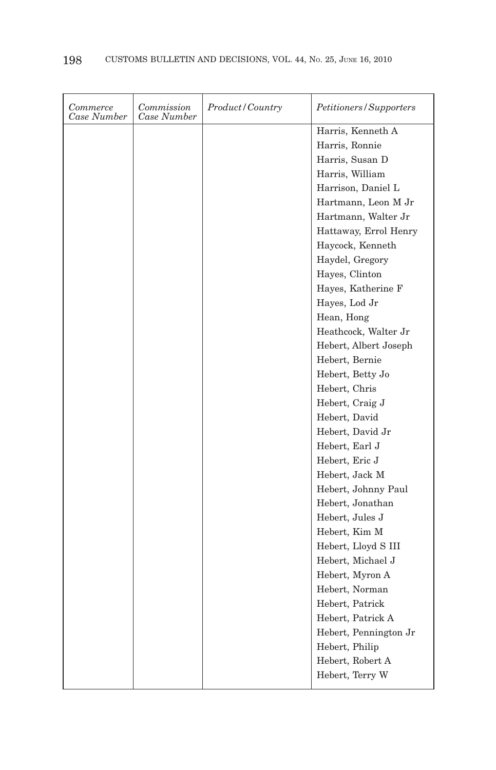| Commerce<br>Case Number | Commission<br>Case Number | Product/Country | Petitioners/Supporters |
|-------------------------|---------------------------|-----------------|------------------------|
|                         |                           |                 | Harris, Kenneth A      |
|                         |                           |                 | Harris, Ronnie         |
|                         |                           |                 | Harris, Susan D        |
|                         |                           |                 | Harris, William        |
|                         |                           |                 | Harrison, Daniel L     |
|                         |                           |                 | Hartmann, Leon M Jr    |
|                         |                           |                 | Hartmann, Walter Jr    |
|                         |                           |                 | Hattaway, Errol Henry  |
|                         |                           |                 | Haycock, Kenneth       |
|                         |                           |                 | Haydel, Gregory        |
|                         |                           |                 | Hayes, Clinton         |
|                         |                           |                 | Hayes, Katherine F     |
|                         |                           |                 | Hayes, Lod Jr          |
|                         |                           |                 | Hean, Hong             |
|                         |                           |                 | Heathcock, Walter Jr   |
|                         |                           |                 | Hebert, Albert Joseph  |
|                         |                           |                 | Hebert, Bernie         |
|                         |                           |                 | Hebert, Betty Jo       |
|                         |                           |                 | Hebert, Chris          |
|                         |                           |                 | Hebert, Craig J        |
|                         |                           |                 | Hebert, David          |
|                         |                           |                 | Hebert, David Jr       |
|                         |                           |                 | Hebert, Earl J         |
|                         |                           |                 | Hebert, Eric J         |
|                         |                           |                 | Hebert, Jack M         |
|                         |                           |                 | Hebert, Johnny Paul    |
|                         |                           |                 | Hebert, Jonathan       |
|                         |                           |                 | Hebert, Jules J        |
|                         |                           |                 | Hebert, Kim M          |
|                         |                           |                 | Hebert, Lloyd S III    |
|                         |                           |                 | Hebert, Michael J      |
|                         |                           |                 | Hebert, Myron A        |
|                         |                           |                 | Hebert, Norman         |
|                         |                           |                 | Hebert, Patrick        |
|                         |                           |                 | Hebert, Patrick A      |
|                         |                           |                 | Hebert, Pennington Jr  |
|                         |                           |                 | Hebert, Philip         |
|                         |                           |                 | Hebert, Robert A       |
|                         |                           |                 | Hebert, Terry W        |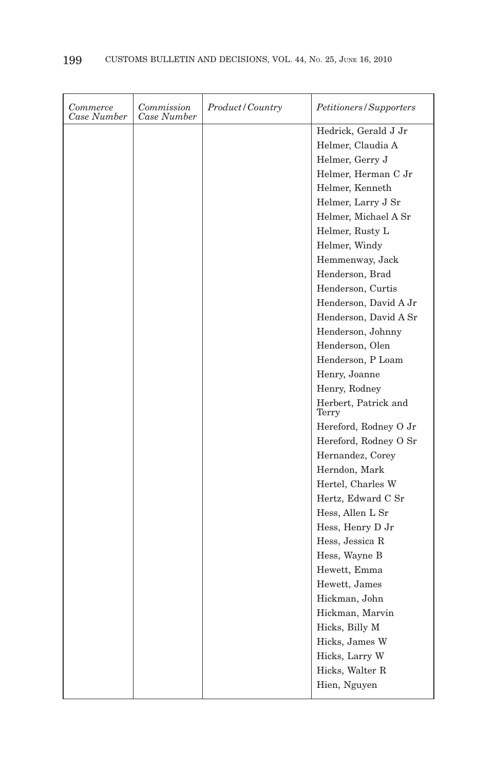| Commerce<br>Case Number | Commission<br>Case Number | Product / Country | Petitioners/Supporters        |
|-------------------------|---------------------------|-------------------|-------------------------------|
|                         |                           |                   | Hedrick, Gerald J Jr          |
|                         |                           |                   | Helmer, Claudia A             |
|                         |                           |                   | Helmer, Gerry J               |
|                         |                           |                   | Helmer, Herman C Jr           |
|                         |                           |                   | Helmer, Kenneth               |
|                         |                           |                   | Helmer, Larry J Sr            |
|                         |                           |                   | Helmer, Michael A Sr          |
|                         |                           |                   | Helmer, Rusty L               |
|                         |                           |                   | Helmer, Windy                 |
|                         |                           |                   | Hemmenway, Jack               |
|                         |                           |                   | Henderson, Brad               |
|                         |                           |                   | Henderson, Curtis             |
|                         |                           |                   | Henderson, David A Jr         |
|                         |                           |                   | Henderson, David A Sr         |
|                         |                           |                   | Henderson, Johnny             |
|                         |                           |                   | Henderson, Olen               |
|                         |                           |                   | Henderson, P Loam             |
|                         |                           |                   | Henry, Joanne                 |
|                         |                           |                   | Henry, Rodney                 |
|                         |                           |                   | Herbert, Patrick and<br>Terry |
|                         |                           |                   | Hereford, Rodney O Jr         |
|                         |                           |                   | Hereford, Rodney O Sr         |
|                         |                           |                   | Hernandez, Corey              |
|                         |                           |                   | Herndon, Mark                 |
|                         |                           |                   | Hertel, Charles W             |
|                         |                           |                   | Hertz, Edward C Sr            |
|                         |                           |                   | Hess, Allen L Sr              |
|                         |                           |                   | Hess, Henry D Jr              |
|                         |                           |                   | Hess, Jessica R               |
|                         |                           |                   | Hess, Wayne B                 |
|                         |                           |                   | Hewett, Emma                  |
|                         |                           |                   | Hewett, James                 |
|                         |                           |                   | Hickman, John                 |
|                         |                           |                   | Hickman, Marvin               |
|                         |                           |                   | Hicks, Billy M                |
|                         |                           |                   | Hicks, James W                |
|                         |                           |                   | Hicks, Larry W                |
|                         |                           |                   | Hicks, Walter R               |
|                         |                           |                   | Hien, Nguyen                  |
|                         |                           |                   |                               |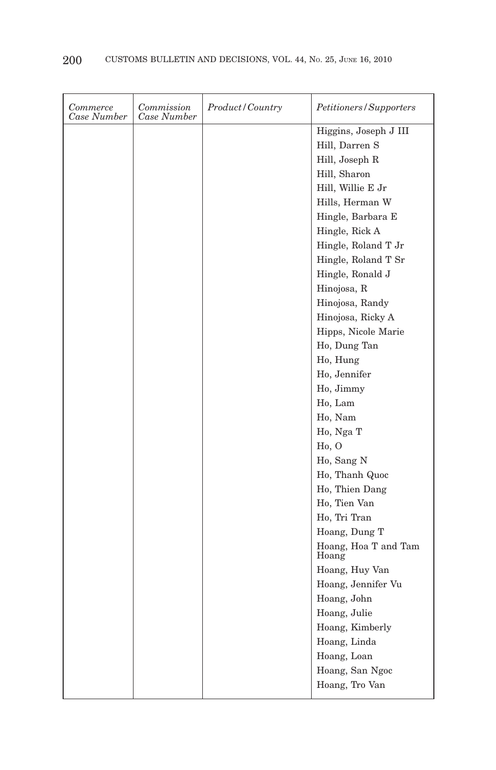| Commerce<br>Case Number | Commission<br>Case Number | Product/Country | Petitioners/Supporters        |
|-------------------------|---------------------------|-----------------|-------------------------------|
|                         |                           |                 | Higgins, Joseph J III         |
|                         |                           |                 | Hill, Darren S                |
|                         |                           |                 | Hill, Joseph R                |
|                         |                           |                 | Hill, Sharon                  |
|                         |                           |                 | Hill, Willie E Jr             |
|                         |                           |                 | Hills, Herman W               |
|                         |                           |                 | Hingle, Barbara E             |
|                         |                           |                 | Hingle, Rick A                |
|                         |                           |                 | Hingle, Roland T Jr           |
|                         |                           |                 | Hingle, Roland T Sr           |
|                         |                           |                 | Hingle, Ronald J              |
|                         |                           |                 | Hinojosa, R                   |
|                         |                           |                 | Hinojosa, Randy               |
|                         |                           |                 | Hinojosa, Ricky A             |
|                         |                           |                 | Hipps, Nicole Marie           |
|                         |                           |                 | Ho, Dung Tan                  |
|                         |                           |                 | Ho, Hung                      |
|                         |                           |                 | Ho, Jennifer                  |
|                         |                           |                 | Ho, Jimmy                     |
|                         |                           |                 | Ho, Lam                       |
|                         |                           |                 | Ho, Nam                       |
|                         |                           |                 | Ho, Nga T                     |
|                         |                           |                 | Ho, O                         |
|                         |                           |                 | Ho, Sang N                    |
|                         |                           |                 | Ho, Thanh Quoc                |
|                         |                           |                 | Ho, Thien Dang                |
|                         |                           |                 | Ho, Tien Van                  |
|                         |                           |                 | Ho, Tri Tran                  |
|                         |                           |                 | Hoang, Dung T                 |
|                         |                           |                 | Hoang, Hoa T and Tam<br>Hoang |
|                         |                           |                 | Hoang, Huy Van                |
|                         |                           |                 | Hoang, Jennifer Vu            |
|                         |                           |                 | Hoang, John                   |
|                         |                           |                 | Hoang, Julie                  |
|                         |                           |                 | Hoang, Kimberly               |
|                         |                           |                 | Hoang, Linda                  |
|                         |                           |                 | Hoang, Loan                   |
|                         |                           |                 | Hoang, San Ngoc               |
|                         |                           |                 | Hoang, Tro Van                |
|                         |                           |                 |                               |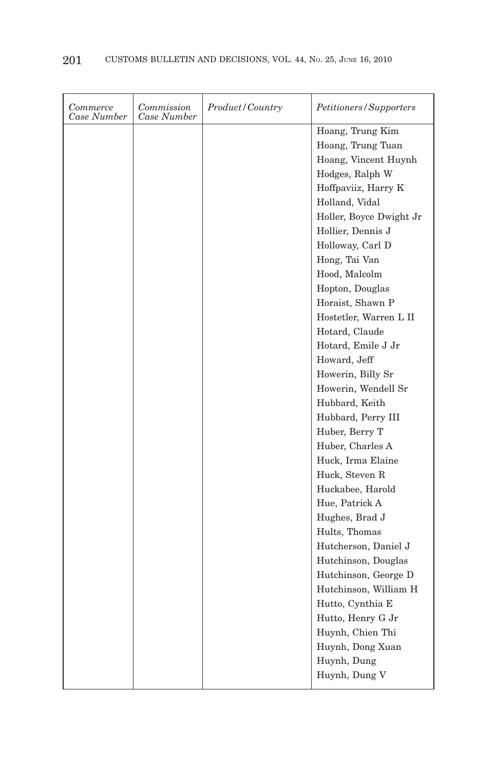| Commerce<br>Case Number | Commission<br>Case Number | Product/Country | Petitioners/Supporters  |
|-------------------------|---------------------------|-----------------|-------------------------|
|                         |                           |                 | Hoang, Trung Kim        |
|                         |                           |                 | Hoang, Trung Tuan       |
|                         |                           |                 | Hoang, Vincent Huynh    |
|                         |                           |                 | Hodges, Ralph W         |
|                         |                           |                 | Hoffpaviiz, Harry K     |
|                         |                           |                 | Holland, Vidal          |
|                         |                           |                 | Holler, Boyce Dwight Jr |
|                         |                           |                 | Hollier, Dennis J       |
|                         |                           |                 | Holloway, Carl D        |
|                         |                           |                 | Hong, Tai Van           |
|                         |                           |                 | Hood, Malcolm           |
|                         |                           |                 | Hopton, Douglas         |
|                         |                           |                 | Horaist, Shawn P        |
|                         |                           |                 | Hostetler, Warren L II  |
|                         |                           |                 | Hotard, Claude          |
|                         |                           |                 | Hotard, Emile J Jr      |
|                         |                           |                 | Howard, Jeff            |
|                         |                           |                 | Howerin, Billy Sr       |
|                         |                           |                 | Howerin, Wendell Sr     |
|                         |                           |                 | Hubbard, Keith          |
|                         |                           |                 | Hubbard, Perry III      |
|                         |                           |                 | Huber, Berry T          |
|                         |                           |                 | Huber, Charles A        |
|                         |                           |                 | Huck, Irma Elaine       |
|                         |                           |                 | Huck, Steven R          |
|                         |                           |                 | Huckabee, Harold        |
|                         |                           |                 | Hue, Patrick A          |
|                         |                           |                 | Hughes, Brad J          |
|                         |                           |                 | Hults, Thomas           |
|                         |                           |                 | Hutcherson, Daniel J    |
|                         |                           |                 | Hutchinson, Douglas     |
|                         |                           |                 | Hutchinson, George D    |
|                         |                           |                 | Hutchinson, William H   |
|                         |                           |                 | Hutto, Cynthia E        |
|                         |                           |                 | Hutto, Henry G Jr       |
|                         |                           |                 | Huynh, Chien Thi        |
|                         |                           |                 | Huynh, Dong Xuan        |
|                         |                           |                 | Huynh, Dung             |
|                         |                           |                 | Huynh, Dung V           |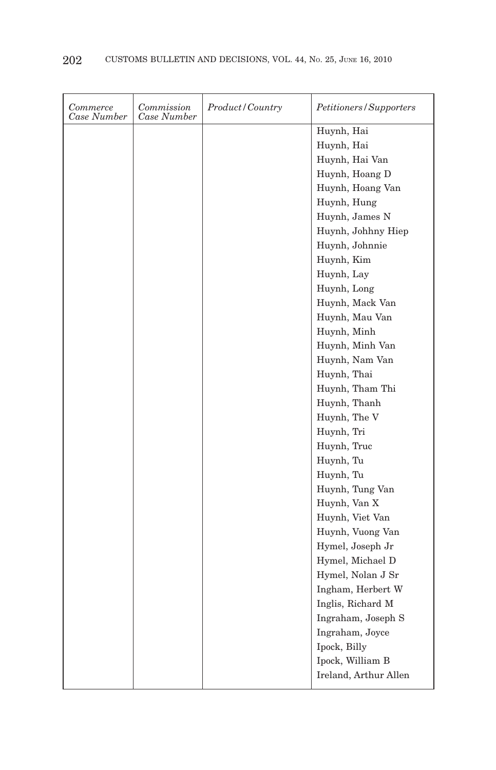| Commerce<br>Case Number | Commission<br>Case Number | Product/Country | Petitioners/Supporters |
|-------------------------|---------------------------|-----------------|------------------------|
|                         |                           |                 | Huynh, Hai             |
|                         |                           |                 | Huynh, Hai             |
|                         |                           |                 | Huynh, Hai Van         |
|                         |                           |                 | Huynh, Hoang D         |
|                         |                           |                 | Huynh, Hoang Van       |
|                         |                           |                 | Huynh, Hung            |
|                         |                           |                 | Huynh, James N         |
|                         |                           |                 | Huynh, Johhny Hiep     |
|                         |                           |                 | Huynh, Johnnie         |
|                         |                           |                 | Huynh, Kim             |
|                         |                           |                 | Huynh, Lay             |
|                         |                           |                 | Huynh, Long            |
|                         |                           |                 | Huynh, Mack Van        |
|                         |                           |                 | Huynh, Mau Van         |
|                         |                           |                 | Huynh, Minh            |
|                         |                           |                 | Huynh, Minh Van        |
|                         |                           |                 | Huynh, Nam Van         |
|                         |                           |                 | Huynh, Thai            |
|                         |                           |                 | Huynh, Tham Thi        |
|                         |                           |                 | Huynh, Thanh           |
|                         |                           |                 | Huynh, The V           |
|                         |                           |                 | Huynh, Tri             |
|                         |                           |                 | Huynh, Truc            |
|                         |                           |                 | Huynh, Tu              |
|                         |                           |                 | Huynh, Tu              |
|                         |                           |                 | Huynh, Tung Van        |
|                         |                           |                 | Huynh, Van X           |
|                         |                           |                 | Huynh, Viet Van        |
|                         |                           |                 | Huynh, Vuong Van       |
|                         |                           |                 | Hymel, Joseph Jr       |
|                         |                           |                 | Hymel, Michael D       |
|                         |                           |                 | Hymel, Nolan J Sr      |
|                         |                           |                 | Ingham, Herbert W      |
|                         |                           |                 | Inglis, Richard M      |
|                         |                           |                 | Ingraham, Joseph S     |
|                         |                           |                 | Ingraham, Joyce        |
|                         |                           |                 | Ipock, Billy           |
|                         |                           |                 | Ipock, William B       |
|                         |                           |                 | Ireland, Arthur Allen  |
|                         |                           |                 |                        |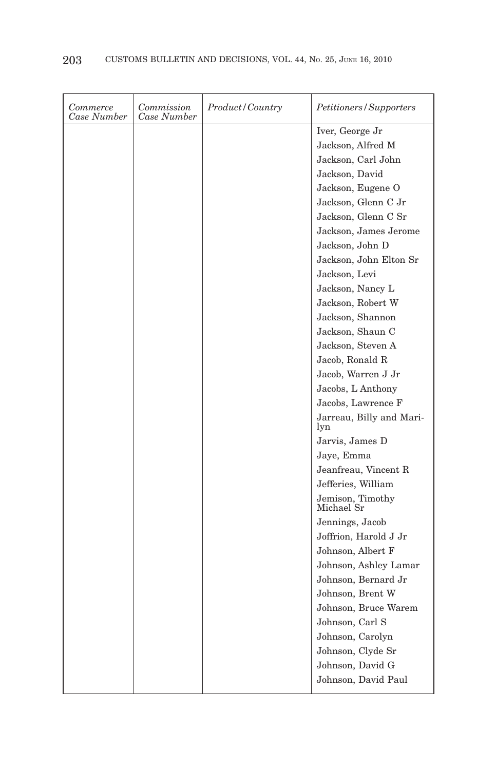| Commerce<br>Case Number | Commission<br>Case Number | Product/Country | Petitioners/Supporters          |
|-------------------------|---------------------------|-----------------|---------------------------------|
|                         |                           |                 | Iver, George Jr                 |
|                         |                           |                 | Jackson, Alfred M               |
|                         |                           |                 | Jackson, Carl John              |
|                         |                           |                 | Jackson, David                  |
|                         |                           |                 | Jackson, Eugene O               |
|                         |                           |                 | Jackson, Glenn C Jr             |
|                         |                           |                 | Jackson, Glenn C Sr             |
|                         |                           |                 | Jackson, James Jerome           |
|                         |                           |                 | Jackson, John D                 |
|                         |                           |                 | Jackson, John Elton Sr          |
|                         |                           |                 | Jackson, Levi                   |
|                         |                           |                 | Jackson, Nancy L                |
|                         |                           |                 | Jackson, Robert W               |
|                         |                           |                 | Jackson, Shannon                |
|                         |                           |                 | Jackson, Shaun C                |
|                         |                           |                 | Jackson, Steven A               |
|                         |                           |                 | Jacob, Ronald R                 |
|                         |                           |                 | Jacob, Warren J Jr              |
|                         |                           |                 | Jacobs, L Anthony               |
|                         |                           |                 | Jacobs, Lawrence F              |
|                         |                           |                 | Jarreau, Billy and Mari-<br>lyn |
|                         |                           |                 | Jarvis, James D                 |
|                         |                           |                 | Jaye, Emma                      |
|                         |                           |                 | Jeanfreau, Vincent R            |
|                         |                           |                 | Jefferies, William              |
|                         |                           |                 | Jemison, Timothy<br>Michael Sr  |
|                         |                           |                 | Jennings, Jacob                 |
|                         |                           |                 | Joffrion, Harold J Jr           |
|                         |                           |                 | Johnson, Albert F               |
|                         |                           |                 | Johnson, Ashley Lamar           |
|                         |                           |                 | Johnson, Bernard Jr             |
|                         |                           |                 | Johnson, Brent W                |
|                         |                           |                 | Johnson, Bruce Warem            |
|                         |                           |                 | Johnson, Carl S                 |
|                         |                           |                 | Johnson, Carolyn                |
|                         |                           |                 | Johnson, Clyde Sr               |
|                         |                           |                 | Johnson, David G                |
|                         |                           |                 | Johnson, David Paul             |
|                         |                           |                 |                                 |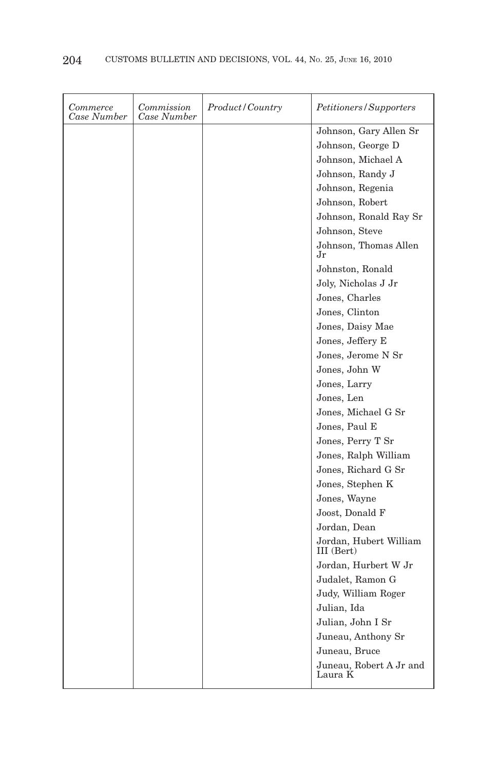| Commerce<br>Case Number | Commission<br>Case Number | <i>Product/Country</i> | <i>Petitioners/Supporters</i>        |
|-------------------------|---------------------------|------------------------|--------------------------------------|
|                         |                           |                        | Johnson, Gary Allen Sr               |
|                         |                           |                        | Johnson, George D                    |
|                         |                           |                        | Johnson, Michael A                   |
|                         |                           |                        | Johnson, Randy J                     |
|                         |                           |                        | Johnson, Regenia                     |
|                         |                           |                        | Johnson, Robert                      |
|                         |                           |                        | Johnson, Ronald Ray Sr               |
|                         |                           |                        | Johnson, Steve                       |
|                         |                           |                        | Johnson, Thomas Allen<br>Jr          |
|                         |                           |                        | Johnston, Ronald                     |
|                         |                           |                        | Joly, Nicholas J Jr                  |
|                         |                           |                        | Jones, Charles                       |
|                         |                           |                        | Jones, Clinton                       |
|                         |                           |                        | Jones, Daisy Mae                     |
|                         |                           |                        | Jones, Jeffery E                     |
|                         |                           |                        | Jones, Jerome N Sr                   |
|                         |                           |                        | Jones, John W                        |
|                         |                           |                        | Jones, Larry                         |
|                         |                           |                        | Jones, Len                           |
|                         |                           |                        | Jones, Michael G Sr                  |
|                         |                           |                        | Jones, Paul E                        |
|                         |                           |                        | Jones, Perry T Sr                    |
|                         |                           |                        | Jones, Ralph William                 |
|                         |                           |                        | Jones, Richard G Sr                  |
|                         |                           |                        | Jones, Stephen K                     |
|                         |                           |                        | Jones, Wayne                         |
|                         |                           |                        | Joost, Donald F                      |
|                         |                           |                        | Jordan, Dean                         |
|                         |                           |                        | Jordan, Hubert William<br>III (Bert) |
|                         |                           |                        | Jordan, Hurbert W Jr                 |
|                         |                           |                        | Judalet, Ramon G                     |
|                         |                           |                        | Judy, William Roger                  |
|                         |                           |                        | Julian, Ida                          |
|                         |                           |                        | Julian, John I Sr                    |
|                         |                           |                        | Juneau, Anthony Sr                   |
|                         |                           |                        | Juneau, Bruce                        |
|                         |                           |                        | Juneau, Robert A Jr and<br>Laura K   |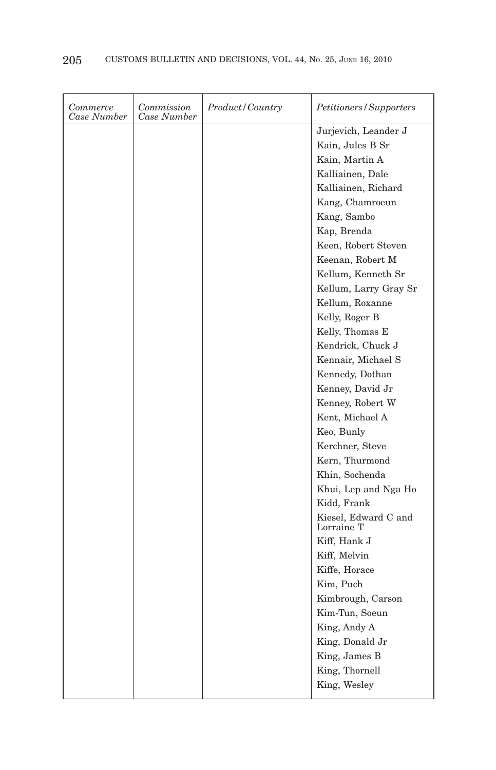| Commerce<br>Case Number | Commission<br>Case Number | Product/Country | Petitioners/Supporters             |
|-------------------------|---------------------------|-----------------|------------------------------------|
|                         |                           |                 | Jurjevich, Leander J               |
|                         |                           |                 | Kain, Jules B Sr                   |
|                         |                           |                 | Kain, Martin A                     |
|                         |                           |                 | Kalliainen, Dale                   |
|                         |                           |                 | Kalliainen, Richard                |
|                         |                           |                 | Kang, Chamroeun                    |
|                         |                           |                 | Kang, Sambo                        |
|                         |                           |                 | Kap, Brenda                        |
|                         |                           |                 | Keen, Robert Steven                |
|                         |                           |                 | Keenan, Robert M                   |
|                         |                           |                 | Kellum, Kenneth Sr                 |
|                         |                           |                 | Kellum, Larry Gray Sr              |
|                         |                           |                 | Kellum, Roxanne                    |
|                         |                           |                 | Kelly, Roger B                     |
|                         |                           |                 | Kelly, Thomas E                    |
|                         |                           |                 | Kendrick, Chuck J                  |
|                         |                           |                 | Kennair, Michael S                 |
|                         |                           |                 | Kennedy, Dothan                    |
|                         |                           |                 | Kenney, David Jr                   |
|                         |                           |                 | Kenney, Robert W                   |
|                         |                           |                 | Kent, Michael A                    |
|                         |                           |                 | Keo, Bunly                         |
|                         |                           |                 | Kerchner, Steve                    |
|                         |                           |                 | Kern, Thurmond                     |
|                         |                           |                 | Khin, Sochenda                     |
|                         |                           |                 | Khui, Lep and Nga Ho               |
|                         |                           |                 | Kidd, Frank                        |
|                         |                           |                 | Kiesel, Edward C and<br>Lorraine T |
|                         |                           |                 | Kiff, Hank J                       |
|                         |                           |                 | Kiff, Melvin                       |
|                         |                           |                 | Kiffe, Horace                      |
|                         |                           |                 | Kim, Puch                          |
|                         |                           |                 | Kimbrough, Carson                  |
|                         |                           |                 | Kim-Tun, Soeun                     |
|                         |                           |                 | King, Andy A                       |
|                         |                           |                 | King, Donald Jr                    |
|                         |                           |                 | King, James B                      |
|                         |                           |                 | King, Thornell                     |
|                         |                           |                 | King, Wesley                       |
|                         |                           |                 |                                    |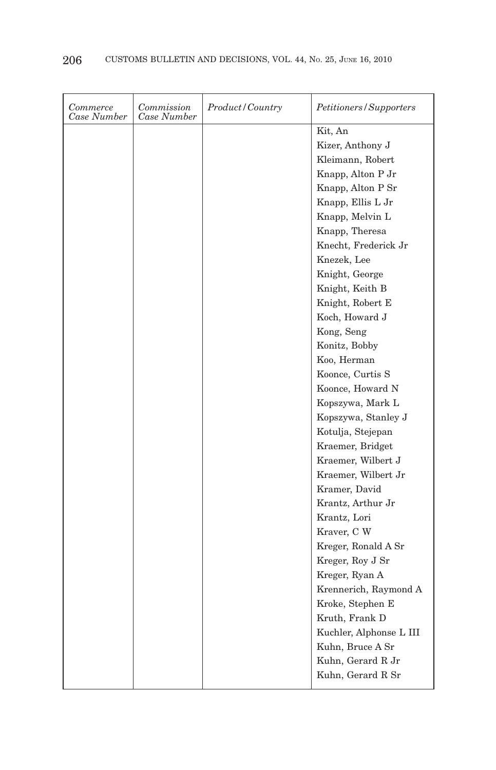| Commerce<br>Case Number | Commission<br>Case Number | Product/Country | Petitioners/Supporters  |
|-------------------------|---------------------------|-----------------|-------------------------|
|                         |                           |                 | Kit, An                 |
|                         |                           |                 | Kizer, Anthony J        |
|                         |                           |                 | Kleimann, Robert        |
|                         |                           |                 | Knapp, Alton P Jr       |
|                         |                           |                 | Knapp, Alton P Sr       |
|                         |                           |                 | Knapp, Ellis L Jr       |
|                         |                           |                 | Knapp, Melvin L         |
|                         |                           |                 | Knapp, Theresa          |
|                         |                           |                 | Knecht, Frederick Jr    |
|                         |                           |                 | Knezek, Lee             |
|                         |                           |                 | Knight, George          |
|                         |                           |                 | Knight, Keith B         |
|                         |                           |                 | Knight, Robert E        |
|                         |                           |                 | Koch, Howard J          |
|                         |                           |                 | Kong, Seng              |
|                         |                           |                 | Konitz, Bobby           |
|                         |                           |                 | Koo, Herman             |
|                         |                           |                 | Koonce, Curtis S        |
|                         |                           |                 | Koonce, Howard N        |
|                         |                           |                 | Kopszywa, Mark L        |
|                         |                           |                 | Kopszywa, Stanley J     |
|                         |                           |                 | Kotulja, Stejepan       |
|                         |                           |                 | Kraemer, Bridget        |
|                         |                           |                 | Kraemer, Wilbert J      |
|                         |                           |                 | Kraemer, Wilbert Jr     |
|                         |                           |                 | Kramer, David           |
|                         |                           |                 | Krantz, Arthur Jr       |
|                         |                           |                 | Krantz, Lori            |
|                         |                           |                 | Kraver, C W             |
|                         |                           |                 | Kreger, Ronald A Sr     |
|                         |                           |                 | Kreger, Roy J Sr        |
|                         |                           |                 | Kreger, Ryan A          |
|                         |                           |                 | Krennerich, Raymond A   |
|                         |                           |                 | Kroke, Stephen E        |
|                         |                           |                 | Kruth, Frank D          |
|                         |                           |                 | Kuchler, Alphonse L III |
|                         |                           |                 | Kuhn, Bruce A Sr        |
|                         |                           |                 | Kuhn, Gerard R Jr       |
|                         |                           |                 | Kuhn, Gerard R Sr       |
|                         |                           |                 |                         |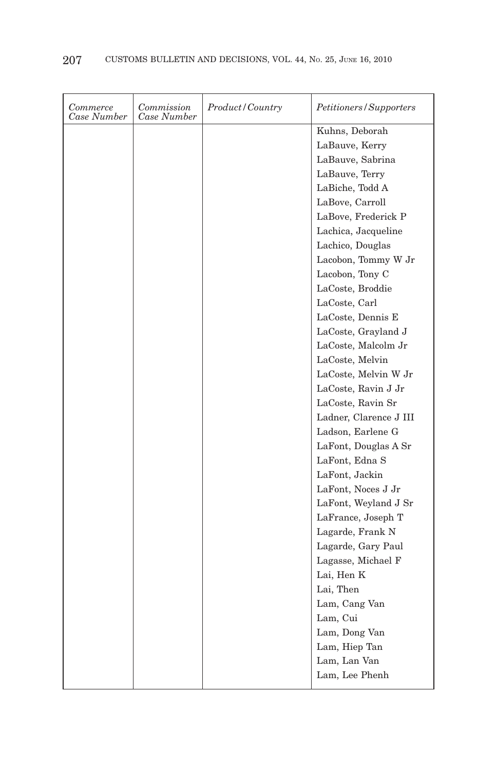| Commerce<br>Case Number | Commission<br>Case Number | Product/Country | Petitioners/Supporters |
|-------------------------|---------------------------|-----------------|------------------------|
|                         |                           |                 | Kuhns, Deborah         |
|                         |                           |                 | LaBauve, Kerry         |
|                         |                           |                 | LaBauve, Sabrina       |
|                         |                           |                 | LaBauve, Terry         |
|                         |                           |                 | LaBiche, Todd A        |
|                         |                           |                 | LaBove, Carroll        |
|                         |                           |                 | LaBove, Frederick P    |
|                         |                           |                 | Lachica, Jacqueline    |
|                         |                           |                 | Lachico, Douglas       |
|                         |                           |                 | Lacobon, Tommy W Jr    |
|                         |                           |                 | Lacobon, Tony C        |
|                         |                           |                 | LaCoste, Broddie       |
|                         |                           |                 | LaCoste, Carl          |
|                         |                           |                 | LaCoste, Dennis E      |
|                         |                           |                 | LaCoste, Grayland J    |
|                         |                           |                 | LaCoste, Malcolm Jr    |
|                         |                           |                 | LaCoste, Melvin        |
|                         |                           |                 | LaCoste, Melvin W Jr   |
|                         |                           |                 | LaCoste, Ravin J Jr    |
|                         |                           |                 | LaCoste, Ravin Sr      |
|                         |                           |                 | Ladner, Clarence J III |
|                         |                           |                 | Ladson, Earlene G      |
|                         |                           |                 | LaFont, Douglas A Sr   |
|                         |                           |                 | LaFont, Edna S         |
|                         |                           |                 | LaFont, Jackin         |
|                         |                           |                 | LaFont, Noces J Jr     |
|                         |                           |                 | LaFont, Weyland J Sr   |
|                         |                           |                 | LaFrance, Joseph T     |
|                         |                           |                 | Lagarde, Frank N       |
|                         |                           |                 | Lagarde, Gary Paul     |
|                         |                           |                 | Lagasse, Michael F     |
|                         |                           |                 | Lai, Hen K             |
|                         |                           |                 | Lai, Then              |
|                         |                           |                 | Lam, Cang Van          |
|                         |                           |                 | Lam, Cui               |
|                         |                           |                 | Lam, Dong Van          |
|                         |                           |                 | Lam, Hiep Tan          |
|                         |                           |                 | Lam, Lan Van           |
|                         |                           |                 | Lam, Lee Phenh         |
|                         |                           |                 |                        |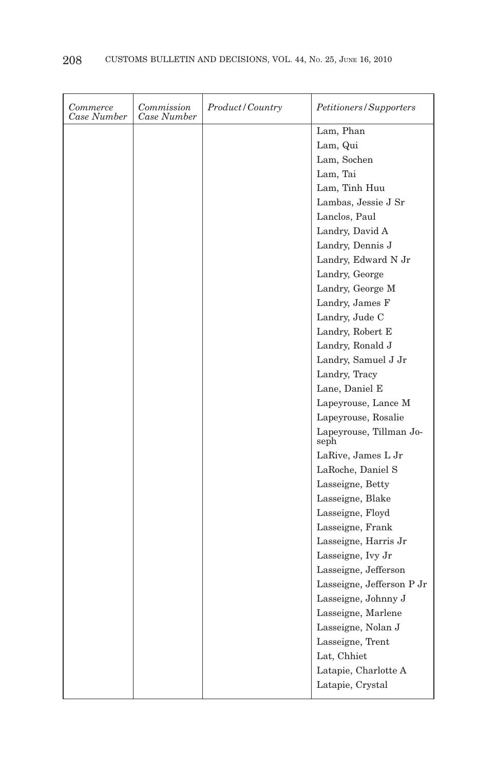| Commerce<br>Case Number | Commission<br>Case Number | Product/Country | Petitioners / Supporters        |
|-------------------------|---------------------------|-----------------|---------------------------------|
|                         |                           |                 | Lam, Phan                       |
|                         |                           |                 | Lam, Qui                        |
|                         |                           |                 | Lam, Sochen                     |
|                         |                           |                 | Lam, Tai                        |
|                         |                           |                 | Lam, Tinh Huu                   |
|                         |                           |                 | Lambas, Jessie J Sr             |
|                         |                           |                 | Lanclos, Paul                   |
|                         |                           |                 | Landry, David A                 |
|                         |                           |                 | Landry, Dennis J                |
|                         |                           |                 | Landry, Edward N Jr             |
|                         |                           |                 | Landry, George                  |
|                         |                           |                 | Landry, George M                |
|                         |                           |                 | Landry, James F                 |
|                         |                           |                 | Landry, Jude C                  |
|                         |                           |                 | Landry, Robert E                |
|                         |                           |                 | Landry, Ronald J                |
|                         |                           |                 | Landry, Samuel J Jr             |
|                         |                           |                 | Landry, Tracy                   |
|                         |                           |                 | Lane, Daniel E                  |
|                         |                           |                 | Lapeyrouse, Lance M             |
|                         |                           |                 | Lapeyrouse, Rosalie             |
|                         |                           |                 | Lapeyrouse, Tillman Jo-<br>seph |
|                         |                           |                 | LaRive, James L Jr              |
|                         |                           |                 | LaRoche, Daniel S               |
|                         |                           |                 | Lasseigne, Betty                |
|                         |                           |                 | Lasseigne, Blake                |
|                         |                           |                 | Lasseigne, Floyd                |
|                         |                           |                 | Lasseigne, Frank                |
|                         |                           |                 | Lasseigne, Harris Jr            |
|                         |                           |                 | Lasseigne, Ivy Jr               |
|                         |                           |                 | Lasseigne, Jefferson            |
|                         |                           |                 | Lasseigne, Jefferson P Jr       |
|                         |                           |                 | Lasseigne, Johnny J             |
|                         |                           |                 | Lasseigne, Marlene              |
|                         |                           |                 | Lasseigne, Nolan J              |
|                         |                           |                 | Lasseigne, Trent                |
|                         |                           |                 | Lat, Chhiet                     |
|                         |                           |                 | Latapie, Charlotte A            |
|                         |                           |                 | Latapie, Crystal                |
|                         |                           |                 |                                 |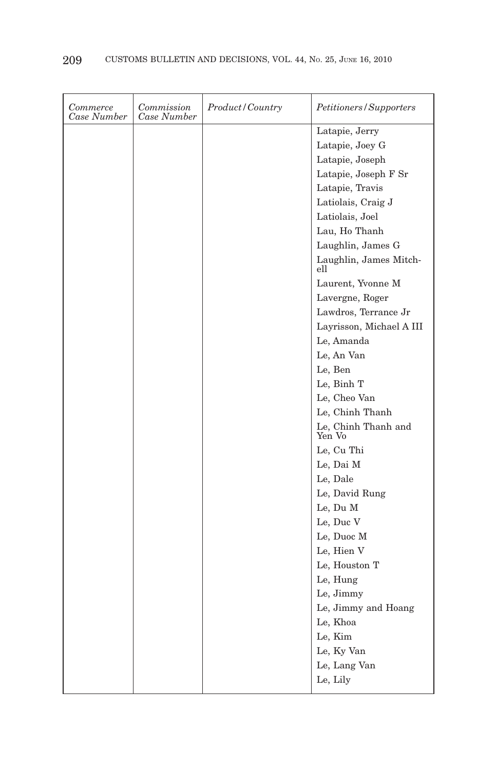| Commerce<br>Case Number | Commission<br>Case Number | <i>Product/Country</i> | Petitioners/Supporters        |
|-------------------------|---------------------------|------------------------|-------------------------------|
|                         |                           |                        | Latapie, Jerry                |
|                         |                           |                        | Latapie, Joey G               |
|                         |                           |                        | Latapie, Joseph               |
|                         |                           |                        | Latapie, Joseph F Sr          |
|                         |                           |                        | Latapie, Travis               |
|                         |                           |                        | Latiolais, Craig J            |
|                         |                           |                        | Latiolais, Joel               |
|                         |                           |                        | Lau, Ho Thanh                 |
|                         |                           |                        | Laughlin, James G             |
|                         |                           |                        | Laughlin, James Mitch-<br>ell |
|                         |                           |                        | Laurent, Yvonne M             |
|                         |                           |                        | Lavergne, Roger               |
|                         |                           |                        | Lawdros, Terrance Jr          |
|                         |                           |                        | Layrisson, Michael A III      |
|                         |                           |                        | Le, Amanda                    |
|                         |                           |                        | Le, An Van                    |
|                         |                           |                        | Le, Ben                       |
|                         |                           |                        | Le, Binh T                    |
|                         |                           |                        | Le, Cheo Van                  |
|                         |                           |                        | Le, Chinh Thanh               |
|                         |                           |                        | Le, Chinh Thanh and<br>Yen Vo |
|                         |                           |                        | Le, Cu Thi                    |
|                         |                           |                        | Le, Dai M                     |
|                         |                           |                        | Le, Dale                      |
|                         |                           |                        | Le, David Rung                |
|                         |                           |                        | Le, Du M                      |
|                         |                           |                        | Le, Duc V                     |
|                         |                           |                        | Le, Duoc M                    |
|                         |                           |                        | Le, Hien V                    |
|                         |                           |                        | Le, Houston T                 |
|                         |                           |                        | Le, Hung                      |
|                         |                           |                        | Le, Jimmy                     |
|                         |                           |                        | Le, Jimmy and Hoang           |
|                         |                           |                        | Le, Khoa                      |
|                         |                           |                        | Le, Kim                       |
|                         |                           |                        | Le, Ky Van                    |
|                         |                           |                        | Le, Lang Van                  |
|                         |                           |                        | Le, Lily                      |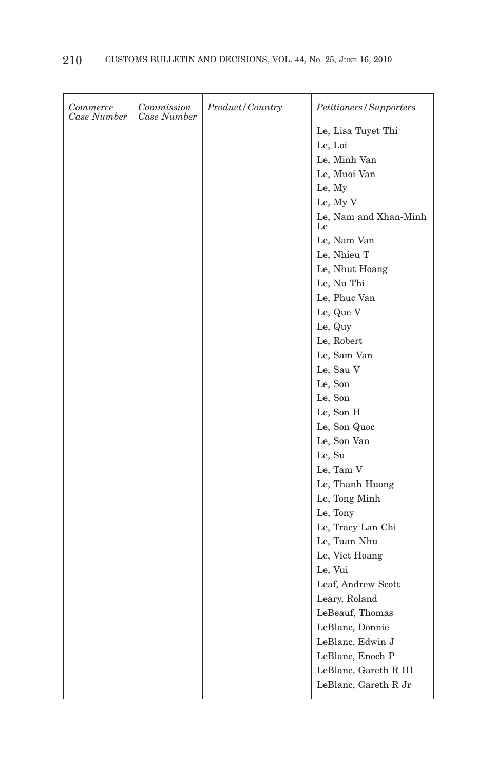| Commerce<br>Case Number | Commission<br>Case Number | <i>Product</i> / Country | Petitioners/Supporters      |
|-------------------------|---------------------------|--------------------------|-----------------------------|
|                         |                           |                          | Le, Lisa Tuyet Thi          |
|                         |                           |                          | Le, Loi                     |
|                         |                           |                          | Le, Minh Van                |
|                         |                           |                          | Le, Muoi Van                |
|                         |                           |                          | Le, My                      |
|                         |                           |                          | Le, My V                    |
|                         |                           |                          | Le, Nam and Xhan-Minh<br>Le |
|                         |                           |                          | Le, Nam Van                 |
|                         |                           |                          | Le, Nhieu T                 |
|                         |                           |                          | Le, Nhut Hoang              |
|                         |                           |                          | Le, Nu Thi                  |
|                         |                           |                          | Le, Phuc Van                |
|                         |                           |                          | Le, Que V                   |
|                         |                           |                          | Le, Quy                     |
|                         |                           |                          | Le, Robert                  |
|                         |                           |                          | Le, Sam Van                 |
|                         |                           |                          | Le, Sau V                   |
|                         |                           |                          | Le, Son                     |
|                         |                           |                          | Le, Son                     |
|                         |                           |                          | Le, Son H                   |
|                         |                           |                          | Le, Son Quoc                |
|                         |                           |                          | Le, Son Van                 |
|                         |                           |                          | Le, Su                      |
|                         |                           |                          | Le, Tam V                   |
|                         |                           |                          | Le, Thanh Huong             |
|                         |                           |                          | Le, Tong Minh               |
|                         |                           |                          | Le, Tony                    |
|                         |                           |                          | Le, Tracy Lan Chi           |
|                         |                           |                          | Le, Tuan Nhu                |
|                         |                           |                          | Le, Viet Hoang              |
|                         |                           |                          | Le, Vui                     |
|                         |                           |                          | Leaf, Andrew Scott          |
|                         |                           |                          | Leary, Roland               |
|                         |                           |                          | LeBeauf, Thomas             |
|                         |                           |                          | LeBlanc, Donnie             |
|                         |                           |                          | LeBlanc, Edwin J            |
|                         |                           |                          | LeBlanc, Enoch P            |
|                         |                           |                          | LeBlanc, Gareth R III       |
|                         |                           |                          | LeBlanc, Gareth R Jr        |
|                         |                           |                          |                             |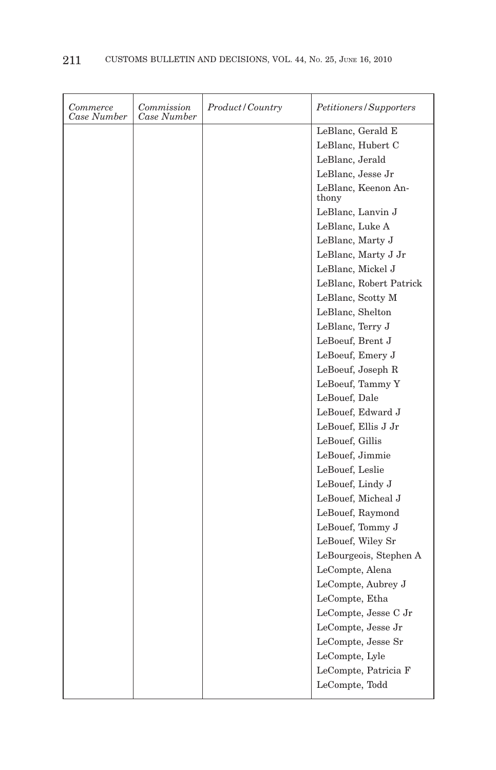| Commerce<br>Case Number | Commission<br>Case Number | Product/Country | Petitioners/Supporters       |
|-------------------------|---------------------------|-----------------|------------------------------|
|                         |                           |                 | LeBlanc, Gerald E            |
|                         |                           |                 | LeBlanc, Hubert C            |
|                         |                           |                 | LeBlanc, Jerald              |
|                         |                           |                 | LeBlanc, Jesse Jr            |
|                         |                           |                 | LeBlanc, Keenon An-<br>thony |
|                         |                           |                 | LeBlanc, Lanvin J            |
|                         |                           |                 | LeBlanc, Luke A              |
|                         |                           |                 | LeBlanc, Marty J             |
|                         |                           |                 | LeBlanc, Marty J Jr          |
|                         |                           |                 | LeBlanc, Mickel J            |
|                         |                           |                 | LeBlanc, Robert Patrick      |
|                         |                           |                 | LeBlanc, Scotty M            |
|                         |                           |                 | LeBlanc, Shelton             |
|                         |                           |                 | LeBlanc, Terry J             |
|                         |                           |                 | LeBoeuf, Brent J             |
|                         |                           |                 | LeBoeuf, Emery J             |
|                         |                           |                 | LeBoeuf, Joseph R            |
|                         |                           |                 | LeBoeuf, Tammy Y             |
|                         |                           |                 | LeBouef, Dale                |
|                         |                           |                 | LeBouef, Edward J            |
|                         |                           |                 | LeBouef, Ellis J Jr          |
|                         |                           |                 | LeBouef, Gillis              |
|                         |                           |                 | LeBouef, Jimmie              |
|                         |                           |                 | LeBouef, Leslie              |
|                         |                           |                 | LeBouef, Lindy J             |
|                         |                           |                 | LeBouef, Micheal J           |
|                         |                           |                 | LeBouef, Raymond             |
|                         |                           |                 | LeBouef, Tommy J             |
|                         |                           |                 | LeBouef, Wiley Sr            |
|                         |                           |                 | LeBourgeois, Stephen A       |
|                         |                           |                 | LeCompte, Alena              |
|                         |                           |                 | LeCompte, Aubrey J           |
|                         |                           |                 | LeCompte, Etha               |
|                         |                           |                 | LeCompte, Jesse C Jr         |
|                         |                           |                 | LeCompte, Jesse Jr           |
|                         |                           |                 | LeCompte, Jesse Sr           |
|                         |                           |                 | LeCompte, Lyle               |
|                         |                           |                 | LeCompte, Patricia F         |
|                         |                           |                 | LeCompte, Todd               |
|                         |                           |                 |                              |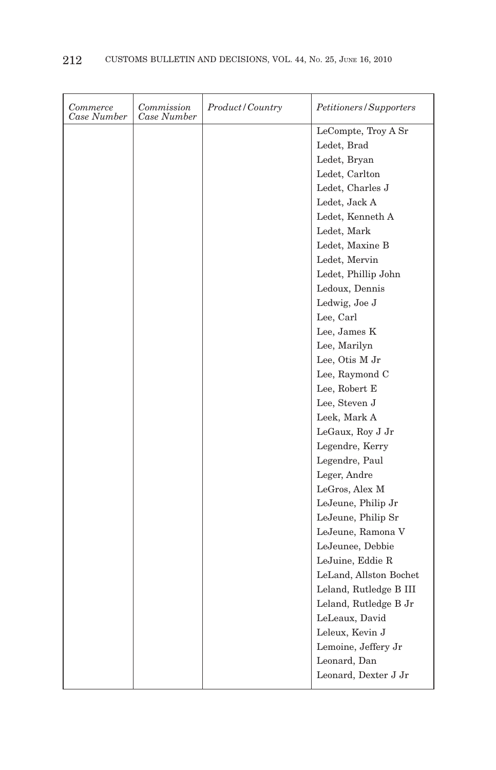| Commerce<br>Case Number | Commission<br>Case Number | Product / Country | Petitioners/Supporters |
|-------------------------|---------------------------|-------------------|------------------------|
|                         |                           |                   | LeCompte, Troy A Sr    |
|                         |                           |                   | Ledet, Brad            |
|                         |                           |                   | Ledet, Bryan           |
|                         |                           |                   | Ledet, Carlton         |
|                         |                           |                   | Ledet, Charles J       |
|                         |                           |                   | Ledet, Jack A          |
|                         |                           |                   | Ledet, Kenneth A       |
|                         |                           |                   | Ledet, Mark            |
|                         |                           |                   | Ledet, Maxine B        |
|                         |                           |                   | Ledet, Mervin          |
|                         |                           |                   | Ledet, Phillip John    |
|                         |                           |                   | Ledoux, Dennis         |
|                         |                           |                   | Ledwig, Joe J          |
|                         |                           |                   | Lee, Carl              |
|                         |                           |                   | Lee, James K           |
|                         |                           |                   | Lee, Marilyn           |
|                         |                           |                   | Lee, Otis M Jr         |
|                         |                           |                   | Lee, Raymond C         |
|                         |                           |                   | Lee, Robert E          |
|                         |                           |                   | Lee, Steven J          |
|                         |                           |                   | Leek, Mark A           |
|                         |                           |                   | LeGaux, Roy J Jr       |
|                         |                           |                   | Legendre, Kerry        |
|                         |                           |                   | Legendre, Paul         |
|                         |                           |                   | Leger, Andre           |
|                         |                           |                   | LeGros, Alex M         |
|                         |                           |                   | LeJeune, Philip Jr     |
|                         |                           |                   | LeJeune, Philip Sr     |
|                         |                           |                   | LeJeune, Ramona V      |
|                         |                           |                   | LeJeunee, Debbie       |
|                         |                           |                   | LeJuine, Eddie R       |
|                         |                           |                   | LeLand, Allston Bochet |
|                         |                           |                   | Leland, Rutledge B III |
|                         |                           |                   | Leland, Rutledge B Jr  |
|                         |                           |                   | LeLeaux, David         |
|                         |                           |                   | Leleux, Kevin J        |
|                         |                           |                   | Lemoine, Jeffery Jr    |
|                         |                           |                   | Leonard, Dan           |
|                         |                           |                   | Leonard, Dexter J Jr   |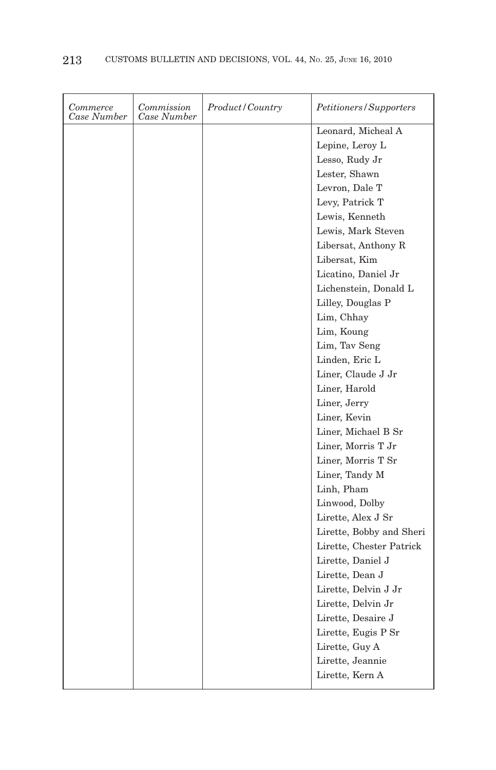| Commerce<br>Case Number | Commission<br>Case Number | Product/Country | Petitioners/Supporters   |
|-------------------------|---------------------------|-----------------|--------------------------|
|                         |                           |                 | Leonard, Micheal A       |
|                         |                           |                 | Lepine, Leroy L          |
|                         |                           |                 | Lesso, Rudy Jr           |
|                         |                           |                 | Lester, Shawn            |
|                         |                           |                 | Levron, Dale T           |
|                         |                           |                 | Levy, Patrick T          |
|                         |                           |                 | Lewis, Kenneth           |
|                         |                           |                 | Lewis, Mark Steven       |
|                         |                           |                 | Libersat, Anthony R      |
|                         |                           |                 | Libersat, Kim            |
|                         |                           |                 | Licatino, Daniel Jr      |
|                         |                           |                 | Lichenstein, Donald L    |
|                         |                           |                 | Lilley, Douglas P        |
|                         |                           |                 | Lim, Chhay               |
|                         |                           |                 | Lim, Koung               |
|                         |                           |                 | Lim, Tav Seng            |
|                         |                           |                 | Linden, Eric L           |
|                         |                           |                 | Liner, Claude J Jr       |
|                         |                           |                 | Liner, Harold            |
|                         |                           |                 | Liner, Jerry             |
|                         |                           |                 | Liner, Kevin             |
|                         |                           |                 | Liner, Michael B Sr      |
|                         |                           |                 | Liner, Morris T Jr       |
|                         |                           |                 | Liner, Morris T Sr       |
|                         |                           |                 | Liner, Tandy M           |
|                         |                           |                 | Linh, Pham               |
|                         |                           |                 | Linwood, Dolby           |
|                         |                           |                 | Lirette, Alex J Sr       |
|                         |                           |                 | Lirette, Bobby and Sheri |
|                         |                           |                 | Lirette, Chester Patrick |
|                         |                           |                 | Lirette, Daniel J        |
|                         |                           |                 | Lirette, Dean J          |
|                         |                           |                 | Lirette, Delvin J Jr     |
|                         |                           |                 | Lirette, Delvin Jr       |
|                         |                           |                 | Lirette, Desaire J       |
|                         |                           |                 | Lirette, Eugis P Sr      |
|                         |                           |                 | Lirette, Guy A           |
|                         |                           |                 | Lirette, Jeannie         |
|                         |                           |                 | Lirette, Kern A          |
|                         |                           |                 |                          |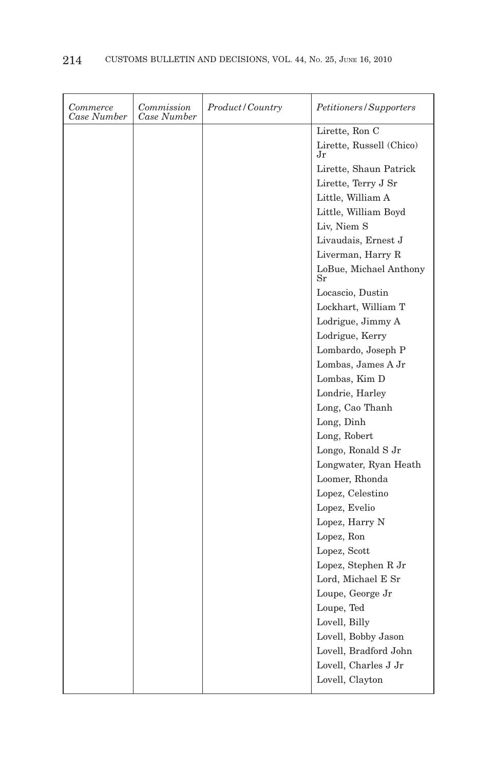| Commerce<br>Case Number | Commission<br>Case Number | <i>Product/Country</i> | Petitioners/Supporters         |
|-------------------------|---------------------------|------------------------|--------------------------------|
|                         |                           |                        | Lirette, Ron C                 |
|                         |                           |                        | Lirette, Russell (Chico)<br>Jr |
|                         |                           |                        | Lirette, Shaun Patrick         |
|                         |                           |                        | Lirette, Terry J Sr            |
|                         |                           |                        | Little, William A              |
|                         |                           |                        | Little, William Boyd           |
|                         |                           |                        | Liv, Niem S                    |
|                         |                           |                        | Livaudais, Ernest J            |
|                         |                           |                        | Liverman, Harry R              |
|                         |                           |                        | LoBue, Michael Anthony<br>Sr   |
|                         |                           |                        | Locascio, Dustin               |
|                         |                           |                        | Lockhart, William T            |
|                         |                           |                        | Lodrigue, Jimmy A              |
|                         |                           |                        | Lodrigue, Kerry                |
|                         |                           |                        | Lombardo, Joseph P             |
|                         |                           |                        | Lombas, James A Jr             |
|                         |                           |                        | Lombas, Kim D                  |
|                         |                           |                        | Londrie, Harley                |
|                         |                           |                        | Long, Cao Thanh                |
|                         |                           |                        | Long, Dinh                     |
|                         |                           |                        | Long, Robert                   |
|                         |                           |                        | Longo, Ronald S Jr             |
|                         |                           |                        | Longwater, Ryan Heath          |
|                         |                           |                        | Loomer, Rhonda                 |
|                         |                           |                        | Lopez, Celestino               |
|                         |                           |                        | Lopez, Evelio                  |
|                         |                           |                        | Lopez, Harry N                 |
|                         |                           |                        | Lopez, Ron                     |
|                         |                           |                        | Lopez, Scott                   |
|                         |                           |                        | Lopez, Stephen R Jr            |
|                         |                           |                        | Lord, Michael E Sr             |
|                         |                           |                        | Loupe, George Jr               |
|                         |                           |                        | Loupe, Ted                     |
|                         |                           |                        | Lovell, Billy                  |
|                         |                           |                        | Lovell, Bobby Jason            |
|                         |                           |                        | Lovell, Bradford John          |
|                         |                           |                        | Lovell, Charles J Jr           |
|                         |                           |                        | Lovell, Clayton                |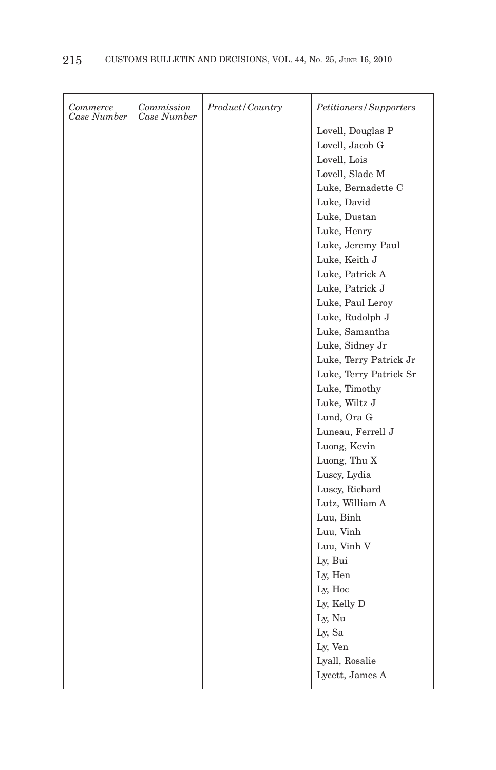| Commerce<br>Case Number | Commission<br>Case Number | Product / Country | <i>Petitioners/Supporters</i> |
|-------------------------|---------------------------|-------------------|-------------------------------|
|                         |                           |                   | Lovell, Douglas P             |
|                         |                           |                   | Lovell, Jacob G               |
|                         |                           |                   | Lovell, Lois                  |
|                         |                           |                   | Lovell, Slade M               |
|                         |                           |                   | Luke, Bernadette C            |
|                         |                           |                   | Luke, David                   |
|                         |                           |                   | Luke, Dustan                  |
|                         |                           |                   | Luke, Henry                   |
|                         |                           |                   | Luke, Jeremy Paul             |
|                         |                           |                   | Luke, Keith J                 |
|                         |                           |                   | Luke, Patrick A               |
|                         |                           |                   | Luke, Patrick J               |
|                         |                           |                   | Luke, Paul Leroy              |
|                         |                           |                   | Luke, Rudolph J               |
|                         |                           |                   | Luke, Samantha                |
|                         |                           |                   | Luke, Sidney Jr               |
|                         |                           |                   | Luke, Terry Patrick Jr        |
|                         |                           |                   | Luke, Terry Patrick Sr        |
|                         |                           |                   | Luke, Timothy                 |
|                         |                           |                   | Luke, Wiltz J                 |
|                         |                           |                   | Lund, Ora G                   |
|                         |                           |                   | Luneau, Ferrell J             |
|                         |                           |                   | Luong, Kevin                  |
|                         |                           |                   | Luong, Thu X                  |
|                         |                           |                   | Luscy, Lydia                  |
|                         |                           |                   | Luscy, Richard                |
|                         |                           |                   | Lutz, William A               |
|                         |                           |                   | Luu, Binh                     |
|                         |                           |                   | Luu, Vinh                     |
|                         |                           |                   | Luu, Vinh V                   |
|                         |                           |                   | Ly, Bui                       |
|                         |                           |                   | Ly, Hen                       |
|                         |                           |                   | Ly, Hoc                       |
|                         |                           |                   | Ly, Kelly D                   |
|                         |                           |                   | Ly, Nu                        |
|                         |                           |                   | Ly, Sa                        |
|                         |                           |                   | Ly, Ven                       |
|                         |                           |                   | Lyall, Rosalie                |
|                         |                           |                   | Lycett, James A               |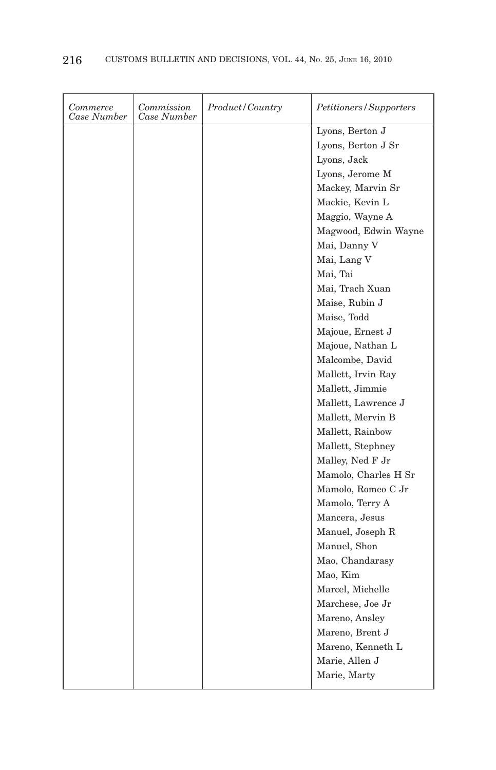| Commerce<br>Case Number | Commission<br>Case Number | Product/Country | Petitioners/Supporters  |
|-------------------------|---------------------------|-----------------|-------------------------|
|                         |                           |                 | Lyons, Berton ${\bf J}$ |
|                         |                           |                 | Lyons, Berton J Sr      |
|                         |                           |                 | Lyons, Jack             |
|                         |                           |                 | Lyons, Jerome M         |
|                         |                           |                 | Mackey, Marvin Sr       |
|                         |                           |                 | Mackie, Kevin L         |
|                         |                           |                 | Maggio, Wayne A         |
|                         |                           |                 | Magwood, Edwin Wayne    |
|                         |                           |                 | Mai, Danny V            |
|                         |                           |                 | Mai, Lang V             |
|                         |                           |                 | Mai, Tai                |
|                         |                           |                 | Mai, Trach Xuan         |
|                         |                           |                 | Maise, Rubin J          |
|                         |                           |                 | Maise, Todd             |
|                         |                           |                 | Majoue, Ernest J        |
|                         |                           |                 | Majoue, Nathan L        |
|                         |                           |                 | Malcombe, David         |
|                         |                           |                 | Mallett, Irvin Ray      |
|                         |                           |                 | Mallett, Jimmie         |
|                         |                           |                 | Mallett, Lawrence J     |
|                         |                           |                 | Mallett, Mervin B       |
|                         |                           |                 | Mallett, Rainbow        |
|                         |                           |                 | Mallett, Stephney       |
|                         |                           |                 | Malley, Ned F Jr        |
|                         |                           |                 | Mamolo, Charles H Sr    |
|                         |                           |                 | Mamolo, Romeo C Jr      |
|                         |                           |                 | Mamolo, Terry A         |
|                         |                           |                 | Mancera, Jesus          |
|                         |                           |                 | Manuel, Joseph R        |
|                         |                           |                 | Manuel, Shon            |
|                         |                           |                 | Mao, Chandarasy         |
|                         |                           |                 | Mao, Kim                |
|                         |                           |                 | Marcel, Michelle        |
|                         |                           |                 | Marchese, Joe Jr        |
|                         |                           |                 | Mareno, Ansley          |
|                         |                           |                 | Mareno, Brent J         |
|                         |                           |                 | Mareno, Kenneth L       |
|                         |                           |                 | Marie, Allen J          |
|                         |                           |                 | Marie, Marty            |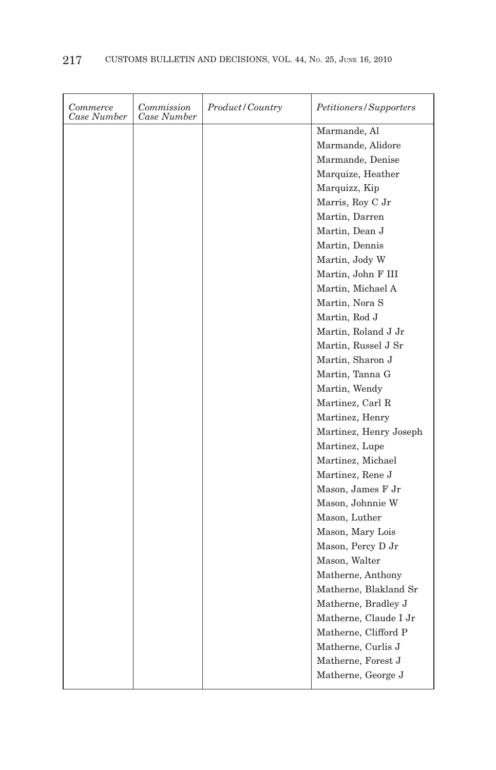| Marmande, Al<br>Marmande, Alidore<br>Marmande, Denise<br>Marquize, Heather<br>Marquizz, Kip<br>Marris, Roy C Jr<br>Martin, Darren<br>Martin, Dean J<br>Martin, Dennis<br>Martin, Jody W<br>Martin, John F III<br>Martin, Michael A<br>Martin, Nora S<br>Martin, Rod J<br>Martin, Roland J Jr<br>Martin, Russel J Sr<br>Martin, Sharon J<br>Martin, Tanna G<br>Martin, Wendy<br>Martinez, Carl R<br>Martinez, Henry |
|--------------------------------------------------------------------------------------------------------------------------------------------------------------------------------------------------------------------------------------------------------------------------------------------------------------------------------------------------------------------------------------------------------------------|
|                                                                                                                                                                                                                                                                                                                                                                                                                    |
|                                                                                                                                                                                                                                                                                                                                                                                                                    |
|                                                                                                                                                                                                                                                                                                                                                                                                                    |
|                                                                                                                                                                                                                                                                                                                                                                                                                    |
|                                                                                                                                                                                                                                                                                                                                                                                                                    |
|                                                                                                                                                                                                                                                                                                                                                                                                                    |
|                                                                                                                                                                                                                                                                                                                                                                                                                    |
|                                                                                                                                                                                                                                                                                                                                                                                                                    |
|                                                                                                                                                                                                                                                                                                                                                                                                                    |
|                                                                                                                                                                                                                                                                                                                                                                                                                    |
|                                                                                                                                                                                                                                                                                                                                                                                                                    |
|                                                                                                                                                                                                                                                                                                                                                                                                                    |
|                                                                                                                                                                                                                                                                                                                                                                                                                    |
|                                                                                                                                                                                                                                                                                                                                                                                                                    |
|                                                                                                                                                                                                                                                                                                                                                                                                                    |
|                                                                                                                                                                                                                                                                                                                                                                                                                    |
|                                                                                                                                                                                                                                                                                                                                                                                                                    |
|                                                                                                                                                                                                                                                                                                                                                                                                                    |
|                                                                                                                                                                                                                                                                                                                                                                                                                    |
|                                                                                                                                                                                                                                                                                                                                                                                                                    |
|                                                                                                                                                                                                                                                                                                                                                                                                                    |
| Martinez, Henry Joseph                                                                                                                                                                                                                                                                                                                                                                                             |
| Martinez, Lupe                                                                                                                                                                                                                                                                                                                                                                                                     |
| Martinez, Michael                                                                                                                                                                                                                                                                                                                                                                                                  |
| Martinez, Rene J                                                                                                                                                                                                                                                                                                                                                                                                   |
| Mason, James F Jr                                                                                                                                                                                                                                                                                                                                                                                                  |
| Mason, Johnnie W                                                                                                                                                                                                                                                                                                                                                                                                   |
| Mason, Luther                                                                                                                                                                                                                                                                                                                                                                                                      |
| Mason, Mary Lois                                                                                                                                                                                                                                                                                                                                                                                                   |
| Mason, Percy D Jr                                                                                                                                                                                                                                                                                                                                                                                                  |
| Mason, Walter                                                                                                                                                                                                                                                                                                                                                                                                      |
| Matherne, Anthony                                                                                                                                                                                                                                                                                                                                                                                                  |
| Matherne, Blakland Sr                                                                                                                                                                                                                                                                                                                                                                                              |
| Matherne, Bradley J                                                                                                                                                                                                                                                                                                                                                                                                |
| Matherne, Claude I Jr                                                                                                                                                                                                                                                                                                                                                                                              |
| Matherne, Clifford P                                                                                                                                                                                                                                                                                                                                                                                               |
| Matherne, Curlis J                                                                                                                                                                                                                                                                                                                                                                                                 |
| Matherne, Forest J                                                                                                                                                                                                                                                                                                                                                                                                 |
| Matherne, George J                                                                                                                                                                                                                                                                                                                                                                                                 |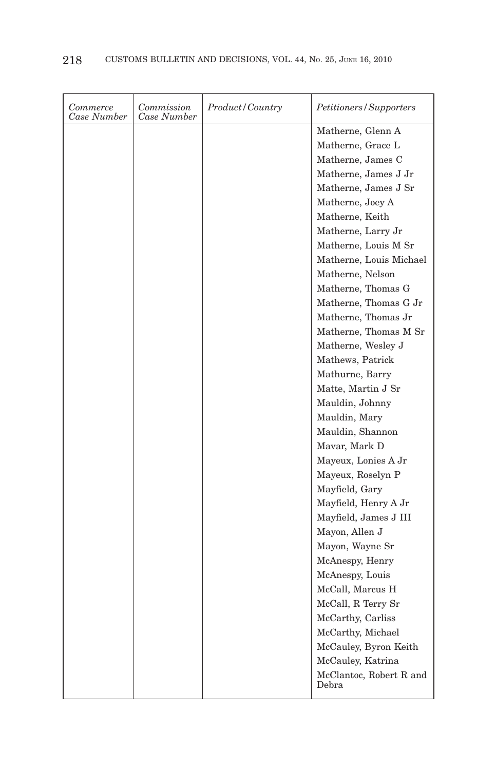| Matherne, Glenn A<br>Matherne, Grace L<br>Matherne, James C<br>Matherne, James J Jr<br>Matherne, James J Sr<br>Matherne, Joey A<br>Matherne, Keith<br>Matherne, Larry Jr |
|--------------------------------------------------------------------------------------------------------------------------------------------------------------------------|
|                                                                                                                                                                          |
|                                                                                                                                                                          |
|                                                                                                                                                                          |
|                                                                                                                                                                          |
|                                                                                                                                                                          |
|                                                                                                                                                                          |
|                                                                                                                                                                          |
|                                                                                                                                                                          |
| Matherne, Louis M Sr                                                                                                                                                     |
| Matherne, Louis Michael                                                                                                                                                  |
| Matherne, Nelson                                                                                                                                                         |
| Matherne, Thomas G                                                                                                                                                       |
| Matherne, Thomas G Jr                                                                                                                                                    |
| Matherne, Thomas Jr                                                                                                                                                      |
| Matherne, Thomas M Sr                                                                                                                                                    |
| Matherne, Wesley J                                                                                                                                                       |
| Mathews, Patrick                                                                                                                                                         |
| Mathurne, Barry                                                                                                                                                          |
| Matte, Martin J Sr                                                                                                                                                       |
| Mauldin, Johnny                                                                                                                                                          |
| Mauldin, Mary                                                                                                                                                            |
| Mauldin, Shannon                                                                                                                                                         |
| Mavar, Mark D                                                                                                                                                            |
| Mayeux, Lonies A Jr                                                                                                                                                      |
| Mayeux, Roselyn P                                                                                                                                                        |
| Mayfield, Gary                                                                                                                                                           |
| Mayfield, Henry A Jr                                                                                                                                                     |
| Mayfield, James J III                                                                                                                                                    |
| Mayon, Allen J                                                                                                                                                           |
| Mayon, Wayne Sr                                                                                                                                                          |
| McAnespy, Henry                                                                                                                                                          |
| McAnespy, Louis                                                                                                                                                          |
| McCall, Marcus H                                                                                                                                                         |
| McCall, R Terry Sr                                                                                                                                                       |
| McCarthy, Carliss                                                                                                                                                        |
| McCarthy, Michael                                                                                                                                                        |
| McCauley, Byron Keith                                                                                                                                                    |
| McCauley, Katrina                                                                                                                                                        |
| McClantoc, Robert R and<br>Debra                                                                                                                                         |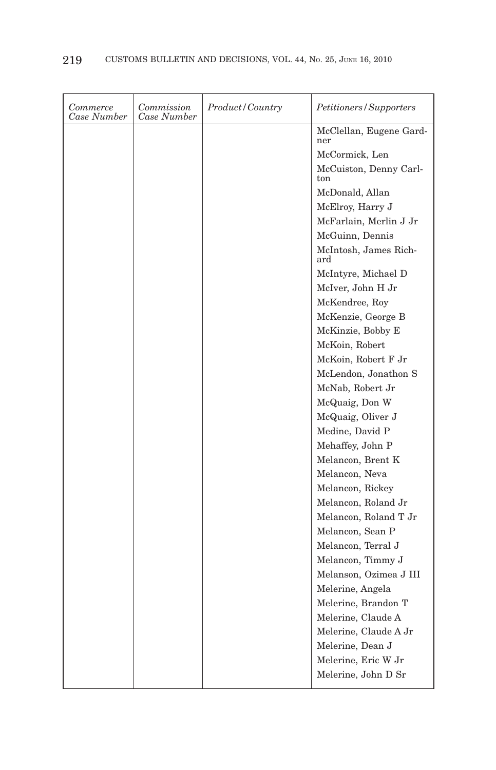| <i>Commerce</i><br>Case Number | Commission<br>Case Number | Product/Country | Petitioners/Supporters         |
|--------------------------------|---------------------------|-----------------|--------------------------------|
|                                |                           |                 | McClellan, Eugene Gard-<br>ner |
|                                |                           |                 | McCormick, Len                 |
|                                |                           |                 | McCuiston, Denny Carl-<br>ton  |
|                                |                           |                 | McDonald, Allan                |
|                                |                           |                 | McElroy, Harry J               |
|                                |                           |                 | McFarlain, Merlin J Jr         |
|                                |                           |                 | McGuinn, Dennis                |
|                                |                           |                 | McIntosh, James Rich-<br>ard   |
|                                |                           |                 | McIntyre, Michael D            |
|                                |                           |                 | McIver, John H Jr              |
|                                |                           |                 | McKendree, Roy                 |
|                                |                           |                 | McKenzie, George B             |
|                                |                           |                 | McKinzie, Bobby E              |
|                                |                           |                 | McKoin, Robert                 |
|                                |                           |                 | McKoin, Robert F Jr            |
|                                |                           |                 | McLendon, Jonathon S           |
|                                |                           |                 | McNab, Robert Jr               |
|                                |                           |                 | McQuaig, Don W                 |
|                                |                           |                 | McQuaig, Oliver J              |
|                                |                           |                 | Medine, David P                |
|                                |                           |                 | Mehaffey, John P               |
|                                |                           |                 | Melancon, Brent K              |
|                                |                           |                 | Melancon, Neva                 |
|                                |                           |                 | Melancon, Rickey               |
|                                |                           |                 | Melancon, Roland Jr            |
|                                |                           |                 | Melancon, Roland T Jr          |
|                                |                           |                 | Melancon, Sean P               |
|                                |                           |                 | Melancon, Terral J             |
|                                |                           |                 | Melancon, Timmy J              |
|                                |                           |                 | Melanson, Ozimea J III         |
|                                |                           |                 | Melerine, Angela               |
|                                |                           |                 | Melerine, Brandon T            |
|                                |                           |                 | Melerine, Claude A             |
|                                |                           |                 | Melerine, Claude A Jr          |
|                                |                           |                 | Melerine, Dean J               |
|                                |                           |                 | Melerine, Eric W Jr            |
|                                |                           |                 | Melerine, John D Sr            |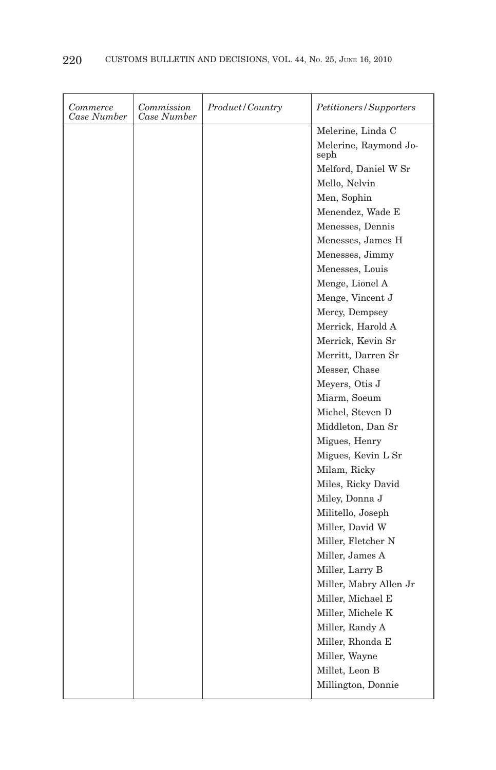| Commerce<br>Case Number | Commission<br>Case Number | Product/Country | Petitioners/Supporters        |
|-------------------------|---------------------------|-----------------|-------------------------------|
|                         |                           |                 | Melerine, Linda C             |
|                         |                           |                 | Melerine, Raymond Jo-<br>seph |
|                         |                           |                 | Melford, Daniel W Sr          |
|                         |                           |                 | Mello, Nelvin                 |
|                         |                           |                 | Men, Sophin                   |
|                         |                           |                 | Menendez, Wade E              |
|                         |                           |                 | Menesses, Dennis              |
|                         |                           |                 | Menesses, James H             |
|                         |                           |                 | Menesses, Jimmy               |
|                         |                           |                 | Menesses, Louis               |
|                         |                           |                 | Menge, Lionel A               |
|                         |                           |                 | Menge, Vincent J              |
|                         |                           |                 | Mercy, Dempsey                |
|                         |                           |                 | Merrick, Harold A             |
|                         |                           |                 | Merrick, Kevin Sr             |
|                         |                           |                 | Merritt, Darren Sr            |
|                         |                           |                 | Messer, Chase                 |
|                         |                           |                 | Meyers, Otis J                |
|                         |                           |                 | Miarm, Soeum                  |
|                         |                           |                 | Michel, Steven D              |
|                         |                           |                 | Middleton, Dan Sr             |
|                         |                           |                 | Migues, Henry                 |
|                         |                           |                 | Migues, Kevin L Sr            |
|                         |                           |                 | Milam, Ricky                  |
|                         |                           |                 | Miles, Ricky David            |
|                         |                           |                 | Miley, Donna J                |
|                         |                           |                 | Militello, Joseph             |
|                         |                           |                 | Miller, David W               |
|                         |                           |                 | Miller, Fletcher N            |
|                         |                           |                 | Miller, James A               |
|                         |                           |                 | Miller, Larry B               |
|                         |                           |                 | Miller, Mabry Allen Jr        |
|                         |                           |                 | Miller, Michael E             |
|                         |                           |                 | Miller, Michele K             |
|                         |                           |                 | Miller, Randy A               |
|                         |                           |                 | Miller, Rhonda E              |
|                         |                           |                 | Miller, Wayne                 |
|                         |                           |                 | Millet, Leon B                |
|                         |                           |                 | Millington, Donnie            |
|                         |                           |                 |                               |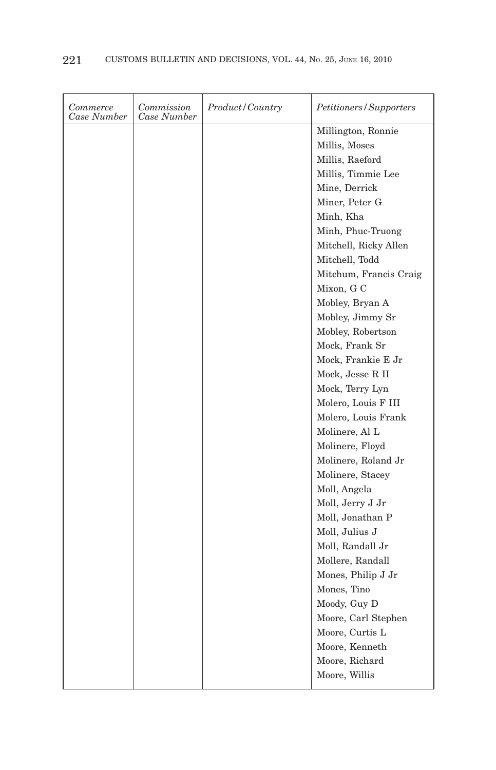| Commerce<br>Case Number | Commission<br>Case Number | Product/Country | Petitioners/Supporters |
|-------------------------|---------------------------|-----------------|------------------------|
|                         |                           |                 | Millington, Ronnie     |
|                         |                           |                 | Millis, Moses          |
|                         |                           |                 | Millis, Raeford        |
|                         |                           |                 | Millis, Timmie Lee     |
|                         |                           |                 | Mine, Derrick          |
|                         |                           |                 | Miner, Peter G         |
|                         |                           |                 | Minh, Kha              |
|                         |                           |                 | Minh, Phuc-Truong      |
|                         |                           |                 | Mitchell, Ricky Allen  |
|                         |                           |                 | Mitchell, Todd         |
|                         |                           |                 | Mitchum, Francis Craig |
|                         |                           |                 | Mixon, G C             |
|                         |                           |                 | Mobley, Bryan A        |
|                         |                           |                 | Mobley, Jimmy Sr       |
|                         |                           |                 | Mobley, Robertson      |
|                         |                           |                 | Mock, Frank Sr         |
|                         |                           |                 | Mock, Frankie E Jr     |
|                         |                           |                 | Mock, Jesse R II       |
|                         |                           |                 | Mock, Terry Lyn        |
|                         |                           |                 | Molero, Louis F III    |
|                         |                           |                 | Molero, Louis Frank    |
|                         |                           |                 | Molinere, Al L         |
|                         |                           |                 | Molinere, Floyd        |
|                         |                           |                 | Molinere, Roland Jr    |
|                         |                           |                 | Molinere, Stacey       |
|                         |                           |                 | Moll, Angela           |
|                         |                           |                 | Moll, Jerry J Jr       |
|                         |                           |                 | Moll, Jonathan P       |
|                         |                           |                 | Moll, Julius J         |
|                         |                           |                 | Moll, Randall Jr       |
|                         |                           |                 | Mollere, Randall       |
|                         |                           |                 | Mones, Philip J Jr     |
|                         |                           |                 | Mones, Tino            |
|                         |                           |                 | Moody, Guy D           |
|                         |                           |                 | Moore, Carl Stephen    |
|                         |                           |                 | Moore, Curtis L        |
|                         |                           |                 | Moore, Kenneth         |
|                         |                           |                 | Moore, Richard         |
|                         |                           |                 | Moore, Willis          |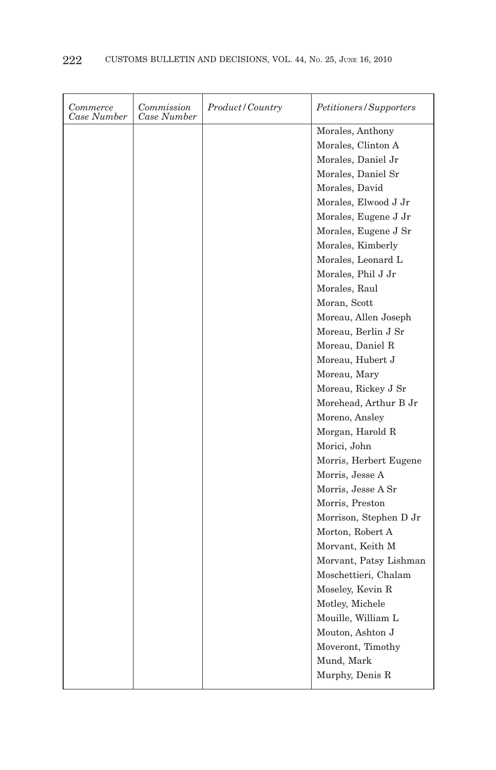| Commerce<br>Case Number | Commission<br>Case Number | Product/Country | Petitioners/Supporters |
|-------------------------|---------------------------|-----------------|------------------------|
|                         |                           |                 | Morales, Anthony       |
|                         |                           |                 | Morales, Clinton A     |
|                         |                           |                 | Morales, Daniel Jr     |
|                         |                           |                 | Morales, Daniel Sr     |
|                         |                           |                 | Morales, David         |
|                         |                           |                 | Morales, Elwood J Jr   |
|                         |                           |                 | Morales, Eugene J Jr   |
|                         |                           |                 | Morales, Eugene J Sr   |
|                         |                           |                 | Morales, Kimberly      |
|                         |                           |                 | Morales, Leonard L     |
|                         |                           |                 | Morales, Phil J Jr     |
|                         |                           |                 | Morales, Raul          |
|                         |                           |                 | Moran, Scott           |
|                         |                           |                 | Moreau, Allen Joseph   |
|                         |                           |                 | Moreau, Berlin J Sr    |
|                         |                           |                 | Moreau, Daniel R       |
|                         |                           |                 | Moreau, Hubert J       |
|                         |                           |                 | Moreau, Mary           |
|                         |                           |                 | Moreau, Rickey J Sr    |
|                         |                           |                 | Morehead, Arthur B Jr  |
|                         |                           |                 | Moreno, Ansley         |
|                         |                           |                 | Morgan, Harold R       |
|                         |                           |                 | Morici, John           |
|                         |                           |                 | Morris, Herbert Eugene |
|                         |                           |                 | Morris, Jesse A        |
|                         |                           |                 | Morris, Jesse A Sr     |
|                         |                           |                 | Morris, Preston        |
|                         |                           |                 | Morrison, Stephen D Jr |
|                         |                           |                 | Morton, Robert A       |
|                         |                           |                 | Morvant, Keith M       |
|                         |                           |                 | Morvant, Patsy Lishman |
|                         |                           |                 | Moschettieri, Chalam   |
|                         |                           |                 | Moseley, Kevin R       |
|                         |                           |                 | Motley, Michele        |
|                         |                           |                 | Mouille, William L     |
|                         |                           |                 | Mouton, Ashton J       |
|                         |                           |                 | Moveront, Timothy      |
|                         |                           |                 | Mund, Mark             |
|                         |                           |                 | Murphy, Denis R        |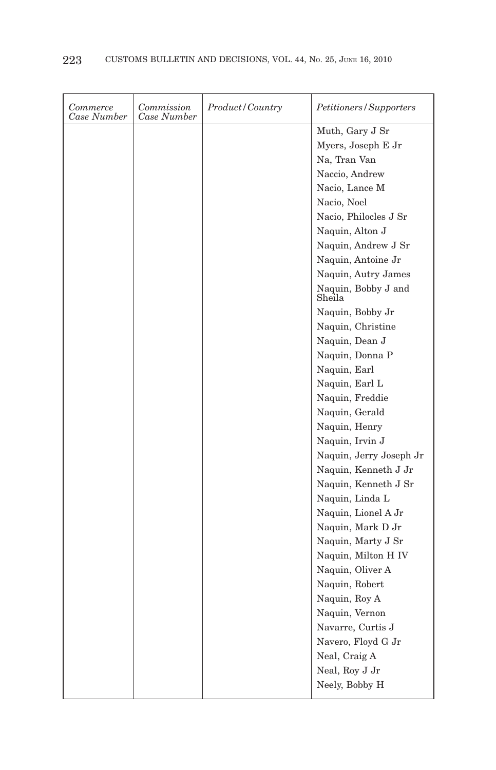| Commerce<br>Case Number | Commission<br>Case Number | Product/Country | Petitioners/Supporters        |
|-------------------------|---------------------------|-----------------|-------------------------------|
|                         |                           |                 | Muth, Gary J Sr               |
|                         |                           |                 | Myers, Joseph E Jr            |
|                         |                           |                 | Na, Tran Van                  |
|                         |                           |                 | Naccio, Andrew                |
|                         |                           |                 | Nacio, Lance M                |
|                         |                           |                 | Nacio, Noel                   |
|                         |                           |                 | Nacio, Philocles J Sr         |
|                         |                           |                 | Naquin, Alton J               |
|                         |                           |                 | Naquin, Andrew J Sr           |
|                         |                           |                 | Naquin, Antoine Jr            |
|                         |                           |                 | Naquin, Autry James           |
|                         |                           |                 | Naquin, Bobby J and<br>Sheila |
|                         |                           |                 | Naquin, Bobby Jr              |
|                         |                           |                 | Naquin, Christine             |
|                         |                           |                 | Naquin, Dean J                |
|                         |                           |                 | Naquin, Donna P               |
|                         |                           |                 | Naquin, Earl                  |
|                         |                           |                 | Naquin, Earl L                |
|                         |                           |                 | Naquin, Freddie               |
|                         |                           |                 | Naquin, Gerald                |
|                         |                           |                 | Naquin, Henry                 |
|                         |                           |                 | Naquin, Irvin J               |
|                         |                           |                 | Naquin, Jerry Joseph Jr       |
|                         |                           |                 | Naquin, Kenneth J Jr          |
|                         |                           |                 | Naquin, Kenneth J Sr          |
|                         |                           |                 | Naquin, Linda L               |
|                         |                           |                 | Naquin, Lionel A Jr           |
|                         |                           |                 | Naquin, Mark D Jr             |
|                         |                           |                 | Naquin, Marty J Sr            |
|                         |                           |                 | Naquin, Milton H IV           |
|                         |                           |                 | Naquin, Oliver A              |
|                         |                           |                 | Naquin, Robert                |
|                         |                           |                 | Naquin, Roy A                 |
|                         |                           |                 | Naquin, Vernon                |
|                         |                           |                 | Navarre, Curtis J             |
|                         |                           |                 | Navero, Floyd G Jr            |
|                         |                           |                 | Neal, Craig A                 |
|                         |                           |                 | Neal, Roy J Jr                |
|                         |                           |                 | Neely, Bobby H                |
|                         |                           |                 |                               |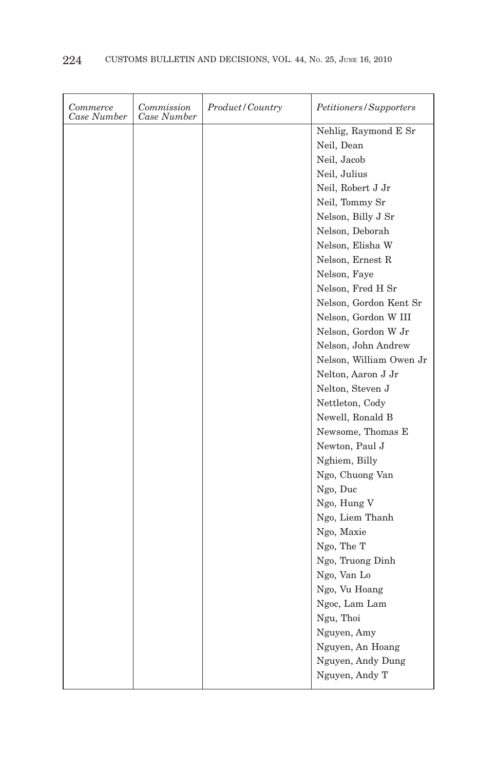| Commerce<br>Case Number | Commission<br>Case Number | <i>Product</i> / Country | Petitioners/Supporters  |
|-------------------------|---------------------------|--------------------------|-------------------------|
|                         |                           |                          | Nehlig, Raymond E Sr    |
|                         |                           |                          | Neil, Dean              |
|                         |                           |                          | Neil, Jacob             |
|                         |                           |                          | Neil, Julius            |
|                         |                           |                          | Neil, Robert J Jr       |
|                         |                           |                          | Neil, Tommy Sr          |
|                         |                           |                          | Nelson, Billy J Sr      |
|                         |                           |                          | Nelson, Deborah         |
|                         |                           |                          | Nelson, Elisha W        |
|                         |                           |                          | Nelson, Ernest R        |
|                         |                           |                          | Nelson, Faye            |
|                         |                           |                          | Nelson, Fred H Sr       |
|                         |                           |                          | Nelson, Gordon Kent Sr  |
|                         |                           |                          | Nelson, Gordon W III    |
|                         |                           |                          | Nelson, Gordon W Jr     |
|                         |                           |                          | Nelson, John Andrew     |
|                         |                           |                          | Nelson, William Owen Jr |
|                         |                           |                          | Nelton, Aaron J Jr      |
|                         |                           |                          | Nelton, Steven J        |
|                         |                           |                          | Nettleton, Cody         |
|                         |                           |                          | Newell, Ronald B        |
|                         |                           |                          | Newsome, Thomas E       |
|                         |                           |                          | Newton, Paul J          |
|                         |                           |                          | Nghiem, Billy           |
|                         |                           |                          | Ngo, Chuong Van         |
|                         |                           |                          | Ngo, Duc                |
|                         |                           |                          | Ngo, Hung V             |
|                         |                           |                          | Ngo, Liem Thanh         |
|                         |                           |                          | Ngo, Maxie              |
|                         |                           |                          | Ngo, The T              |
|                         |                           |                          | Ngo, Truong Dinh        |
|                         |                           |                          | Ngo, Van Lo             |
|                         |                           |                          | Ngo, Vu Hoang           |
|                         |                           |                          | Ngoc, Lam Lam           |
|                         |                           |                          | Ngu, Thoi               |
|                         |                           |                          | Nguyen, Amy             |
|                         |                           |                          | Nguyen, An Hoang        |
|                         |                           |                          | Nguyen, Andy Dung       |
|                         |                           |                          | Nguyen, Andy T          |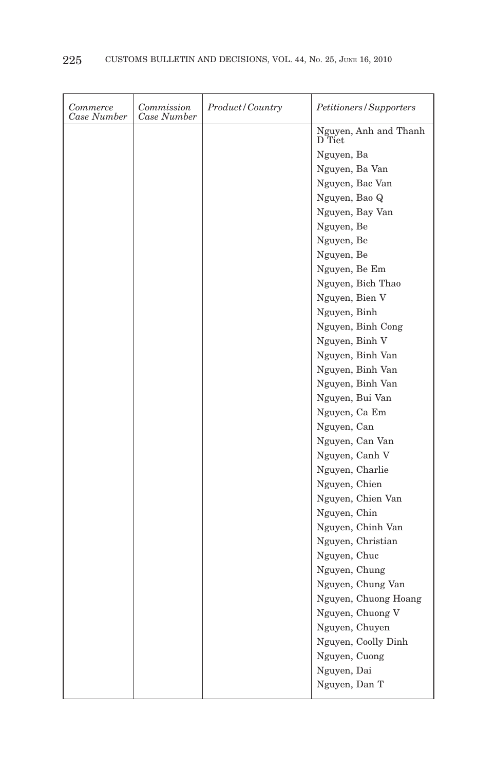| Commerce<br>Case Number | Commission<br>Case Number | Product/Country | Petitioners/Supporters          |
|-------------------------|---------------------------|-----------------|---------------------------------|
|                         |                           |                 | Nguyen, Anh and Thanh<br>D Tiet |
|                         |                           |                 | Nguyen, Ba                      |
|                         |                           |                 | Nguyen, Ba Van                  |
|                         |                           |                 | Nguyen, Bac Van                 |
|                         |                           |                 | Nguyen, Bao Q                   |
|                         |                           |                 | Nguyen, Bay Van                 |
|                         |                           |                 | Nguyen, Be                      |
|                         |                           |                 | Nguyen, Be                      |
|                         |                           |                 | Nguyen, Be                      |
|                         |                           |                 | Nguyen, Be Em                   |
|                         |                           |                 | Nguyen, Bich Thao               |
|                         |                           |                 | Nguyen, Bien V                  |
|                         |                           |                 | Nguyen, Binh                    |
|                         |                           |                 | Nguyen, Binh Cong               |
|                         |                           |                 | Nguyen, Binh V                  |
|                         |                           |                 | Nguyen, Binh Van                |
|                         |                           |                 | Nguyen, Binh Van                |
|                         |                           |                 | Nguyen, Binh Van                |
|                         |                           |                 | Nguyen, Bui Van                 |
|                         |                           |                 | Nguyen, Ca Em                   |
|                         |                           |                 | Nguyen, Can                     |
|                         |                           |                 | Nguyen, Can Van                 |
|                         |                           |                 | Nguyen, Canh V                  |
|                         |                           |                 | Nguyen, Charlie                 |
|                         |                           |                 | Nguyen, Chien                   |
|                         |                           |                 | Nguyen, Chien Van               |
|                         |                           |                 | Nguyen, Chin                    |
|                         |                           |                 | Nguyen, Chinh Van               |
|                         |                           |                 | Nguyen, Christian               |
|                         |                           |                 | Nguyen, Chuc                    |
|                         |                           |                 | Nguyen, Chung                   |
|                         |                           |                 | Nguyen, Chung Van               |
|                         |                           |                 | Nguyen, Chuong Hoang            |
|                         |                           |                 | Nguyen, Chuong V                |
|                         |                           |                 | Nguyen, Chuyen                  |
|                         |                           |                 | Nguyen, Coolly Dinh             |
|                         |                           |                 | Nguyen, Cuong                   |
|                         |                           |                 | Nguyen, Dai                     |
|                         |                           |                 | Nguyen, Dan T                   |
|                         |                           |                 |                                 |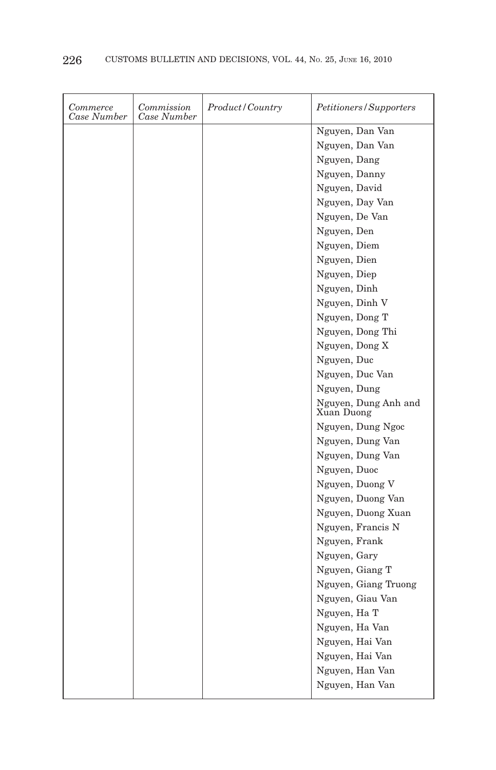| Commerce<br>Case Number | Commission<br>Case Number | Product/Country | Petitioners/Supporters             |
|-------------------------|---------------------------|-----------------|------------------------------------|
|                         |                           |                 | Nguyen, Dan Van                    |
|                         |                           |                 | Nguyen, Dan Van                    |
|                         |                           |                 | Nguyen, Dang                       |
|                         |                           |                 | Nguyen, Danny                      |
|                         |                           |                 | Nguyen, David                      |
|                         |                           |                 | Nguyen, Day Van                    |
|                         |                           |                 | Nguyen, De Van                     |
|                         |                           |                 | Nguyen, Den                        |
|                         |                           |                 | Nguyen, Diem                       |
|                         |                           |                 | Nguyen, Dien                       |
|                         |                           |                 | Nguyen, Diep                       |
|                         |                           |                 | Nguyen, Dinh                       |
|                         |                           |                 | Nguyen, Dinh V                     |
|                         |                           |                 | Nguyen, Dong T                     |
|                         |                           |                 | Nguyen, Dong Thi                   |
|                         |                           |                 | Nguyen, Dong X                     |
|                         |                           |                 | Nguyen, Duc                        |
|                         |                           |                 | Nguyen, Duc Van                    |
|                         |                           |                 | Nguyen, Dung                       |
|                         |                           |                 | Nguyen, Dung Anh and<br>Xuan Duong |
|                         |                           |                 | Nguyen, Dung Ngoc                  |
|                         |                           |                 | Nguyen, Dung Van                   |
|                         |                           |                 | Nguyen, Dung Van                   |
|                         |                           |                 | Nguyen, Duoc                       |
|                         |                           |                 | Nguyen, Duong V                    |
|                         |                           |                 | Nguyen, Duong Van                  |
|                         |                           |                 | Nguyen, Duong Xuan                 |
|                         |                           |                 | Nguyen, Francis N                  |
|                         |                           |                 | Nguyen, Frank                      |
|                         |                           |                 | Nguyen, Gary                       |
|                         |                           |                 | Nguyen, Giang T                    |
|                         |                           |                 | Nguyen, Giang Truong               |
|                         |                           |                 | Nguyen, Giau Van                   |
|                         |                           |                 | Nguyen, Ha T                       |
|                         |                           |                 | Nguyen, Ha Van                     |
|                         |                           |                 | Nguyen, Hai Van                    |
|                         |                           |                 | Nguyen, Hai Van                    |
|                         |                           |                 | Nguyen, Han Van                    |
|                         |                           |                 | Nguyen, Han Van                    |
|                         |                           |                 |                                    |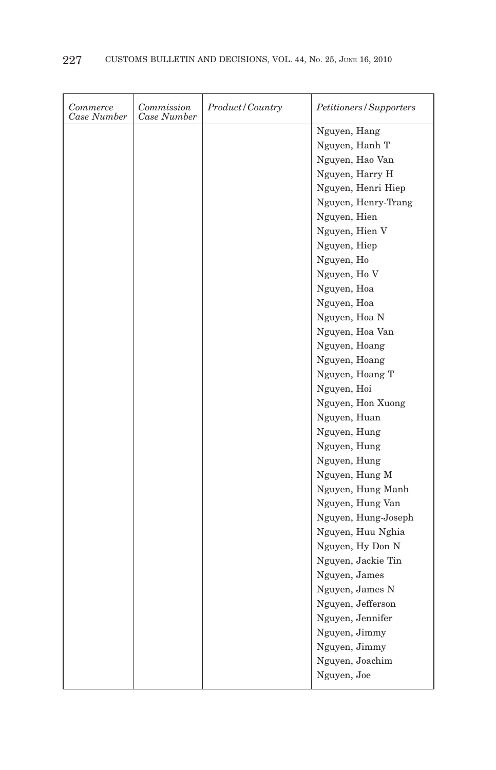| Commerce<br>Case Number | Commission<br>Case Number | <i>Product/Country</i> | Petitioners/Supporters |
|-------------------------|---------------------------|------------------------|------------------------|
|                         |                           |                        | Nguyen, Hang           |
|                         |                           |                        | Nguyen, Hanh T         |
|                         |                           |                        | Nguyen, Hao Van        |
|                         |                           |                        | Nguyen, Harry H        |
|                         |                           |                        | Nguyen, Henri Hiep     |
|                         |                           |                        | Nguyen, Henry-Trang    |
|                         |                           |                        | Nguyen, Hien           |
|                         |                           |                        | Nguyen, Hien V         |
|                         |                           |                        | Nguyen, Hiep           |
|                         |                           |                        | Nguyen, Ho             |
|                         |                           |                        | Nguyen, Ho V           |
|                         |                           |                        | Nguyen, Hoa            |
|                         |                           |                        | Nguyen, Hoa            |
|                         |                           |                        | Nguyen, Hoa N          |
|                         |                           |                        | Nguyen, Hoa Van        |
|                         |                           |                        | Nguyen, Hoang          |
|                         |                           |                        | Nguyen, Hoang          |
|                         |                           |                        | Nguyen, Hoang T        |
|                         |                           |                        | Nguyen, Hoi            |
|                         |                           |                        | Nguyen, Hon Xuong      |
|                         |                           |                        | Nguyen, Huan           |
|                         |                           |                        | Nguyen, Hung           |
|                         |                           |                        | Nguyen, Hung           |
|                         |                           |                        | Nguyen, Hung           |
|                         |                           |                        | Nguyen, Hung M         |
|                         |                           |                        | Nguyen, Hung Manh      |
|                         |                           |                        | Nguyen, Hung Van       |
|                         |                           |                        | Nguyen, Hung-Joseph    |
|                         |                           |                        | Nguyen, Huu Nghia      |
|                         |                           |                        | Nguyen, Hy Don N       |
|                         |                           |                        | Nguyen, Jackie Tin     |
|                         |                           |                        | Nguyen, James          |
|                         |                           |                        | Nguyen, James N        |
|                         |                           |                        | Nguyen, Jefferson      |
|                         |                           |                        | Nguyen, Jennifer       |
|                         |                           |                        | Nguyen, Jimmy          |
|                         |                           |                        | Nguyen, Jimmy          |
|                         |                           |                        | Nguyen, Joachim        |
|                         |                           |                        | Nguyen, Joe            |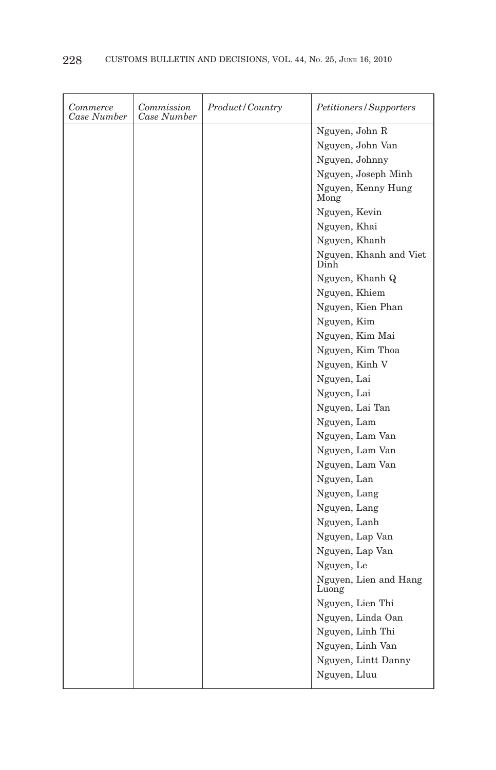| Commerce<br>Case Number | Commission<br>Case Number | <i>Product/Country</i> | Petitioners/Supporters         |
|-------------------------|---------------------------|------------------------|--------------------------------|
|                         |                           |                        | Nguyen, John R                 |
|                         |                           |                        | Nguyen, John Van               |
|                         |                           |                        | Nguyen, Johnny                 |
|                         |                           |                        | Nguyen, Joseph Minh            |
|                         |                           |                        | Nguyen, Kenny Hung<br>Mong     |
|                         |                           |                        | Nguyen, Kevin                  |
|                         |                           |                        | Nguyen, Khai                   |
|                         |                           |                        | Nguyen, Khanh                  |
|                         |                           |                        | Nguyen, Khanh and Viet<br>Dinh |
|                         |                           |                        | Nguyen, Khanh Q                |
|                         |                           |                        | Nguyen, Khiem                  |
|                         |                           |                        | Nguyen, Kien Phan              |
|                         |                           |                        | Nguyen, Kim                    |
|                         |                           |                        | Nguyen, Kim Mai                |
|                         |                           |                        | Nguyen, Kim Thoa               |
|                         |                           |                        | Nguyen, Kinh V                 |
|                         |                           |                        | Nguyen, Lai                    |
|                         |                           |                        | Nguyen, Lai                    |
|                         |                           |                        | Nguyen, Lai Tan                |
|                         |                           |                        | Nguyen, Lam                    |
|                         |                           |                        | Nguyen, Lam Van                |
|                         |                           |                        | Nguyen, Lam Van                |
|                         |                           |                        | Nguyen, Lam Van                |
|                         |                           |                        | Nguyen, Lan                    |
|                         |                           |                        | Nguyen, Lang                   |
|                         |                           |                        | Nguyen, Lang                   |
|                         |                           |                        | Nguyen, Lanh                   |
|                         |                           |                        | Nguyen, Lap Van                |
|                         |                           |                        | Nguyen, Lap Van                |
|                         |                           |                        | Nguyen, Le                     |
|                         |                           |                        | Nguyen, Lien and Hang<br>Luong |
|                         |                           |                        | Nguyen, Lien Thi               |
|                         |                           |                        | Nguyen, Linda Oan              |
|                         |                           |                        | Nguyen, Linh Thi               |
|                         |                           |                        | Nguyen, Linh Van               |
|                         |                           |                        | Nguyen, Lintt Danny            |
|                         |                           |                        | Nguyen, Lluu                   |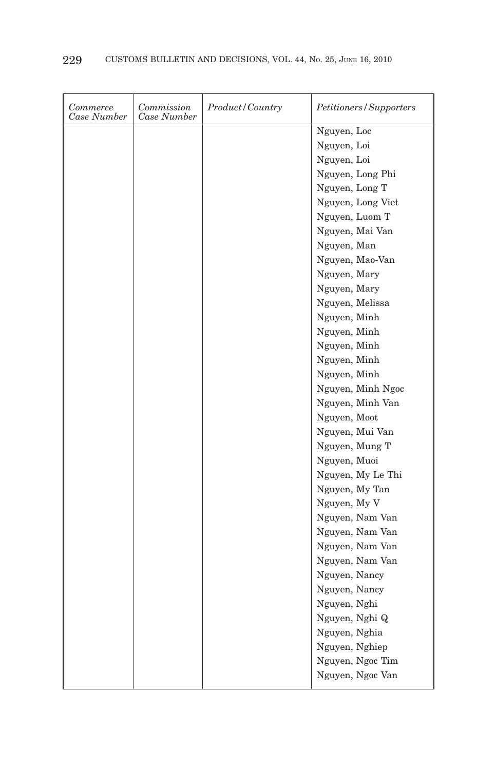| Commerce<br>Case Number | Commission<br>Case Number | Product/Country | <i>Petitioners/Supporters</i> |
|-------------------------|---------------------------|-----------------|-------------------------------|
|                         |                           |                 | Nguyen, Loc                   |
|                         |                           |                 | Nguyen, Loi                   |
|                         |                           |                 | Nguyen, Loi                   |
|                         |                           |                 | Nguyen, Long Phi              |
|                         |                           |                 | Nguyen, Long T                |
|                         |                           |                 | Nguyen, Long Viet             |
|                         |                           |                 | Nguyen, Luom T                |
|                         |                           |                 | Nguyen, Mai Van               |
|                         |                           |                 | Nguyen, Man                   |
|                         |                           |                 | Nguyen, Mao-Van               |
|                         |                           |                 | Nguyen, Mary                  |
|                         |                           |                 | Nguyen, Mary                  |
|                         |                           |                 | Nguyen, Melissa               |
|                         |                           |                 | Nguyen, Minh                  |
|                         |                           |                 | Nguyen, Minh                  |
|                         |                           |                 | Nguyen, Minh                  |
|                         |                           |                 | Nguyen, Minh                  |
|                         |                           |                 | Nguyen, Minh                  |
|                         |                           |                 | Nguyen, Minh Ngoc             |
|                         |                           |                 | Nguyen, Minh Van              |
|                         |                           |                 | Nguyen, Moot                  |
|                         |                           |                 | Nguyen, Mui Van               |
|                         |                           |                 | Nguyen, Mung T                |
|                         |                           |                 | Nguyen, Muoi                  |
|                         |                           |                 | Nguyen, My Le Thi             |
|                         |                           |                 | Nguyen, My Tan                |
|                         |                           |                 | Nguyen, My V                  |
|                         |                           |                 | Nguyen, Nam Van               |
|                         |                           |                 | Nguyen, Nam Van               |
|                         |                           |                 | Nguyen, Nam Van               |
|                         |                           |                 | Nguyen, Nam Van               |
|                         |                           |                 | Nguyen, Nancy                 |
|                         |                           |                 | Nguyen, Nancy                 |
|                         |                           |                 | Nguyen, Nghi                  |
|                         |                           |                 | Nguyen, Nghi Q                |
|                         |                           |                 | Nguyen, Nghia                 |
|                         |                           |                 | Nguyen, Nghiep                |
|                         |                           |                 | Nguyen, Ngoc Tim              |
|                         |                           |                 | Nguyen, Ngoc Van              |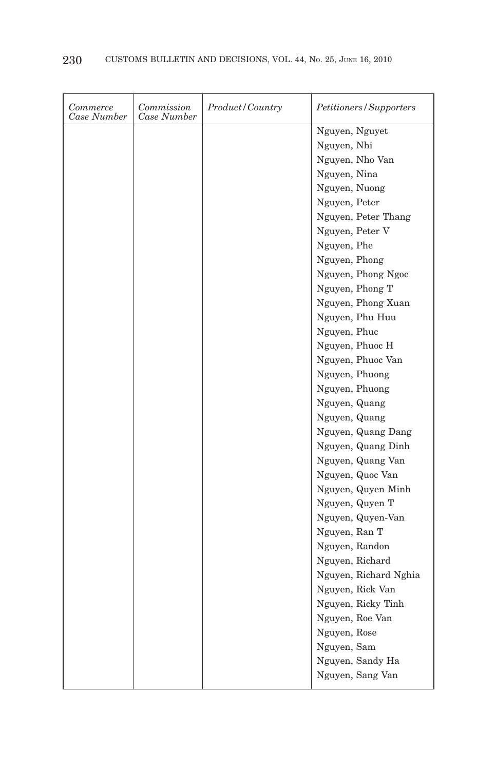| Commerce<br>Case Number | Commission<br>Case Number | Product/Country | Petitioners/Supporters |
|-------------------------|---------------------------|-----------------|------------------------|
|                         |                           |                 | Nguyen, Nguyet         |
|                         |                           |                 | Nguyen, Nhi            |
|                         |                           |                 | Nguyen, Nho Van        |
|                         |                           |                 | Nguyen, Nina           |
|                         |                           |                 | Nguyen, Nuong          |
|                         |                           |                 | Nguyen, Peter          |
|                         |                           |                 | Nguyen, Peter Thang    |
|                         |                           |                 | Nguyen, Peter V        |
|                         |                           |                 | Nguyen, Phe            |
|                         |                           |                 | Nguyen, Phong          |
|                         |                           |                 | Nguyen, Phong Ngoc     |
|                         |                           |                 | Nguyen, Phong T        |
|                         |                           |                 | Nguyen, Phong Xuan     |
|                         |                           |                 | Nguyen, Phu Huu        |
|                         |                           |                 | Nguyen, Phuc           |
|                         |                           |                 | Nguyen, Phuoc H        |
|                         |                           |                 | Nguyen, Phuoc Van      |
|                         |                           |                 | Nguyen, Phuong         |
|                         |                           |                 | Nguyen, Phuong         |
|                         |                           |                 | Nguyen, Quang          |
|                         |                           |                 | Nguyen, Quang          |
|                         |                           |                 | Nguyen, Quang Dang     |
|                         |                           |                 | Nguyen, Quang Dinh     |
|                         |                           |                 | Nguyen, Quang Van      |
|                         |                           |                 | Nguyen, Quoc Van       |
|                         |                           |                 | Nguyen, Quyen Minh     |
|                         |                           |                 | Nguyen, Quyen T        |
|                         |                           |                 | Nguyen, Quyen-Van      |
|                         |                           |                 | Nguyen, Ran T          |
|                         |                           |                 | Nguyen, Randon         |
|                         |                           |                 | Nguyen, Richard        |
|                         |                           |                 | Nguyen, Richard Nghia  |
|                         |                           |                 | Nguyen, Rick Van       |
|                         |                           |                 | Nguyen, Ricky Tinh     |
|                         |                           |                 | Nguyen, Roe Van        |
|                         |                           |                 | Nguyen, Rose           |
|                         |                           |                 | Nguyen, Sam            |
|                         |                           |                 | Nguyen, Sandy Ha       |
|                         |                           |                 | Nguyen, Sang Van       |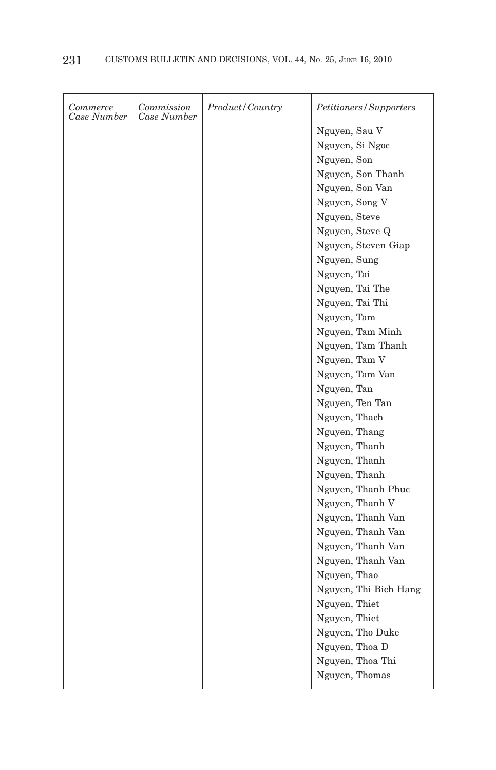| Commerce<br>Case Number | Commission<br>Case Number | Product/Country | Petitioners/Supporters |
|-------------------------|---------------------------|-----------------|------------------------|
|                         |                           |                 | Nguyen, Sau V          |
|                         |                           |                 | Nguyen, Si Ngoc        |
|                         |                           |                 | Nguyen, Son            |
|                         |                           |                 | Nguyen, Son Thanh      |
|                         |                           |                 | Nguyen, Son Van        |
|                         |                           |                 | Nguyen, Song V         |
|                         |                           |                 | Nguyen, Steve          |
|                         |                           |                 | Nguyen, Steve Q        |
|                         |                           |                 | Nguyen, Steven Giap    |
|                         |                           |                 | Nguyen, Sung           |
|                         |                           |                 | Nguyen, Tai            |
|                         |                           |                 | Nguyen, Tai The        |
|                         |                           |                 | Nguyen, Tai Thi        |
|                         |                           |                 | Nguyen, Tam            |
|                         |                           |                 | Nguyen, Tam Minh       |
|                         |                           |                 | Nguyen, Tam Thanh      |
|                         |                           |                 | Nguyen, Tam V          |
|                         |                           |                 | Nguyen, Tam Van        |
|                         |                           |                 | Nguyen, Tan            |
|                         |                           |                 | Nguyen, Ten Tan        |
|                         |                           |                 | Nguyen, Thach          |
|                         |                           |                 | Nguyen, Thang          |
|                         |                           |                 | Nguyen, Thanh          |
|                         |                           |                 | Nguyen, Thanh          |
|                         |                           |                 | Nguyen, Thanh          |
|                         |                           |                 | Nguyen, Thanh Phuc     |
|                         |                           |                 | Nguyen, Thanh V        |
|                         |                           |                 | Nguyen, Thanh Van      |
|                         |                           |                 | Nguyen, Thanh Van      |
|                         |                           |                 | Nguyen, Thanh Van      |
|                         |                           |                 | Nguyen, Thanh Van      |
|                         |                           |                 | Nguyen, Thao           |
|                         |                           |                 | Nguyen, Thi Bich Hang  |
|                         |                           |                 | Nguyen, Thiet          |
|                         |                           |                 | Nguyen, Thiet          |
|                         |                           |                 | Nguyen, Tho Duke       |
|                         |                           |                 | Nguyen, Thoa D         |
|                         |                           |                 | Nguyen, Thoa Thi       |
|                         |                           |                 | Nguyen, Thomas         |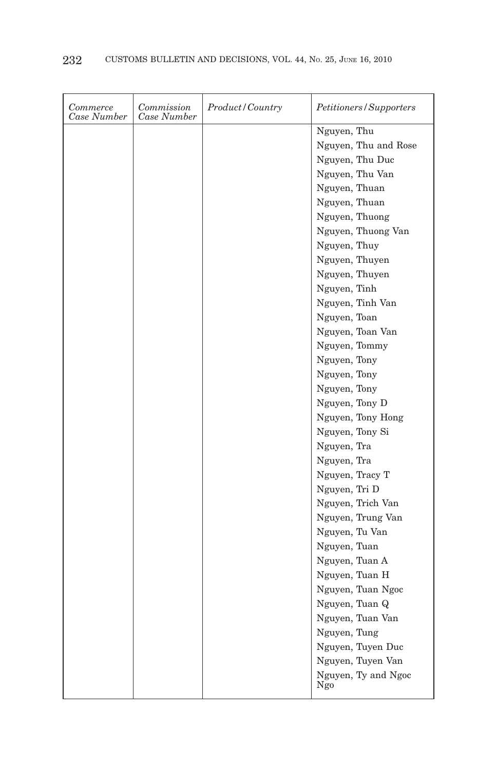| Commerce<br>Case Number | Commission<br>Case Number | Product/Country | Petitioners/Supporters     |
|-------------------------|---------------------------|-----------------|----------------------------|
|                         |                           |                 | Nguyen, Thu                |
|                         |                           |                 | Nguyen, Thu and Rose       |
|                         |                           |                 | Nguyen, Thu Duc            |
|                         |                           |                 | Nguyen, Thu Van            |
|                         |                           |                 | Nguyen, Thuan              |
|                         |                           |                 | Nguyen, Thuan              |
|                         |                           |                 | Nguyen, Thuong             |
|                         |                           |                 | Nguyen, Thuong Van         |
|                         |                           |                 | Nguyen, Thuy               |
|                         |                           |                 | Nguyen, Thuyen             |
|                         |                           |                 | Nguyen, Thuyen             |
|                         |                           |                 | Nguyen, Tinh               |
|                         |                           |                 | Nguyen, Tinh Van           |
|                         |                           |                 | Nguyen, Toan               |
|                         |                           |                 | Nguyen, Toan Van           |
|                         |                           |                 | Nguyen, Tommy              |
|                         |                           |                 | Nguyen, Tony               |
|                         |                           |                 | Nguyen, Tony               |
|                         |                           |                 | Nguyen, Tony               |
|                         |                           |                 | Nguyen, Tony D             |
|                         |                           |                 | Nguyen, Tony Hong          |
|                         |                           |                 | Nguyen, Tony Si            |
|                         |                           |                 | Nguyen, Tra                |
|                         |                           |                 | Nguyen, Tra                |
|                         |                           |                 | Nguyen, Tracy T            |
|                         |                           |                 | Nguyen, Tri D              |
|                         |                           |                 | Nguyen, Trich Van          |
|                         |                           |                 | Nguyen, Trung Van          |
|                         |                           |                 | Nguyen, Tu Van             |
|                         |                           |                 | Nguyen, Tuan               |
|                         |                           |                 | Nguyen, Tuan A             |
|                         |                           |                 | Nguyen, Tuan H             |
|                         |                           |                 | Nguyen, Tuan Ngoc          |
|                         |                           |                 | Nguyen, Tuan Q             |
|                         |                           |                 | Nguyen, Tuan Van           |
|                         |                           |                 | Nguyen, Tung               |
|                         |                           |                 | Nguyen, Tuyen Duc          |
|                         |                           |                 | Nguyen, Tuyen Van          |
|                         |                           |                 | Nguyen, Ty and Ngoc<br>Ngo |
|                         |                           |                 |                            |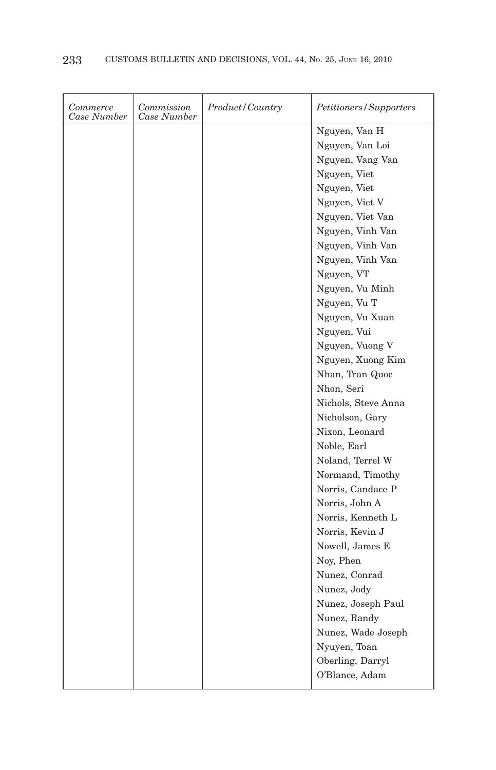| Commerce<br>Case Number | Commission<br>Case Number | Product/Country | Petitioners/Supporters |
|-------------------------|---------------------------|-----------------|------------------------|
|                         |                           |                 | Nguyen, Van H          |
|                         |                           |                 | Nguyen, Van Loi        |
|                         |                           |                 | Nguyen, Vang Van       |
|                         |                           |                 | Nguyen, Viet           |
|                         |                           |                 | Nguyen, Viet           |
|                         |                           |                 | Nguyen, Viet V         |
|                         |                           |                 | Nguyen, Viet Van       |
|                         |                           |                 | Nguyen, Vinh Van       |
|                         |                           |                 | Nguyen, Vinh Van       |
|                         |                           |                 | Nguyen, Vinh Van       |
|                         |                           |                 | Nguyen, VT             |
|                         |                           |                 | Nguyen, Vu Minh        |
|                         |                           |                 | Nguyen, Vu T           |
|                         |                           |                 | Nguyen, Vu Xuan        |
|                         |                           |                 | Nguyen, Vui            |
|                         |                           |                 | Nguyen, Vuong V        |
|                         |                           |                 | Nguyen, Xuong Kim      |
|                         |                           |                 | Nhan, Tran Quoc        |
|                         |                           |                 | Nhon, Seri             |
|                         |                           |                 | Nichols, Steve Anna    |
|                         |                           |                 | Nicholson, Gary        |
|                         |                           |                 | Nixon, Leonard         |
|                         |                           |                 | Noble, Earl            |
|                         |                           |                 | Noland, Terrel W       |
|                         |                           |                 | Normand, Timothy       |
|                         |                           |                 | Norris, Candace P      |
|                         |                           |                 | Norris, John A         |
|                         |                           |                 | Norris, Kenneth L      |
|                         |                           |                 | Norris, Kevin J        |
|                         |                           |                 | Nowell, James E        |
|                         |                           |                 | Noy, Phen              |
|                         |                           |                 | Nunez, Conrad          |
|                         |                           |                 | Nunez, Jody            |
|                         |                           |                 | Nunez, Joseph Paul     |
|                         |                           |                 | Nunez, Randy           |
|                         |                           |                 | Nunez, Wade Joseph     |
|                         |                           |                 | Nyuyen, Toan           |
|                         |                           |                 | Oberling, Darryl       |
|                         |                           |                 | O'Blance, Adam         |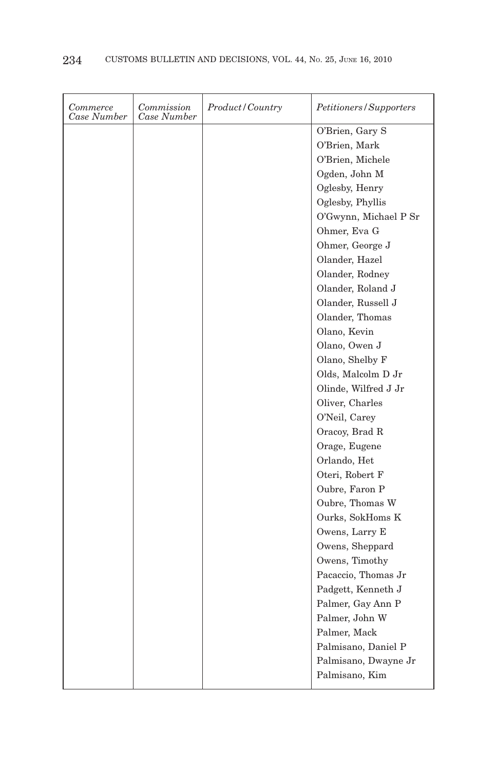| Commerce<br>Case Number | Commission<br>Case Number | Product/Country | <i>Petitioners/Supporters</i> |
|-------------------------|---------------------------|-----------------|-------------------------------|
|                         |                           |                 | O'Brien, Gary S               |
|                         |                           |                 | O'Brien, Mark                 |
|                         |                           |                 | O'Brien, Michele              |
|                         |                           |                 | Ogden, John M                 |
|                         |                           |                 | Oglesby, Henry                |
|                         |                           |                 | Oglesby, Phyllis              |
|                         |                           |                 | O'Gwynn, Michael P Sr         |
|                         |                           |                 | Ohmer, Eva G                  |
|                         |                           |                 | Ohmer, George J               |
|                         |                           |                 | Olander, Hazel                |
|                         |                           |                 | Olander, Rodney               |
|                         |                           |                 | Olander, Roland J             |
|                         |                           |                 | Olander, Russell J            |
|                         |                           |                 | Olander, Thomas               |
|                         |                           |                 | Olano, Kevin                  |
|                         |                           |                 | Olano, Owen J                 |
|                         |                           |                 | Olano, Shelby F               |
|                         |                           |                 | Olds, Malcolm D Jr            |
|                         |                           |                 | Olinde, Wilfred J Jr          |
|                         |                           |                 | Oliver, Charles               |
|                         |                           |                 | O'Neil, Carey                 |
|                         |                           |                 | Oracoy, Brad R                |
|                         |                           |                 | Orage, Eugene                 |
|                         |                           |                 | Orlando, Het                  |
|                         |                           |                 | Oteri, Robert F               |
|                         |                           |                 | Oubre, Faron P                |
|                         |                           |                 | Oubre, Thomas W               |
|                         |                           |                 | Ourks, SokHoms K              |
|                         |                           |                 | Owens, Larry E                |
|                         |                           |                 | Owens, Sheppard               |
|                         |                           |                 | Owens, Timothy                |
|                         |                           |                 | Pacaccio, Thomas Jr           |
|                         |                           |                 | Padgett, Kenneth J            |
|                         |                           |                 | Palmer, Gay Ann P             |
|                         |                           |                 | Palmer, John W                |
|                         |                           |                 | Palmer, Mack                  |
|                         |                           |                 | Palmisano, Daniel P           |
|                         |                           |                 | Palmisano, Dwayne Jr          |
|                         |                           |                 | Palmisano, Kim                |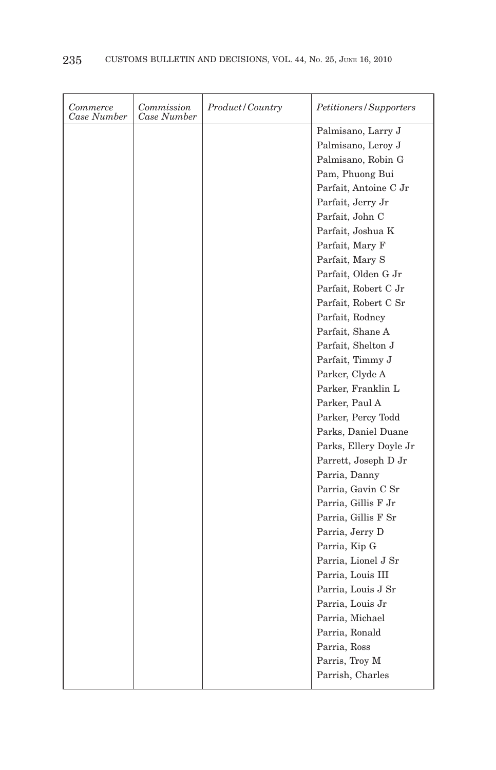| Commerce<br>Case Number | Commission<br>Case Number | Product/Country | <i>Petitioners/Supporters</i> |
|-------------------------|---------------------------|-----------------|-------------------------------|
|                         |                           |                 | Palmisano, Larry J            |
|                         |                           |                 | Palmisano, Leroy J            |
|                         |                           |                 | Palmisano, Robin G            |
|                         |                           |                 | Pam, Phuong Bui               |
|                         |                           |                 | Parfait, Antoine C Jr         |
|                         |                           |                 | Parfait, Jerry Jr             |
|                         |                           |                 | Parfait, John C               |
|                         |                           |                 | Parfait, Joshua K             |
|                         |                           |                 | Parfait, Mary F               |
|                         |                           |                 | Parfait, Mary S               |
|                         |                           |                 | Parfait, Olden G Jr           |
|                         |                           |                 | Parfait, Robert C Jr          |
|                         |                           |                 | Parfait, Robert C Sr          |
|                         |                           |                 | Parfait, Rodney               |
|                         |                           |                 | Parfait, Shane A              |
|                         |                           |                 | Parfait, Shelton J            |
|                         |                           |                 | Parfait, Timmy J              |
|                         |                           |                 | Parker, Clyde A               |
|                         |                           |                 | Parker, Franklin L            |
|                         |                           |                 | Parker, Paul A                |
|                         |                           |                 | Parker, Percy Todd            |
|                         |                           |                 | Parks, Daniel Duane           |
|                         |                           |                 | Parks, Ellery Doyle Jr        |
|                         |                           |                 | Parrett, Joseph D $\rm Jr$    |
|                         |                           |                 | Parria, Danny                 |
|                         |                           |                 | Parria, Gavin C Sr            |
|                         |                           |                 | Parria, Gillis F Jr           |
|                         |                           |                 | Parria, Gillis F Sr           |
|                         |                           |                 | Parria, Jerry D               |
|                         |                           |                 | Parria, Kip G                 |
|                         |                           |                 | Parria, Lionel J Sr           |
|                         |                           |                 | Parria, Louis III             |
|                         |                           |                 | Parria, Louis J Sr            |
|                         |                           |                 | Parria, Louis Jr              |
|                         |                           |                 | Parria, Michael               |
|                         |                           |                 | Parria, Ronald                |
|                         |                           |                 | Parria, Ross                  |
|                         |                           |                 | Parris, Troy M                |
|                         |                           |                 | Parrish, Charles              |
|                         |                           |                 |                               |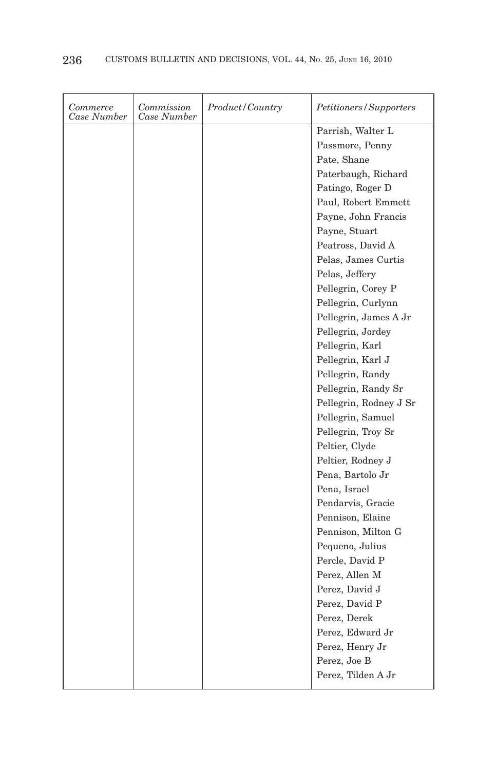| Commerce<br>Case Number | Commission<br>Case Number | Product/Country | <i>Petitioners/Supporters</i> |
|-------------------------|---------------------------|-----------------|-------------------------------|
|                         |                           |                 | Parrish, Walter L             |
|                         |                           |                 | Passmore, Penny               |
|                         |                           |                 | Pate, Shane                   |
|                         |                           |                 | Paterbaugh, Richard           |
|                         |                           |                 | Patingo, Roger D              |
|                         |                           |                 | Paul, Robert Emmett           |
|                         |                           |                 | Payne, John Francis           |
|                         |                           |                 | Payne, Stuart                 |
|                         |                           |                 | Peatross, David A             |
|                         |                           |                 | Pelas, James Curtis           |
|                         |                           |                 | Pelas, Jeffery                |
|                         |                           |                 | Pellegrin, Corey P            |
|                         |                           |                 | Pellegrin, Curlynn            |
|                         |                           |                 | Pellegrin, James A Jr         |
|                         |                           |                 | Pellegrin, Jordey             |
|                         |                           |                 | Pellegrin, Karl               |
|                         |                           |                 | Pellegrin, Karl J             |
|                         |                           |                 | Pellegrin, Randy              |
|                         |                           |                 | Pellegrin, Randy Sr           |
|                         |                           |                 | Pellegrin, Rodney J Sr        |
|                         |                           |                 | Pellegrin, Samuel             |
|                         |                           |                 | Pellegrin, Troy Sr            |
|                         |                           |                 | Peltier, Clyde                |
|                         |                           |                 | Peltier, Rodney J             |
|                         |                           |                 | Pena, Bartolo Jr              |
|                         |                           |                 | Pena, Israel                  |
|                         |                           |                 | Pendarvis, Gracie             |
|                         |                           |                 | Pennison, Elaine              |
|                         |                           |                 | Pennison, Milton G            |
|                         |                           |                 | Pequeno, Julius               |
|                         |                           |                 | Percle, David P               |
|                         |                           |                 | Perez, Allen M                |
|                         |                           |                 | Perez, David J                |
|                         |                           |                 | Perez, David P                |
|                         |                           |                 | Perez, Derek                  |
|                         |                           |                 | Perez, Edward Jr              |
|                         |                           |                 | Perez, Henry Jr               |
|                         |                           |                 | Perez, Joe B                  |
|                         |                           |                 | Perez, Tilden A Jr            |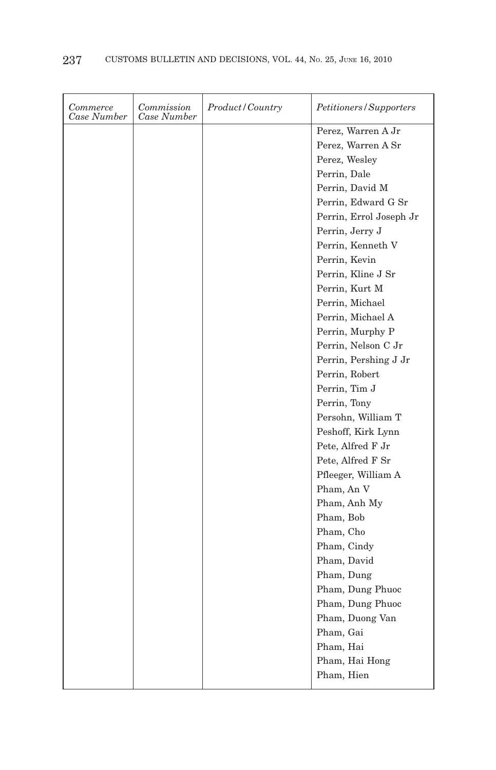| Commerce<br>Case Number | Commission<br>Case Number | Product/Country | Petitioners/Supporters  |
|-------------------------|---------------------------|-----------------|-------------------------|
|                         |                           |                 | Perez, Warren A Jr      |
|                         |                           |                 | Perez, Warren A Sr      |
|                         |                           |                 | Perez, Wesley           |
|                         |                           |                 | Perrin, Dale            |
|                         |                           |                 | Perrin, David M         |
|                         |                           |                 | Perrin, Edward G Sr     |
|                         |                           |                 | Perrin, Errol Joseph Jr |
|                         |                           |                 | Perrin, Jerry J         |
|                         |                           |                 | Perrin, Kenneth V       |
|                         |                           |                 | Perrin, Kevin           |
|                         |                           |                 | Perrin, Kline J Sr      |
|                         |                           |                 | Perrin, Kurt M          |
|                         |                           |                 | Perrin, Michael         |
|                         |                           |                 | Perrin, Michael A       |
|                         |                           |                 | Perrin, Murphy P        |
|                         |                           |                 | Perrin, Nelson C Jr     |
|                         |                           |                 | Perrin, Pershing J Jr   |
|                         |                           |                 | Perrin, Robert          |
|                         |                           |                 | Perrin, Tim J           |
|                         |                           |                 | Perrin, Tony            |
|                         |                           |                 | Persohn, William T      |
|                         |                           |                 | Peshoff, Kirk Lynn      |
|                         |                           |                 | Pete, Alfred F Jr       |
|                         |                           |                 | Pete, Alfred F Sr       |
|                         |                           |                 | Pfleeger, William A     |
|                         |                           |                 | Pham, An V              |
|                         |                           |                 | Pham, Anh My            |
|                         |                           |                 | Pham, Bob               |
|                         |                           |                 | Pham, Cho               |
|                         |                           |                 | Pham, Cindy             |
|                         |                           |                 | Pham, David             |
|                         |                           |                 | Pham, Dung              |
|                         |                           |                 | Pham, Dung Phuoc        |
|                         |                           |                 | Pham, Dung Phuoc        |
|                         |                           |                 | Pham, Duong Van         |
|                         |                           |                 | Pham, Gai               |
|                         |                           |                 | Pham, Hai               |
|                         |                           |                 | Pham, Hai Hong          |
|                         |                           |                 | Pham, Hien              |
|                         |                           |                 |                         |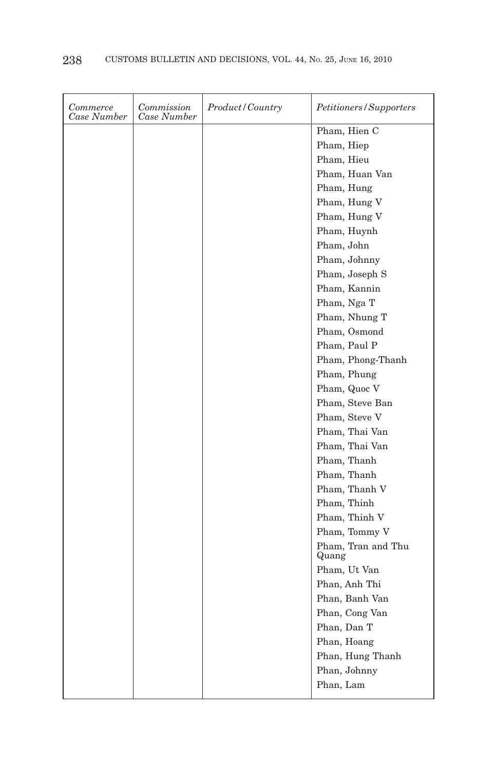| Commerce<br>Case Number | Commission<br>Case Number | Product/Country | Petitioners/Supporters      |
|-------------------------|---------------------------|-----------------|-----------------------------|
|                         |                           |                 | Pham, Hien C                |
|                         |                           |                 | Pham, Hiep                  |
|                         |                           |                 | Pham, Hieu                  |
|                         |                           |                 | Pham, Huan Van              |
|                         |                           |                 | Pham, Hung                  |
|                         |                           |                 | Pham, Hung V                |
|                         |                           |                 | Pham, Hung V                |
|                         |                           |                 | Pham, Huynh                 |
|                         |                           |                 | Pham, John                  |
|                         |                           |                 | Pham, Johnny                |
|                         |                           |                 | Pham, Joseph S              |
|                         |                           |                 | Pham, Kannin                |
|                         |                           |                 | Pham, Nga T                 |
|                         |                           |                 | Pham, Nhung T               |
|                         |                           |                 | Pham, Osmond                |
|                         |                           |                 | Pham, Paul P                |
|                         |                           |                 | Pham, Phong-Thanh           |
|                         |                           |                 | Pham, Phung                 |
|                         |                           |                 | Pham, Quoc V                |
|                         |                           |                 | Pham, Steve Ban             |
|                         |                           |                 | Pham, Steve V               |
|                         |                           |                 | Pham, Thai Van              |
|                         |                           |                 | Pham, Thai Van              |
|                         |                           |                 | Pham, Thanh                 |
|                         |                           |                 | Pham, Thanh                 |
|                         |                           |                 | Pham, Thanh V               |
|                         |                           |                 | Pham, Thinh                 |
|                         |                           |                 | Pham, Thinh V               |
|                         |                           |                 | Pham, Tommy V               |
|                         |                           |                 | Pham, Tran and Thu<br>Quang |
|                         |                           |                 | Pham, Ut Van                |
|                         |                           |                 | Phan, Anh Thi               |
|                         |                           |                 | Phan, Banh Van              |
|                         |                           |                 | Phan, Cong Van              |
|                         |                           |                 | Phan, Dan T                 |
|                         |                           |                 | Phan, Hoang                 |
|                         |                           |                 | Phan, Hung Thanh            |
|                         |                           |                 | Phan, Johnny                |
|                         |                           |                 | Phan, Lam                   |
|                         |                           |                 |                             |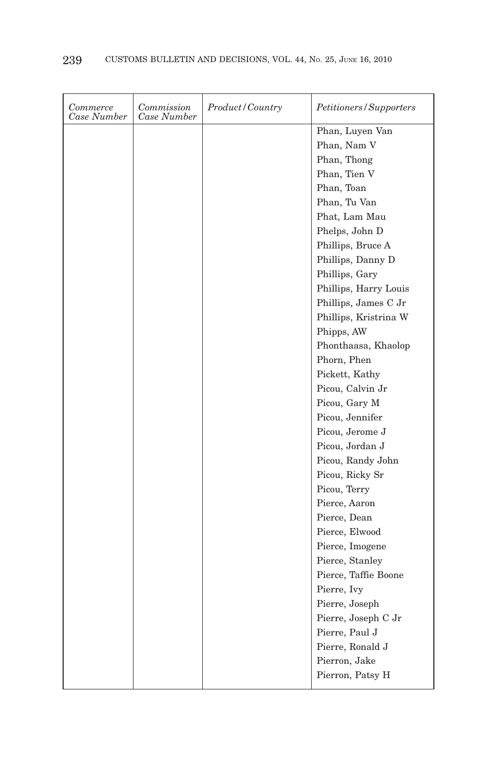| Case Number<br>Case Number | Petitioners/Supporters |
|----------------------------|------------------------|
| Phan, Luyen Van            |                        |
| Phan, Nam V                |                        |
| Phan, Thong                |                        |
| Phan, Tien V               |                        |
| Phan, Toan                 |                        |
| Phan, Tu Van               |                        |
| Phat, Lam Mau              |                        |
| Phelps, John D             |                        |
| Phillips, Bruce A          |                        |
| Phillips, Danny D          |                        |
| Phillips, Gary             |                        |
| Phillips, Harry Louis      |                        |
| Phillips, James C Jr       |                        |
| Phillips, Kristrina W      |                        |
| Phipps, AW                 |                        |
| Phonthaasa, Khaolop        |                        |
| Phorn, Phen                |                        |
| Pickett, Kathy             |                        |
| Picou, Calvin Jr           |                        |
| Picou, Gary M              |                        |
| Picou, Jennifer            |                        |
| Picou, Jerome J            |                        |
| Picou, Jordan J            |                        |
| Picou, Randy John          |                        |
| Picou, Ricky Sr            |                        |
| Picou, Terry               |                        |
| Pierce, Aaron              |                        |
| Pierce, Dean               |                        |
| Pierce, Elwood             |                        |
| Pierce, Imogene            |                        |
| Pierce, Stanley            |                        |
| Pierce, Taffie Boone       |                        |
| Pierre, Ivy                |                        |
| Pierre, Joseph             |                        |
| Pierre, Joseph C Jr        |                        |
| Pierre, Paul J             |                        |
| Pierre, Ronald J           |                        |
| Pierron, Jake              |                        |
| Pierron, Patsy H           |                        |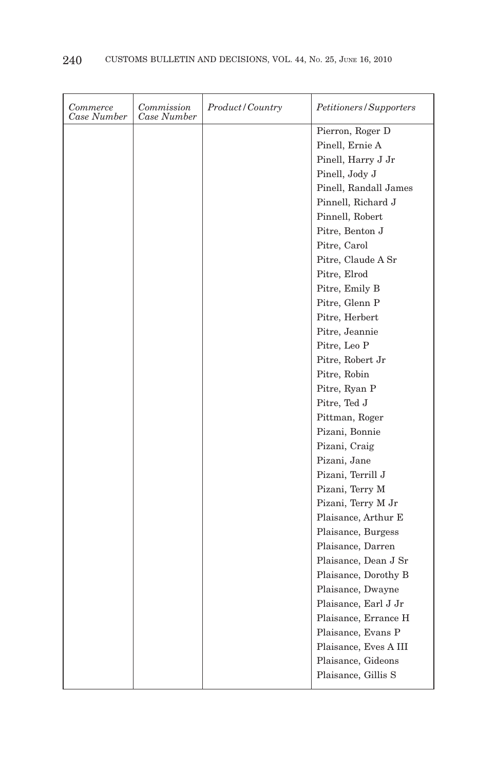| Commerce<br>Case Number | Commission<br>Case Number | Product/Country | Petitioners/Supporters |
|-------------------------|---------------------------|-----------------|------------------------|
|                         |                           |                 | Pierron, Roger D       |
|                         |                           |                 | Pinell, Ernie A        |
|                         |                           |                 | Pinell, Harry J Jr     |
|                         |                           |                 | Pinell, Jody J         |
|                         |                           |                 | Pinell, Randall James  |
|                         |                           |                 | Pinnell, Richard J     |
|                         |                           |                 | Pinnell, Robert        |
|                         |                           |                 | Pitre, Benton J        |
|                         |                           |                 | Pitre, Carol           |
|                         |                           |                 | Pitre, Claude A Sr     |
|                         |                           |                 | Pitre, Elrod           |
|                         |                           |                 | Pitre, Emily B         |
|                         |                           |                 | Pitre, Glenn P         |
|                         |                           |                 | Pitre, Herbert         |
|                         |                           |                 | Pitre, Jeannie         |
|                         |                           |                 | Pitre, Leo P           |
|                         |                           |                 | Pitre, Robert Jr       |
|                         |                           |                 | Pitre, Robin           |
|                         |                           |                 | Pitre, Ryan P          |
|                         |                           |                 | Pitre, Ted J           |
|                         |                           |                 | Pittman, Roger         |
|                         |                           |                 | Pizani, Bonnie         |
|                         |                           |                 | Pizani, Craig          |
|                         |                           |                 | Pizani, Jane           |
|                         |                           |                 | Pizani, Terrill J      |
|                         |                           |                 | Pizani, Terry M        |
|                         |                           |                 | Pizani, Terry M Jr     |
|                         |                           |                 | Plaisance, Arthur E    |
|                         |                           |                 | Plaisance, Burgess     |
|                         |                           |                 | Plaisance, Darren      |
|                         |                           |                 | Plaisance, Dean J Sr   |
|                         |                           |                 | Plaisance, Dorothy B   |
|                         |                           |                 | Plaisance, Dwayne      |
|                         |                           |                 | Plaisance, Earl J Jr   |
|                         |                           |                 | Plaisance, Errance H   |
|                         |                           |                 | Plaisance, Evans P     |
|                         |                           |                 | Plaisance, Eves A III  |
|                         |                           |                 | Plaisance, Gideons     |
|                         |                           |                 | Plaisance, Gillis S    |
|                         |                           |                 |                        |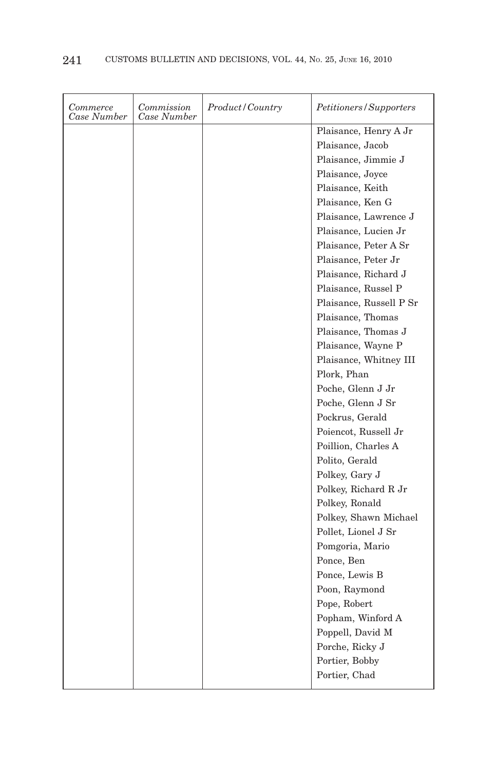| Commerce<br>Case Number | Commission<br>Case Number | Product/Country | Petitioners/Supporters  |
|-------------------------|---------------------------|-----------------|-------------------------|
|                         |                           |                 | Plaisance, Henry A Jr   |
|                         |                           |                 | Plaisance, Jacob        |
|                         |                           |                 | Plaisance, Jimmie J     |
|                         |                           |                 | Plaisance, Joyce        |
|                         |                           |                 | Plaisance, Keith        |
|                         |                           |                 | Plaisance, Ken G        |
|                         |                           |                 | Plaisance, Lawrence J   |
|                         |                           |                 | Plaisance, Lucien Jr    |
|                         |                           |                 | Plaisance, Peter A Sr   |
|                         |                           |                 | Plaisance, Peter Jr     |
|                         |                           |                 | Plaisance, Richard J    |
|                         |                           |                 | Plaisance, Russel P     |
|                         |                           |                 | Plaisance, Russell P Sr |
|                         |                           |                 | Plaisance, Thomas       |
|                         |                           |                 | Plaisance, Thomas J     |
|                         |                           |                 | Plaisance, Wayne P      |
|                         |                           |                 | Plaisance, Whitney III  |
|                         |                           |                 | Plork, Phan             |
|                         |                           |                 | Poche, Glenn J Jr       |
|                         |                           |                 | Poche, Glenn J Sr       |
|                         |                           |                 | Pockrus, Gerald         |
|                         |                           |                 | Poiencot, Russell Jr    |
|                         |                           |                 | Poillion, Charles A     |
|                         |                           |                 | Polito, Gerald          |
|                         |                           |                 | Polkey, Gary J          |
|                         |                           |                 | Polkey, Richard R Jr    |
|                         |                           |                 | Polkey, Ronald          |
|                         |                           |                 | Polkey, Shawn Michael   |
|                         |                           |                 | Pollet, Lionel J Sr     |
|                         |                           |                 | Pomgoria, Mario         |
|                         |                           |                 | Ponce, Ben              |
|                         |                           |                 | Ponce, Lewis B          |
|                         |                           |                 | Poon, Raymond           |
|                         |                           |                 | Pope, Robert            |
|                         |                           |                 | Popham, Winford A       |
|                         |                           |                 | Poppell, David M        |
|                         |                           |                 | Porche, Ricky J         |
|                         |                           |                 | Portier, Bobby          |
|                         |                           |                 | Portier, Chad           |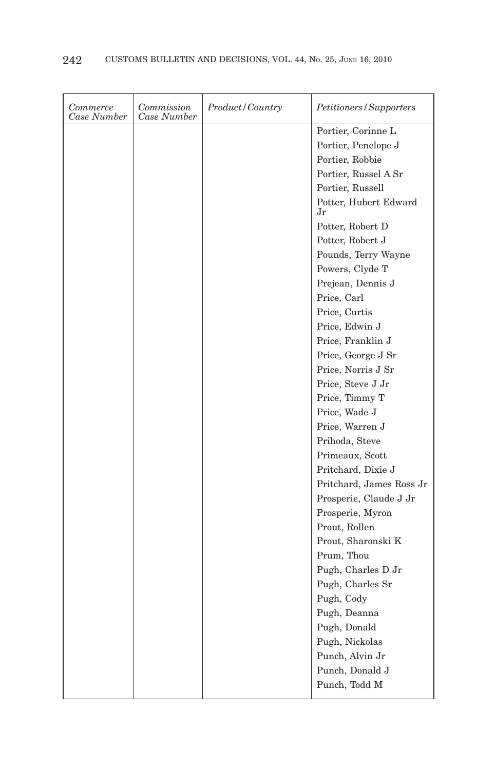| Commerce<br>Case Number | Commission<br>Case Number | Product / Country | Petitioners/Supporters      |
|-------------------------|---------------------------|-------------------|-----------------------------|
|                         |                           |                   | Portier, Corinne L          |
|                         |                           |                   | Portier, Penelope J         |
|                         |                           |                   | Portier, Robbie             |
|                         |                           |                   | Portier, Russel A Sr        |
|                         |                           |                   | Portier, Russell            |
|                         |                           |                   | Potter, Hubert Edward<br>Jr |
|                         |                           |                   | Potter, Robert D            |
|                         |                           |                   | Potter, Robert J            |
|                         |                           |                   | Pounds, Terry Wayne         |
|                         |                           |                   | Powers, Clyde T             |
|                         |                           |                   | Prejean, Dennis J           |
|                         |                           |                   | Price, Carl                 |
|                         |                           |                   | Price, Curtis               |
|                         |                           |                   | Price, Edwin J              |
|                         |                           |                   | Price, Franklin J           |
|                         |                           |                   | Price, George J Sr          |
|                         |                           |                   | Price, Norris J Sr          |
|                         |                           |                   | Price, Steve J Jr           |
|                         |                           |                   | Price, Timmy T              |
|                         |                           |                   | Price, Wade J               |
|                         |                           |                   | Price, Warren J             |
|                         |                           |                   | Prihoda, Steve              |
|                         |                           |                   | Primeaux, Scott             |
|                         |                           |                   | Pritchard, Dixie J          |
|                         |                           |                   | Pritchard, James Ross Jr    |
|                         |                           |                   | Prosperie, Claude J Jr      |
|                         |                           |                   | Prosperie, Myron            |
|                         |                           |                   | Prout, Rollen               |
|                         |                           |                   | Prout, Sharonski K          |
|                         |                           |                   | Prum, Thou                  |
|                         |                           |                   | Pugh, Charles D Jr          |
|                         |                           |                   | Pugh, Charles Sr            |
|                         |                           |                   | Pugh, Cody                  |
|                         |                           |                   | Pugh, Deanna                |
|                         |                           |                   | Pugh, Donald                |
|                         |                           |                   | Pugh, Nickolas              |
|                         |                           |                   | Punch, Alvin Jr             |
|                         |                           |                   | Punch, Donald J             |
|                         |                           |                   | Punch, Todd M               |
|                         |                           |                   |                             |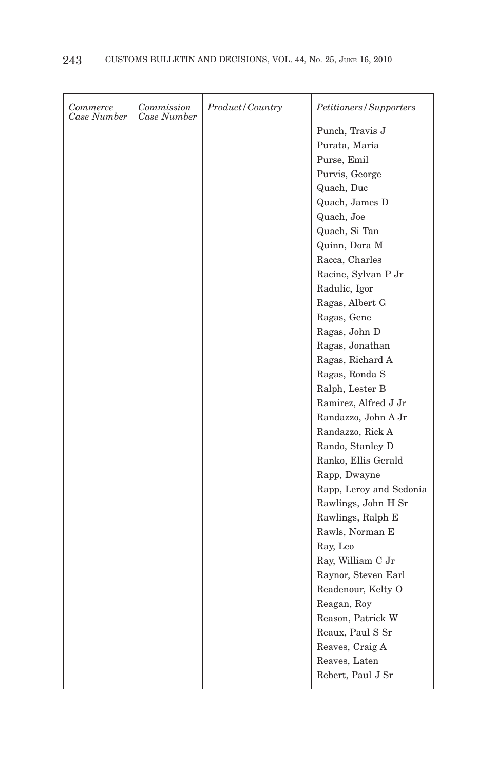| Punch, Travis J<br>Purata, Maria<br>Purse, Emil<br>Purvis, George<br>Quach, Duc<br>Quach, James D<br>Quach, Joe<br>Quach, Si Tan<br>Quinn, Dora M<br>Racca, Charles<br>Racine, Sylvan P Jr<br>Radulic, Igor<br>Ragas, Albert G<br>Ragas, Gene<br>Ragas, John D<br>Ragas, Jonathan<br>Ragas, Richard A<br>Ragas, Ronda S<br>Ralph, Lester B<br>Ramirez, Alfred J Jr<br>Randazzo, John A Jr<br>Randazzo, Rick A<br>Rando, Stanley D<br>Ranko, Ellis Gerald<br>Rapp, Dwayne<br>Rapp, Leroy and Sedonia<br>Rawlings, John H Sr<br>Rawlings, Ralph E<br>Rawls, Norman E<br>Ray, Leo<br>Ray, William C Jr<br>Raynor, Steven Earl<br>Readenour, Kelty O<br>Reagan, Roy<br>Reason, Patrick W<br>Reaux, Paul S Sr<br>Reaves, Craig A<br>Reaves, Laten | Commerce<br>Case Number | Commission<br>Case Number | Product/Country | Petitioners/Supporters |
|----------------------------------------------------------------------------------------------------------------------------------------------------------------------------------------------------------------------------------------------------------------------------------------------------------------------------------------------------------------------------------------------------------------------------------------------------------------------------------------------------------------------------------------------------------------------------------------------------------------------------------------------------------------------------------------------------------------------------------------------|-------------------------|---------------------------|-----------------|------------------------|
|                                                                                                                                                                                                                                                                                                                                                                                                                                                                                                                                                                                                                                                                                                                                              |                         |                           |                 |                        |
|                                                                                                                                                                                                                                                                                                                                                                                                                                                                                                                                                                                                                                                                                                                                              |                         |                           |                 |                        |
|                                                                                                                                                                                                                                                                                                                                                                                                                                                                                                                                                                                                                                                                                                                                              |                         |                           |                 |                        |
|                                                                                                                                                                                                                                                                                                                                                                                                                                                                                                                                                                                                                                                                                                                                              |                         |                           |                 |                        |
|                                                                                                                                                                                                                                                                                                                                                                                                                                                                                                                                                                                                                                                                                                                                              |                         |                           |                 |                        |
|                                                                                                                                                                                                                                                                                                                                                                                                                                                                                                                                                                                                                                                                                                                                              |                         |                           |                 |                        |
|                                                                                                                                                                                                                                                                                                                                                                                                                                                                                                                                                                                                                                                                                                                                              |                         |                           |                 |                        |
|                                                                                                                                                                                                                                                                                                                                                                                                                                                                                                                                                                                                                                                                                                                                              |                         |                           |                 |                        |
|                                                                                                                                                                                                                                                                                                                                                                                                                                                                                                                                                                                                                                                                                                                                              |                         |                           |                 |                        |
|                                                                                                                                                                                                                                                                                                                                                                                                                                                                                                                                                                                                                                                                                                                                              |                         |                           |                 |                        |
|                                                                                                                                                                                                                                                                                                                                                                                                                                                                                                                                                                                                                                                                                                                                              |                         |                           |                 |                        |
|                                                                                                                                                                                                                                                                                                                                                                                                                                                                                                                                                                                                                                                                                                                                              |                         |                           |                 |                        |
|                                                                                                                                                                                                                                                                                                                                                                                                                                                                                                                                                                                                                                                                                                                                              |                         |                           |                 |                        |
|                                                                                                                                                                                                                                                                                                                                                                                                                                                                                                                                                                                                                                                                                                                                              |                         |                           |                 |                        |
|                                                                                                                                                                                                                                                                                                                                                                                                                                                                                                                                                                                                                                                                                                                                              |                         |                           |                 |                        |
|                                                                                                                                                                                                                                                                                                                                                                                                                                                                                                                                                                                                                                                                                                                                              |                         |                           |                 |                        |
|                                                                                                                                                                                                                                                                                                                                                                                                                                                                                                                                                                                                                                                                                                                                              |                         |                           |                 |                        |
|                                                                                                                                                                                                                                                                                                                                                                                                                                                                                                                                                                                                                                                                                                                                              |                         |                           |                 |                        |
|                                                                                                                                                                                                                                                                                                                                                                                                                                                                                                                                                                                                                                                                                                                                              |                         |                           |                 |                        |
|                                                                                                                                                                                                                                                                                                                                                                                                                                                                                                                                                                                                                                                                                                                                              |                         |                           |                 |                        |
|                                                                                                                                                                                                                                                                                                                                                                                                                                                                                                                                                                                                                                                                                                                                              |                         |                           |                 |                        |
|                                                                                                                                                                                                                                                                                                                                                                                                                                                                                                                                                                                                                                                                                                                                              |                         |                           |                 |                        |
|                                                                                                                                                                                                                                                                                                                                                                                                                                                                                                                                                                                                                                                                                                                                              |                         |                           |                 |                        |
|                                                                                                                                                                                                                                                                                                                                                                                                                                                                                                                                                                                                                                                                                                                                              |                         |                           |                 |                        |
|                                                                                                                                                                                                                                                                                                                                                                                                                                                                                                                                                                                                                                                                                                                                              |                         |                           |                 |                        |
|                                                                                                                                                                                                                                                                                                                                                                                                                                                                                                                                                                                                                                                                                                                                              |                         |                           |                 |                        |
|                                                                                                                                                                                                                                                                                                                                                                                                                                                                                                                                                                                                                                                                                                                                              |                         |                           |                 |                        |
|                                                                                                                                                                                                                                                                                                                                                                                                                                                                                                                                                                                                                                                                                                                                              |                         |                           |                 |                        |
|                                                                                                                                                                                                                                                                                                                                                                                                                                                                                                                                                                                                                                                                                                                                              |                         |                           |                 |                        |
|                                                                                                                                                                                                                                                                                                                                                                                                                                                                                                                                                                                                                                                                                                                                              |                         |                           |                 |                        |
|                                                                                                                                                                                                                                                                                                                                                                                                                                                                                                                                                                                                                                                                                                                                              |                         |                           |                 |                        |
|                                                                                                                                                                                                                                                                                                                                                                                                                                                                                                                                                                                                                                                                                                                                              |                         |                           |                 |                        |
|                                                                                                                                                                                                                                                                                                                                                                                                                                                                                                                                                                                                                                                                                                                                              |                         |                           |                 |                        |
|                                                                                                                                                                                                                                                                                                                                                                                                                                                                                                                                                                                                                                                                                                                                              |                         |                           |                 |                        |
|                                                                                                                                                                                                                                                                                                                                                                                                                                                                                                                                                                                                                                                                                                                                              |                         |                           |                 |                        |
|                                                                                                                                                                                                                                                                                                                                                                                                                                                                                                                                                                                                                                                                                                                                              |                         |                           |                 |                        |
|                                                                                                                                                                                                                                                                                                                                                                                                                                                                                                                                                                                                                                                                                                                                              |                         |                           |                 |                        |
|                                                                                                                                                                                                                                                                                                                                                                                                                                                                                                                                                                                                                                                                                                                                              |                         |                           |                 |                        |
|                                                                                                                                                                                                                                                                                                                                                                                                                                                                                                                                                                                                                                                                                                                                              |                         |                           |                 | Rebert, Paul J Sr      |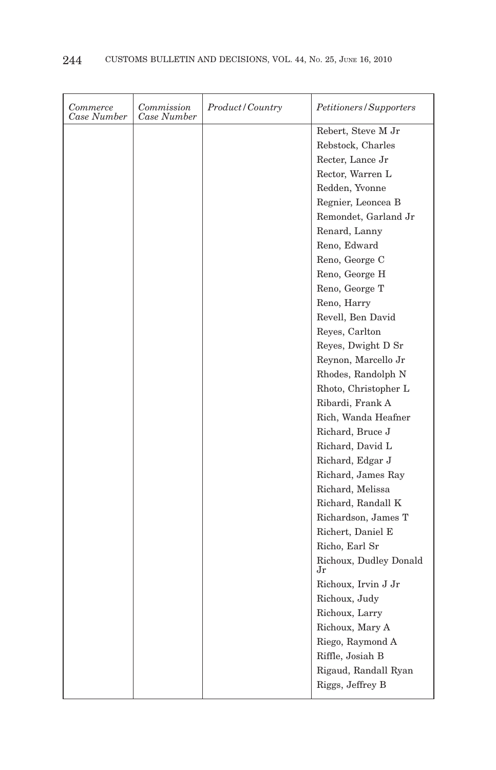| Commerce<br>Case Number | Commission<br>Case Number | Product/Country | Petitioners/Supporters       |
|-------------------------|---------------------------|-----------------|------------------------------|
|                         |                           |                 | Rebert, Steve M Jr           |
|                         |                           |                 | Rebstock, Charles            |
|                         |                           |                 | Recter, Lance Jr             |
|                         |                           |                 | Rector, Warren L             |
|                         |                           |                 | Redden, Yvonne               |
|                         |                           |                 | Regnier, Leoncea B           |
|                         |                           |                 | Remondet, Garland Jr         |
|                         |                           |                 | Renard, Lanny                |
|                         |                           |                 | Reno, Edward                 |
|                         |                           |                 | Reno, George C               |
|                         |                           |                 | Reno, George H               |
|                         |                           |                 | Reno, George T               |
|                         |                           |                 | Reno, Harry                  |
|                         |                           |                 | Revell, Ben David            |
|                         |                           |                 | Reyes, Carlton               |
|                         |                           |                 | Reyes, Dwight D Sr           |
|                         |                           |                 | Reynon, Marcello Jr          |
|                         |                           |                 | Rhodes, Randolph N           |
|                         |                           |                 | Rhoto, Christopher L         |
|                         |                           |                 | Ribardi, Frank A             |
|                         |                           |                 | Rich, Wanda Heafner          |
|                         |                           |                 | Richard, Bruce J             |
|                         |                           |                 | Richard, David L             |
|                         |                           |                 | Richard, Edgar J             |
|                         |                           |                 | Richard, James Ray           |
|                         |                           |                 | Richard, Melissa             |
|                         |                           |                 | Richard, Randall K           |
|                         |                           |                 | Richardson, James T          |
|                         |                           |                 | Richert, Daniel E            |
|                         |                           |                 | Richo, Earl Sr               |
|                         |                           |                 | Richoux, Dudley Donald<br>Jr |
|                         |                           |                 | Richoux, Irvin J Jr          |
|                         |                           |                 | Richoux, Judy                |
|                         |                           |                 | Richoux, Larry               |
|                         |                           |                 | Richoux, Mary A              |
|                         |                           |                 | Riego, Raymond A             |
|                         |                           |                 | Riffle, Josiah B             |
|                         |                           |                 | Rigaud, Randall Ryan         |
|                         |                           |                 | Riggs, Jeffrey B             |
|                         |                           |                 |                              |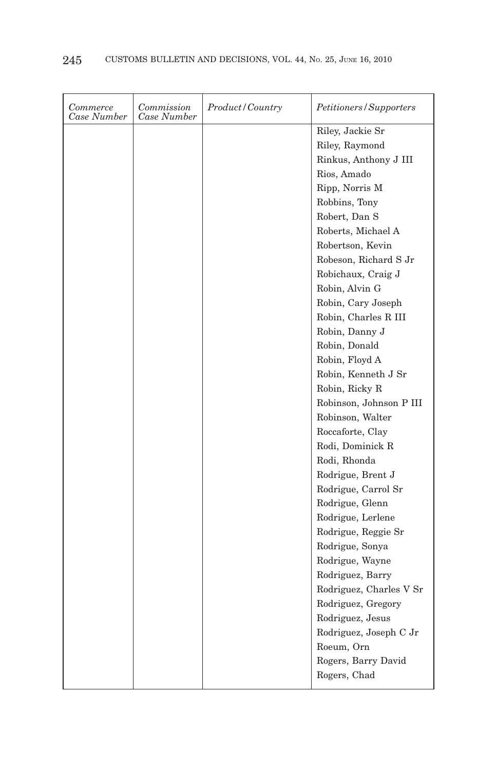| Commerce<br>Case Number | Commission<br>Case Number | Product/Country | Petitioners/Supporters  |
|-------------------------|---------------------------|-----------------|-------------------------|
|                         |                           |                 | Riley, Jackie Sr        |
|                         |                           |                 | Riley, Raymond          |
|                         |                           |                 | Rinkus, Anthony J III   |
|                         |                           |                 | Rios, Amado             |
|                         |                           |                 | Ripp, Norris M          |
|                         |                           |                 | Robbins, Tony           |
|                         |                           |                 | Robert, Dan S           |
|                         |                           |                 | Roberts, Michael A      |
|                         |                           |                 | Robertson, Kevin        |
|                         |                           |                 | Robeson, Richard S Jr   |
|                         |                           |                 | Robichaux, Craig J      |
|                         |                           |                 | Robin, Alvin G          |
|                         |                           |                 | Robin, Cary Joseph      |
|                         |                           |                 | Robin, Charles R III    |
|                         |                           |                 | Robin, Danny J          |
|                         |                           |                 | Robin, Donald           |
|                         |                           |                 | Robin, Floyd A          |
|                         |                           |                 | Robin, Kenneth J Sr     |
|                         |                           |                 | Robin, Ricky R          |
|                         |                           |                 | Robinson, Johnson P III |
|                         |                           |                 | Robinson, Walter        |
|                         |                           |                 | Roccaforte, Clay        |
|                         |                           |                 | Rodi, Dominick R        |
|                         |                           |                 | Rodi, Rhonda            |
|                         |                           |                 | Rodrigue, Brent J       |
|                         |                           |                 | Rodrigue, Carrol Sr     |
|                         |                           |                 | Rodrigue, Glenn         |
|                         |                           |                 | Rodrigue, Lerlene       |
|                         |                           |                 | Rodrigue, Reggie Sr     |
|                         |                           |                 | Rodrigue, Sonya         |
|                         |                           |                 | Rodrigue, Wayne         |
|                         |                           |                 | Rodriguez, Barry        |
|                         |                           |                 | Rodriguez, Charles V Sr |
|                         |                           |                 | Rodriguez, Gregory      |
|                         |                           |                 | Rodriguez, Jesus        |
|                         |                           |                 | Rodriguez, Joseph C Jr  |
|                         |                           |                 | Roeum, Orn              |
|                         |                           |                 | Rogers, Barry David     |
|                         |                           |                 | Rogers, Chad            |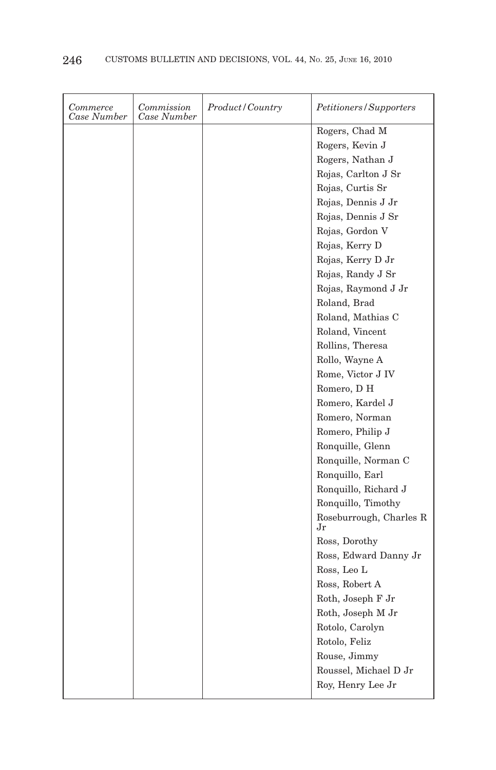| Commerce<br>Case Number | Commission<br>Case Number | Product/Country | Petitioners/Supporters        |
|-------------------------|---------------------------|-----------------|-------------------------------|
|                         |                           |                 | Rogers, Chad M                |
|                         |                           |                 | Rogers, Kevin J               |
|                         |                           |                 | Rogers, Nathan J              |
|                         |                           |                 | Rojas, Carlton J Sr           |
|                         |                           |                 | Rojas, Curtis Sr              |
|                         |                           |                 | Rojas, Dennis J Jr            |
|                         |                           |                 | Rojas, Dennis J Sr            |
|                         |                           |                 | Rojas, Gordon V               |
|                         |                           |                 | Rojas, Kerry D                |
|                         |                           |                 | Rojas, Kerry D Jr             |
|                         |                           |                 | Rojas, Randy J Sr             |
|                         |                           |                 | Rojas, Raymond J Jr           |
|                         |                           |                 | Roland, Brad                  |
|                         |                           |                 | Roland, Mathias C             |
|                         |                           |                 | Roland, Vincent               |
|                         |                           |                 | Rollins, Theresa              |
|                         |                           |                 | Rollo, Wayne A                |
|                         |                           |                 | Rome, Victor J IV             |
|                         |                           |                 | Romero, D H                   |
|                         |                           |                 | Romero, Kardel J              |
|                         |                           |                 | Romero, Norman                |
|                         |                           |                 | Romero, Philip J              |
|                         |                           |                 | Ronquille, Glenn              |
|                         |                           |                 | Ronquille, Norman C           |
|                         |                           |                 | Ronquillo, Earl               |
|                         |                           |                 | Ronquillo, Richard J          |
|                         |                           |                 | Ronquillo, Timothy            |
|                         |                           |                 | Roseburrough, Charles R<br>Jr |
|                         |                           |                 | Ross, Dorothy                 |
|                         |                           |                 | Ross, Edward Danny Jr         |
|                         |                           |                 | Ross, Leo L                   |
|                         |                           |                 | Ross, Robert A                |
|                         |                           |                 | Roth, Joseph F Jr             |
|                         |                           |                 | Roth, Joseph M Jr             |
|                         |                           |                 | Rotolo, Carolyn               |
|                         |                           |                 | Rotolo, Feliz                 |
|                         |                           |                 | Rouse, Jimmy                  |
|                         |                           |                 | Roussel, Michael D Jr         |
|                         |                           |                 | Roy, Henry Lee Jr             |
|                         |                           |                 |                               |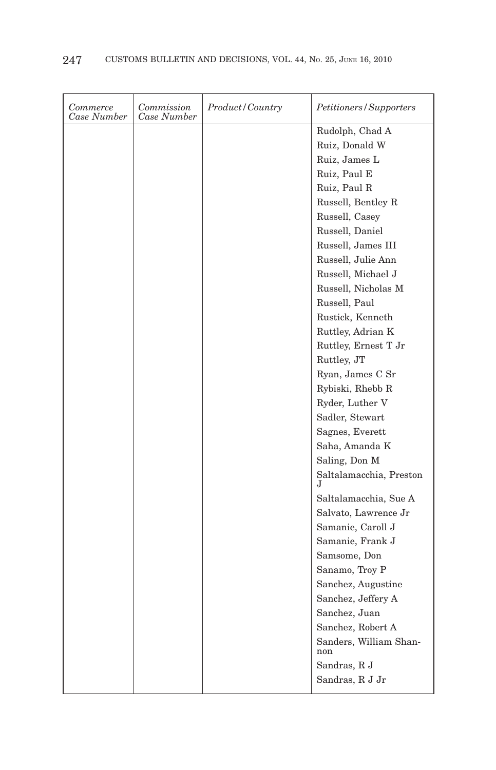| Commerce<br>Case Number | Commission<br>Case Number | Product/Country | <i>Petitioners/Supporters</i> |
|-------------------------|---------------------------|-----------------|-------------------------------|
|                         |                           |                 | Rudolph, Chad A               |
|                         |                           |                 | Ruiz, Donald W                |
|                         |                           |                 | Ruiz, James L                 |
|                         |                           |                 | Ruiz, Paul E                  |
|                         |                           |                 | Ruiz, Paul R                  |
|                         |                           |                 | Russell, Bentley R            |
|                         |                           |                 | Russell, Casey                |
|                         |                           |                 | Russell, Daniel               |
|                         |                           |                 | Russell, James III            |
|                         |                           |                 | Russell, Julie Ann            |
|                         |                           |                 | Russell, Michael J            |
|                         |                           |                 | Russell, Nicholas M           |
|                         |                           |                 | Russell, Paul                 |
|                         |                           |                 | Rustick, Kenneth              |
|                         |                           |                 | Ruttley, Adrian K             |
|                         |                           |                 | Ruttley, Ernest T Jr          |
|                         |                           |                 | Ruttley, JT                   |
|                         |                           |                 | Ryan, James C Sr              |
|                         |                           |                 | Rybiski, Rhebb R              |
|                         |                           |                 | Ryder, Luther V               |
|                         |                           |                 | Sadler, Stewart               |
|                         |                           |                 | Sagnes, Everett               |
|                         |                           |                 | Saha, Amanda K                |
|                         |                           |                 | Saling, Don M                 |
|                         |                           |                 | Saltalamacchia, Preston       |
|                         |                           |                 | Saltalamacchia, Sue A         |
|                         |                           |                 | Salvato, Lawrence Jr          |
|                         |                           |                 | Samanie, Caroll J             |
|                         |                           |                 | Samanie, Frank J              |
|                         |                           |                 | Samsome, Don                  |
|                         |                           |                 | Sanamo, Troy P                |
|                         |                           |                 | Sanchez, Augustine            |
|                         |                           |                 | Sanchez, Jeffery A            |
|                         |                           |                 | Sanchez, Juan                 |
|                         |                           |                 | Sanchez, Robert A             |
|                         |                           |                 | Sanders, William Shan-<br>non |
|                         |                           |                 | Sandras, R J                  |
|                         |                           |                 | Sandras, R J Jr               |
|                         |                           |                 |                               |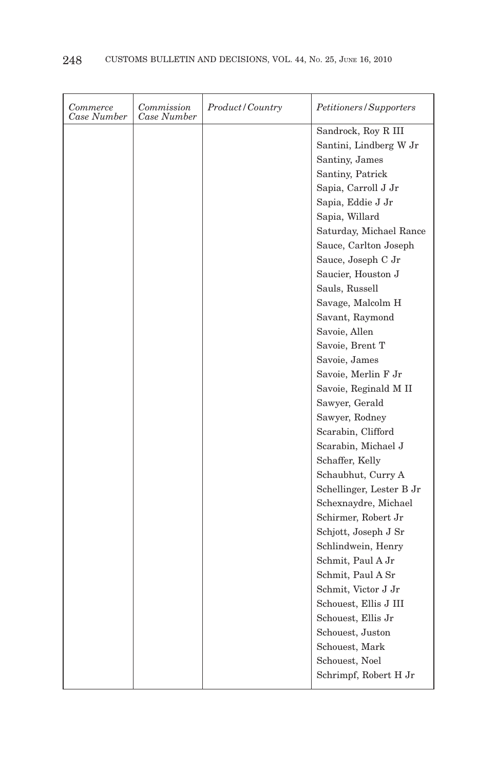| Commerce<br>Case Number | Commission<br>Case Number | <i>Product/Country</i> | Petitioners/Supporters      |
|-------------------------|---------------------------|------------------------|-----------------------------|
|                         |                           |                        | Sandrock, Roy R III         |
|                         |                           |                        | Santini, Lindberg W Jr      |
|                         |                           |                        | Santiny, James              |
|                         |                           |                        | Santiny, Patrick            |
|                         |                           |                        | Sapia, Carroll J Jr         |
|                         |                           |                        | Sapia, Eddie J Jr           |
|                         |                           |                        | Sapia, Willard              |
|                         |                           |                        | Saturday, Michael Rance     |
|                         |                           |                        | Sauce, Carlton Joseph       |
|                         |                           |                        | Sauce, Joseph C Jr          |
|                         |                           |                        | Saucier, Houston J          |
|                         |                           |                        | Sauls, Russell              |
|                         |                           |                        | Savage, Malcolm H           |
|                         |                           |                        | Savant, Raymond             |
|                         |                           |                        | Savoie, Allen               |
|                         |                           |                        | Savoie, Brent T             |
|                         |                           |                        | Savoie, James               |
|                         |                           |                        | Savoie, Merlin F Jr         |
|                         |                           |                        | Savoie, Reginald M II       |
|                         |                           |                        | Sawyer, Gerald              |
|                         |                           |                        | Sawyer, Rodney              |
|                         |                           |                        | Scarabin, Clifford          |
|                         |                           |                        | Scarabin, Michael J         |
|                         |                           |                        | Schaffer, Kelly             |
|                         |                           |                        | Schaubhut, Curry A          |
|                         |                           |                        | Schellinger, Lester B Jr    |
|                         |                           |                        | Schexnaydre, Michael        |
|                         |                           |                        | Schirmer, Robert Jr         |
|                         |                           |                        | Schjott, Joseph J Sr        |
|                         |                           |                        | Schlindwein, Henry          |
|                         |                           |                        | Schmit, Paul A Jr           |
|                         |                           |                        | Schmit, Paul A Sr           |
|                         |                           |                        | Schmit, Victor J Jr         |
|                         |                           |                        | Schouest, Ellis J III       |
|                         |                           |                        | Schouest, Ellis Jr          |
|                         |                           |                        | Schouest, Juston            |
|                         |                           |                        | Schouest, Mark              |
|                         |                           |                        | Schouest, Noel              |
|                         |                           |                        | Schrimpf, Robert H $\rm Jr$ |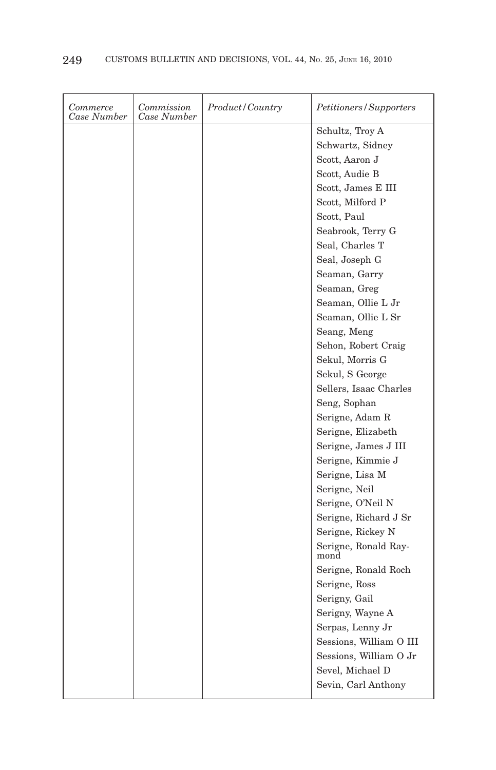| Commerce<br>Case Number | Commission<br>Case Number | Product/Country | Petitioners/Supporters       |
|-------------------------|---------------------------|-----------------|------------------------------|
|                         |                           |                 | Schultz, Troy A              |
|                         |                           |                 | Schwartz, Sidney             |
|                         |                           |                 | Scott, Aaron J               |
|                         |                           |                 | Scott, Audie B               |
|                         |                           |                 | Scott, James E III           |
|                         |                           |                 | Scott, Milford P             |
|                         |                           |                 | Scott, Paul                  |
|                         |                           |                 | Seabrook, Terry G            |
|                         |                           |                 | Seal, Charles T              |
|                         |                           |                 | Seal, Joseph G               |
|                         |                           |                 | Seaman, Garry                |
|                         |                           |                 | Seaman, Greg                 |
|                         |                           |                 | Seaman, Ollie L Jr           |
|                         |                           |                 | Seaman, Ollie L Sr           |
|                         |                           |                 | Seang, Meng                  |
|                         |                           |                 | Sehon, Robert Craig          |
|                         |                           |                 | Sekul, Morris G              |
|                         |                           |                 | Sekul, S George              |
|                         |                           |                 | Sellers, Isaac Charles       |
|                         |                           |                 | Seng, Sophan                 |
|                         |                           |                 | Serigne, Adam R              |
|                         |                           |                 | Serigne, Elizabeth           |
|                         |                           |                 | Serigne, James J III         |
|                         |                           |                 | Serigne, Kimmie J            |
|                         |                           |                 | Serigne, Lisa M              |
|                         |                           |                 | Serigne, Neil                |
|                         |                           |                 | Serigne, O'Neil N            |
|                         |                           |                 | Serigne, Richard J Sr        |
|                         |                           |                 | Serigne, Rickey N            |
|                         |                           |                 | Serigne, Ronald Ray-<br>mond |
|                         |                           |                 | Serigne, Ronald Roch         |
|                         |                           |                 | Serigne, Ross                |
|                         |                           |                 | Serigny, Gail                |
|                         |                           |                 | Serigny, Wayne A             |
|                         |                           |                 | Serpas, Lenny Jr             |
|                         |                           |                 | Sessions, William O III      |
|                         |                           |                 | Sessions, William O Jr       |
|                         |                           |                 | Sevel, Michael D             |
|                         |                           |                 | Sevin, Carl Anthony          |
|                         |                           |                 |                              |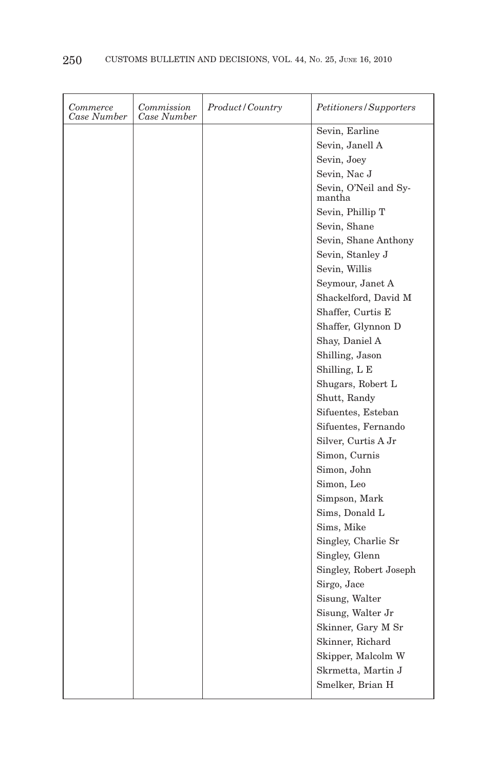| Commerce<br>Case Number | Commission<br>Case Number | Product/Country | Petitioners/Supporters          |
|-------------------------|---------------------------|-----------------|---------------------------------|
|                         |                           |                 | Sevin, Earline                  |
|                         |                           |                 | Sevin, Janell A                 |
|                         |                           |                 | Sevin, Joey                     |
|                         |                           |                 | Sevin, Nac J                    |
|                         |                           |                 | Sevin, O'Neil and Sy-<br>mantha |
|                         |                           |                 | Sevin, Phillip T                |
|                         |                           |                 | Sevin, Shane                    |
|                         |                           |                 | Sevin, Shane Anthony            |
|                         |                           |                 | Sevin, Stanley J                |
|                         |                           |                 | Sevin, Willis                   |
|                         |                           |                 | Seymour, Janet A                |
|                         |                           |                 | Shackelford, David M            |
|                         |                           |                 | Shaffer, Curtis E               |
|                         |                           |                 | Shaffer, Glynnon D              |
|                         |                           |                 | Shay, Daniel A                  |
|                         |                           |                 | Shilling, Jason                 |
|                         |                           |                 | Shilling, L E                   |
|                         |                           |                 | Shugars, Robert L               |
|                         |                           |                 | Shutt, Randy                    |
|                         |                           |                 | Sifuentes, Esteban              |
|                         |                           |                 | Sifuentes, Fernando             |
|                         |                           |                 | Silver, Curtis A Jr             |
|                         |                           |                 | Simon, Curnis                   |
|                         |                           |                 | Simon, John                     |
|                         |                           |                 | Simon, Leo                      |
|                         |                           |                 | Simpson, Mark                   |
|                         |                           |                 | Sims, Donald L                  |
|                         |                           |                 | Sims, Mike                      |
|                         |                           |                 | Singley, Charlie Sr             |
|                         |                           |                 | Singley, Glenn                  |
|                         |                           |                 | Singley, Robert Joseph          |
|                         |                           |                 | Sirgo, Jace                     |
|                         |                           |                 | Sisung, Walter                  |
|                         |                           |                 | Sisung, Walter Jr               |
|                         |                           |                 | Skinner, Gary M Sr              |
|                         |                           |                 | Skinner, Richard                |
|                         |                           |                 | Skipper, Malcolm W              |
|                         |                           |                 | Skrmetta, Martin J              |
|                         |                           |                 | Smelker, Brian H                |
|                         |                           |                 |                                 |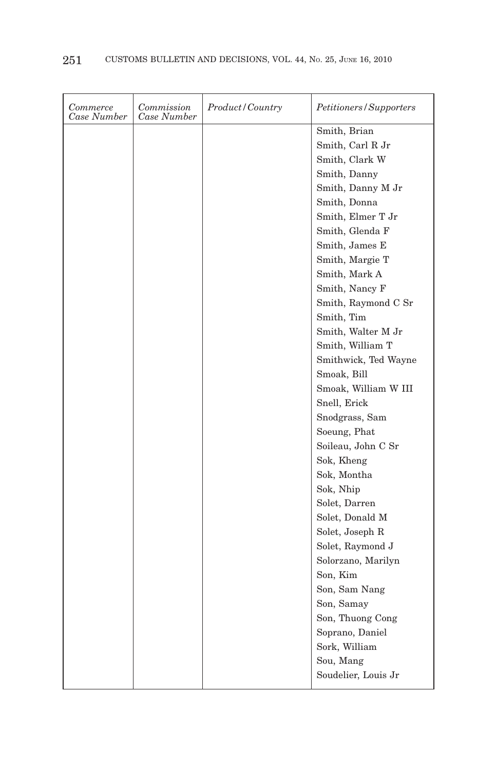| Commerce<br>Case Number | Commission<br>Case Number | Product/Country | <i>Petitioners/Supporters</i> |
|-------------------------|---------------------------|-----------------|-------------------------------|
|                         |                           |                 | Smith, Brian                  |
|                         |                           |                 | Smith, Carl R Jr              |
|                         |                           |                 | Smith, Clark W                |
|                         |                           |                 | Smith, Danny                  |
|                         |                           |                 | Smith, Danny M Jr             |
|                         |                           |                 | Smith, Donna                  |
|                         |                           |                 | Smith, Elmer T Jr             |
|                         |                           |                 | Smith, Glenda F               |
|                         |                           |                 | Smith, James E                |
|                         |                           |                 | Smith, Margie T               |
|                         |                           |                 | Smith, Mark A                 |
|                         |                           |                 | Smith, Nancy F                |
|                         |                           |                 | Smith, Raymond C Sr           |
|                         |                           |                 | Smith, Tim                    |
|                         |                           |                 | Smith, Walter M Jr            |
|                         |                           |                 | Smith, William T              |
|                         |                           |                 | Smithwick, Ted Wayne          |
|                         |                           |                 | Smoak, Bill                   |
|                         |                           |                 | Smoak, William W III          |
|                         |                           |                 | Snell, Erick                  |
|                         |                           |                 | Snodgrass, Sam                |
|                         |                           |                 | Soeung, Phat                  |
|                         |                           |                 | Soileau, John C Sr            |
|                         |                           |                 | Sok, Kheng                    |
|                         |                           |                 | Sok, Montha                   |
|                         |                           |                 | Sok, Nhip                     |
|                         |                           |                 | Solet, Darren                 |
|                         |                           |                 | Solet, Donald M               |
|                         |                           |                 | Solet, Joseph R               |
|                         |                           |                 | Solet, Raymond J              |
|                         |                           |                 | Solorzano, Marilyn            |
|                         |                           |                 | Son, Kim                      |
|                         |                           |                 | Son, Sam Nang                 |
|                         |                           |                 | Son, Samay                    |
|                         |                           |                 | Son, Thuong Cong              |
|                         |                           |                 | Soprano, Daniel               |
|                         |                           |                 | Sork, William                 |
|                         |                           |                 | Sou, Mang                     |
|                         |                           |                 | Soudelier, Louis Jr           |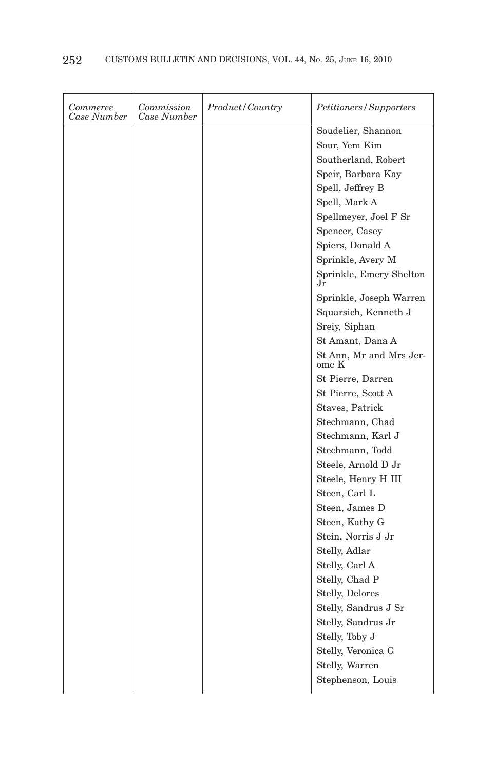| Commerce<br>Case Number | Commission<br>Case Number | Product/Country | Petitioners/Supporters           |
|-------------------------|---------------------------|-----------------|----------------------------------|
|                         |                           |                 | Soudelier, Shannon               |
|                         |                           |                 | Sour, Yem Kim                    |
|                         |                           |                 | Southerland, Robert              |
|                         |                           |                 | Speir, Barbara Kay               |
|                         |                           |                 | Spell, Jeffrey B                 |
|                         |                           |                 | Spell, Mark A                    |
|                         |                           |                 | Spellmeyer, Joel F Sr            |
|                         |                           |                 | Spencer, Casey                   |
|                         |                           |                 | Spiers, Donald A                 |
|                         |                           |                 | Sprinkle, Avery M                |
|                         |                           |                 | Sprinkle, Emery Shelton<br>Jr    |
|                         |                           |                 | Sprinkle, Joseph Warren          |
|                         |                           |                 | Squarsich, Kenneth J             |
|                         |                           |                 | Sreiy, Siphan                    |
|                         |                           |                 | St Amant, Dana A                 |
|                         |                           |                 | St Ann, Mr and Mrs Jer-<br>ome K |
|                         |                           |                 | St Pierre, Darren                |
|                         |                           |                 | St Pierre, Scott A               |
|                         |                           |                 | Staves, Patrick                  |
|                         |                           |                 | Stechmann, Chad                  |
|                         |                           |                 | Stechmann, Karl J                |
|                         |                           |                 | Stechmann, Todd                  |
|                         |                           |                 | Steele, Arnold D Jr              |
|                         |                           |                 | Steele, Henry H III              |
|                         |                           |                 | Steen, Carl L                    |
|                         |                           |                 | Steen, James D                   |
|                         |                           |                 | Steen, Kathy G                   |
|                         |                           |                 | Stein, Norris J Jr               |
|                         |                           |                 | Stelly, Adlar                    |
|                         |                           |                 | Stelly, Carl A                   |
|                         |                           |                 | Stelly, Chad P                   |
|                         |                           |                 | Stelly, Delores                  |
|                         |                           |                 | Stelly, Sandrus J Sr             |
|                         |                           |                 | Stelly, Sandrus Jr               |
|                         |                           |                 | Stelly, Toby J                   |
|                         |                           |                 | Stelly, Veronica G               |
|                         |                           |                 | Stelly, Warren                   |
|                         |                           |                 | Stephenson, Louis                |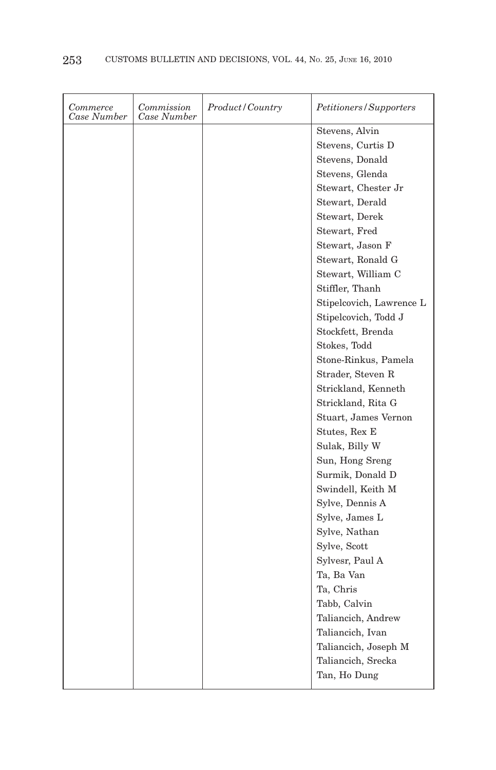| Commerce<br>Case Number | Commission<br>Case Number | Product/Country | Petitioners/Supporters   |
|-------------------------|---------------------------|-----------------|--------------------------|
|                         |                           |                 | Stevens, Alvin           |
|                         |                           |                 | Stevens, Curtis D        |
|                         |                           |                 | Stevens, Donald          |
|                         |                           |                 | Stevens, Glenda          |
|                         |                           |                 | Stewart, Chester Jr      |
|                         |                           |                 | Stewart, Derald          |
|                         |                           |                 | Stewart, Derek           |
|                         |                           |                 | Stewart, Fred            |
|                         |                           |                 | Stewart, Jason F         |
|                         |                           |                 | Stewart, Ronald G        |
|                         |                           |                 | Stewart, William C       |
|                         |                           |                 | Stiffler, Thanh          |
|                         |                           |                 | Stipelcovich, Lawrence L |
|                         |                           |                 | Stipelcovich, Todd J     |
|                         |                           |                 | Stockfett, Brenda        |
|                         |                           |                 | Stokes, Todd             |
|                         |                           |                 | Stone-Rinkus, Pamela     |
|                         |                           |                 | Strader, Steven R        |
|                         |                           |                 | Strickland, Kenneth      |
|                         |                           |                 | Strickland, Rita G       |
|                         |                           |                 | Stuart, James Vernon     |
|                         |                           |                 | Stutes, Rex E            |
|                         |                           |                 | Sulak, Billy W           |
|                         |                           |                 | Sun, Hong Sreng          |
|                         |                           |                 | Surmik, Donald D         |
|                         |                           |                 | Swindell, Keith M        |
|                         |                           |                 | Sylve, Dennis A          |
|                         |                           |                 | Sylve, James L           |
|                         |                           |                 | Sylve, Nathan            |
|                         |                           |                 | Sylve, Scott             |
|                         |                           |                 | Sylvesr, Paul A          |
|                         |                           |                 | Ta, Ba Van               |
|                         |                           |                 | Ta, Chris                |
|                         |                           |                 | Tabb, Calvin             |
|                         |                           |                 | Taliancich, Andrew       |
|                         |                           |                 | Taliancich, Ivan         |
|                         |                           |                 | Taliancich, Joseph M     |
|                         |                           |                 | Taliancich, Srecka       |
|                         |                           |                 | Tan, Ho Dung             |
|                         |                           |                 |                          |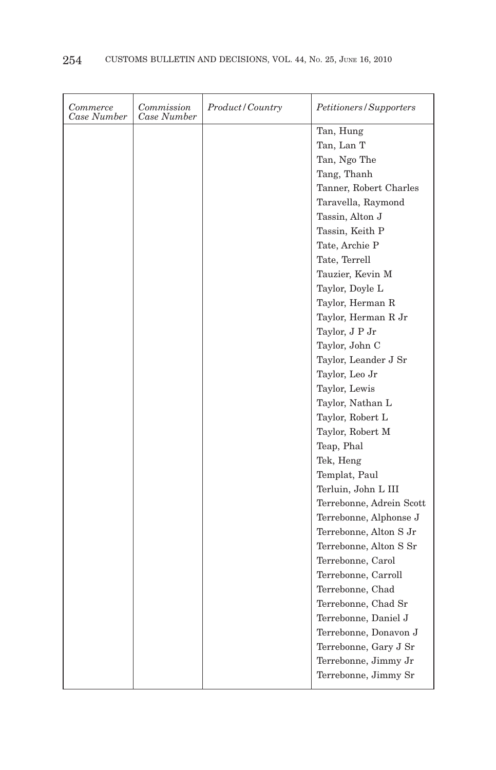| Commerce<br>Case Number | Commission<br>Case Number | Product/Country | Petitioners/Supporters   |
|-------------------------|---------------------------|-----------------|--------------------------|
|                         |                           |                 | Tan, Hung                |
|                         |                           |                 | Tan, Lan T               |
|                         |                           |                 | Tan, Ngo The             |
|                         |                           |                 | Tang, Thanh              |
|                         |                           |                 | Tanner, Robert Charles   |
|                         |                           |                 | Taravella, Raymond       |
|                         |                           |                 | Tassin, Alton J          |
|                         |                           |                 | Tassin, Keith P          |
|                         |                           |                 | Tate, Archie P           |
|                         |                           |                 | Tate, Terrell            |
|                         |                           |                 | Tauzier, Kevin M         |
|                         |                           |                 | Taylor, Doyle L          |
|                         |                           |                 | Taylor, Herman R         |
|                         |                           |                 | Taylor, Herman R Jr      |
|                         |                           |                 | Taylor, J P Jr           |
|                         |                           |                 | Taylor, John C           |
|                         |                           |                 | Taylor, Leander J Sr     |
|                         |                           |                 | Taylor, Leo Jr           |
|                         |                           |                 | Taylor, Lewis            |
|                         |                           |                 | Taylor, Nathan L         |
|                         |                           |                 | Taylor, Robert L         |
|                         |                           |                 | Taylor, Robert M         |
|                         |                           |                 | Teap, Phal               |
|                         |                           |                 | Tek, Heng                |
|                         |                           |                 | Templat, Paul            |
|                         |                           |                 | Terluin, John L III      |
|                         |                           |                 | Terrebonne, Adrein Scott |
|                         |                           |                 | Terrebonne, Alphonse J   |
|                         |                           |                 | Terrebonne, Alton S Jr   |
|                         |                           |                 | Terrebonne, Alton S Sr   |
|                         |                           |                 | Terrebonne, Carol        |
|                         |                           |                 | Terrebonne, Carroll      |
|                         |                           |                 | Terrebonne, Chad         |
|                         |                           |                 | Terrebonne, Chad Sr      |
|                         |                           |                 | Terrebonne, Daniel J     |
|                         |                           |                 | Terrebonne, Donavon J    |
|                         |                           |                 | Terrebonne, Gary J Sr    |
|                         |                           |                 | Terrebonne, Jimmy Jr     |
|                         |                           |                 |                          |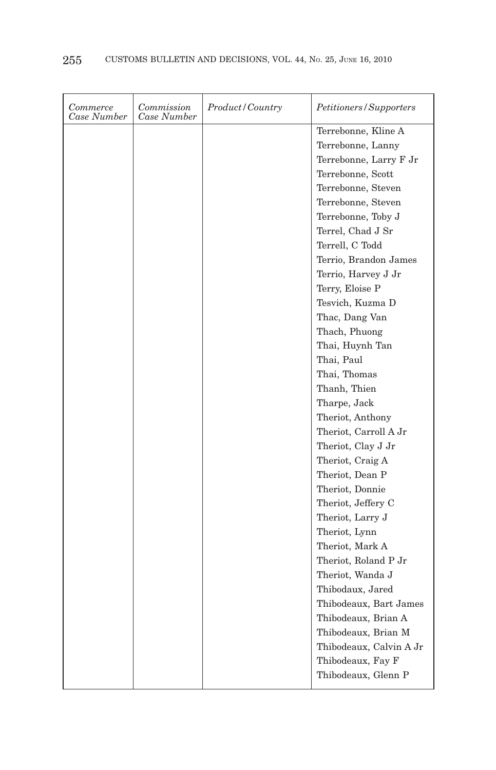| Commerce<br>Case Number | Commission<br>Case Number | Product/Country | Petitioners/Supporters  |
|-------------------------|---------------------------|-----------------|-------------------------|
|                         |                           |                 | Terrebonne, Kline A     |
|                         |                           |                 | Terrebonne, Lanny       |
|                         |                           |                 | Terrebonne, Larry F Jr  |
|                         |                           |                 | Terrebonne, Scott       |
|                         |                           |                 | Terrebonne, Steven      |
|                         |                           |                 | Terrebonne, Steven      |
|                         |                           |                 | Terrebonne, Toby J      |
|                         |                           |                 | Terrel, Chad J Sr       |
|                         |                           |                 | Terrell, C Todd         |
|                         |                           |                 | Terrio, Brandon James   |
|                         |                           |                 | Terrio, Harvey J Jr     |
|                         |                           |                 | Terry, Eloise P         |
|                         |                           |                 | Tesvich, Kuzma D        |
|                         |                           |                 | Thac, Dang Van          |
|                         |                           |                 | Thach, Phuong           |
|                         |                           |                 | Thai, Huynh Tan         |
|                         |                           |                 | Thai, Paul              |
|                         |                           |                 | Thai, Thomas            |
|                         |                           |                 | Thanh, Thien            |
|                         |                           |                 | Tharpe, Jack            |
|                         |                           |                 | Theriot, Anthony        |
|                         |                           |                 | Theriot, Carroll A Jr   |
|                         |                           |                 | Theriot, Clay J Jr      |
|                         |                           |                 | Theriot, Craig A        |
|                         |                           |                 | Theriot, Dean P         |
|                         |                           |                 | Theriot, Donnie         |
|                         |                           |                 | Theriot, Jeffery C      |
|                         |                           |                 | Theriot, Larry J        |
|                         |                           |                 | Theriot, Lynn           |
|                         |                           |                 | Theriot, Mark A         |
|                         |                           |                 | Theriot, Roland P Jr    |
|                         |                           |                 | Theriot, Wanda J        |
|                         |                           |                 | Thibodaux, Jared        |
|                         |                           |                 | Thibodeaux, Bart James  |
|                         |                           |                 | Thibodeaux, Brian A     |
|                         |                           |                 | Thibodeaux, Brian M     |
|                         |                           |                 | Thibodeaux, Calvin A Jr |
|                         |                           |                 | Thibodeaux, Fay F       |
|                         |                           |                 | Thibodeaux, Glenn P     |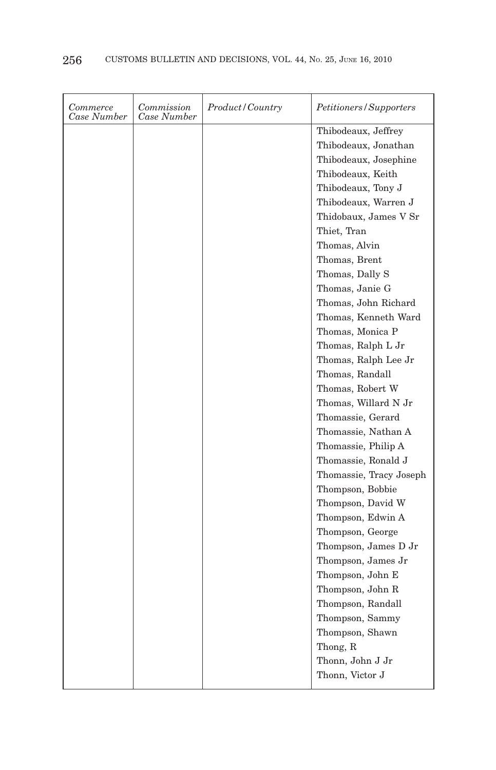| Commerce<br>Case Number | Commission<br>Case Number | <i>Product/Country</i> | Petitioners/Supporters  |
|-------------------------|---------------------------|------------------------|-------------------------|
|                         |                           |                        | Thibodeaux, Jeffrey     |
|                         |                           |                        | Thibodeaux, Jonathan    |
|                         |                           |                        | Thibodeaux, Josephine   |
|                         |                           |                        | Thibodeaux, Keith       |
|                         |                           |                        | Thibodeaux, Tony J      |
|                         |                           |                        | Thibodeaux, Warren J    |
|                         |                           |                        | Thidobaux, James V Sr   |
|                         |                           |                        | Thiet, Tran             |
|                         |                           |                        | Thomas, Alvin           |
|                         |                           |                        | Thomas, Brent           |
|                         |                           |                        | Thomas, Dally S         |
|                         |                           |                        | Thomas, Janie G         |
|                         |                           |                        | Thomas, John Richard    |
|                         |                           |                        | Thomas, Kenneth Ward    |
|                         |                           |                        | Thomas, Monica P        |
|                         |                           |                        | Thomas, Ralph L Jr      |
|                         |                           |                        | Thomas, Ralph Lee Jr    |
|                         |                           |                        | Thomas, Randall         |
|                         |                           |                        | Thomas, Robert W        |
|                         |                           |                        | Thomas, Willard N Jr    |
|                         |                           |                        | Thomassie, Gerard       |
|                         |                           |                        | Thomassie, Nathan A     |
|                         |                           |                        | Thomassie, Philip A     |
|                         |                           |                        | Thomassie, Ronald J     |
|                         |                           |                        | Thomassie, Tracy Joseph |
|                         |                           |                        | Thompson, Bobbie        |
|                         |                           |                        | Thompson, David W       |
|                         |                           |                        | Thompson, Edwin A       |
|                         |                           |                        | Thompson, George        |
|                         |                           |                        | Thompson, James D Jr    |
|                         |                           |                        | Thompson, James Jr      |
|                         |                           |                        | Thompson, John E        |
|                         |                           |                        | Thompson, John R        |
|                         |                           |                        | Thompson, Randall       |
|                         |                           |                        | Thompson, Sammy         |
|                         |                           |                        | Thompson, Shawn         |
|                         |                           |                        | Thong, R                |
|                         |                           |                        | Thonn, John J Jr        |
|                         |                           |                        | Thonn, Victor J         |
|                         |                           |                        |                         |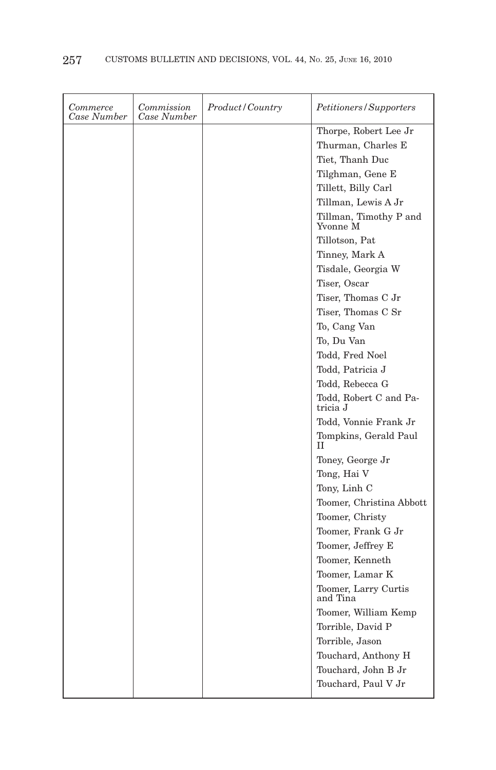| Commerce<br>Case Number | Commission<br>Case Number | Product/Country | Petitioners/Supporters                      |
|-------------------------|---------------------------|-----------------|---------------------------------------------|
|                         |                           |                 | Thorpe, Robert Lee Jr<br>Thurman, Charles E |
|                         |                           |                 | Tiet, Thanh Duc                             |
|                         |                           |                 | Tilghman, Gene E                            |
|                         |                           |                 | Tillett, Billy Carl                         |
|                         |                           |                 | Tillman, Lewis A Jr                         |
|                         |                           |                 | Tillman, Timothy P and<br>Yvonne M          |
|                         |                           |                 | Tillotson, Pat                              |
|                         |                           |                 | Tinney, Mark A                              |
|                         |                           |                 | Tisdale, Georgia W                          |
|                         |                           |                 | Tiser, Oscar                                |
|                         |                           |                 | Tiser, Thomas C Jr                          |
|                         |                           |                 | Tiser, Thomas C Sr                          |
|                         |                           |                 | To, Cang Van                                |
|                         |                           |                 | To, Du Van                                  |
|                         |                           |                 | Todd, Fred Noel                             |
|                         |                           |                 | Todd, Patricia J                            |
|                         |                           |                 | Todd, Rebecca G                             |
|                         |                           |                 | Todd, Robert C and Pa-<br>tricia J          |
|                         |                           |                 | Todd, Vonnie Frank Jr                       |
|                         |                           |                 | Tompkins, Gerald Paul<br>H                  |
|                         |                           |                 | Toney, George Jr                            |
|                         |                           |                 | Tong, Hai V                                 |
|                         |                           |                 | Tony, Linh C                                |
|                         |                           |                 | Toomer, Christina Abbott                    |
|                         |                           |                 | Toomer, Christy                             |
|                         |                           |                 | Toomer, Frank G Jr                          |
|                         |                           |                 | Toomer, Jeffrey E                           |
|                         |                           |                 | Toomer, Kenneth                             |
|                         |                           |                 | Toomer, Lamar K                             |
|                         |                           |                 | Toomer, Larry Curtis<br>and Tina            |
|                         |                           |                 | Toomer, William Kemp                        |
|                         |                           |                 | Torrible, David P                           |
|                         |                           |                 | Torrible, Jason                             |
|                         |                           |                 | Touchard, Anthony H                         |
|                         |                           |                 | Touchard, John B Jr                         |
|                         |                           |                 | Touchard, Paul V Jr                         |
|                         |                           |                 |                                             |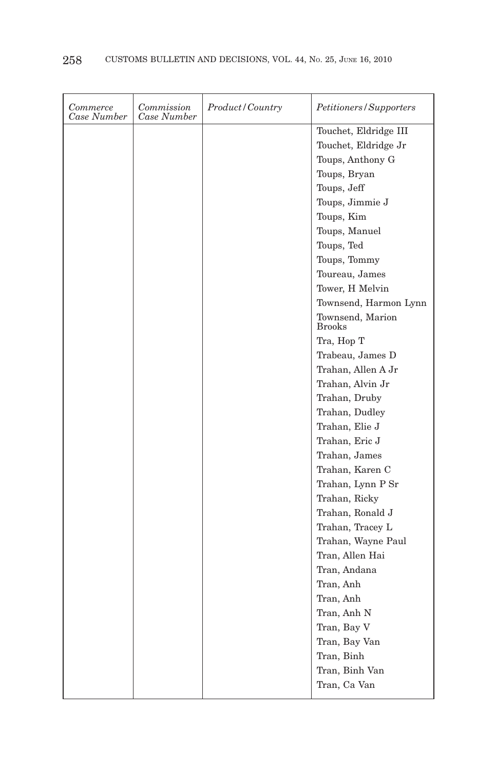| Commerce<br>Case Number | Commission<br>Case Number | Product/Country | Petitioners/Supporters            |
|-------------------------|---------------------------|-----------------|-----------------------------------|
|                         |                           |                 | Touchet, Eldridge III             |
|                         |                           |                 | Touchet, Eldridge Jr              |
|                         |                           |                 | Toups, Anthony G                  |
|                         |                           |                 | Toups, Bryan                      |
|                         |                           |                 | Toups, Jeff                       |
|                         |                           |                 | Toups, Jimmie J                   |
|                         |                           |                 | Toups, Kim                        |
|                         |                           |                 | Toups, Manuel                     |
|                         |                           |                 | Toups, Ted                        |
|                         |                           |                 | Toups, Tommy                      |
|                         |                           |                 | Toureau, James                    |
|                         |                           |                 | Tower, H Melvin                   |
|                         |                           |                 | Townsend, Harmon Lynn             |
|                         |                           |                 | Townsend, Marion<br><b>Brooks</b> |
|                         |                           |                 | Tra, Hop T                        |
|                         |                           |                 | Trabeau, James D                  |
|                         |                           |                 | Trahan, Allen A Jr                |
|                         |                           |                 | Trahan, Alvin Jr                  |
|                         |                           |                 | Trahan, Druby                     |
|                         |                           |                 | Trahan, Dudley                    |
|                         |                           |                 | Trahan, Elie J                    |
|                         |                           |                 | Trahan, Eric J                    |
|                         |                           |                 | Trahan, James                     |
|                         |                           |                 | Trahan, Karen C                   |
|                         |                           |                 | Trahan, Lynn P Sr                 |
|                         |                           |                 | Trahan, Ricky                     |
|                         |                           |                 | Trahan, Ronald J                  |
|                         |                           |                 | Trahan, Tracey L                  |
|                         |                           |                 | Trahan, Wayne Paul                |
|                         |                           |                 | Tran, Allen Hai                   |
|                         |                           |                 | Tran, Andana                      |
|                         |                           |                 | Tran, Anh                         |
|                         |                           |                 | Tran, Anh                         |
|                         |                           |                 | Tran, Anh N                       |
|                         |                           |                 | Tran, Bay V                       |
|                         |                           |                 | Tran, Bay Van                     |
|                         |                           |                 | Tran, Binh                        |
|                         |                           |                 | Tran, Binh Van                    |
|                         |                           |                 | Tran, Ca Van                      |
|                         |                           |                 |                                   |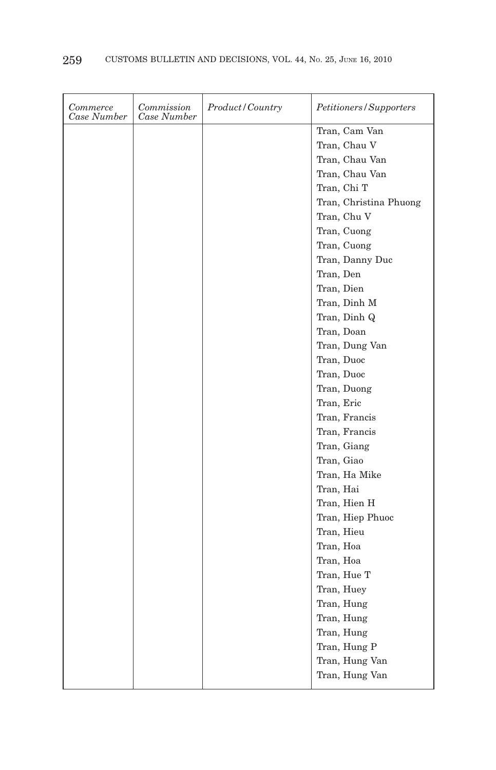| <i>Commerce</i><br>Case Number | Commission<br>Case Number | <i>Product/Country</i> | Petitioners/Supporters |
|--------------------------------|---------------------------|------------------------|------------------------|
|                                |                           |                        | Tran, Cam Van          |
|                                |                           |                        | Tran, Chau V           |
|                                |                           |                        | Tran, Chau Van         |
|                                |                           |                        | Tran, Chau Van         |
|                                |                           |                        | Tran, Chi T            |
|                                |                           |                        | Tran, Christina Phuong |
|                                |                           |                        | Tran, Chu V            |
|                                |                           |                        | Tran, Cuong            |
|                                |                           |                        | Tran, Cuong            |
|                                |                           |                        | Tran, Danny Duc        |
|                                |                           |                        | Tran, Den              |
|                                |                           |                        | Tran, Dien             |
|                                |                           |                        | Tran, Dinh M           |
|                                |                           |                        | Tran, Dinh Q           |
|                                |                           |                        | Tran, Doan             |
|                                |                           |                        | Tran, Dung Van         |
|                                |                           |                        | Tran, Duoc             |
|                                |                           |                        | Tran, Duoc             |
|                                |                           |                        | Tran, Duong            |
|                                |                           |                        | Tran, Eric             |
|                                |                           |                        | Tran, Francis          |
|                                |                           |                        | Tran, Francis          |
|                                |                           |                        | Tran, Giang            |
|                                |                           |                        | Tran, Giao             |
|                                |                           |                        | Tran, Ha Mike          |
|                                |                           |                        | Tran, Hai              |
|                                |                           |                        | Tran, Hien H           |
|                                |                           |                        | Tran, Hiep Phuoc       |
|                                |                           |                        | Tran, Hieu             |
|                                |                           |                        | Tran, Hoa              |
|                                |                           |                        | Tran, Hoa              |
|                                |                           |                        | Tran, Hue T            |
|                                |                           |                        | Tran, Huey             |
|                                |                           |                        | Tran, Hung             |
|                                |                           |                        | Tran, Hung             |
|                                |                           |                        | Tran, Hung             |
|                                |                           |                        | Tran, Hung P           |
|                                |                           |                        | Tran, Hung Van         |
|                                |                           |                        | Tran, Hung Van         |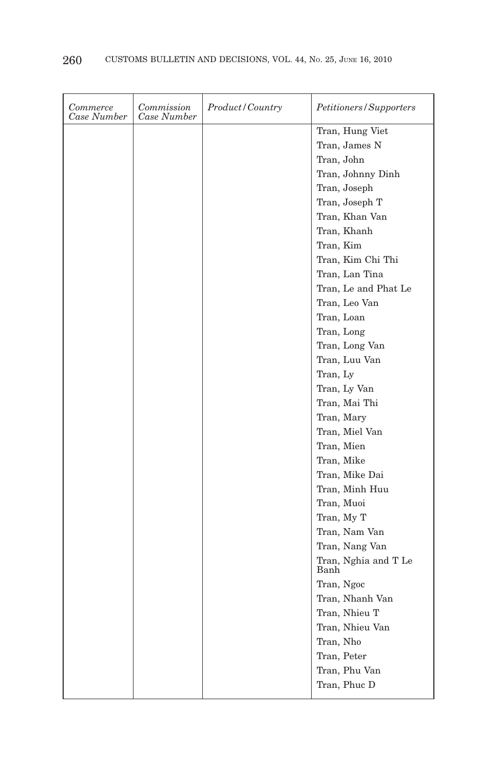| Commerce<br>Case Number | Commission<br>Case Number | Product/Country | Petitioners/Supporters       |
|-------------------------|---------------------------|-----------------|------------------------------|
|                         |                           |                 | Tran, Hung Viet              |
|                         |                           |                 | Tran, James N                |
|                         |                           |                 | Tran, John                   |
|                         |                           |                 | Tran, Johnny Dinh            |
|                         |                           |                 | Tran, Joseph                 |
|                         |                           |                 | Tran, Joseph T               |
|                         |                           |                 | Tran, Khan Van               |
|                         |                           |                 | Tran, Khanh                  |
|                         |                           |                 | Tran, Kim                    |
|                         |                           |                 | Tran, Kim Chi Thi            |
|                         |                           |                 | Tran, Lan Tina               |
|                         |                           |                 | Tran, Le and Phat Le         |
|                         |                           |                 | Tran, Leo Van                |
|                         |                           |                 | Tran, Loan                   |
|                         |                           |                 | Tran, Long                   |
|                         |                           |                 | Tran, Long Van               |
|                         |                           |                 | Tran, Luu Van                |
|                         |                           |                 | Tran, Ly                     |
|                         |                           |                 | Tran, Ly Van                 |
|                         |                           |                 | Tran, Mai Thi                |
|                         |                           |                 | Tran, Mary                   |
|                         |                           |                 | Tran, Miel Van               |
|                         |                           |                 | Tran, Mien                   |
|                         |                           |                 | Tran, Mike                   |
|                         |                           |                 | Tran, Mike Dai               |
|                         |                           |                 | Tran, Minh Huu               |
|                         |                           |                 | Tran, Muoi                   |
|                         |                           |                 | Tran, My T                   |
|                         |                           |                 | Tran, Nam Van                |
|                         |                           |                 | Tran, Nang Van               |
|                         |                           |                 | Tran, Nghia and T Le<br>Banh |
|                         |                           |                 | Tran, Ngoc                   |
|                         |                           |                 | Tran, Nhanh Van              |
|                         |                           |                 | Tran, Nhieu T                |
|                         |                           |                 | Tran, Nhieu Van              |
|                         |                           |                 | Tran, Nho                    |
|                         |                           |                 | Tran, Peter                  |
|                         |                           |                 | Tran, Phu Van                |
|                         |                           |                 | Tran, Phuc D                 |
|                         |                           |                 |                              |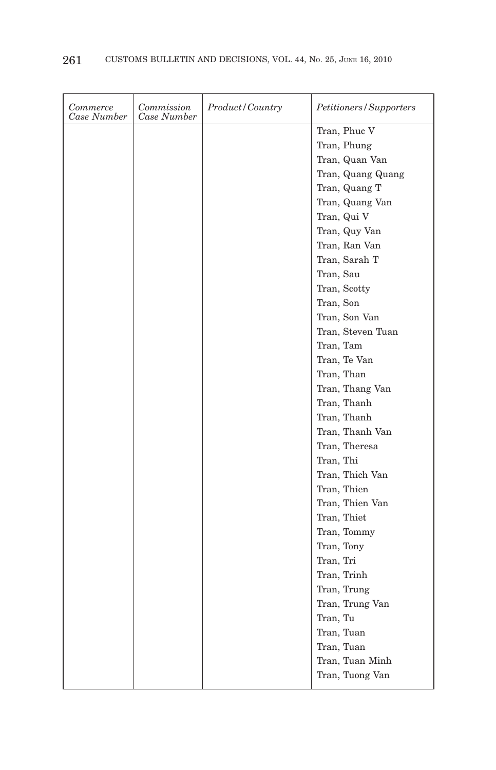| Commerce<br>Case Number | Commission<br>Case Number | Product/Country | Petitioners/Supporters |
|-------------------------|---------------------------|-----------------|------------------------|
|                         |                           |                 | Tran, Phuc V           |
|                         |                           |                 | Tran, Phung            |
|                         |                           |                 | Tran, Quan Van         |
|                         |                           |                 | Tran, Quang Quang      |
|                         |                           |                 | Tran, Quang T          |
|                         |                           |                 | Tran, Quang Van        |
|                         |                           |                 | Tran, Qui V            |
|                         |                           |                 | Tran, Quy Van          |
|                         |                           |                 | Tran, Ran Van          |
|                         |                           |                 | Tran. Sarah T          |
|                         |                           |                 | Tran, Sau              |
|                         |                           |                 | Tran, Scotty           |
|                         |                           |                 | Tran, Son              |
|                         |                           |                 | Tran, Son Van          |
|                         |                           |                 | Tran, Steven Tuan      |
|                         |                           |                 | Tran, Tam              |
|                         |                           |                 | Tran, Te Van           |
|                         |                           |                 | Tran, Than             |
|                         |                           |                 | Tran, Thang Van        |
|                         |                           |                 | Tran, Thanh            |
|                         |                           |                 | Tran, Thanh            |
|                         |                           |                 | Tran, Thanh Van        |
|                         |                           |                 | Tran, Theresa          |
|                         |                           |                 | Tran, Thi              |
|                         |                           |                 | Tran, Thich Van        |
|                         |                           |                 | Tran, Thien            |
|                         |                           |                 | Tran, Thien Van        |
|                         |                           |                 | Tran, Thiet            |
|                         |                           |                 | Tran, Tommy            |
|                         |                           |                 | Tran, Tony             |
|                         |                           |                 | Tran, Tri              |
|                         |                           |                 | Tran, Trinh            |
|                         |                           |                 | Tran, Trung            |
|                         |                           |                 | Tran, Trung Van        |
|                         |                           |                 | Tran, Tu               |
|                         |                           |                 | Tran, Tuan             |
|                         |                           |                 | Tran, Tuan             |
|                         |                           |                 | Tran, Tuan Minh        |
|                         |                           |                 | Tran, Tuong Van        |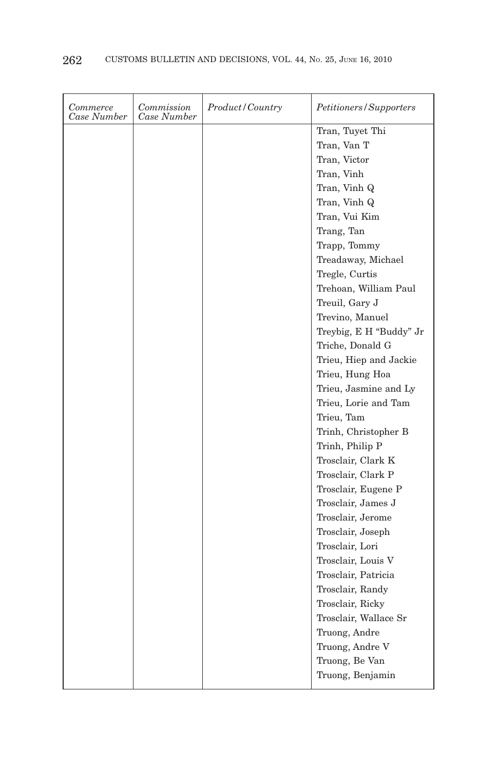| Commerce<br>Case Number | Commission<br>Case Number | Product/Country | Petitioners/Supporters  |
|-------------------------|---------------------------|-----------------|-------------------------|
|                         |                           |                 | Tran, Tuyet Thi         |
|                         |                           |                 | Tran, Van T             |
|                         |                           |                 | Tran, Victor            |
|                         |                           |                 | Tran, Vinh              |
|                         |                           |                 | Tran, Vinh Q            |
|                         |                           |                 | Tran, Vinh Q            |
|                         |                           |                 | Tran, Vui Kim           |
|                         |                           |                 | Trang, Tan              |
|                         |                           |                 | Trapp, Tommy            |
|                         |                           |                 | Treadaway, Michael      |
|                         |                           |                 | Tregle, Curtis          |
|                         |                           |                 | Trehoan, William Paul   |
|                         |                           |                 | Treuil, Gary J          |
|                         |                           |                 | Trevino, Manuel         |
|                         |                           |                 | Treybig, E H "Buddy" Jr |
|                         |                           |                 | Triche, Donald G        |
|                         |                           |                 | Trieu, Hiep and Jackie  |
|                         |                           |                 | Trieu, Hung Hoa         |
|                         |                           |                 | Trieu, Jasmine and Ly   |
|                         |                           |                 | Trieu, Lorie and Tam    |
|                         |                           |                 | Trieu, Tam              |
|                         |                           |                 | Trinh, Christopher B    |
|                         |                           |                 | Trinh, Philip P         |
|                         |                           |                 | Trosclair, Clark K      |
|                         |                           |                 | Trosclair, Clark P      |
|                         |                           |                 | Trosclair, Eugene P     |
|                         |                           |                 | Trosclair, James J      |
|                         |                           |                 | Trosclair, Jerome       |
|                         |                           |                 | Trosclair, Joseph       |
|                         |                           |                 | Trosclair, Lori         |
|                         |                           |                 | Trosclair, Louis V      |
|                         |                           |                 | Trosclair, Patricia     |
|                         |                           |                 | Trosclair, Randy        |
|                         |                           |                 | Trosclair, Ricky        |
|                         |                           |                 | Trosclair, Wallace Sr   |
|                         |                           |                 | Truong, Andre           |
|                         |                           |                 | Truong, Andre V         |
|                         |                           |                 | Truong, Be Van          |
|                         |                           |                 | Truong, Benjamin        |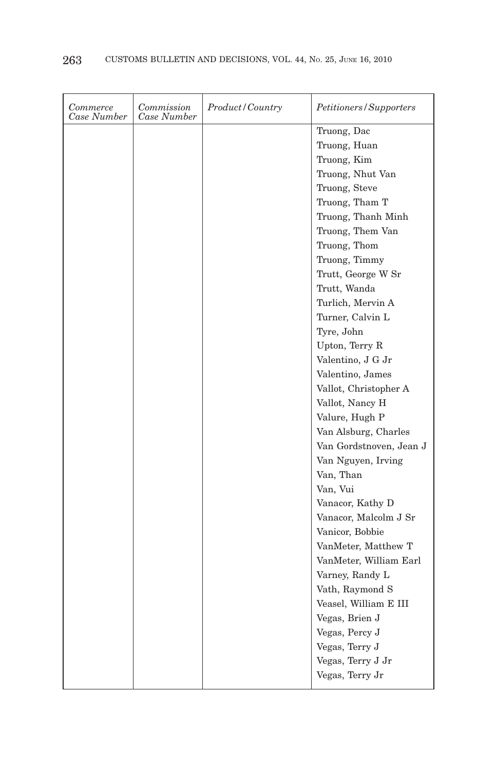| Commerce<br>Case Number | Commission<br>Case Number | Product/Country | Petitioners/Supporters  |
|-------------------------|---------------------------|-----------------|-------------------------|
|                         |                           |                 | Truong, Dac             |
|                         |                           |                 | Truong, Huan            |
|                         |                           |                 | Truong, Kim             |
|                         |                           |                 | Truong, Nhut Van        |
|                         |                           |                 | Truong, Steve           |
|                         |                           |                 | Truong, Tham T          |
|                         |                           |                 | Truong, Thanh Minh      |
|                         |                           |                 | Truong, Them Van        |
|                         |                           |                 | Truong, Thom            |
|                         |                           |                 | Truong, Timmy           |
|                         |                           |                 | Trutt, George W Sr      |
|                         |                           |                 | Trutt, Wanda            |
|                         |                           |                 | Turlich, Mervin A       |
|                         |                           |                 | Turner, Calvin L        |
|                         |                           |                 | Tyre, John              |
|                         |                           |                 | Upton, Terry R          |
|                         |                           |                 | Valentino, J G Jr       |
|                         |                           |                 | Valentino, James        |
|                         |                           |                 | Vallot, Christopher A   |
|                         |                           |                 | Vallot, Nancy H         |
|                         |                           |                 | Valure, Hugh P          |
|                         |                           |                 | Van Alsburg, Charles    |
|                         |                           |                 | Van Gordstnoven, Jean J |
|                         |                           |                 | Van Nguyen, Irving      |
|                         |                           |                 | Van, Than               |
|                         |                           |                 | Van, Vui                |
|                         |                           |                 | Vanacor, Kathy D        |
|                         |                           |                 | Vanacor, Malcolm J Sr   |
|                         |                           |                 | Vanicor, Bobbie         |
|                         |                           |                 | VanMeter, Matthew T     |
|                         |                           |                 | VanMeter, William Earl  |
|                         |                           |                 | Varney, Randy L         |
|                         |                           |                 | Vath, Raymond S         |
|                         |                           |                 | Veasel, William E III   |
|                         |                           |                 | Vegas, Brien J          |
|                         |                           |                 | Vegas, Percy J          |
|                         |                           |                 | Vegas, Terry J          |
|                         |                           |                 | Vegas, Terry J Jr       |
|                         |                           |                 | Vegas, Terry Jr         |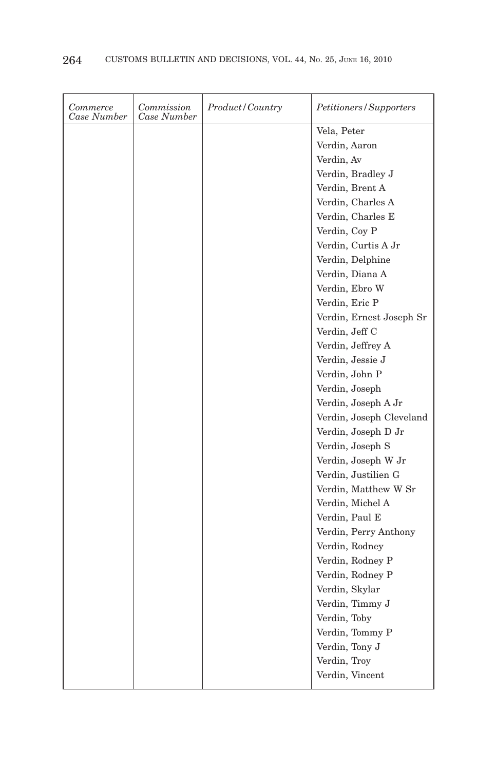| Commerce<br>Case Number | Commission<br>Case Number | <i>Product/Country</i> | Petitioners/Supporters   |
|-------------------------|---------------------------|------------------------|--------------------------|
|                         |                           |                        | Vela, Peter              |
|                         |                           |                        | Verdin, Aaron            |
|                         |                           |                        | Verdin, Av               |
|                         |                           |                        | Verdin, Bradley J        |
|                         |                           |                        | Verdin, Brent A          |
|                         |                           |                        | Verdin, Charles A        |
|                         |                           |                        | Verdin, Charles E        |
|                         |                           |                        | Verdin, Coy P            |
|                         |                           |                        | Verdin, Curtis A Jr      |
|                         |                           |                        | Verdin, Delphine         |
|                         |                           |                        | Verdin, Diana A          |
|                         |                           |                        | Verdin, Ebro W           |
|                         |                           |                        | Verdin, Eric P           |
|                         |                           |                        | Verdin, Ernest Joseph Sr |
|                         |                           |                        | Verdin, Jeff C           |
|                         |                           |                        | Verdin, Jeffrey A        |
|                         |                           |                        | Verdin, Jessie J         |
|                         |                           |                        | Verdin, John P           |
|                         |                           |                        | Verdin, Joseph           |
|                         |                           |                        | Verdin, Joseph A Jr      |
|                         |                           |                        | Verdin, Joseph Cleveland |
|                         |                           |                        | Verdin, Joseph D Jr      |
|                         |                           |                        | Verdin, Joseph S         |
|                         |                           |                        | Verdin, Joseph W Jr      |
|                         |                           |                        | Verdin, Justilien G      |
|                         |                           |                        | Verdin, Matthew W Sr     |
|                         |                           |                        | Verdin, Michel A         |
|                         |                           |                        | Verdin, Paul E           |
|                         |                           |                        | Verdin, Perry Anthony    |
|                         |                           |                        | Verdin, Rodney           |
|                         |                           |                        | Verdin, Rodney P         |
|                         |                           |                        | Verdin, Rodney P         |
|                         |                           |                        | Verdin, Skylar           |
|                         |                           |                        | Verdin, Timmy J          |
|                         |                           |                        | Verdin, Toby             |
|                         |                           |                        | Verdin, Tommy P          |
|                         |                           |                        | Verdin, Tony J           |
|                         |                           |                        | Verdin, Troy             |
|                         |                           |                        | Verdin, Vincent          |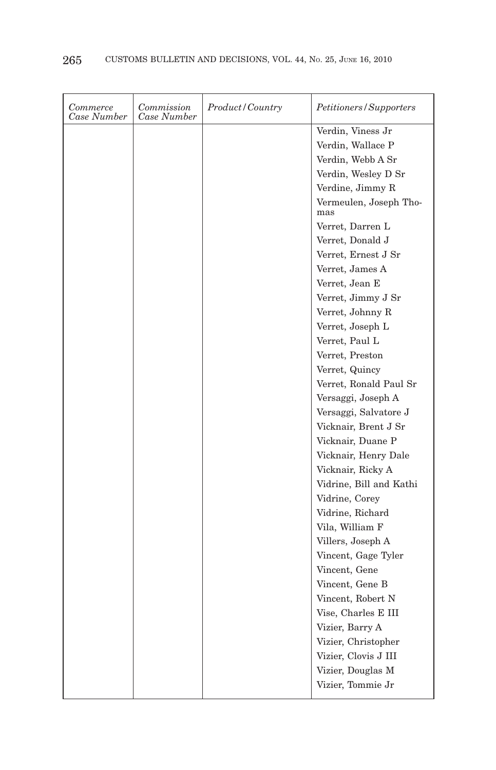| Commerce<br>Case Number | Commission<br>Case Number | Product/Country | Petitioners/Supporters        |
|-------------------------|---------------------------|-----------------|-------------------------------|
|                         |                           |                 | Verdin, Viness Jr             |
|                         |                           |                 | Verdin, Wallace P             |
|                         |                           |                 | Verdin, Webb A Sr             |
|                         |                           |                 | Verdin, Wesley D Sr           |
|                         |                           |                 | Verdine, Jimmy R              |
|                         |                           |                 | Vermeulen, Joseph Tho-<br>mas |
|                         |                           |                 | Verret, Darren L              |
|                         |                           |                 | Verret, Donald J              |
|                         |                           |                 | Verret, Ernest J Sr           |
|                         |                           |                 | Verret, James A               |
|                         |                           |                 | Verret, Jean E                |
|                         |                           |                 | Verret, Jimmy J Sr            |
|                         |                           |                 | Verret, Johnny R              |
|                         |                           |                 | Verret, Joseph L              |
|                         |                           |                 | Verret, Paul L                |
|                         |                           |                 | Verret, Preston               |
|                         |                           |                 | Verret, Quincy                |
|                         |                           |                 | Verret, Ronald Paul Sr        |
|                         |                           |                 | Versaggi, Joseph A            |
|                         |                           |                 | Versaggi, Salvatore J         |
|                         |                           |                 | Vicknair, Brent J Sr          |
|                         |                           |                 | Vicknair, Duane P             |
|                         |                           |                 | Vicknair, Henry Dale          |
|                         |                           |                 | Vicknair, Ricky A             |
|                         |                           |                 | Vidrine, Bill and Kathi       |
|                         |                           |                 | Vidrine, Corey                |
|                         |                           |                 | Vidrine, Richard              |
|                         |                           |                 | Vila, William F               |
|                         |                           |                 | Villers, Joseph A             |
|                         |                           |                 | Vincent, Gage Tyler           |
|                         |                           |                 | Vincent, Gene                 |
|                         |                           |                 | Vincent, Gene B               |
|                         |                           |                 | Vincent, Robert N             |
|                         |                           |                 | Vise, Charles E III           |
|                         |                           |                 | Vizier, Barry A               |
|                         |                           |                 | Vizier, Christopher           |
|                         |                           |                 | Vizier, Clovis J III          |
|                         |                           |                 | Vizier, Douglas M             |
|                         |                           |                 | Vizier, Tommie Jr             |
|                         |                           |                 |                               |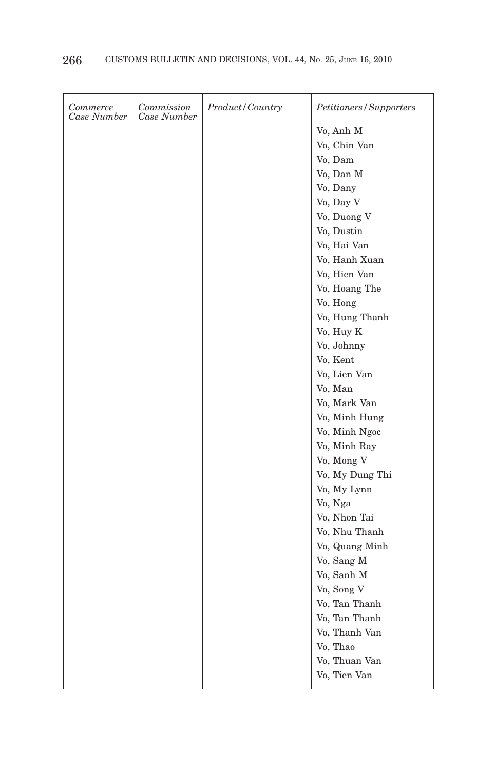| Commerce<br>Case Number | Commission<br>Case Number | <i>Product/Country</i> | Petitioners/Supporters |
|-------------------------|---------------------------|------------------------|------------------------|
|                         |                           |                        | Vo, Anh M              |
|                         |                           |                        | Vo, Chin Van           |
|                         |                           |                        | Vo, Dam                |
|                         |                           |                        | Vo, Dan M              |
|                         |                           |                        | Vo, Dany               |
|                         |                           |                        | Vo, Day V              |
|                         |                           |                        | Vo, Duong V            |
|                         |                           |                        | Vo, Dustin             |
|                         |                           |                        | Vo, Hai Van            |
|                         |                           |                        | Vo, Hanh Xuan          |
|                         |                           |                        | Vo, Hien Van           |
|                         |                           |                        | Vo, Hoang The          |
|                         |                           |                        | Vo, Hong               |
|                         |                           |                        | Vo, Hung Thanh         |
|                         |                           |                        | Vo, Huy K              |
|                         |                           |                        | Vo, Johnny             |
|                         |                           |                        | Vo, Kent               |
|                         |                           |                        | Vo, Lien Van           |
|                         |                           |                        | Vo, Man                |
|                         |                           |                        | Vo, Mark Van           |
|                         |                           |                        | Vo, Minh Hung          |
|                         |                           |                        | Vo, Minh Ngoc          |
|                         |                           |                        | Vo, Minh Ray           |
|                         |                           |                        | Vo, Mong V             |
|                         |                           |                        | Vo, My Dung Thi        |
|                         |                           |                        | Vo, My Lynn            |
|                         |                           |                        | Vo, Nga                |
|                         |                           |                        | Vo, Nhon Tai           |
|                         |                           |                        | Vo, Nhu Thanh          |
|                         |                           |                        | Vo, Quang Minh         |
|                         |                           |                        | Vo, Sang M             |
|                         |                           |                        | Vo, Sanh M             |
|                         |                           |                        | Vo, Song V             |
|                         |                           |                        | Vo, Tan Thanh          |
|                         |                           |                        | Vo, Tan Thanh          |
|                         |                           |                        | Vo, Thanh Van          |
|                         |                           |                        | Vo, Thao               |
|                         |                           |                        | Vo, Thuan Van          |
|                         |                           |                        | Vo, Tien Van           |
|                         |                           |                        |                        |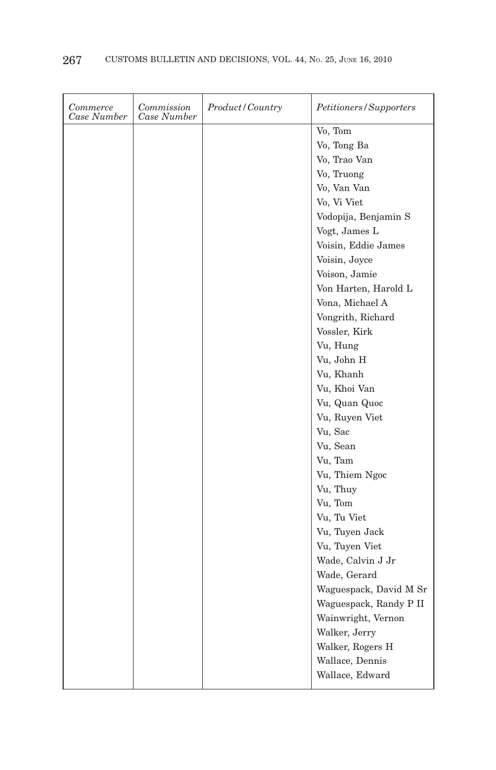| Commerce<br>Case Number | Commission<br>Case Number | <i>Product/Country</i> | Petitioners/Supporters |
|-------------------------|---------------------------|------------------------|------------------------|
|                         |                           |                        | Vo, Tom                |
|                         |                           |                        | Vo, Tong Ba            |
|                         |                           |                        | Vo, Trao Van           |
|                         |                           |                        | Vo, Truong             |
|                         |                           |                        | Vo, Van Van            |
|                         |                           |                        | Vo, Vi Viet            |
|                         |                           |                        | Vodopija, Benjamin S   |
|                         |                           |                        | Vogt, James L          |
|                         |                           |                        | Voisin, Eddie James    |
|                         |                           |                        | Voisin, Joyce          |
|                         |                           |                        | Voison, Jamie          |
|                         |                           |                        | Von Harten, Harold L   |
|                         |                           |                        | Vona, Michael A        |
|                         |                           |                        | Vongrith, Richard      |
|                         |                           |                        | Vossler, Kirk          |
|                         |                           |                        | Vu, Hung               |
|                         |                           |                        | Vu, John H             |
|                         |                           |                        | Vu, Khanh              |
|                         |                           |                        | Vu, Khoi Van           |
|                         |                           |                        | Vu, Quan Quoc          |
|                         |                           |                        | Vu, Ruyen Viet         |
|                         |                           |                        | Vu, Sac                |
|                         |                           |                        | Vu, Sean               |
|                         |                           |                        | Vu, Tam                |
|                         |                           |                        | Vu, Thiem Ngoc         |
|                         |                           |                        | Vu, Thuy               |
|                         |                           |                        | Vu, Tom                |
|                         |                           |                        | Vu, Tu Viet            |
|                         |                           |                        | Vu, Tuyen Jack         |
|                         |                           |                        | Vu, Tuyen Viet         |
|                         |                           |                        | Wade, Calvin J Jr      |
|                         |                           |                        | Wade, Gerard           |
|                         |                           |                        | Waguespack, David M Sr |
|                         |                           |                        | Waguespack, Randy P II |
|                         |                           |                        | Wainwright, Vernon     |
|                         |                           |                        | Walker, Jerry          |
|                         |                           |                        | Walker, Rogers H       |
|                         |                           |                        | Wallace, Dennis        |
|                         |                           |                        | Wallace, Edward        |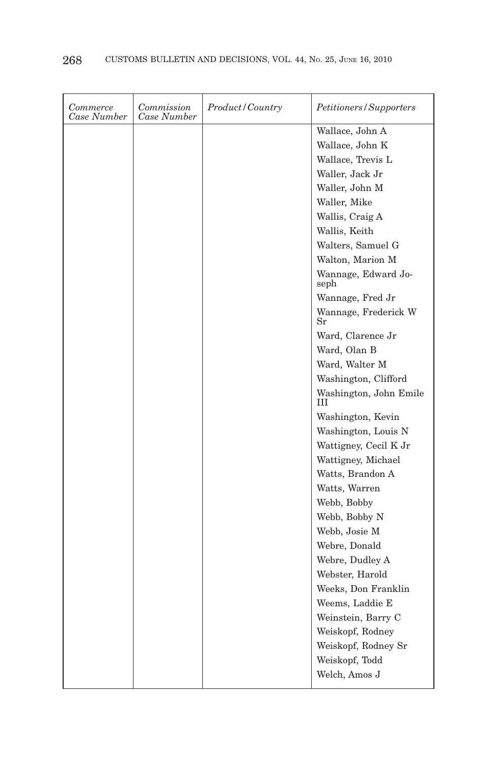| Commerce<br>Case Number | Commission<br>Case Number | Product/Country | Petitioners/Supporters              |
|-------------------------|---------------------------|-----------------|-------------------------------------|
|                         |                           |                 | Wallace, John A                     |
|                         |                           |                 | Wallace, John K                     |
|                         |                           |                 | Wallace, Trevis L                   |
|                         |                           |                 | Waller, Jack Jr                     |
|                         |                           |                 | Waller, John M                      |
|                         |                           |                 | Waller, Mike                        |
|                         |                           |                 | Wallis, Craig A                     |
|                         |                           |                 | Wallis, Keith                       |
|                         |                           |                 | Walters, Samuel G                   |
|                         |                           |                 | Walton, Marion M                    |
|                         |                           |                 | Wannage, Edward Jo-<br>seph         |
|                         |                           |                 | Wannage, Fred Jr                    |
|                         |                           |                 | Wannage, Frederick W<br>$_{\rm Sr}$ |
|                         |                           |                 | Ward, Clarence Jr                   |
|                         |                           |                 | Ward, Olan B                        |
|                         |                           |                 | Ward, Walter M                      |
|                         |                           |                 | Washington, Clifford                |
|                         |                           |                 | Washington, John Emile<br>Ш         |
|                         |                           |                 | Washington, Kevin                   |
|                         |                           |                 | Washington, Louis N                 |
|                         |                           |                 | Wattigney, Cecil K Jr               |
|                         |                           |                 | Wattigney, Michael                  |
|                         |                           |                 | Watts, Brandon A                    |
|                         |                           |                 | Watts, Warren                       |
|                         |                           |                 | Webb, Bobby                         |
|                         |                           |                 | Webb, Bobby N                       |
|                         |                           |                 | Webb, Josie M                       |
|                         |                           |                 | Webre, Donald                       |
|                         |                           |                 | Webre, Dudley A                     |
|                         |                           |                 | Webster, Harold                     |
|                         |                           |                 | Weeks, Don Franklin                 |
|                         |                           |                 | Weems, Laddie E                     |
|                         |                           |                 | Weinstein, Barry C                  |
|                         |                           |                 | Weiskopf, Rodney                    |
|                         |                           |                 | Weiskopf, Rodney Sr                 |
|                         |                           |                 | Weiskopf, Todd                      |
|                         |                           |                 | Welch, Amos J                       |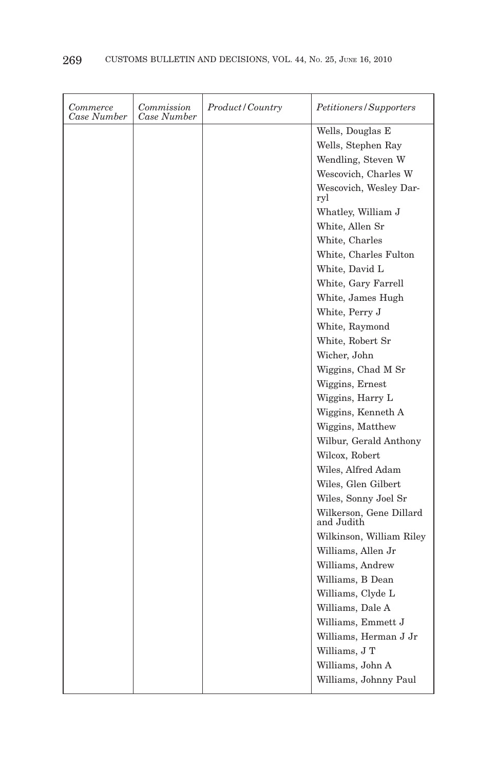| Commerce<br>Case Number | Commission<br>Case Number | Product/Country | Petitioners/Supporters                |
|-------------------------|---------------------------|-----------------|---------------------------------------|
|                         |                           |                 | Wells, Douglas E                      |
|                         |                           |                 | Wells, Stephen Ray                    |
|                         |                           |                 | Wendling, Steven W                    |
|                         |                           |                 | Wescovich, Charles W                  |
|                         |                           |                 | Wescovich, Wesley Dar-<br>ryl         |
|                         |                           |                 | Whatley, William J                    |
|                         |                           |                 | White, Allen Sr                       |
|                         |                           |                 | White, Charles                        |
|                         |                           |                 | White, Charles Fulton                 |
|                         |                           |                 | White, David L                        |
|                         |                           |                 | White, Gary Farrell                   |
|                         |                           |                 | White, James Hugh                     |
|                         |                           |                 | White, Perry J                        |
|                         |                           |                 | White, Raymond                        |
|                         |                           |                 | White, Robert Sr                      |
|                         |                           |                 | Wicher, John                          |
|                         |                           |                 | Wiggins, Chad M Sr                    |
|                         |                           |                 | Wiggins, Ernest                       |
|                         |                           |                 | Wiggins, Harry L                      |
|                         |                           |                 | Wiggins, Kenneth A                    |
|                         |                           |                 | Wiggins, Matthew                      |
|                         |                           |                 | Wilbur, Gerald Anthony                |
|                         |                           |                 | Wilcox, Robert                        |
|                         |                           |                 | Wiles, Alfred Adam                    |
|                         |                           |                 | Wiles, Glen Gilbert                   |
|                         |                           |                 | Wiles, Sonny Joel Sr                  |
|                         |                           |                 | Wilkerson, Gene Dillard<br>and Judith |
|                         |                           |                 | Wilkinson, William Riley              |
|                         |                           |                 | Williams, Allen Jr                    |
|                         |                           |                 | Williams, Andrew                      |
|                         |                           |                 | Williams, B Dean                      |
|                         |                           |                 | Williams, Clyde L                     |
|                         |                           |                 | Williams, Dale A                      |
|                         |                           |                 | Williams, Emmett J                    |
|                         |                           |                 | Williams, Herman J Jr                 |
|                         |                           |                 | Williams, J T                         |
|                         |                           |                 | Williams, John A                      |
|                         |                           |                 | Williams, Johnny Paul                 |
|                         |                           |                 |                                       |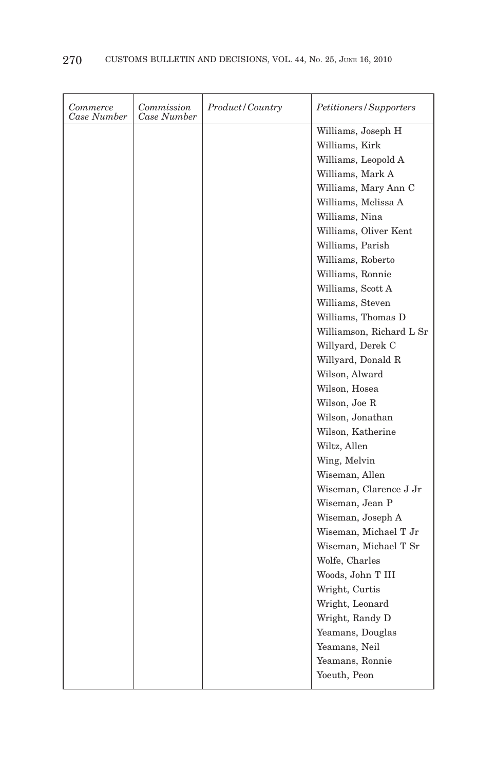| Commerce<br>Case Number | Commission<br>Case Number | Product/Country | Petitioners/Supporters   |
|-------------------------|---------------------------|-----------------|--------------------------|
|                         |                           |                 | Williams, Joseph H       |
|                         |                           |                 | Williams, Kirk           |
|                         |                           |                 | Williams, Leopold A      |
|                         |                           |                 | Williams, Mark A         |
|                         |                           |                 | Williams, Mary Ann C     |
|                         |                           |                 | Williams, Melissa A      |
|                         |                           |                 | Williams, Nina           |
|                         |                           |                 | Williams, Oliver Kent    |
|                         |                           |                 | Williams, Parish         |
|                         |                           |                 | Williams, Roberto        |
|                         |                           |                 | Williams, Ronnie         |
|                         |                           |                 | Williams, Scott A        |
|                         |                           |                 | Williams, Steven         |
|                         |                           |                 | Williams, Thomas D       |
|                         |                           |                 | Williamson, Richard L Sr |
|                         |                           |                 | Willyard, Derek C        |
|                         |                           |                 | Willyard, Donald R       |
|                         |                           |                 | Wilson, Alward           |
|                         |                           |                 | Wilson, Hosea            |
|                         |                           |                 | Wilson, Joe R            |
|                         |                           |                 | Wilson, Jonathan         |
|                         |                           |                 | Wilson, Katherine        |
|                         |                           |                 | Wiltz, Allen             |
|                         |                           |                 | Wing, Melvin             |
|                         |                           |                 | Wiseman, Allen           |
|                         |                           |                 | Wiseman, Clarence J Jr   |
|                         |                           |                 | Wiseman, Jean P          |
|                         |                           |                 | Wiseman, Joseph A        |
|                         |                           |                 | Wiseman, Michael T Jr    |
|                         |                           |                 | Wiseman, Michael T Sr    |
|                         |                           |                 | Wolfe, Charles           |
|                         |                           |                 | Woods, John T III        |
|                         |                           |                 | Wright, Curtis           |
|                         |                           |                 | Wright, Leonard          |
|                         |                           |                 | Wright, Randy D          |
|                         |                           |                 | Yeamans, Douglas         |
|                         |                           |                 | Yeamans, Neil            |
|                         |                           |                 | Yeamans, Ronnie          |
|                         |                           |                 | Yoeuth, Peon             |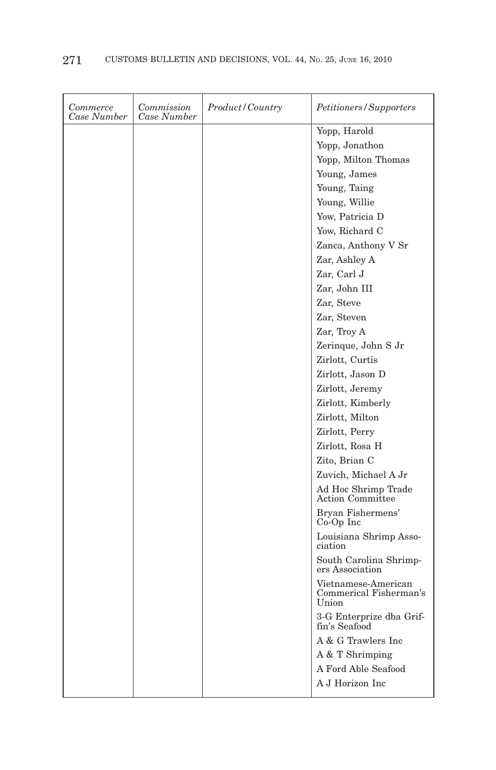| Commerce<br>Case Number | Commission<br>Case Number | Product / Country | Petitioners/Supporters                                 |
|-------------------------|---------------------------|-------------------|--------------------------------------------------------|
|                         |                           |                   | Yopp, Harold                                           |
|                         |                           |                   | Yopp, Jonathon                                         |
|                         |                           |                   | Yopp, Milton Thomas                                    |
|                         |                           |                   | Young, James                                           |
|                         |                           |                   | Young, Taing                                           |
|                         |                           |                   | Young, Willie                                          |
|                         |                           |                   | Yow, Patricia D                                        |
|                         |                           |                   | Yow, Richard C                                         |
|                         |                           |                   | Zanca, Anthony V Sr                                    |
|                         |                           |                   | Zar, Ashley A                                          |
|                         |                           |                   | Zar, Carl J                                            |
|                         |                           |                   | Zar, John III                                          |
|                         |                           |                   | Zar, Steve                                             |
|                         |                           |                   | Zar, Steven                                            |
|                         |                           |                   | Zar, Troy A                                            |
|                         |                           |                   | Zerinque, John S Jr                                    |
|                         |                           |                   | Zirlott, Curtis                                        |
|                         |                           |                   | Zirlott, Jason D                                       |
|                         |                           |                   | Zirlott, Jeremy                                        |
|                         |                           |                   | Zirlott, Kimberly                                      |
|                         |                           |                   | Zirlott, Milton                                        |
|                         |                           |                   | Zirlott, Perry                                         |
|                         |                           |                   | Zirlott, Rosa H                                        |
|                         |                           |                   | Zito, Brian C                                          |
|                         |                           |                   | Zuvich, Michael A Jr                                   |
|                         |                           |                   | Ad Hoc Shrimp Trade<br>Action Committee                |
|                         |                           |                   | Bryan Fishermens'<br>$Co-Op$ Inc                       |
|                         |                           |                   | Louisiana Shrimp Asso-<br>ciation                      |
|                         |                           |                   | South Carolina Shrimp-<br>ers Association              |
|                         |                           |                   | Vietnamese-American<br>Commerical Fisherman's<br>Union |
|                         |                           |                   | 3-G Enterprize dba Grif-<br>fin's Seafood              |
|                         |                           |                   | A & G Trawlers Inc                                     |
|                         |                           |                   | A & T Shrimping                                        |
|                         |                           |                   | A Ford Able Seafood                                    |
|                         |                           |                   | A J Horizon Inc                                        |
|                         |                           |                   |                                                        |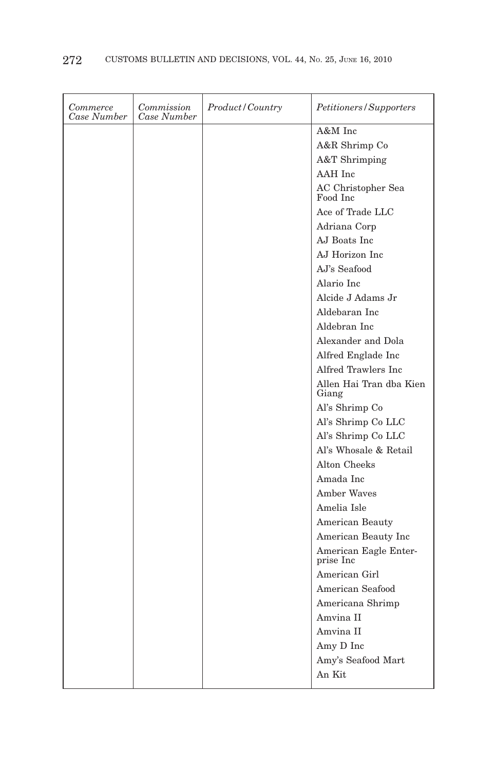| Commerce<br>Case Number | Commission<br>Case Number | <i>Product/Country</i> | Petitioners/Supporters             |
|-------------------------|---------------------------|------------------------|------------------------------------|
|                         |                           |                        | A&M Inc                            |
|                         |                           |                        | A&R Shrimp Co                      |
|                         |                           |                        | A&T Shrimping                      |
|                         |                           |                        | AAH Inc                            |
|                         |                           |                        | AC Christopher Sea<br>Food Inc     |
|                         |                           |                        | Ace of Trade LLC                   |
|                         |                           |                        | Adriana Corp                       |
|                         |                           |                        | AJ Boats Inc                       |
|                         |                           |                        | AJ Horizon Inc.                    |
|                         |                           |                        | AJ's Seafood                       |
|                         |                           |                        | Alario Inc                         |
|                         |                           |                        | Alcide J Adams Jr                  |
|                         |                           |                        | Aldebaran Inc                      |
|                         |                           |                        | Aldebran Inc                       |
|                         |                           |                        | Alexander and Dola                 |
|                         |                           |                        | Alfred Englade Inc                 |
|                         |                           |                        | Alfred Trawlers Inc                |
|                         |                           |                        | Allen Hai Tran dba Kien<br>Giang   |
|                         |                           |                        | Al's Shrimp Co                     |
|                         |                           |                        | Al's Shrimp Co LLC                 |
|                         |                           |                        | Al's Shrimp Co LLC                 |
|                         |                           |                        | Al's Whosale & Retail              |
|                         |                           |                        | Alton Cheeks                       |
|                         |                           |                        | Amada Inc                          |
|                         |                           |                        | Amber Waves                        |
|                         |                           |                        | Amelia Isle                        |
|                         |                           |                        | American Beauty                    |
|                         |                           |                        | American Beauty Inc                |
|                         |                           |                        | American Eagle Enter-<br>prise Inc |
|                         |                           |                        | American Girl                      |
|                         |                           |                        | American Seafood                   |
|                         |                           |                        | Americana Shrimp                   |
|                         |                           |                        | Amvina II                          |
|                         |                           |                        | Amvina II                          |
|                         |                           |                        | Amy D Inc                          |
|                         |                           |                        | Amy's Seafood Mart                 |
|                         |                           |                        | An Kit                             |
|                         |                           |                        |                                    |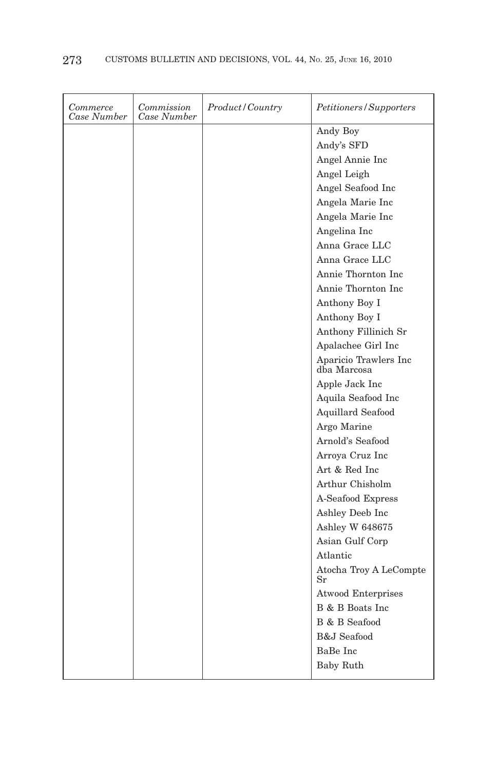| Commerce<br>Case Number | Commission<br>Case Number | Product/Country | Petitioners/Supporters                |
|-------------------------|---------------------------|-----------------|---------------------------------------|
|                         |                           |                 | Andy Boy                              |
|                         |                           |                 | Andy's SFD                            |
|                         |                           |                 | Angel Annie Inc                       |
|                         |                           |                 | Angel Leigh                           |
|                         |                           |                 | Angel Seafood Inc                     |
|                         |                           |                 | Angela Marie Inc                      |
|                         |                           |                 | Angela Marie Inc                      |
|                         |                           |                 | Angelina Inc                          |
|                         |                           |                 | Anna Grace LLC                        |
|                         |                           |                 | Anna Grace LLC                        |
|                         |                           |                 | Annie Thornton Inc.                   |
|                         |                           |                 | Annie Thornton Inc                    |
|                         |                           |                 | Anthony Boy I                         |
|                         |                           |                 | Anthony Boy I                         |
|                         |                           |                 | Anthony Fillinich Sr                  |
|                         |                           |                 | Apalachee Girl Inc                    |
|                         |                           |                 | Aparicio Trawlers Inc<br>dba Marcosa  |
|                         |                           |                 | Apple Jack Inc                        |
|                         |                           |                 | Aquila Seafood Inc                    |
|                         |                           |                 | Aquillard Seafood                     |
|                         |                           |                 | Argo Marine                           |
|                         |                           |                 | Arnold's Seafood                      |
|                         |                           |                 | Arroya Cruz Inc                       |
|                         |                           |                 | Art & Red Inc.                        |
|                         |                           |                 | Arthur Chisholm                       |
|                         |                           |                 | A-Seafood Express                     |
|                         |                           |                 | Ashley Deeb Inc                       |
|                         |                           |                 | Ashley W 648675                       |
|                         |                           |                 | Asian Gulf Corp                       |
|                         |                           |                 | Atlantic                              |
|                         |                           |                 | Atocha Troy A LeCompte<br>$_{\rm Sr}$ |
|                         |                           |                 | <b>Atwood Enterprises</b>             |
|                         |                           |                 | B & B Boats Inc.                      |
|                         |                           |                 | B & B Seafood                         |
|                         |                           |                 | <b>B&amp;J</b> Seafood                |
|                         |                           |                 | BaBe Inc                              |
|                         |                           |                 | Baby Ruth                             |
|                         |                           |                 |                                       |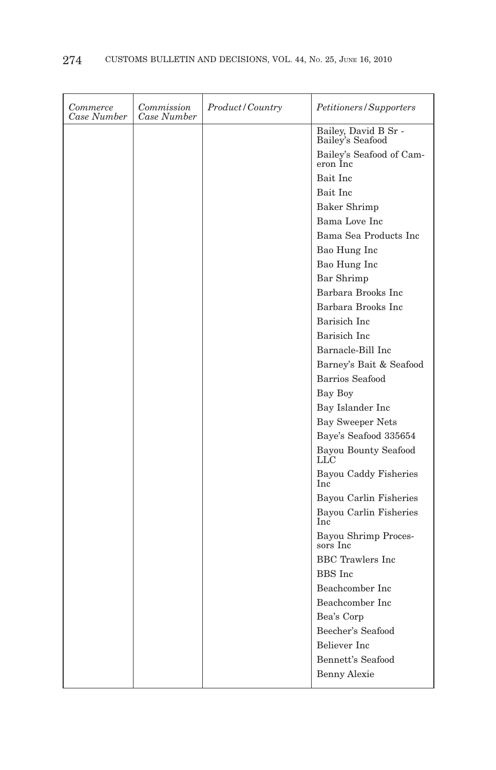| Commerce<br>Case Number | Commission<br>Case Number | <i>Product/Country</i> | Petitioners/Supporters                     |
|-------------------------|---------------------------|------------------------|--------------------------------------------|
|                         |                           |                        | Bailey, David B Sr -<br>Bailey's Seafood   |
|                         |                           |                        | Bailey's Seafood of Cam-<br>eron Inc       |
|                         |                           |                        | Bait Inc                                   |
|                         |                           |                        | Bait Inc                                   |
|                         |                           |                        | <b>Baker Shrimp</b>                        |
|                         |                           |                        | Bama Love Inc                              |
|                         |                           |                        | Bama Sea Products Inc                      |
|                         |                           |                        | Bao Hung Inc                               |
|                         |                           |                        | Bao Hung Inc                               |
|                         |                           |                        | Bar Shrimp                                 |
|                         |                           |                        | Barbara Brooks Inc                         |
|                         |                           |                        | Barbara Brooks Inc.                        |
|                         |                           |                        | Barisich Inc                               |
|                         |                           |                        | Barisich Inc                               |
|                         |                           |                        | Barnacle-Bill Inc                          |
|                         |                           |                        | Barney's Bait & Seafood                    |
|                         |                           |                        | Barrios Seafood                            |
|                         |                           |                        | Bay Boy                                    |
|                         |                           |                        | Bay Islander Inc                           |
|                         |                           |                        | <b>Bay Sweeper Nets</b>                    |
|                         |                           |                        | Baye's Seafood 335654                      |
|                         |                           |                        | Bayou Bounty Seafood<br>LLC                |
|                         |                           |                        | <b>Bayou Caddy Fisheries</b><br><b>Inc</b> |
|                         |                           |                        | Bayou Carlin Fisheries                     |
|                         |                           |                        | Bayou Carlin Fisheries<br>Inc              |
|                         |                           |                        | Bayou Shrimp Proces-<br>sors Inc           |
|                         |                           |                        | <b>BBC</b> Trawlers Inc                    |
|                         |                           |                        | <b>BBS</b> Inc                             |
|                         |                           |                        | Beachcomber Inc                            |
|                         |                           |                        | Beachcomber Inc.                           |
|                         |                           |                        | Bea's Corp                                 |
|                         |                           |                        | Beecher's Seafood                          |
|                         |                           |                        | <b>Believer</b> Inc.                       |
|                         |                           |                        | Bennett's Seafood                          |
|                         |                           |                        | <b>Benny Alexie</b>                        |
|                         |                           |                        |                                            |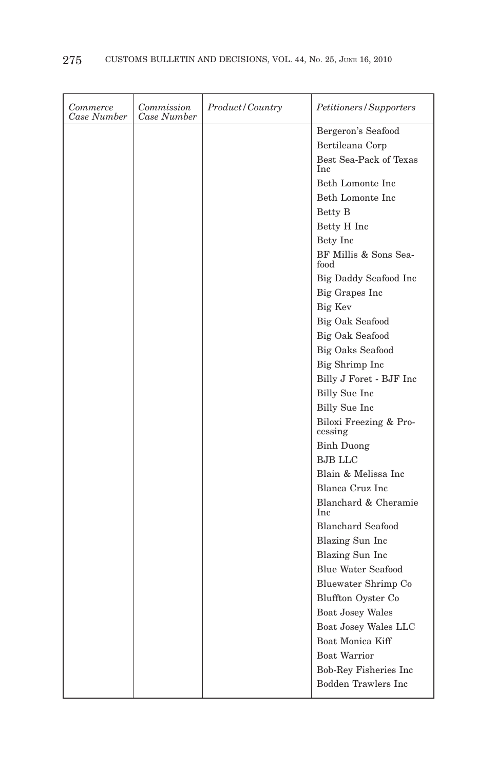| Commerce<br>Case Number | Commission<br>Case Number | Product/Country | Petitioners/Supporters               |
|-------------------------|---------------------------|-----------------|--------------------------------------|
|                         |                           |                 | Bergeron's Seafood                   |
|                         |                           |                 | Bertileana Corp                      |
|                         |                           |                 | Best Sea-Pack of Texas<br><b>Inc</b> |
|                         |                           |                 | Beth Lomonte Inc                     |
|                         |                           |                 | Beth Lomonte Inc                     |
|                         |                           |                 | Betty B                              |
|                         |                           |                 | Betty H Inc                          |
|                         |                           |                 | Bety Inc                             |
|                         |                           |                 | BF Millis & Sons Sea-<br>food        |
|                         |                           |                 | Big Daddy Seafood Inc                |
|                         |                           |                 | Big Grapes Inc                       |
|                         |                           |                 | Big Kev                              |
|                         |                           |                 | Big Oak Seafood                      |
|                         |                           |                 | Big Oak Seafood                      |
|                         |                           |                 | <b>Big Oaks Seafood</b>              |
|                         |                           |                 | Big Shrimp Inc                       |
|                         |                           |                 | Billy J Foret - BJF Inc              |
|                         |                           |                 | Billy Sue Inc                        |
|                         |                           |                 | Billy Sue Inc                        |
|                         |                           |                 | Biloxi Freezing & Pro-<br>cessing    |
|                         |                           |                 | <b>Binh Duong</b>                    |
|                         |                           |                 | <b>BJB LLC</b>                       |
|                         |                           |                 | Blain & Melissa Inc                  |
|                         |                           |                 | Blanca Cruz Inc                      |
|                         |                           |                 | Blanchard & Cheramie<br><b>Inc</b>   |
|                         |                           |                 | <b>Blanchard Seafood</b>             |
|                         |                           |                 | Blazing Sun Inc                      |
|                         |                           |                 | Blazing Sun Inc                      |
|                         |                           |                 | <b>Blue Water Seafood</b>            |
|                         |                           |                 | Bluewater Shrimp Co                  |
|                         |                           |                 | Bluffton Oyster Co                   |
|                         |                           |                 | <b>Boat Josey Wales</b>              |
|                         |                           |                 | Boat Josey Wales LLC                 |
|                         |                           |                 | Boat Monica Kiff                     |
|                         |                           |                 | <b>Boat Warrior</b>                  |
|                         |                           |                 | Bob-Rey Fisheries Inc                |
|                         |                           |                 | <b>Bodden Trawlers Inc</b>           |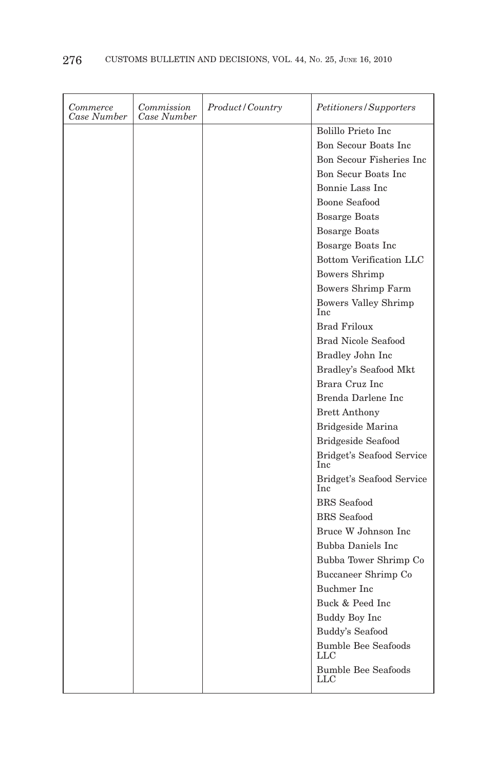| Commerce<br>Case Number | Commission<br>Case Number | <i>Product/Country</i> | Petitioners/Supporters                     |
|-------------------------|---------------------------|------------------------|--------------------------------------------|
|                         |                           |                        | Bolillo Prieto Inc.                        |
|                         |                           |                        | Bon Secour Boats Inc.                      |
|                         |                           |                        | Bon Secour Fisheries Inc                   |
|                         |                           |                        | Bon Secur Boats Inc                        |
|                         |                           |                        | Bonnie Lass Inc                            |
|                         |                           |                        | <b>Boone Seafood</b>                       |
|                         |                           |                        | <b>Bosarge Boats</b>                       |
|                         |                           |                        | <b>Bosarge Boats</b>                       |
|                         |                           |                        | Bosarge Boats Inc                          |
|                         |                           |                        | Bottom Verification LLC                    |
|                         |                           |                        | Bowers Shrimp                              |
|                         |                           |                        | Bowers Shrimp Farm                         |
|                         |                           |                        | Bowers Valley Shrimp<br>Inc                |
|                         |                           |                        | <b>Brad Friloux</b>                        |
|                         |                           |                        | <b>Brad Nicole Seafood</b>                 |
|                         |                           |                        | Bradley John Inc                           |
|                         |                           |                        | Bradley's Seafood Mkt                      |
|                         |                           |                        | Brara Cruz Inc                             |
|                         |                           |                        | Brenda Darlene Inc                         |
|                         |                           |                        | <b>Brett Anthony</b>                       |
|                         |                           |                        | Bridgeside Marina                          |
|                         |                           |                        | <b>Bridgeside Seafood</b>                  |
|                         |                           |                        | Bridget's Seafood Service<br>Inc           |
|                         |                           |                        | Bridget's Seafood Service<br><b>Inc</b>    |
|                         |                           |                        | <b>BRS</b> Seafood                         |
|                         |                           |                        | <b>BRS</b> Seafood                         |
|                         |                           |                        | Bruce W Johnson Inc.                       |
|                         |                           |                        | Bubba Daniels Inc                          |
|                         |                           |                        | Bubba Tower Shrimp Co                      |
|                         |                           |                        | Buccaneer Shrimp Co                        |
|                         |                           |                        | Buchmer Inc                                |
|                         |                           |                        | Buck & Peed Inc                            |
|                         |                           |                        | Buddy Boy Inc                              |
|                         |                           |                        | Buddy's Seafood                            |
|                         |                           |                        | <b>Bumble Bee Seafoods</b><br>LLC          |
|                         |                           |                        | <b>Bumble Bee Seafoods</b><br>$_{\rm LLC}$ |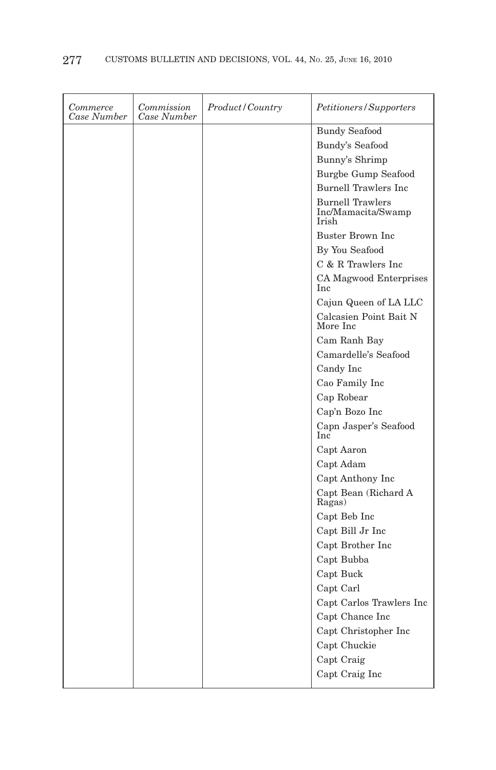| Commerce<br>Case Number | Commission<br>Case Number | <i>Product/Country</i> | Petitioners/Supporters                                 |
|-------------------------|---------------------------|------------------------|--------------------------------------------------------|
|                         |                           |                        | <b>Bundy Seafood</b>                                   |
|                         |                           |                        | Bundy's Seafood                                        |
|                         |                           |                        | Bunny's Shrimp                                         |
|                         |                           |                        | <b>Burgbe Gump Seafood</b>                             |
|                         |                           |                        | <b>Burnell Trawlers Inc</b>                            |
|                         |                           |                        | <b>Burnell Trawlers</b><br>Inc/Mamacita/Swamp<br>Irish |
|                         |                           |                        | <b>Buster Brown Inc.</b>                               |
|                         |                           |                        | By You Seafood                                         |
|                         |                           |                        | C & R Trawlers Inc                                     |
|                         |                           |                        | CA Magwood Enterprises<br>Inc                          |
|                         |                           |                        | Cajun Queen of LA LLC                                  |
|                         |                           |                        | Calcasien Point Bait N<br>More Inc                     |
|                         |                           |                        | Cam Ranh Bay                                           |
|                         |                           |                        | Camardelle's Seafood                                   |
|                         |                           |                        | Candy Inc                                              |
|                         |                           |                        | Cao Family Inc                                         |
|                         |                           |                        | Cap Robear                                             |
|                         |                           |                        | Cap'n Bozo Inc                                         |
|                         |                           |                        | Capn Jasper's Seafood<br>Inc                           |
|                         |                           |                        | Capt Aaron                                             |
|                         |                           |                        | Capt Adam                                              |
|                         |                           |                        | Capt Anthony Inc                                       |
|                         |                           |                        | Capt Bean (Richard A<br>Ragas)                         |
|                         |                           |                        | Capt Beb Inc                                           |
|                         |                           |                        | Capt Bill Jr Inc                                       |
|                         |                           |                        | Capt Brother Inc                                       |
|                         |                           |                        | Capt Bubba                                             |
|                         |                           |                        | Capt Buck                                              |
|                         |                           |                        | Capt Carl                                              |
|                         |                           |                        | Capt Carlos Trawlers Inc                               |
|                         |                           |                        | Capt Chance Inc                                        |
|                         |                           |                        | Capt Christopher Inc                                   |
|                         |                           |                        | Capt Chuckie                                           |
|                         |                           |                        | Capt Craig                                             |
|                         |                           |                        | Capt Craig Inc                                         |
|                         |                           |                        |                                                        |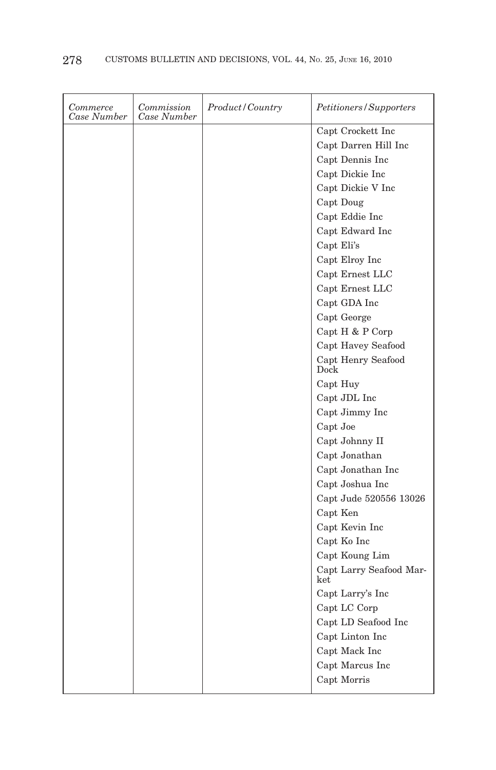| Commerce<br>Case Number | Commission<br>Case Number | Product/Country | Petitioners/Supporters         |
|-------------------------|---------------------------|-----------------|--------------------------------|
|                         |                           |                 | Capt Crockett Inc              |
|                         |                           |                 | Capt Darren Hill Inc           |
|                         |                           |                 | Capt Dennis Inc                |
|                         |                           |                 | Capt Dickie Inc                |
|                         |                           |                 | Capt Dickie V Inc              |
|                         |                           |                 | Capt Doug                      |
|                         |                           |                 | Capt Eddie Inc                 |
|                         |                           |                 | Capt Edward Inc                |
|                         |                           |                 | Capt Eli's                     |
|                         |                           |                 | Capt Elroy Inc                 |
|                         |                           |                 | Capt Ernest LLC                |
|                         |                           |                 | Capt Ernest LLC                |
|                         |                           |                 | Capt GDA Inc                   |
|                         |                           |                 | Capt George                    |
|                         |                           |                 | Capt H & P Corp                |
|                         |                           |                 | Capt Havey Seafood             |
|                         |                           |                 | Capt Henry Seafood<br>Dock     |
|                         |                           |                 | Capt Huy                       |
|                         |                           |                 | Capt JDL Inc                   |
|                         |                           |                 | Capt Jimmy Inc                 |
|                         |                           |                 | Capt Joe                       |
|                         |                           |                 | Capt Johnny II                 |
|                         |                           |                 | Capt Jonathan                  |
|                         |                           |                 | Capt Jonathan Inc              |
|                         |                           |                 | Capt Joshua Inc                |
|                         |                           |                 | Capt Jude 520556 13026         |
|                         |                           |                 | Capt Ken                       |
|                         |                           |                 | Capt Kevin Inc                 |
|                         |                           |                 | Capt Ko Inc                    |
|                         |                           |                 | Capt Koung Lim                 |
|                         |                           |                 | Capt Larry Seafood Mar-<br>ket |
|                         |                           |                 | Capt Larry's Inc               |
|                         |                           |                 | Capt LC Corp                   |
|                         |                           |                 | Capt LD Seafood Inc            |
|                         |                           |                 | Capt Linton Inc                |
|                         |                           |                 | Capt Mack Inc                  |
|                         |                           |                 | Capt Marcus Inc                |
|                         |                           |                 | Capt Morris                    |
|                         |                           |                 |                                |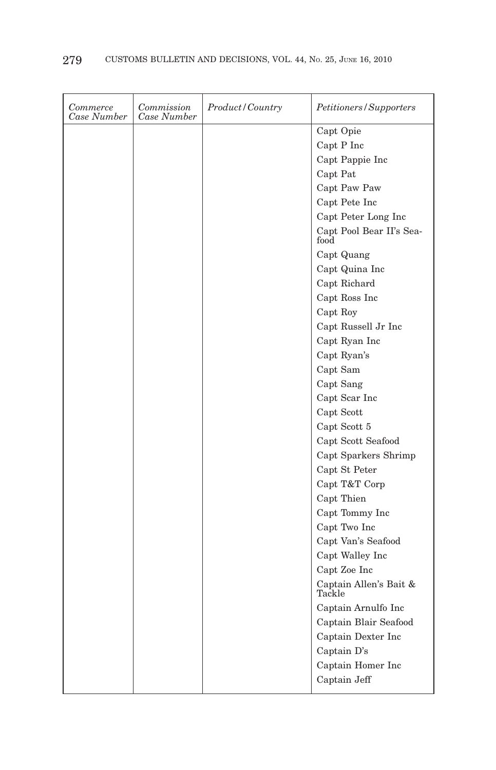| Commerce<br>Case Number | Commission<br>Case Number | Product/Country | Petitioners/Supporters           |
|-------------------------|---------------------------|-----------------|----------------------------------|
|                         |                           |                 | Capt Opie                        |
|                         |                           |                 | Capt P Inc                       |
|                         |                           |                 | Capt Pappie Inc                  |
|                         |                           |                 | Capt Pat                         |
|                         |                           |                 | Capt Paw Paw                     |
|                         |                           |                 | Capt Pete Inc                    |
|                         |                           |                 | Capt Peter Long Inc              |
|                         |                           |                 | Capt Pool Bear II's Sea-<br>food |
|                         |                           |                 | Capt Quang                       |
|                         |                           |                 | Capt Quina Inc                   |
|                         |                           |                 | Capt Richard                     |
|                         |                           |                 | Capt Ross Inc                    |
|                         |                           |                 | Capt Roy                         |
|                         |                           |                 | Capt Russell Jr Inc              |
|                         |                           |                 | Capt Ryan Inc                    |
|                         |                           |                 | Capt Ryan's                      |
|                         |                           |                 | Capt Sam                         |
|                         |                           |                 | Capt Sang                        |
|                         |                           |                 | Capt Scar Inc                    |
|                         |                           |                 | Capt Scott                       |
|                         |                           |                 | Capt Scott 5                     |
|                         |                           |                 | Capt Scott Seafood               |
|                         |                           |                 | Capt Sparkers Shrimp             |
|                         |                           |                 | Capt St Peter                    |
|                         |                           |                 | Capt T&T Corp                    |
|                         |                           |                 | Capt Thien                       |
|                         |                           |                 | Capt Tommy Inc                   |
|                         |                           |                 | Capt Two Inc                     |
|                         |                           |                 | Capt Van's Seafood               |
|                         |                           |                 | Capt Walley Inc                  |
|                         |                           |                 | Capt Zoe Inc                     |
|                         |                           |                 | Captain Allen's Bait &<br>Tackle |
|                         |                           |                 | Captain Arnulfo Inc              |
|                         |                           |                 | Captain Blair Seafood            |
|                         |                           |                 | Captain Dexter Inc               |
|                         |                           |                 | Captain D's                      |
|                         |                           |                 | Captain Homer Inc                |
|                         |                           |                 | Captain Jeff                     |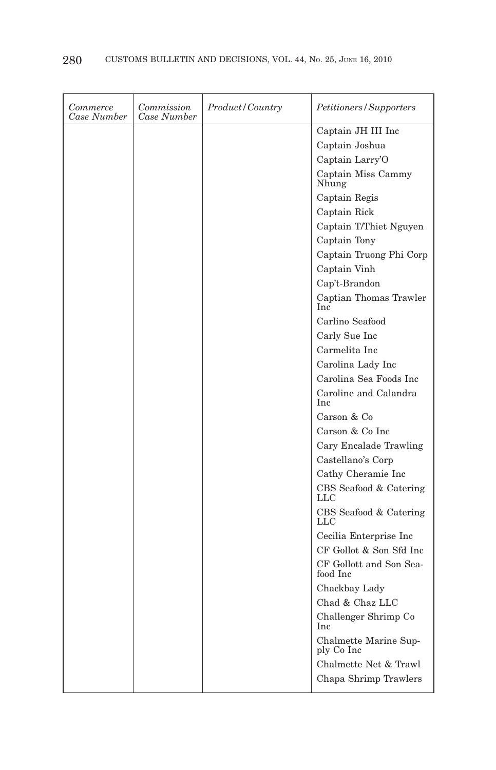| Commerce<br>Case Number | Commission<br>Case Number | <i>Product/Country</i> | <i>Petitioners/Supporters</i>       |
|-------------------------|---------------------------|------------------------|-------------------------------------|
|                         |                           |                        | Captain JH III Inc                  |
|                         |                           |                        | Captain Joshua                      |
|                         |                           |                        | Captain Larry'O                     |
|                         |                           |                        | Captain Miss Cammy<br>Nhung         |
|                         |                           |                        | Captain Regis                       |
|                         |                           |                        | Captain Rick                        |
|                         |                           |                        | Captain T/Thiet Nguyen              |
|                         |                           |                        | Captain Tony                        |
|                         |                           |                        | Captain Truong Phi Corp             |
|                         |                           |                        | Captain Vinh                        |
|                         |                           |                        | Cap't-Brandon                       |
|                         |                           |                        | Captian Thomas Trawler<br>Inc       |
|                         |                           |                        | Carlino Seafood                     |
|                         |                           |                        | Carly Sue Inc                       |
|                         |                           |                        | Carmelita Inc                       |
|                         |                           |                        | Carolina Lady Inc                   |
|                         |                           |                        | Carolina Sea Foods Inc              |
|                         |                           |                        | Caroline and Calandra<br><b>Inc</b> |
|                         |                           |                        | Carson & Co                         |
|                         |                           |                        | Carson & Co Inc                     |
|                         |                           |                        | Cary Encalade Trawling              |
|                         |                           |                        | Castellano's Corp                   |
|                         |                           |                        | Cathy Cheramie Inc                  |
|                         |                           |                        | CBS Seafood & Catering<br>LLC       |
|                         |                           |                        | CBS Seafood & Catering<br>LLC       |
|                         |                           |                        | Cecilia Enterprise Inc              |
|                         |                           |                        | CF Gollot & Son Sfd Inc             |
|                         |                           |                        | CF Gollott and Son Sea-<br>food Inc |
|                         |                           |                        | Chackbay Lady                       |
|                         |                           |                        | Chad & Chaz LLC                     |
|                         |                           |                        | Challenger Shrimp Co<br>Inc         |
|                         |                           |                        | Chalmette Marine Sup-<br>ply Co Inc |
|                         |                           |                        | Chalmette Net & Trawl               |
|                         |                           |                        | Chapa Shrimp Trawlers               |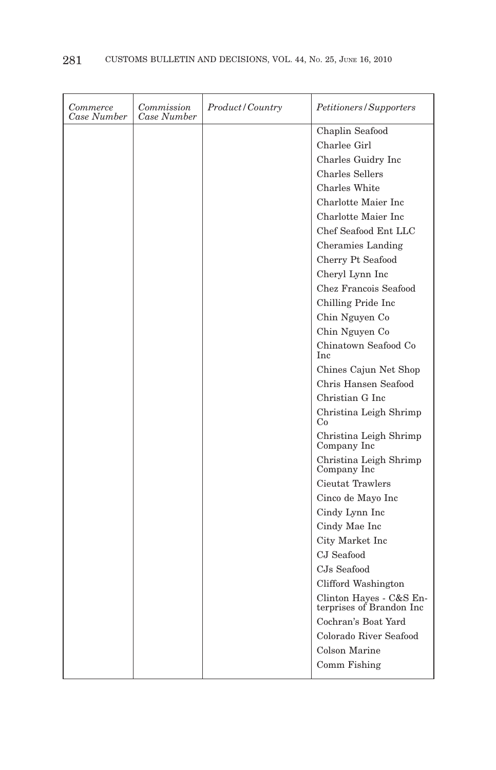| <i>Commerce</i><br>Case Number | Commission<br>Case Number | Product/Country | Petitioners/Supporters                         |
|--------------------------------|---------------------------|-----------------|------------------------------------------------|
|                                |                           |                 | Chaplin Seafood                                |
|                                |                           |                 | Charlee Girl                                   |
|                                |                           |                 | Charles Guidry Inc                             |
|                                |                           |                 | <b>Charles Sellers</b>                         |
|                                |                           |                 | Charles White                                  |
|                                |                           |                 | Charlotte Maier Inc                            |
|                                |                           |                 | Charlotte Maier Inc                            |
|                                |                           |                 | Chef Seafood Ent LLC                           |
|                                |                           |                 | Cheramies Landing                              |
|                                |                           |                 | Cherry Pt Seafood                              |
|                                |                           |                 | Cheryl Lynn Inc                                |
|                                |                           |                 | Chez Francois Seafood                          |
|                                |                           |                 | Chilling Pride Inc                             |
|                                |                           |                 | Chin Nguyen Co                                 |
|                                |                           |                 | Chin Nguyen Co                                 |
|                                |                           |                 | Chinatown Seafood Co<br><b>Inc</b>             |
|                                |                           |                 | Chines Cajun Net Shop                          |
|                                |                           |                 | Chris Hansen Seafood                           |
|                                |                           |                 | Christian G Inc.                               |
|                                |                           |                 | Christina Leigh Shrimp<br>Co                   |
|                                |                           |                 | Christina Leigh Shrimp<br>Company Inc          |
|                                |                           |                 | Christina Leigh Shrimp<br>Company Inc          |
|                                |                           |                 | Cieutat Trawlers                               |
|                                |                           |                 | Cinco de Mayo Inc                              |
|                                |                           |                 | Cindy Lynn Inc                                 |
|                                |                           |                 | Cindy Mae Inc                                  |
|                                |                           |                 | City Market Inc                                |
|                                |                           |                 | CJ Seafood                                     |
|                                |                           |                 | CJs Seafood                                    |
|                                |                           |                 | Clifford Washington                            |
|                                |                           |                 | Clinton Hayes - C&S Enterprises of Brandon Inc |
|                                |                           |                 | Cochran's Boat Yard                            |
|                                |                           |                 | Colorado River Seafood                         |
|                                |                           |                 | Colson Marine                                  |
|                                |                           |                 |                                                |
|                                |                           |                 | Comm Fishing                                   |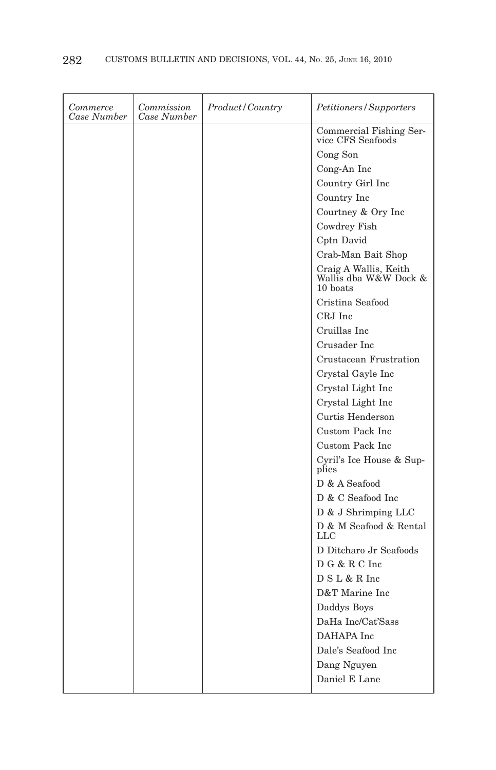| Commerce<br>Case Number | Commission<br>Case Number | <i>Product/Country</i> | Petitioners/Supporters                                     |
|-------------------------|---------------------------|------------------------|------------------------------------------------------------|
|                         |                           |                        | Commercial Fishing Ser-<br>vice CFS Seafoods               |
|                         |                           |                        | Cong Son                                                   |
|                         |                           |                        | Cong-An Inc                                                |
|                         |                           |                        | Country Girl Inc                                           |
|                         |                           |                        | Country Inc                                                |
|                         |                           |                        | Courtney & Ory Inc                                         |
|                         |                           |                        | Cowdrey Fish                                               |
|                         |                           |                        | Cptn David                                                 |
|                         |                           |                        | Crab-Man Bait Shop                                         |
|                         |                           |                        | Craig A Wallis, Keith<br>Wallis dba W&W Dock &<br>10 boats |
|                         |                           |                        | Cristina Seafood                                           |
|                         |                           |                        | CRJ Inc                                                    |
|                         |                           |                        | Cruillas Inc                                               |
|                         |                           |                        | Crusader Inc                                               |
|                         |                           |                        | Crustacean Frustration                                     |
|                         |                           |                        | Crystal Gayle Inc                                          |
|                         |                           |                        | Crystal Light Inc                                          |
|                         |                           |                        | Crystal Light Inc                                          |
|                         |                           |                        | Curtis Henderson                                           |
|                         |                           |                        | Custom Pack Inc                                            |
|                         |                           |                        | Custom Pack Inc                                            |
|                         |                           |                        | Cyril's Ice House & Sup-<br>plies                          |
|                         |                           |                        | D & A Seafood                                              |
|                         |                           |                        | D & C Seafood Inc                                          |
|                         |                           |                        | D & J Shrimping LLC                                        |
|                         |                           |                        | D & M Seafood & Rental<br>$_{LLC}$                         |
|                         |                           |                        | D Ditcharo Jr Seafoods                                     |
|                         |                           |                        | D G & R C Inc                                              |
|                         |                           |                        | D S L & R Inc                                              |
|                         |                           |                        | D&T Marine Inc                                             |
|                         |                           |                        | Daddys Boys                                                |
|                         |                           |                        | DaHa Inc/Cat'Sass                                          |
|                         |                           |                        | DAHAPA Inc                                                 |
|                         |                           |                        | Dale's Seafood Inc                                         |
|                         |                           |                        | Dang Nguyen                                                |
|                         |                           |                        | Daniel E Lane                                              |
|                         |                           |                        |                                                            |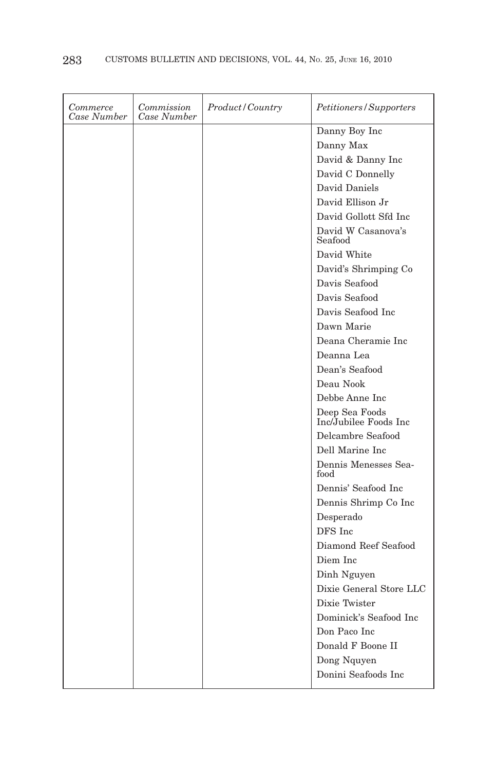| Commerce<br>Case Number | Commission<br>Case Number | <i>Product/Country</i> | Petitioners/Supporters                  |
|-------------------------|---------------------------|------------------------|-----------------------------------------|
|                         |                           |                        | Danny Boy Inc                           |
|                         |                           |                        | Danny Max                               |
|                         |                           |                        | David & Danny Inc                       |
|                         |                           |                        | David C Donnelly                        |
|                         |                           |                        | David Daniels                           |
|                         |                           |                        | David Ellison Jr                        |
|                         |                           |                        | David Gollott Sfd Inc                   |
|                         |                           |                        | David W Casanova's<br>Seafood           |
|                         |                           |                        | David White                             |
|                         |                           |                        | David's Shrimping Co                    |
|                         |                           |                        | Davis Seafood                           |
|                         |                           |                        | Davis Seafood                           |
|                         |                           |                        | Davis Seafood Inc                       |
|                         |                           |                        | Dawn Marie                              |
|                         |                           |                        | Deana Cheramie Inc                      |
|                         |                           |                        | Deanna Lea                              |
|                         |                           |                        | Dean's Seafood                          |
|                         |                           |                        | Deau Nook                               |
|                         |                           |                        | Debbe Anne Inc                          |
|                         |                           |                        | Deep Sea Foods<br>Inc/Jubilee Foods Inc |
|                         |                           |                        | Delcambre Seafood                       |
|                         |                           |                        | Dell Marine Inc                         |
|                         |                           |                        | Dennis Menesses Sea-<br>food            |
|                         |                           |                        | Dennis' Seafood Inc                     |
|                         |                           |                        | Dennis Shrimp Co Inc                    |
|                         |                           |                        | Desperado                               |
|                         |                           |                        | DFS Inc                                 |
|                         |                           |                        | Diamond Reef Seafood                    |
|                         |                           |                        | Diem Inc                                |
|                         |                           |                        | Dinh Nguyen                             |
|                         |                           |                        | Dixie General Store LLC                 |
|                         |                           |                        | Dixie Twister                           |
|                         |                           |                        | Dominick's Seafood Inc                  |
|                         |                           |                        | Don Paco Inc                            |
|                         |                           |                        | Donald F Boone II                       |
|                         |                           |                        | Dong Nquyen                             |
|                         |                           |                        | Donini Seafoods Inc                     |
|                         |                           |                        |                                         |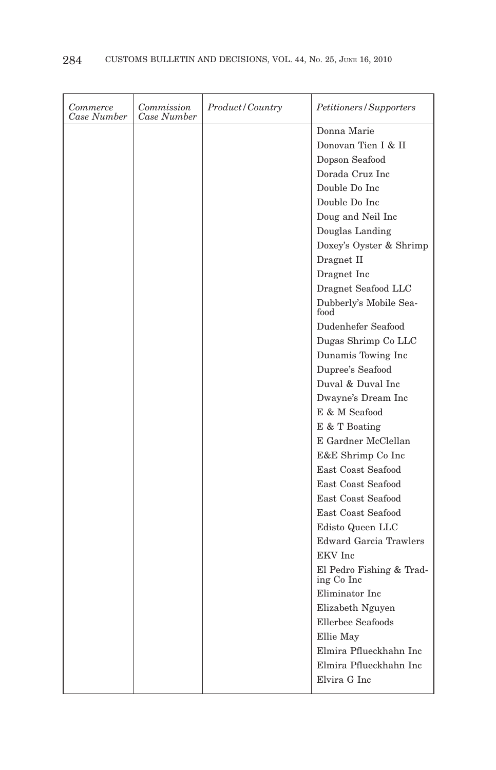| Commerce<br>Case Number | Commission<br>Case Number | Product/Country | Petitioners/Supporters                 |
|-------------------------|---------------------------|-----------------|----------------------------------------|
|                         |                           |                 | Donna Marie                            |
|                         |                           |                 | Donovan Tien I & II                    |
|                         |                           |                 | Dopson Seafood                         |
|                         |                           |                 | Dorada Cruz Inc                        |
|                         |                           |                 | Double Do Inc.                         |
|                         |                           |                 | Double Do Inc                          |
|                         |                           |                 | Doug and Neil Inc                      |
|                         |                           |                 | Douglas Landing                        |
|                         |                           |                 | Doxey's Oyster & Shrimp                |
|                         |                           |                 | Dragnet II                             |
|                         |                           |                 | Dragnet Inc                            |
|                         |                           |                 | Dragnet Seafood LLC                    |
|                         |                           |                 | Dubberly's Mobile Sea-<br>food         |
|                         |                           |                 | Dudenhefer Seafood                     |
|                         |                           |                 | Dugas Shrimp Co LLC                    |
|                         |                           |                 | Dunamis Towing Inc                     |
|                         |                           |                 | Dupree's Seafood                       |
|                         |                           |                 | Duval & Duval Inc                      |
|                         |                           |                 | Dwayne's Dream Inc                     |
|                         |                           |                 | E & M Seafood                          |
|                         |                           |                 | E & T Boating                          |
|                         |                           |                 | E Gardner McClellan                    |
|                         |                           |                 | E&E Shrimp Co Inc                      |
|                         |                           |                 | East Coast Seafood                     |
|                         |                           |                 | East Coast Seafood                     |
|                         |                           |                 | East Coast Seafood                     |
|                         |                           |                 | East Coast Seafood                     |
|                         |                           |                 | Edisto Queen LLC                       |
|                         |                           |                 | <b>Edward Garcia Trawlers</b>          |
|                         |                           |                 | EKV Inc                                |
|                         |                           |                 | El Pedro Fishing & Trad-<br>ing Co Inc |
|                         |                           |                 | Eliminator Inc                         |
|                         |                           |                 | Elizabeth Nguyen                       |
|                         |                           |                 | Ellerbee Seafoods                      |
|                         |                           |                 | Ellie May                              |
|                         |                           |                 | Elmira Pflueckhahn Inc                 |
|                         |                           |                 | Elmira Pflueckhahn Inc                 |
|                         |                           |                 | Elvira G Inc                           |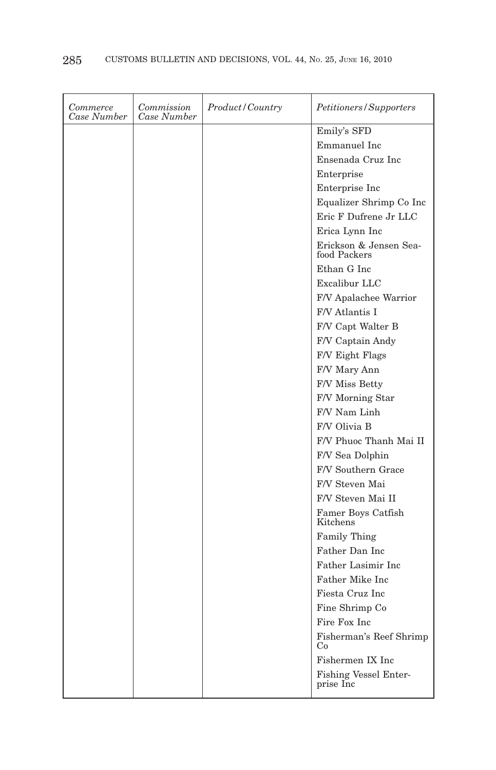| Commerce<br>Case Number | Commission<br>Case Number | Product/Country | Petitioners/Supporters                    |
|-------------------------|---------------------------|-----------------|-------------------------------------------|
|                         |                           |                 | Emily's SFD                               |
|                         |                           |                 | Emmanuel Inc                              |
|                         |                           |                 | Ensenada Cruz Inc                         |
|                         |                           |                 | Enterprise                                |
|                         |                           |                 | Enterprise Inc.                           |
|                         |                           |                 | Equalizer Shrimp Co Inc                   |
|                         |                           |                 | Eric F Dufrene Jr LLC                     |
|                         |                           |                 | Erica Lynn Inc                            |
|                         |                           |                 | Erickson & Jensen Sea-<br>food Packers    |
|                         |                           |                 | Ethan G Inc                               |
|                         |                           |                 | Excalibur LLC                             |
|                         |                           |                 | F/V Apalachee Warrior                     |
|                         |                           |                 | F/V Atlantis I                            |
|                         |                           |                 | F/V Capt Walter B                         |
|                         |                           |                 | F/V Captain Andy                          |
|                         |                           |                 | F/V Eight Flags                           |
|                         |                           |                 | F/V Mary Ann                              |
|                         |                           |                 | F/V Miss Betty                            |
|                         |                           |                 | F/V Morning Star                          |
|                         |                           |                 | F/V Nam Linh                              |
|                         |                           |                 | F/V Olivia B                              |
|                         |                           |                 | F/V Phuoc Thanh Mai II                    |
|                         |                           |                 | F/V Sea Dolphin                           |
|                         |                           |                 | F/V Southern Grace                        |
|                         |                           |                 | F/V Steven Mai                            |
|                         |                           |                 | F/V Steven Mai II                         |
|                         |                           |                 | Famer Boys Catfish<br>Kitchens            |
|                         |                           |                 | <b>Family Thing</b>                       |
|                         |                           |                 | Father Dan Inc                            |
|                         |                           |                 | Father Lasimir Inc.                       |
|                         |                           |                 | Father Mike Inc                           |
|                         |                           |                 | Fiesta Cruz Inc                           |
|                         |                           |                 | Fine Shrimp Co                            |
|                         |                           |                 | Fire Fox Inc                              |
|                         |                           |                 | Fisherman's Reef Shrimp<br>Co             |
|                         |                           |                 | Fishermen IX Inc                          |
|                         |                           |                 | <b>Fishing Vessel Enter-</b><br>prise Inc |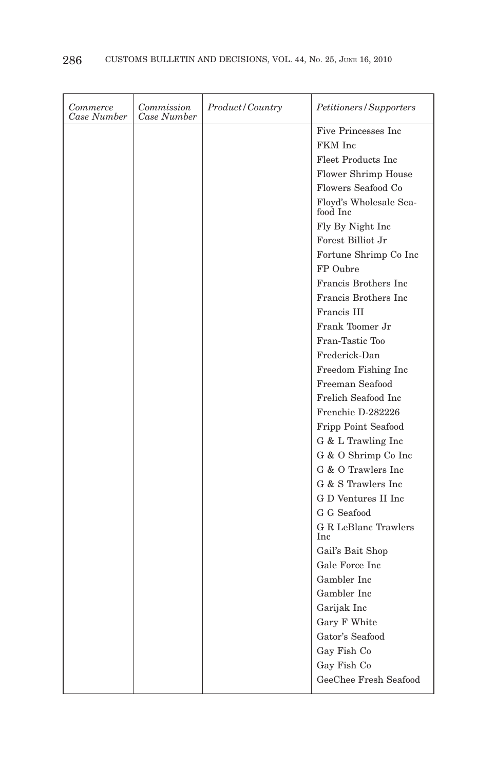| Commerce<br>Case Number | Commission<br>Case Number | Product/Country | Petitioners/Supporters             |
|-------------------------|---------------------------|-----------------|------------------------------------|
|                         |                           |                 | Five Princesses Inc                |
|                         |                           |                 | FKM Inc                            |
|                         |                           |                 | Fleet Products Inc.                |
|                         |                           |                 | Flower Shrimp House                |
|                         |                           |                 | Flowers Seafood Co                 |
|                         |                           |                 | Floyd's Wholesale Sea-<br>food Inc |
|                         |                           |                 | Fly By Night Inc                   |
|                         |                           |                 | Forest Billiot Jr                  |
|                         |                           |                 | Fortune Shrimp Co Inc              |
|                         |                           |                 | FP Oubre                           |
|                         |                           |                 | Francis Brothers Inc               |
|                         |                           |                 | Francis Brothers Inc               |
|                         |                           |                 | Francis III                        |
|                         |                           |                 | Frank Toomer Jr                    |
|                         |                           |                 | Fran-Tastic Too                    |
|                         |                           |                 | Frederick-Dan                      |
|                         |                           |                 | Freedom Fishing Inc.               |
|                         |                           |                 | Freeman Seafood                    |
|                         |                           |                 | Frelich Seafood Inc.               |
|                         |                           |                 | Frenchie D-282226                  |
|                         |                           |                 | Fripp Point Seafood                |
|                         |                           |                 | G & L Trawling Inc                 |
|                         |                           |                 | G & O Shrimp Co Inc                |
|                         |                           |                 | G & O Trawlers Inc.                |
|                         |                           |                 | G & S Trawlers Inc.                |
|                         |                           |                 | G D Ventures II Inc                |
|                         |                           |                 | G G Seafood                        |
|                         |                           |                 | G R LeBlanc Trawlers<br>Inc        |
|                         |                           |                 | Gail's Bait Shop                   |
|                         |                           |                 | Gale Force Inc                     |
|                         |                           |                 | Gambler Inc.                       |
|                         |                           |                 | Gambler Inc                        |
|                         |                           |                 | Garijak Inc                        |
|                         |                           |                 | Gary F White                       |
|                         |                           |                 | Gator's Seafood                    |
|                         |                           |                 | Gay Fish Co                        |
|                         |                           |                 | Gay Fish Co                        |
|                         |                           |                 | GeeChee Fresh Seafood              |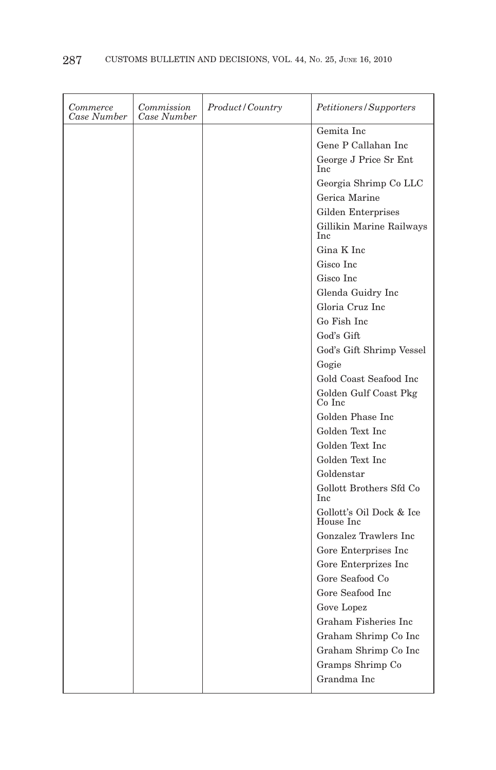| Gemita Inc<br>Gene P Callahan Inc<br>George J Price Sr Ent<br>Inc<br>Georgia Shrimp Co LLC<br>Gerica Marine<br>Gilden Enterprises<br>Gillikin Marine Railways<br>Inc<br>Gina K Inc<br>Gisco Inc<br>Gisco Inc<br>Glenda Guidry Inc<br>Gloria Cruz Inc<br>Go Fish Inc<br>God's Gift<br>God's Gift Shrimp Vessel<br>Gogie<br>Gold Coast Seafood Inc<br>Golden Gulf Coast Pkg<br>Co Inc<br>Golden Phase Inc<br>Golden Text Inc<br>Golden Text Inc<br>Golden Text Inc<br>Goldenstar<br>Gollott Brothers Sfd Co<br><b>Inc</b><br>Gollott's Oil Dock & Ice<br>House Inc | Commerce<br>Case Number | Commission<br>Case Number | Product/Country | Petitioners/Supporters |
|------------------------------------------------------------------------------------------------------------------------------------------------------------------------------------------------------------------------------------------------------------------------------------------------------------------------------------------------------------------------------------------------------------------------------------------------------------------------------------------------------------------------------------------------------------------|-------------------------|---------------------------|-----------------|------------------------|
|                                                                                                                                                                                                                                                                                                                                                                                                                                                                                                                                                                  |                         |                           |                 |                        |
|                                                                                                                                                                                                                                                                                                                                                                                                                                                                                                                                                                  |                         |                           |                 |                        |
|                                                                                                                                                                                                                                                                                                                                                                                                                                                                                                                                                                  |                         |                           |                 |                        |
|                                                                                                                                                                                                                                                                                                                                                                                                                                                                                                                                                                  |                         |                           |                 |                        |
|                                                                                                                                                                                                                                                                                                                                                                                                                                                                                                                                                                  |                         |                           |                 |                        |
|                                                                                                                                                                                                                                                                                                                                                                                                                                                                                                                                                                  |                         |                           |                 |                        |
|                                                                                                                                                                                                                                                                                                                                                                                                                                                                                                                                                                  |                         |                           |                 |                        |
|                                                                                                                                                                                                                                                                                                                                                                                                                                                                                                                                                                  |                         |                           |                 |                        |
|                                                                                                                                                                                                                                                                                                                                                                                                                                                                                                                                                                  |                         |                           |                 |                        |
|                                                                                                                                                                                                                                                                                                                                                                                                                                                                                                                                                                  |                         |                           |                 |                        |
|                                                                                                                                                                                                                                                                                                                                                                                                                                                                                                                                                                  |                         |                           |                 |                        |
|                                                                                                                                                                                                                                                                                                                                                                                                                                                                                                                                                                  |                         |                           |                 |                        |
|                                                                                                                                                                                                                                                                                                                                                                                                                                                                                                                                                                  |                         |                           |                 |                        |
|                                                                                                                                                                                                                                                                                                                                                                                                                                                                                                                                                                  |                         |                           |                 |                        |
|                                                                                                                                                                                                                                                                                                                                                                                                                                                                                                                                                                  |                         |                           |                 |                        |
|                                                                                                                                                                                                                                                                                                                                                                                                                                                                                                                                                                  |                         |                           |                 |                        |
|                                                                                                                                                                                                                                                                                                                                                                                                                                                                                                                                                                  |                         |                           |                 |                        |
|                                                                                                                                                                                                                                                                                                                                                                                                                                                                                                                                                                  |                         |                           |                 |                        |
|                                                                                                                                                                                                                                                                                                                                                                                                                                                                                                                                                                  |                         |                           |                 |                        |
|                                                                                                                                                                                                                                                                                                                                                                                                                                                                                                                                                                  |                         |                           |                 |                        |
|                                                                                                                                                                                                                                                                                                                                                                                                                                                                                                                                                                  |                         |                           |                 |                        |
|                                                                                                                                                                                                                                                                                                                                                                                                                                                                                                                                                                  |                         |                           |                 |                        |
|                                                                                                                                                                                                                                                                                                                                                                                                                                                                                                                                                                  |                         |                           |                 |                        |
|                                                                                                                                                                                                                                                                                                                                                                                                                                                                                                                                                                  |                         |                           |                 |                        |
|                                                                                                                                                                                                                                                                                                                                                                                                                                                                                                                                                                  |                         |                           |                 |                        |
| Gonzalez Trawlers Inc                                                                                                                                                                                                                                                                                                                                                                                                                                                                                                                                            |                         |                           |                 |                        |
| Gore Enterprises Inc                                                                                                                                                                                                                                                                                                                                                                                                                                                                                                                                             |                         |                           |                 |                        |
| Gore Enterprizes Inc                                                                                                                                                                                                                                                                                                                                                                                                                                                                                                                                             |                         |                           |                 |                        |
| Gore Seafood Co                                                                                                                                                                                                                                                                                                                                                                                                                                                                                                                                                  |                         |                           |                 |                        |
| Gore Seafood Inc                                                                                                                                                                                                                                                                                                                                                                                                                                                                                                                                                 |                         |                           |                 |                        |
| Gove Lopez                                                                                                                                                                                                                                                                                                                                                                                                                                                                                                                                                       |                         |                           |                 |                        |
| Graham Fisheries Inc                                                                                                                                                                                                                                                                                                                                                                                                                                                                                                                                             |                         |                           |                 |                        |
| Graham Shrimp Co Inc                                                                                                                                                                                                                                                                                                                                                                                                                                                                                                                                             |                         |                           |                 |                        |
| Graham Shrimp Co Inc                                                                                                                                                                                                                                                                                                                                                                                                                                                                                                                                             |                         |                           |                 |                        |
| Gramps Shrimp Co                                                                                                                                                                                                                                                                                                                                                                                                                                                                                                                                                 |                         |                           |                 |                        |
| Grandma Inc                                                                                                                                                                                                                                                                                                                                                                                                                                                                                                                                                      |                         |                           |                 |                        |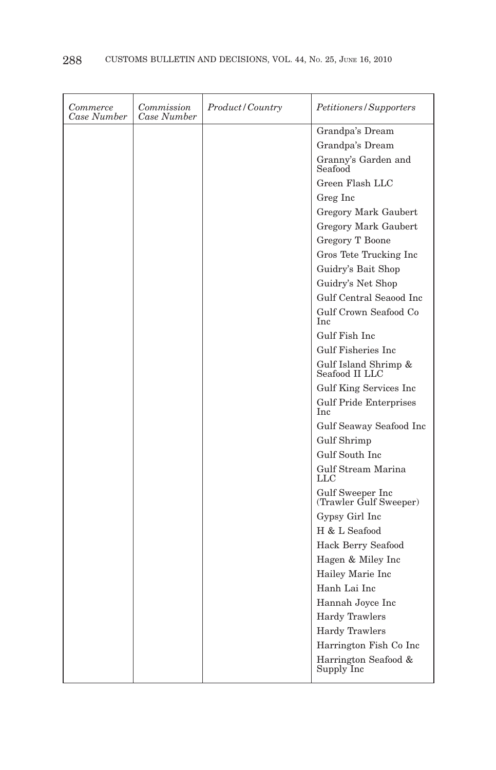| Commerce<br>Case Number | Commission<br>Case Number | Product/Country | Petitioners/Supporters                     |
|-------------------------|---------------------------|-----------------|--------------------------------------------|
|                         |                           |                 | Grandpa's Dream                            |
|                         |                           |                 | Grandpa's Dream                            |
|                         |                           |                 | Granny's Garden and<br>Seafood             |
|                         |                           |                 | Green Flash LLC                            |
|                         |                           |                 | Greg Inc                                   |
|                         |                           |                 | Gregory Mark Gaubert                       |
|                         |                           |                 | Gregory Mark Gaubert                       |
|                         |                           |                 | <b>Gregory T Boone</b>                     |
|                         |                           |                 | Gros Tete Trucking Inc                     |
|                         |                           |                 | Guidry's Bait Shop                         |
|                         |                           |                 | Guidry's Net Shop                          |
|                         |                           |                 | Gulf Central Seaood Inc                    |
|                         |                           |                 | Gulf Crown Seafood Co<br>Inc               |
|                         |                           |                 | Gulf Fish Inc.                             |
|                         |                           |                 | Gulf Fisheries Inc                         |
|                         |                           |                 | Gulf Island Shrimp &<br>Seafood II LLC     |
|                         |                           |                 | Gulf King Services Inc                     |
|                         |                           |                 | <b>Gulf Pride Enterprises</b><br>Inc       |
|                         |                           |                 | Gulf Seaway Seafood Inc                    |
|                         |                           |                 | Gulf Shrimp                                |
|                         |                           |                 | Gulf South Inc.                            |
|                         |                           |                 | Gulf Stream Marina<br>LLC                  |
|                         |                           |                 | Gulf Sweeper Inc<br>(Trawler Gulf Sweeper) |
|                         |                           |                 | Gypsy Girl Inc                             |
|                         |                           |                 | H & L Seafood                              |
|                         |                           |                 | Hack Berry Seafood                         |
|                         |                           |                 | Hagen & Miley Inc                          |
|                         |                           |                 | Hailey Marie Inc                           |
|                         |                           |                 | Hanh Lai Inc                               |
|                         |                           |                 | Hannah Joyce Inc                           |
|                         |                           |                 | <b>Hardy Trawlers</b>                      |
|                         |                           |                 | <b>Hardy Trawlers</b>                      |
|                         |                           |                 | Harrington Fish Co Inc                     |
|                         |                           |                 | Harrington Seafood &<br>Supply Inc         |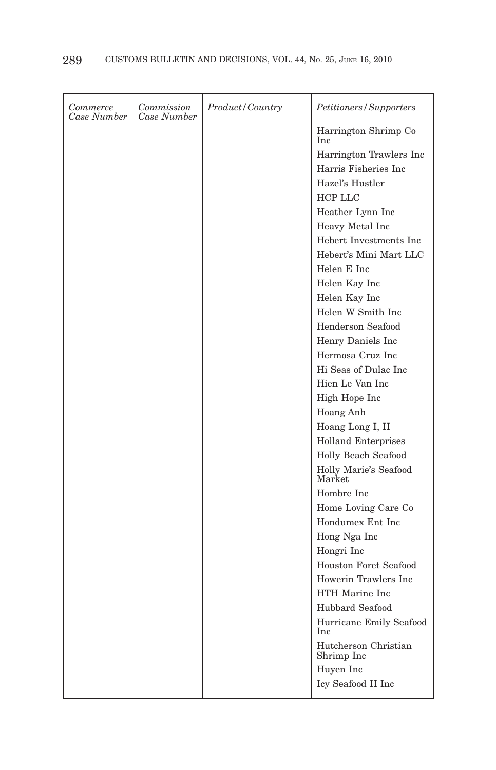| Commerce<br>Case Number | Commission<br>Case Number | Product/Country | Petitioners/Supporters                |
|-------------------------|---------------------------|-----------------|---------------------------------------|
|                         |                           |                 | Harrington Shrimp Co<br>Inc           |
|                         |                           |                 | Harrington Trawlers Inc.              |
|                         |                           |                 | Harris Fisheries Inc                  |
|                         |                           |                 | Hazel's Hustler                       |
|                         |                           |                 | <b>HCP LLC</b>                        |
|                         |                           |                 | Heather Lynn Inc                      |
|                         |                           |                 | Heavy Metal Inc                       |
|                         |                           |                 | Hebert Investments Inc.               |
|                         |                           |                 | Hebert's Mini Mart LLC                |
|                         |                           |                 | Helen E Inc                           |
|                         |                           |                 | Helen Kay Inc                         |
|                         |                           |                 | Helen Kay Inc                         |
|                         |                           |                 | Helen W Smith Inc                     |
|                         |                           |                 | Henderson Seafood                     |
|                         |                           |                 | Henry Daniels Inc                     |
|                         |                           |                 | Hermosa Cruz Inc                      |
|                         |                           |                 | Hi Seas of Dulac Inc.                 |
|                         |                           |                 | Hien Le Van Inc                       |
|                         |                           |                 | High Hope Inc                         |
|                         |                           |                 | Hoang Anh                             |
|                         |                           |                 | Hoang Long I, II                      |
|                         |                           |                 | <b>Holland Enterprises</b>            |
|                         |                           |                 | Holly Beach Seafood                   |
|                         |                           |                 | Holly Marie's Seafood<br>Market       |
|                         |                           |                 | Hombre Inc                            |
|                         |                           |                 | Home Loving Care Co                   |
|                         |                           |                 | Hondumex Ent Inc.                     |
|                         |                           |                 | Hong Nga Inc                          |
|                         |                           |                 | Hongri Inc                            |
|                         |                           |                 | Houston Foret Seafood                 |
|                         |                           |                 | Howerin Trawlers Inc                  |
|                         |                           |                 | HTH Marine Inc                        |
|                         |                           |                 | Hubbard Seafood                       |
|                         |                           |                 | Hurricane Emily Seafood<br><b>Inc</b> |
|                         |                           |                 | Hutcherson Christian<br>Shrimp Inc    |
|                         |                           |                 | Huyen Inc                             |
|                         |                           |                 | Icy Seafood II Inc                    |
|                         |                           |                 |                                       |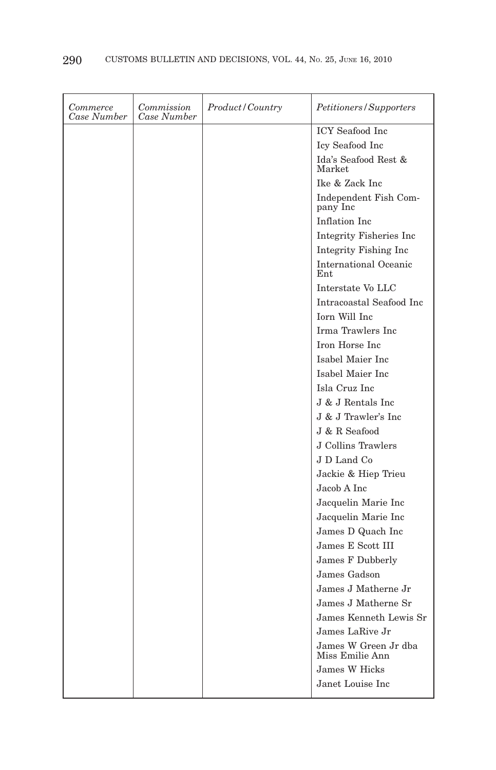| Commerce<br>Case Number | Commission<br>Case Number | Product/Country | Petitioners/Supporters                  |
|-------------------------|---------------------------|-----------------|-----------------------------------------|
|                         |                           |                 | <b>ICY</b> Seafood Inc                  |
|                         |                           |                 | Icy Seafood Inc                         |
|                         |                           |                 | Ida's Seafood Rest &<br>Market          |
|                         |                           |                 | Ike & Zack Inc                          |
|                         |                           |                 | Independent Fish Com-<br>pany Inc       |
|                         |                           |                 | Inflation Inc                           |
|                         |                           |                 | Integrity Fisheries Inc                 |
|                         |                           |                 | Integrity Fishing Inc                   |
|                         |                           |                 | International Oceanic<br>Ent            |
|                         |                           |                 | Interstate Vo LLC                       |
|                         |                           |                 | Intracoastal Seafood Inc                |
|                         |                           |                 | Iorn Will Inc                           |
|                         |                           |                 | Irma Trawlers Inc                       |
|                         |                           |                 | Iron Horse Inc                          |
|                         |                           |                 | Isabel Maier Inc                        |
|                         |                           |                 | Isabel Maier Inc.                       |
|                         |                           |                 | Isla Cruz Inc                           |
|                         |                           |                 | J & J Rentals Inc                       |
|                         |                           |                 | J & J Trawler's Inc                     |
|                         |                           |                 | J & R Seafood                           |
|                         |                           |                 | <b>J</b> Collins Trawlers               |
|                         |                           |                 | J D Land Co                             |
|                         |                           |                 | Jackie & Hiep Trieu                     |
|                         |                           |                 | Jacob A Inc                             |
|                         |                           |                 | Jacquelin Marie Inc                     |
|                         |                           |                 | Jacquelin Marie Inc                     |
|                         |                           |                 | James D Quach Inc                       |
|                         |                           |                 | James E Scott III                       |
|                         |                           |                 | James F Dubberly                        |
|                         |                           |                 | James Gadson                            |
|                         |                           |                 | James J Matherne Jr                     |
|                         |                           |                 | James J Matherne Sr                     |
|                         |                           |                 | James Kenneth Lewis Sr                  |
|                         |                           |                 | James LaRive Jr                         |
|                         |                           |                 | James W Green Jr dba<br>Miss Emilie Ann |
|                         |                           |                 | James W Hicks                           |
|                         |                           |                 | Janet Louise Inc                        |
|                         |                           |                 |                                         |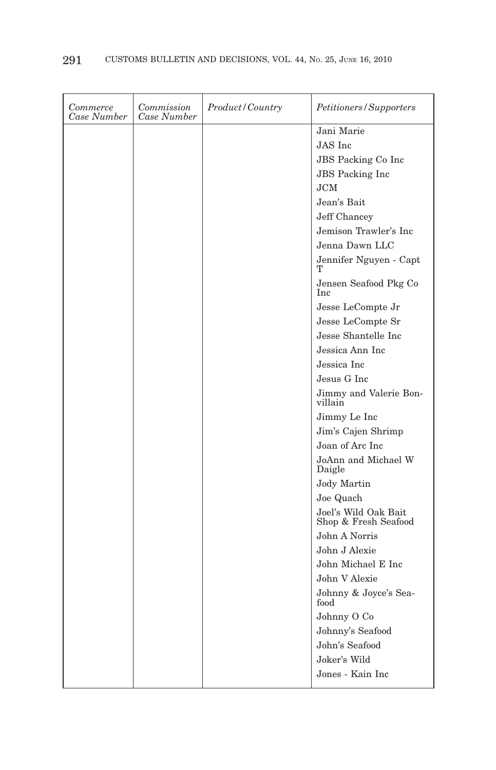| Commerce<br>Case Number | Commission<br>Case Number | <i>Product/Country</i> | Petitioners/Supporters                       |
|-------------------------|---------------------------|------------------------|----------------------------------------------|
|                         |                           |                        | Jani Marie                                   |
|                         |                           |                        | JAS Inc                                      |
|                         |                           |                        | <b>JBS</b> Packing Co Inc                    |
|                         |                           |                        | <b>JBS</b> Packing Inc                       |
|                         |                           |                        | JCM                                          |
|                         |                           |                        | Jean's Bait                                  |
|                         |                           |                        | Jeff Chancey                                 |
|                         |                           |                        | Jemison Trawler's Inc                        |
|                         |                           |                        | Jenna Dawn LLC                               |
|                         |                           |                        | Jennifer Nguyen - Capt<br>т                  |
|                         |                           |                        | Jensen Seafood Pkg Co<br>Inc                 |
|                         |                           |                        | Jesse LeCompte Jr                            |
|                         |                           |                        | Jesse LeCompte Sr                            |
|                         |                           |                        | Jesse Shantelle Inc                          |
|                         |                           |                        | Jessica Ann Inc                              |
|                         |                           |                        | Jessica Inc                                  |
|                         |                           |                        | Jesus G Inc                                  |
|                         |                           |                        | Jimmy and Valerie Bon-<br>villain            |
|                         |                           |                        | Jimmy Le Inc                                 |
|                         |                           |                        | Jim's Cajen Shrimp                           |
|                         |                           |                        | Joan of Arc Inc                              |
|                         |                           |                        | JoAnn and Michael W<br>Daigle                |
|                         |                           |                        | <b>Jody Martin</b>                           |
|                         |                           |                        | Joe Quach                                    |
|                         |                           |                        | Joel's Wild Oak Bait<br>Shop & Fresh Seafood |
|                         |                           |                        | John A Norris                                |
|                         |                           |                        | John J Alexie                                |
|                         |                           |                        | John Michael E Inc                           |
|                         |                           |                        | John V Alexie                                |
|                         |                           |                        | Johnny & Joyce's Sea-<br>food                |
|                         |                           |                        | Johnny O Co                                  |
|                         |                           |                        | Johnny's Seafood                             |
|                         |                           |                        | John's Seafood                               |
|                         |                           |                        | Joker's Wild                                 |
|                         |                           |                        | Jones - Kain Inc                             |
|                         |                           |                        |                                              |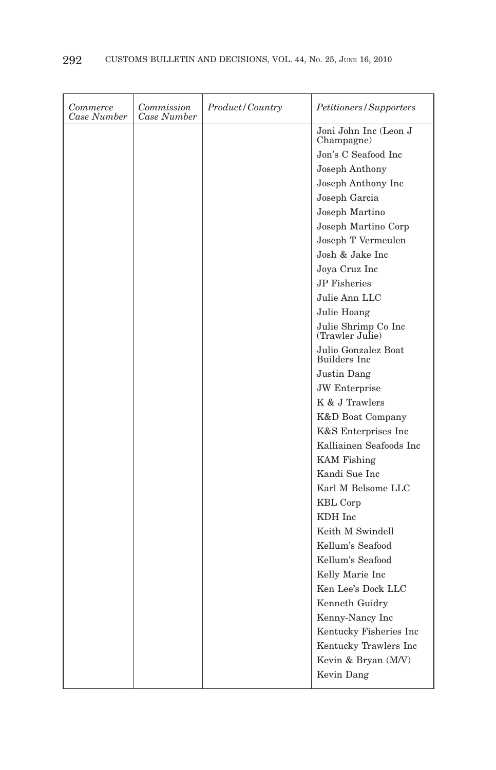| Commerce<br>Case Number | Commission<br>Case Number | Product/Country | Petitioners/Supporters                     |
|-------------------------|---------------------------|-----------------|--------------------------------------------|
|                         |                           |                 | Joni John Inc (Leon J<br>Champagne)        |
|                         |                           |                 | Jon's C Seafood Inc                        |
|                         |                           |                 | Joseph Anthony                             |
|                         |                           |                 | Joseph Anthony Inc                         |
|                         |                           |                 | Joseph Garcia                              |
|                         |                           |                 | Joseph Martino                             |
|                         |                           |                 | Joseph Martino Corp                        |
|                         |                           |                 | Joseph T Vermeulen                         |
|                         |                           |                 | Josh & Jake Inc                            |
|                         |                           |                 | Joya Cruz Inc                              |
|                         |                           |                 | <b>JP</b> Fisheries                        |
|                         |                           |                 | Julie Ann LLC                              |
|                         |                           |                 | Julie Hoang                                |
|                         |                           |                 | Julie Shrimp Co Inc<br>(Trawler Julie)     |
|                         |                           |                 | Julio Gonzalez Boat<br><b>Builders</b> Inc |
|                         |                           |                 | Justin Dang                                |
|                         |                           |                 | <b>JW</b> Enterprise                       |
|                         |                           |                 | K & J Trawlers                             |
|                         |                           |                 | K&D Boat Company                           |
|                         |                           |                 | K&S Enterprises Inc                        |
|                         |                           |                 | Kalliainen Seafoods Inc                    |
|                         |                           |                 | <b>KAM</b> Fishing                         |
|                         |                           |                 | Kandi Sue Inc                              |
|                         |                           |                 | Karl M Belsome LLC                         |
|                         |                           |                 | <b>KBL</b> Corp                            |
|                         |                           |                 | KDH Inc                                    |
|                         |                           |                 | Keith M Swindell                           |
|                         |                           |                 | Kellum's Seafood                           |
|                         |                           |                 | Kellum's Seafood                           |
|                         |                           |                 | Kelly Marie Inc                            |
|                         |                           |                 | Ken Lee's Dock LLC                         |
|                         |                           |                 | Kenneth Guidry                             |
|                         |                           |                 | Kenny-Nancy Inc                            |
|                         |                           |                 | Kentucky Fisheries Inc                     |
|                         |                           |                 | Kentucky Trawlers Inc                      |
|                         |                           |                 | Kevin & Bryan (M/V)                        |
|                         |                           |                 | Kevin Dang                                 |
|                         |                           |                 |                                            |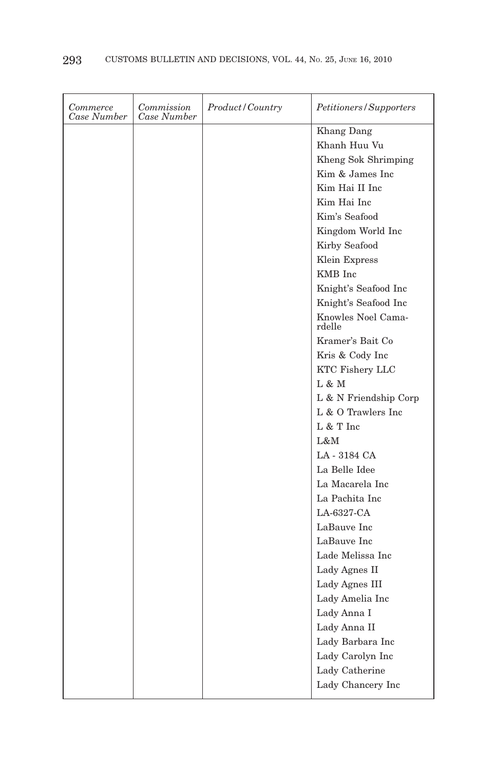| Commerce<br>Case Number | Commission<br>Case Number | Product / Country | Petitioners/Supporters           |
|-------------------------|---------------------------|-------------------|----------------------------------|
|                         |                           |                   | Khang Dang                       |
|                         |                           |                   | Khanh Huu Vu                     |
|                         |                           |                   | Kheng Sok Shrimping              |
|                         |                           |                   | Kim & James Inc                  |
|                         |                           |                   | Kim Hai II Inc                   |
|                         |                           |                   | Kim Hai Inc                      |
|                         |                           |                   | Kim's Seafood                    |
|                         |                           |                   | Kingdom World Inc                |
|                         |                           |                   | Kirby Seafood                    |
|                         |                           |                   | Klein Express                    |
|                         |                           |                   | KMB Inc                          |
|                         |                           |                   | Knight's Seafood Inc             |
|                         |                           |                   | Knight's Seafood Inc             |
|                         |                           |                   | Knowles Noel Cama-<br>rdelle     |
|                         |                           |                   | Kramer's Bait Co                 |
|                         |                           |                   | Kris & Cody Inc                  |
|                         |                           |                   | <b>KTC Fishery LLC</b>           |
|                         |                           |                   | L & M                            |
|                         |                           |                   | $\mathcal L$ & N Friendship Corp |
|                         |                           |                   | L & O Trawlers Inc               |
|                         |                           |                   | L & T Inc                        |
|                         |                           |                   | L&M                              |
|                         |                           |                   | LA-3184 CA                       |
|                         |                           |                   | La Belle Idee                    |
|                         |                           |                   | La Macarela Inc                  |
|                         |                           |                   | La Pachita Inc                   |
|                         |                           |                   | LA-6327-CA                       |
|                         |                           |                   | LaBauve Inc                      |
|                         |                           |                   | LaBauve Inc                      |
|                         |                           |                   | Lade Melissa Inc                 |
|                         |                           |                   | Lady Agnes II                    |
|                         |                           |                   | Lady Agnes III                   |
|                         |                           |                   | Lady Amelia Inc                  |
|                         |                           |                   | Lady Anna I                      |
|                         |                           |                   | Lady Anna II                     |
|                         |                           |                   | Lady Barbara Inc                 |
|                         |                           |                   | Lady Carolyn Inc                 |
|                         |                           |                   | Lady Catherine                   |
|                         |                           |                   | Lady Chancery Inc                |
|                         |                           |                   |                                  |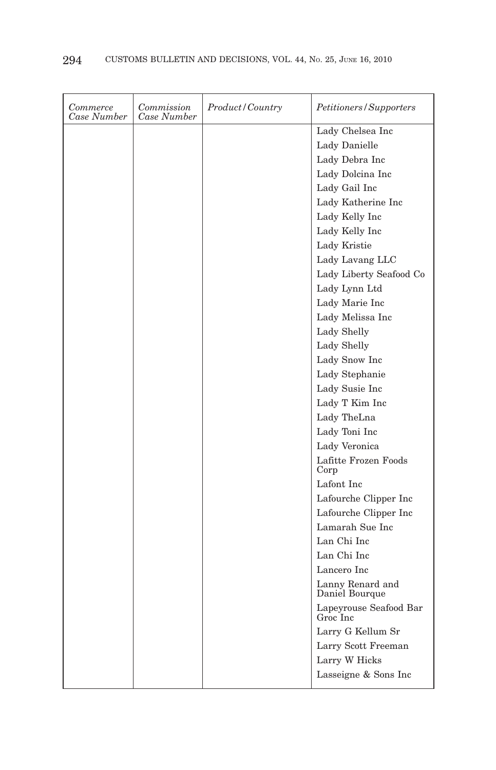| Commerce<br>Case Number | Commission<br>Case Number | <i>Product/Country</i> | Petitioners/Supporters             |
|-------------------------|---------------------------|------------------------|------------------------------------|
|                         |                           |                        | Lady Chelsea Inc                   |
|                         |                           |                        | Lady Danielle                      |
|                         |                           |                        | Lady Debra Inc                     |
|                         |                           |                        | Lady Dolcina Inc                   |
|                         |                           |                        | Lady Gail Inc                      |
|                         |                           |                        | Lady Katherine Inc                 |
|                         |                           |                        | Lady Kelly Inc                     |
|                         |                           |                        | Lady Kelly Inc                     |
|                         |                           |                        | Lady Kristie                       |
|                         |                           |                        | Lady Lavang LLC                    |
|                         |                           |                        | Lady Liberty Seafood Co            |
|                         |                           |                        | Lady Lynn Ltd                      |
|                         |                           |                        | Lady Marie Inc                     |
|                         |                           |                        | Lady Melissa Inc                   |
|                         |                           |                        | Lady Shelly                        |
|                         |                           |                        | Lady Shelly                        |
|                         |                           |                        | Lady Snow Inc                      |
|                         |                           |                        | Lady Stephanie                     |
|                         |                           |                        | Lady Susie Inc                     |
|                         |                           |                        | Lady T Kim Inc                     |
|                         |                           |                        | Lady TheLna                        |
|                         |                           |                        | Lady Toni Inc                      |
|                         |                           |                        | Lady Veronica                      |
|                         |                           |                        | Lafitte Frozen Foods<br>Corp       |
|                         |                           |                        | Lafont Inc                         |
|                         |                           |                        | Lafourche Clipper Inc              |
|                         |                           |                        | Lafourche Clipper Inc              |
|                         |                           |                        | Lamarah Sue Inc                    |
|                         |                           |                        | Lan Chi Inc                        |
|                         |                           |                        | Lan Chi Inc                        |
|                         |                           |                        | Lancero Inc                        |
|                         |                           |                        | Lanny Renard and<br>Daniel Bourque |
|                         |                           |                        | Lapeyrouse Seafood Bar<br>Groc Inc |
|                         |                           |                        | Larry G Kellum Sr                  |
|                         |                           |                        | Larry Scott Freeman                |
|                         |                           |                        | Larry W Hicks                      |
|                         |                           |                        | Lasseigne & Sons Inc               |
|                         |                           |                        |                                    |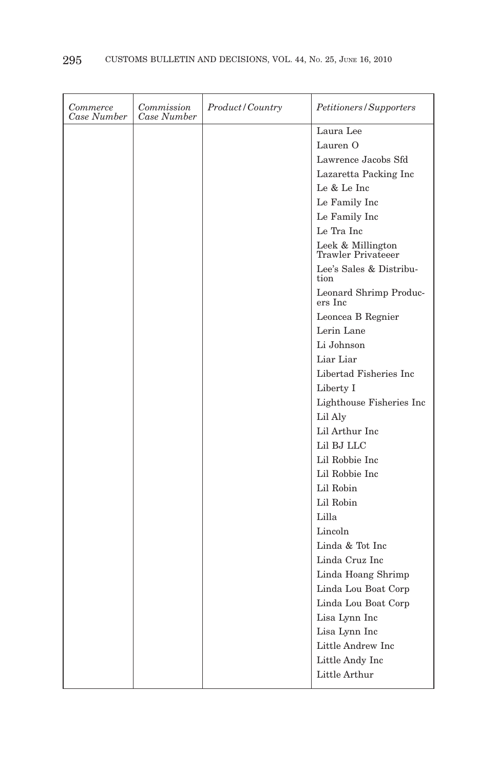| Commerce<br>Case Number | Commission<br>Case Number | <i>Product/Country</i> | Petitioners/Supporters                  |
|-------------------------|---------------------------|------------------------|-----------------------------------------|
|                         |                           |                        | Laura Lee                               |
|                         |                           |                        | Lauren <sub>O</sub>                     |
|                         |                           |                        | Lawrence Jacobs Sfd                     |
|                         |                           |                        | Lazaretta Packing Inc                   |
|                         |                           |                        | Le & Le Inc                             |
|                         |                           |                        | Le Family Inc                           |
|                         |                           |                        | Le Family Inc                           |
|                         |                           |                        | Le Tra Inc                              |
|                         |                           |                        | Leek & Millington<br>Trawler Privateeer |
|                         |                           |                        | Lee's Sales & Distribu-<br>tion         |
|                         |                           |                        | Leonard Shrimp Produc-<br>ers Inc       |
|                         |                           |                        | Leoncea B Regnier                       |
|                         |                           |                        | Lerin Lane                              |
|                         |                           |                        | Li Johnson                              |
|                         |                           |                        | Liar Liar                               |
|                         |                           |                        | Libertad Fisheries Inc                  |
|                         |                           |                        | Liberty I                               |
|                         |                           |                        | Lighthouse Fisheries Inc                |
|                         |                           |                        | Lil Aly                                 |
|                         |                           |                        | Lil Arthur Inc                          |
|                         |                           |                        | Lil BJ LLC                              |
|                         |                           |                        | Lil Robbie Inc                          |
|                         |                           |                        | Lil Robbie Inc                          |
|                         |                           |                        | Lil Robin                               |
|                         |                           |                        | Lil Robin                               |
|                         |                           |                        | Lilla                                   |
|                         |                           |                        | Lincoln                                 |
|                         |                           |                        | Linda & Tot Inc                         |
|                         |                           |                        | Linda Cruz Inc                          |
|                         |                           |                        | Linda Hoang Shrimp                      |
|                         |                           |                        | Linda Lou Boat Corp                     |
|                         |                           |                        | Linda Lou Boat Corp                     |
|                         |                           |                        | Lisa Lynn Inc                           |
|                         |                           |                        | Lisa Lynn Inc                           |
|                         |                           |                        | Little Andrew Inc                       |
|                         |                           |                        | Little Andy Inc                         |
|                         |                           |                        | Little Arthur                           |
|                         |                           |                        |                                         |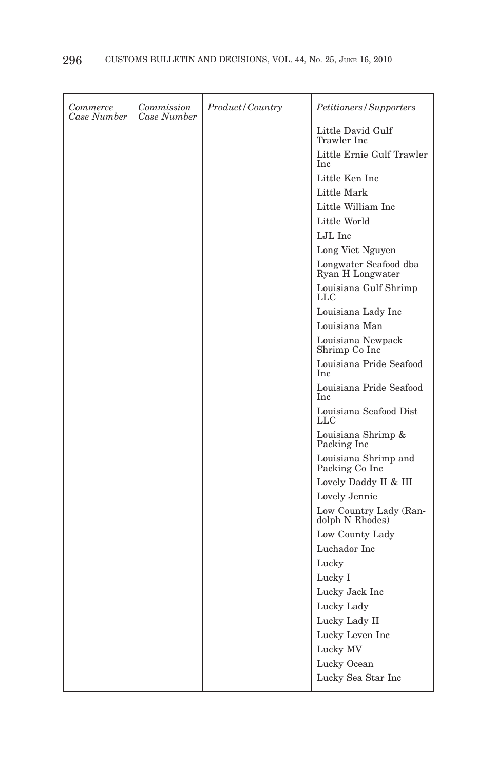| Commerce<br>Case Number | Commission<br>Case Number | <i>Product/Country</i> | Petitioners/Supporters                    |
|-------------------------|---------------------------|------------------------|-------------------------------------------|
|                         |                           |                        | Little David Gulf<br>Trawler Inc          |
|                         |                           |                        | Little Ernie Gulf Trawler<br>Inc          |
|                         |                           |                        | Little Ken Inc                            |
|                         |                           |                        | Little Mark                               |
|                         |                           |                        | Little William Inc                        |
|                         |                           |                        | Little World                              |
|                         |                           |                        | LJL Inc                                   |
|                         |                           |                        | Long Viet Nguyen                          |
|                         |                           |                        | Longwater Seafood dba<br>Ryan H Longwater |
|                         |                           |                        | Louisiana Gulf Shrimp<br>LLC              |
|                         |                           |                        | Louisiana Lady Inc                        |
|                         |                           |                        | Louisiana Man                             |
|                         |                           |                        | Louisiana Newpack<br>Shrimp Co Inc        |
|                         |                           |                        | Louisiana Pride Seafood<br><b>Inc</b>     |
|                         |                           |                        | Louisiana Pride Seafood<br>Inc            |
|                         |                           |                        | Louisiana Seafood Dist<br>LLC             |
|                         |                           |                        | Louisiana Shrimp &<br>Packing Inc         |
|                         |                           |                        | Louisiana Shrimp and<br>Packing Co Inc    |
|                         |                           |                        | Lovely Daddy II & III                     |
|                         |                           |                        | Lovely Jennie                             |
|                         |                           |                        | Low Country Lady (Ran-<br>dolph N Rhodes) |
|                         |                           |                        | Low County Lady                           |
|                         |                           |                        | Luchador Inc                              |
|                         |                           |                        | Lucky                                     |
|                         |                           |                        | Lucky I                                   |
|                         |                           |                        | Lucky Jack Inc                            |
|                         |                           |                        | Lucky Lady                                |
|                         |                           |                        | Lucky Lady II                             |
|                         |                           |                        | Lucky Leven Inc                           |
|                         |                           |                        | Lucky MV                                  |
|                         |                           |                        | Lucky Ocean                               |
|                         |                           |                        | Lucky Sea Star Inc                        |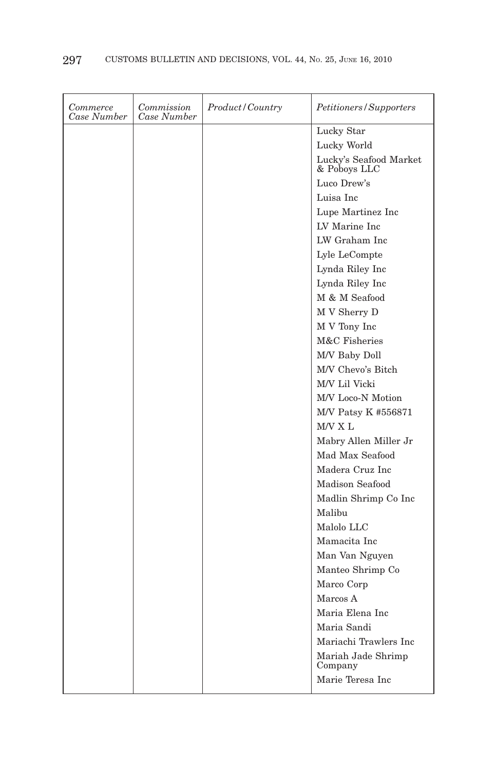| Commerce<br>Case Number | Commission<br>Case Number | Product/Country | Petitioners/Supporters                 |
|-------------------------|---------------------------|-----------------|----------------------------------------|
|                         |                           |                 | Lucky Star                             |
|                         |                           |                 | Lucky World                            |
|                         |                           |                 | Lucky's Seafood Market<br>& Poboys LLC |
|                         |                           |                 | Luco Drew's                            |
|                         |                           |                 | Luisa Inc                              |
|                         |                           |                 | Lupe Martinez Inc                      |
|                         |                           |                 | LV Marine Inc                          |
|                         |                           |                 | LW Graham Inc                          |
|                         |                           |                 | Lyle LeCompte                          |
|                         |                           |                 | Lynda Riley Inc                        |
|                         |                           |                 | Lynda Riley Inc                        |
|                         |                           |                 | M & M Seafood                          |
|                         |                           |                 | M V Sherry D                           |
|                         |                           |                 | M V Tony Inc                           |
|                         |                           |                 | M&C Fisheries                          |
|                         |                           |                 | M/V Baby Doll                          |
|                         |                           |                 | M/V Chevo's Bitch                      |
|                         |                           |                 | M/V Lil Vicki                          |
|                         |                           |                 | M/V Loco-N Motion                      |
|                         |                           |                 | M/V Patsy K #556871                    |
|                         |                           |                 | M/V X L                                |
|                         |                           |                 | Mabry Allen Miller Jr                  |
|                         |                           |                 | Mad Max Seafood                        |
|                         |                           |                 | Madera Cruz Inc                        |
|                         |                           |                 | <b>Madison Seafood</b>                 |
|                         |                           |                 | Madlin Shrimp Co Inc                   |
|                         |                           |                 | Malibu                                 |
|                         |                           |                 | Malolo LLC                             |
|                         |                           |                 | Mamacita Inc                           |
|                         |                           |                 | Man Van Nguyen                         |
|                         |                           |                 | Manteo Shrimp Co                       |
|                         |                           |                 | Marco Corp                             |
|                         |                           |                 | Marcos A                               |
|                         |                           |                 | Maria Elena Inc                        |
|                         |                           |                 | Maria Sandi                            |
|                         |                           |                 | Mariachi Trawlers Inc                  |
|                         |                           |                 | Mariah Jade Shrimp<br>Company          |
|                         |                           |                 | Marie Teresa Inc                       |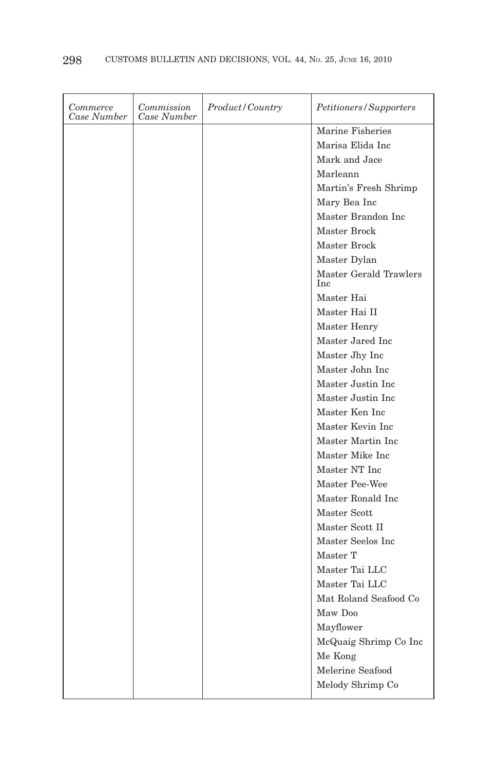| Commerce<br>Case Number | Commission<br>Case Number | Product/Country | Petitioners/Supporters               |
|-------------------------|---------------------------|-----------------|--------------------------------------|
|                         |                           |                 | Marine Fisheries                     |
|                         |                           |                 | Marisa Elida Inc                     |
|                         |                           |                 | Mark and Jace                        |
|                         |                           |                 | Marleann                             |
|                         |                           |                 | Martin's Fresh Shrimp                |
|                         |                           |                 | Mary Bea Inc                         |
|                         |                           |                 | Master Brandon Inc                   |
|                         |                           |                 | Master Brock                         |
|                         |                           |                 | Master Brock                         |
|                         |                           |                 | Master Dylan                         |
|                         |                           |                 | Master Gerald Trawlers<br><b>Inc</b> |
|                         |                           |                 | Master Hai                           |
|                         |                           |                 | Master Hai II                        |
|                         |                           |                 | Master Henry                         |
|                         |                           |                 | Master Jared Inc                     |
|                         |                           |                 | Master Jhy Inc                       |
|                         |                           |                 | Master John Inc                      |
|                         |                           |                 | Master Justin Inc                    |
|                         |                           |                 | Master Justin Inc                    |
|                         |                           |                 | Master Ken Inc                       |
|                         |                           |                 | Master Kevin Inc                     |
|                         |                           |                 | Master Martin Inc                    |
|                         |                           |                 | Master Mike Inc                      |
|                         |                           |                 | Master NT Inc                        |
|                         |                           |                 | Master Pee-Wee                       |
|                         |                           |                 | Master Ronald Inc.                   |
|                         |                           |                 | Master Scott                         |
|                         |                           |                 | Master Scott II                      |
|                         |                           |                 | Master Seelos Inc                    |
|                         |                           |                 | Master T                             |
|                         |                           |                 | Master Tai LLC                       |
|                         |                           |                 | Master Tai LLC                       |
|                         |                           |                 | Mat Roland Seafood Co                |
|                         |                           |                 | Maw Doo                              |
|                         |                           |                 | Mayflower                            |
|                         |                           |                 | McQuaig Shrimp Co Inc                |
|                         |                           |                 | Me Kong                              |
|                         |                           |                 | Melerine Seafood                     |
|                         |                           |                 | Melody Shrimp Co                     |
|                         |                           |                 |                                      |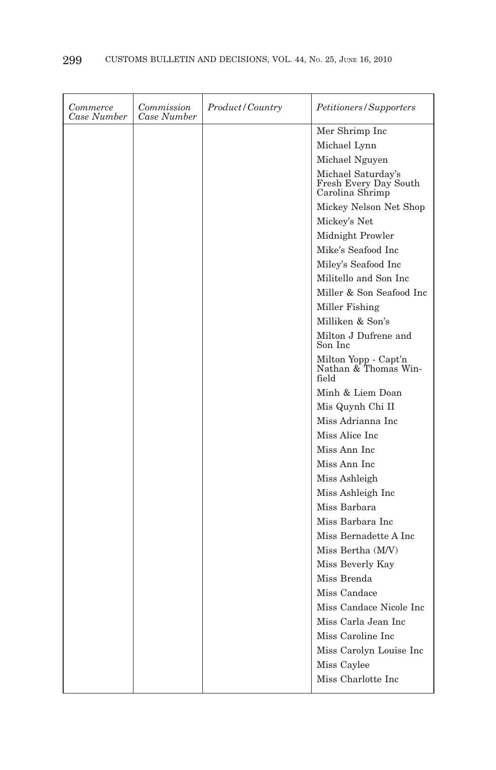| Commerce<br>Case Number | Commission<br>Case Number | <i>Product</i> / Country | Petitioners/Supporters                                         |
|-------------------------|---------------------------|--------------------------|----------------------------------------------------------------|
|                         |                           |                          | Mer Shrimp Inc                                                 |
|                         |                           |                          | Michael Lynn                                                   |
|                         |                           |                          | Michael Nguyen                                                 |
|                         |                           |                          | Michael Saturday's<br>Fresh Every Day South<br>Carolina Shrimp |
|                         |                           |                          | Mickey Nelson Net Shop                                         |
|                         |                           |                          | Mickey's Net                                                   |
|                         |                           |                          | Midnight Prowler                                               |
|                         |                           |                          | Mike's Seafood Inc.                                            |
|                         |                           |                          | Miley's Seafood Inc                                            |
|                         |                           |                          | Militello and Son Inc                                          |
|                         |                           |                          | Miller & Son Seafood Inc                                       |
|                         |                           |                          | Miller Fishing                                                 |
|                         |                           |                          | Milliken & Son's                                               |
|                         |                           |                          | Milton J Dufrene and<br>Son Inc                                |
|                         |                           |                          | Milton Yopp - Capt'n<br>Nathan & Thomas Win-<br>field          |
|                         |                           |                          | Minh & Liem Doan                                               |
|                         |                           |                          | Mis Quynh Chi II                                               |
|                         |                           |                          | Miss Adrianna Inc                                              |
|                         |                           |                          | Miss Alice Inc                                                 |
|                         |                           |                          | Miss Ann Inc                                                   |
|                         |                           |                          | Miss Ann Inc                                                   |
|                         |                           |                          | Miss Ashleigh                                                  |
|                         |                           |                          | Miss Ashleigh Inc                                              |
|                         |                           |                          | Miss Barbara                                                   |
|                         |                           |                          | Miss Barbara Inc                                               |
|                         |                           |                          | Miss Bernadette A Inc                                          |
|                         |                           |                          | Miss Bertha (M/V)                                              |
|                         |                           |                          | Miss Beverly Kay                                               |
|                         |                           |                          | Miss Brenda                                                    |
|                         |                           |                          | Miss Candace                                                   |
|                         |                           |                          | Miss Candace Nicole Inc                                        |
|                         |                           |                          | Miss Carla Jean Inc                                            |
|                         |                           |                          | Miss Caroline Inc                                              |
|                         |                           |                          | Miss Carolyn Louise Inc                                        |
|                         |                           |                          | Miss Caylee                                                    |
|                         |                           |                          | Miss Charlotte Inc                                             |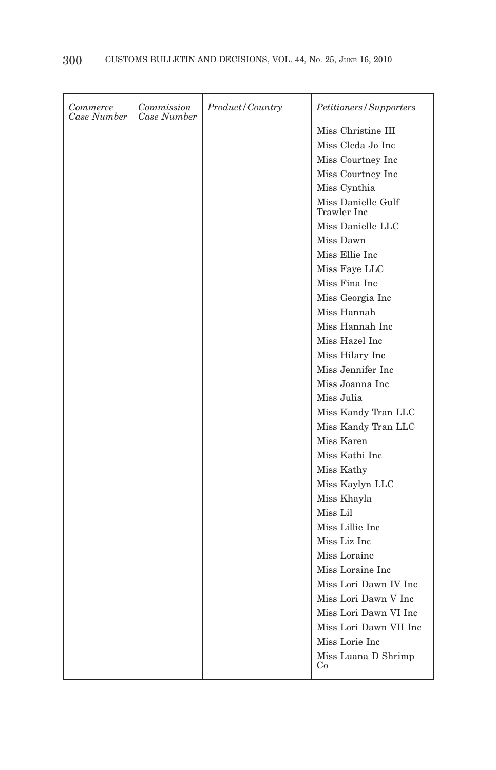| Commerce<br>Case Number | Commission<br>Case Number | Product/Country | Petitioners/Supporters            |
|-------------------------|---------------------------|-----------------|-----------------------------------|
|                         |                           |                 | Miss Christine III                |
|                         |                           |                 | Miss Cleda Jo Inc                 |
|                         |                           |                 | Miss Courtney Inc                 |
|                         |                           |                 | Miss Courtney Inc                 |
|                         |                           |                 | Miss Cynthia                      |
|                         |                           |                 | Miss Danielle Gulf<br>Trawler Inc |
|                         |                           |                 | Miss Danielle LLC                 |
|                         |                           |                 | Miss Dawn                         |
|                         |                           |                 | Miss Ellie Inc                    |
|                         |                           |                 | Miss Fave LLC                     |
|                         |                           |                 | Miss Fina Inc                     |
|                         |                           |                 | Miss Georgia Inc                  |
|                         |                           |                 | Miss Hannah                       |
|                         |                           |                 | Miss Hannah Inc                   |
|                         |                           |                 | Miss Hazel Inc                    |
|                         |                           |                 | Miss Hilary Inc                   |
|                         |                           |                 | Miss Jennifer Inc                 |
|                         |                           |                 | Miss Joanna Inc                   |
|                         |                           |                 | Miss Julia                        |
|                         |                           |                 | Miss Kandy Tran LLC               |
|                         |                           |                 | Miss Kandy Tran LLC               |
|                         |                           |                 | Miss Karen                        |
|                         |                           |                 | Miss Kathi Inc                    |
|                         |                           |                 | Miss Kathy                        |
|                         |                           |                 | Miss Kaylyn LLC                   |
|                         |                           |                 | Miss Khayla                       |
|                         |                           |                 | Miss Lil                          |
|                         |                           |                 | Miss Lillie Inc                   |
|                         |                           |                 | Miss Liz Inc                      |
|                         |                           |                 | Miss Loraine                      |
|                         |                           |                 | Miss Loraine Inc                  |
|                         |                           |                 | Miss Lori Dawn IV Inc             |
|                         |                           |                 | Miss Lori Dawn V Inc              |
|                         |                           |                 | Miss Lori Dawn VI Inc.            |
|                         |                           |                 | Miss Lori Dawn VII Inc            |
|                         |                           |                 | Miss Lorie Inc                    |
|                         |                           |                 | Miss Luana D Shrimp<br>Co         |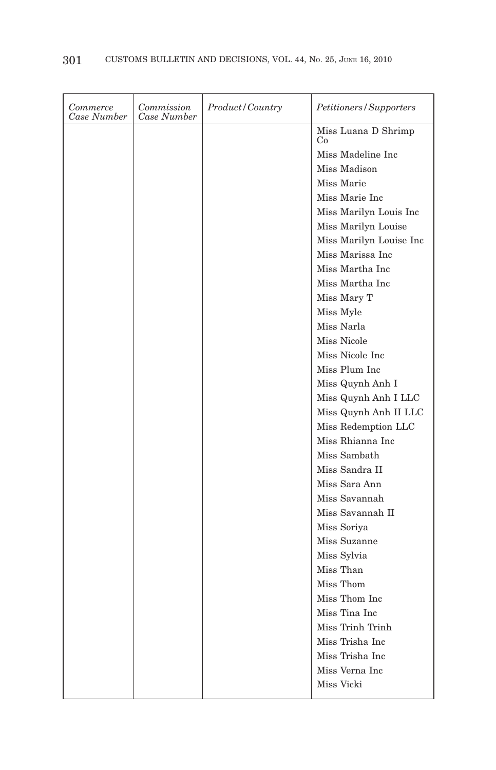| Commerce<br>Case Number | Commission<br>Case Number | Product/Country | Petitioners/Supporters    |
|-------------------------|---------------------------|-----------------|---------------------------|
|                         |                           |                 | Miss Luana D Shrimp<br>Co |
|                         |                           |                 | Miss Madeline Inc         |
|                         |                           |                 | Miss Madison              |
|                         |                           |                 | Miss Marie                |
|                         |                           |                 | Miss Marie Inc            |
|                         |                           |                 | Miss Marilyn Louis Inc    |
|                         |                           |                 | Miss Marilyn Louise       |
|                         |                           |                 | Miss Marilyn Louise Inc   |
|                         |                           |                 | Miss Marissa Inc          |
|                         |                           |                 | Miss Martha Inc           |
|                         |                           |                 | Miss Martha Inc           |
|                         |                           |                 | Miss Mary T               |
|                         |                           |                 | Miss Myle                 |
|                         |                           |                 | Miss Narla                |
|                         |                           |                 | Miss Nicole               |
|                         |                           |                 | Miss Nicole Inc           |
|                         |                           |                 | Miss Plum Inc             |
|                         |                           |                 | Miss Quynh Anh I          |
|                         |                           |                 | Miss Quynh Anh I LLC      |
|                         |                           |                 | Miss Quynh Anh II LLC     |
|                         |                           |                 | Miss Redemption LLC       |
|                         |                           |                 | Miss Rhianna Inc          |
|                         |                           |                 | Miss Sambath              |
|                         |                           |                 | Miss Sandra II            |
|                         |                           |                 | Miss Sara Ann             |
|                         |                           |                 | Miss Savannah             |
|                         |                           |                 | Miss Savannah II          |
|                         |                           |                 | Miss Soriya               |
|                         |                           |                 | Miss Suzanne              |
|                         |                           |                 | Miss Sylvia               |
|                         |                           |                 | Miss Than                 |
|                         |                           |                 | Miss Thom                 |
|                         |                           |                 | Miss Thom Inc             |
|                         |                           |                 | Miss Tina Inc             |
|                         |                           |                 | Miss Trinh Trinh          |
|                         |                           |                 | Miss Trisha Inc           |
|                         |                           |                 | Miss Trisha Inc           |
|                         |                           |                 | Miss Verna Inc            |
|                         |                           |                 | Miss Vicki                |
|                         |                           |                 |                           |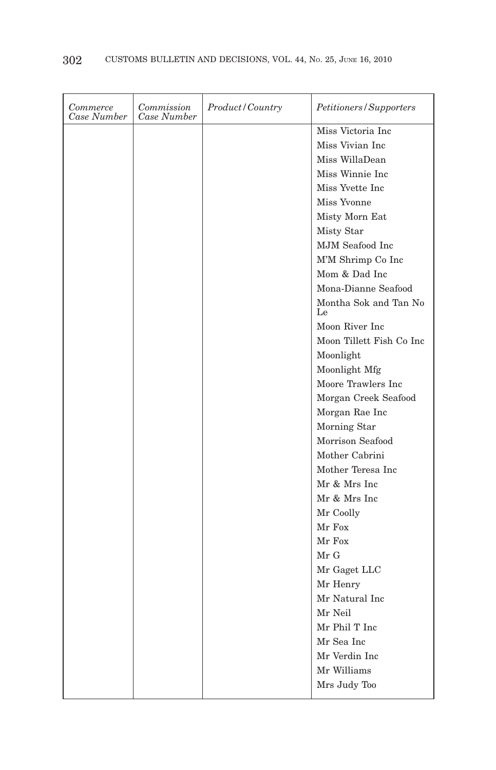| Commerce<br>Case Number | Commission<br>Case Number | Product/Country | Petitioners/Supporters      |
|-------------------------|---------------------------|-----------------|-----------------------------|
|                         |                           |                 | Miss Victoria Inc           |
|                         |                           |                 | Miss Vivian Inc             |
|                         |                           |                 | Miss WillaDean              |
|                         |                           |                 | Miss Winnie Inc             |
|                         |                           |                 | Miss Yvette Inc.            |
|                         |                           |                 | Miss Yvonne                 |
|                         |                           |                 | Misty Morn Eat              |
|                         |                           |                 | Misty Star                  |
|                         |                           |                 | MJM Seafood Inc             |
|                         |                           |                 | M'M Shrimp Co Inc           |
|                         |                           |                 | Mom & Dad Inc               |
|                         |                           |                 | Mona-Dianne Seafood         |
|                         |                           |                 | Montha Sok and Tan No<br>Le |
|                         |                           |                 | Moon River Inc              |
|                         |                           |                 | Moon Tillett Fish Co Inc    |
|                         |                           |                 | Moonlight                   |
|                         |                           |                 | Moonlight Mfg               |
|                         |                           |                 | Moore Trawlers Inc          |
|                         |                           |                 | Morgan Creek Seafood        |
|                         |                           |                 | Morgan Rae Inc              |
|                         |                           |                 | Morning Star                |
|                         |                           |                 | Morrison Seafood            |
|                         |                           |                 | Mother Cabrini              |
|                         |                           |                 | Mother Teresa Inc.          |
|                         |                           |                 | Mr & Mrs Inc                |
|                         |                           |                 | Mr & Mrs Inc                |
|                         |                           |                 | Mr Coolly                   |
|                         |                           |                 | Mr Fox                      |
|                         |                           |                 | Mr Fox                      |
|                         |                           |                 | Mr G                        |
|                         |                           |                 | Mr Gaget LLC                |
|                         |                           |                 | Mr Henry                    |
|                         |                           |                 | Mr Natural Inc              |
|                         |                           |                 | Mr Neil                     |
|                         |                           |                 | Mr Phil T Inc               |
|                         |                           |                 | Mr Sea Inc                  |
|                         |                           |                 | Mr Verdin Inc               |
|                         |                           |                 | Mr Williams                 |
|                         |                           |                 | Mrs Judy Too                |
|                         |                           |                 |                             |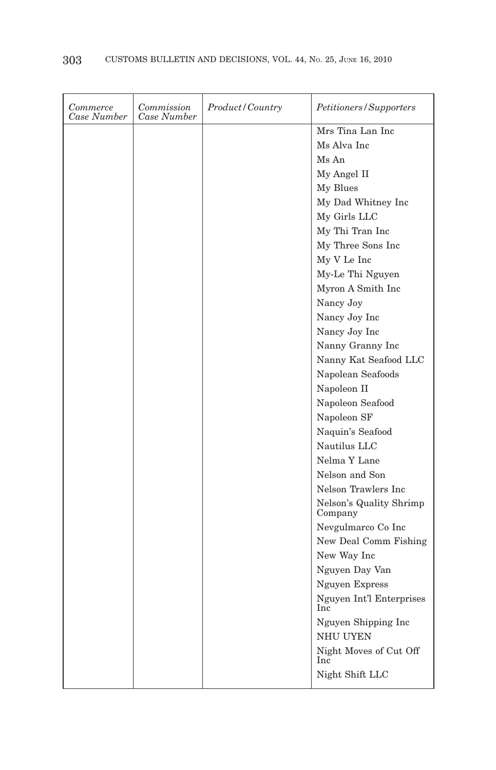| Commerce<br>Case Number | Commission<br>Case Number | <i>Product/Country</i> | <i>Petitioners/Supporters</i>      |
|-------------------------|---------------------------|------------------------|------------------------------------|
|                         |                           |                        | Mrs Tina Lan Inc                   |
|                         |                           |                        | Ms Alva Inc                        |
|                         |                           |                        | Ms An                              |
|                         |                           |                        | My Angel II                        |
|                         |                           |                        | My Blues                           |
|                         |                           |                        | My Dad Whitney Inc                 |
|                         |                           |                        | My Girls LLC                       |
|                         |                           |                        | My Thi Tran Inc                    |
|                         |                           |                        | My Three Sons Inc                  |
|                         |                           |                        | My V Le Inc                        |
|                         |                           |                        | My-Le Thi Nguyen                   |
|                         |                           |                        | Myron A Smith Inc                  |
|                         |                           |                        | Nancy Joy                          |
|                         |                           |                        | Nancy Joy Inc                      |
|                         |                           |                        | Nancy Joy Inc                      |
|                         |                           |                        | Nanny Granny Inc                   |
|                         |                           |                        | Nanny Kat Seafood LLC              |
|                         |                           |                        | Napolean Seafoods                  |
|                         |                           |                        | Napoleon II                        |
|                         |                           |                        | Napoleon Seafood                   |
|                         |                           |                        | Napoleon SF                        |
|                         |                           |                        | Naquin's Seafood                   |
|                         |                           |                        | Nautilus LLC                       |
|                         |                           |                        | Nelma Y Lane                       |
|                         |                           |                        | Nelson and Son                     |
|                         |                           |                        | Nelson Trawlers Inc                |
|                         |                           |                        | Nelson's Quality Shrimp<br>Company |
|                         |                           |                        | Nevgulmarco Co Inc                 |
|                         |                           |                        | New Deal Comm Fishing              |
|                         |                           |                        | New Way Inc                        |
|                         |                           |                        | Nguyen Day Van                     |
|                         |                           |                        | Nguyen Express                     |
|                         |                           |                        | Nguyen Int'l Enterprises<br>Inc    |
|                         |                           |                        | Nguyen Shipping Inc                |
|                         |                           |                        | <b>NHU UYEN</b>                    |
|                         |                           |                        | Night Moves of Cut Off<br>Inc      |
|                         |                           |                        | Night Shift LLC                    |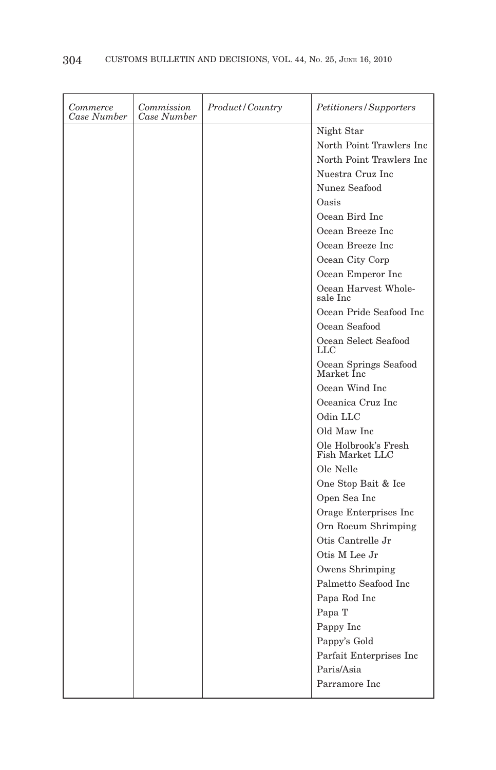| Commerce<br>Case Number | Commission<br>Case Number | Product/Country | Petitioners/Supporters                  |
|-------------------------|---------------------------|-----------------|-----------------------------------------|
|                         |                           |                 | Night Star                              |
|                         |                           |                 | North Point Trawlers Inc                |
|                         |                           |                 | North Point Trawlers Inc                |
|                         |                           |                 | Nuestra Cruz Inc                        |
|                         |                           |                 | Nunez Seafood                           |
|                         |                           |                 | Oasis                                   |
|                         |                           |                 | Ocean Bird Inc                          |
|                         |                           |                 | Ocean Breeze Inc.                       |
|                         |                           |                 | Ocean Breeze Inc                        |
|                         |                           |                 | Ocean City Corp                         |
|                         |                           |                 | Ocean Emperor Inc                       |
|                         |                           |                 | Ocean Harvest Whole-<br>sale Inc        |
|                         |                           |                 | Ocean Pride Seafood Inc                 |
|                         |                           |                 | Ocean Seafood                           |
|                         |                           |                 | Ocean Select Seafood<br>LLC             |
|                         |                           |                 | Ocean Springs Seafood<br>Market Inc     |
|                         |                           |                 | Ocean Wind Inc                          |
|                         |                           |                 | Oceanica Cruz Inc                       |
|                         |                           |                 | Odin LLC                                |
|                         |                           |                 | Old Maw Inc                             |
|                         |                           |                 | Ole Holbrook's Fresh<br>Fish Market LLC |
|                         |                           |                 | Ole Nelle                               |
|                         |                           |                 | One Stop Bait & Ice                     |
|                         |                           |                 | Open Sea Inc                            |
|                         |                           |                 | Orage Enterprises Inc                   |
|                         |                           |                 | Orn Roeum Shrimping                     |
|                         |                           |                 | Otis Cantrelle Jr                       |
|                         |                           |                 | Otis M Lee Jr                           |
|                         |                           |                 | Owens Shrimping                         |
|                         |                           |                 | Palmetto Seafood Inc                    |
|                         |                           |                 | Papa Rod Inc                            |
|                         |                           |                 | Papa T                                  |
|                         |                           |                 | Pappy Inc                               |
|                         |                           |                 | Pappy's Gold                            |
|                         |                           |                 | Parfait Enterprises Inc                 |
|                         |                           |                 | Paris/Asia                              |
|                         |                           |                 | Parramore Inc                           |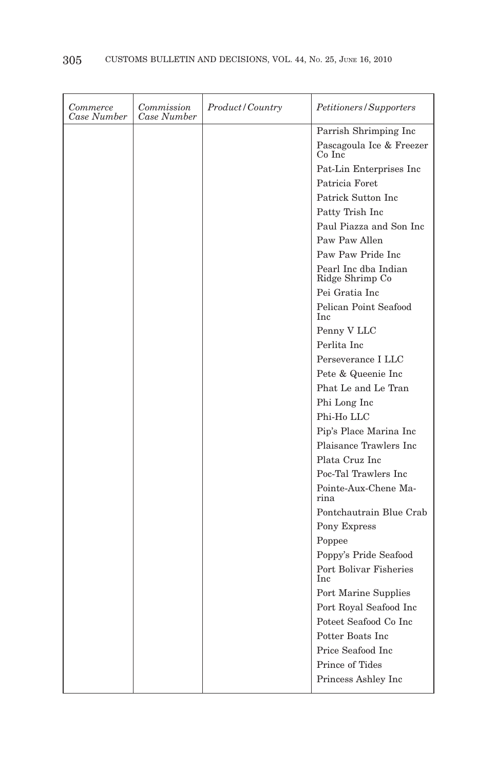| Commerce<br>Case Number | Commission<br>Case Number | <i>Product/Country</i> | Petitioners/Supporters                  |
|-------------------------|---------------------------|------------------------|-----------------------------------------|
|                         |                           |                        | Parrish Shrimping Inc                   |
|                         |                           |                        | Pascagoula Ice & Freezer<br>Co Inc      |
|                         |                           |                        | Pat-Lin Enterprises Inc                 |
|                         |                           |                        | Patricia Foret                          |
|                         |                           |                        | Patrick Sutton Inc.                     |
|                         |                           |                        | Patty Trish Inc                         |
|                         |                           |                        | Paul Piazza and Son Inc                 |
|                         |                           |                        | Paw Paw Allen                           |
|                         |                           |                        | Paw Paw Pride Inc                       |
|                         |                           |                        | Pearl Inc dba Indian<br>Ridge Shrimp Co |
|                         |                           |                        | Pei Gratia Inc                          |
|                         |                           |                        | Pelican Point Seafood<br>Inc            |
|                         |                           |                        | Penny V LLC                             |
|                         |                           |                        | Perlita Inc.                            |
|                         |                           |                        | Perseverance I LLC                      |
|                         |                           |                        | Pete & Queenie Inc                      |
|                         |                           |                        | Phat Le and Le Tran                     |
|                         |                           |                        | Phi Long Inc                            |
|                         |                           |                        | Phi-Ho LLC                              |
|                         |                           |                        | Pip's Place Marina Inc                  |
|                         |                           |                        | Plaisance Trawlers Inc.                 |
|                         |                           |                        | Plata Cruz Inc                          |
|                         |                           |                        | Poc-Tal Trawlers Inc                    |
|                         |                           |                        | Pointe-Aux-Chene Ma-<br>rina            |
|                         |                           |                        | Pontchautrain Blue Crab                 |
|                         |                           |                        | Pony Express                            |
|                         |                           |                        | Poppee                                  |
|                         |                           |                        | Poppy's Pride Seafood                   |
|                         |                           |                        | Port Bolivar Fisheries<br>Inc           |
|                         |                           |                        | Port Marine Supplies                    |
|                         |                           |                        | Port Royal Seafood Inc                  |
|                         |                           |                        | Poteet Seafood Co Inc                   |
|                         |                           |                        | Potter Boats Inc                        |
|                         |                           |                        | Price Seafood Inc                       |
|                         |                           |                        | Prince of Tides                         |
|                         |                           |                        | Princess Ashley Inc                     |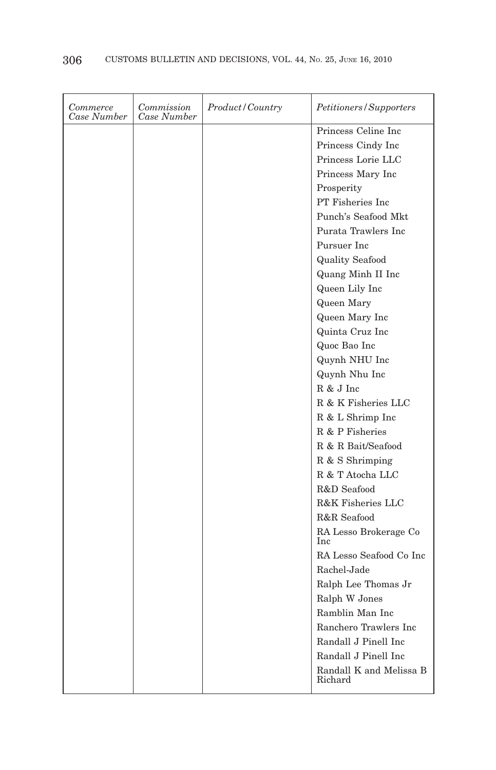| Commerce<br>Case Number | Commission<br>Case Number | Product/Country | Petitioners/Supporters             |
|-------------------------|---------------------------|-----------------|------------------------------------|
|                         |                           |                 | Princess Celine Inc                |
|                         |                           |                 | Princess Cindy Inc                 |
|                         |                           |                 | Princess Lorie LLC                 |
|                         |                           |                 | Princess Mary Inc                  |
|                         |                           |                 | Prosperity                         |
|                         |                           |                 | PT Fisheries Inc.                  |
|                         |                           |                 | Punch's Seafood Mkt.               |
|                         |                           |                 | Purata Trawlers Inc.               |
|                         |                           |                 | Pursuer Inc.                       |
|                         |                           |                 | <b>Quality Seafood</b>             |
|                         |                           |                 | Quang Minh II Inc                  |
|                         |                           |                 | Queen Lily Inc                     |
|                         |                           |                 | Queen Mary                         |
|                         |                           |                 | Queen Mary Inc                     |
|                         |                           |                 | Quinta Cruz Inc                    |
|                         |                           |                 | Quoc Bao Inc                       |
|                         |                           |                 | Quynh NHU Inc                      |
|                         |                           |                 | Quynh Nhu Inc                      |
|                         |                           |                 | R & J Inc                          |
|                         |                           |                 | R & K Fisheries LLC                |
|                         |                           |                 | R & L Shrimp Inc                   |
|                         |                           |                 | R & P Fisheries                    |
|                         |                           |                 | R & R Bait/Seafood                 |
|                         |                           |                 | R & S Shrimping                    |
|                         |                           |                 | R & T Atocha LLC                   |
|                         |                           |                 | R&D Seafood                        |
|                         |                           |                 | R&K Fisheries LLC                  |
|                         |                           |                 | R&R Seafood                        |
|                         |                           |                 | RA Lesso Brokerage Co<br>Inc       |
|                         |                           |                 | RA Lesso Seafood Co Inc            |
|                         |                           |                 | Rachel-Jade                        |
|                         |                           |                 | Ralph Lee Thomas Jr                |
|                         |                           |                 | Ralph W Jones                      |
|                         |                           |                 | Ramblin Man Inc                    |
|                         |                           |                 | Ranchero Trawlers Inc              |
|                         |                           |                 | Randall J Pinell Inc               |
|                         |                           |                 | Randall J Pinell Inc               |
|                         |                           |                 | Randall K and Melissa B<br>Richard |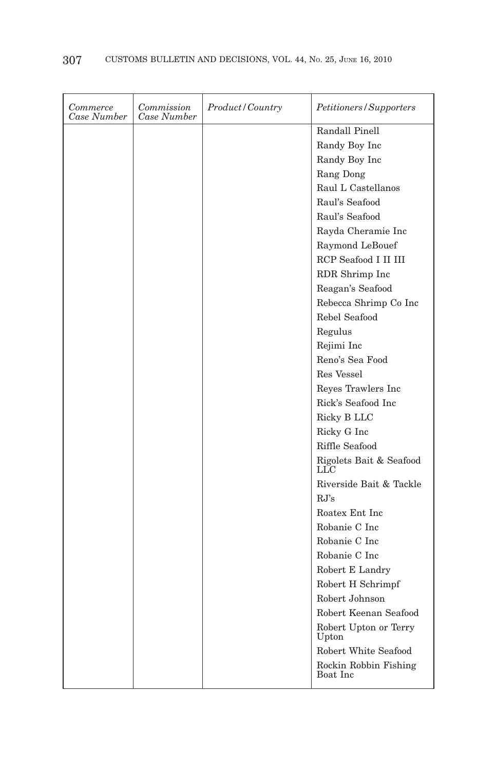| Commerce<br>Case Number | Commission<br>Case Number | Product/Country | Petitioners/Supporters            |
|-------------------------|---------------------------|-----------------|-----------------------------------|
|                         |                           |                 | Randall Pinell                    |
|                         |                           |                 | Randy Boy Inc                     |
|                         |                           |                 | Randy Boy Inc                     |
|                         |                           |                 | Rang Dong                         |
|                         |                           |                 | Raul L Castellanos                |
|                         |                           |                 | Raul's Seafood                    |
|                         |                           |                 | Raul's Seafood                    |
|                         |                           |                 | Rayda Cheramie Inc                |
|                         |                           |                 | Raymond LeBouef                   |
|                         |                           |                 | RCP Seafood I II III              |
|                         |                           |                 | RDR Shrimp Inc                    |
|                         |                           |                 | Reagan's Seafood                  |
|                         |                           |                 | Rebecca Shrimp Co Inc             |
|                         |                           |                 | Rebel Seafood                     |
|                         |                           |                 | Regulus                           |
|                         |                           |                 | Rejimi Inc                        |
|                         |                           |                 | Reno's Sea Food                   |
|                         |                           |                 | Res Vessel                        |
|                         |                           |                 | Reyes Trawlers Inc                |
|                         |                           |                 | Rick's Seafood Inc                |
|                         |                           |                 | Ricky B LLC                       |
|                         |                           |                 | Ricky G Inc                       |
|                         |                           |                 | Riffle Seafood                    |
|                         |                           |                 | Rigolets Bait & Seafood<br>LLC    |
|                         |                           |                 | Riverside Bait & Tackle           |
|                         |                           |                 | RJ's                              |
|                         |                           |                 | Roatex Ent Inc                    |
|                         |                           |                 | Robanie C Inc                     |
|                         |                           |                 | Robanie C Inc                     |
|                         |                           |                 | Robanie C Inc                     |
|                         |                           |                 | Robert E Landry                   |
|                         |                           |                 | Robert H Schrimpf                 |
|                         |                           |                 | Robert Johnson                    |
|                         |                           |                 | Robert Keenan Seafood             |
|                         |                           |                 | Robert Upton or Terry<br>Upton    |
|                         |                           |                 | Robert White Seafood              |
|                         |                           |                 | Rockin Robbin Fishing<br>Boat Inc |
|                         |                           |                 |                                   |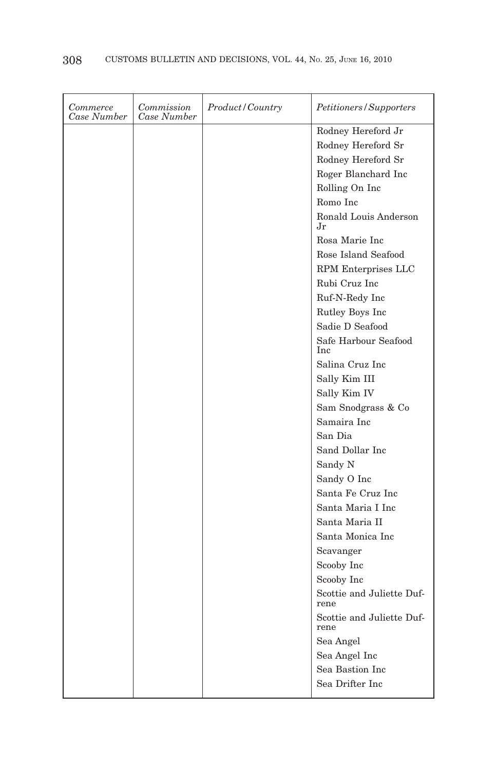| Commerce<br>Case Number | Commission<br>Case Number | Product/Country | Petitioners/Supporters             |
|-------------------------|---------------------------|-----------------|------------------------------------|
|                         |                           |                 | Rodney Hereford Jr                 |
|                         |                           |                 | Rodney Hereford Sr                 |
|                         |                           |                 | Rodney Hereford Sr                 |
|                         |                           |                 | Roger Blanchard Inc                |
|                         |                           |                 | Rolling On Inc                     |
|                         |                           |                 | Romo Inc                           |
|                         |                           |                 | Ronald Louis Anderson<br>.Jr       |
|                         |                           |                 | Rosa Marie Inc                     |
|                         |                           |                 | Rose Island Seafood                |
|                         |                           |                 | RPM Enterprises LLC                |
|                         |                           |                 | Rubi Cruz Inc                      |
|                         |                           |                 | Ruf-N-Redy Inc                     |
|                         |                           |                 | Rutley Boys Inc                    |
|                         |                           |                 | Sadie D Seafood                    |
|                         |                           |                 | Safe Harbour Seafood<br><b>Inc</b> |
|                         |                           |                 | Salina Cruz Inc                    |
|                         |                           |                 | Sally Kim III                      |
|                         |                           |                 | Sally Kim IV                       |
|                         |                           |                 | Sam Snodgrass & Co                 |
|                         |                           |                 | Samaira Inc                        |
|                         |                           |                 | San Dia                            |
|                         |                           |                 | Sand Dollar Inc                    |
|                         |                           |                 | Sandy N                            |
|                         |                           |                 | Sandy O Inc                        |
|                         |                           |                 | Santa Fe Cruz Inc.                 |
|                         |                           |                 | Santa Maria I Inc                  |
|                         |                           |                 | Santa Maria II                     |
|                         |                           |                 | Santa Monica Inc                   |
|                         |                           |                 | Scavanger                          |
|                         |                           |                 | Scooby Inc                         |
|                         |                           |                 | Scooby Inc                         |
|                         |                           |                 | Scottie and Juliette Duf-<br>rene  |
|                         |                           |                 | Scottie and Juliette Duf-<br>rene  |
|                         |                           |                 | Sea Angel                          |
|                         |                           |                 | Sea Angel Inc                      |
|                         |                           |                 | Sea Bastion Inc                    |
|                         |                           |                 | Sea Drifter Inc                    |
|                         |                           |                 |                                    |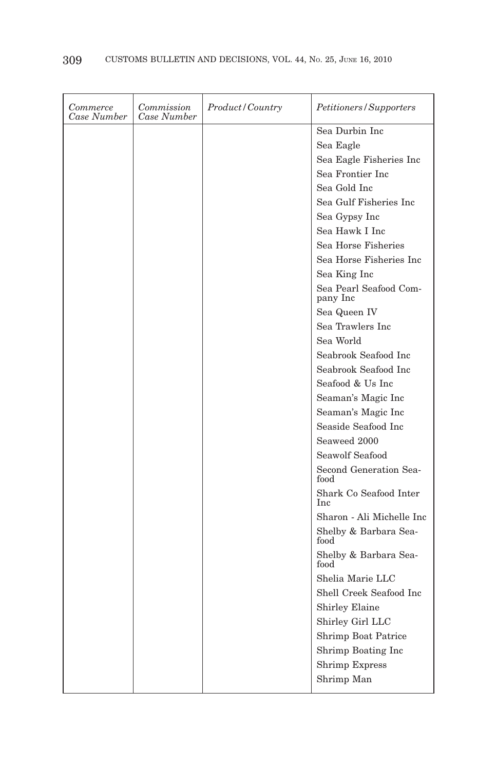| Commerce<br>Case Number | Commission<br>Case Number | <i>Product/Country</i> | Petitioners/Supporters               |
|-------------------------|---------------------------|------------------------|--------------------------------------|
|                         |                           |                        | Sea Durbin Inc                       |
|                         |                           |                        | Sea Eagle                            |
|                         |                           |                        | Sea Eagle Fisheries Inc              |
|                         |                           |                        | Sea Frontier Inc                     |
|                         |                           |                        | Sea Gold Inc                         |
|                         |                           |                        | Sea Gulf Fisheries Inc               |
|                         |                           |                        | Sea Gypsy Inc                        |
|                         |                           |                        | Sea Hawk I Inc                       |
|                         |                           |                        | Sea Horse Fisheries                  |
|                         |                           |                        | Sea Horse Fisheries Inc              |
|                         |                           |                        | Sea King Inc                         |
|                         |                           |                        | Sea Pearl Seafood Com-<br>pany Inc   |
|                         |                           |                        | Sea Queen IV                         |
|                         |                           |                        | Sea Trawlers Inc                     |
|                         |                           |                        | Sea World                            |
|                         |                           |                        | Seabrook Seafood Inc.                |
|                         |                           |                        | Seabrook Seafood Inc.                |
|                         |                           |                        | Seafood & Us Inc                     |
|                         |                           |                        | Seaman's Magic Inc                   |
|                         |                           |                        | Seaman's Magic Inc                   |
|                         |                           |                        | Seaside Seafood Inc                  |
|                         |                           |                        | Seaweed 2000                         |
|                         |                           |                        | Seawolf Seafood                      |
|                         |                           |                        | Second Generation Sea-<br>food       |
|                         |                           |                        | Shark Co Seafood Inter<br><b>Inc</b> |
|                         |                           |                        | Sharon - Ali Michelle Inc            |
|                         |                           |                        | Shelby & Barbara Sea-<br>food        |
|                         |                           |                        | Shelby & Barbara Sea-<br>food        |
|                         |                           |                        | Shelia Marie LLC                     |
|                         |                           |                        | Shell Creek Seafood Inc              |
|                         |                           |                        | <b>Shirley Elaine</b>                |
|                         |                           |                        | Shirley Girl LLC                     |
|                         |                           |                        | Shrimp Boat Patrice                  |
|                         |                           |                        | Shrimp Boating Inc                   |
|                         |                           |                        | <b>Shrimp Express</b>                |
|                         |                           |                        | Shrimp Man                           |
|                         |                           |                        |                                      |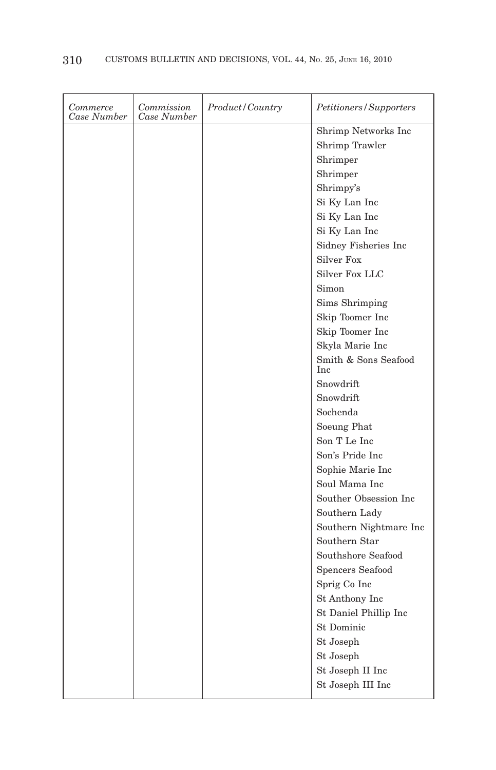| Commerce<br>Case Number | Commission<br>Case Number | Product/Country | Petitioners/Supporters                                 |
|-------------------------|---------------------------|-----------------|--------------------------------------------------------|
|                         |                           |                 | Shrimp Networks Inc                                    |
|                         |                           |                 | Shrimp Trawler                                         |
|                         |                           |                 | Shrimper                                               |
|                         |                           |                 | Shrimper                                               |
|                         |                           |                 | Shrimpy's                                              |
|                         |                           |                 | Si Ky Lan Inc                                          |
|                         |                           |                 | $\mathrm{Si}\ \mathrm{Ky}\ \mathrm{Lan}\ \mathrm{Inc}$ |
|                         |                           |                 | Si Ky Lan Inc                                          |
|                         |                           |                 | Sidney Fisheries Inc                                   |
|                         |                           |                 | <b>Silver Fox</b>                                      |
|                         |                           |                 | <b>Silver Fox LLC</b>                                  |
|                         |                           |                 | Simon                                                  |
|                         |                           |                 | Sims Shrimping                                         |
|                         |                           |                 | Skip Toomer Inc                                        |
|                         |                           |                 | Skip Toomer Inc                                        |
|                         |                           |                 | Skyla Marie Inc                                        |
|                         |                           |                 | Smith & Sons Seafood<br><b>Inc</b>                     |
|                         |                           |                 | Snowdrift                                              |
|                         |                           |                 | Snowdrift                                              |
|                         |                           |                 | Sochenda                                               |
|                         |                           |                 | Soeung Phat                                            |
|                         |                           |                 | Son T Le Inc                                           |
|                         |                           |                 | Son's Pride Inc                                        |
|                         |                           |                 | Sophie Marie Inc                                       |
|                         |                           |                 | Soul Mama Inc                                          |
|                         |                           |                 | Souther Obsession Inc                                  |
|                         |                           |                 | Southern Lady                                          |
|                         |                           |                 | Southern Nightmare Inc                                 |
|                         |                           |                 | Southern Star                                          |
|                         |                           |                 | Southshore Seafood                                     |
|                         |                           |                 | Spencers Seafood                                       |
|                         |                           |                 | Sprig Co Inc                                           |
|                         |                           |                 | St Anthony Inc                                         |
|                         |                           |                 | St Daniel Phillip Inc                                  |
|                         |                           |                 | <b>St Dominic</b>                                      |
|                         |                           |                 | St Joseph                                              |
|                         |                           |                 | St Joseph                                              |
|                         |                           |                 | St Joseph II Inc                                       |
|                         |                           |                 | St Joseph III Inc                                      |
|                         |                           |                 |                                                        |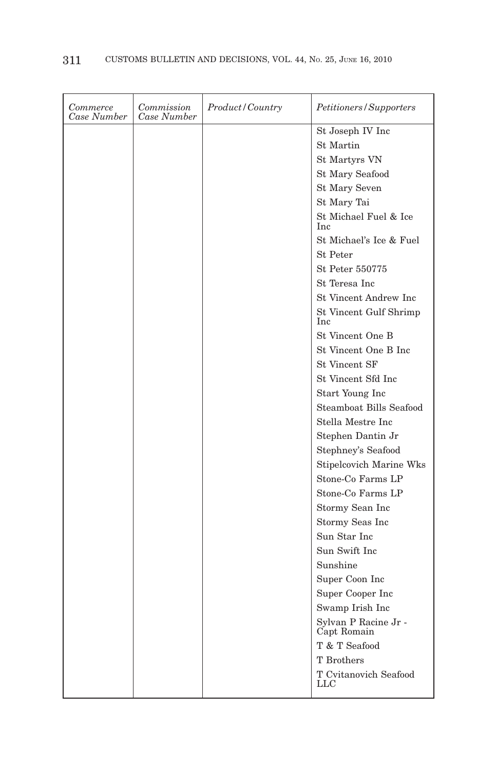| Commerce<br>Case Number | Commission<br>Case Number | Product/Country | Petitioners/Supporters              |
|-------------------------|---------------------------|-----------------|-------------------------------------|
|                         |                           |                 | St Joseph IV Inc                    |
|                         |                           |                 | <b>St Martin</b>                    |
|                         |                           |                 | St Martyrs VN                       |
|                         |                           |                 | <b>St Mary Seafood</b>              |
|                         |                           |                 | <b>St Mary Seven</b>                |
|                         |                           |                 | St Mary Tai                         |
|                         |                           |                 | St Michael Fuel & Ice<br><b>Inc</b> |
|                         |                           |                 | St Michael's Ice & Fuel             |
|                         |                           |                 | <b>St</b> Peter                     |
|                         |                           |                 | St Peter 550775                     |
|                         |                           |                 | St Teresa Inc                       |
|                         |                           |                 | St Vincent Andrew Inc               |
|                         |                           |                 | St Vincent Gulf Shrimp<br>Inc       |
|                         |                           |                 | St Vincent One B                    |
|                         |                           |                 | St Vincent One B Inc                |
|                         |                           |                 | <b>St Vincent SF</b>                |
|                         |                           |                 | St Vincent Sfd Inc                  |
|                         |                           |                 | Start Young Inc                     |
|                         |                           |                 | Steamboat Bills Seafood             |
|                         |                           |                 | Stella Mestre Inc                   |
|                         |                           |                 | Stephen Dantin Jr                   |
|                         |                           |                 | Stephney's Seafood                  |
|                         |                           |                 | <b>Stipelcovich Marine Wks</b>      |
|                         |                           |                 | Stone-Co Farms LP                   |
|                         |                           |                 | Stone-Co Farms LP                   |
|                         |                           |                 | Stormy Sean Inc                     |
|                         |                           |                 | Stormy Seas Inc                     |
|                         |                           |                 | Sun Star Inc                        |
|                         |                           |                 | Sun Swift Inc                       |
|                         |                           |                 | Sunshine                            |
|                         |                           |                 | Super Coon Inc                      |
|                         |                           |                 | Super Cooper Inc                    |
|                         |                           |                 | Swamp Irish Inc                     |
|                         |                           |                 | Sylvan P Racine Jr -<br>Capt Romain |
|                         |                           |                 | T & T Seafood                       |
|                         |                           |                 | T Brothers                          |
|                         |                           |                 | T Cvitanovich Seafood<br>LLC        |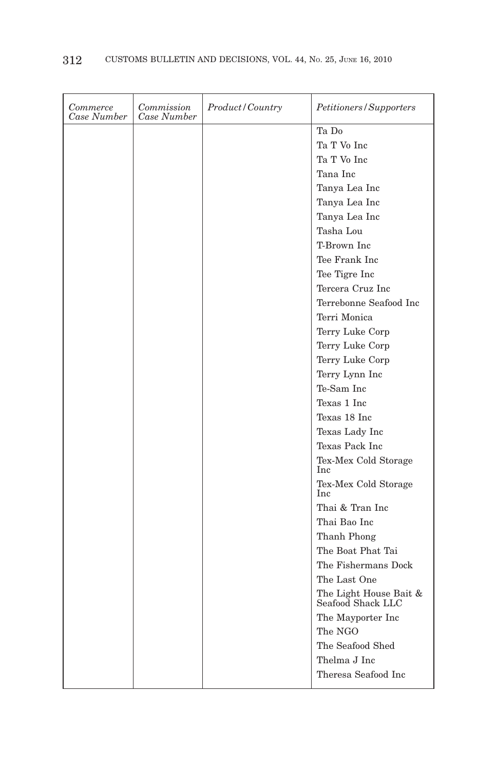| Commerce<br>Case Number | Commission<br>Case Number | <i>Product/Country</i> | Petitioners/Supporters                      |
|-------------------------|---------------------------|------------------------|---------------------------------------------|
|                         |                           |                        | Ta Do                                       |
|                         |                           |                        | Ta T Vo Inc                                 |
|                         |                           |                        | Ta T Vo Inc                                 |
|                         |                           |                        | Tana Inc                                    |
|                         |                           |                        | Tanya Lea Inc                               |
|                         |                           |                        | Tanya Lea Inc                               |
|                         |                           |                        | Tanya Lea Inc                               |
|                         |                           |                        | Tasha Lou                                   |
|                         |                           |                        | T-Brown Inc.                                |
|                         |                           |                        | Tee Frank Inc                               |
|                         |                           |                        | Tee Tigre Inc                               |
|                         |                           |                        | Tercera Cruz Inc                            |
|                         |                           |                        | Terrebonne Seafood Inc.                     |
|                         |                           |                        | Terri Monica                                |
|                         |                           |                        | Terry Luke Corp                             |
|                         |                           |                        | Terry Luke Corp                             |
|                         |                           |                        | Terry Luke Corp                             |
|                         |                           |                        | Terry Lynn Inc                              |
|                         |                           |                        | Te-Sam Inc                                  |
|                         |                           |                        | Texas 1 Inc                                 |
|                         |                           |                        | Texas 18 Inc                                |
|                         |                           |                        | Texas Lady Inc                              |
|                         |                           |                        | Texas Pack Inc                              |
|                         |                           |                        | Tex-Mex Cold Storage<br>Inc                 |
|                         |                           |                        | Tex-Mex Cold Storage<br><b>Inc</b>          |
|                         |                           |                        | Thai & Tran Inc                             |
|                         |                           |                        | Thai Bao Inc                                |
|                         |                           |                        | Thanh Phong                                 |
|                         |                           |                        | The Boat Phat Tai                           |
|                         |                           |                        | The Fishermans Dock                         |
|                         |                           |                        | The Last One                                |
|                         |                           |                        | The Light House Bait $\&$ Seafood Shack LLC |
|                         |                           |                        | The Mayporter Inc.                          |
|                         |                           |                        | The NGO                                     |
|                         |                           |                        | The Seafood Shed                            |
|                         |                           |                        | Thelma J Inc                                |
|                         |                           |                        | Theresa Seafood Inc                         |
|                         |                           |                        |                                             |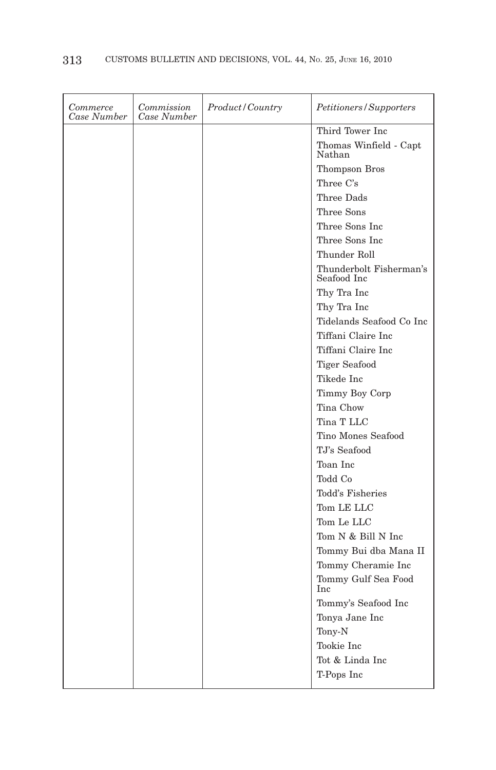| Commerce<br>Case Number | Commission<br>Case Number | <i>Product/Country</i> | Petitioners/Supporters                 |
|-------------------------|---------------------------|------------------------|----------------------------------------|
|                         |                           |                        | Third Tower Inc                        |
|                         |                           |                        | Thomas Winfield - Capt<br>Nathan       |
|                         |                           |                        | Thompson Bros                          |
|                         |                           |                        | Three C's                              |
|                         |                           |                        | Three Dads                             |
|                         |                           |                        | Three Sons                             |
|                         |                           |                        | Three Sons Inc                         |
|                         |                           |                        | Three Sons Inc                         |
|                         |                           |                        | Thunder Roll                           |
|                         |                           |                        | Thunderbolt Fisherman's<br>Seafood Inc |
|                         |                           |                        | Thy Tra Inc                            |
|                         |                           |                        | Thy Tra Inc                            |
|                         |                           |                        | Tidelands Seafood Co Inc               |
|                         |                           |                        | Tiffani Claire Inc                     |
|                         |                           |                        | Tiffani Claire Inc                     |
|                         |                           |                        | Tiger Seafood                          |
|                         |                           |                        | Tikede Inc                             |
|                         |                           |                        | Timmy Boy Corp                         |
|                         |                           |                        | Tina Chow                              |
|                         |                           |                        | Tina T LLC                             |
|                         |                           |                        | Tino Mones Seafood                     |
|                         |                           |                        | TJ's Seafood                           |
|                         |                           |                        | Toan Inc                               |
|                         |                           |                        | Todd Co                                |
|                         |                           |                        | Todd's Fisheries                       |
|                         |                           |                        | Tom LE LLC                             |
|                         |                           |                        | Tom Le LLC                             |
|                         |                           |                        | Tom N & Bill N Inc                     |
|                         |                           |                        | Tommy Bui dba Mana II                  |
|                         |                           |                        | Tommy Cheramie Inc                     |
|                         |                           |                        | Tommy Gulf Sea Food<br>Inc             |
|                         |                           |                        | Tommy's Seafood Inc                    |
|                         |                           |                        | Tonya Jane Inc                         |
|                         |                           |                        | Tony-N                                 |
|                         |                           |                        | Tookie Inc                             |
|                         |                           |                        | Tot & Linda Inc                        |
|                         |                           |                        | T-Pops Inc                             |
|                         |                           |                        |                                        |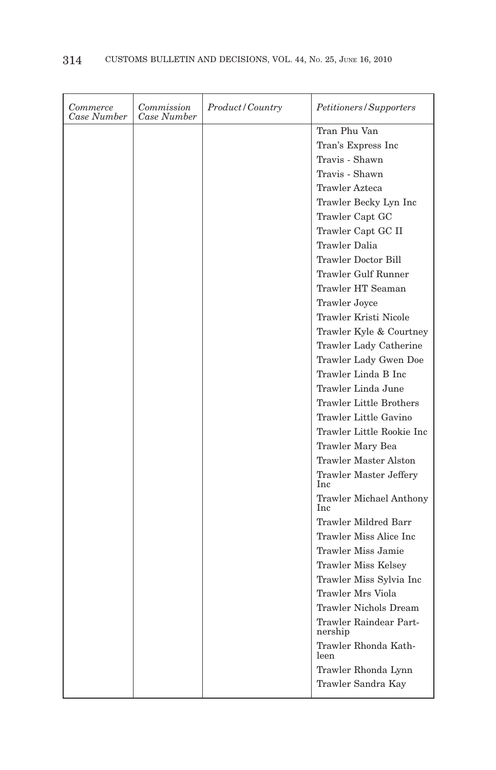| Commerce<br>Case Number | Commission<br>Case Number | Product/Country | Petitioners/Supporters                       |
|-------------------------|---------------------------|-----------------|----------------------------------------------|
|                         |                           |                 | Tran Phu Van                                 |
|                         |                           |                 | Tran's Express Inc                           |
|                         |                           |                 | Travis - Shawn                               |
|                         |                           |                 | Travis - Shawn                               |
|                         |                           |                 | <b>Trawler Azteca</b>                        |
|                         |                           |                 | Trawler Becky Lyn Inc                        |
|                         |                           |                 | Trawler Capt GC                              |
|                         |                           |                 | Trawler Capt GC II                           |
|                         |                           |                 | Trawler Dalia                                |
|                         |                           |                 | Trawler Doctor Bill                          |
|                         |                           |                 | Trawler Gulf Runner                          |
|                         |                           |                 | Trawler HT Seaman                            |
|                         |                           |                 | Trawler Joyce                                |
|                         |                           |                 | Trawler Kristi Nicole                        |
|                         |                           |                 | Trawler Kyle & Courtney                      |
|                         |                           |                 | Trawler Lady Catherine                       |
|                         |                           |                 | Trawler Lady Gwen Doe                        |
|                         |                           |                 | Trawler Linda B Inc                          |
|                         |                           |                 | Trawler Linda June                           |
|                         |                           |                 | <b>Trawler Little Brothers</b>               |
|                         |                           |                 | Trawler Little Gavino                        |
|                         |                           |                 | Trawler Little Rookie Inc                    |
|                         |                           |                 | Trawler Mary Bea                             |
|                         |                           |                 | <b>Trawler Master Alston</b>                 |
|                         |                           |                 | Trawler Master Jeffery<br>Inc                |
|                         |                           |                 | <b>Trawler Michael Anthony</b><br><b>Inc</b> |
|                         |                           |                 | Trawler Mildred Barr                         |
|                         |                           |                 | Trawler Miss Alice Inc                       |
|                         |                           |                 | Trawler Miss Jamie                           |
|                         |                           |                 | Trawler Miss Kelsey                          |
|                         |                           |                 | Trawler Miss Sylvia Inc                      |
|                         |                           |                 | <b>Trawler Mrs Viola</b>                     |
|                         |                           |                 | Trawler Nichols Dream                        |
|                         |                           |                 | Trawler Raindear Part-<br>nership            |
|                         |                           |                 | Trawler Rhonda Kath-<br>leen                 |
|                         |                           |                 | Trawler Rhonda Lynn                          |
|                         |                           |                 | Trawler Sandra Kay                           |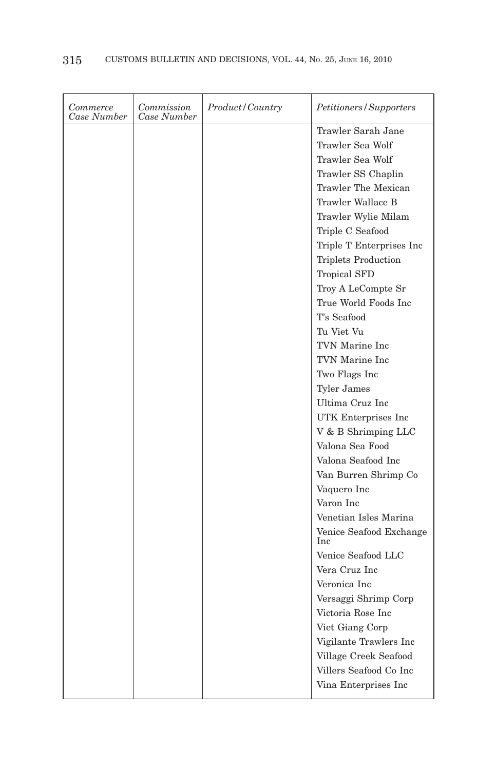| Commerce<br>Case Number | Commission<br>Case Number | Product/Country | Petitioners/Supporters         |
|-------------------------|---------------------------|-----------------|--------------------------------|
|                         |                           |                 | Trawler Sarah Jane             |
|                         |                           |                 | Trawler Sea Wolf               |
|                         |                           |                 | Trawler Sea Wolf               |
|                         |                           |                 | Trawler SS Chaplin             |
|                         |                           |                 | Trawler The Mexican            |
|                         |                           |                 | Trawler Wallace B              |
|                         |                           |                 | Trawler Wylie Milam            |
|                         |                           |                 | Triple C Seafood               |
|                         |                           |                 | Triple T Enterprises Inc       |
|                         |                           |                 | <b>Triplets Production</b>     |
|                         |                           |                 | <b>Tropical SFD</b>            |
|                         |                           |                 | Troy A LeCompte Sr             |
|                         |                           |                 | True World Foods Inc           |
|                         |                           |                 | T's Seafood                    |
|                         |                           |                 | Tu Viet Vu                     |
|                         |                           |                 | TVN Marine Inc                 |
|                         |                           |                 | TVN Marine Inc                 |
|                         |                           |                 | Two Flags Inc                  |
|                         |                           |                 | <b>Tyler James</b>             |
|                         |                           |                 | Ultima Cruz Inc                |
|                         |                           |                 | UTK Enterprises Inc.           |
|                         |                           |                 | V & B Shrimping LLC            |
|                         |                           |                 | Valona Sea Food                |
|                         |                           |                 | Valona Seafood Inc             |
|                         |                           |                 | Van Burren Shrimp Co           |
|                         |                           |                 | Vaquero Inc                    |
|                         |                           |                 | Varon Inc                      |
|                         |                           |                 | Venetian Isles Marina          |
|                         |                           |                 | Venice Seafood Exchange<br>Inc |
|                         |                           |                 | Venice Seafood LLC             |
|                         |                           |                 | Vera Cruz Inc                  |
|                         |                           |                 | Veronica Inc                   |
|                         |                           |                 | Versaggi Shrimp Corp           |
|                         |                           |                 | Victoria Rose Inc              |
|                         |                           |                 | Viet Giang Corp                |
|                         |                           |                 | Vigilante Trawlers Inc         |
|                         |                           |                 | Village Creek Seafood          |
|                         |                           |                 | Villers Seafood Co Inc         |
|                         |                           |                 | Vina Enterprises Inc           |
|                         |                           |                 |                                |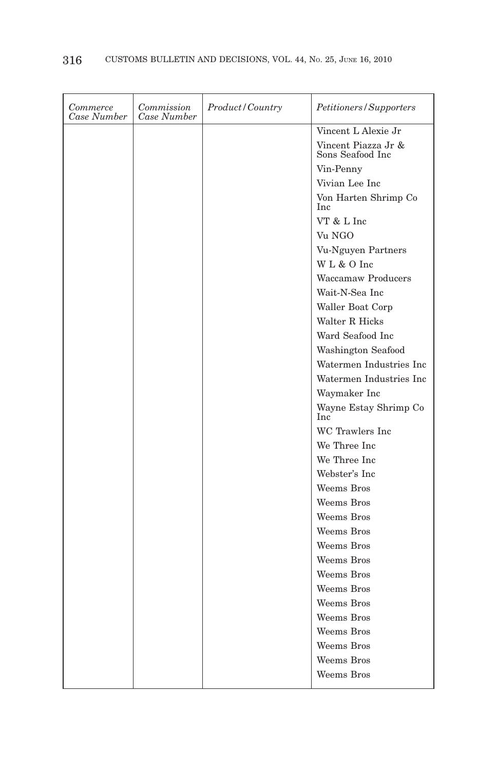| Commerce<br>Case Number | Commission<br>Case Number | <i>Product/Country</i> | Petitioners/Supporters                  |
|-------------------------|---------------------------|------------------------|-----------------------------------------|
|                         |                           |                        | Vincent L Alexie Jr                     |
|                         |                           |                        | Vincent Piazza Jr &<br>Sons Seafood Inc |
|                         |                           |                        | Vin-Penny                               |
|                         |                           |                        | Vivian Lee Inc                          |
|                         |                           |                        | Von Harten Shrimp Co<br>Inc             |
|                         |                           |                        | VT & L Inc                              |
|                         |                           |                        | Vu NGO                                  |
|                         |                           |                        | Vu-Nguyen Partners                      |
|                         |                           |                        | WL & O Inc                              |
|                         |                           |                        | <b>Waccamaw Producers</b>               |
|                         |                           |                        | Wait-N-Sea Inc                          |
|                         |                           |                        | Waller Boat Corp                        |
|                         |                           |                        | Walter R Hicks                          |
|                         |                           |                        | Ward Seafood Inc                        |
|                         |                           |                        | Washington Seafood                      |
|                         |                           |                        | Watermen Industries Inc                 |
|                         |                           |                        | Watermen Industries Inc                 |
|                         |                           |                        | Waymaker Inc                            |
|                         |                           |                        | Wayne Estay Shrimp Co<br><b>Inc</b>     |
|                         |                           |                        | WC Trawlers Inc                         |
|                         |                           |                        | We Three Inc                            |
|                         |                           |                        | We Three Inc                            |
|                         |                           |                        | Webster's Inc                           |
|                         |                           |                        | Weems Bros                              |
|                         |                           |                        | Weems Bros                              |
|                         |                           |                        | Weems Bros                              |
|                         |                           |                        | Weems Bros                              |
|                         |                           |                        | Weems Bros                              |
|                         |                           |                        | Weems Bros                              |
|                         |                           |                        | Weems Bros                              |
|                         |                           |                        | Weems Bros                              |
|                         |                           |                        | Weems Bros                              |
|                         |                           |                        | Weems Bros                              |
|                         |                           |                        | Weems Bros                              |
|                         |                           |                        | Weems Bros                              |
|                         |                           |                        | Weems Bros                              |
|                         |                           |                        | Weems Bros                              |